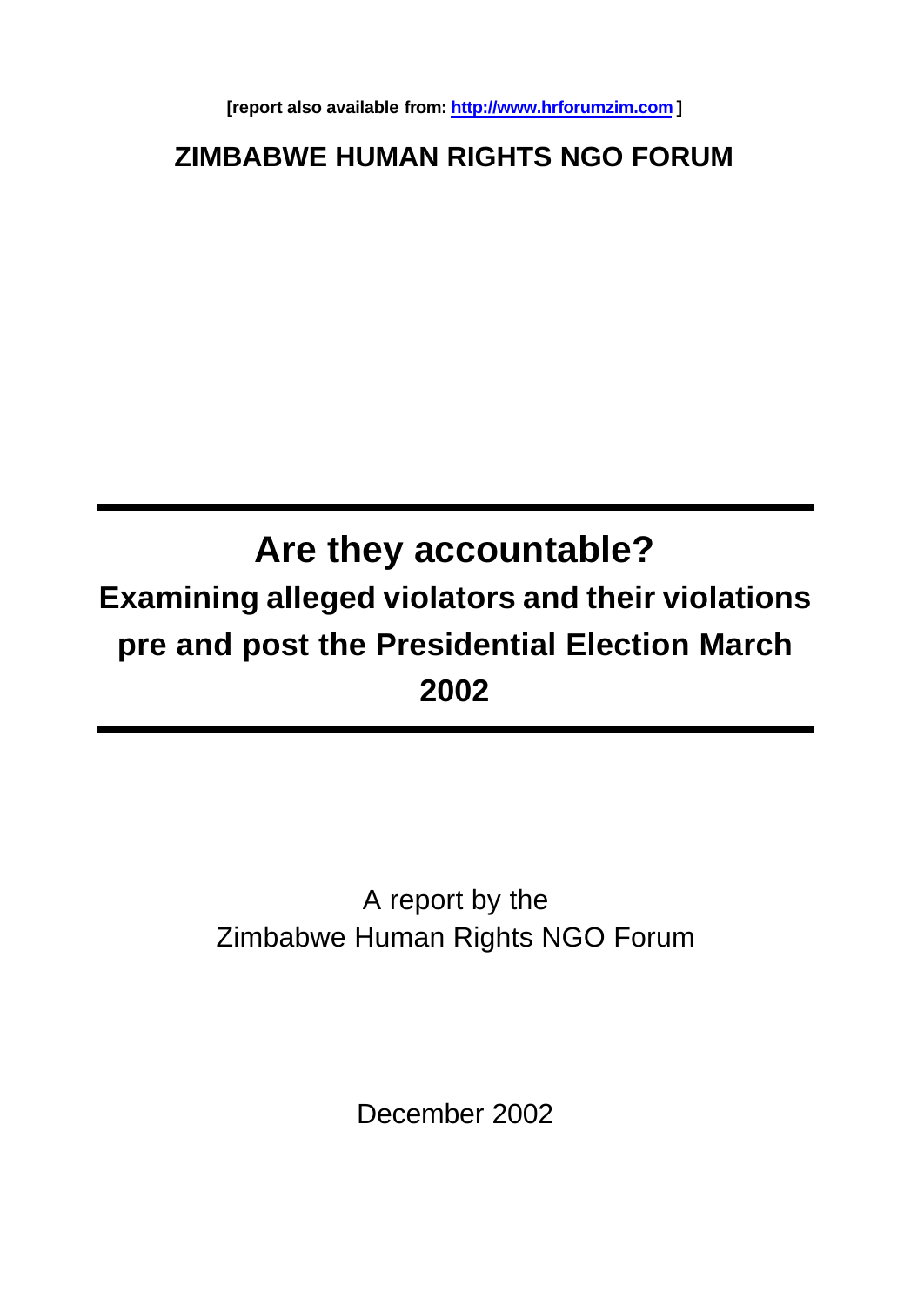**[report also available from: http://www.hrforumzim.com ]**

# **ZIMBABWE HUMAN RIGHTS NGO FORUM**

# **Are they accountable? Examining alleged violators and their violations pre and post the Presidential Election March 2002**

# A report by the Zimbabwe Human Rights NGO Forum

December 2002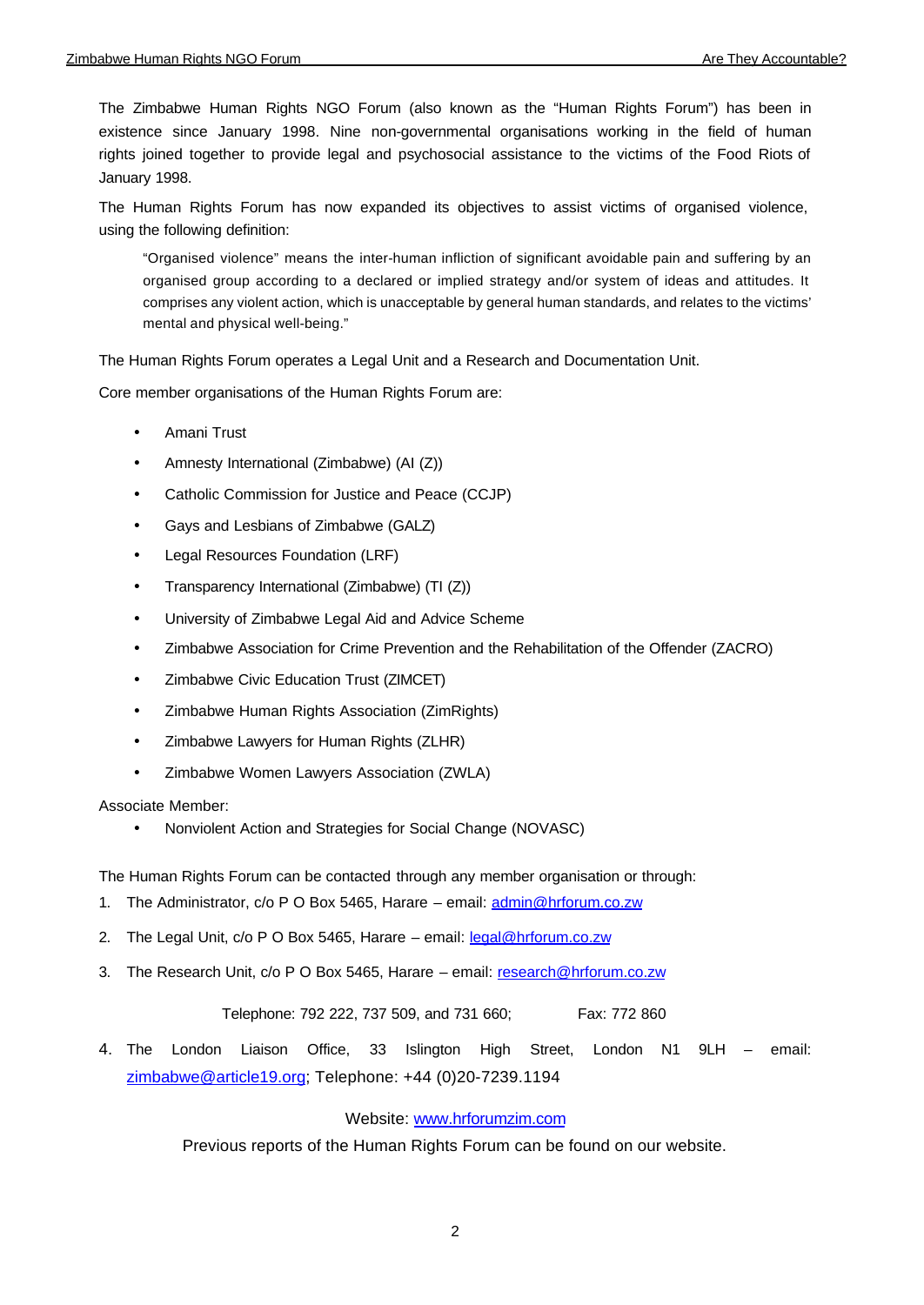The Zimbabwe Human Rights NGO Forum (also known as the "Human Rights Forum") has been in existence since January 1998. Nine non-governmental organisations working in the field of human rights joined together to provide legal and psychosocial assistance to the victims of the Food Riots of January 1998.

The Human Rights Forum has now expanded its objectives to assist victims of organised violence, using the following definition:

"Organised violence" means the inter-human infliction of significant avoidable pain and suffering by an organised group according to a declared or implied strategy and/or system of ideas and attitudes. It comprises any violent action, which is unacceptable by general human standards, and relates to the victims' mental and physical well-being."

The Human Rights Forum operates a Legal Unit and a Research and Documentation Unit.

Core member organisations of the Human Rights Forum are:

- Amani Trust
- Amnesty International (Zimbabwe) (AI (Z))
- Catholic Commission for Justice and Peace (CCJP)
- Gays and Lesbians of Zimbabwe (GALZ)
- Legal Resources Foundation (LRF)
- Transparency International (Zimbabwe) (TI (Z))
- University of Zimbabwe Legal Aid and Advice Scheme
- Zimbabwe Association for Crime Prevention and the Rehabilitation of the Offender (ZACRO)
- Zimbabwe Civic Education Trust (ZIMCET)
- Zimbabwe Human Rights Association (ZimRights)
- Zimbabwe Lawyers for Human Rights (ZLHR)
- Zimbabwe Women Lawyers Association (ZWLA)

Associate Member:

• Nonviolent Action and Strategies for Social Change (NOVASC)

The Human Rights Forum can be contacted through any member organisation or through:

- 1. The Administrator, c/o P O Box 5465, Harare email: admin@hrforum.co.zw
- 2. The Legal Unit, c/o P O Box 5465, Harare email: legal@hrforum.co.zw
- 3. The Research Unit, c/o P O Box 5465, Harare email: research@hrforum.co.zw

Telephone: 792 222, 737 509, and 731 660; Fax: 772 860

4. The London Liaison Office, 33 Islington High Street, London N1 9LH – email: zimbabwe@article19.org; Telephone: +44 (0)20-7239.1194

Website: www.hrforumzim.com

Previous reports of the Human Rights Forum can be found on our website.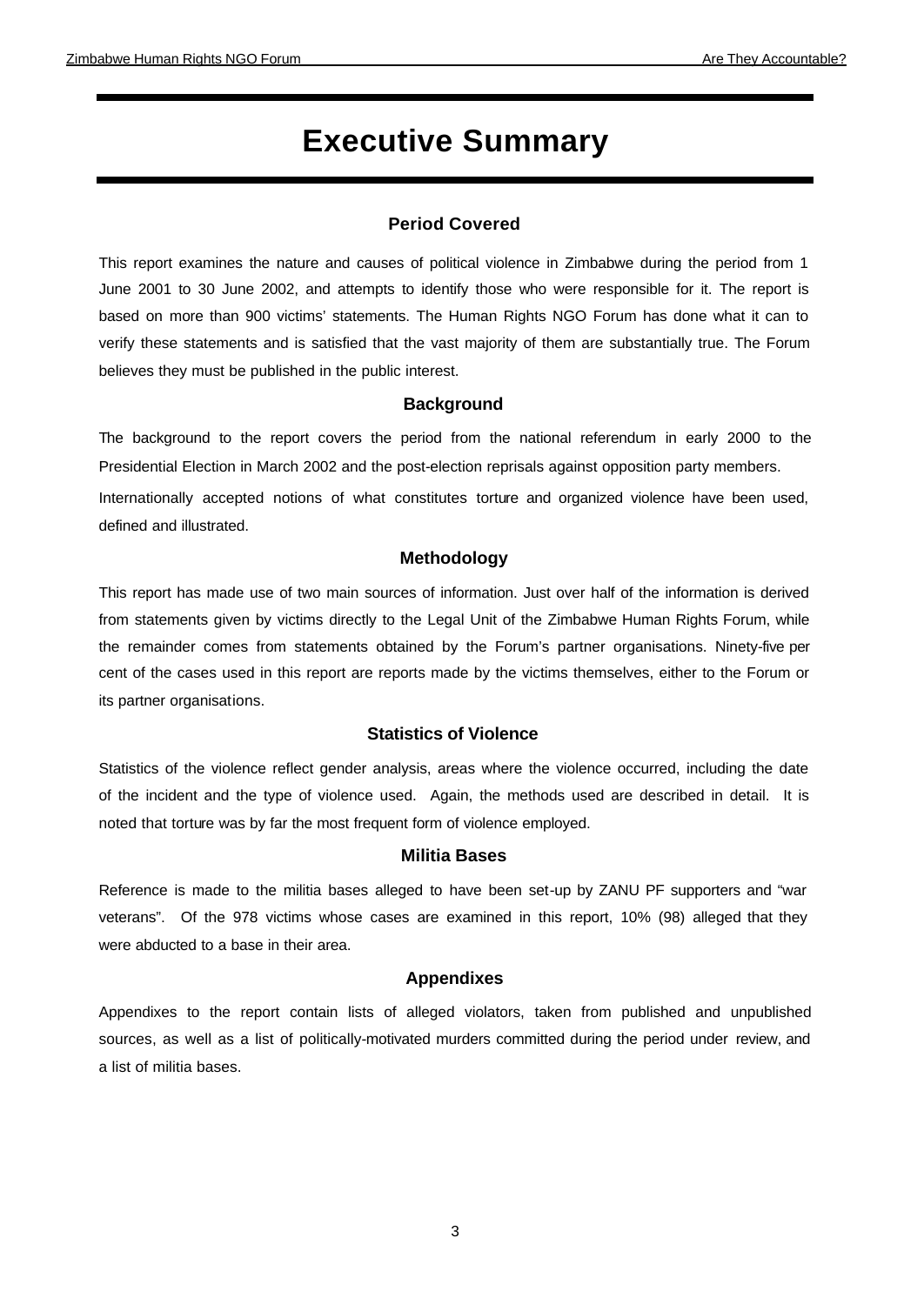# **Executive Summary**

## **Period Covered**

This report examines the nature and causes of political violence in Zimbabwe during the period from 1 June 2001 to 30 June 2002, and attempts to identify those who were responsible for it. The report is based on more than 900 victims' statements. The Human Rights NGO Forum has done what it can to verify these statements and is satisfied that the vast majority of them are substantially true. The Forum believes they must be published in the public interest.

#### **Background**

The background to the report covers the period from the national referendum in early 2000 to the Presidential Election in March 2002 and the post-election reprisals against opposition party members. Internationally accepted notions of what constitutes torture and organized violence have been used, defined and illustrated.

#### **Methodology**

This report has made use of two main sources of information. Just over half of the information is derived from statements given by victims directly to the Legal Unit of the Zimbabwe Human Rights Forum, while the remainder comes from statements obtained by the Forum's partner organisations. Ninety-five per cent of the cases used in this report are reports made by the victims themselves, either to the Forum or its partner organisations.

## **Statistics of Violence**

Statistics of the violence reflect gender analysis, areas where the violence occurred, including the date of the incident and the type of violence used. Again, the methods used are described in detail. It is noted that torture was by far the most frequent form of violence employed.

#### **Militia Bases**

Reference is made to the militia bases alleged to have been set-up by ZANU PF supporters and "war veterans". Of the 978 victims whose cases are examined in this report, 10% (98) alleged that they were abducted to a base in their area.

### **Appendixes**

Appendixes to the report contain lists of alleged violators, taken from published and unpublished sources, as well as a list of politically-motivated murders committed during the period under review, and a list of militia bases.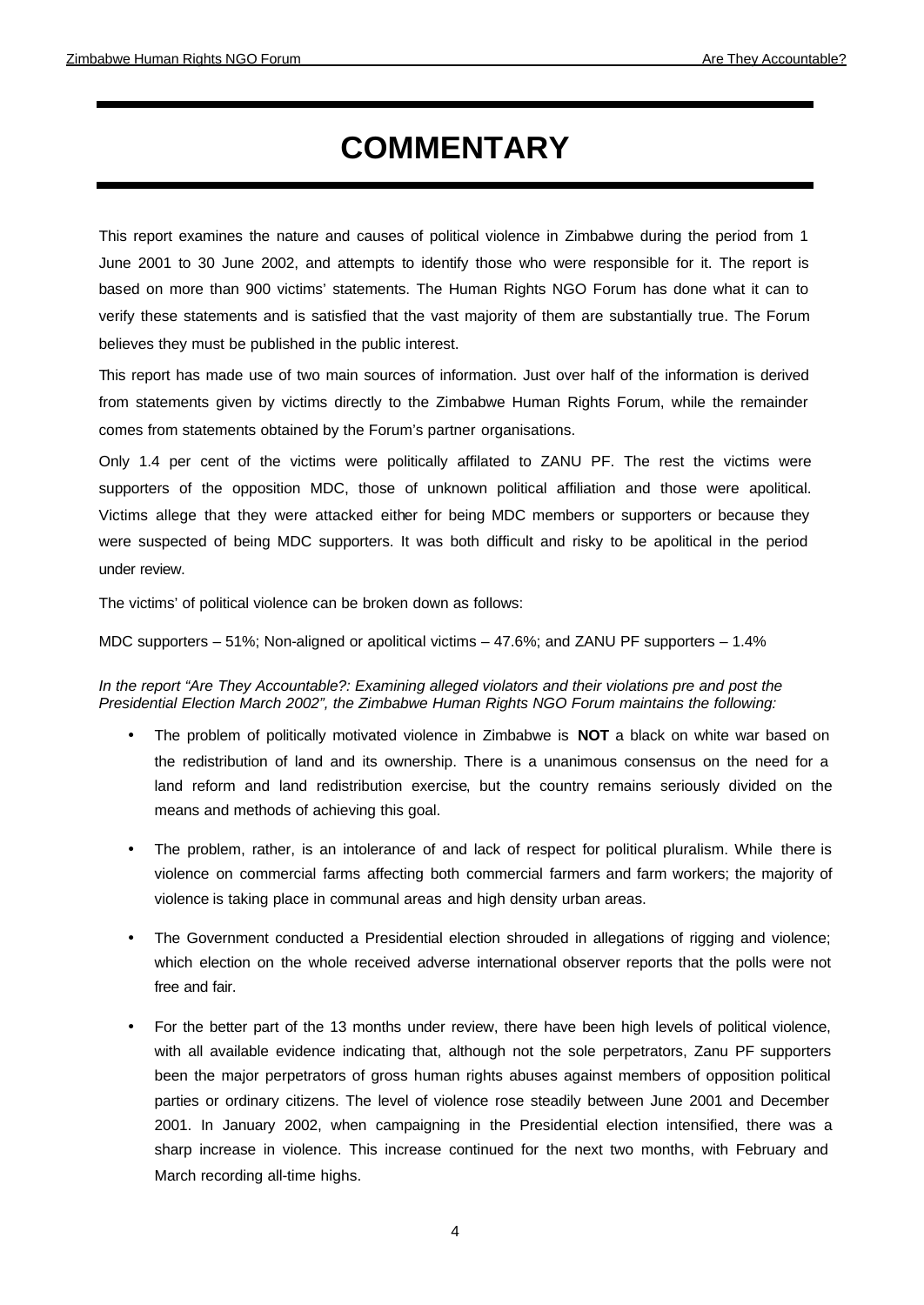# **COMMENTARY**

This report examines the nature and causes of political violence in Zimbabwe during the period from 1 June 2001 to 30 June 2002, and attempts to identify those who were responsible for it. The report is based on more than 900 victims' statements. The Human Rights NGO Forum has done what it can to verify these statements and is satisfied that the vast majority of them are substantially true. The Forum believes they must be published in the public interest.

This report has made use of two main sources of information. Just over half of the information is derived from statements given by victims directly to the Zimbabwe Human Rights Forum, while the remainder comes from statements obtained by the Forum's partner organisations.

Only 1.4 per cent of the victims were politically affilated to ZANU PF. The rest the victims were supporters of the opposition MDC, those of unknown political affiliation and those were apolitical. Victims allege that they were attacked either for being MDC members or supporters or because they were suspected of being MDC supporters. It was both difficult and risky to be apolitical in the period under review.

The victims' of political violence can be broken down as follows:

MDC supporters – 51%; Non-aligned or apolitical victims – 47.6%; and ZANU PF supporters – 1.4%

*In the report "Are They Accountable?: Examining alleged violators and their violations pre and post the Presidential Election March 2002", the Zimbabwe Human Rights NGO Forum maintains the following:* 

- The problem of politically motivated violence in Zimbabwe is **NOT** a black on white war based on the redistribution of land and its ownership. There is a unanimous consensus on the need for a land reform and land redistribution exercise, but the country remains seriously divided on the means and methods of achieving this goal.
- The problem, rather, is an intolerance of and lack of respect for political pluralism. While there is violence on commercial farms affecting both commercial farmers and farm workers; the majority of violence is taking place in communal areas and high density urban areas.
- The Government conducted a Presidential election shrouded in allegations of rigging and violence; which election on the whole received adverse international observer reports that the polls were not free and fair.
- For the better part of the 13 months under review, there have been high levels of political violence, with all available evidence indicating that, although not the sole perpetrators, Zanu PF supporters been the major perpetrators of gross human rights abuses against members of opposition political parties or ordinary citizens. The level of violence rose steadily between June 2001 and December 2001. In January 2002, when campaigning in the Presidential election intensified, there was a sharp increase in violence. This increase continued for the next two months, with February and March recording all-time highs.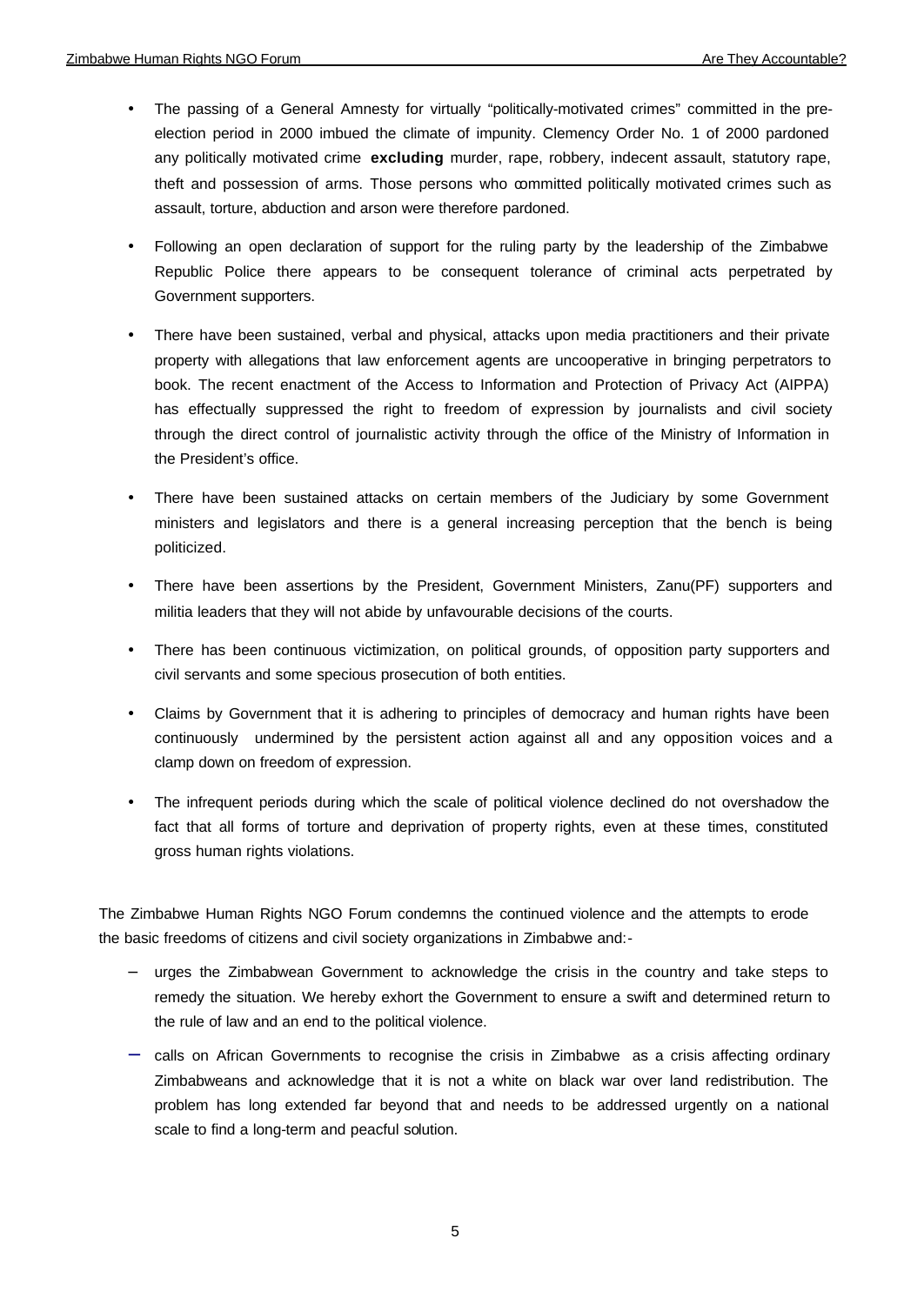- The passing of a General Amnesty for virtually "politically-motivated crimes" committed in the preelection period in 2000 imbued the climate of impunity. Clemency Order No. 1 of 2000 pardoned any politically motivated crime **excluding** murder, rape, robbery, indecent assault, statutory rape, theft and possession of arms. Those persons who committed politically motivated crimes such as assault, torture, abduction and arson were therefore pardoned.
- Following an open declaration of support for the ruling party by the leadership of the Zimbabwe Republic Police there appears to be consequent tolerance of criminal acts perpetrated by Government supporters.
- There have been sustained, verbal and physical, attacks upon media practitioners and their private property with allegations that law enforcement agents are uncooperative in bringing perpetrators to book. The recent enactment of the Access to Information and Protection of Privacy Act (AIPPA) has effectually suppressed the right to freedom of expression by journalists and civil society through the direct control of journalistic activity through the office of the Ministry of Information in the President's office.
- There have been sustained attacks on certain members of the Judiciary by some Government ministers and legislators and there is a general increasing perception that the bench is being politicized.
- There have been assertions by the President, Government Ministers, Zanu(PF) supporters and militia leaders that they will not abide by unfavourable decisions of the courts.
- There has been continuous victimization, on political grounds, of opposition party supporters and civil servants and some specious prosecution of both entities.
- Claims by Government that it is adhering to principles of democracy and human rights have been continuously undermined by the persistent action against all and any opposition voices and a clamp down on freedom of expression.
- The infrequent periods during which the scale of political violence declined do not overshadow the fact that all forms of torture and deprivation of property rights, even at these times, constituted gross human rights violations.

The Zimbabwe Human Rights NGO Forum condemns the continued violence and the attempts to erode the basic freedoms of citizens and civil society organizations in Zimbabwe and:-

- − urges the Zimbabwean Government to acknowledge the crisis in the country and take steps to remedy the situation. We hereby exhort the Government to ensure a swift and determined return to the rule of law and an end to the political violence.
- − calls on African Governments to recognise the crisis in Zimbabwe as a crisis affecting ordinary Zimbabweans and acknowledge that it is not a white on black war over land redistribution. The problem has long extended far beyond that and needs to be addressed urgently on a national scale to find a long-term and peacful solution.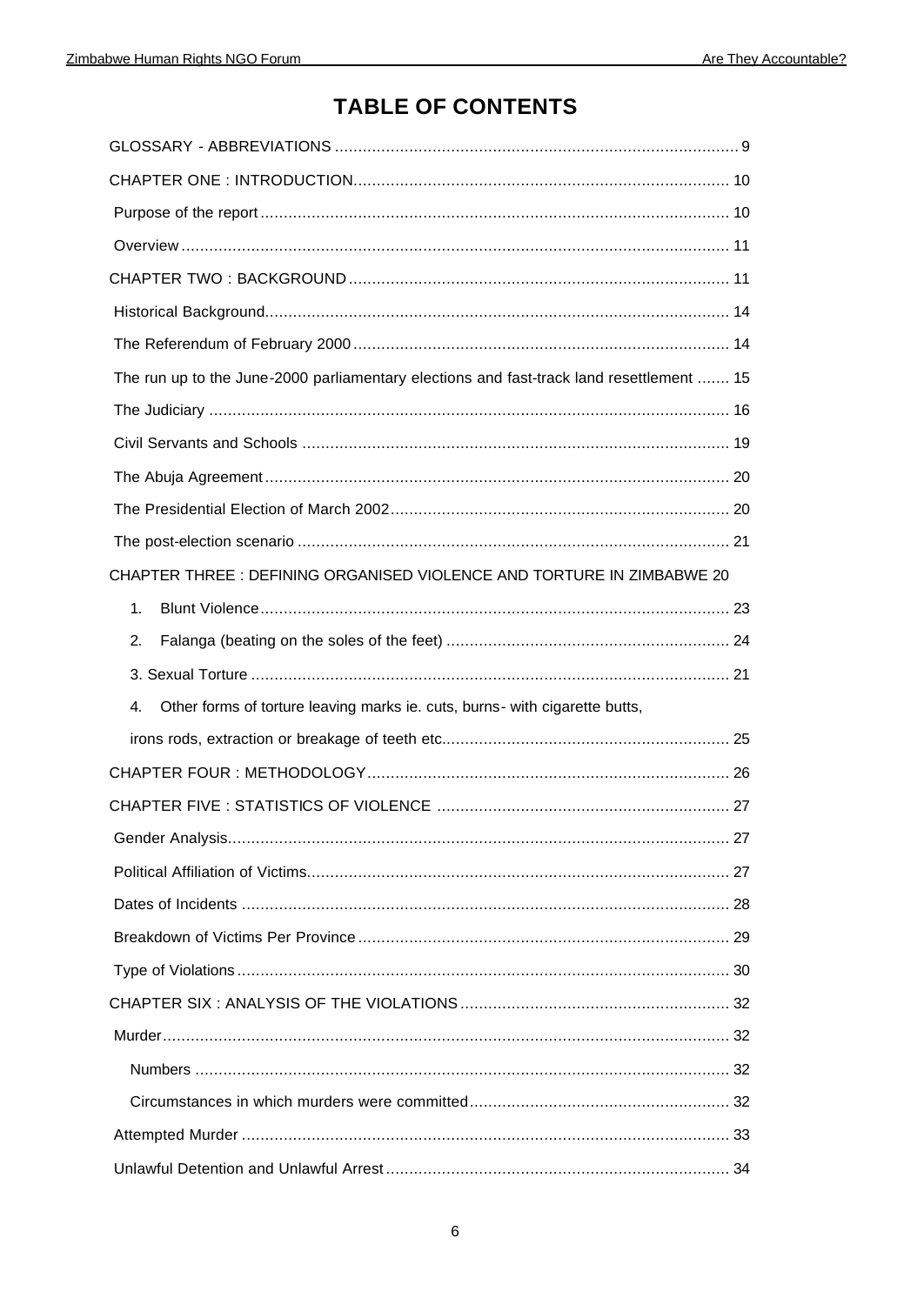# **TABLE OF CONTENTS**

| The run up to the June-2000 parliamentary elections and fast-track land resettlement  15 |  |
|------------------------------------------------------------------------------------------|--|
|                                                                                          |  |
|                                                                                          |  |
|                                                                                          |  |
|                                                                                          |  |
|                                                                                          |  |
| CHAPTER THREE: DEFINING ORGANISED VIOLENCE AND TORTURE IN ZIMBABWE 20                    |  |
| 1.                                                                                       |  |
| 2.                                                                                       |  |
|                                                                                          |  |
| Other forms of torture leaving marks ie. cuts, burns- with cigarette butts,<br>4.        |  |
|                                                                                          |  |
|                                                                                          |  |
|                                                                                          |  |
|                                                                                          |  |
|                                                                                          |  |
|                                                                                          |  |
|                                                                                          |  |
|                                                                                          |  |
|                                                                                          |  |
|                                                                                          |  |
|                                                                                          |  |
|                                                                                          |  |
|                                                                                          |  |
|                                                                                          |  |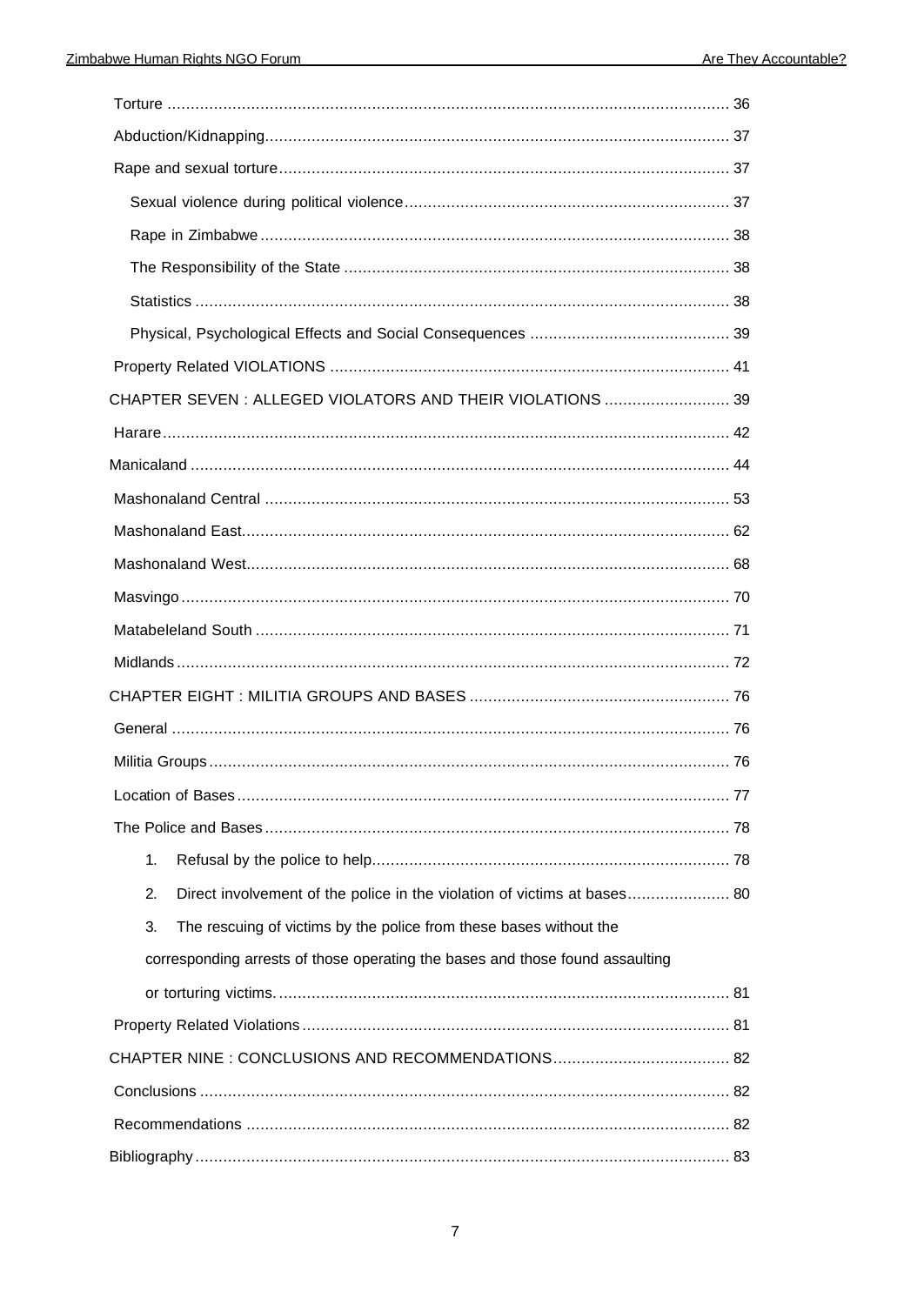| CHAPTER SEVEN : ALLEGED VIOLATORS AND THEIR VIOLATIONS  39                     |  |  |  |
|--------------------------------------------------------------------------------|--|--|--|
|                                                                                |  |  |  |
|                                                                                |  |  |  |
|                                                                                |  |  |  |
|                                                                                |  |  |  |
|                                                                                |  |  |  |
|                                                                                |  |  |  |
|                                                                                |  |  |  |
|                                                                                |  |  |  |
|                                                                                |  |  |  |
|                                                                                |  |  |  |
|                                                                                |  |  |  |
|                                                                                |  |  |  |
|                                                                                |  |  |  |
| 1.                                                                             |  |  |  |
| 2.<br>Direct involvement of the police in the violation of victims at bases 80 |  |  |  |
| The rescuing of victims by the police from these bases without the<br>3.       |  |  |  |
| corresponding arrests of those operating the bases and those found assaulting  |  |  |  |
|                                                                                |  |  |  |
|                                                                                |  |  |  |
|                                                                                |  |  |  |
|                                                                                |  |  |  |
|                                                                                |  |  |  |
|                                                                                |  |  |  |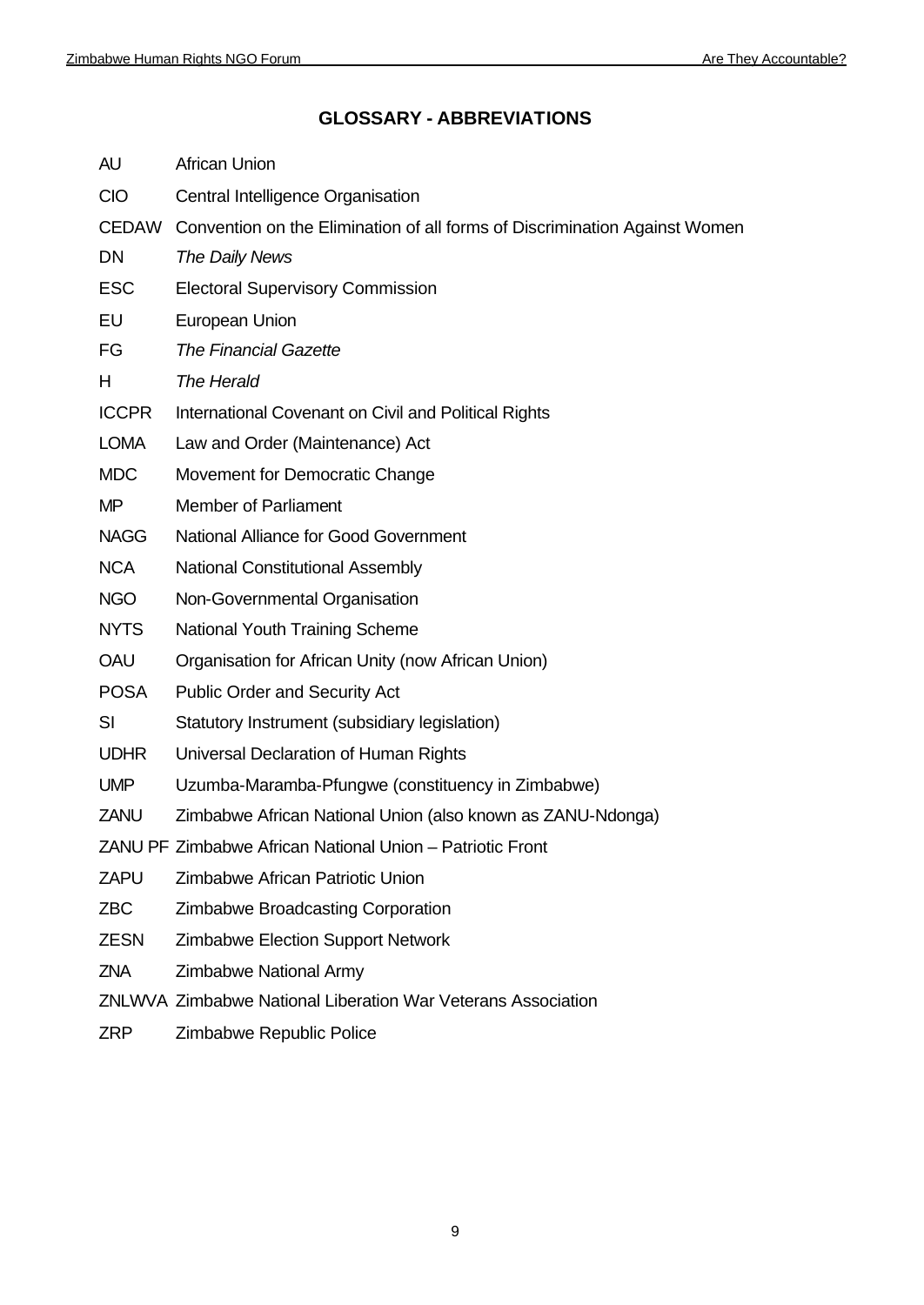# **GLOSSARY - ABBREVIATIONS**

| AU           | <b>African Union</b>                                                             |
|--------------|----------------------------------------------------------------------------------|
| <b>CIO</b>   | Central Intelligence Organisation                                                |
|              | CEDAW Convention on the Elimination of all forms of Discrimination Against Women |
| <b>DN</b>    | The Daily News                                                                   |
| <b>ESC</b>   | <b>Electoral Supervisory Commission</b>                                          |
| EU           | European Union                                                                   |
| FG           | <b>The Financial Gazette</b>                                                     |
| Н            | The Herald                                                                       |
| <b>ICCPR</b> | International Covenant on Civil and Political Rights                             |
| <b>LOMA</b>  | Law and Order (Maintenance) Act                                                  |
| <b>MDC</b>   | Movement for Democratic Change                                                   |
| <b>MP</b>    | <b>Member of Parliament</b>                                                      |
| <b>NAGG</b>  | National Alliance for Good Government                                            |
| <b>NCA</b>   | <b>National Constitutional Assembly</b>                                          |
| <b>NGO</b>   | Non-Governmental Organisation                                                    |
| <b>NYTS</b>  | <b>National Youth Training Scheme</b>                                            |
| OAU          | Organisation for African Unity (now African Union)                               |
| <b>POSA</b>  | <b>Public Order and Security Act</b>                                             |
| SI           | Statutory Instrument (subsidiary legislation)                                    |
| <b>UDHR</b>  | Universal Declaration of Human Rights                                            |
| <b>UMP</b>   | Uzumba-Maramba-Pfungwe (constituency in Zimbabwe)                                |
| ZANU         | Zimbabwe African National Union (also known as ZANU-Ndonga)                      |
|              | ZANU PF Zimbabwe African National Union - Patriotic Front                        |
| <b>ZAPU</b>  | Zimbabwe African Patriotic Union                                                 |
| <b>ZBC</b>   | <b>Zimbabwe Broadcasting Corporation</b>                                         |
| <b>ZESN</b>  | <b>Zimbabwe Election Support Network</b>                                         |
| <b>ZNA</b>   | <b>Zimbabwe National Army</b>                                                    |
|              | ZNLWVA Zimbabwe National Liberation War Veterans Association                     |
|              |                                                                                  |

ZRP Zimbabwe Republic Police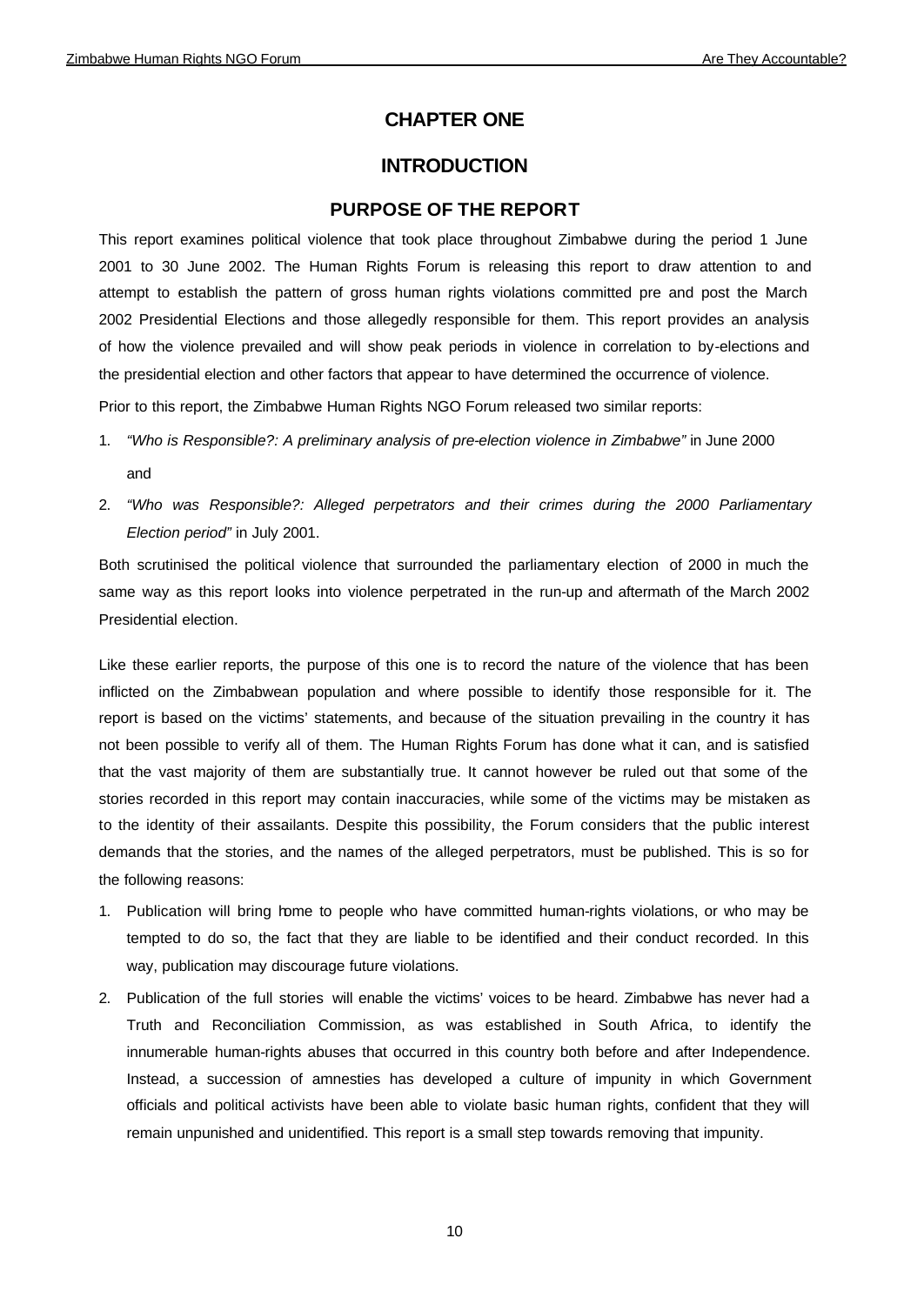# **CHAPTER ONE**

# **INTRODUCTION**

## **PURPOSE OF THE REPORT**

This report examines political violence that took place throughout Zimbabwe during the period 1 June 2001 to 30 June 2002. The Human Rights Forum is releasing this report to draw attention to and attempt to establish the pattern of gross human rights violations committed pre and post the March 2002 Presidential Elections and those allegedly responsible for them. This report provides an analysis of how the violence prevailed and will show peak periods in violence in correlation to by-elections and the presidential election and other factors that appear to have determined the occurrence of violence. Prior to this report, the Zimbabwe Human Rights NGO Forum released two similar reports:

- 1. *"Who is Responsible?: A preliminary analysis of pre-election violence in Zimbabwe"* in June 2000 and
- 2. *"Who was Responsible?: Alleged perpetrators and their crimes during the 2000 Parliamentary Election period"* in July 2001.

Both scrutinised the political violence that surrounded the parliamentary election of 2000 in much the same way as this report looks into violence perpetrated in the run-up and aftermath of the March 2002 Presidential election.

Like these earlier reports, the purpose of this one is to record the nature of the violence that has been inflicted on the Zimbabwean population and where possible to identify those responsible for it. The report is based on the victims' statements, and because of the situation prevailing in the country it has not been possible to verify all of them. The Human Rights Forum has done what it can, and is satisfied that the vast majority of them are substantially true. It cannot however be ruled out that some of the stories recorded in this report may contain inaccuracies, while some of the victims may be mistaken as to the identity of their assailants. Despite this possibility, the Forum considers that the public interest demands that the stories, and the names of the alleged perpetrators, must be published. This is so for the following reasons:

- 1. Publication will bring home to people who have committed human-rights violations, or who may be tempted to do so, the fact that they are liable to be identified and their conduct recorded. In this way, publication may discourage future violations.
- 2. Publication of the full stories will enable the victims' voices to be heard. Zimbabwe has never had a Truth and Reconciliation Commission, as was established in South Africa, to identify the innumerable human-rights abuses that occurred in this country both before and after Independence. Instead, a succession of amnesties has developed a culture of impunity in which Government officials and political activists have been able to violate basic human rights, confident that they will remain unpunished and unidentified. This report is a small step towards removing that impunity.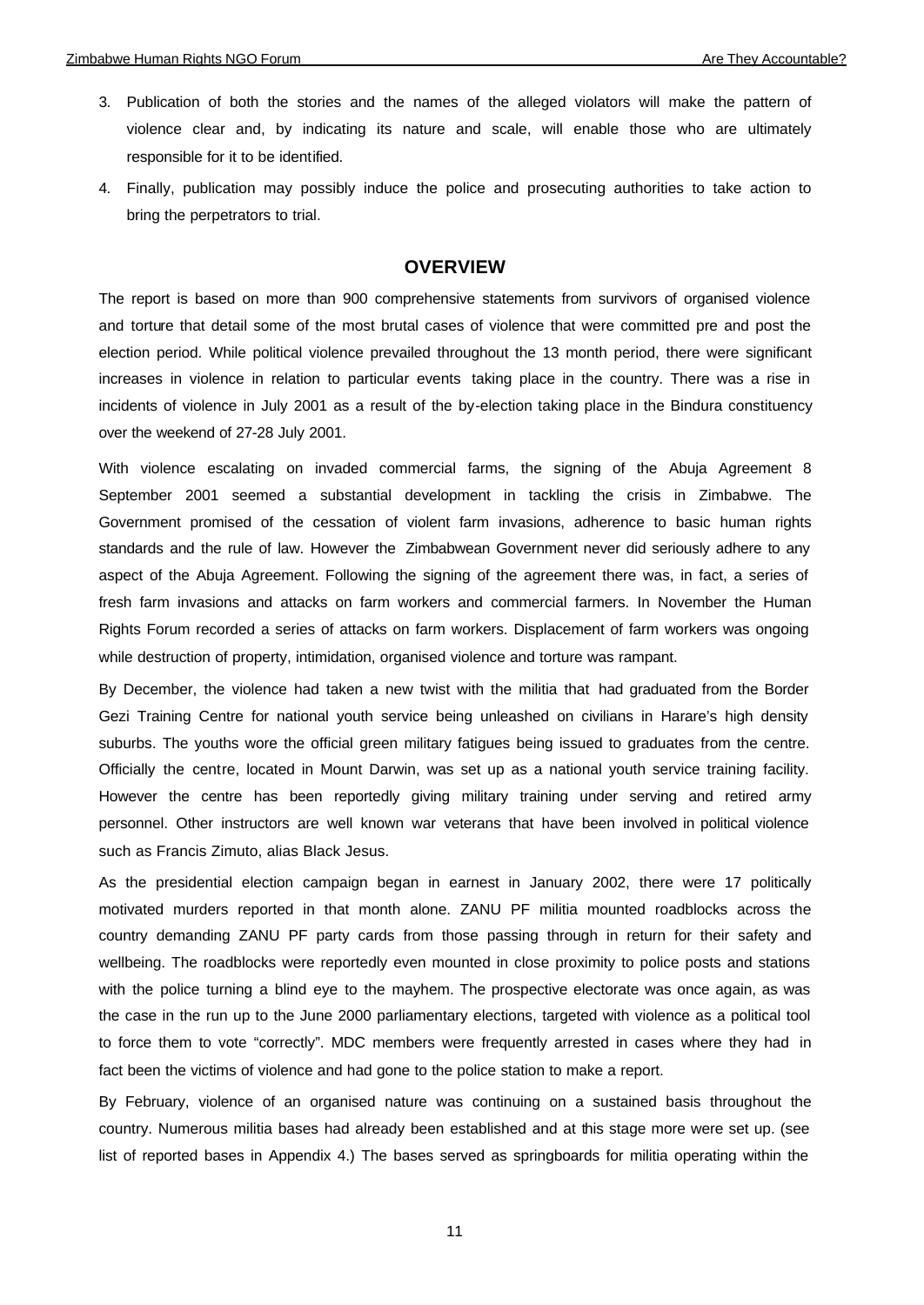- 3. Publication of both the stories and the names of the alleged violators will make the pattern of violence clear and, by indicating its nature and scale, will enable those who are ultimately responsible for it to be identified.
- 4. Finally, publication may possibly induce the police and prosecuting authorities to take action to bring the perpetrators to trial.

# **OVERVIEW**

The report is based on more than 900 comprehensive statements from survivors of organised violence and torture that detail some of the most brutal cases of violence that were committed pre and post the election period. While political violence prevailed throughout the 13 month period, there were significant increases in violence in relation to particular events taking place in the country. There was a rise in incidents of violence in July 2001 as a result of the by-election taking place in the Bindura constituency over the weekend of 27-28 July 2001.

With violence escalating on invaded commercial farms, the signing of the Abuja Agreement 8 September 2001 seemed a substantial development in tackling the crisis in Zimbabwe. The Government promised of the cessation of violent farm invasions, adherence to basic human rights standards and the rule of law. However the Zimbabwean Government never did seriously adhere to any aspect of the Abuja Agreement. Following the signing of the agreement there was, in fact, a series of fresh farm invasions and attacks on farm workers and commercial farmers. In November the Human Rights Forum recorded a series of attacks on farm workers. Displacement of farm workers was ongoing while destruction of property, intimidation, organised violence and torture was rampant.

By December, the violence had taken a new twist with the militia that had graduated from the Border Gezi Training Centre for national youth service being unleashed on civilians in Harare's high density suburbs. The youths wore the official green military fatigues being issued to graduates from the centre. Officially the centre, located in Mount Darwin, was set up as a national youth service training facility. However the centre has been reportedly giving military training under serving and retired army personnel. Other instructors are well known war veterans that have been involved in political violence such as Francis Zimuto, alias Black Jesus.

As the presidential election campaign began in earnest in January 2002, there were 17 politically motivated murders reported in that month alone. ZANU PF militia mounted roadblocks across the country demanding ZANU PF party cards from those passing through in return for their safety and wellbeing. The roadblocks were reportedly even mounted in close proximity to police posts and stations with the police turning a blind eye to the mayhem. The prospective electorate was once again, as was the case in the run up to the June 2000 parliamentary elections, targeted with violence as a political tool to force them to vote "correctly". MDC members were frequently arrested in cases where they had in fact been the victims of violence and had gone to the police station to make a report.

By February, violence of an organised nature was continuing on a sustained basis throughout the country. Numerous militia bases had already been established and at this stage more were set up. (see list of reported bases in Appendix 4.) The bases served as springboards for militia operating within the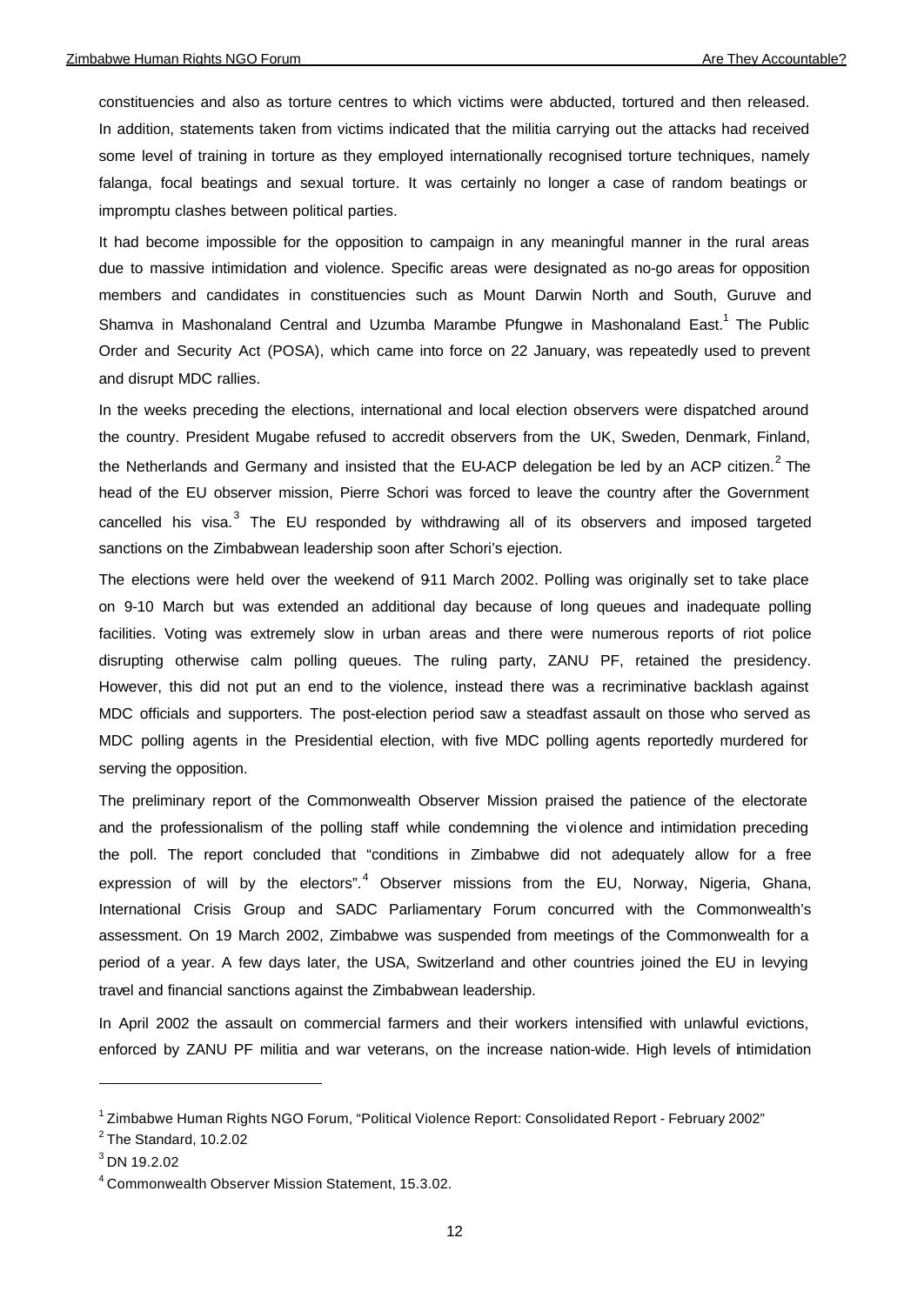constituencies and also as torture centres to which victims were abducted, tortured and then released. In addition, statements taken from victims indicated that the militia carrying out the attacks had received some level of training in torture as they employed internationally recognised torture techniques, namely falanga, focal beatings and sexual torture. It was certainly no longer a case of random beatings or impromptu clashes between political parties.

It had become impossible for the opposition to campaign in any meaningful manner in the rural areas due to massive intimidation and violence. Specific areas were designated as no-go areas for opposition members and candidates in constituencies such as Mount Darwin North and South, Guruve and Shamva in Mashonaland Central and Uzumba Marambe Pfungwe in Mashonaland East.<sup>1</sup> The Public Order and Security Act (POSA), which came into force on 22 January, was repeatedly used to prevent and disrupt MDC rallies.

In the weeks preceding the elections, international and local election observers were dispatched around the country. President Mugabe refused to accredit observers from the UK, Sweden, Denmark, Finland, the Netherlands and Germany and insisted that the EU-ACP delegation be led by an ACP citizen.<sup>2</sup> The head of the EU observer mission, Pierre Schori was forced to leave the country after the Government cancelled his visa.<sup>3</sup> The EU responded by withdrawing all of its observers and imposed targeted sanctions on the Zimbabwean leadership soon after Schori's ejection.

The elections were held over the weekend of 911 March 2002. Polling was originally set to take place on 9-10 March but was extended an additional day because of long queues and inadequate polling facilities. Voting was extremely slow in urban areas and there were numerous reports of riot police disrupting otherwise calm polling queues. The ruling party, ZANU PF, retained the presidency. However, this did not put an end to the violence, instead there was a recriminative backlash against MDC officials and supporters. The post-election period saw a steadfast assault on those who served as MDC polling agents in the Presidential election, with five MDC polling agents reportedly murdered for serving the opposition.

The preliminary report of the Commonwealth Observer Mission praised the patience of the electorate and the professionalism of the polling staff while condemning the vi olence and intimidation preceding the poll. The report concluded that "conditions in Zimbabwe did not adequately allow for a free expression of will by the electors".<sup>4</sup> Observer missions from the EU, Norway, Nigeria, Ghana, International Crisis Group and SADC Parliamentary Forum concurred with the Commonwealth's assessment. On 19 March 2002, Zimbabwe was suspended from meetings of the Commonwealth for a period of a year. A few days later, the USA, Switzerland and other countries joined the EU in levying travel and financial sanctions against the Zimbabwean leadership.

In April 2002 the assault on commercial farmers and their workers intensified with unlawful evictions, enforced by ZANU PF militia and war veterans, on the increase nation-wide. High levels of intimidation

<sup>&</sup>lt;sup>1</sup> Zimbabwe Human Rights NGO Forum, "Political Violence Report: Consolidated Report - February 2002"

 $2$  The Standard, 10.2.02

 $^3$  DN 19.2.02

<sup>4</sup> Commonwealth Observer Mission Statement, 15.3.02.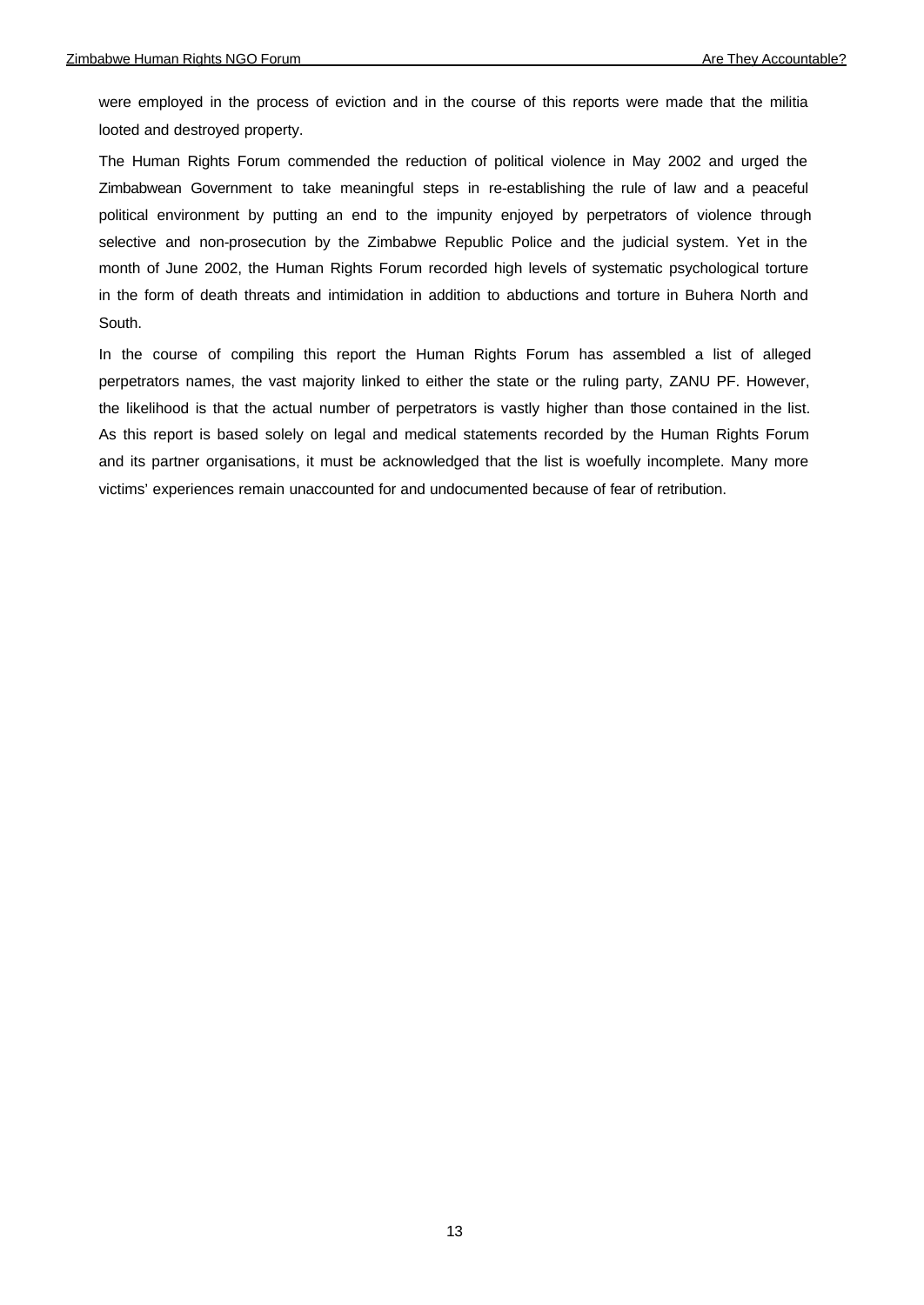were employed in the process of eviction and in the course of this reports were made that the militia looted and destroyed property.

The Human Rights Forum commended the reduction of political violence in May 2002 and urged the Zimbabwean Government to take meaningful steps in re-establishing the rule of law and a peaceful political environment by putting an end to the impunity enjoyed by perpetrators of violence through selective and non-prosecution by the Zimbabwe Republic Police and the judicial system. Yet in the month of June 2002, the Human Rights Forum recorded high levels of systematic psychological torture in the form of death threats and intimidation in addition to abductions and torture in Buhera North and South.

In the course of compiling this report the Human Rights Forum has assembled a list of alleged perpetrators names, the vast majority linked to either the state or the ruling party, ZANU PF. However, the likelihood is that the actual number of perpetrators is vastly higher than those contained in the list. As this report is based solely on legal and medical statements recorded by the Human Rights Forum and its partner organisations, it must be acknowledged that the list is woefully incomplete. Many more victims' experiences remain unaccounted for and undocumented because of fear of retribution.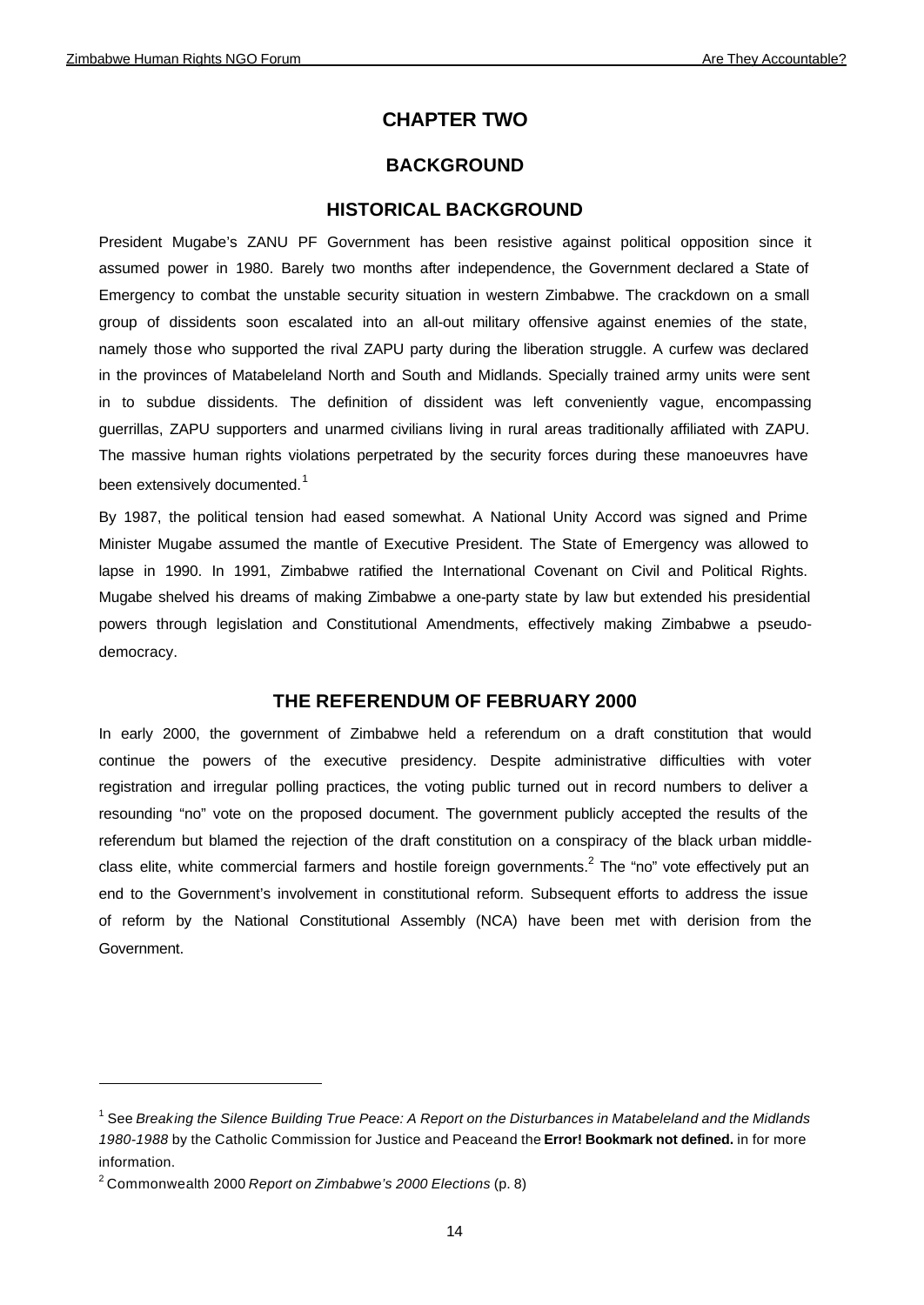# **CHAPTER TWO**

# **BACKGROUND**

#### **HISTORICAL BACKGROUND**

President Mugabe's ZANU PF Government has been resistive against political opposition since it assumed power in 1980. Barely two months after independence, the Government declared a State of Emergency to combat the unstable security situation in western Zimbabwe. The crackdown on a small group of dissidents soon escalated into an all-out military offensive against enemies of the state, namely those who supported the rival ZAPU party during the liberation struggle. A curfew was declared in the provinces of Matabeleland North and South and Midlands. Specially trained army units were sent in to subdue dissidents. The definition of dissident was left conveniently vague, encompassing guerrillas, ZAPU supporters and unarmed civilians living in rural areas traditionally affiliated with ZAPU. The massive human rights violations perpetrated by the security forces during these manoeuvres have been extensively documented.<sup>1</sup>

By 1987, the political tension had eased somewhat. A National Unity Accord was signed and Prime Minister Mugabe assumed the mantle of Executive President. The State of Emergency was allowed to lapse in 1990. In 1991, Zimbabwe ratified the International Covenant on Civil and Political Rights. Mugabe shelved his dreams of making Zimbabwe a one-party state by law but extended his presidential powers through legislation and Constitutional Amendments, effectively making Zimbabwe a pseudodemocracy.

## **THE REFERENDUM OF FEBRUARY 2000**

In early 2000, the government of Zimbabwe held a referendum on a draft constitution that would continue the powers of the executive presidency. Despite administrative difficulties with voter registration and irregular polling practices, the voting public turned out in record numbers to deliver a resounding "no" vote on the proposed document. The government publicly accepted the results of the referendum but blamed the rejection of the draft constitution on a conspiracy of the black urban middleclass elite, white commercial farmers and hostile foreign governments.<sup>2</sup> The "no" vote effectively put an end to the Government's involvement in constitutional reform. Subsequent efforts to address the issue of reform by the National Constitutional Assembly (NCA) have been met with derision from the Government.

<sup>&</sup>lt;sup>1</sup> See *Breaking the Silence Building True Peace: A Report on the Disturbances in Matabeleland and the Midlands 1980-1988* by the Catholic Commission for Justice and Peaceand the **Error! Bookmark not defined.** in for more information.

<sup>2</sup> Commonwealth 2000 *Report on Zimbabwe's 2000 Elections* (p. 8)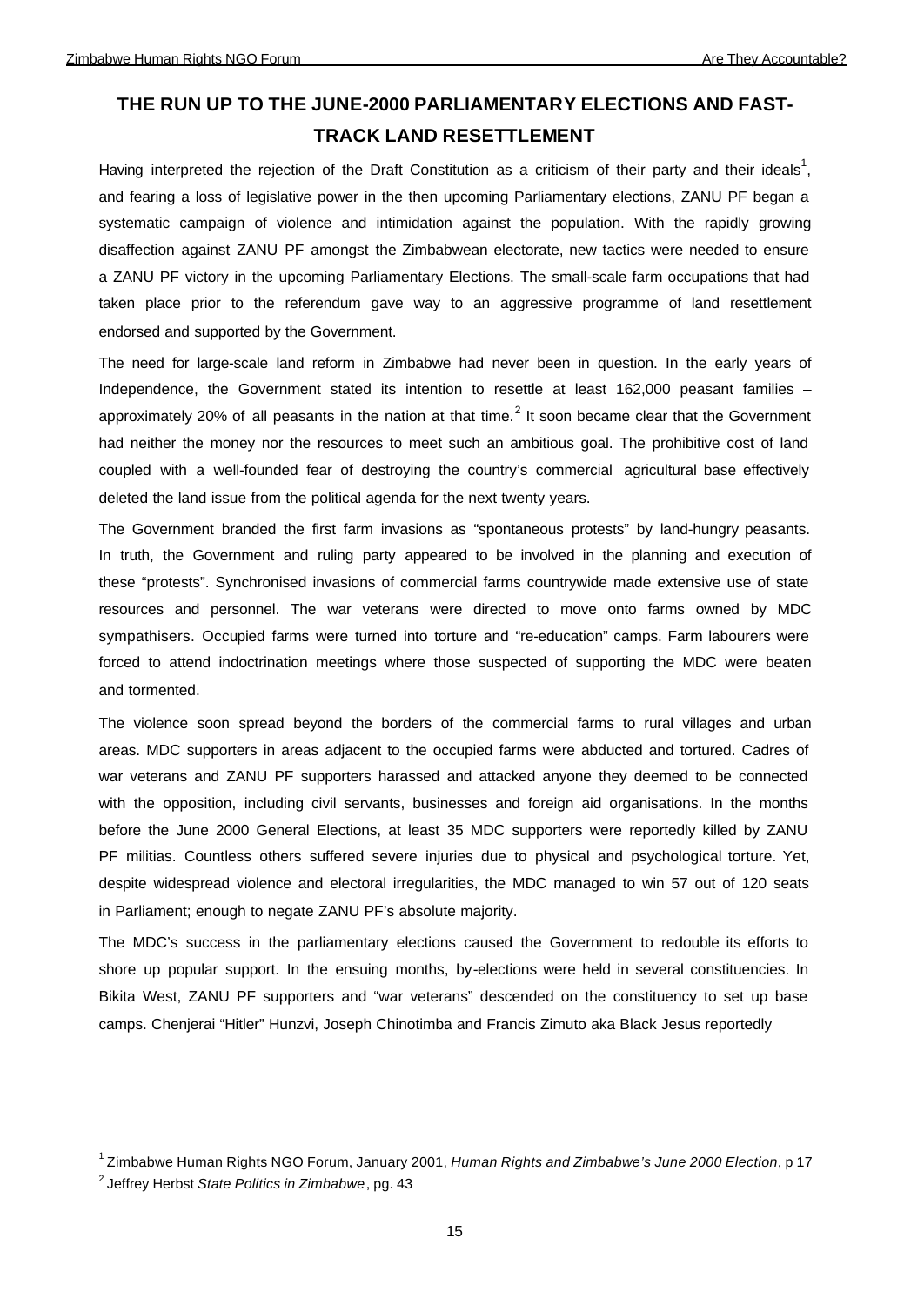# **THE RUN UP TO THE JUNE-2000 PARLIAMENTARY ELECTIONS AND FAST-TRACK LAND RESETTLEMENT**

Having interpreted the rejection of the Draft Constitution as a criticism of their party and their ideals<sup>1</sup>, and fearing a loss of legislative power in the then upcoming Parliamentary elections, ZANU PF began a systematic campaign of violence and intimidation against the population. With the rapidly growing disaffection against ZANU PF amongst the Zimbabwean electorate, new tactics were needed to ensure a ZANU PF victory in the upcoming Parliamentary Elections. The small-scale farm occupations that had taken place prior to the referendum gave way to an aggressive programme of land resettlement endorsed and supported by the Government.

The need for large-scale land reform in Zimbabwe had never been in question. In the early years of Independence, the Government stated its intention to resettle at least 162,000 peasant families – approximately 20% of all peasants in the nation at that time.<sup>2</sup> It soon became clear that the Government had neither the money nor the resources to meet such an ambitious goal. The prohibitive cost of land coupled with a well-founded fear of destroying the country's commercial agricultural base effectively deleted the land issue from the political agenda for the next twenty years.

The Government branded the first farm invasions as "spontaneous protests" by land-hungry peasants. In truth, the Government and ruling party appeared to be involved in the planning and execution of these "protests". Synchronised invasions of commercial farms countrywide made extensive use of state resources and personnel. The war veterans were directed to move onto farms owned by MDC sympathisers. Occupied farms were turned into torture and "re-education" camps. Farm labourers were forced to attend indoctrination meetings where those suspected of supporting the MDC were beaten and tormented.

The violence soon spread beyond the borders of the commercial farms to rural villages and urban areas. MDC supporters in areas adjacent to the occupied farms were abducted and tortured. Cadres of war veterans and ZANU PF supporters harassed and attacked anyone they deemed to be connected with the opposition, including civil servants, businesses and foreign aid organisations. In the months before the June 2000 General Elections, at least 35 MDC supporters were reportedly killed by ZANU PF militias. Countless others suffered severe injuries due to physical and psychological torture. Yet, despite widespread violence and electoral irregularities, the MDC managed to win 57 out of 120 seats in Parliament; enough to negate ZANU PF's absolute majority.

The MDC's success in the parliamentary elections caused the Government to redouble its efforts to shore up popular support. In the ensuing months, by-elections were held in several constituencies. In Bikita West, ZANU PF supporters and "war veterans" descended on the constituency to set up base camps. Chenjerai "Hitler" Hunzvi, Joseph Chinotimba and Francis Zimuto aka Black Jesus reportedly

<sup>1</sup> Zimbabwe Human Rights NGO Forum, January 2001, *Human Rights and Zimbabwe's June 2000 Election*, p 17

<sup>2</sup> Jeffrey Herbst *State Politics in Zimbabwe*, pg. 43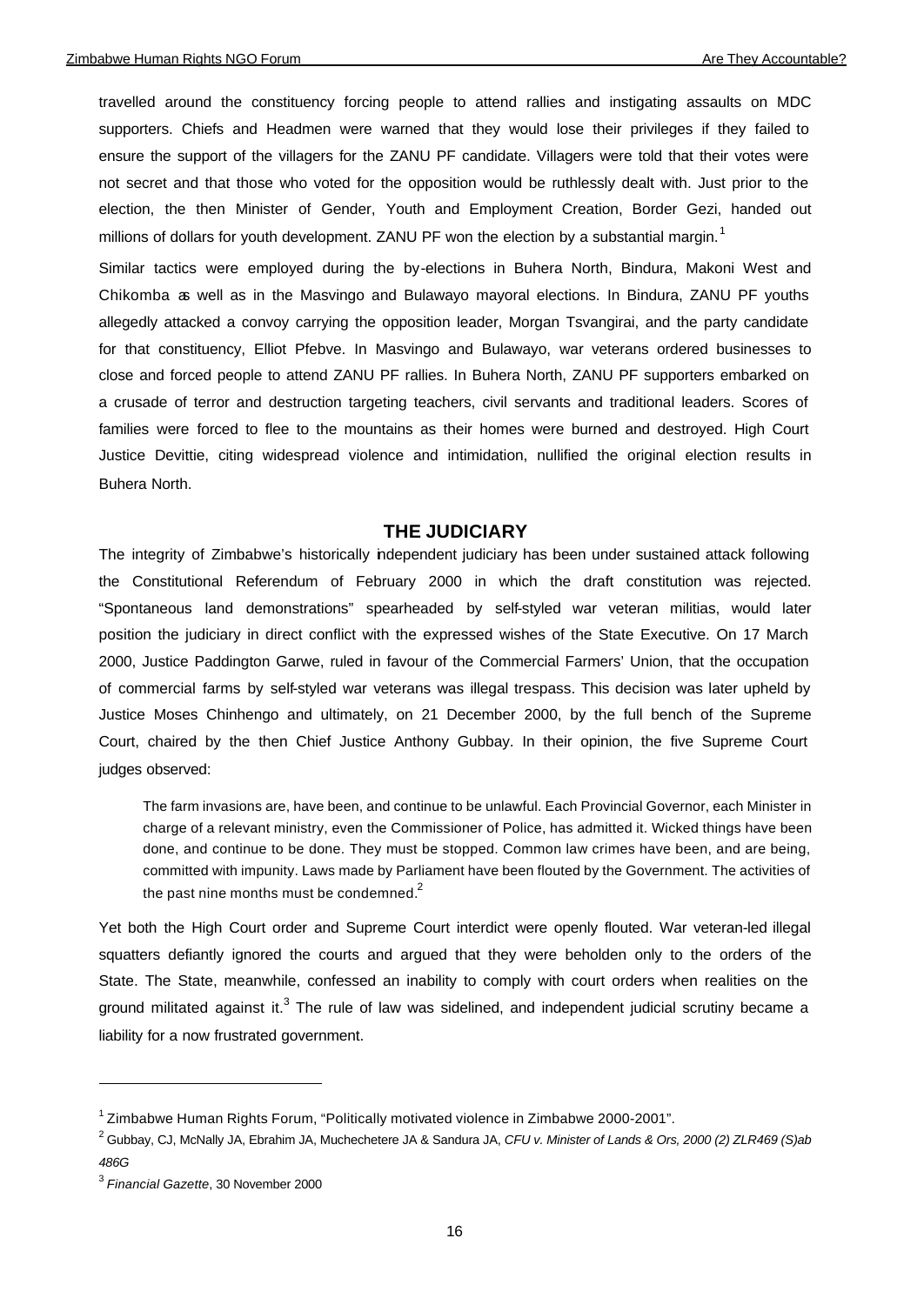travelled around the constituency forcing people to attend rallies and instigating assaults on MDC supporters. Chiefs and Headmen were warned that they would lose their privileges if they failed to ensure the support of the villagers for the ZANU PF candidate. Villagers were told that their votes were not secret and that those who voted for the opposition would be ruthlessly dealt with. Just prior to the election, the then Minister of Gender, Youth and Employment Creation, Border Gezi, handed out millions of dollars for youth development. ZANU PF won the election by a substantial margin.<sup>1</sup>

Similar tactics were employed during the by-elections in Buhera North, Bindura, Makoni West and Chikomba as well as in the Masvingo and Bulawayo mayoral elections. In Bindura, ZANU PF youths allegedly attacked a convoy carrying the opposition leader, Morgan Tsvangirai, and the party candidate for that constituency, Elliot Pfebve. In Masvingo and Bulawayo, war veterans ordered businesses to close and forced people to attend ZANU PF rallies. In Buhera North, ZANU PF supporters embarked on a crusade of terror and destruction targeting teachers, civil servants and traditional leaders. Scores of families were forced to flee to the mountains as their homes were burned and destroyed. High Court Justice Devittie, citing widespread violence and intimidation, nullified the original election results in Buhera North.

#### **THE JUDICIARY**

The integrity of Zimbabwe's historically independent judiciary has been under sustained attack following the Constitutional Referendum of February 2000 in which the draft constitution was rejected. "Spontaneous land demonstrations" spearheaded by self-styled war veteran militias, would later position the judiciary in direct conflict with the expressed wishes of the State Executive. On 17 March 2000, Justice Paddington Garwe, ruled in favour of the Commercial Farmers' Union, that the occupation of commercial farms by self-styled war veterans was illegal trespass. This decision was later upheld by Justice Moses Chinhengo and ultimately, on 21 December 2000, by the full bench of the Supreme Court, chaired by the then Chief Justice Anthony Gubbay. In their opinion, the five Supreme Court judges observed:

The farm invasions are, have been, and continue to be unlawful. Each Provincial Governor, each Minister in charge of a relevant ministry, even the Commissioner of Police, has admitted it. Wicked things have been done, and continue to be done. They must be stopped. Common law crimes have been, and are being, committed with impunity. Laws made by Parliament have been flouted by the Government. The activities of the past nine months must be condemned. $2^2$ 

Yet both the High Court order and Supreme Court interdict were openly flouted. War veteran-led illegal squatters defiantly ignored the courts and argued that they were beholden only to the orders of the State. The State, meanwhile, confessed an inability to comply with court orders when realities on the ground militated against it.<sup>3</sup> The rule of law was sidelined, and independent judicial scrutiny became a liability for a now frustrated government.

<sup>&</sup>lt;sup>1</sup> Zimbabwe Human Rights Forum, "Politically motivated violence in Zimbabwe 2000-2001".

<sup>2</sup> Gubbay, CJ, McNally JA, Ebrahim JA, Muchechetere JA & Sandura JA, *CFU v. Minister of Lands & Ors, 2000 (2) ZLR469 (S)ab 486G*

<sup>3</sup> *Financial Gazette*, 30 November 2000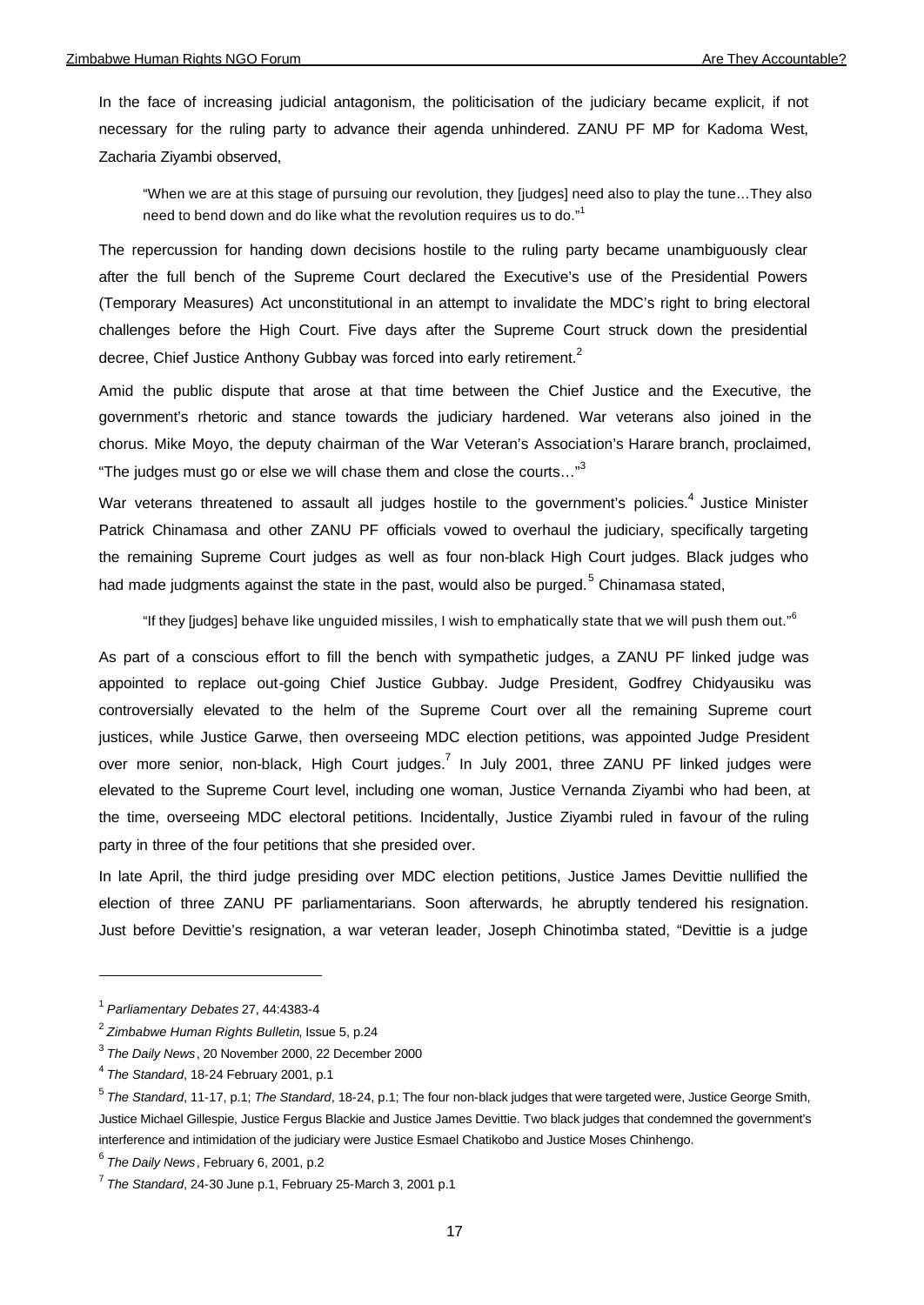In the face of increasing judicial antagonism, the politicisation of the judiciary became explicit, if not necessary for the ruling party to advance their agenda unhindered. ZANU PF MP for Kadoma West, Zacharia Ziyambi observed,

"When we are at this stage of pursuing our revolution, they [judges] need also to play the tune…They also need to bend down and do like what the revolution requires us to do."<sup>1</sup>

The repercussion for handing down decisions hostile to the ruling party became unambiguously clear after the full bench of the Supreme Court declared the Executive's use of the Presidential Powers (Temporary Measures) Act unconstitutional in an attempt to invalidate the MDC's right to bring electoral challenges before the High Court. Five days after the Supreme Court struck down the presidential decree, Chief Justice Anthony Gubbay was forced into early retirement.<sup>2</sup>

Amid the public dispute that arose at that time between the Chief Justice and the Executive, the government's rhetoric and stance towards the judiciary hardened. War veterans also joined in the chorus. Mike Moyo, the deputy chairman of the War Veteran's Association's Harare branch, proclaimed, "The judges must go or else we will chase them and close the courts..."<sup>3</sup>

War veterans threatened to assault all judges hostile to the government's policies.<sup>4</sup> Justice Minister Patrick Chinamasa and other ZANU PF officials vowed to overhaul the judiciary, specifically targeting the remaining Supreme Court judges as well as four non-black High Court judges. Black judges who had made judgments against the state in the past, would also be purged.<sup>5</sup> Chinamasa stated,

"If they [judges] behave like unguided missiles, I wish to emphatically state that we will push them out."<sup>6</sup>

As part of a conscious effort to fill the bench with sympathetic judges, a ZANU PF linked judge was appointed to replace out-going Chief Justice Gubbay. Judge President, Godfrey Chidyausiku was controversially elevated to the helm of the Supreme Court over all the remaining Supreme court justices, while Justice Garwe, then overseeing MDC election petitions, was appointed Judge President over more senior, non-black, High Court judges.<sup>7</sup> In July 2001, three ZANU PF linked judges were elevated to the Supreme Court level, including one woman, Justice Vernanda Ziyambi who had been, at the time, overseeing MDC electoral petitions. Incidentally, Justice Ziyambi ruled in favour of the ruling party in three of the four petitions that she presided over.

In late April, the third judge presiding over MDC election petitions, Justice James Devittie nullified the election of three ZANU PF parliamentarians. Soon afterwards, he abruptly tendered his resignation. Just before Devittie's resignation, a war veteran leader, Joseph Chinotimba stated, "Devittie is a judge

<sup>1</sup> *Parliamentary Debates* 27, 44:4383-4

<sup>2</sup> *Zimbabwe Human Rights Bulletin*, Issue 5, p.24

<sup>3</sup> *The Daily News*, 20 November 2000, 22 December 2000

<sup>4</sup> *The Standard*, 18-24 February 2001, p.1

<sup>5</sup> *The Standard*, 11-17, p.1; *The Standard*, 18-24, p.1; The four non-black judges that were targeted were, Justice George Smith, Justice Michael Gillespie, Justice Fergus Blackie and Justice James Devittie. Two black judges that condemned the government's interference and intimidation of the judiciary were Justice Esmael Chatikobo and Justice Moses Chinhengo.

<sup>6</sup> *The Daily News*, February 6, 2001, p.2

<sup>7</sup> *The Standard*, 24-30 June p.1, February 25-March 3, 2001 p.1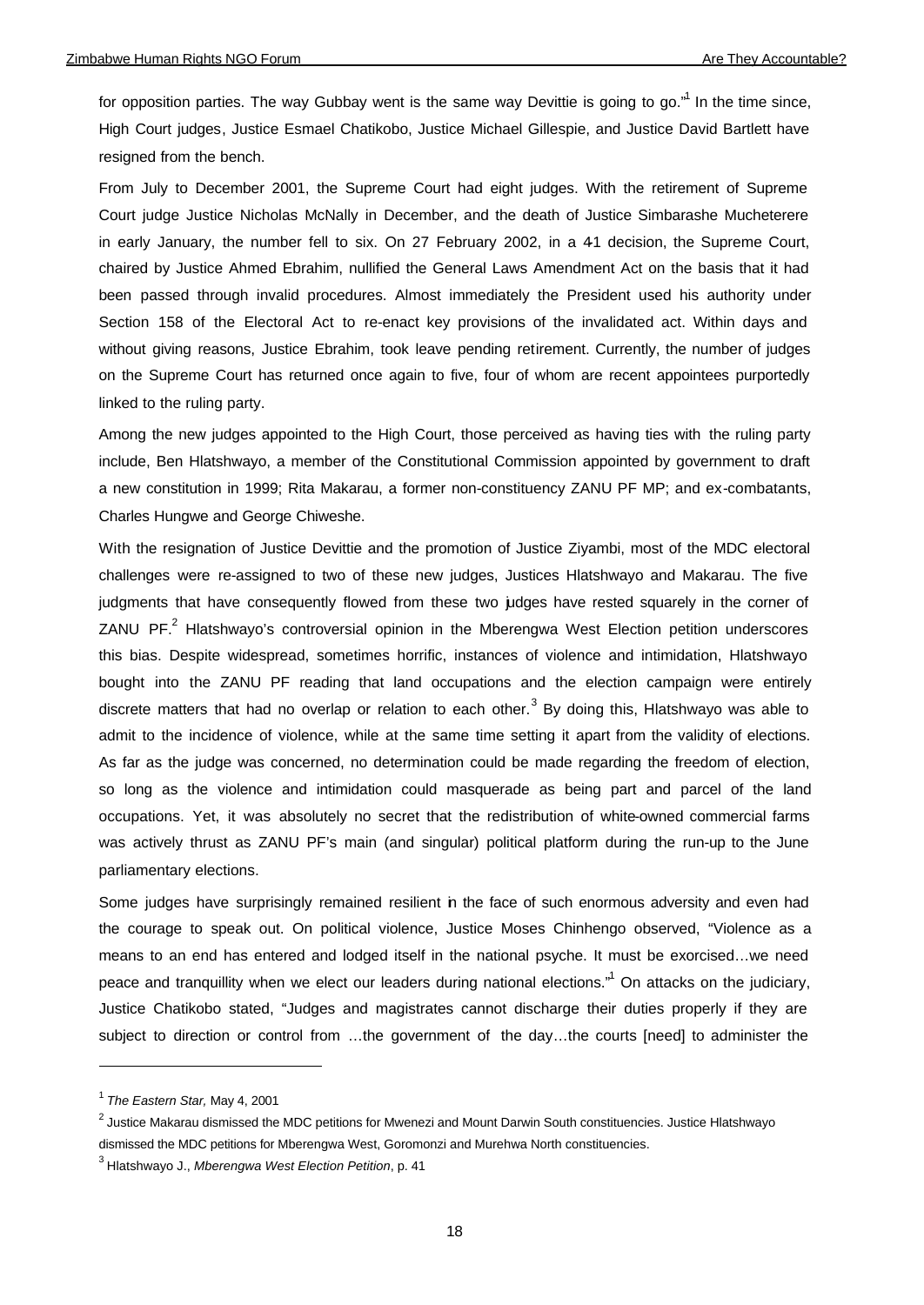for opposition parties. The way Gubbay went is the same way Devittie is going to go."<sup>1</sup> In the time since, High Court judges, Justice Esmael Chatikobo, Justice Michael Gillespie, and Justice David Bartlett have resigned from the bench.

From July to December 2001, the Supreme Court had eight judges. With the retirement of Supreme Court judge Justice Nicholas McNally in December, and the death of Justice Simbarashe Mucheterere in early January, the number fell to six. On 27 February 2002, in a 41 decision, the Supreme Court, chaired by Justice Ahmed Ebrahim, nullified the General Laws Amendment Act on the basis that it had been passed through invalid procedures. Almost immediately the President used his authority under Section 158 of the Electoral Act to re-enact key provisions of the invalidated act. Within days and without giving reasons, Justice Ebrahim, took leave pending retirement. Currently, the number of judges on the Supreme Court has returned once again to five, four of whom are recent appointees purportedly linked to the ruling party.

Among the new judges appointed to the High Court, those perceived as having ties with the ruling party include, Ben Hlatshwayo, a member of the Constitutional Commission appointed by government to draft a new constitution in 1999; Rita Makarau, a former non-constituency ZANU PF MP; and ex-combatants, Charles Hungwe and George Chiweshe.

With the resignation of Justice Devittie and the promotion of Justice Ziyambi, most of the MDC electoral challenges were re-assigned to two of these new judges, Justices Hlatshwayo and Makarau. The five judgments that have consequently flowed from these two judges have rested squarely in the corner of ZANU PF.<sup>2</sup> Hlatshwayo's controversial opinion in the Mberengwa West Election petition underscores this bias. Despite widespread, sometimes horrific, instances of violence and intimidation, Hlatshwayo bought into the ZANU PF reading that land occupations and the election campaign were entirely discrete matters that had no overlap or relation to each other.<sup>3</sup> By doing this, Hlatshwayo was able to admit to the incidence of violence, while at the same time setting it apart from the validity of elections. As far as the judge was concerned, no determination could be made regarding the freedom of election, so long as the violence and intimidation could masquerade as being part and parcel of the land occupations. Yet, it was absolutely no secret that the redistribution of white-owned commercial farms was actively thrust as ZANU PF's main (and singular) political platform during the run-up to the June parliamentary elections.

Some judges have surprisingly remained resilient in the face of such enormous adversity and even had the courage to speak out. On political violence, Justice Moses Chinhengo observed, "Violence as a means to an end has entered and lodged itself in the national psyche. It must be exorcised…we need peace and tranquillity when we elect our leaders during national elections."<sup>1</sup> On attacks on the judiciary, Justice Chatikobo stated, "Judges and magistrates cannot discharge their duties properly if they are subject to direction or control from …the government of the day…the courts [need] to administer the

<sup>1</sup> *The Eastern Star,* May 4, 2001

 $^2$  Justice Makarau dismissed the MDC petitions for Mwenezi and Mount Darwin South constituencies. Justice Hlatshwayo dismissed the MDC petitions for Mberengwa West, Goromonzi and Murehwa North constituencies.

<sup>3</sup> Hlatshwayo J., *Mberengwa West Election Petition*, p. 41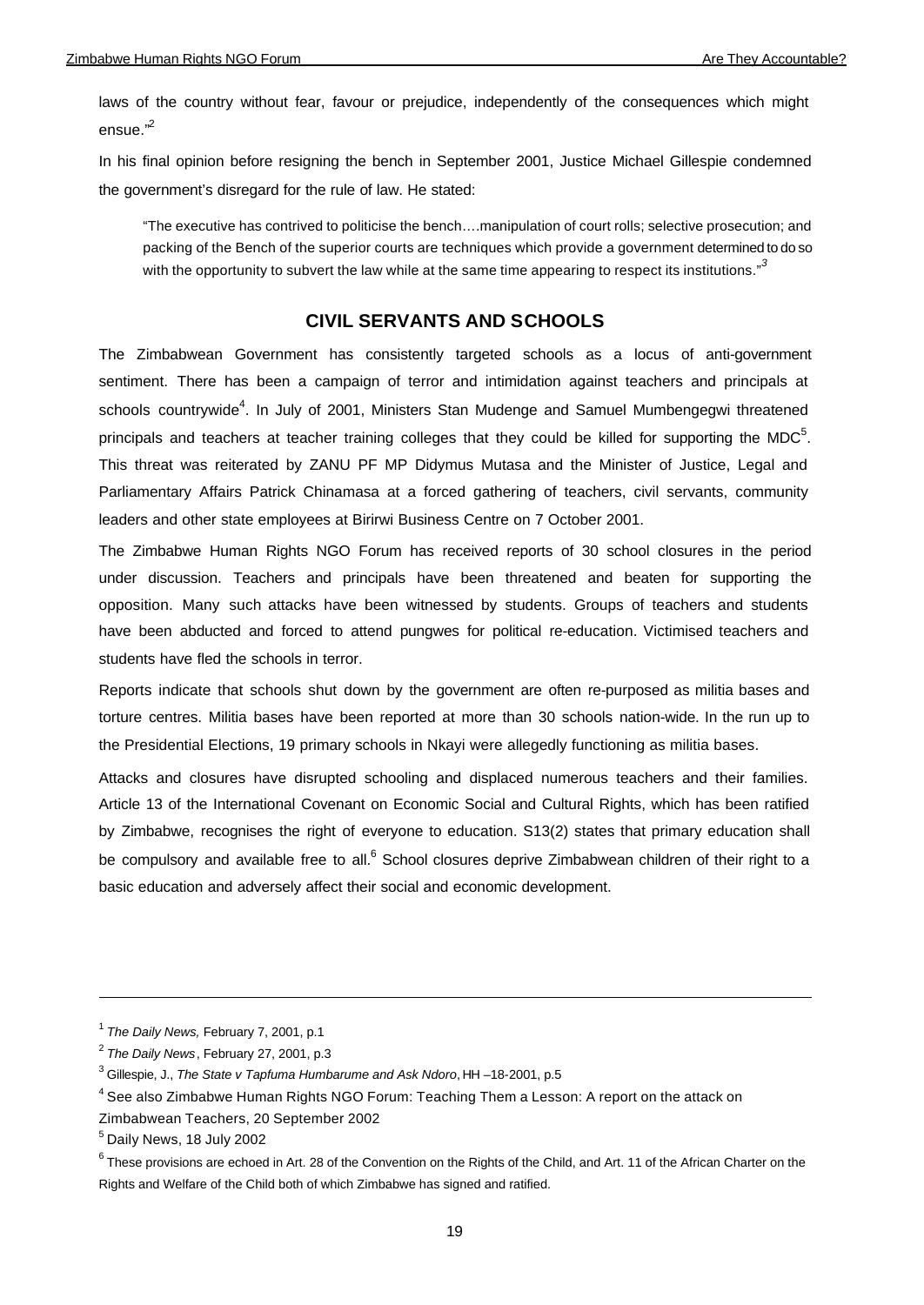laws of the country without fear, favour or prejudice, independently of the consequences which might ensue."<sup>2</sup>

In his final opinion before resigning the bench in September 2001, Justice Michael Gillespie condemned the government's disregard for the rule of law. He stated:

"The executive has contrived to politicise the bench….manipulation of court rolls; selective prosecution; and packing of the Bench of the superior courts are techniques which provide a government determined to do so with the opportunity to subvert the law while at the same time appearing to respect its institutions."<sup>3</sup>

# **CIVIL SERVANTS AND SCHOOLS**

The Zimbabwean Government has consistently targeted schools as a locus of anti-government sentiment. There has been a campaign of terror and intimidation against teachers and principals at schools countrywide<sup>4</sup>. In July of 2001, Ministers Stan Mudenge and Samuel Mumbengegwi threatened principals and teachers at teacher training colleges that they could be killed for supporting the MDC<sup>5</sup>. This threat was reiterated by ZANU PF MP Didymus Mutasa and the Minister of Justice, Legal and Parliamentary Affairs Patrick Chinamasa at a forced gathering of teachers, civil servants, community leaders and other state employees at Birirwi Business Centre on 7 October 2001.

The Zimbabwe Human Rights NGO Forum has received reports of 30 school closures in the period under discussion. Teachers and principals have been threatened and beaten for supporting the opposition. Many such attacks have been witnessed by students. Groups of teachers and students have been abducted and forced to attend pungwes for political re-education. Victimised teachers and students have fled the schools in terror.

Reports indicate that schools shut down by the government are often re-purposed as militia bases and torture centres. Militia bases have been reported at more than 30 schools nation-wide. In the run up to the Presidential Elections, 19 primary schools in Nkayi were allegedly functioning as militia bases.

Attacks and closures have disrupted schooling and displaced numerous teachers and their families. Article 13 of the International Covenant on Economic Social and Cultural Rights, which has been ratified by Zimbabwe, recognises the right of everyone to education. S13(2) states that primary education shall be compulsory and available free to all.<sup>6</sup> School closures deprive Zimbabwean children of their right to a basic education and adversely affect their social and economic development.

<sup>1</sup> *The Daily News,* February 7, 2001, p.1

<sup>2</sup> *The Daily News*, February 27, 2001, p.3

<sup>3</sup> Gillespie, J., *The State v Tapfuma Humbarume and Ask Ndoro*, HH –18-2001, p.5

 $^4$  See also Zimbabwe Human Rights NGO Forum: Teaching Them a Lesson: A report on the attack on

Zimbabwean Teachers, 20 September 2002

<sup>&</sup>lt;sup>5</sup> Daily News, 18 July 2002

 $^6$  These provisions are echoed in Art. 28 of the Convention on the Rights of the Child, and Art. 11 of the African Charter on the Rights and Welfare of the Child both of which Zimbabwe has signed and ratified.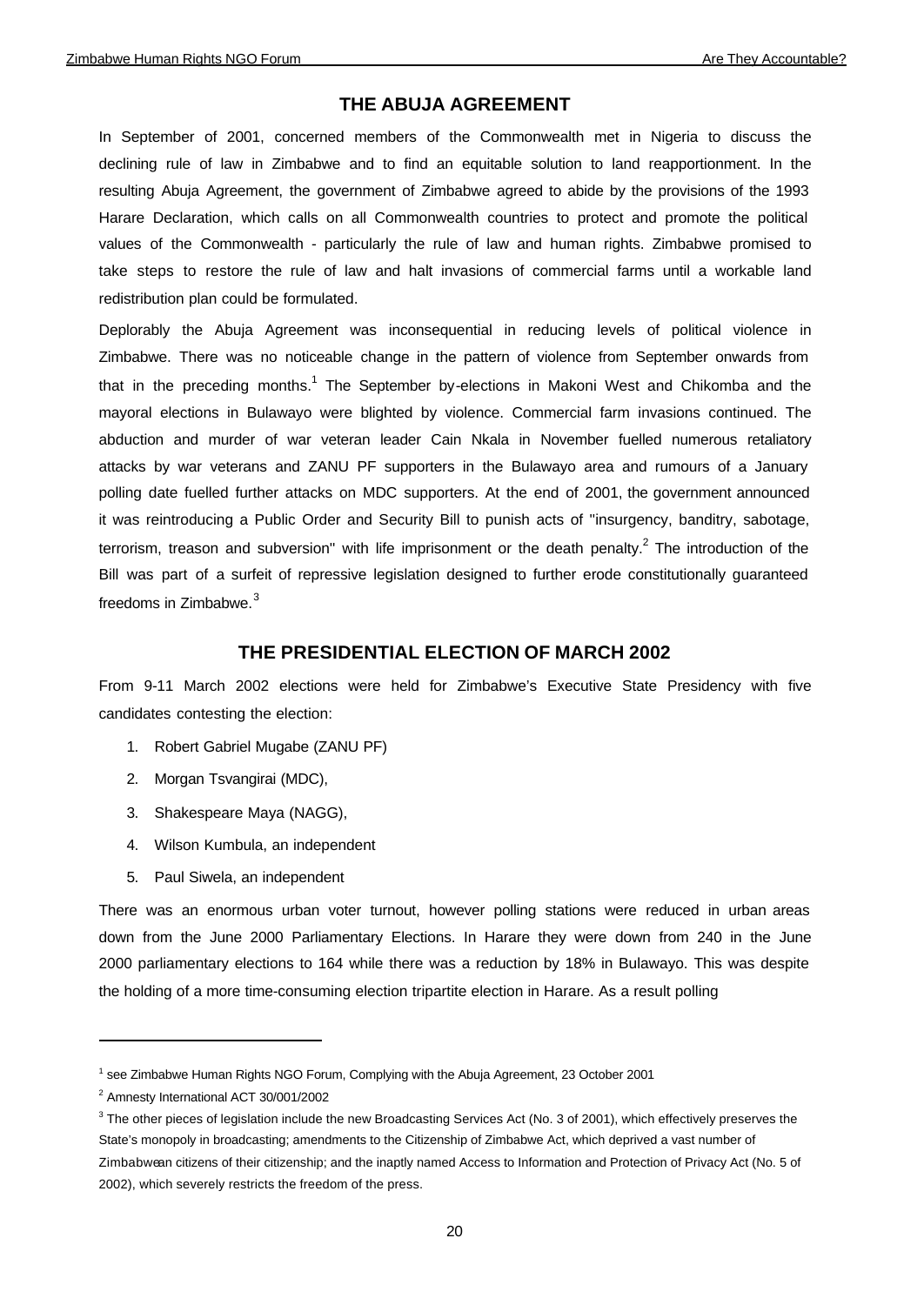# **THE ABUJA AGREEMENT**

In September of 2001, concerned members of the Commonwealth met in Nigeria to discuss the declining rule of law in Zimbabwe and to find an equitable solution to land reapportionment. In the resulting Abuja Agreement, the government of Zimbabwe agreed to abide by the provisions of the 1993 Harare Declaration, which calls on all Commonwealth countries to protect and promote the political values of the Commonwealth - particularly the rule of law and human rights. Zimbabwe promised to take steps to restore the rule of law and halt invasions of commercial farms until a workable land redistribution plan could be formulated.

Deplorably the Abuja Agreement was inconsequential in reducing levels of political violence in Zimbabwe. There was no noticeable change in the pattern of violence from September onwards from that in the preceding months.<sup>1</sup> The September by-elections in Makoni West and Chikomba and the mayoral elections in Bulawayo were blighted by violence. Commercial farm invasions continued. The abduction and murder of war veteran leader Cain Nkala in November fuelled numerous retaliatory attacks by war veterans and ZANU PF supporters in the Bulawayo area and rumours of a January polling date fuelled further attacks on MDC supporters. At the end of 2001, the government announced it was reintroducing a Public Order and Security Bill to punish acts of ''insurgency, banditry, sabotage, terrorism, treason and subversion" with life imprisonment or the death penalty.<sup>2</sup> The introduction of the Bill was part of a surfeit of repressive legislation designed to further erode constitutionally guaranteed freedoms in Zimbabwe.<sup>3</sup>

# **THE PRESIDENTIAL ELECTION OF MARCH 2002**

From 9-11 March 2002 elections were held for Zimbabwe's Executive State Presidency with five candidates contesting the election:

- 1. Robert Gabriel Mugabe (ZANU PF)
- 2. Morgan Tsvangirai (MDC),
- 3. Shakespeare Maya (NAGG),
- 4. Wilson Kumbula, an independent
- 5. Paul Siwela, an independent

There was an enormous urban voter turnout, however polling stations were reduced in urban areas down from the June 2000 Parliamentary Elections. In Harare they were down from 240 in the June 2000 parliamentary elections to 164 while there was a reduction by 18% in Bulawayo. This was despite the holding of a more time-consuming election tripartite election in Harare. As a result polling

<sup>&</sup>lt;sup>1</sup> see Zimbabwe Human Rights NGO Forum, Complying with the Abuja Agreement, 23 October 2001

<sup>2</sup> Amnesty International ACT 30/001/2002

 $3$  The other pieces of legislation include the new Broadcasting Services Act (No. 3 of 2001), which effectively preserves the State's monopoly in broadcasting; amendments to the Citizenship of Zimbabwe Act, which deprived a vast number of Zimbabwean citizens of their citizenship; and the inaptly named Access to Information and Protection of Privacy Act (No. 5 of 2002), which severely restricts the freedom of the press.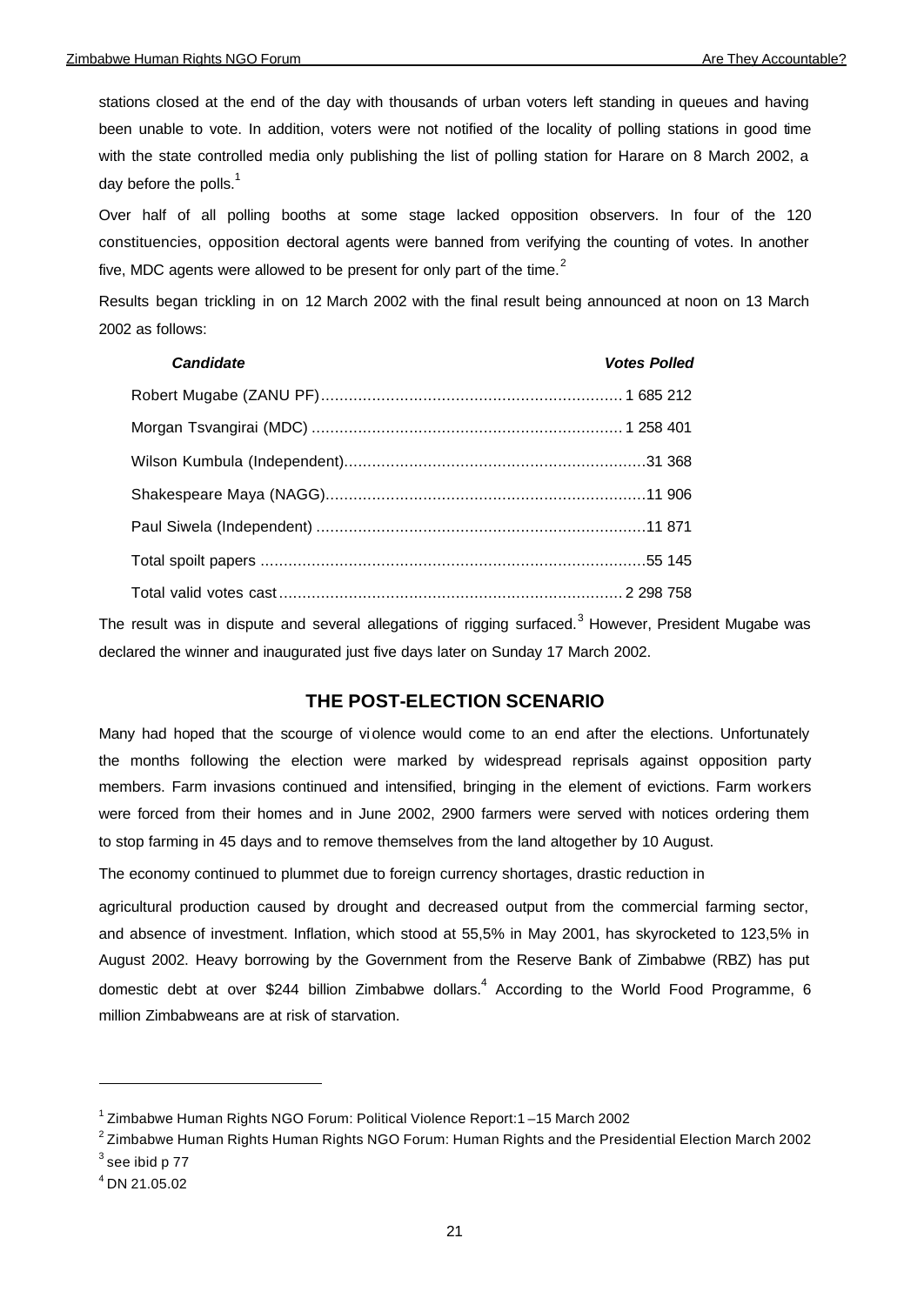stations closed at the end of the day with thousands of urban voters left standing in queues and having been unable to vote. In addition, voters were not notified of the locality of polling stations in good time with the state controlled media only publishing the list of polling station for Harare on 8 March 2002, a day before the polls. $<sup>1</sup>$ </sup>

Over half of all polling booths at some stage lacked opposition observers. In four of the 120 constituencies, opposition electoral agents were banned from verifying the counting of votes. In another five, MDC agents were allowed to be present for only part of the time. $<sup>2</sup>$ </sup>

Results began trickling in on 12 March 2002 with the final result being announced at noon on 13 March 2002 as follows:

| <b>Candidate</b> | <b>Votes Polled</b> |
|------------------|---------------------|
|                  |                     |
|                  |                     |
|                  |                     |
|                  |                     |
|                  |                     |
|                  |                     |
|                  |                     |

The result was in dispute and several allegations of rigging surfaced.<sup>3</sup> However, President Mugabe was declared the winner and inaugurated just five days later on Sunday 17 March 2002.

## **THE POST-ELECTION SCENARIO**

Many had hoped that the scourge of violence would come to an end after the elections. Unfortunately the months following the election were marked by widespread reprisals against opposition party members. Farm invasions continued and intensified, bringing in the element of evictions. Farm workers were forced from their homes and in June 2002, 2900 farmers were served with notices ordering them to stop farming in 45 days and to remove themselves from the land altogether by 10 August.

The economy continued to plummet due to foreign currency shortages, drastic reduction in

agricultural production caused by drought and decreased output from the commercial farming sector, and absence of investment. Inflation, which stood at 55,5% in May 2001, has skyrocketed to 123,5% in August 2002. Heavy borrowing by the Government from the Reserve Bank of Zimbabwe (RBZ) has put domestic debt at over \$244 billion Zimbabwe dollars.<sup>4</sup> According to the World Food Programme, 6 million Zimbabweans are at risk of starvation.

<sup>&</sup>lt;sup>1</sup> Zimbabwe Human Rights NGO Forum: Political Violence Report:1-15 March 2002

 $^{\rm 2}$ Zimbabwe Human Rights Human Rights NGO Forum: Human Rights and the Presidential Election March 2002

 $3$  see ibid p 77

<sup>4</sup> DN 21.05.02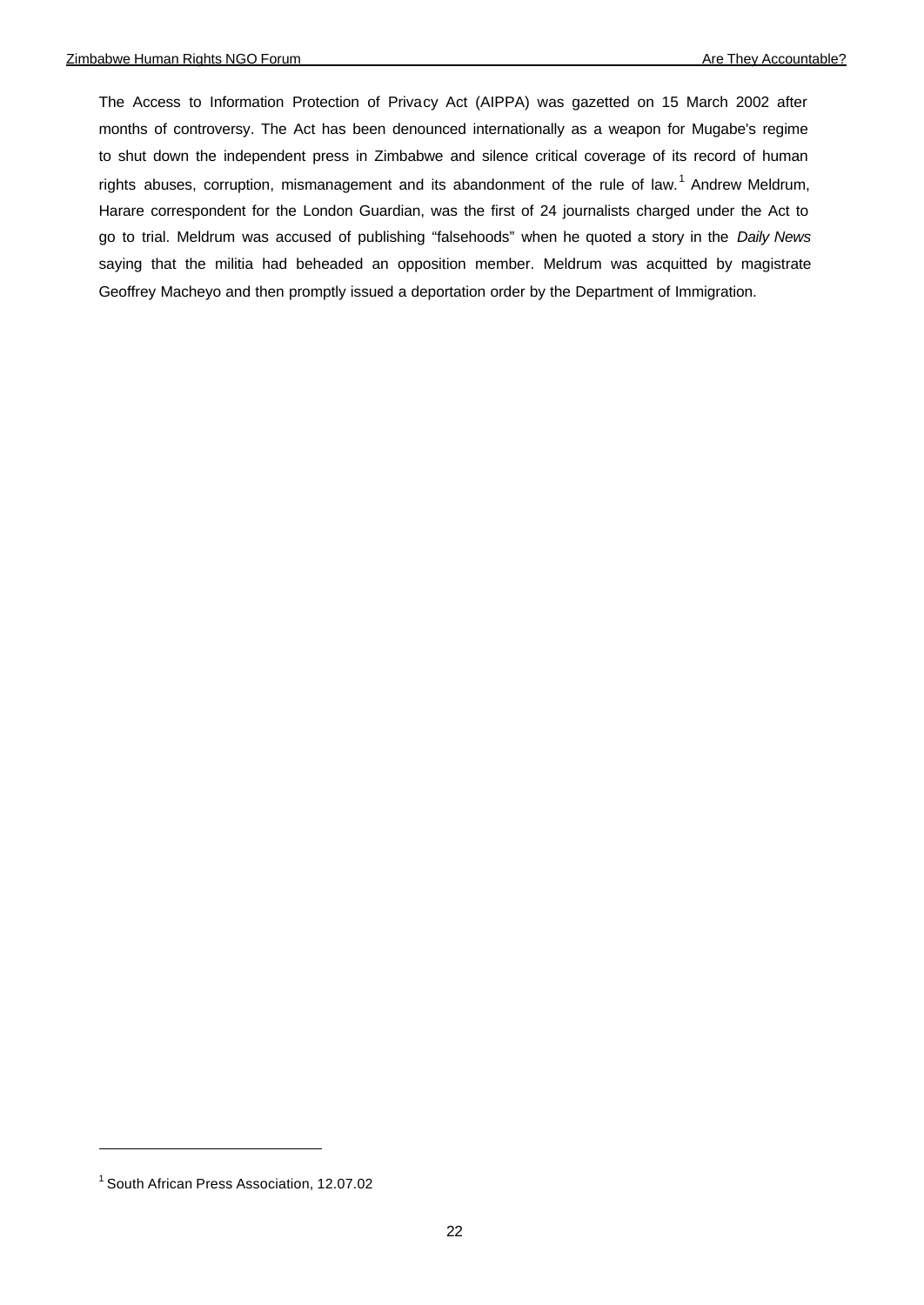The Access to Information Protection of Privacy Act (AIPPA) was gazetted on 15 March 2002 after months of controversy. The Act has been denounced internationally as a weapon for Mugabe's regime to shut down the independent press in Zimbabwe and silence critical coverage of its record of human rights abuses, corruption, mismanagement and its abandonment of the rule of law.<sup>1</sup> Andrew Meldrum, Harare correspondent for the London Guardian, was the first of 24 journalists charged under the Act to go to trial. Meldrum was accused of publishing "falsehoods" when he quoted a story in the *Daily News*  saying that the militia had beheaded an opposition member. Meldrum was acquitted by magistrate Geoffrey Macheyo and then promptly issued a deportation order by the Department of Immigration.

<sup>&</sup>lt;sup>1</sup> South African Press Association, 12.07.02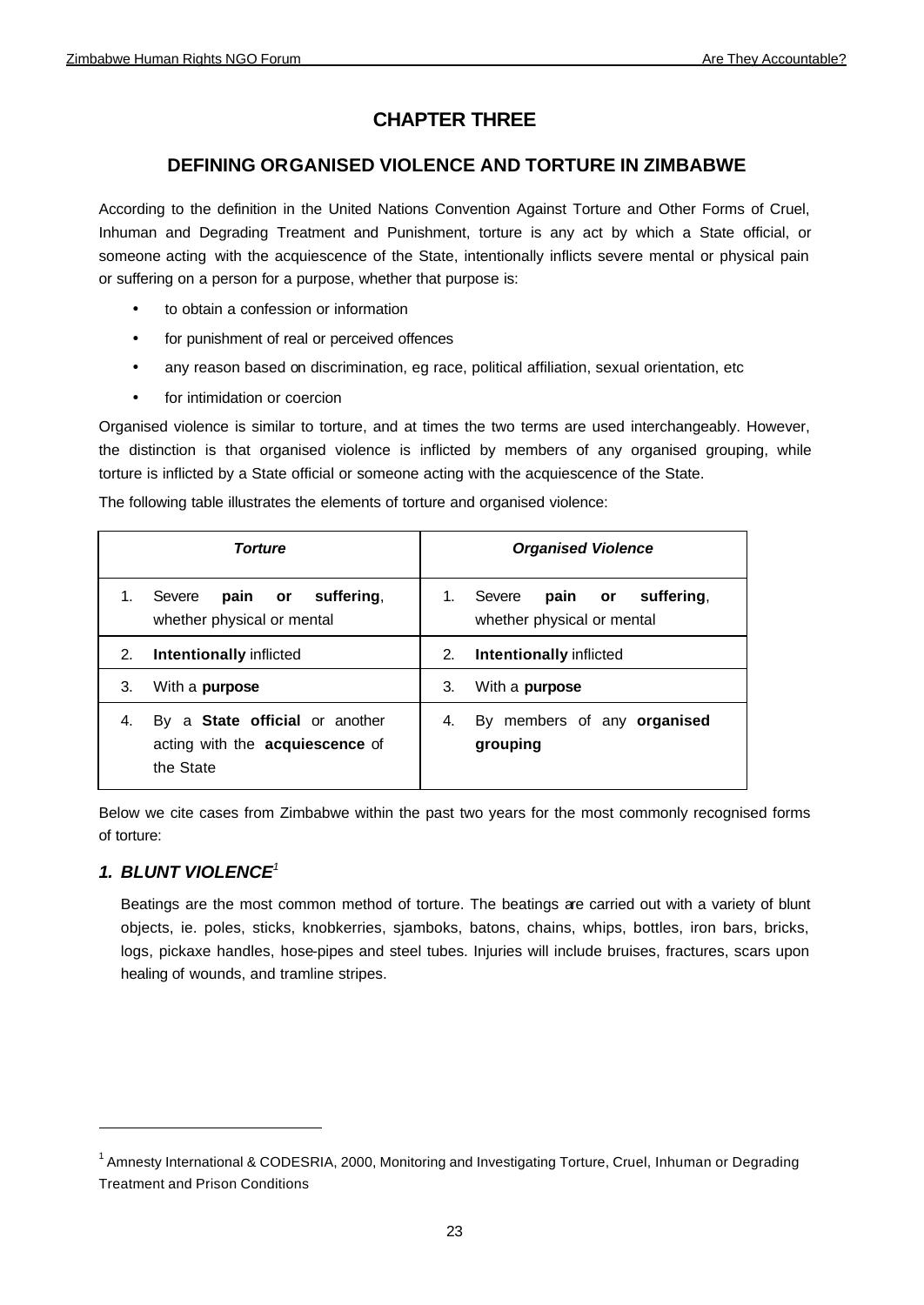# **CHAPTER THREE**

# **DEFINING ORGANISED VIOLENCE AND TORTURE IN ZIMBABWE**

According to the definition in the United Nations Convention Against Torture and Other Forms of Cruel, Inhuman and Degrading Treatment and Punishment, torture is any act by which a State official, or someone acting with the acquiescence of the State, intentionally inflicts severe mental or physical pain or suffering on a person for a purpose, whether that purpose is:

- to obtain a confession or information
- for punishment of real or perceived offences
- any reason based on discrimination, eg race, political affiliation, sexual orientation, etc
- for intimidation or coercion

Organised violence is similar to torture, and at times the two terms are used interchangeably. However, the distinction is that organised violence is inflicted by members of any organised grouping, while torture is inflicted by a State official or someone acting with the acquiescence of the State.

|  |  | The following table illustrates the elements of torture and organised violence: |
|--|--|---------------------------------------------------------------------------------|
|  |  |                                                                                 |
|  |  |                                                                                 |
|  |  |                                                                                 |

|    | <b>Torture</b>                                                                        | <b>Organised Violence</b>                                           |
|----|---------------------------------------------------------------------------------------|---------------------------------------------------------------------|
|    | suffering.<br>pain or<br>Severe<br>whether physical or mental                         | suffering,<br>Severe<br>pain or<br>1.<br>whether physical or mental |
| 2. | <b>Intentionally inflicted</b>                                                        | Intentionally inflicted<br>2.                                       |
| 3. | With a <b>purpose</b>                                                                 | 3.<br>With a <b>purpose</b>                                         |
| 4. | By a <b>State official</b> or another<br>acting with the acquiescence of<br>the State | By members of any organised<br>4.<br>grouping                       |

Below we cite cases from Zimbabwe within the past two years for the most commonly recognised forms of torture:

# *1. BLUNT VIOLENCE<sup>1</sup>*

Beatings are the most common method of torture. The beatings are carried out with a variety of blunt objects, ie. poles, sticks, knobkerries, sjamboks, batons, chains, whips, bottles, iron bars, bricks, logs, pickaxe handles, hose-pipes and steel tubes. Injuries will include bruises, fractures, scars upon healing of wounds, and tramline stripes.

<sup>&</sup>lt;sup>1</sup> Amnesty International & CODESRIA, 2000, Monitoring and Investigating Torture, Cruel, Inhuman or Degrading Treatment and Prison Conditions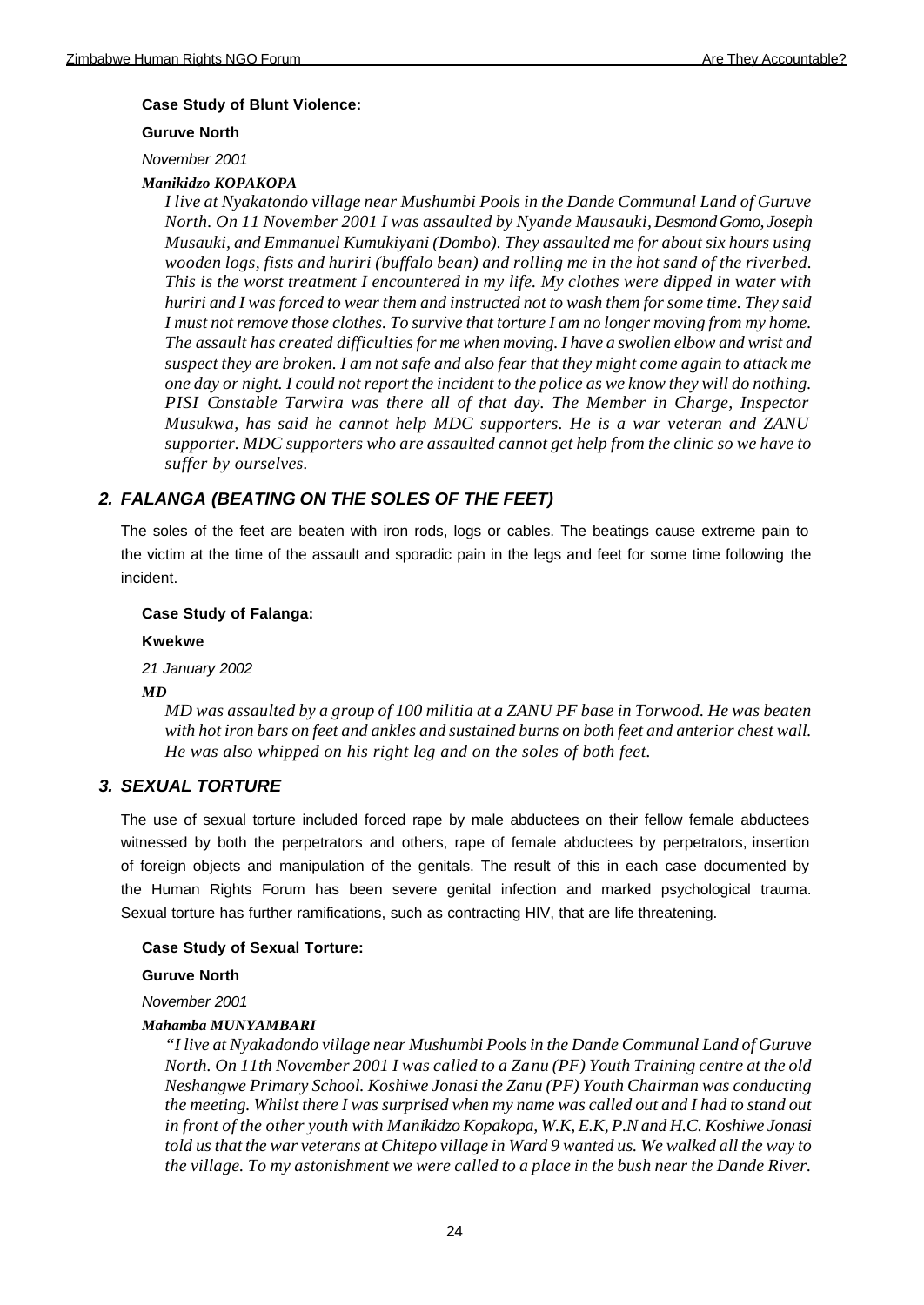## **Case Study of Blunt Violence:**

#### **Guruve North**

#### *November 2001*

## *Manikidzo KOPAKOPA*

*I live at Nyakatondo village near Mushumbi Pools in the Dande Communal Land of Guruve North. On 11 November 2001 I was assaulted by Nyande Mausauki, Desmond Gomo, Joseph Musauki, and Emmanuel Kumukiyani (Dombo). They assaulted me for about six hours using wooden logs, fists and huriri (buffalo bean) and rolling me in the hot sand of the riverbed. This is the worst treatment I encountered in my life. My clothes were dipped in water with huriri and I was forced to wear them and instructed not to wash them for some time. They said I must not remove those clothes. To survive that torture I am no longer moving from my home. The assault has created difficulties for me when moving. I have a swollen elbow and wrist and suspect they are broken. I am not safe and also fear that they might come again to attack me one day or night. I could not report the incident to the police as we know they will do nothing. PISI Constable Tarwira was there all of that day. The Member in Charge, Inspector Musukwa, has said he cannot help MDC supporters. He is a war veteran and ZANU supporter. MDC supporters who are assaulted cannot get help from the clinic so we have to suffer by ourselves.*

# *2. FALANGA (BEATING ON THE SOLES OF THE FEET)*

The soles of the feet are beaten with iron rods, logs or cables. The beatings cause extreme pain to the victim at the time of the assault and sporadic pain in the legs and feet for some time following the incident.

#### **Case Study of Falanga:**

#### **Kwekwe**

*21 January 2002*

#### *MD*

*MD was assaulted by a group of 100 militia at a ZANU PF base in Torwood. He was beaten with hot iron bars on feet and ankles and sustained burns on both feet and anterior chest wall. He was also whipped on his right leg and on the soles of both feet.*

# *3. SEXUAL TORTURE*

The use of sexual torture included forced rape by male abductees on their fellow female abductees witnessed by both the perpetrators and others, rape of female abductees by perpetrators, insertion of foreign objects and manipulation of the genitals. The result of this in each case documented by the Human Rights Forum has been severe genital infection and marked psychological trauma. Sexual torture has further ramifications, such as contracting HIV, that are life threatening.

#### **Case Study of Sexual Torture:**

#### **Guruve North**

*November 2001*

#### *Mahamba MUNYAMBARI*

*"I live at Nyakadondo village near Mushumbi Pools in the Dande Communal Land of Guruve North. On 11th November 2001 I was called to a Zanu (PF) Youth Training centre at the old Neshangwe Primary School. Koshiwe Jonasi the Zanu (PF) Youth Chairman was conducting the meeting. Whilst there I was surprised when my name was called out and I had to stand out in front of the other youth with Manikidzo Kopakopa, W.K, E.K, P.N and H.C. Koshiwe Jonasi told us that the war veterans at Chitepo village in Ward 9 wanted us. We walked all the way to the village. To my astonishment we were called to a place in the bush near the Dande River.*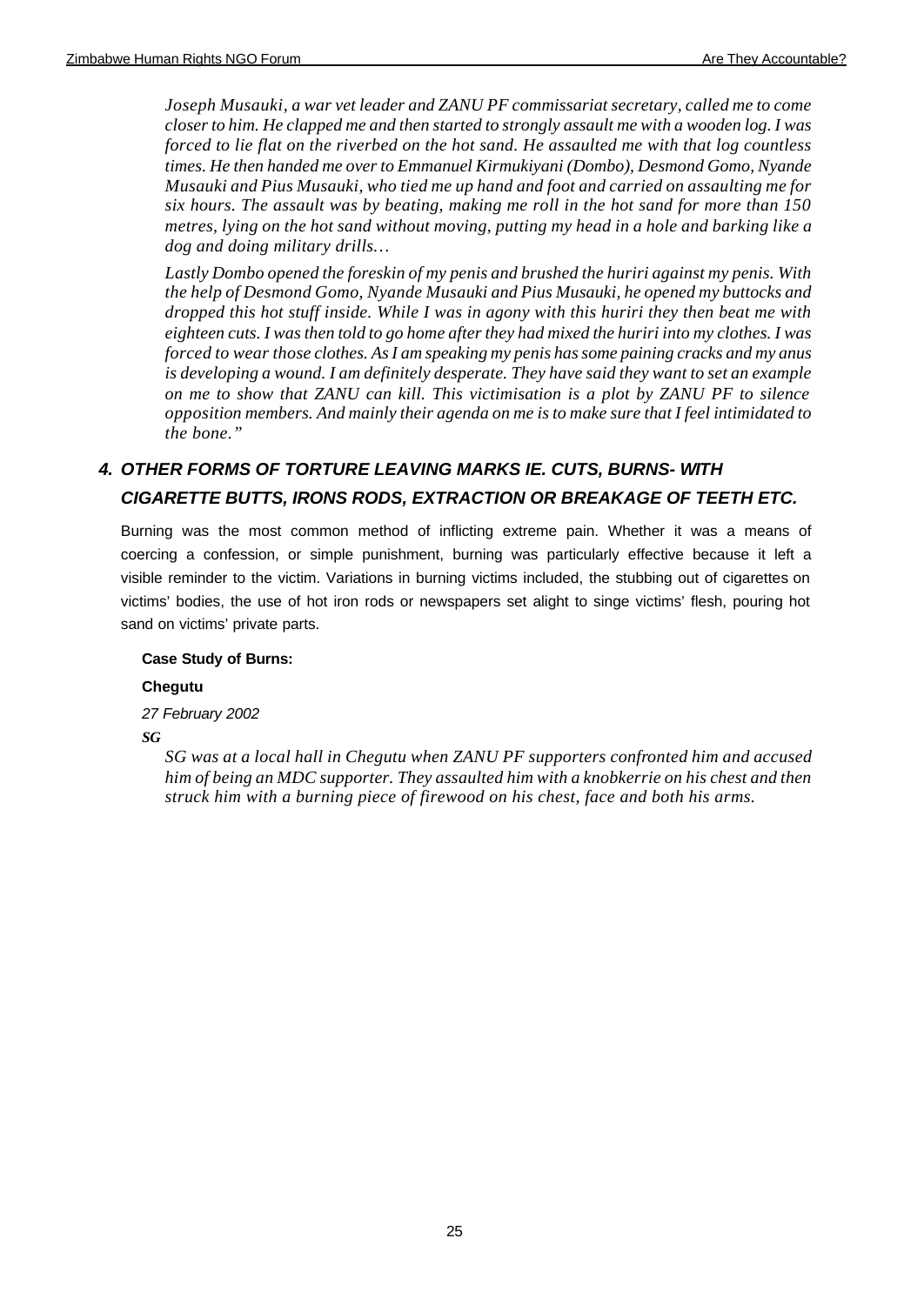*Joseph Musauki, a war vet leader and ZANU PF commissariat secretary, called me to come closer to him. He clapped me and then started to strongly assault me with a wooden log. I was forced to lie flat on the riverbed on the hot sand. He assaulted me with that log countless times. He then handed me over to Emmanuel Kirmukiyani (Dombo), Desmond Gomo, Nyande Musauki and Pius Musauki, who tied me up hand and foot and carried on assaulting me for six hours. The assault was by beating, making me roll in the hot sand for more than 150 metres, lying on the hot sand without moving, putting my head in a hole and barking like a dog and doing military drills…*

*Lastly Dombo opened the foreskin of my penis and brushed the huriri against my penis. With the help of Desmond Gomo, Nyande Musauki and Pius Musauki, he opened my buttocks and dropped this hot stuff inside. While I was in agony with this huriri they then beat me with eighteen cuts. I was then told to go home after they had mixed the huriri into my clothes. I was forced to wear those clothes. As I am speaking my penis has some paining cracks and my anus is developing a wound. I am definitely desperate. They have said they want to set an example on me to show that ZANU can kill. This victimisation is a plot by ZANU PF to silence opposition members. And mainly their agenda on me is to make sure that I feel intimidated to the bone."*

# *4. OTHER FORMS OF TORTURE LEAVING MARKS IE. CUTS, BURNS- WITH CIGARETTE BUTTS, IRONS RODS, EXTRACTION OR BREAKAGE OF TEETH ETC.*

Burning was the most common method of inflicting extreme pain. Whether it was a means of coercing a confession, or simple punishment, burning was particularly effective because it left a visible reminder to the victim. Variations in burning victims included, the stubbing out of cigarettes on victims' bodies, the use of hot iron rods or newspapers set alight to singe victims' flesh, pouring hot sand on victims' private parts.

# **Case Study of Burns:**

# **Chegutu**

*27 February 2002 SG*

> *SG was at a local hall in Chegutu when ZANU PF supporters confronted him and accused him of being an MDC supporter. They assaulted him with a knobkerrie on his chest and then struck him with a burning piece of firewood on his chest, face and both his arms.*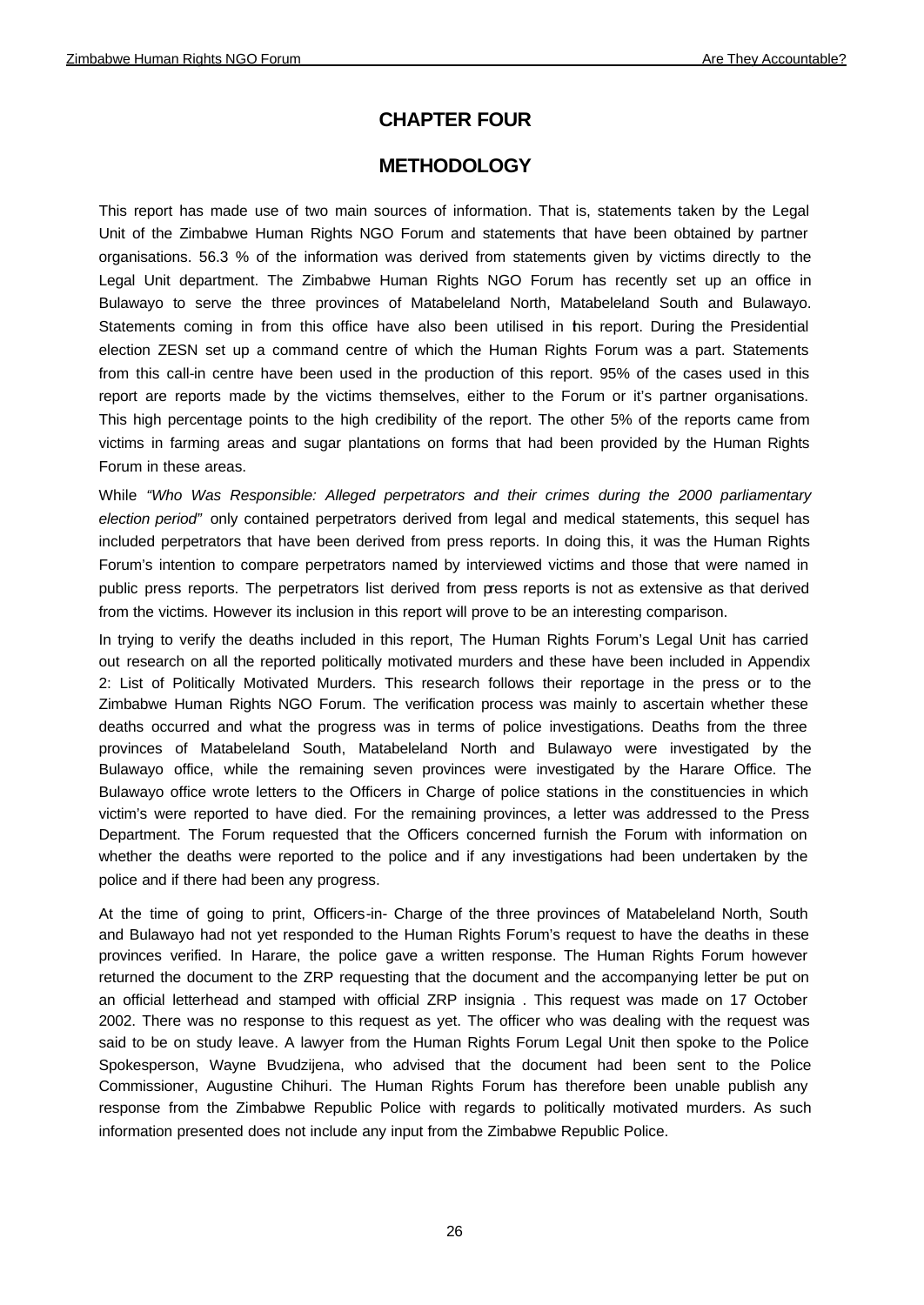# **CHAPTER FOUR**

# **METHODOLOGY**

This report has made use of two main sources of information. That is, statements taken by the Legal Unit of the Zimbabwe Human Rights NGO Forum and statements that have been obtained by partner organisations. 56.3 % of the information was derived from statements given by victims directly to the Legal Unit department. The Zimbabwe Human Rights NGO Forum has recently set up an office in Bulawayo to serve the three provinces of Matabeleland North, Matabeleland South and Bulawayo. Statements coming in from this office have also been utilised in this report. During the Presidential election ZESN set up a command centre of which the Human Rights Forum was a part. Statements from this call-in centre have been used in the production of this report. 95% of the cases used in this report are reports made by the victims themselves, either to the Forum or it's partner organisations. This high percentage points to the high credibility of the report. The other 5% of the reports came from victims in farming areas and sugar plantations on forms that had been provided by the Human Rights Forum in these areas.

While *"Who Was Responsible: Alleged perpetrators and their crimes during the 2000 parliamentary election period"* only contained perpetrators derived from legal and medical statements, this sequel has included perpetrators that have been derived from press reports. In doing this, it was the Human Rights Forum's intention to compare perpetrators named by interviewed victims and those that were named in public press reports. The perpetrators list derived from press reports is not as extensive as that derived from the victims. However its inclusion in this report will prove to be an interesting comparison.

In trying to verify the deaths included in this report, The Human Rights Forum's Legal Unit has carried out research on all the reported politically motivated murders and these have been included in Appendix 2: List of Politically Motivated Murders. This research follows their reportage in the press or to the Zimbabwe Human Rights NGO Forum. The verification process was mainly to ascertain whether these deaths occurred and what the progress was in terms of police investigations. Deaths from the three provinces of Matabeleland South, Matabeleland North and Bulawayo were investigated by the Bulawayo office, while the remaining seven provinces were investigated by the Harare Office. The Bulawayo office wrote letters to the Officers in Charge of police stations in the constituencies in which victim's were reported to have died. For the remaining provinces, a letter was addressed to the Press Department. The Forum requested that the Officers concerned furnish the Forum with information on whether the deaths were reported to the police and if any investigations had been undertaken by the police and if there had been any progress.

At the time of going to print, Officers-in- Charge of the three provinces of Matabeleland North, South and Bulawayo had not yet responded to the Human Rights Forum's request to have the deaths in these provinces verified. In Harare, the police gave a written response. The Human Rights Forum however returned the document to the ZRP requesting that the document and the accompanying letter be put on an official letterhead and stamped with official ZRP insignia . This request was made on 17 October 2002. There was no response to this request as yet. The officer who was dealing with the request was said to be on study leave. A lawyer from the Human Rights Forum Legal Unit then spoke to the Police Spokesperson, Wayne Bvudzijena, who advised that the document had been sent to the Police Commissioner, Augustine Chihuri. The Human Rights Forum has therefore been unable publish any response from the Zimbabwe Republic Police with regards to politically motivated murders. As such information presented does not include any input from the Zimbabwe Republic Police.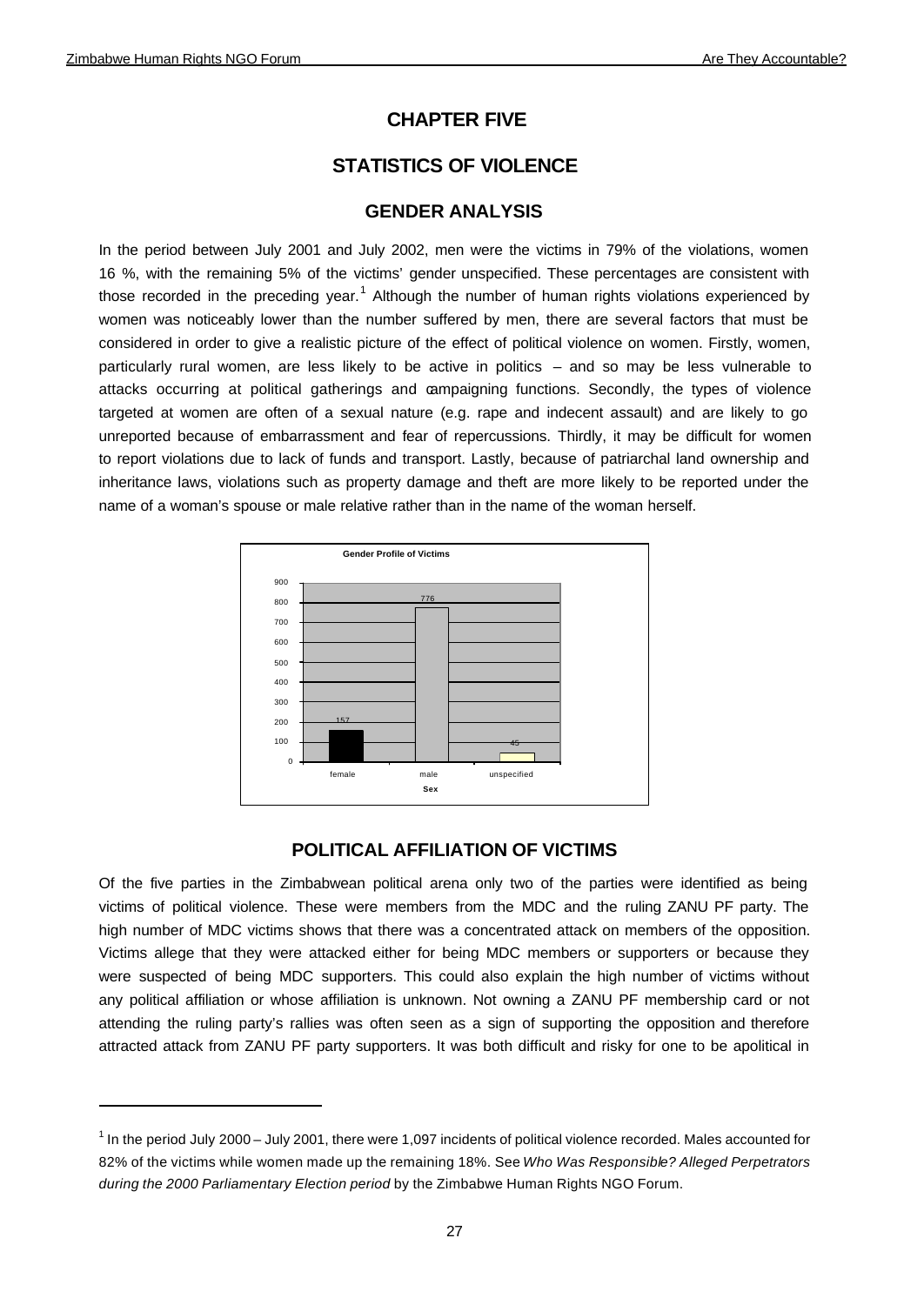# **CHAPTER FIVE**

# **STATISTICS OF VIOLENCE**

# **GENDER ANALYSIS**

In the period between July 2001 and July 2002, men were the victims in 79% of the violations, women 16 %, with the remaining 5% of the victims' gender unspecified. These percentages are consistent with those recorded in the preceding year.<sup>1</sup> Although the number of human rights violations experienced by women was noticeably lower than the number suffered by men, there are several factors that must be considered in order to give a realistic picture of the effect of political violence on women. Firstly, women, particularly rural women, are less likely to be active in politics – and so may be less vulnerable to attacks occurring at political gatherings and campaigning functions. Secondly, the types of violence targeted at women are often of a sexual nature (e.g. rape and indecent assault) and are likely to go unreported because of embarrassment and fear of repercussions. Thirdly, it may be difficult for women to report violations due to lack of funds and transport. Lastly, because of patriarchal land ownership and inheritance laws, violations such as property damage and theft are more likely to be reported under the name of a woman's spouse or male relative rather than in the name of the woman herself.



# **POLITICAL AFFILIATION OF VICTIMS**

Of the five parties in the Zimbabwean political arena only two of the parties were identified as being victims of political violence. These were members from the MDC and the ruling ZANU PF party. The high number of MDC victims shows that there was a concentrated attack on members of the opposition. Victims allege that they were attacked either for being MDC members or supporters or because they were suspected of being MDC supporters. This could also explain the high number of victims without any political affiliation or whose affiliation is unknown. Not owning a ZANU PF membership card or not attending the ruling party's rallies was often seen as a sign of supporting the opposition and therefore attracted attack from ZANU PF party supporters. It was both difficult and risky for one to be apolitical in

 $1$  In the period July 2000 – July 2001, there were 1,097 incidents of political violence recorded. Males accounted for 82% of the victims while women made up the remaining 18%. See *Who Was Responsible? Alleged Perpetrators during the 2000 Parliamentary Election period* by the Zimbabwe Human Rights NGO Forum.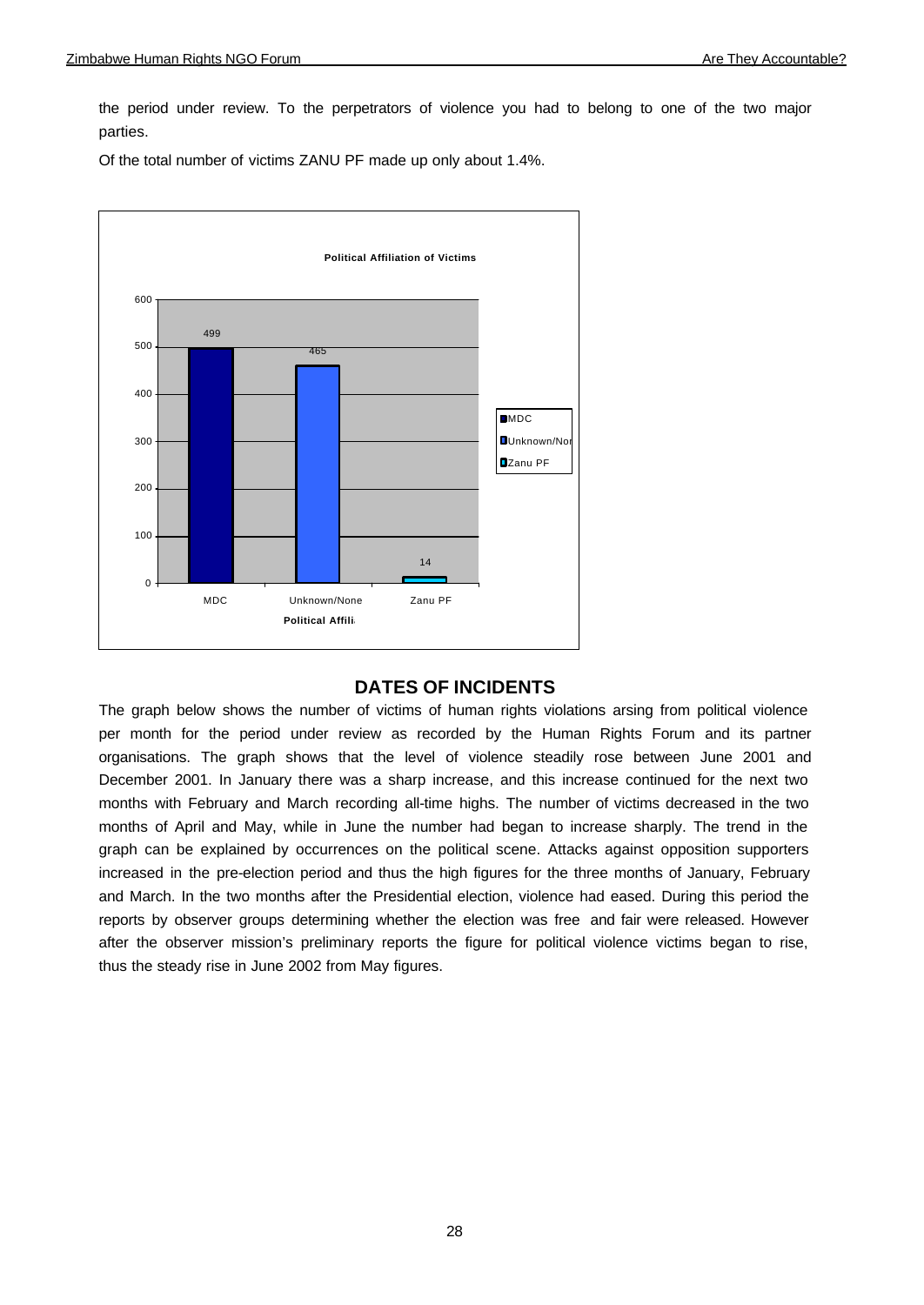the period under review. To the perpetrators of violence you had to belong to one of the two major parties.

Of the total number of victims ZANU PF made up only about 1.4%.



# **DATES OF INCIDENTS**

The graph below shows the number of victims of human rights violations arsing from political violence per month for the period under review as recorded by the Human Rights Forum and its partner organisations. The graph shows that the level of violence steadily rose between June 2001 and December 2001. In January there was a sharp increase, and this increase continued for the next two months with February and March recording all-time highs. The number of victims decreased in the two months of April and May, while in June the number had began to increase sharply. The trend in the graph can be explained by occurrences on the political scene. Attacks against opposition supporters increased in the pre-election period and thus the high figures for the three months of January, February and March. In the two months after the Presidential election, violence had eased. During this period the reports by observer groups determining whether the election was free and fair were released. However after the observer mission's preliminary reports the figure for political violence victims began to rise, thus the steady rise in June 2002 from May figures.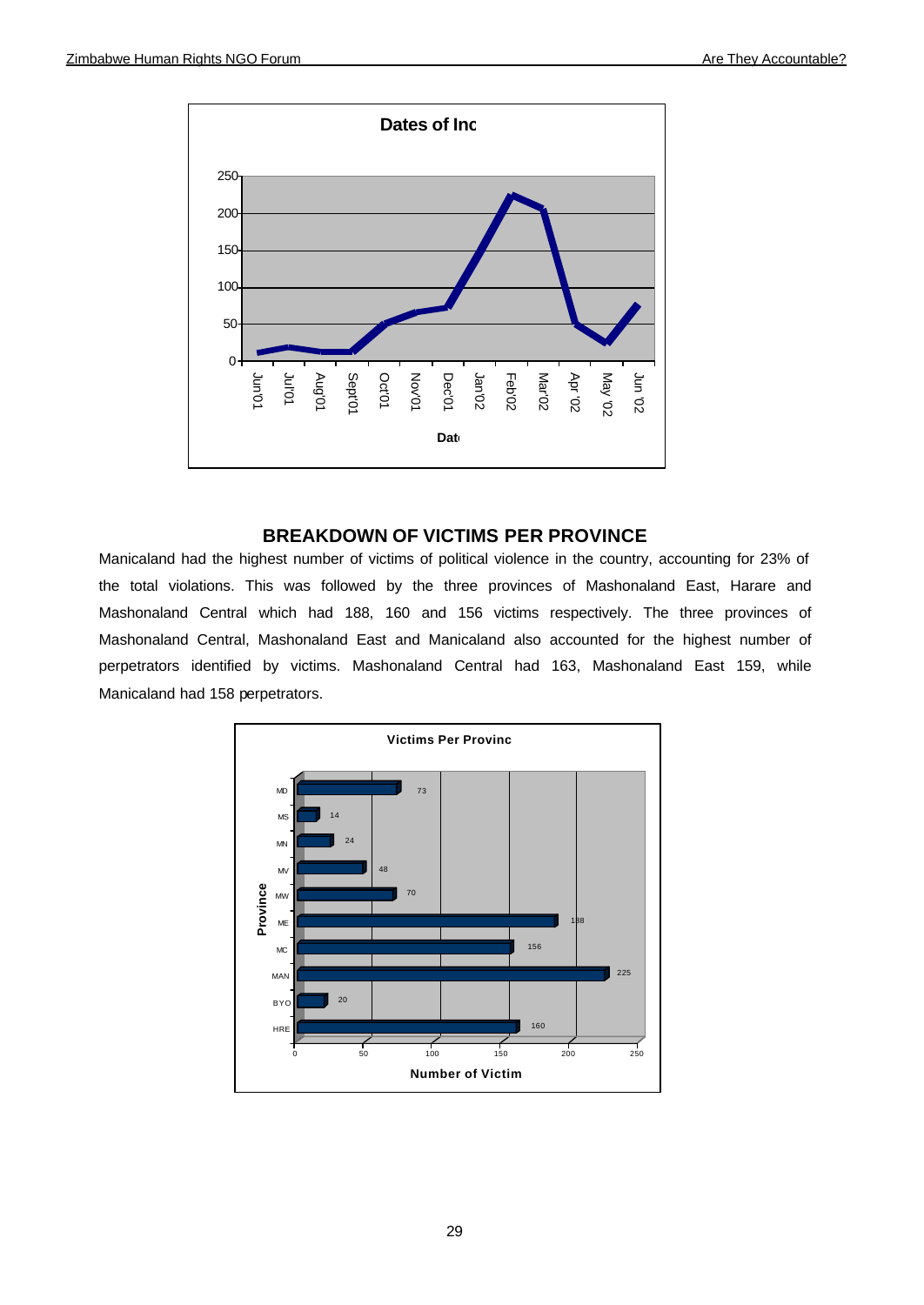

# **BREAKDOWN OF VICTIMS PER PROVINCE**

Manicaland had the highest number of victims of political violence in the country, accounting for 23% of the total violations. This was followed by the three provinces of Mashonaland East, Harare and Mashonaland Central which had 188, 160 and 156 victims respectively. The three provinces of Mashonaland Central, Mashonaland East and Manicaland also accounted for the highest number of perpetrators identified by victims. Mashonaland Central had 163, Mashonaland East 159, while Manicaland had 158 perpetrators.

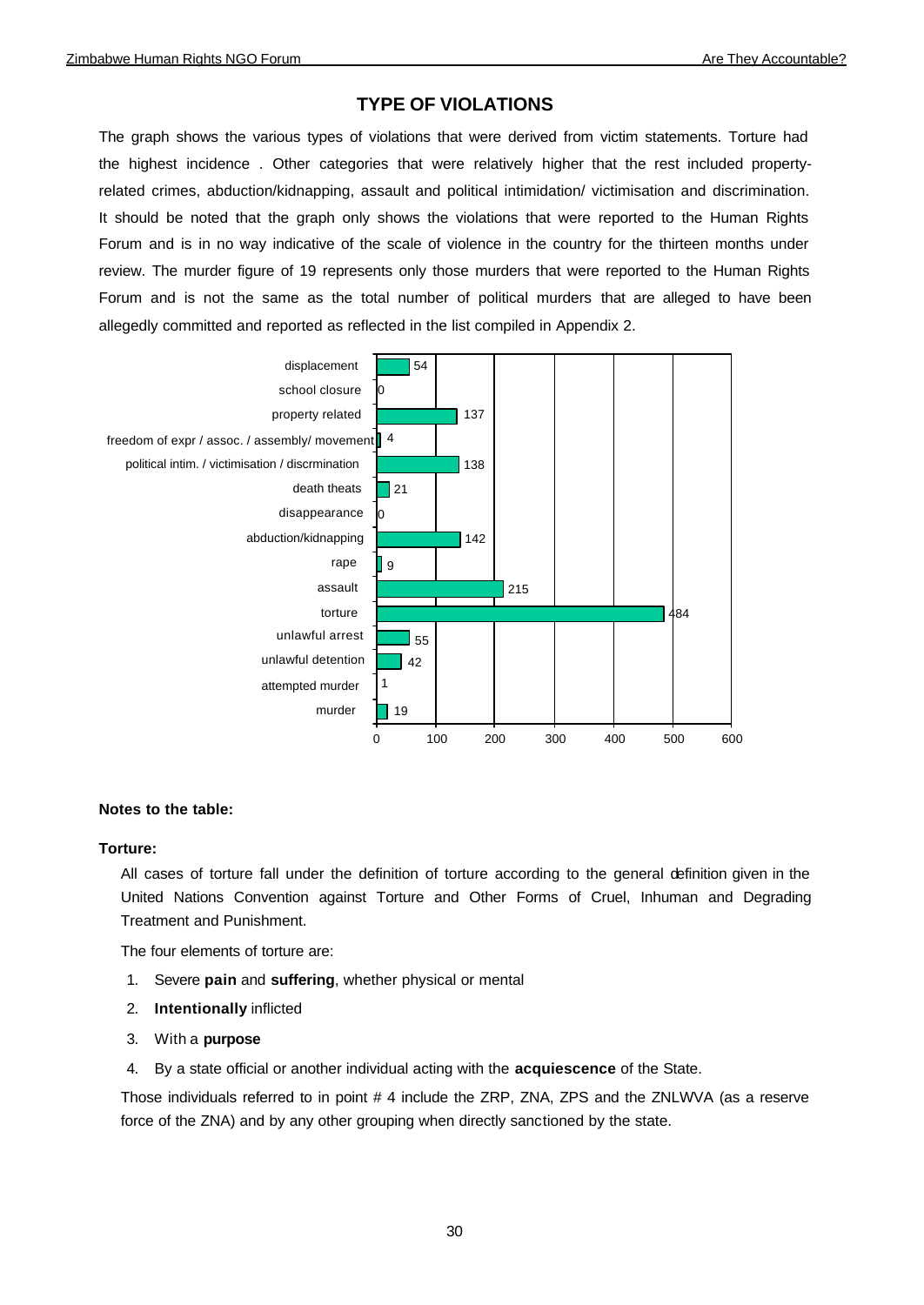# **TYPE OF VIOLATIONS**

The graph shows the various types of violations that were derived from victim statements. Torture had the highest incidence . Other categories that were relatively higher that the rest included propertyrelated crimes, abduction/kidnapping, assault and political intimidation/ victimisation and discrimination. It should be noted that the graph only shows the violations that were reported to the Human Rights Forum and is in no way indicative of the scale of violence in the country for the thirteen months under review. The murder figure of 19 represents only those murders that were reported to the Human Rights Forum and is not the same as the total number of political murders that are alleged to have been allegedly committed and reported as reflected in the list compiled in Appendix 2.



#### **Notes to the table:**

#### **Torture:**

All cases of torture fall under the definition of torture according to the general definition given in the United Nations Convention against Torture and Other Forms of Cruel, Inhuman and Degrading Treatment and Punishment.

The four elements of torture are:

- 1. Severe **pain** and **suffering**, whether physical or mental
- 2. **Intentionally** inflicted
- 3. With a **purpose**
- 4. By a state official or another individual acting with the **acquiescence** of the State.

Those individuals referred to in point # 4 include the ZRP, ZNA, ZPS and the ZNLWVA (as a reserve force of the ZNA) and by any other grouping when directly sanctioned by the state.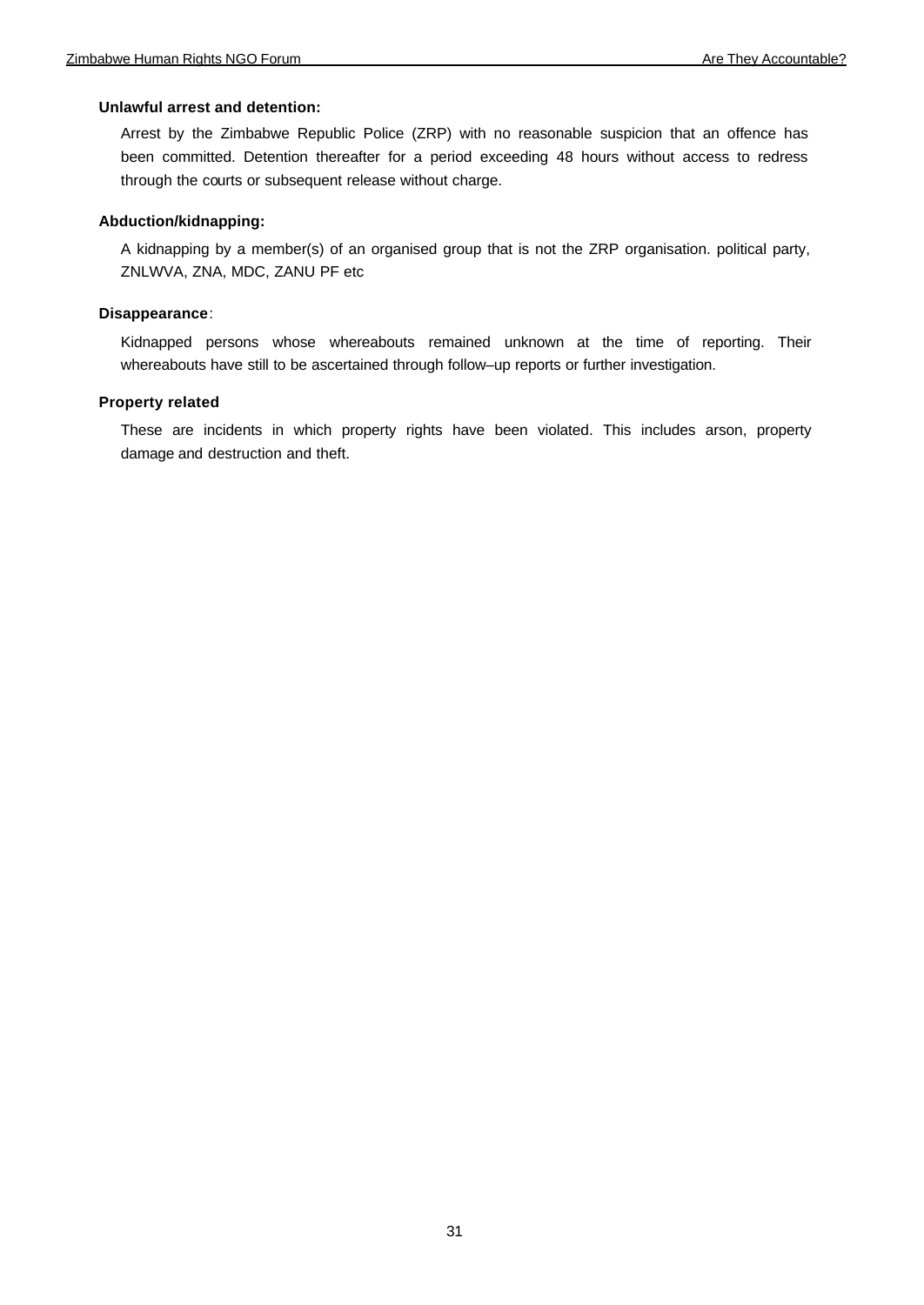### **Unlawful arrest and detention:**

Arrest by the Zimbabwe Republic Police (ZRP) with no reasonable suspicion that an offence has been committed. Detention thereafter for a period exceeding 48 hours without access to redress through the courts or subsequent release without charge.

### **Abduction/kidnapping:**

A kidnapping by a member(s) of an organised group that is not the ZRP organisation. political party, ZNLWVA, ZNA, MDC, ZANU PF etc

### **Disappearance**:

Kidnapped persons whose whereabouts remained unknown at the time of reporting. Their whereabouts have still to be ascertained through follow–up reports or further investigation.

## **Property related**

These are incidents in which property rights have been violated. This includes arson, property damage and destruction and theft.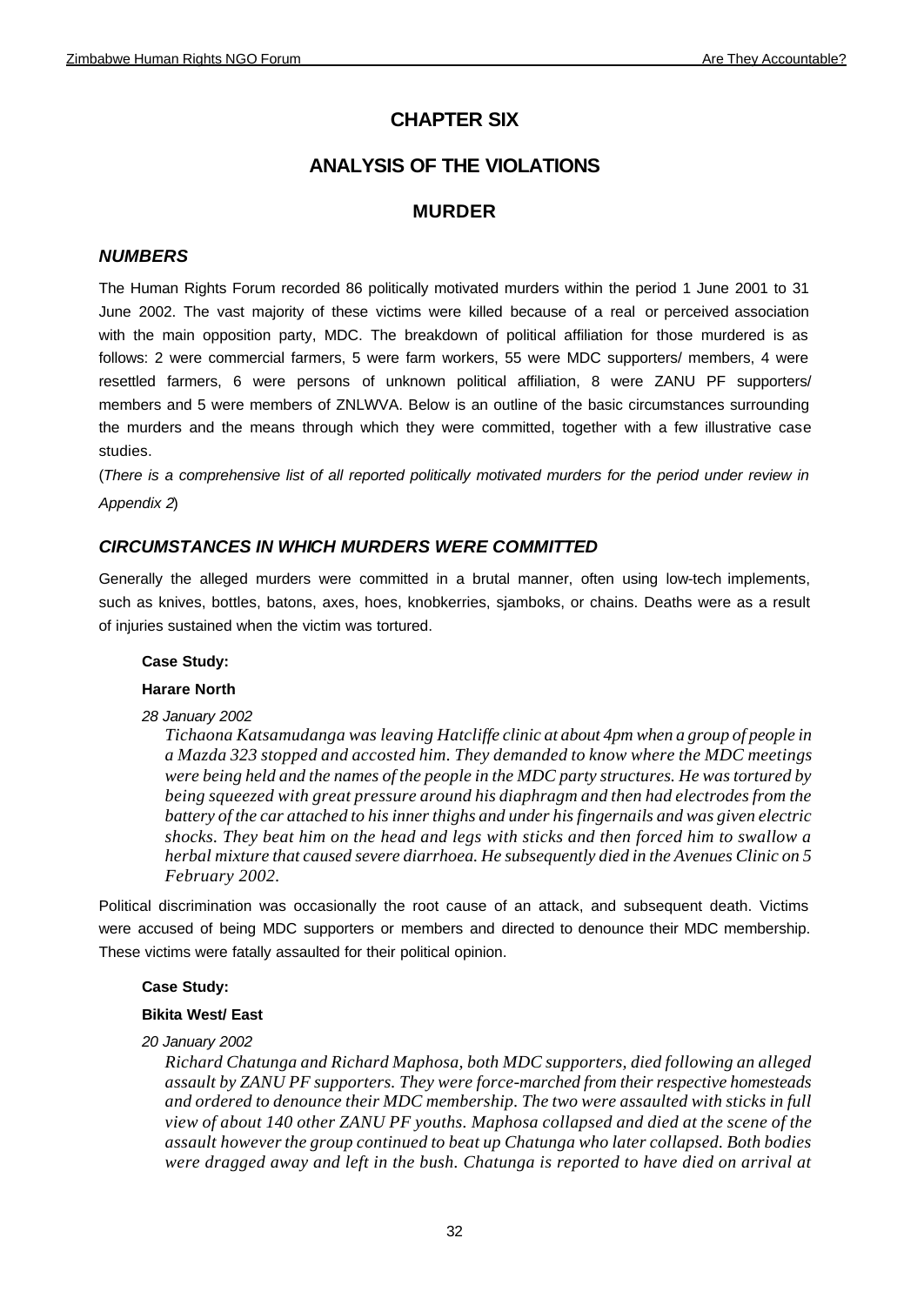# **CHAPTER SIX**

# **ANALYSIS OF THE VIOLATIONS**

# **MURDER**

# *NUMBERS*

The Human Rights Forum recorded 86 politically motivated murders within the period 1 June 2001 to 31 June 2002. The vast majority of these victims were killed because of a real or perceived association with the main opposition party, MDC. The breakdown of political affiliation for those murdered is as follows: 2 were commercial farmers, 5 were farm workers, 55 were MDC supporters/ members, 4 were resettled farmers, 6 were persons of unknown political affiliation, 8 were ZANU PF supporters/ members and 5 were members of ZNLWVA. Below is an outline of the basic circumstances surrounding the murders and the means through which they were committed, together with a few illustrative case studies.

(*There is a comprehensive list of all reported politically motivated murders for the period under review in Appendix 2*)

# *CIRCUMSTANCES IN WHICH MURDERS WERE COMMITTED*

Generally the alleged murders were committed in a brutal manner, often using low-tech implements, such as knives, bottles, batons, axes, hoes, knobkerries, sjamboks, or chains. Deaths were as a result of injuries sustained when the victim was tortured.

# **Case Study:**

# **Harare North**

*28 January 2002*

*Tichaona Katsamudanga was leaving Hatcliffe clinic at about 4pm when a group of people in a Mazda 323 stopped and accosted him. They demanded to know where the MDC meetings were being held and the names of the people in the MDC party structures. He was tortured by being squeezed with great pressure around his diaphragm and then had electrodes from the battery of the car attached to his inner thighs and under his fingernails and was given electric shocks. They beat him on the head and legs with sticks and then forced him to swallow a herbal mixture that caused severe diarrhoea. He subsequently died in the Avenues Clinic on 5 February 2002.*

Political discrimination was occasionally the root cause of an attack, and subsequent death. Victims were accused of being MDC supporters or members and directed to denounce their MDC membership. These victims were fatally assaulted for their political opinion.

# **Case Study:**

# **Bikita West/ East**

# *20 January 2002*

*Richard Chatunga and Richard Maphosa, both MDC supporters, died following an alleged assault by ZANU PF supporters. They were force-marched from their respective homesteads and ordered to denounce their MDC membership. The two were assaulted with sticks in full view of about 140 other ZANU PF youths. Maphosa collapsed and died at the scene of the assault however the group continued to beat up Chatunga who later collapsed. Both bodies were dragged away and left in the bush. Chatunga is reported to have died on arrival at*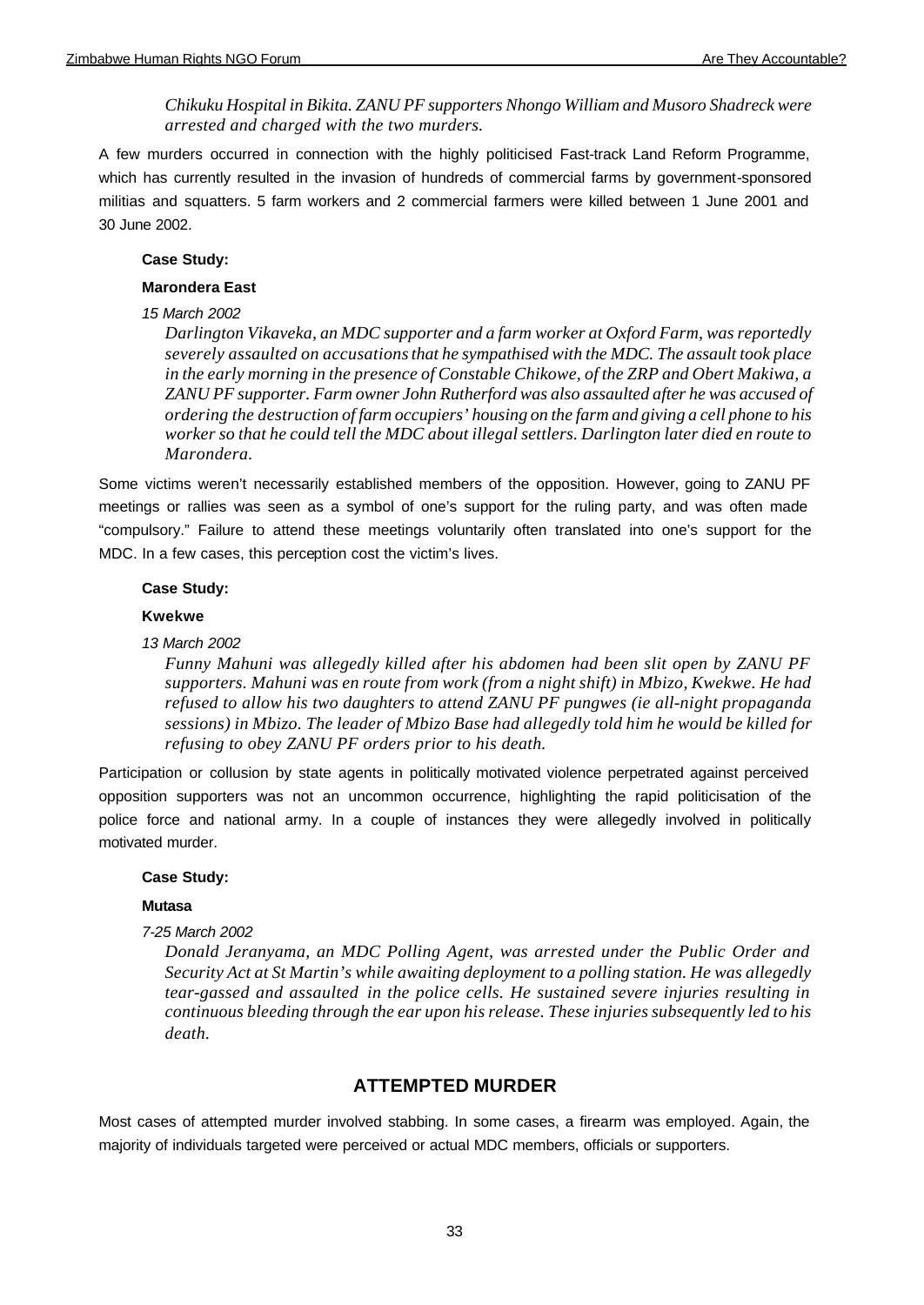*Chikuku Hospital in Bikita. ZANU PF supporters Nhongo William and Musoro Shadreck were arrested and charged with the two murders.*

A few murders occurred in connection with the highly politicised Fast-track Land Reform Programme, which has currently resulted in the invasion of hundreds of commercial farms by government-sponsored militias and squatters. 5 farm workers and 2 commercial farmers were killed between 1 June 2001 and 30 June 2002.

#### **Case Study:**

#### **Marondera East**

#### *15 March 2002*

*Darlington Vikaveka, an MDC supporter and a farm worker at Oxford Farm, was reportedly severely assaulted on accusations that he sympathised with the MDC. The assault took place in the early morning in the presence of Constable Chikowe, of the ZRP and Obert Makiwa, a ZANU PF supporter. Farm owner John Rutherford was also assaulted after he was accused of ordering the destruction of farm occupiers' housing on the farm and giving a cell phone to his worker so that he could tell the MDC about illegal settlers. Darlington later died en route to Marondera.*

Some victims weren't necessarily established members of the opposition. However, going to ZANU PF meetings or rallies was seen as a symbol of one's support for the ruling party, and was often made "compulsory." Failure to attend these meetings voluntarily often translated into one's support for the MDC. In a few cases, this perception cost the victim's lives.

#### **Case Study:**

#### **Kwekwe**

#### *13 March 2002*

*Funny Mahuni was allegedly killed after his abdomen had been slit open by ZANU PF supporters. Mahuni was en route from work (from a night shift) in Mbizo, Kwekwe. He had refused to allow his two daughters to attend ZANU PF pungwes (ie all-night propaganda sessions) in Mbizo. The leader of Mbizo Base had allegedly told him he would be killed for refusing to obey ZANU PF orders prior to his death.*

Participation or collusion by state agents in politically motivated violence perpetrated against perceived opposition supporters was not an uncommon occurrence, highlighting the rapid politicisation of the police force and national army. In a couple of instances they were allegedly involved in politically motivated murder.

#### **Case Study:**

#### **Mutasa**

#### *7-25 March 2002*

*Donald Jeranyama, an MDC Polling Agent, was arrested under the Public Order and Security Act at St Martin's while awaiting deployment to a polling station. He was allegedly tear-gassed and assaulted in the police cells. He sustained severe injuries resulting in continuous bleeding through the ear upon his release. These injuries subsequently led to his death.* 

# **ATTEMPTED MURDER**

Most cases of attempted murder involved stabbing. In some cases, a firearm was employed. Again, the majority of individuals targeted were perceived or actual MDC members, officials or supporters.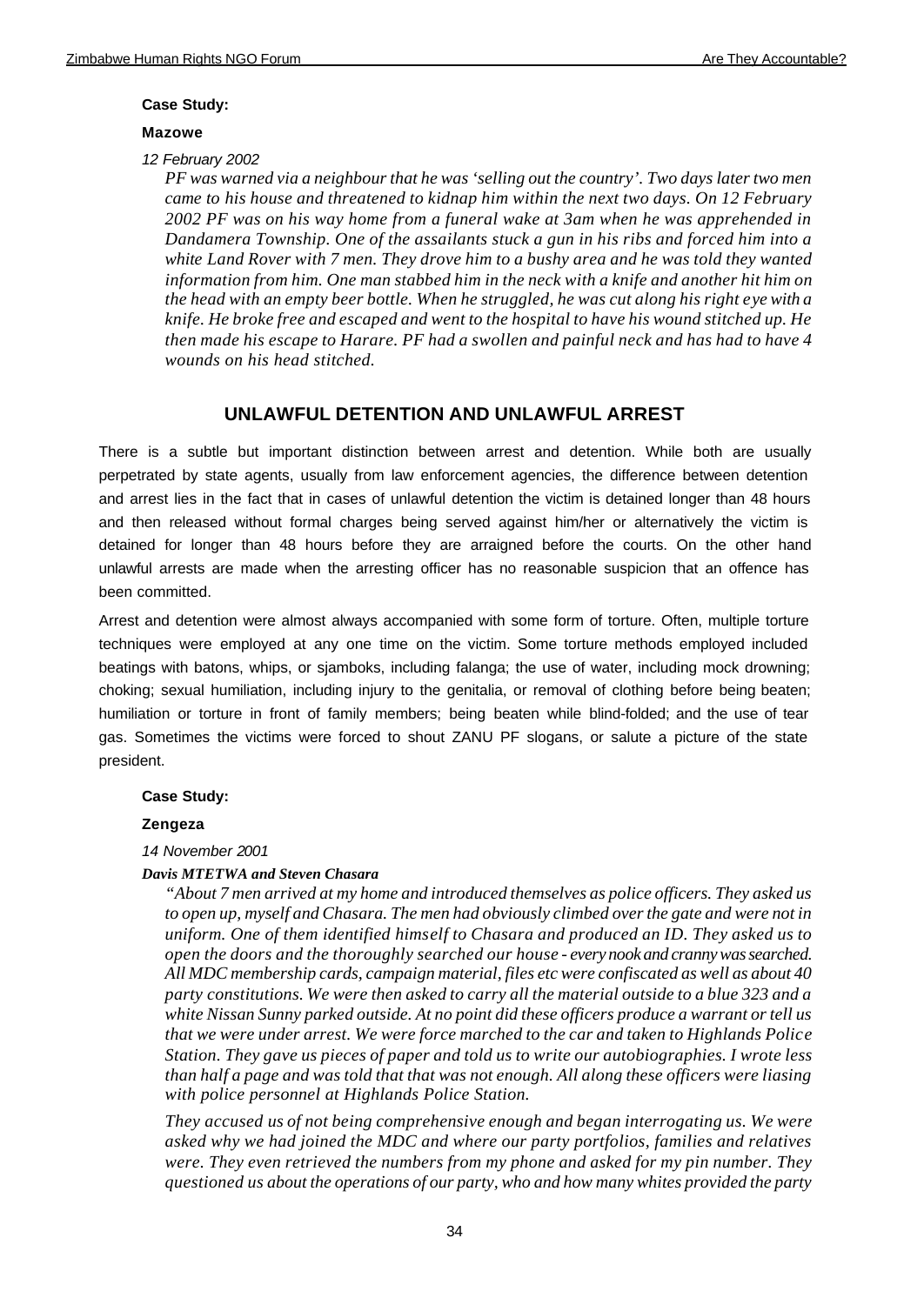#### **Case Study:**

#### **Mazowe**

*12 February 2002*

*PF was warned via a neighbour that he was 'selling out the country'. Two days later two men came to his house and threatened to kidnap him within the next two days. On 12 February 2002 PF was on his way home from a funeral wake at 3am when he was apprehended in Dandamera Township. One of the assailants stuck a gun in his ribs and forced him into a white Land Rover with 7 men. They drove him to a bushy area and he was told they wanted information from him. One man stabbed him in the neck with a knife and another hit him on the head with an empty beer bottle. When he struggled, he was cut along his right eye with a knife. He broke free and escaped and went to the hospital to have his wound stitched up. He then made his escape to Harare. PF had a swollen and painful neck and has had to have 4 wounds on his head stitched.*

# **UNLAWFUL DETENTION AND UNLAWFUL ARREST**

There is a subtle but important distinction between arrest and detention. While both are usually perpetrated by state agents, usually from law enforcement agencies, the difference between detention and arrest lies in the fact that in cases of unlawful detention the victim is detained longer than 48 hours and then released without formal charges being served against him/her or alternatively the victim is detained for longer than 48 hours before they are arraigned before the courts. On the other hand unlawful arrests are made when the arresting officer has no reasonable suspicion that an offence has been committed.

Arrest and detention were almost always accompanied with some form of torture. Often, multiple torture techniques were employed at any one time on the victim. Some torture methods employed included beatings with batons, whips, or sjamboks, including falanga; the use of water, including mock drowning; choking; sexual humiliation, including injury to the genitalia, or removal of clothing before being beaten; humiliation or torture in front of family members; being beaten while blind-folded; and the use of tear gas. Sometimes the victims were forced to shout ZANU PF slogans, or salute a picture of the state president.

#### **Case Study:**

#### **Zengeza**

*14 November 2001*

#### *Davis MTETWA and Steven Chasara*

*"About 7 men arrived at my home and introduced themselves as police officers. They asked us to open up, myself and Chasara. The men had obviously climbed over the gate and were not in uniform. One of them identified himself to Chasara and produced an ID. They asked us to open the doors and the thoroughly searched our house - every nook and cranny was searched. All MDC membership cards, campaign material, files etc were confiscated as well as about 40 party constitutions. We were then asked to carry all the material outside to a blue 323 and a white Nissan Sunny parked outside. At no point did these officers produce a warrant or tell us that we were under arrest. We were force marched to the car and taken to Highlands Police Station. They gave us pieces of paper and told us to write our autobiographies. I wrote less than half a page and was told that that was not enough. All along these officers were liasing with police personnel at Highlands Police Station.*

*They accused us of not being comprehensive enough and began interrogating us. We were asked why we had joined the MDC and where our party portfolios, families and relatives were. They even retrieved the numbers from my phone and asked for my pin number. They questioned us about the operations of our party, who and how many whites provided the party*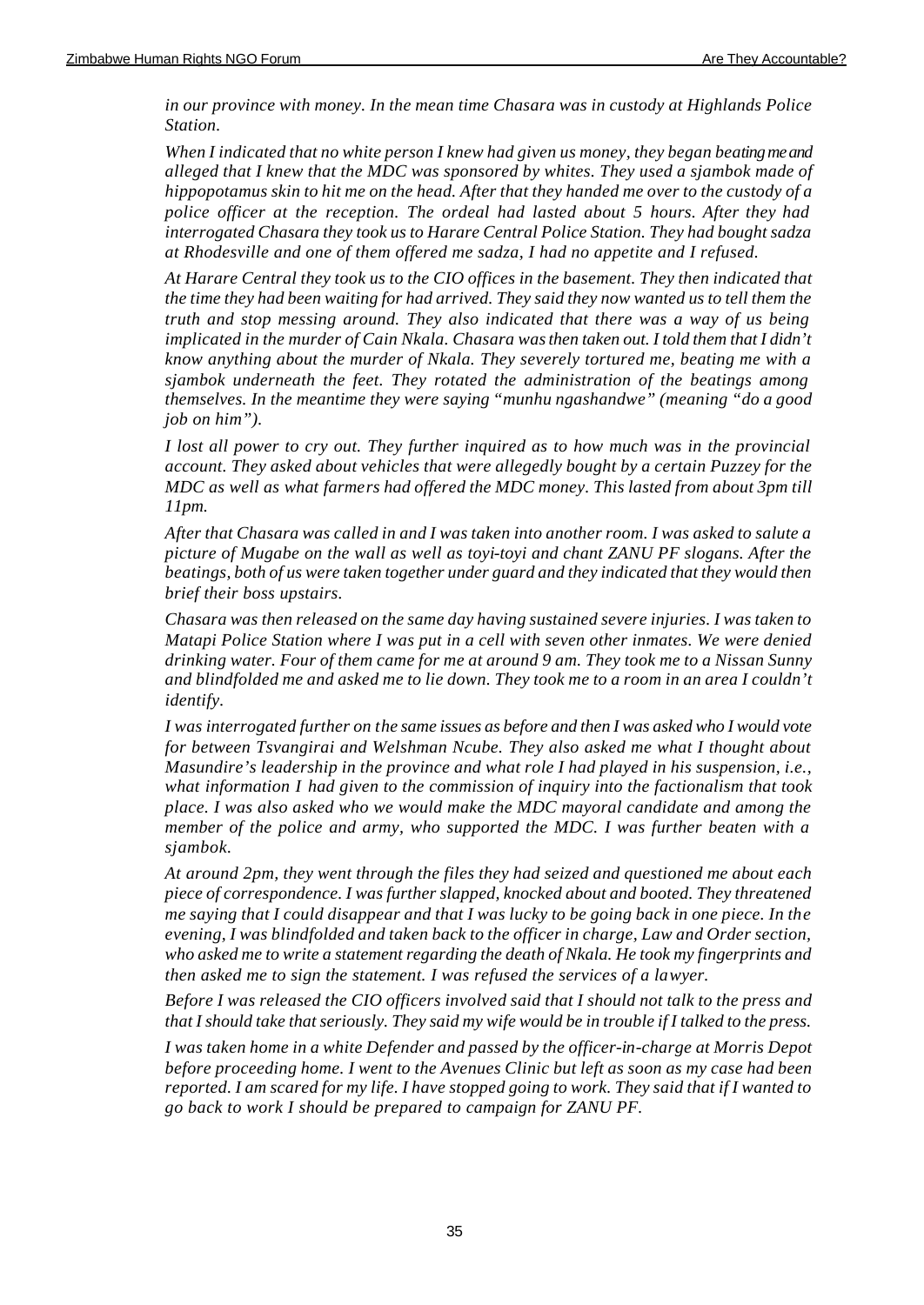*in our province with money. In the mean time Chasara was in custody at Highlands Police Station.*

*When I indicated that no white person I knew had given us money, they began beating me and alleged that I knew that the MDC was sponsored by whites. They used a sjambok made of hippopotamus skin to hit me on the head. After that they handed me over to the custody of a police officer at the reception. The ordeal had lasted about 5 hours. After they had interrogated Chasara they took us to Harare Central Police Station. They had bought sadza at Rhodesville and one of them offered me sadza, I had no appetite and I refused.*

*At Harare Central they took us to the CIO offices in the basement. They then indicated that the time they had been waiting for had arrived. They said they now wanted us to tell them the truth and stop messing around. They also indicated that there was a way of us being implicated in the murder of Cain Nkala. Chasara was then taken out. I told them that I didn't know anything about the murder of Nkala. They severely tortured me, beating me with a sjambok underneath the feet. They rotated the administration of the beatings among themselves. In the meantime they were saying "munhu ngashandwe" (meaning "do a good job on him").*

*I lost all power to cry out. They further inquired as to how much was in the provincial account. They asked about vehicles that were allegedly bought by a certain Puzzey for the MDC as well as what farmers had offered the MDC money. This lasted from about 3pm till 11pm.*

*After that Chasara was called in and I was taken into another room. I was asked to salute a picture of Mugabe on the wall as well as toyi-toyi and chant ZANU PF slogans. After the beatings, both of us were taken together under guard and they indicated that they would then brief their boss upstairs.*

*Chasara was then released on the same day having sustained severe injuries. I was taken to Matapi Police Station where I was put in a cell with seven other inmates. We were denied drinking water. Four of them came for me at around 9 am. They took me to a Nissan Sunny and blindfolded me and asked me to lie down. They took me to a room in an area I couldn't identify.* 

*I was interrogated further on the same issues as before and then I was asked who I would vote for between Tsvangirai and Welshman Ncube. They also asked me what I thought about Masundire's leadership in the province and what role I had played in his suspension, i.e., what information I had given to the commission of inquiry into the factionalism that took place. I was also asked who we would make the MDC mayoral candidate and among the member of the police and army, who supported the MDC. I was further beaten with a sjambok.*

*At around 2pm, they went through the files they had seized and questioned me about each piece of correspondence. I was further slapped, knocked about and booted. They threatened me saying that I could disappear and that I was lucky to be going back in one piece. In the evening, I was blindfolded and taken back to the officer in charge, Law and Order section, who asked me to write a statement regarding the death of Nkala. He took my fingerprints and then asked me to sign the statement. I was refused the services of a lawyer.*

*Before I was released the CIO officers involved said that I should not talk to the press and that I should take that seriously. They said my wife would be in trouble if I talked to the press.*

*I was taken home in a white Defender and passed by the officer-in-charge at Morris Depot before proceeding home. I went to the Avenues Clinic but left as soon as my case had been reported. I am scared for my life. I have stopped going to work. They said that if I wanted to go back to work I should be prepared to campaign for ZANU PF.*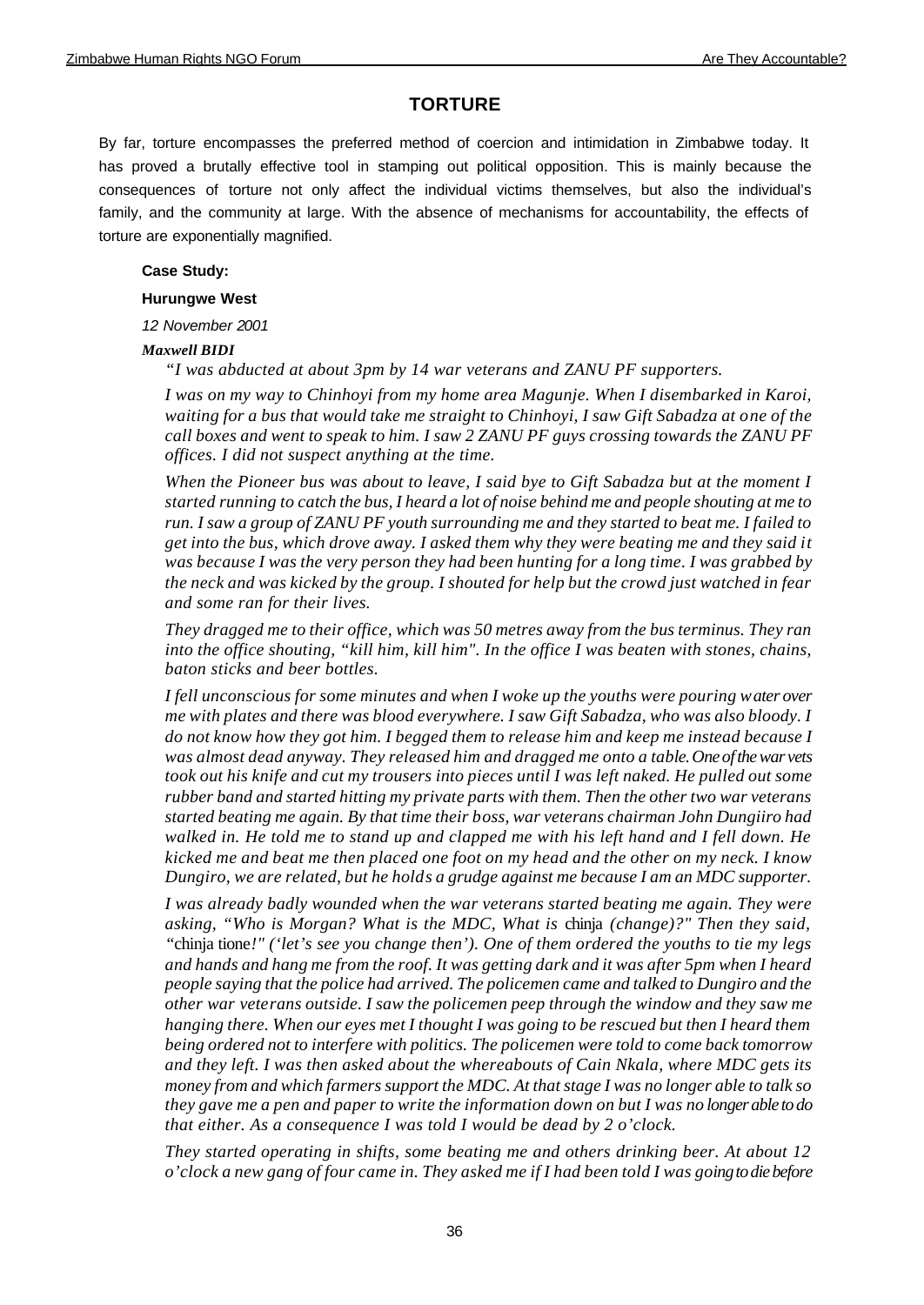# **TORTURE**

By far, torture encompasses the preferred method of coercion and intimidation in Zimbabwe today. It has proved a brutally effective tool in stamping out political opposition. This is mainly because the consequences of torture not only affect the individual victims themselves, but also the individual's family, and the community at large. With the absence of mechanisms for accountability, the effects of torture are exponentially magnified.

### **Case Study:**

### **Hurungwe West**

*12 November 2001*

## *Maxwell BIDI*

*"I was abducted at about 3pm by 14 war veterans and ZANU PF supporters.*

*I was on my way to Chinhoyi from my home area Magunje. When I disembarked in Karoi, waiting for a bus that would take me straight to Chinhoyi, I saw Gift Sabadza at one of the call boxes and went to speak to him. I saw 2 ZANU PF guys crossing towards the ZANU PF offices. I did not suspect anything at the time.* 

*When the Pioneer bus was about to leave, I said bye to Gift Sabadza but at the moment I started running to catch the bus, I heard a lot of noise behind me and people shouting at me to run. I saw a group of ZANU PF youth surrounding me and they started to beat me. I failed to get into the bus, which drove away. I asked them why they were beating me and they said it was because I was the very person they had been hunting for a long time. I was grabbed by the neck and was kicked by the group. I shouted for help but the crowd just watched in fear and some ran for their lives.*

*They dragged me to their office, which was 50 metres away from the bus terminus. They ran into the office shouting, "kill him, kill him". In the office I was beaten with stones, chains, baton sticks and beer bottles.* 

*I fell unconscious for some minutes and when I woke up the youths were pouring water over me with plates and there was blood everywhere. I saw Gift Sabadza, who was also bloody. I do not know how they got him. I begged them to release him and keep me instead because I was almost dead anyway. They released him and dragged me onto a table. One of the war vets took out his knife and cut my trousers into pieces until I was left naked. He pulled out some rubber band and started hitting my private parts with them. Then the other two war veterans started beating me again. By that time their boss, war veterans chairman John Dungiiro had walked in. He told me to stand up and clapped me with his left hand and I fell down. He kicked me and beat me then placed one foot on my head and the other on my neck. I know Dungiro, we are related, but he holds a grudge against me because I am an MDC supporter.*

*I was already badly wounded when the war veterans started beating me again. They were asking, "Who is Morgan? What is the MDC, What is* chinja *(change)?" Then they said, "*chinja tione*!" ('let's see you change then'). One of them ordered the youths to tie my legs and hands and hang me from the roof. It was getting dark and it was after 5pm when I heard people saying that the police had arrived. The policemen came and talked to Dungiro and the other war veterans outside. I saw the policemen peep through the window and they saw me hanging there. When our eyes met I thought I was going to be rescued but then I heard them being ordered not to interfere with politics. The policemen were told to come back tomorrow and they left. I was then asked about the whereabouts of Cain Nkala, where MDC gets its money from and which farmers support the MDC. At that stage I was no longer able to talk so they gave me a pen and paper to write the information down on but I was no longer able to do that either. As a consequence I was told I would be dead by 2 o'clock.* 

*They started operating in shifts, some beating me and others drinking beer. At about 12 o'clock a new gang of four came in. They asked me if I had been told I was going to die before*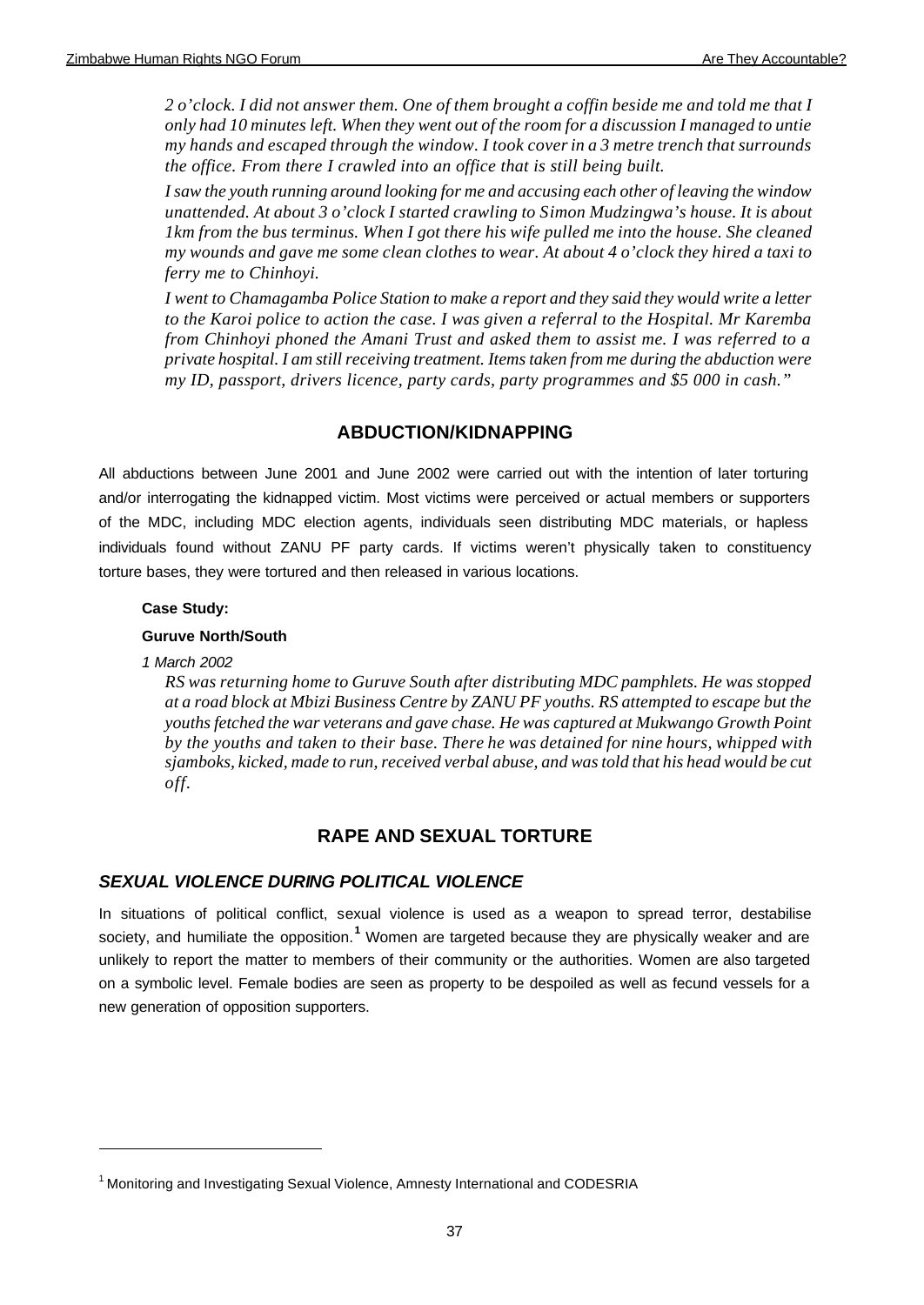*2 o'clock. I did not answer them. One of them brought a coffin beside me and told me that I only had 10 minutes left. When they went out of the room for a discussion I managed to untie my hands and escaped through the window. I took cover in a 3 metre trench that surrounds the office. From there I crawled into an office that is still being built.*

*I saw the youth running around looking for me and accusing each other of leaving the window unattended. At about 3 o'clock I started crawling to Simon Mudzingwa's house. It is about 1km from the bus terminus. When I got there his wife pulled me into the house. She cleaned my wounds and gave me some clean clothes to wear. At about 4 o'clock they hired a taxi to ferry me to Chinhoyi.*

*I went to Chamagamba Police Station to make a report and they said they would write a letter to the Karoi police to action the case. I was given a referral to the Hospital. Mr Karemba from Chinhoyi phoned the Amani Trust and asked them to assist me. I was referred to a private hospital. I am still receiving treatment. Items taken from me during the abduction were my ID, passport, drivers licence, party cards, party programmes and \$5 000 in cash."*

# **ABDUCTION/KIDNAPPING**

All abductions between June 2001 and June 2002 were carried out with the intention of later torturing and/or interrogating the kidnapped victim. Most victims were perceived or actual members or supporters of the MDC, including MDC election agents, individuals seen distributing MDC materials, or hapless individuals found without ZANU PF party cards. If victims weren't physically taken to constituency torture bases, they were tortured and then released in various locations.

## **Case Study:**

## **Guruve North/South**

### *1 March 2002*

*RS was returning home to Guruve South after distributing MDC pamphlets. He was stopped at a road block at Mbizi Business Centre by ZANU PF youths. RS attempted to escape but the youths fetched the war veterans and gave chase. He was captured at Mukwango Growth Point by the youths and taken to their base. There he was detained for nine hours, whipped with sjamboks, kicked, made to run, received verbal abuse, and was told that his head would be cut off.*

# **RAPE AND SEXUAL TORTURE**

# *SEXUAL VIOLENCE DURING POLITICAL VIOLENCE*

In situations of political conflict, sexual violence is used as a weapon to spread terror, destabilise society, and humiliate the opposition.<sup>1</sup> Women are targeted because they are physically weaker and are unlikely to report the matter to members of their community or the authorities. Women are also targeted on a symbolic level. Female bodies are seen as property to be despoiled as well as fecund vessels for a new generation of opposition supporters.

<sup>&</sup>lt;sup>1</sup> Monitoring and Investigating Sexual Violence, Amnesty International and CODESRIA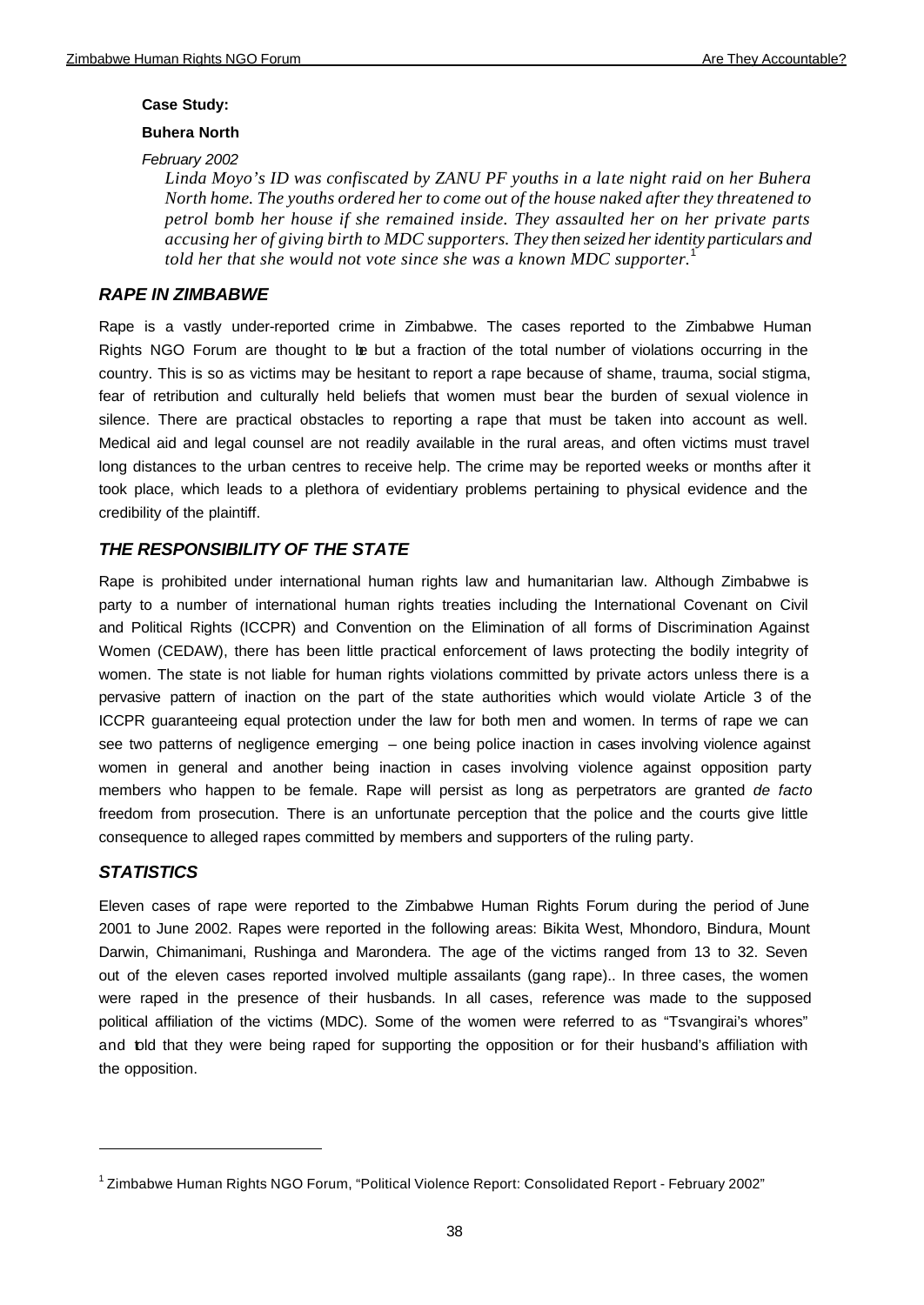#### **Case Study:**

#### **Buhera North**

#### *February 2002*

*Linda Moyo's ID was confiscated by ZANU PF youths in a late night raid on her Buhera North home. The youths ordered her to come out of the house naked after they threatened to petrol bomb her house if she remained inside. They assaulted her on her private parts accusing her of giving birth to MDC supporters. They then seized her identity particulars and told her that she would not vote since she was a known MDC supporter.* 

## *RAPE IN ZIMBABWE*

Rape is a vastly under-reported crime in Zimbabwe. The cases reported to the Zimbabwe Human Rights NGO Forum are thought to be but a fraction of the total number of violations occurring in the country. This is so as victims may be hesitant to report a rape because of shame, trauma, social stigma, fear of retribution and culturally held beliefs that women must bear the burden of sexual violence in silence. There are practical obstacles to reporting a rape that must be taken into account as well. Medical aid and legal counsel are not readily available in the rural areas, and often victims must travel long distances to the urban centres to receive help. The crime may be reported weeks or months after it took place, which leads to a plethora of evidentiary problems pertaining to physical evidence and the credibility of the plaintiff.

## *THE RESPONSIBILITY OF THE STATE*

Rape is prohibited under international human rights law and humanitarian law. Although Zimbabwe is party to a number of international human rights treaties including the International Covenant on Civil and Political Rights (ICCPR) and Convention on the Elimination of all forms of Discrimination Against Women (CEDAW), there has been little practical enforcement of laws protecting the bodily integrity of women. The state is not liable for human rights violations committed by private actors unless there is a pervasive pattern of inaction on the part of the state authorities which would violate Article 3 of the ICCPR guaranteeing equal protection under the law for both men and women. In terms of rape we can see two patterns of negligence emerging – one being police inaction in cases involving violence against women in general and another being inaction in cases involving violence against opposition party members who happen to be female. Rape will persist as long as perpetrators are granted *de facto* freedom from prosecution. There is an unfortunate perception that the police and the courts give little consequence to alleged rapes committed by members and supporters of the ruling party.

## *STATISTICS*

Eleven cases of rape were reported to the Zimbabwe Human Rights Forum during the period of June 2001 to June 2002. Rapes were reported in the following areas: Bikita West, Mhondoro, Bindura, Mount Darwin, Chimanimani, Rushinga and Marondera. The age of the victims ranged from 13 to 32. Seven out of the eleven cases reported involved multiple assailants (gang rape).. In three cases, the women were raped in the presence of their husbands. In all cases, reference was made to the supposed political affiliation of the victims (MDC). Some of the women were referred to as "Tsvangirai's whores" and told that they were being raped for supporting the opposition or for their husband's affiliation with the opposition.

<sup>&</sup>lt;sup>1</sup> Zimbabwe Human Rights NGO Forum, "Political Violence Report: Consolidated Report - February 2002"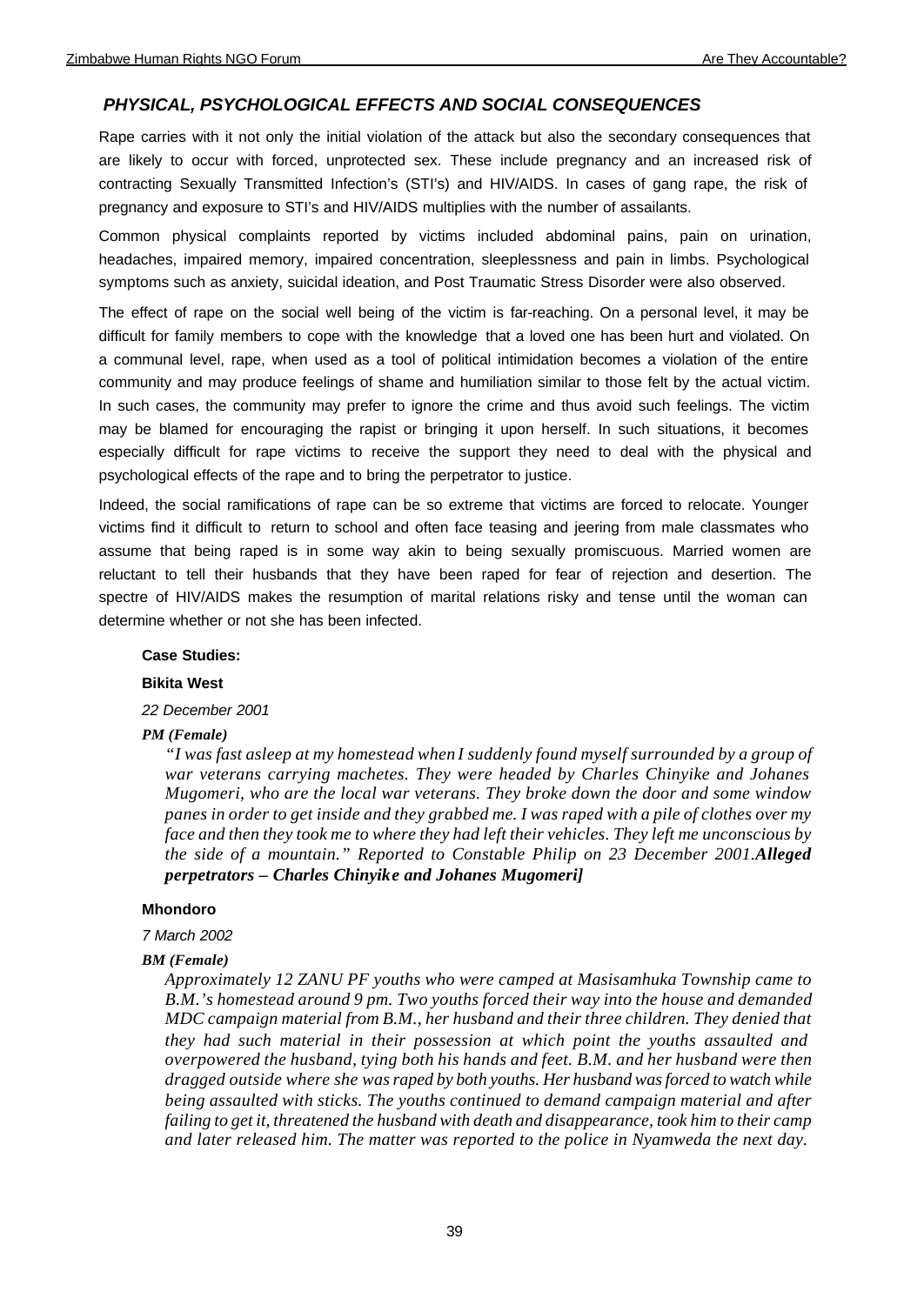#### *PHYSICAL, PSYCHOLOGICAL EFFECTS AND SOCIAL CONSEQUENCES*

Rape carries with it not only the initial violation of the attack but also the secondary consequences that are likely to occur with forced, unprotected sex. These include pregnancy and an increased risk of contracting Sexually Transmitted Infection's (STI's) and HIV/AIDS. In cases of gang rape, the risk of pregnancy and exposure to STI's and HIV/AIDS multiplies with the number of assailants.

Common physical complaints reported by victims included abdominal pains, pain on urination, headaches, impaired memory, impaired concentration, sleeplessness and pain in limbs. Psychological symptoms such as anxiety, suicidal ideation, and Post Traumatic Stress Disorder were also observed.

The effect of rape on the social well being of the victim is far-reaching. On a personal level, it may be difficult for family members to cope with the knowledge that a loved one has been hurt and violated. On a communal level, rape, when used as a tool of political intimidation becomes a violation of the entire community and may produce feelings of shame and humiliation similar to those felt by the actual victim. In such cases, the community may prefer to ignore the crime and thus avoid such feelings. The victim may be blamed for encouraging the rapist or bringing it upon herself. In such situations, it becomes especially difficult for rape victims to receive the support they need to deal with the physical and psychological effects of the rape and to bring the perpetrator to justice.

Indeed, the social ramifications of rape can be so extreme that victims are forced to relocate. Younger victims find it difficult to return to school and often face teasing and jeering from male classmates who assume that being raped is in some way akin to being sexually promiscuous. Married women are reluctant to tell their husbands that they have been raped for fear of rejection and desertion. The spectre of HIV/AIDS makes the resumption of marital relations risky and tense until the woman can determine whether or not she has been infected.

### **Case Studies:**

#### **Bikita West**

*22 December 2001*

#### *PM (Female)*

*"I was fast asleep at my homestead when I suddenly found myself surrounded by a group of war veterans carrying machetes. They were headed by Charles Chinyike and Johanes Mugomeri, who are the local war veterans. They broke down the door and some window panes in order to get inside and they grabbed me. I was raped with a pile of clothes over my face and then they took me to where they had left their vehicles. They left me unconscious by the side of a mountain." Reported to Constable Philip on 23 December 2001.Alleged perpetrators – Charles Chinyike and Johanes Mugomeri]*

#### **Mhondoro**

#### *7 March 2002*

#### *BM (Female)*

*Approximately 12 ZANU PF youths who were camped at Masisamhuka Township came to B.M.'s homestead around 9 pm. Two youths forced their way into the house and demanded MDC campaign material from B.M., her husband and their three children. They denied that they had such material in their possession at which point the youths assaulted and overpowered the husband, tying both his hands and feet. B.M. and her husband were then dragged outside where she was raped by both youths. Her husband was forced to watch while being assaulted with sticks. The youths continued to demand campaign material and after failing to get it, threatened the husband with death and disappearance, took him to their camp and later released him. The matter was reported to the police in Nyamweda the next day.*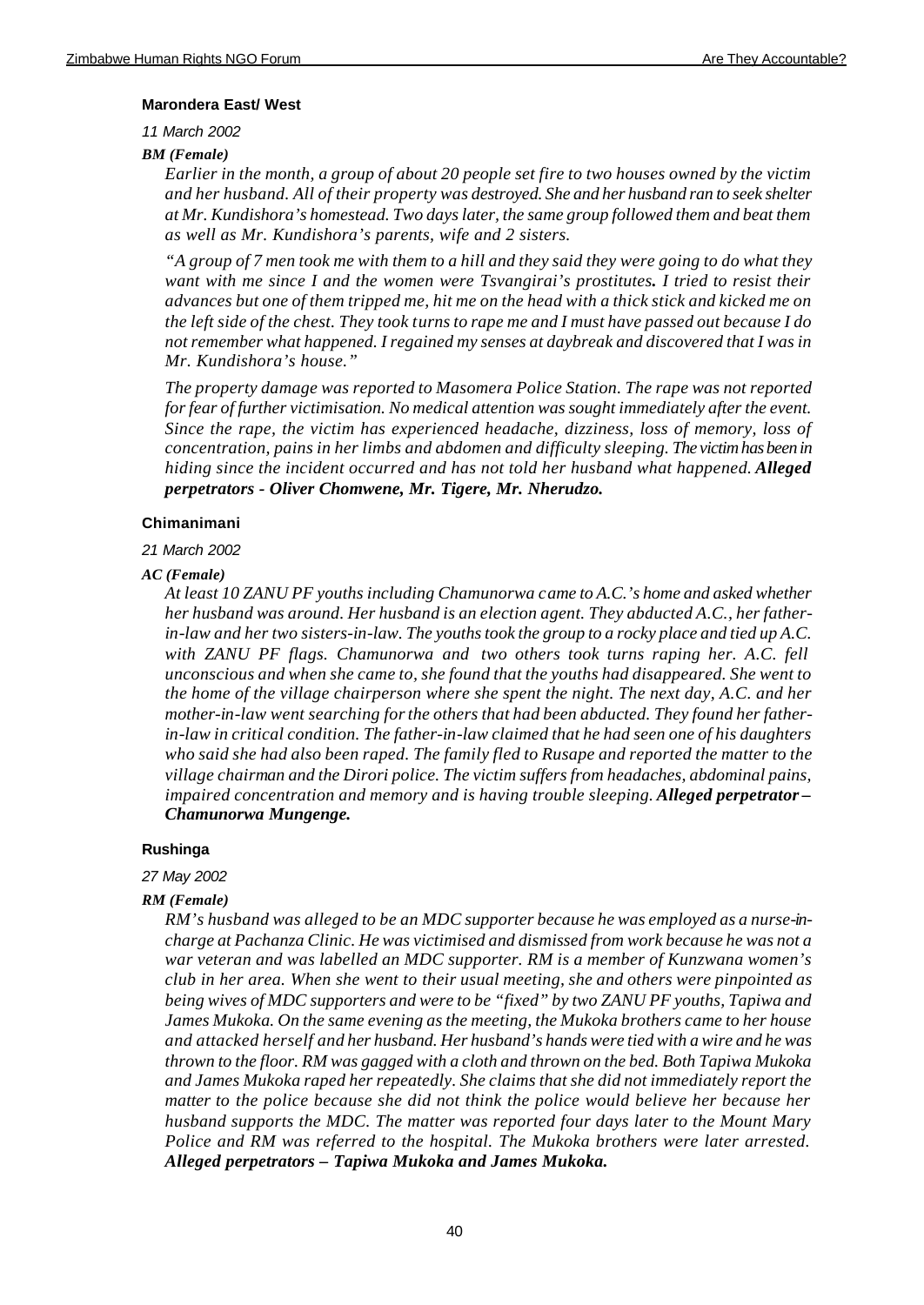#### **Marondera East/ West**

*11 March 2002*

*BM (Female)*

*Earlier in the month, a group of about 20 people set fire to two houses owned by the victim and her husband. All of their property was destroyed. She and her husband ran to seek shelter at Mr. Kundishora's homestead. Two days later, the same group followed them and beat them as well as Mr. Kundishora's parents, wife and 2 sisters.*

*"A group of 7 men took me with them to a hill and they said they were going to do what they want with me since I and the women were Tsvangirai's prostitutes. I tried to resist their advances but one of them tripped me, hit me on the head with a thick stick and kicked me on the left side of the chest. They took turns to rape me and I must have passed out because I do not remember what happened. I regained my senses at daybreak and discovered that I was in Mr. Kundishora's house."*

*The property damage was reported to Masomera Police Station. The rape was not reported for fear of further victimisation. No medical attention was sought immediately after the event. Since the rape, the victim has experienced headache, dizziness, loss of memory, loss of concentration, pains in her limbs and abdomen and difficulty sleeping. The victim has been in hiding since the incident occurred and has not told her husband what happened. Alleged perpetrators - Oliver Chomwene, Mr. Tigere, Mr. Nherudzo.*

#### **Chimanimani**

#### *21 March 2002*

#### *AC (Female)*

*At least 10 ZANU PF youths including Chamunorwa came to A.C.'s home and asked whether her husband was around. Her husband is an election agent. They abducted A.C., her fatherin-law and her two sisters-in-law. The youths took the group to a rocky place and tied up A.C. with ZANU PF flags. Chamunorwa and two others took turns raping her. A.C. fell unconscious and when she came to, she found that the youths had disappeared. She went to the home of the village chairperson where she spent the night. The next day, A.C. and her mother-in-law went searching for the others that had been abducted. They found her fatherin-law in critical condition. The father-in-law claimed that he had seen one of his daughters who said she had also been raped. The family fled to Rusape and reported the matter to the village chairman and the Dirori police. The victim suffers from headaches, abdominal pains, impaired concentration and memory and is having trouble sleeping. Alleged perpetrator – Chamunorwa Mungenge.*

#### **Rushinga**

*27 May 2002*

#### *RM (Female)*

*RM's husband was alleged to be an MDC supporter because he was employed as a nurse-incharge at Pachanza Clinic. He was victimised and dismissed from work because he was not a war veteran and was labelled an MDC supporter. RM is a member of Kunzwana women's club in her area. When she went to their usual meeting, she and others were pinpointed as being wives of MDC supporters and were to be "fixed" by two ZANU PF youths, Tapiwa and James Mukoka. On the same evening as the meeting, the Mukoka brothers came to her house and attacked herself and her husband. Her husband's hands were tied with a wire and he was thrown to the floor. RM was gagged with a cloth and thrown on the bed. Both Tapiwa Mukoka and James Mukoka raped her repeatedly. She claims that she did not immediately report the matter to the police because she did not think the police would believe her because her husband supports the MDC. The matter was reported four days later to the Mount Mary Police and RM was referred to the hospital. The Mukoka brothers were later arrested. Alleged perpetrators – Tapiwa Mukoka and James Mukoka.*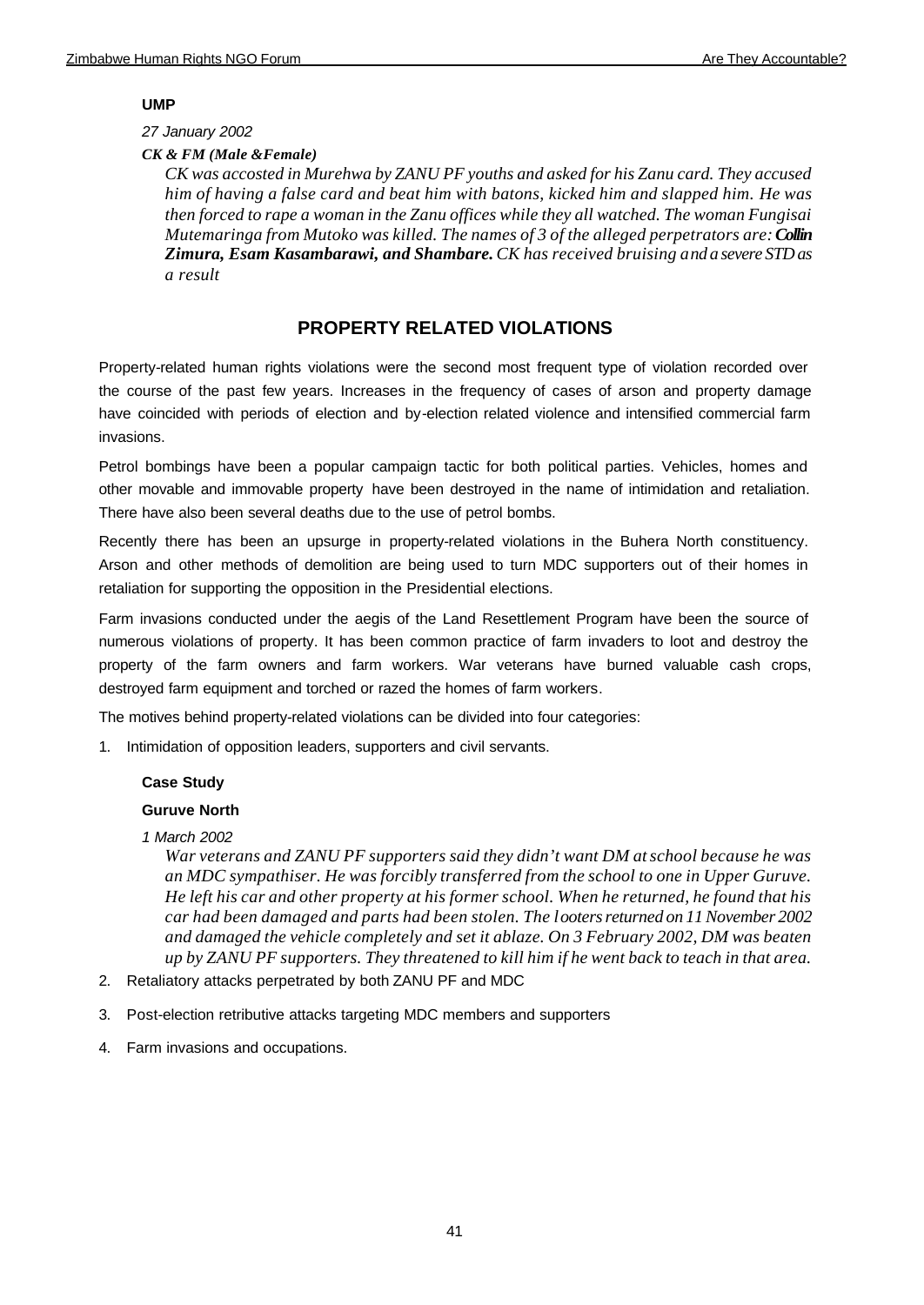### **UMP**

## *27 January 2002*

*CK & FM (Male &Female)*

*CK was accosted in Murehwa by ZANU PF youths and asked for his Zanu card. They accused him of having a false card and beat him with batons, kicked him and slapped him. He was then forced to rape a woman in the Zanu offices while they all watched. The woman Fungisai Mutemaringa from Mutoko was killed. The names of 3 of the alleged perpetrators are: Collin Zimura, Esam Kasambarawi, and Shambare. CK has received bruising and a severe STD as a result*

# **PROPERTY RELATED VIOLATIONS**

Property-related human rights violations were the second most frequent type of violation recorded over the course of the past few years. Increases in the frequency of cases of arson and property damage have coincided with periods of election and by-election related violence and intensified commercial farm invasions.

Petrol bombings have been a popular campaign tactic for both political parties. Vehicles, homes and other movable and immovable property have been destroyed in the name of intimidation and retaliation. There have also been several deaths due to the use of petrol bombs.

Recently there has been an upsurge in property-related violations in the Buhera North constituency. Arson and other methods of demolition are being used to turn MDC supporters out of their homes in retaliation for supporting the opposition in the Presidential elections.

Farm invasions conducted under the aegis of the Land Resettlement Program have been the source of numerous violations of property. It has been common practice of farm invaders to loot and destroy the property of the farm owners and farm workers. War veterans have burned valuable cash crops, destroyed farm equipment and torched or razed the homes of farm workers.

The motives behind property-related violations can be divided into four categories:

1. Intimidation of opposition leaders, supporters and civil servants.

### **Case Study**

### **Guruve North**

*1 March 2002*

*War veterans and ZANU PF supporters said they didn't want DM at school because he was an MDC sympathiser. He was forcibly transferred from the school to one in Upper Guruve. He left his car and other property at his former school. When he returned, he found that his car had been damaged and parts had been stolen. The looters returned on 11 November 2002 and damaged the vehicle completely and set it ablaze. On 3 February 2002, DM was beaten up by ZANU PF supporters. They threatened to kill him if he went back to teach in that area.*

- 2. Retaliatory attacks perpetrated by both ZANU PF and MDC
- 3. Post-election retributive attacks targeting MDC members and supporters
- 4. Farm invasions and occupations.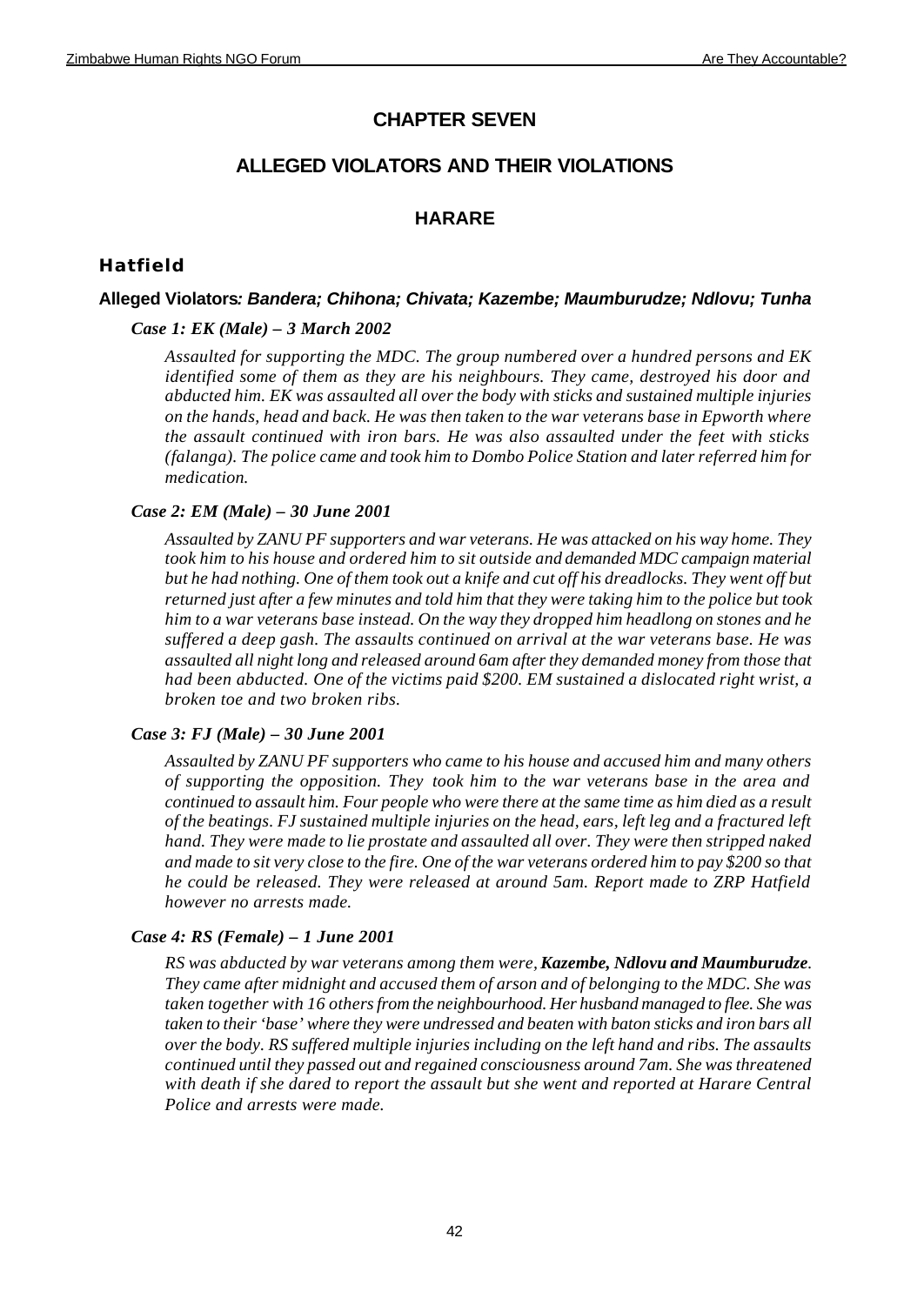# **CHAPTER SEVEN**

# **ALLEGED VIOLATORS AND THEIR VIOLATIONS**

# **HARARE**

# **Hatfield**

## **Alleged Violators***: Bandera; Chihona; Chivata; Kazembe; Maumburudze; Ndlovu; Tunha*

## *Case 1: EK (Male) – 3 March 2002*

*Assaulted for supporting the MDC. The group numbered over a hundred persons and EK identified some of them as they are his neighbours. They came, destroyed his door and abducted him. EK was assaulted all over the body with sticks and sustained multiple injuries on the hands, head and back. He was then taken to the war veterans base in Epworth where the assault continued with iron bars. He was also assaulted under the feet with sticks (falanga). The police came and took him to Dombo Police Station and later referred him for medication.*

## *Case 2: EM (Male) – 30 June 2001*

*Assaulted by ZANU PF supporters and war veterans. He was attacked on his way home. They took him to his house and ordered him to sit outside and demanded MDC campaign material but he had nothing. One of them took out a knife and cut off his dreadlocks. They went off but returned just after a few minutes and told him that they were taking him to the police but took him to a war veterans base instead. On the way they dropped him headlong on stones and he suffered a deep gash. The assaults continued on arrival at the war veterans base. He was assaulted all night long and released around 6am after they demanded money from those that had been abducted. One of the victims paid \$200. EM sustained a dislocated right wrist, a broken toe and two broken ribs.*

## *Case 3: FJ (Male) – 30 June 2001*

*Assaulted by ZANU PF supporters who came to his house and accused him and many others of supporting the opposition. They took him to the war veterans base in the area and continued to assault him. Four people who were there at the same time as him died as a result of the beatings. FJ sustained multiple injuries on the head, ears, left leg and a fractured left hand. They were made to lie prostate and assaulted all over. They were then stripped naked and made to sit very close to the fire. One of the war veterans ordered him to pay \$200 so that he could be released. They were released at around 5am. Report made to ZRP Hatfield however no arrests made.*

## *Case 4: RS (Female) – 1 June 2001*

*RS was abducted by war veterans among them were, Kazembe, Ndlovu and Maumburudze. They came after midnight and accused them of arson and of belonging to the MDC. She was taken together with 16 others from the neighbourhood. Her husband managed to flee. She was taken to their 'base' where they were undressed and beaten with baton sticks and iron bars all over the body. RS suffered multiple injuries including on the left hand and ribs. The assaults continued until they passed out and regained consciousness around 7am. She was threatened with death if she dared to report the assault but she went and reported at Harare Central Police and arrests were made.*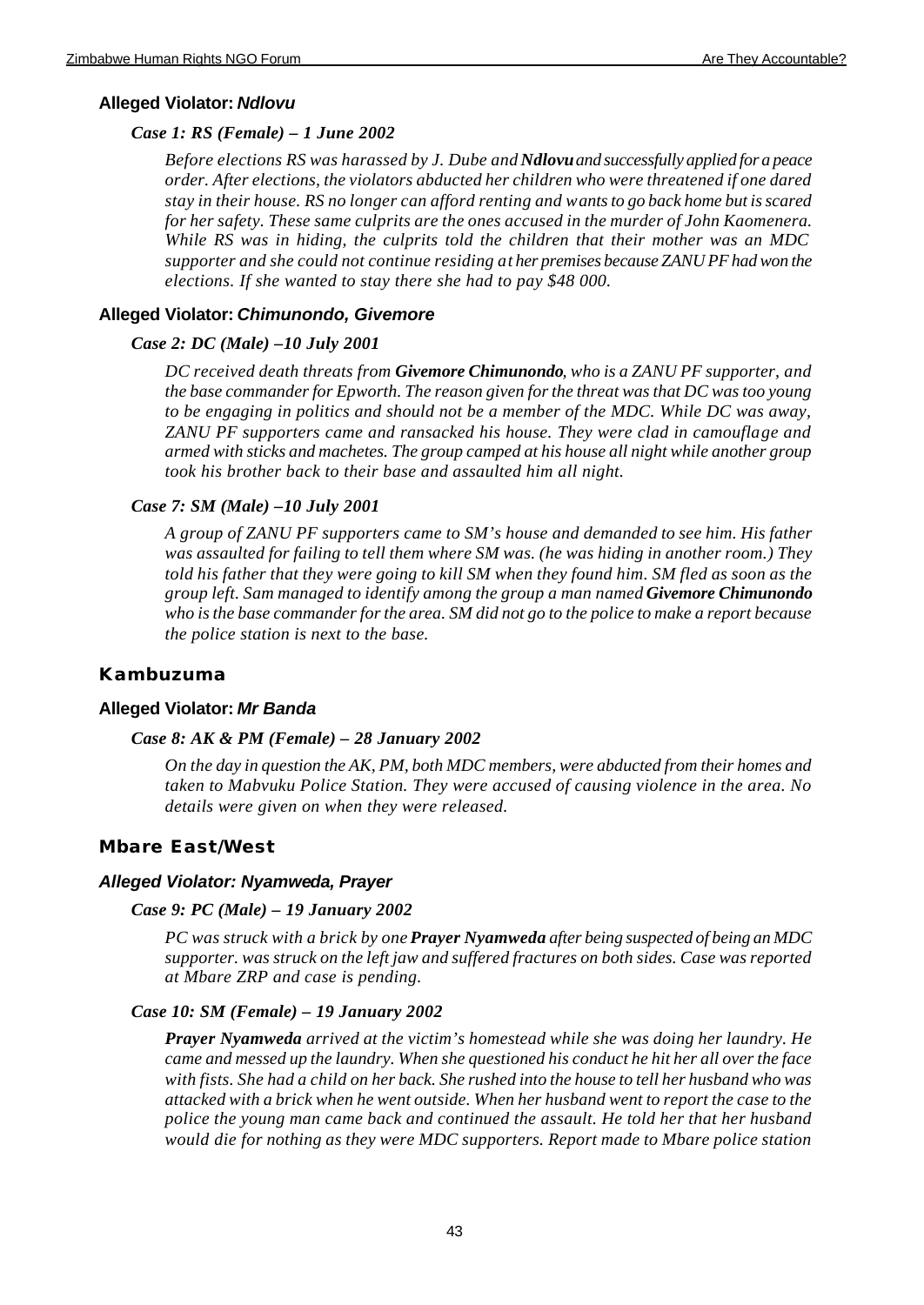### **Alleged Violator:** *Ndlovu*

### *Case 1: RS (Female) – 1 June 2002*

*Before elections RS was harassed by J. Dube and Ndlovu and successfully applied for a peace order. After elections, the violators abducted her children who were threatened if one dared stay in their house. RS no longer can afford renting and wants to go back home but is scared for her safety. These same culprits are the ones accused in the murder of John Kaomenera. While RS was in hiding, the culprits told the children that their mother was an MDC supporter and she could not continue residing at her premises because ZANU PF had won the elections. If she wanted to stay there she had to pay \$48 000.* 

## **Alleged Violator:** *Chimunondo, Givemore*

### *Case 2: DC (Male) –10 July 2001*

*DC received death threats from Givemore Chimunondo, who is a ZANU PF supporter, and the base commander for Epworth. The reason given for the threat was that DC was too young to be engaging in politics and should not be a member of the MDC. While DC was away, ZANU PF supporters came and ransacked his house. They were clad in camouflage and armed with sticks and machetes. The group camped at his house all night while another group took his brother back to their base and assaulted him all night.*

### *Case 7: SM (Male) –10 July 2001*

*A group of ZANU PF supporters came to SM's house and demanded to see him. His father was assaulted for failing to tell them where SM was. (he was hiding in another room.) They told his father that they were going to kill SM when they found him. SM fled as soon as the group left. Sam managed to identify among the group a man named Givemore Chimunondo who is the base commander for the area. SM did not go to the police to make a report because the police station is next to the base.* 

## **Kambuzuma**

### **Alleged Violator:** *Mr Banda*

#### *Case 8: AK & PM (Female) – 28 January 2002*

*On the day in question the AK, PM, both MDC members, were abducted from their homes and taken to Mabvuku Police Station. They were accused of causing violence in the area. No details were given on when they were released.*

### **Mbare East/West**

### *Alleged Violator: Nyamweda, Prayer*

#### *Case 9: PC (Male) – 19 January 2002*

*PC was struck with a brick by one Prayer Nyamweda after being suspected of being an MDC supporter. was struck on the left jaw and suffered fractures on both sides. Case was reported at Mbare ZRP and case is pending.* 

### *Case 10: SM (Female) – 19 January 2002*

*Prayer Nyamweda arrived at the victim's homestead while she was doing her laundry. He came and messed up the laundry. When she questioned his conduct he hit her all over the face with fists. She had a child on her back. She rushed into the house to tell her husband who was attacked with a brick when he went outside. When her husband went to report the case to the police the young man came back and continued the assault. He told her that her husband would die for nothing as they were MDC supporters. Report made to Mbare police station*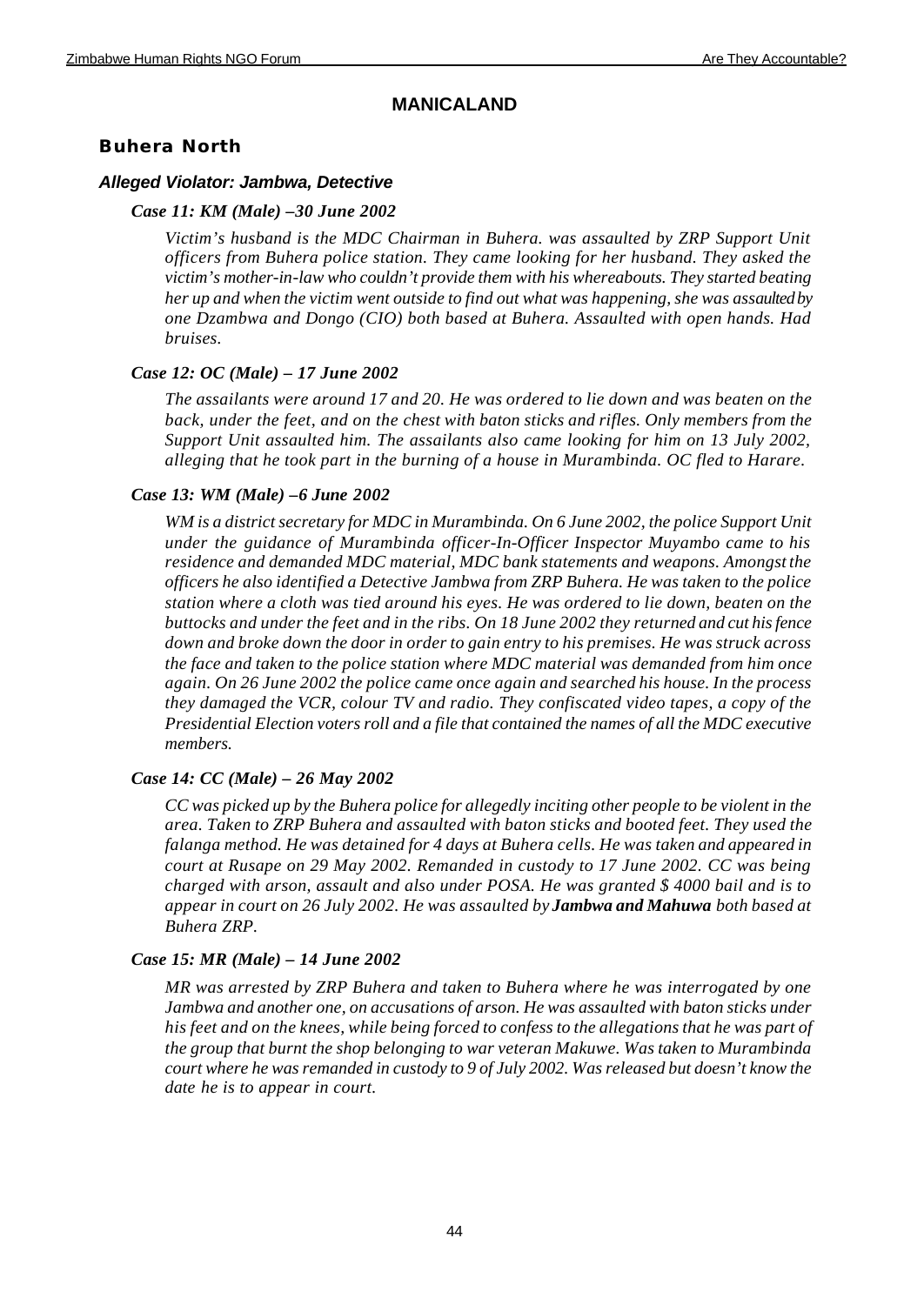## **MANICALAND**

# **Buhera North**

## *Alleged Violator: Jambwa, Detective*

## *Case 11: KM (Male) –30 June 2002*

*Victim's husband is the MDC Chairman in Buhera. was assaulted by ZRP Support Unit officers from Buhera police station. They came looking for her husband. They asked the victim's mother-in-law who couldn't provide them with his whereabouts. They started beating her up and when the victim went outside to find out what was happening, she was assaulted by one Dzambwa and Dongo (CIO) both based at Buhera. Assaulted with open hands. Had bruises.* 

## *Case 12: OC (Male) – 17 June 2002*

*The assailants were around 17 and 20. He was ordered to lie down and was beaten on the back, under the feet, and on the chest with baton sticks and rifles. Only members from the Support Unit assaulted him. The assailants also came looking for him on 13 July 2002, alleging that he took part in the burning of a house in Murambinda. OC fled to Harare.*

## *Case 13: WM (Male) –6 June 2002*

*WM is a district secretary for MDC in Murambinda. On 6 June 2002, the police Support Unit under the guidance of Murambinda officer-In-Officer Inspector Muyambo came to his residence and demanded MDC material, MDC bank statements and weapons. Amongst the officers he also identified a Detective Jambwa from ZRP Buhera. He was taken to the police station where a cloth was tied around his eyes. He was ordered to lie down, beaten on the buttocks and under the feet and in the ribs. On 18 June 2002 they returned and cut his fence down and broke down the door in order to gain entry to his premises. He was struck across the face and taken to the police station where MDC material was demanded from him once again. On 26 June 2002 the police came once again and searched his house. In the process they damaged the VCR, colour TV and radio. They confiscated video tapes, a copy of the Presidential Election voters roll and a file that contained the names of all the MDC executive members.*

## *Case 14: CC (Male) – 26 May 2002*

*CC was picked up by the Buhera police for allegedly inciting other people to be violent in the area. Taken to ZRP Buhera and assaulted with baton sticks and booted feet. They used the falanga method. He was detained for 4 days at Buhera cells. He was taken and appeared in court at Rusape on 29 May 2002. Remanded in custody to 17 June 2002. CC was being charged with arson, assault and also under POSA. He was granted \$ 4000 bail and is to appear in court on 26 July 2002. He was assaulted by Jambwa and Mahuwa both based at Buhera ZRP.*

## *Case 15: MR (Male) – 14 June 2002*

*MR was arrested by ZRP Buhera and taken to Buhera where he was interrogated by one Jambwa and another one, on accusations of arson. He was assaulted with baton sticks under his feet and on the knees, while being forced to confess to the allegations that he was part of the group that burnt the shop belonging to war veteran Makuwe. Was taken to Murambinda court where he was remanded in custody to 9 of July 2002. Was released but doesn't know the date he is to appear in court.*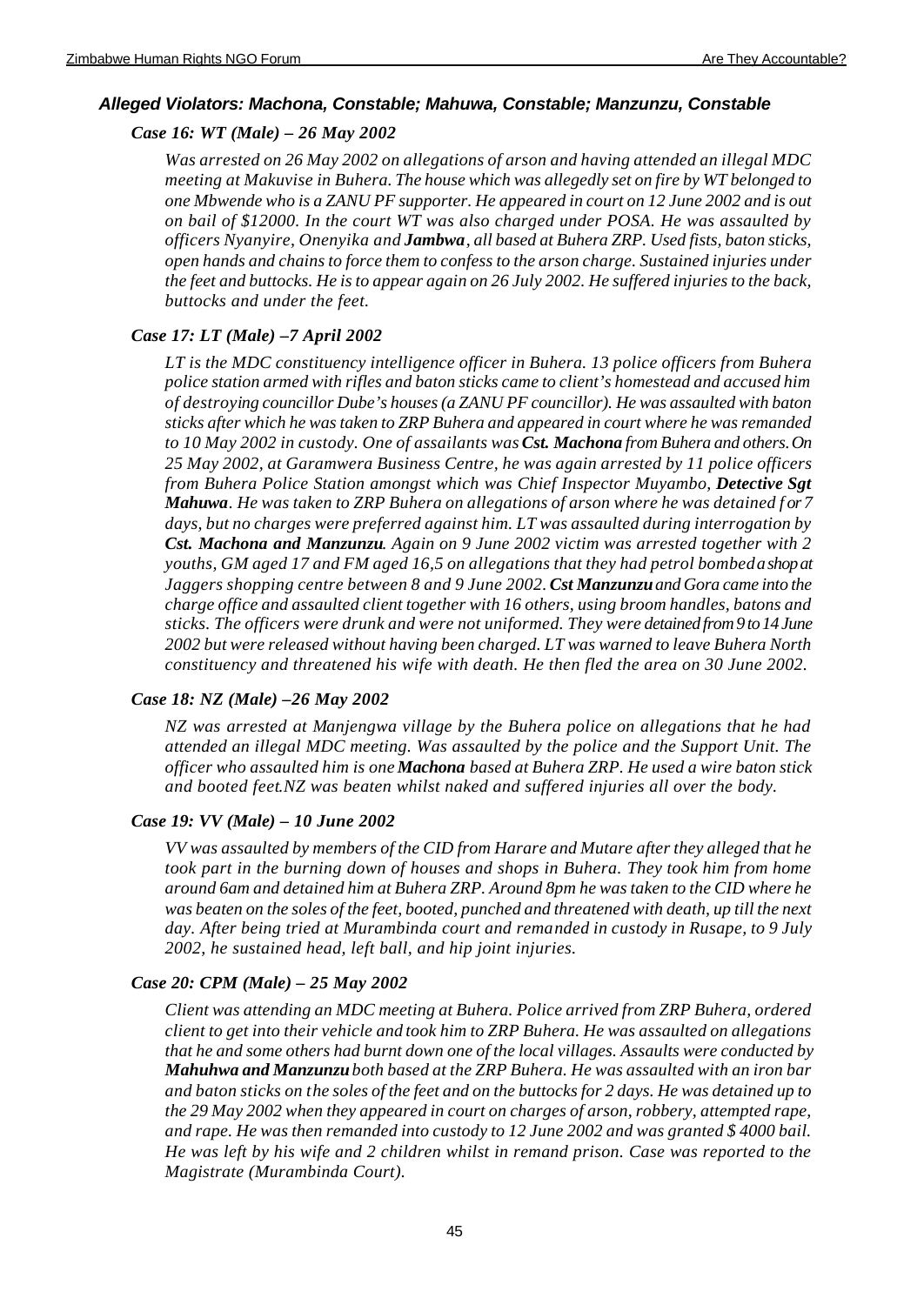## *Alleged Violators: Machona, Constable; Mahuwa, Constable; Manzunzu, Constable*

## *Case 16: WT (Male) – 26 May 2002*

*Was arrested on 26 May 2002 on allegations of arson and having attended an illegal MDC meeting at Makuvise in Buhera. The house which was allegedly set on fire by WT belonged to one Mbwende who is a ZANU PF supporter. He appeared in court on 12 June 2002 and is out on bail of \$12000. In the court WT was also charged under POSA. He was assaulted by officers Nyanyire, Onenyika and Jambwa, all based at Buhera ZRP. Used fists, baton sticks, open hands and chains to force them to confess to the arson charge. Sustained injuries under the feet and buttocks. He is to appear again on 26 July 2002. He suffered injuries to the back, buttocks and under the feet.*

## *Case 17: LT (Male) –7 April 2002*

*LT is the MDC constituency intelligence officer in Buhera. 13 police officers from Buhera police station armed with rifles and baton sticks came to client's homestead and accused him of destroying councillor Dube's houses (a ZANU PF councillor). He was assaulted with baton sticks after which he was taken to ZRP Buhera and appeared in court where he was remanded to 10 May 2002 in custody. One of assailants was Cst. Machona from Buhera and others. On 25 May 2002, at Garamwera Business Centre, he was again arrested by 11 police officers from Buhera Police Station amongst which was Chief Inspector Muyambo, Detective Sgt Mahuwa. He was taken to ZRP Buhera on allegations of arson where he was detained f or 7 days, but no charges were preferred against him. LT was assaulted during interrogation by Cst. Machona and Manzunzu. Again on 9 June 2002 victim was arrested together with 2 youths, GM aged 17 and FM aged 16,5 on allegations that they had petrol bombed a shop at Jaggers shopping centre between 8 and 9 June 2002. Cst Manzunzu and Gora came into the charge office and assaulted client together with 16 others, using broom handles, batons and sticks. The officers were drunk and were not uniformed. They were detained from 9 to 14 June 2002 but were released without having been charged. LT was warned to leave Buhera North constituency and threatened his wife with death. He then fled the area on 30 June 2002.*

## *Case 18: NZ (Male) –26 May 2002*

*NZ was arrested at Manjengwa village by the Buhera police on allegations that he had attended an illegal MDC meeting. Was assaulted by the police and the Support Unit. The officer who assaulted him is one Machona based at Buhera ZRP. He used a wire baton stick and booted feet.NZ was beaten whilst naked and suffered injuries all over the body.*

### *Case 19: VV (Male) – 10 June 2002*

*VV was assaulted by members of the CID from Harare and Mutare after they alleged that he took part in the burning down of houses and shops in Buhera. They took him from home around 6am and detained him at Buhera ZRP. Around 8pm he was taken to the CID where he was beaten on the soles of the feet, booted, punched and threatened with death, up till the next day. After being tried at Murambinda court and remanded in custody in Rusape, to 9 July 2002, he sustained head, left ball, and hip joint injuries.* 

## *Case 20: CPM (Male) – 25 May 2002*

*Client was attending an MDC meeting at Buhera. Police arrived from ZRP Buhera, ordered client to get into their vehicle and took him to ZRP Buhera. He was assaulted on allegations that he and some others had burnt down one of the local villages. Assaults were conducted by Mahuhwa and Manzunzu both based at the ZRP Buhera. He was assaulted with an iron bar and baton sticks on the soles of the feet and on the buttocks for 2 days. He was detained up to the 29 May 2002 when they appeared in court on charges of arson, robbery, attempted rape, and rape. He was then remanded into custody to 12 June 2002 and was granted \$ 4000 bail. He was left by his wife and 2 children whilst in remand prison. Case was reported to the Magistrate (Murambinda Court).*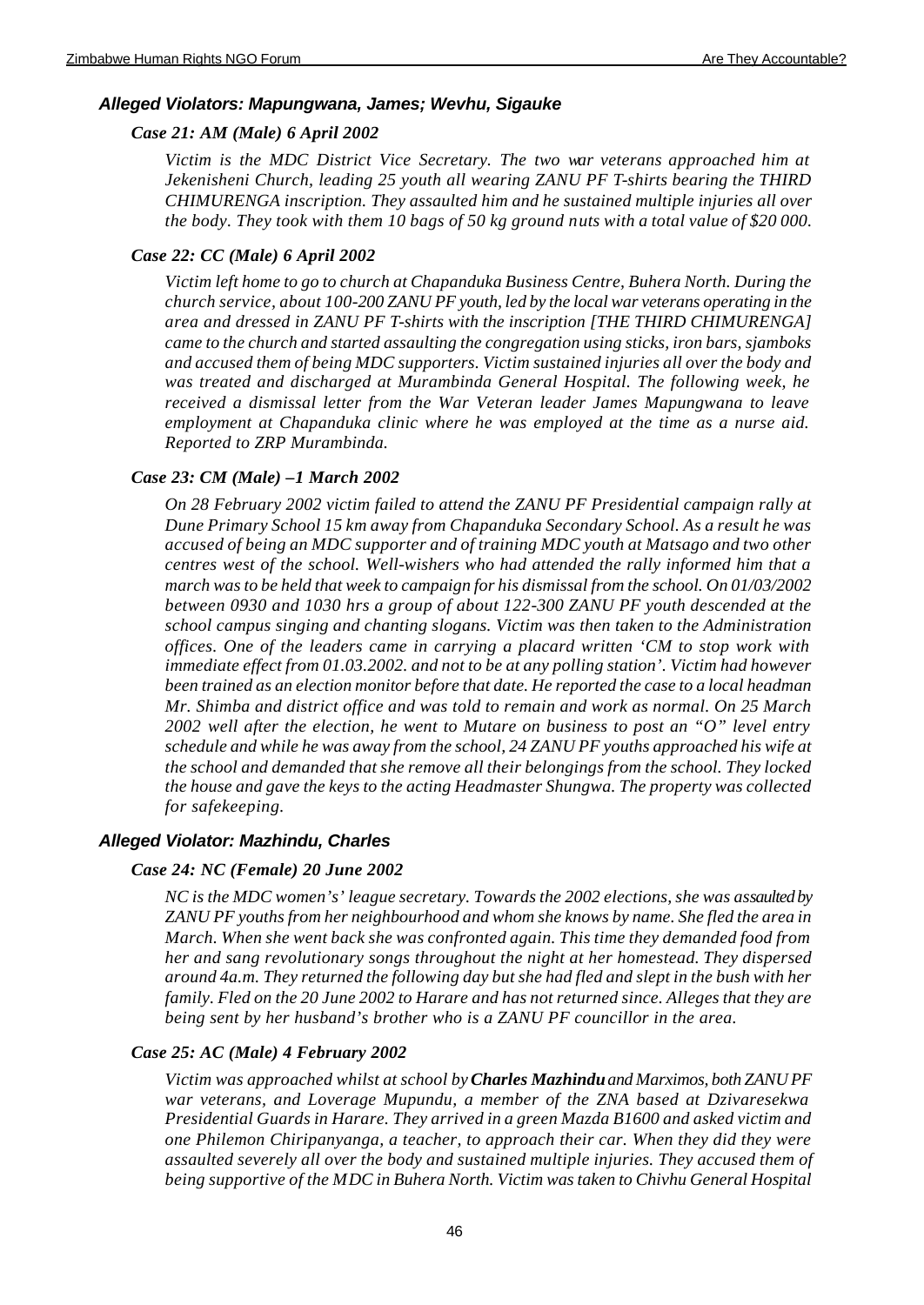## *Alleged Violators: Mapungwana, James; Wevhu, Sigauke*

## *Case 21: AM (Male) 6 April 2002*

*Victim is the MDC District Vice Secretary. The two war veterans approached him at Jekenisheni Church, leading 25 youth all wearing ZANU PF T-shirts bearing the THIRD CHIMURENGA inscription. They assaulted him and he sustained multiple injuries all over the body. They took with them 10 bags of 50 kg ground nuts with a total value of \$20 000.* 

## *Case 22: CC (Male) 6 April 2002*

*Victim left home to go to church at Chapanduka Business Centre, Buhera North. During the church service, about 100-200 ZANU PF youth, led by the local war veterans operating in the area and dressed in ZANU PF T-shirts with the inscription [THE THIRD CHIMURENGA] came to the church and started assaulting the congregation using sticks, iron bars, sjamboks and accused them of being MDC supporters. Victim sustained injuries all over the body and was treated and discharged at Murambinda General Hospital. The following week, he received a dismissal letter from the War Veteran leader James Mapungwana to leave employment at Chapanduka clinic where he was employed at the time as a nurse aid. Reported to ZRP Murambinda.*

## *Case 23: CM (Male) –1 March 2002*

*On 28 February 2002 victim failed to attend the ZANU PF Presidential campaign rally at Dune Primary School 15 km away from Chapanduka Secondary School. As a result he was accused of being an MDC supporter and of training MDC youth at Matsago and two other centres west of the school. Well-wishers who had attended the rally informed him that a march was to be held that week to campaign for his dismissal from the school. On 01/03/2002 between 0930 and 1030 hrs a group of about 122-300 ZANU PF youth descended at the school campus singing and chanting slogans. Victim was then taken to the Administration offices. One of the leaders came in carrying a placard written 'CM to stop work with immediate effect from 01.03.2002. and not to be at any polling station'. Victim had however been trained as an election monitor before that date. He reported the case to a local headman Mr. Shimba and district office and was told to remain and work as normal. On 25 March 2002 well after the election, he went to Mutare on business to post an "O" level entry schedule and while he was away from the school, 24 ZANU PF youths approached his wife at the school and demanded that she remove all their belongings from the school. They locked the house and gave the keys to the acting Headmaster Shungwa. The property was collected for safekeeping.*

## *Alleged Violator: Mazhindu, Charles*

### *Case 24: NC (Female) 20 June 2002*

*NC is the MDC women's' league secretary. Towards the 2002 elections, she was assaulted by ZANU PF youths from her neighbourhood and whom she knows by name. She fled the area in March. When she went back she was confronted again. This time they demanded food from her and sang revolutionary songs throughout the night at her homestead. They dispersed around 4a.m. They returned the following day but she had fled and slept in the bush with her family. Fled on the 20 June 2002 to Harare and has not returned since. Alleges that they are being sent by her husband's brother who is a ZANU PF councillor in the area.* 

## *Case 25: AC (Male) 4 February 2002*

*Victim was approached whilst at school by Charles Mazhindu and Marximos, both ZANU PF war veterans, and Loverage Mupundu, a member of the ZNA based at Dzivaresekwa Presidential Guards in Harare. They arrived in a green Mazda B1600 and asked victim and one Philemon Chiripanyanga, a teacher, to approach their car. When they did they were assaulted severely all over the body and sustained multiple injuries. They accused them of being supportive of the MDC in Buhera North. Victim was taken to Chivhu General Hospital*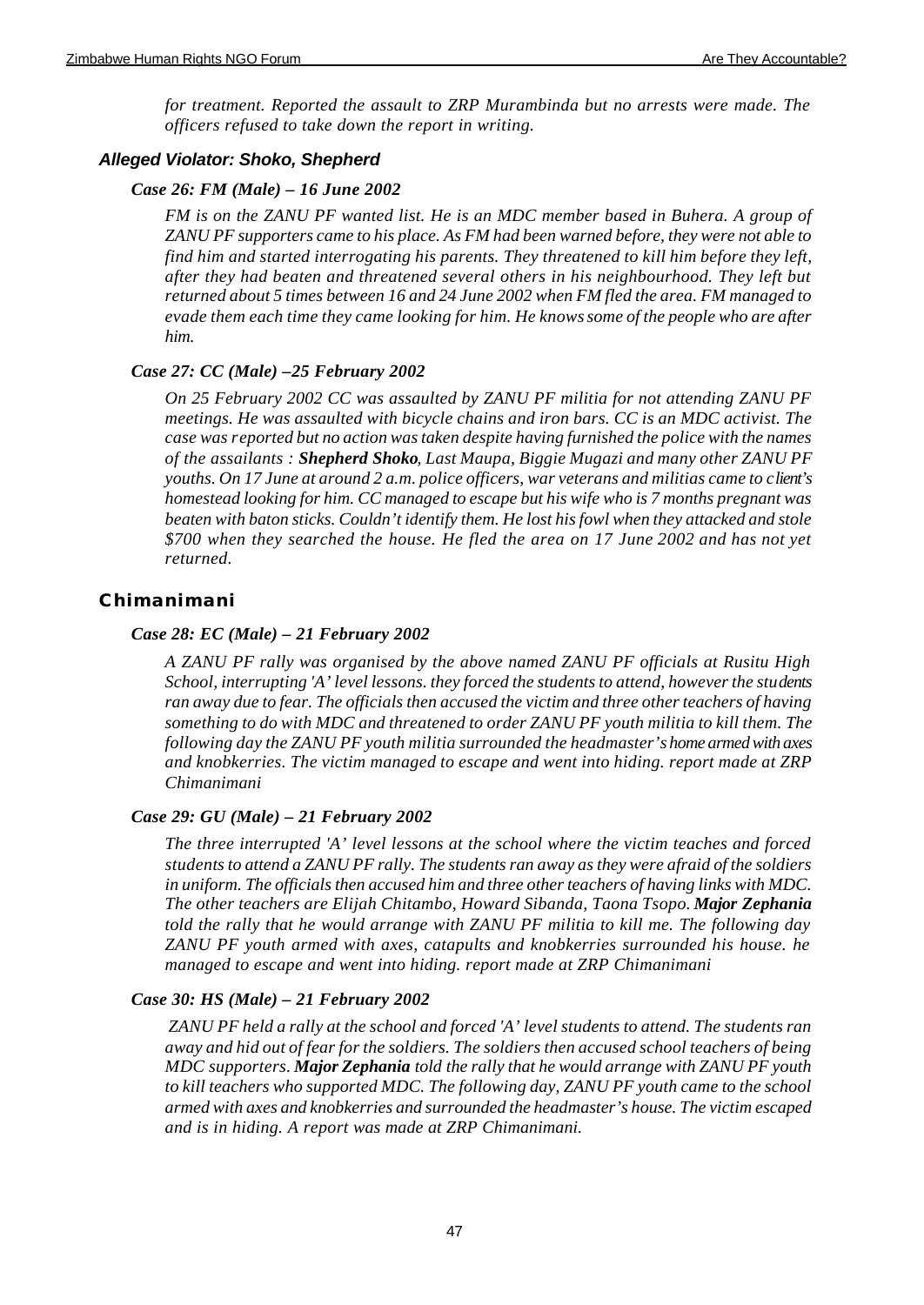*for treatment. Reported the assault to ZRP Murambinda but no arrests were made. The officers refused to take down the report in writing.*

#### *Alleged Violator: Shoko, Shepherd*

#### *Case 26: FM (Male) – 16 June 2002*

*FM is on the ZANU PF wanted list. He is an MDC member based in Buhera. A group of ZANU PF supporters came to his place. As FM had been warned before, they were not able to find him and started interrogating his parents. They threatened to kill him before they left, after they had beaten and threatened several others in his neighbourhood. They left but returned about 5 times between 16 and 24 June 2002 when FM fled the area. FM managed to evade them each time they came looking for him. He knows some of the people who are after him.*

#### *Case 27: CC (Male) –25 February 2002*

*On 25 February 2002 CC was assaulted by ZANU PF militia for not attending ZANU PF meetings. He was assaulted with bicycle chains and iron bars. CC is an MDC activist. The case was reported but no action was taken despite having furnished the police with the names of the assailants : Shepherd Shoko, Last Maupa, Biggie Mugazi and many other ZANU PF youths. On 17 June at around 2 a.m. police officers, war veterans and militias came to client's homestead looking for him. CC managed to escape but his wife who is 7 months pregnant was beaten with baton sticks. Couldn't identify them. He lost his fowl when they attacked and stole \$700 when they searched the house. He fled the area on 17 June 2002 and has not yet returned.* 

### **Chimanimani**

#### *Case 28: EC (Male) – 21 February 2002*

*A ZANU PF rally was organised by the above named ZANU PF officials at Rusitu High School, interrupting 'A' level lessons. they forced the students to attend, however the students ran away due to fear. The officials then accused the victim and three other teachers of having something to do with MDC and threatened to order ZANU PF youth militia to kill them. The following day the ZANU PF youth militia surrounded the headmaster's home armed with axes and knobkerries. The victim managed to escape and went into hiding. report made at ZRP Chimanimani*

#### *Case 29: GU (Male) – 21 February 2002*

*The three interrupted 'A' level lessons at the school where the victim teaches and forced students to attend a ZANU PF rally. The students ran away as they were afraid of the soldiers in uniform. The officials then accused him and three other teachers of having links with MDC. The other teachers are Elijah Chitambo, Howard Sibanda, Taona Tsopo. Major Zephania told the rally that he would arrange with ZANU PF militia to kill me. The following day ZANU PF youth armed with axes, catapults and knobkerries surrounded his house. he managed to escape and went into hiding. report made at ZRP Chimanimani*

#### *Case 30: HS (Male) – 21 February 2002*

 *ZANU PF held a rally at the school and forced 'A' level students to attend. The students ran away and hid out of fear for the soldiers. The soldiers then accused school teachers of being MDC supporters. Major Zephania told the rally that he would arrange with ZANU PF youth to kill teachers who supported MDC. The following day, ZANU PF youth came to the school armed with axes and knobkerries and surrounded the headmaster's house. The victim escaped and is in hiding. A report was made at ZRP Chimanimani.*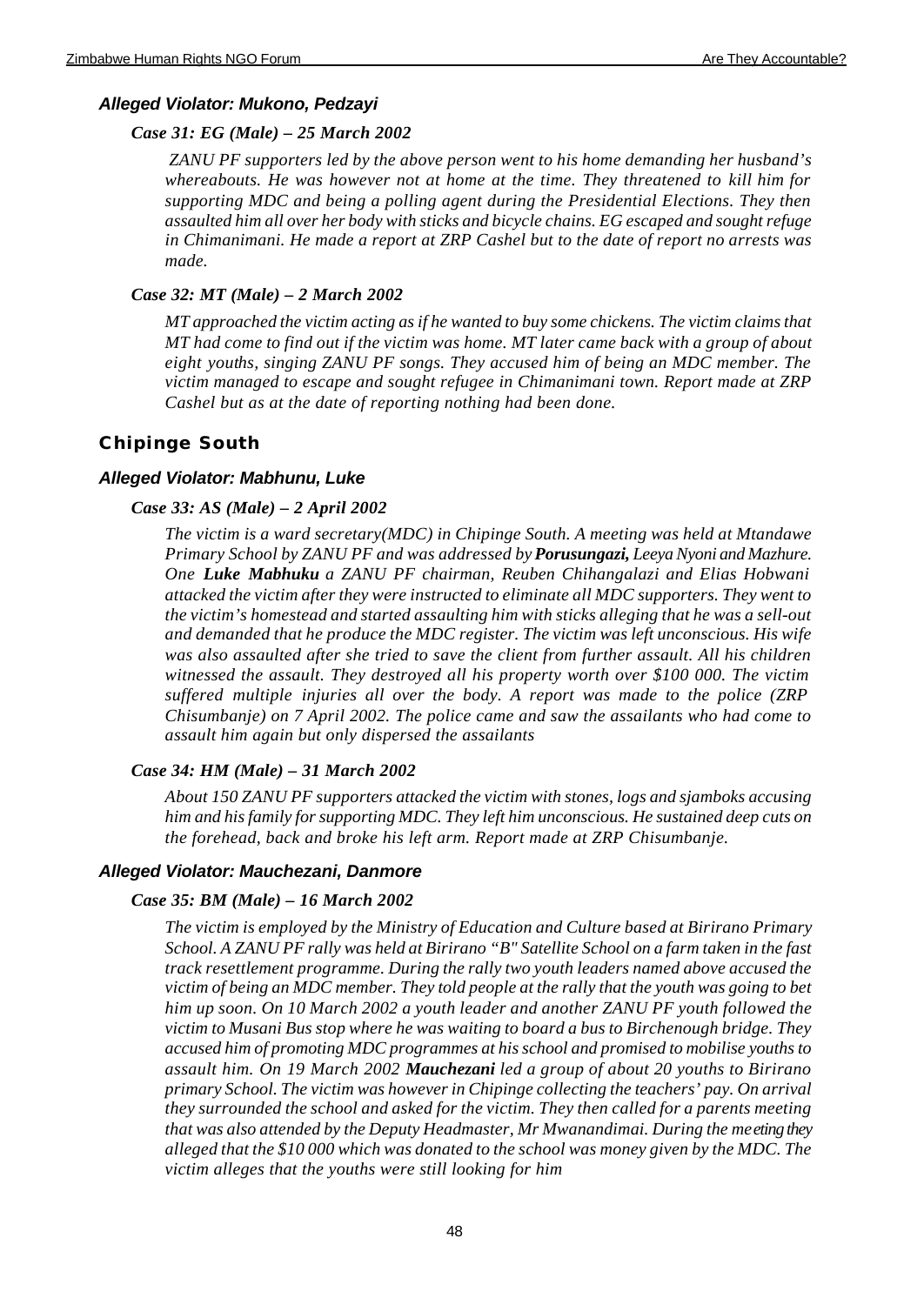## *Alleged Violator: Mukono, Pedzayi*

## *Case 31: EG (Male) – 25 March 2002*

 *ZANU PF supporters led by the above person went to his home demanding her husband's whereabouts. He was however not at home at the time. They threatened to kill him for supporting MDC and being a polling agent during the Presidential Elections. They then assaulted him all over her body with sticks and bicycle chains. EG escaped and sought refuge in Chimanimani. He made a report at ZRP Cashel but to the date of report no arrests was made.*

## *Case 32: MT (Male) – 2 March 2002*

*MT approached the victim acting as if he wanted to buy some chickens. The victim claims that MT had come to find out if the victim was home. MT later came back with a group of about eight youths, singing ZANU PF songs. They accused him of being an MDC member. The victim managed to escape and sought refugee in Chimanimani town. Report made at ZRP Cashel but as at the date of reporting nothing had been done.*

## **Chipinge South**

## *Alleged Violator: Mabhunu, Luke*

## *Case 33: AS (Male) – 2 April 2002*

*The victim is a ward secretary(MDC) in Chipinge South. A meeting was held at Mtandawe Primary School by ZANU PF and was addressed by Porusungazi, Leeya Nyoni and Mazhure. One Luke Mabhuku a ZANU PF chairman, Reuben Chihangalazi and Elias Hobwani attacked the victim after they were instructed to eliminate all MDC supporters. They went to the victim's homestead and started assaulting him with sticks alleging that he was a sell-out and demanded that he produce the MDC register. The victim was left unconscious. His wife was also assaulted after she tried to save the client from further assault. All his children witnessed the assault. They destroyed all his property worth over \$100 000. The victim suffered multiple injuries all over the body. A report was made to the police (ZRP Chisumbanje) on 7 April 2002. The police came and saw the assailants who had come to assault him again but only dispersed the assailants*

## *Case 34: HM (Male) – 31 March 2002*

*About 150 ZANU PF supporters attacked the victim with stones, logs and sjamboks accusing him and his family for supporting MDC. They left him unconscious. He sustained deep cuts on the forehead, back and broke his left arm. Report made at ZRP Chisumbanje.*

### *Alleged Violator: Mauchezani, Danmore*

### *Case 35: BM (Male) – 16 March 2002*

*The victim is employed by the Ministry of Education and Culture based at Birirano Primary School. A ZANU PF rally was held at Birirano "B" Satellite School on a farm taken in the fast track resettlement programme. During the rally two youth leaders named above accused the victim of being an MDC member. They told people at the rally that the youth was going to bet him up soon. On 10 March 2002 a youth leader and another ZANU PF youth followed the victim to Musani Bus stop where he was waiting to board a bus to Birchenough bridge. They accused him of promoting MDC programmes at his school and promised to mobilise youths to assault him. On 19 March 2002 Mauchezani led a group of about 20 youths to Birirano primary School. The victim was however in Chipinge collecting the teachers' pay. On arrival they surrounded the school and asked for the victim. They then called for a parents meeting that was also attended by the Deputy Headmaster, Mr Mwanandimai. During the meeting they alleged that the \$10 000 which was donated to the school was money given by the MDC. The victim alleges that the youths were still looking for him*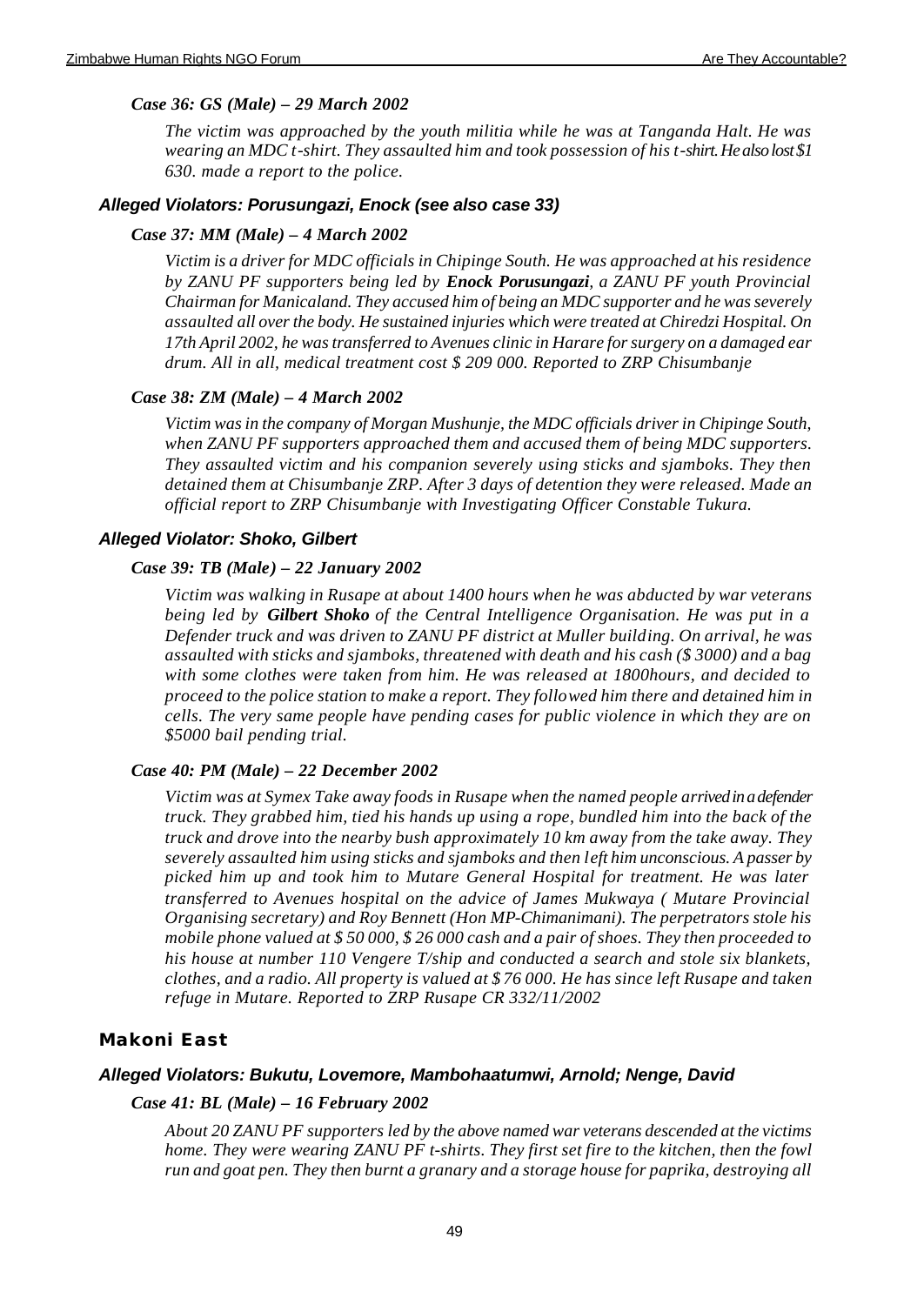#### *Case 36: GS (Male) – 29 March 2002*

*The victim was approached by the youth militia while he was at Tanganda Halt. He was wearing an MDC t-shirt. They assaulted him and took possession of his t-shirt. He also lost \$1 630. made a report to the police.*

#### *Alleged Violators: Porusungazi, Enock (see also case 33)*

#### *Case 37: MM (Male) – 4 March 2002*

*Victim is a driver for MDC officials in Chipinge South. He was approached at his residence by ZANU PF supporters being led by Enock Porusungazi, a ZANU PF youth Provincial Chairman for Manicaland. They accused him of being an MDC supporter and he was severely assaulted all over the body. He sustained injuries which were treated at Chiredzi Hospital. On 17th April 2002, he was transferred to Avenues clinic in Harare for surgery on a damaged ear drum. All in all, medical treatment cost \$ 209 000. Reported to ZRP Chisumbanje*

#### *Case 38: ZM (Male) – 4 March 2002*

*Victim was in the company of Morgan Mushunje, the MDC officials driver in Chipinge South, when ZANU PF supporters approached them and accused them of being MDC supporters. They assaulted victim and his companion severely using sticks and sjamboks. They then detained them at Chisumbanje ZRP. After 3 days of detention they were released. Made an official report to ZRP Chisumbanje with Investigating Officer Constable Tukura.*

#### *Alleged Violator: Shoko, Gilbert*

#### *Case 39: TB (Male) – 22 January 2002*

*Victim was walking in Rusape at about 1400 hours when he was abducted by war veterans being led by Gilbert Shoko of the Central Intelligence Organisation. He was put in a Defender truck and was driven to ZANU PF district at Muller building. On arrival, he was assaulted with sticks and sjamboks, threatened with death and his cash (\$ 3000) and a bag with some clothes were taken from him. He was released at 1800hours, and decided to proceed to the police station to make a report. They followed him there and detained him in cells. The very same people have pending cases for public violence in which they are on \$5000 bail pending trial.*

#### *Case 40: PM (Male) – 22 December 2002*

*Victim was at Symex Take away foods in Rusape when the named people arrived in a defender truck. They grabbed him, tied his hands up using a rope, bundled him into the back of the truck and drove into the nearby bush approximately 10 km away from the take away. They severely assaulted him using sticks and sjamboks and then left him unconscious. A passer by picked him up and took him to Mutare General Hospital for treatment. He was later transferred to Avenues hospital on the advice of James Mukwaya ( Mutare Provincial Organising secretary) and Roy Bennett (Hon MP-Chimanimani). The perpetrators stole his mobile phone valued at \$ 50 000, \$ 26 000 cash and a pair of shoes. They then proceeded to his house at number 110 Vengere T/ship and conducted a search and stole six blankets, clothes, and a radio. All property is valued at \$ 76 000. He has since left Rusape and taken refuge in Mutare. Reported to ZRP Rusape CR 332/11/2002*

#### **Makoni East**

#### *Alleged Violators: Bukutu, Lovemore, Mambohaatumwi, Arnold; Nenge, David*

#### *Case 41: BL (Male) – 16 February 2002*

*About 20 ZANU PF supporters led by the above named war veterans descended at the victims home. They were wearing ZANU PF t-shirts. They first set fire to the kitchen, then the fowl run and goat pen. They then burnt a granary and a storage house for paprika, destroying all*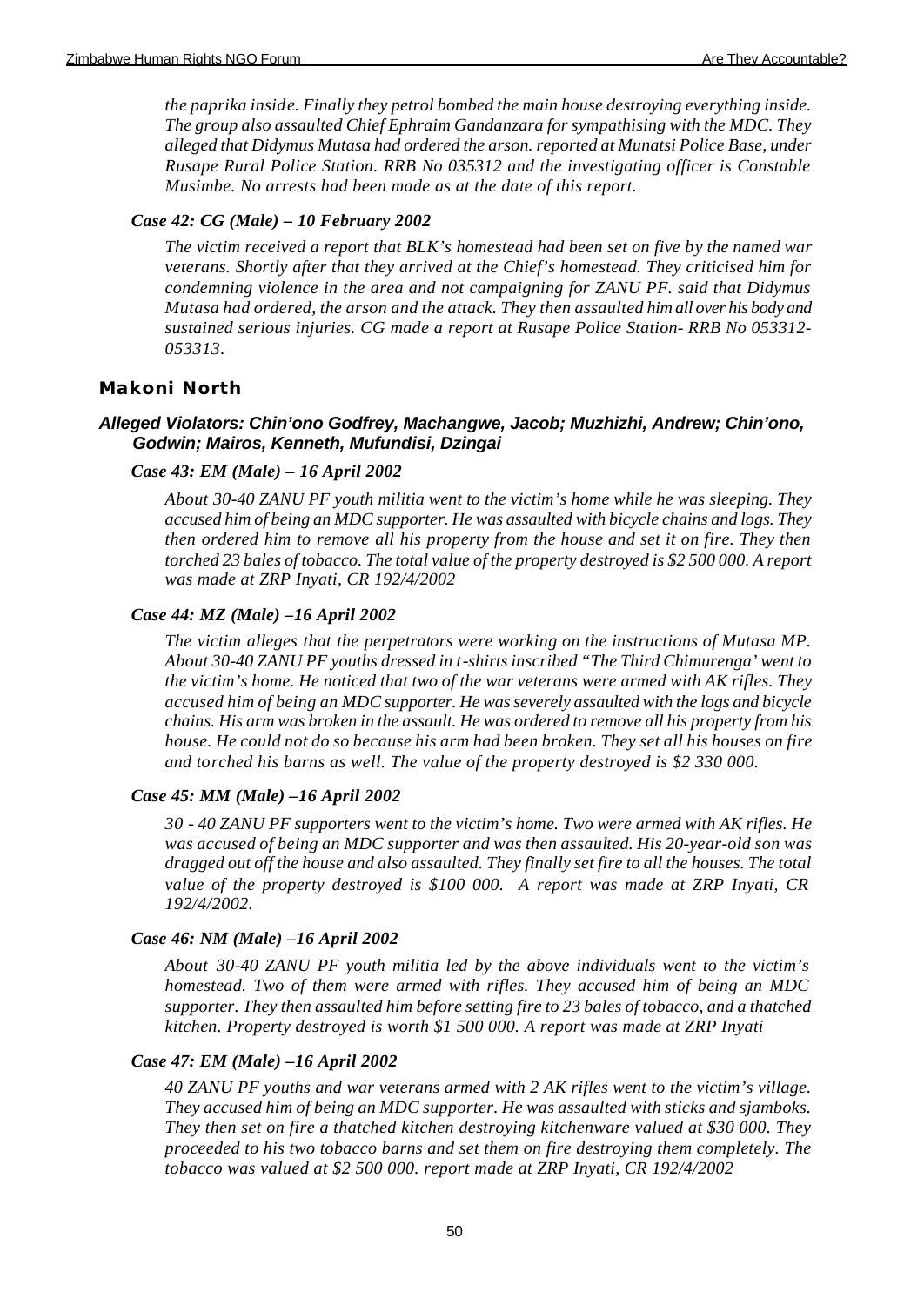*the paprika inside. Finally they petrol bombed the main house destroying everything inside. The group also assaulted Chief Ephraim Gandanzara for sympathising with the MDC. They alleged that Didymus Mutasa had ordered the arson. reported at Munatsi Police Base, under Rusape Rural Police Station. RRB No 035312 and the investigating officer is Constable Musimbe. No arrests had been made as at the date of this report.*

### *Case 42: CG (Male) – 10 February 2002*

*The victim received a report that BLK's homestead had been set on five by the named war veterans. Shortly after that they arrived at the Chief's homestead. They criticised him for condemning violence in the area and not campaigning for ZANU PF. said that Didymus Mutasa had ordered, the arson and the attack. They then assaulted him all over his body and sustained serious injuries. CG made a report at Rusape Police Station- RRB No 053312- 053313.* 

### **Makoni North**

### *Alleged Violators: Chin'ono Godfrey, Machangwe, Jacob; Muzhizhi, Andrew; Chin'ono, Godwin; Mairos, Kenneth, Mufundisi, Dzingai*

#### *Case 43: EM (Male) – 16 April 2002*

*About 30-40 ZANU PF youth militia went to the victim's home while he was sleeping. They accused him of being an MDC supporter. He was assaulted with bicycle chains and logs. They then ordered him to remove all his property from the house and set it on fire. They then torched 23 bales of tobacco. The total value of the property destroyed is \$2 500 000. A report was made at ZRP Inyati, CR 192/4/2002*

#### *Case 44: MZ (Male) –16 April 2002*

*The victim alleges that the perpetrators were working on the instructions of Mutasa MP. About 30-40 ZANU PF youths dressed in t-shirts inscribed "The Third Chimurenga' went to the victim's home. He noticed that two of the war veterans were armed with AK rifles. They accused him of being an MDC supporter. He was severely assaulted with the logs and bicycle chains. His arm was broken in the assault. He was ordered to remove all his property from his house. He could not do so because his arm had been broken. They set all his houses on fire and torched his barns as well. The value of the property destroyed is \$2 330 000.* 

#### *Case 45: MM (Male) –16 April 2002*

*30 - 40 ZANU PF supporters went to the victim's home. Two were armed with AK rifles. He was accused of being an MDC supporter and was then assaulted. His 20-year-old son was dragged out off the house and also assaulted. They finally set fire to all the houses. The total value of the property destroyed is \$100 000. A report was made at ZRP Inyati, CR 192/4/2002.*

#### *Case 46: NM (Male) –16 April 2002*

*About 30-40 ZANU PF youth militia led by the above individuals went to the victim's homestead. Two of them were armed with rifles. They accused him of being an MDC supporter. They then assaulted him before setting fire to 23 bales of tobacco, and a thatched kitchen. Property destroyed is worth \$1 500 000. A report was made at ZRP Inyati*

#### *Case 47: EM (Male) –16 April 2002*

*40 ZANU PF youths and war veterans armed with 2 AK rifles went to the victim's village. They accused him of being an MDC supporter. He was assaulted with sticks and sjamboks. They then set on fire a thatched kitchen destroying kitchenware valued at \$30 000. They proceeded to his two tobacco barns and set them on fire destroying them completely. The tobacco was valued at \$2 500 000. report made at ZRP Inyati, CR 192/4/2002*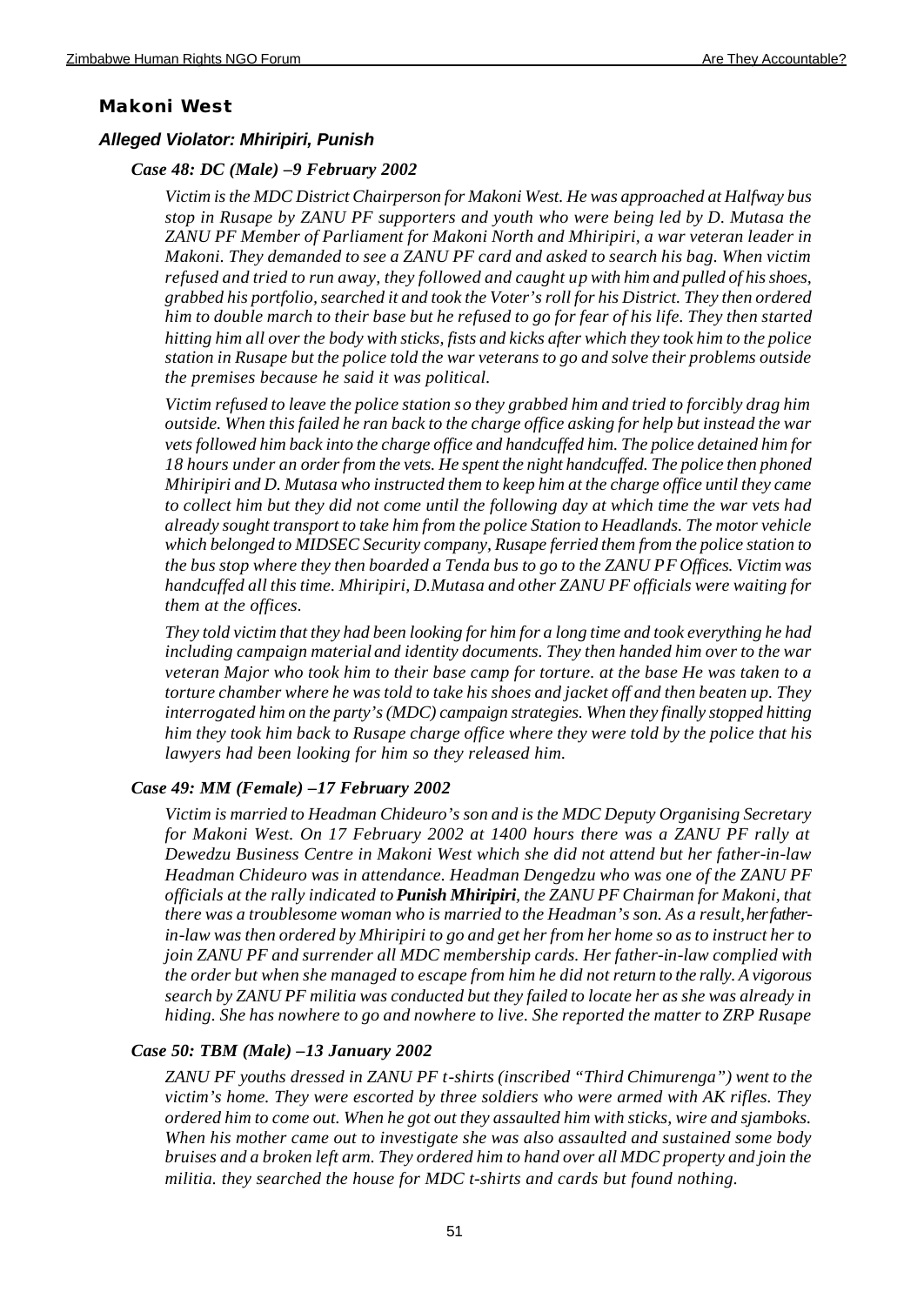### **Makoni West**

#### *Alleged Violator: Mhiripiri, Punish*

#### *Case 48: DC (Male) –9 February 2002*

*Victim is the MDC District Chairperson for Makoni West. He was approached at Halfway bus stop in Rusape by ZANU PF supporters and youth who were being led by D. Mutasa the ZANU PF Member of Parliament for Makoni North and Mhiripiri, a war veteran leader in Makoni. They demanded to see a ZANU PF card and asked to search his bag. When victim refused and tried to run away, they followed and caught up with him and pulled of his shoes, grabbed his portfolio, searched it and took the Voter's roll for his District. They then ordered him to double march to their base but he refused to go for fear of his life. They then started hitting him all over the body with sticks, fists and kicks after which they took him to the police station in Rusape but the police told the war veterans to go and solve their problems outside the premises because he said it was political.*

*Victim refused to leave the police station so they grabbed him and tried to forcibly drag him outside. When this failed he ran back to the charge office asking for help but instead the war vets followed him back into the charge office and handcuffed him. The police detained him for 18 hours under an order from the vets. He spent the night handcuffed. The police then phoned Mhiripiri and D. Mutasa who instructed them to keep him at the charge office until they came to collect him but they did not come until the following day at which time the war vets had already sought transport to take him from the police Station to Headlands. The motor vehicle which belonged to MIDSEC Security company, Rusape ferried them from the police station to the bus stop where they then boarded a Tenda bus to go to the ZANU PF Offices. Victim was handcuffed all this time. Mhiripiri, D.Mutasa and other ZANU PF officials were waiting for them at the offices.*

*They told victim that they had been looking for him for a long time and took everything he had including campaign material and identity documents. They then handed him over to the war veteran Major who took him to their base camp for torture. at the base He was taken to a torture chamber where he was told to take his shoes and jacket off and then beaten up. They interrogated him on the party's (MDC) campaign strategies. When they finally stopped hitting him they took him back to Rusape charge office where they were told by the police that his lawyers had been looking for him so they released him.*

#### *Case 49: MM (Female) –17 February 2002*

*Victim is married to Headman Chideuro's son and is the MDC Deputy Organising Secretary for Makoni West. On 17 February 2002 at 1400 hours there was a ZANU PF rally at Dewedzu Business Centre in Makoni West which she did not attend but her father-in-law Headman Chideuro was in attendance. Headman Dengedzu who was one of the ZANU PF officials at the rally indicated to Punish Mhiripiri, the ZANU PF Chairman for Makoni, that there was a troublesome woman who is married to the Headman's son. As a result, her fatherin-law was then ordered by Mhiripiri to go and get her from her home so as to instruct her to join ZANU PF and surrender all MDC membership cards. Her father-in-law complied with the order but when she managed to escape from him he did not return to the rally. A vigorous search by ZANU PF militia was conducted but they failed to locate her as she was already in hiding. She has nowhere to go and nowhere to live. She reported the matter to ZRP Rusape*

#### *Case 50: TBM (Male) –13 January 2002*

*ZANU PF youths dressed in ZANU PF t-shirts (inscribed "Third Chimurenga") went to the victim's home. They were escorted by three soldiers who were armed with AK rifles. They ordered him to come out. When he got out they assaulted him with sticks, wire and sjamboks. When his mother came out to investigate she was also assaulted and sustained some body bruises and a broken left arm. They ordered him to hand over all MDC property and join the militia. they searched the house for MDC t-shirts and cards but found nothing.*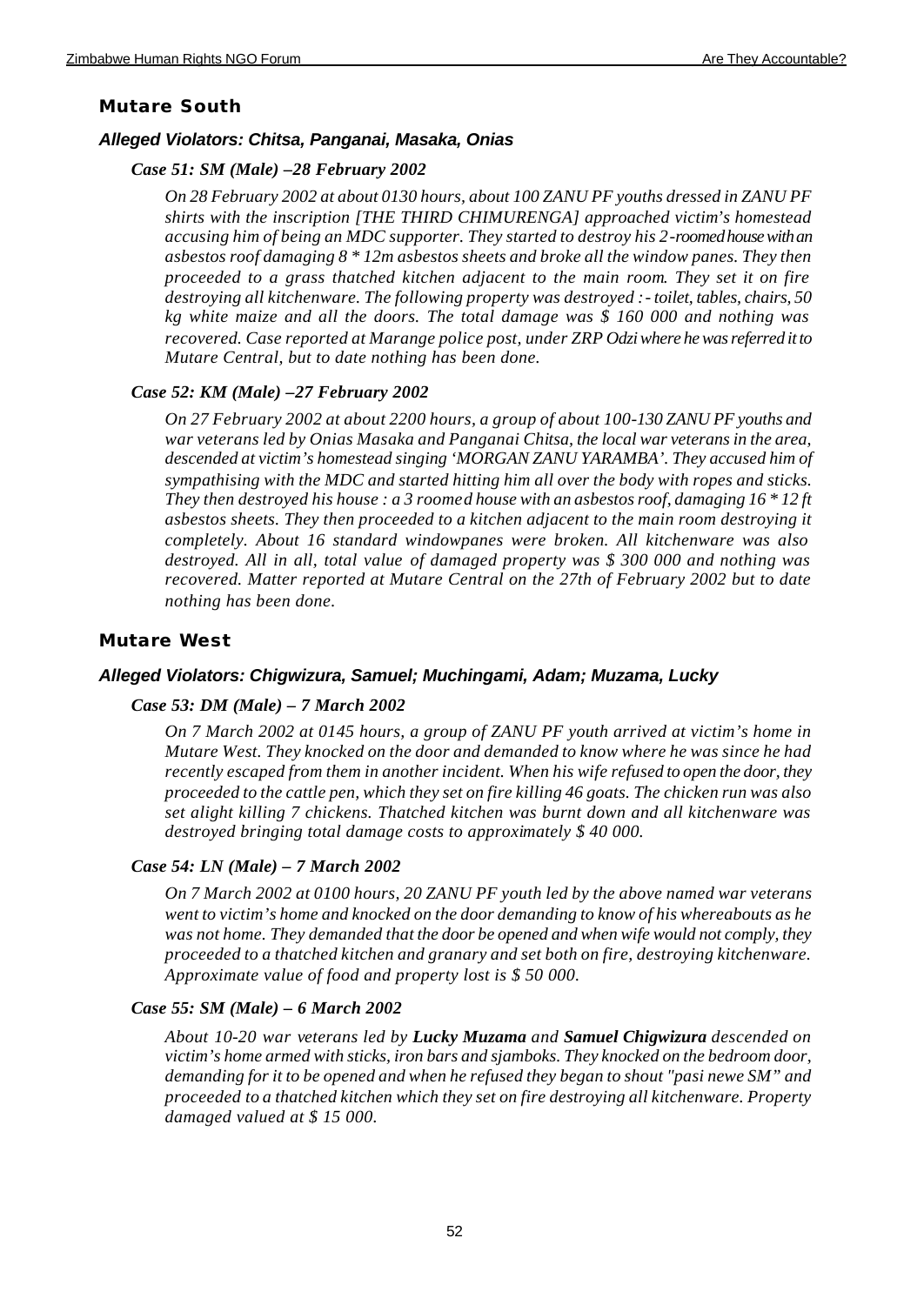## **Mutare South**

### *Alleged Violators: Chitsa, Panganai, Masaka, Onias*

### *Case 51: SM (Male) –28 February 2002*

*On 28 February 2002 at about 0130 hours, about 100 ZANU PF youths dressed in ZANU PF shirts with the inscription [THE THIRD CHIMURENGA] approached victim's homestead accusing him of being an MDC supporter. They started to destroy his 2-roomed house with an asbestos roof damaging 8 \* 12m asbestos sheets and broke all the window panes. They then proceeded to a grass thatched kitchen adjacent to the main room. They set it on fire destroying all kitchenware. The following property was destroyed :- toilet, tables, chairs, 50 kg white maize and all the doors. The total damage was \$ 160 000 and nothing was recovered. Case reported at Marange police post, under ZRP Odzi where he was referred it to Mutare Central, but to date nothing has been done.*

### *Case 52: KM (Male) –27 February 2002*

*On 27 February 2002 at about 2200 hours, a group of about 100-130 ZANU PF youths and war veterans led by Onias Masaka and Panganai Chitsa, the local war veterans in the area, descended at victim's homestead singing 'MORGAN ZANU YARAMBA'. They accused him of sympathising with the MDC and started hitting him all over the body with ropes and sticks. They then destroyed his house : a 3 roomed house with an asbestos roof, damaging 16 \* 12 ft asbestos sheets. They then proceeded to a kitchen adjacent to the main room destroying it completely. About 16 standard windowpanes were broken. All kitchenware was also destroyed. All in all, total value of damaged property was \$ 300 000 and nothing was recovered. Matter reported at Mutare Central on the 27th of February 2002 but to date nothing has been done.*

### **Mutare West**

### *Alleged Violators: Chigwizura, Samuel; Muchingami, Adam; Muzama, Lucky*

#### *Case 53: DM (Male) – 7 March 2002*

*On 7 March 2002 at 0145 hours, a group of ZANU PF youth arrived at victim's home in Mutare West. They knocked on the door and demanded to know where he was since he had recently escaped from them in another incident. When his wife refused to open the door, they proceeded to the cattle pen, which they set on fire killing 46 goats. The chicken run was also set alight killing 7 chickens. Thatched kitchen was burnt down and all kitchenware was destroyed bringing total damage costs to approximately \$ 40 000.* 

### *Case 54: LN (Male) – 7 March 2002*

*On 7 March 2002 at 0100 hours, 20 ZANU PF youth led by the above named war veterans went to victim's home and knocked on the door demanding to know of his whereabouts as he was not home. They demanded that the door be opened and when wife would not comply, they proceeded to a thatched kitchen and granary and set both on fire, destroying kitchenware. Approximate value of food and property lost is \$ 50 000.*

### *Case 55: SM (Male) – 6 March 2002*

*About 10-20 war veterans led by Lucky Muzama and Samuel Chigwizura descended on victim's home armed with sticks, iron bars and sjamboks. They knocked on the bedroom door, demanding for it to be opened and when he refused they began to shout "pasi newe SM" and proceeded to a thatched kitchen which they set on fire destroying all kitchenware. Property damaged valued at \$ 15 000.*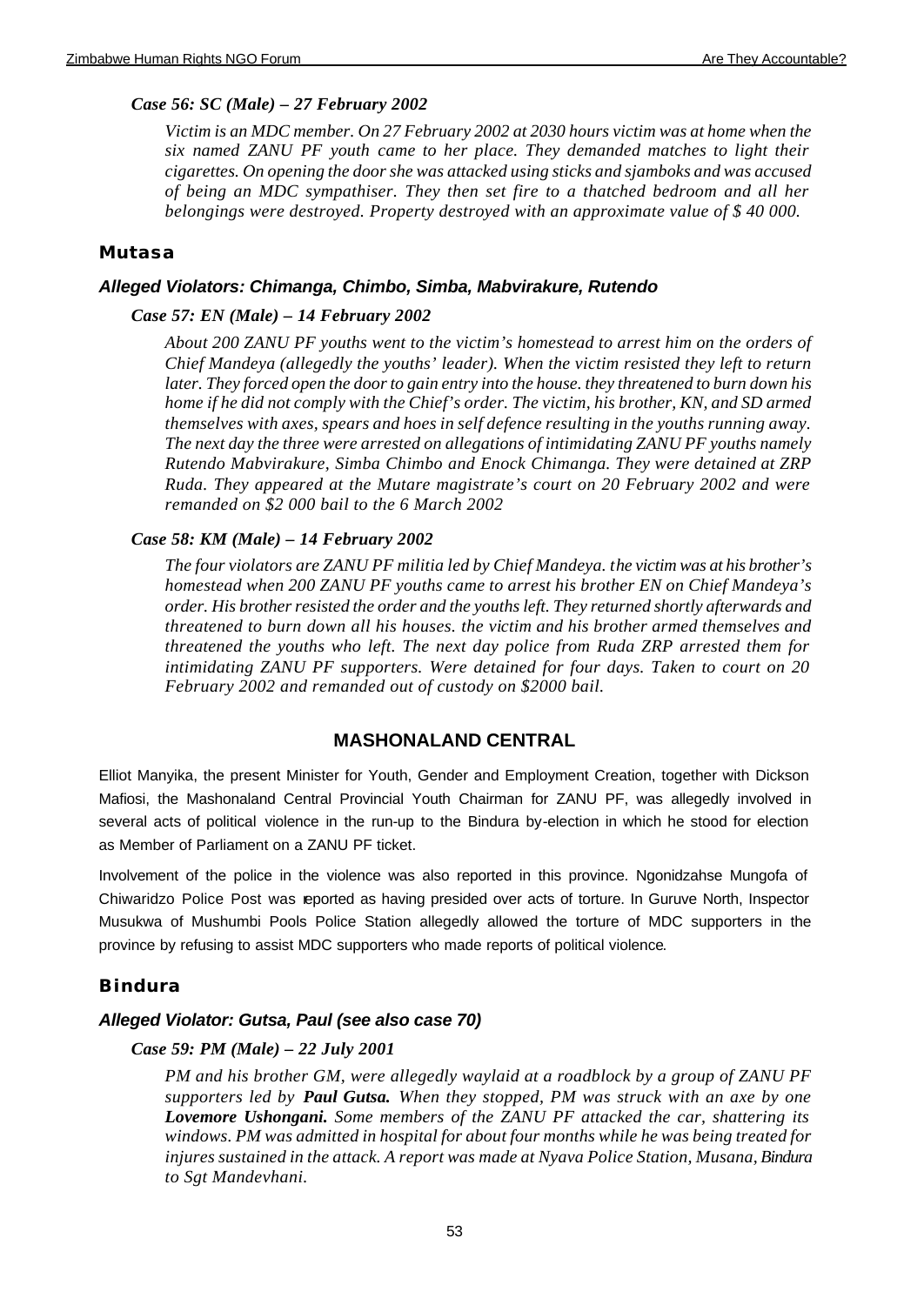## *Case 56: SC (Male) – 27 February 2002*

*Victim is an MDC member. On 27 February 2002 at 2030 hours victim was at home when the six named ZANU PF youth came to her place. They demanded matches to light their cigarettes. On opening the door she was attacked using sticks and sjamboks and was accused of being an MDC sympathiser. They then set fire to a thatched bedroom and all her belongings were destroyed. Property destroyed with an approximate value of \$ 40 000.* 

## **Mutasa**

### *Alleged Violators: Chimanga, Chimbo, Simba, Mabvirakure, Rutendo*

### *Case 57: EN (Male) – 14 February 2002*

*About 200 ZANU PF youths went to the victim's homestead to arrest him on the orders of Chief Mandeya (allegedly the youths' leader). When the victim resisted they left to return later. They forced open the door to gain entry into the house. they threatened to burn down his home if he did not comply with the Chief's order. The victim, his brother, KN, and SD armed themselves with axes, spears and hoes in self defence resulting in the youths running away. The next day the three were arrested on allegations of intimidating ZANU PF youths namely Rutendo Mabvirakure, Simba Chimbo and Enock Chimanga. They were detained at ZRP Ruda. They appeared at the Mutare magistrate's court on 20 February 2002 and were remanded on \$2 000 bail to the 6 March 2002*

### *Case 58: KM (Male) – 14 February 2002*

*The four violators are ZANU PF militia led by Chief Mandeya. the victim was at his brother's homestead when 200 ZANU PF youths came to arrest his brother EN on Chief Mandeya's order. His brother resisted the order and the youths left. They returned shortly afterwards and threatened to burn down all his houses. the victim and his brother armed themselves and threatened the youths who left. The next day police from Ruda ZRP arrested them for intimidating ZANU PF supporters. Were detained for four days. Taken to court on 20 February 2002 and remanded out of custody on \$2000 bail.*

## **MASHONALAND CENTRAL**

Elliot Manyika, the present Minister for Youth, Gender and Employment Creation, together with Dickson Mafiosi, the Mashonaland Central Provincial Youth Chairman for ZANU PF, was allegedly involved in several acts of political violence in the run-up to the Bindura by-election in which he stood for election as Member of Parliament on a ZANU PF ticket.

Involvement of the police in the violence was also reported in this province. Ngonidzahse Mungofa of Chiwaridzo Police Post was reported as having presided over acts of torture. In Guruve North, Inspector Musukwa of Mushumbi Pools Police Station allegedly allowed the torture of MDC supporters in the province by refusing to assist MDC supporters who made reports of political violence.

### **Bindura**

#### *Alleged Violator: Gutsa, Paul (see also case 70)*

#### *Case 59: PM (Male) – 22 July 2001*

*PM and his brother GM, were allegedly waylaid at a roadblock by a group of ZANU PF supporters led by Paul Gutsa. When they stopped, PM was struck with an axe by one Lovemore Ushongani. Some members of the ZANU PF attacked the car, shattering its windows. PM was admitted in hospital for about four months while he was being treated for injures sustained in the attack. A report was made at Nyava Police Station, Musana, Bindura to Sgt Mandevhani.*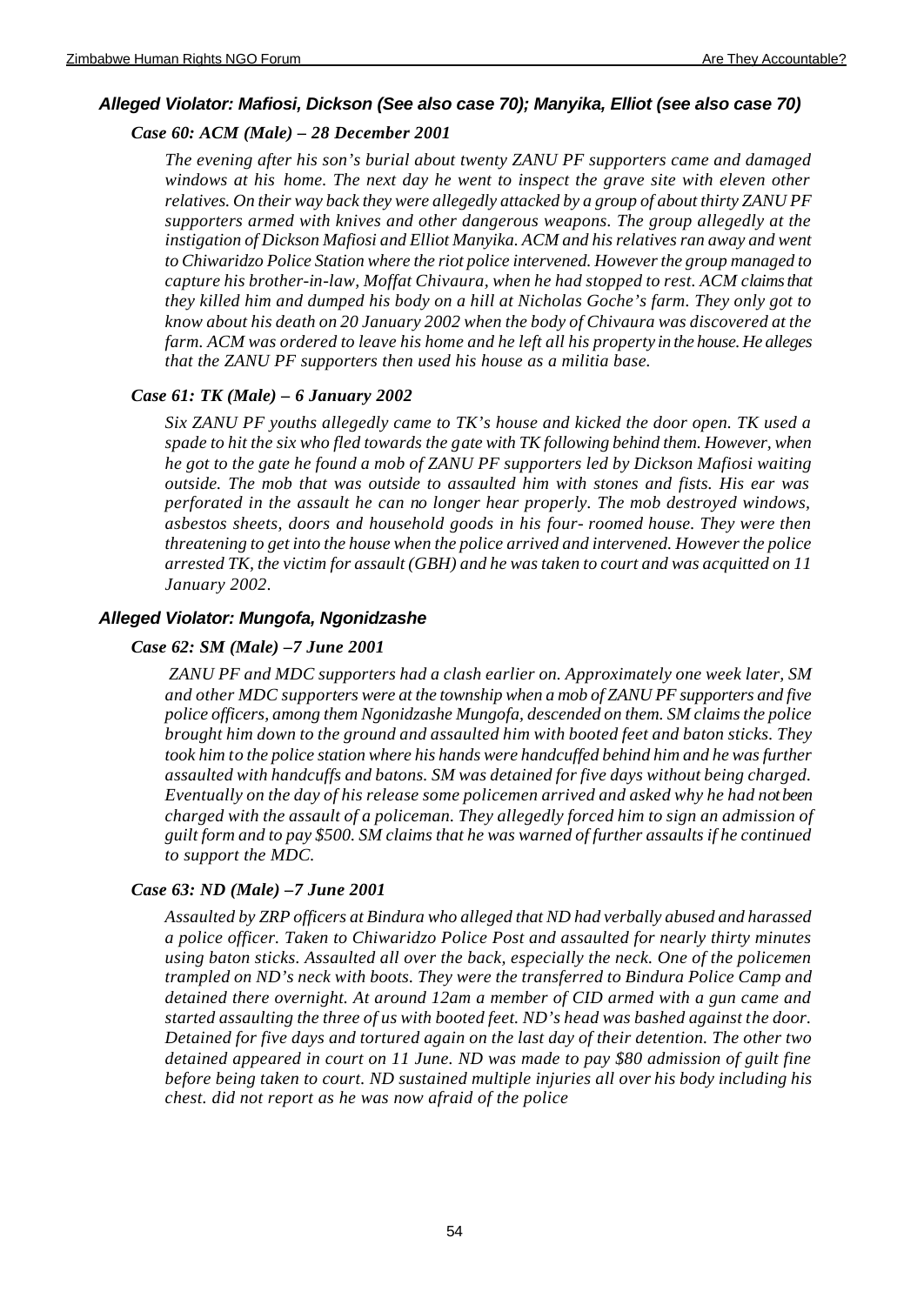## *Alleged Violator: Mafiosi, Dickson (See also case 70); Manyika, Elliot (see also case 70)*

## *Case 60: ACM (Male) – 28 December 2001*

*The evening after his son's burial about twenty ZANU PF supporters came and damaged windows at his home. The next day he went to inspect the grave site with eleven other relatives. On their way back they were allegedly attacked by a group of about thirty ZANU PF supporters armed with knives and other dangerous weapons. The group allegedly at the instigation of Dickson Mafiosi and Elliot Manyika. ACM and his relatives ran away and went to Chiwaridzo Police Station where the riot police intervened. However the group managed to capture his brother-in-law, Moffat Chivaura, when he had stopped to rest. ACM claims that they killed him and dumped his body on a hill at Nicholas Goche's farm. They only got to know about his death on 20 January 2002 when the body of Chivaura was discovered at the farm. ACM was ordered to leave his home and he left all his property in the house. He alleges that the ZANU PF supporters then used his house as a militia base.*

## *Case 61: TK (Male) – 6 January 2002*

*Six ZANU PF youths allegedly came to TK's house and kicked the door open. TK used a spade to hit the six who fled towards the gate with TK following behind them. However, when he got to the gate he found a mob of ZANU PF supporters led by Dickson Mafiosi waiting outside. The mob that was outside to assaulted him with stones and fists. His ear was perforated in the assault he can no longer hear properly. The mob destroyed windows, asbestos sheets, doors and household goods in his four- roomed house. They were then threatening to get into the house when the police arrived and intervened. However the police arrested TK, the victim for assault (GBH) and he was taken to court and was acquitted on 11 January 2002.* 

## *Alleged Violator: Mungofa, Ngonidzashe*

## *Case 62: SM (Male) –7 June 2001*

 *ZANU PF and MDC supporters had a clash earlier on. Approximately one week later, SM and other MDC supporters were at the township when a mob of ZANU PF supporters and five police officers, among them Ngonidzashe Mungofa, descended on them. SM claims the police brought him down to the ground and assaulted him with booted feet and baton sticks. They took him to the police station where his hands were handcuffed behind him and he was further assaulted with handcuffs and batons. SM was detained for five days without being charged. Eventually on the day of his release some policemen arrived and asked why he had not been charged with the assault of a policeman. They allegedly forced him to sign an admission of guilt form and to pay \$500. SM claims that he was warned of further assaults if he continued to support the MDC.* 

### *Case 63: ND (Male) –7 June 2001*

*Assaulted by ZRP officers at Bindura who alleged that ND had verbally abused and harassed a police officer. Taken to Chiwaridzo Police Post and assaulted for nearly thirty minutes using baton sticks. Assaulted all over the back, especially the neck. One of the policemen trampled on ND's neck with boots. They were the transferred to Bindura Police Camp and detained there overnight. At around 12am a member of CID armed with a gun came and started assaulting the three of us with booted feet. ND's head was bashed against the door. Detained for five days and tortured again on the last day of their detention. The other two detained appeared in court on 11 June. ND was made to pay \$80 admission of guilt fine before being taken to court. ND sustained multiple injuries all over his body including his chest. did not report as he was now afraid of the police*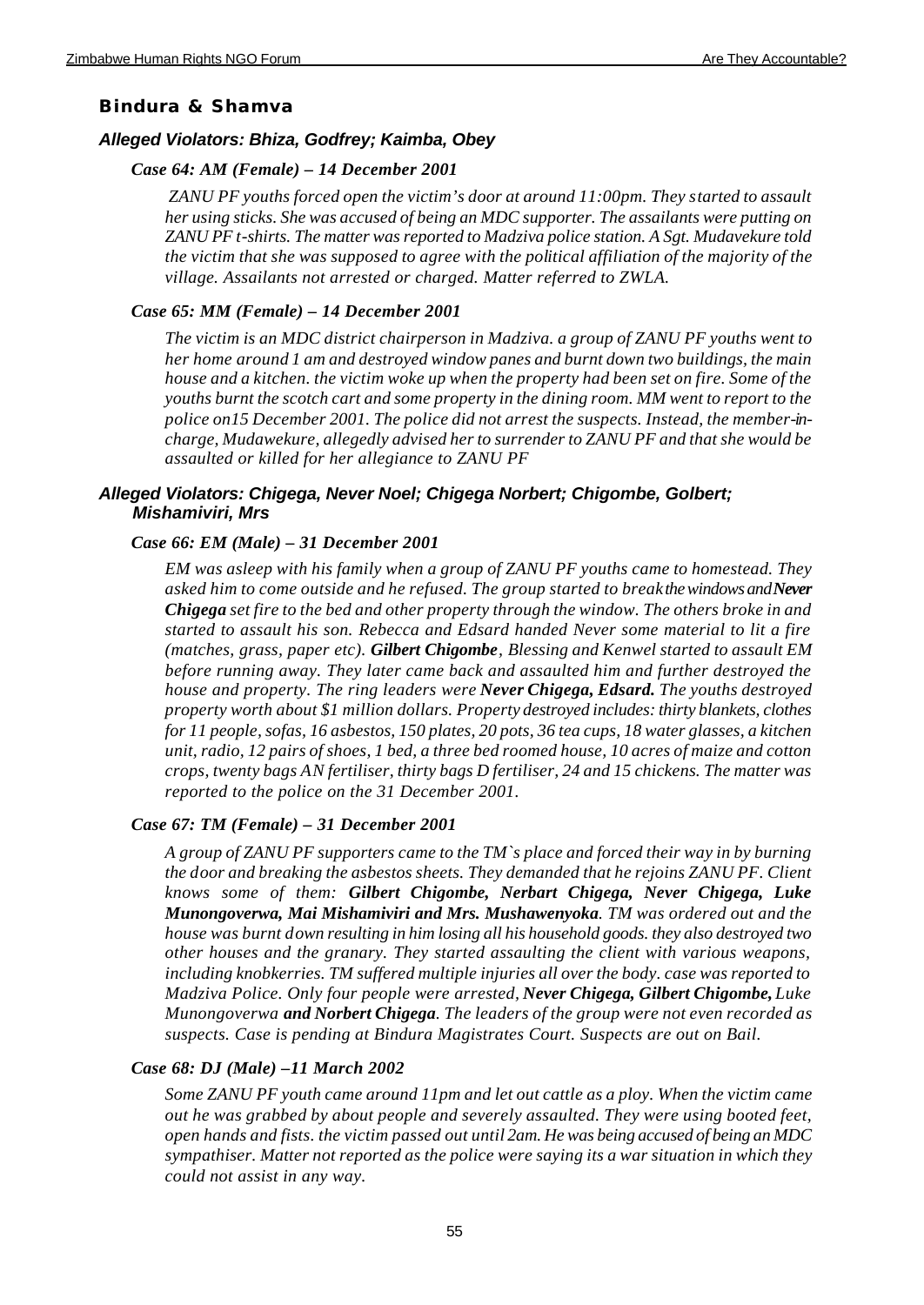## **Bindura & Shamva**

## *Alleged Violators: Bhiza, Godfrey; Kaimba, Obey*

### *Case 64: AM (Female) – 14 December 2001*

 *ZANU PF youths forced open the victim's door at around 11:00pm. They started to assault her using sticks. She was accused of being an MDC supporter. The assailants were putting on ZANU PF t-shirts. The matter was reported to Madziva police station. A Sgt. Mudavekure told the victim that she was supposed to agree with the political affiliation of the majority of the village. Assailants not arrested or charged. Matter referred to ZWLA.*

## *Case 65: MM (Female) – 14 December 2001*

*The victim is an MDC district chairperson in Madziva. a group of ZANU PF youths went to her home around 1 am and destroyed window panes and burnt down two buildings, the main house and a kitchen. the victim woke up when the property had been set on fire. Some of the youths burnt the scotch cart and some property in the dining room. MM went to report to the police on15 December 2001. The police did not arrest the suspects. Instead, the member-incharge, Mudawekure, allegedly advised her to surrender to ZANU PF and that she would be assaulted or killed for her allegiance to ZANU PF*

## *Alleged Violators: Chigega, Never Noel; Chigega Norbert; Chigombe, Golbert; Mishamiviri, Mrs*

### *Case 66: EM (Male) – 31 December 2001*

*EM was asleep with his family when a group of ZANU PF youths came to homestead. They asked him to come outside and he refused. The group started to break the windows and Never Chigega set fire to the bed and other property through the window. The others broke in and started to assault his son. Rebecca and Edsard handed Never some material to lit a fire (matches, grass, paper etc). Gilbert Chigombe, Blessing and Kenwel started to assault EM before running away. They later came back and assaulted him and further destroyed the house and property. The ring leaders were Never Chigega, Edsard. The youths destroyed property worth about \$1 million dollars. Property destroyed includes: thirty blankets, clothes for 11 people, sofas, 16 asbestos, 150 plates, 20 pots, 36 tea cups, 18 water glasses, a kitchen unit, radio, 12 pairs of shoes, 1 bed, a three bed roomed house, 10 acres of maize and cotton crops, twenty bags AN fertiliser, thirty bags D fertiliser, 24 and 15 chickens. The matter was reported to the police on the 31 December 2001.*

### *Case 67: TM (Female) – 31 December 2001*

*A group of ZANU PF supporters came to the TM`s place and forced their way in by burning the door and breaking the asbestos sheets. They demanded that he rejoins ZANU PF. Client knows some of them: Gilbert Chigombe, Nerbart Chigega, Never Chigega, Luke Munongoverwa, Mai Mishamiviri and Mrs. Mushawenyoka. TM was ordered out and the house was burnt down resulting in him losing all his household goods. they also destroyed two other houses and the granary. They started assaulting the client with various weapons, including knobkerries. TM suffered multiple injuries all over the body. case was reported to Madziva Police. Only four people were arrested, Never Chigega, Gilbert Chigombe, Luke Munongoverwa and Norbert Chigega. The leaders of the group were not even recorded as suspects. Case is pending at Bindura Magistrates Court. Suspects are out on Bail.* 

## *Case 68: DJ (Male) –11 March 2002*

*Some ZANU PF youth came around 11pm and let out cattle as a ploy. When the victim came out he was grabbed by about people and severely assaulted. They were using booted feet, open hands and fists. the victim passed out until 2am. He was being accused of being an MDC sympathiser. Matter not reported as the police were saying its a war situation in which they could not assist in any way.*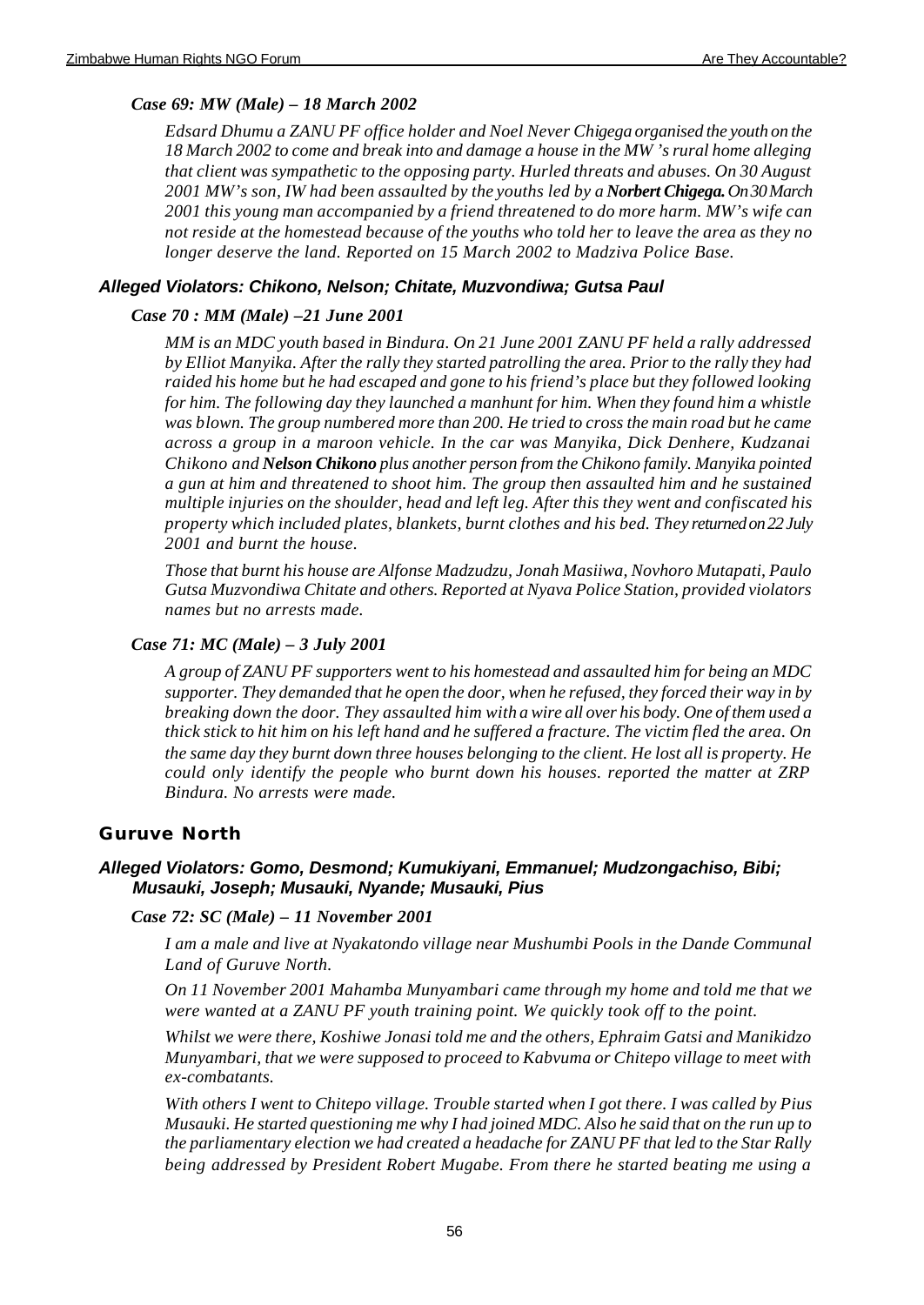## *Case 69: MW (Male) – 18 March 2002*

*Edsard Dhumu a ZANU PF office holder and Noel Never Chigega organised the youth on the 18 March 2002 to come and break into and damage a house in the MW 's rural home alleging that client was sympathetic to the opposing party. Hurled threats and abuses. On 30 August 2001 MW's son, IW had been assaulted by the youths led by a Norbert Chigega. On 30 March 2001 this young man accompanied by a friend threatened to do more harm. MW's wife can not reside at the homestead because of the youths who told her to leave the area as they no longer deserve the land. Reported on 15 March 2002 to Madziva Police Base.*

## *Alleged Violators: Chikono, Nelson; Chitate, Muzvondiwa; Gutsa Paul*

## *Case 70 : MM (Male) –21 June 2001*

*MM is an MDC youth based in Bindura. On 21 June 2001 ZANU PF held a rally addressed by Elliot Manyika. After the rally they started patrolling the area. Prior to the rally they had raided his home but he had escaped and gone to his friend's place but they followed looking for him. The following day they launched a manhunt for him. When they found him a whistle was blown. The group numbered more than 200. He tried to cross the main road but he came across a group in a maroon vehicle. In the car was Manyika, Dick Denhere, Kudzanai Chikono and Nelson Chikono plus another person from the Chikono family. Manyika pointed a gun at him and threatened to shoot him. The group then assaulted him and he sustained multiple injuries on the shoulder, head and left leg. After this they went and confiscated his property which included plates, blankets, burnt clothes and his bed. They returned on 22 July 2001 and burnt the house.*

*Those that burnt his house are Alfonse Madzudzu, Jonah Masiiwa, Novhoro Mutapati, Paulo Gutsa Muzvondiwa Chitate and others. Reported at Nyava Police Station, provided violators names but no arrests made.*

## *Case 71: MC (Male) – 3 July 2001*

*A group of ZANU PF supporters went to his homestead and assaulted him for being an MDC supporter. They demanded that he open the door, when he refused, they forced their way in by breaking down the door. They assaulted him with a wire all over his body. One of them used a thick stick to hit him on his left hand and he suffered a fracture. The victim fled the area. On the same day they burnt down three houses belonging to the client. He lost all is property. He could only identify the people who burnt down his houses. reported the matter at ZRP Bindura. No arrests were made.*

## **Guruve North**

## *Alleged Violators: Gomo, Desmond; Kumukiyani, Emmanuel; Mudzongachiso, Bibi; Musauki, Joseph; Musauki, Nyande; Musauki, Pius*

### *Case 72: SC (Male) – 11 November 2001*

*I am a male and live at Nyakatondo village near Mushumbi Pools in the Dande Communal Land of Guruve North.*

*On 11 November 2001 Mahamba Munyambari came through my home and told me that we were wanted at a ZANU PF youth training point. We quickly took off to the point.*

*Whilst we were there, Koshiwe Jonasi told me and the others, Ephraim Gatsi and Manikidzo Munyambari, that we were supposed to proceed to Kabvuma or Chitepo village to meet with ex-combatants.*

*With others I went to Chitepo village. Trouble started when I got there. I was called by Pius Musauki. He started questioning me why I had joined MDC. Also he said that on the run up to the parliamentary election we had created a headache for ZANU PF that led to the Star Rally being addressed by President Robert Mugabe. From there he started beating me using a*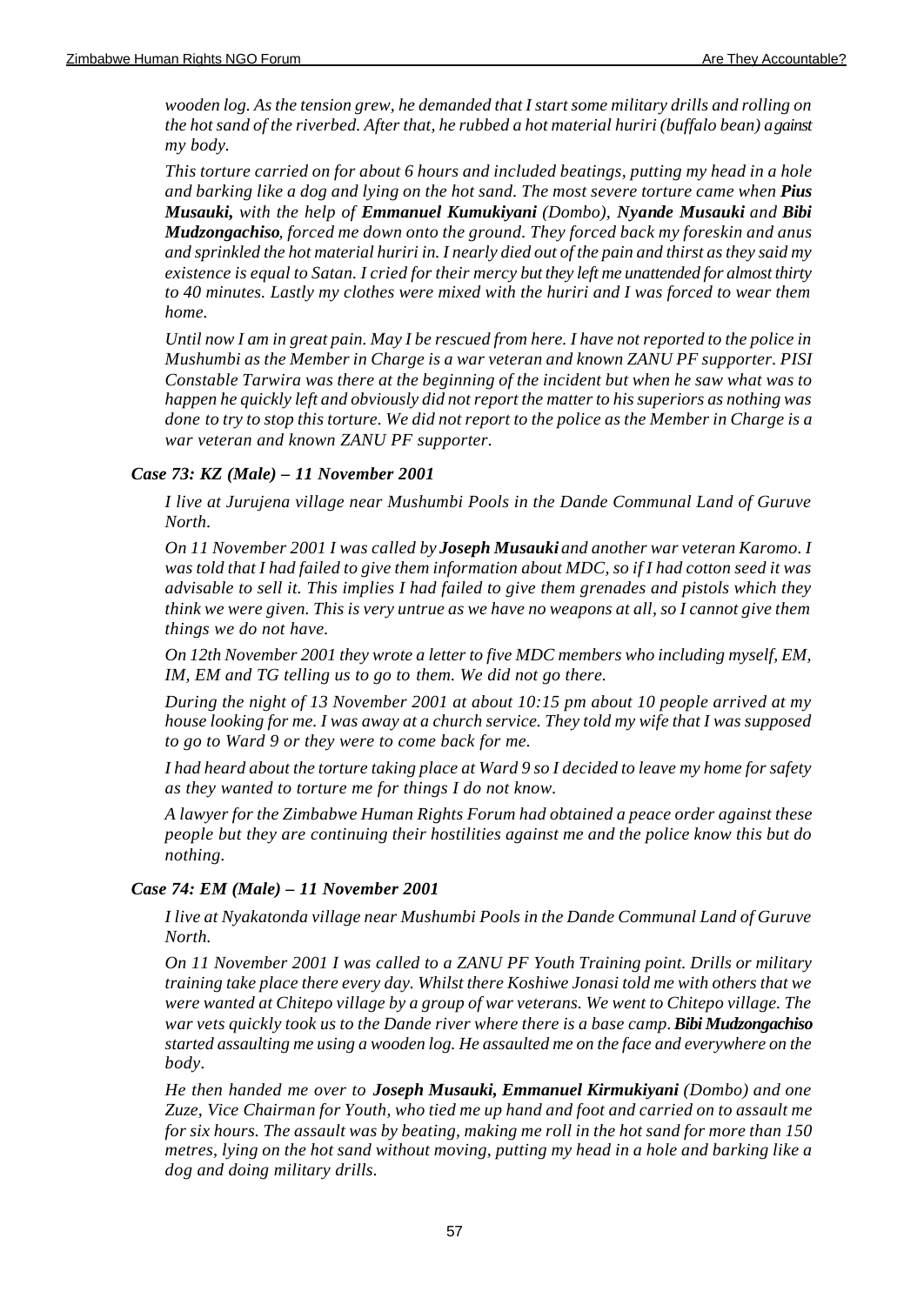*wooden log. As the tension grew, he demanded that I start some military drills and rolling on the hot sand of the riverbed. After that, he rubbed a hot material huriri (buffalo bean) against my body.* 

*This torture carried on for about 6 hours and included beatings, putting my head in a hole and barking like a dog and lying on the hot sand. The most severe torture came when Pius Musauki, with the help of Emmanuel Kumukiyani (Dombo), Nyande Musauki and Bibi Mudzongachiso, forced me down onto the ground. They forced back my foreskin and anus and sprinkled the hot material huriri in. I nearly died out of the pain and thirst as they said my existence is equal to Satan. I cried for their mercy but they left me unattended for almost thirty to 40 minutes. Lastly my clothes were mixed with the huriri and I was forced to wear them home.*

*Until now I am in great pain. May I be rescued from here. I have not reported to the police in Mushumbi as the Member in Charge is a war veteran and known ZANU PF supporter. PISI Constable Tarwira was there at the beginning of the incident but when he saw what was to happen he quickly left and obviously did not report the matter to his superiors as nothing was done to try to stop this torture. We did not report to the police as the Member in Charge is a war veteran and known ZANU PF supporter.*

## *Case 73: KZ (Male) – 11 November 2001*

*I live at Jurujena village near Mushumbi Pools in the Dande Communal Land of Guruve North.*

*On 11 November 2001 I was called by Joseph Musauki and another war veteran Karomo. I was told that I had failed to give them information about MDC, so if I had cotton seed it was advisable to sell it. This implies I had failed to give them grenades and pistols which they think we were given. This is very untrue as we have no weapons at all, so I cannot give them things we do not have.*

*On 12th November 2001 they wrote a letter to five MDC members who including myself, EM, IM, EM and TG telling us to go to them. We did not go there.*

*During the night of 13 November 2001 at about 10:15 pm about 10 people arrived at my house looking for me. I was away at a church service. They told my wife that I was supposed to go to Ward 9 or they were to come back for me.*

*I had heard about the torture taking place at Ward 9 so I decided to leave my home for safety as they wanted to torture me for things I do not know.*

*A lawyer for the Zimbabwe Human Rights Forum had obtained a peace order against these people but they are continuing their hostilities against me and the police know this but do nothing.*

### *Case 74: EM (Male) – 11 November 2001*

*I live at Nyakatonda village near Mushumbi Pools in the Dande Communal Land of Guruve North.*

*On 11 November 2001 I was called to a ZANU PF Youth Training point. Drills or military training take place there every day. Whilst there Koshiwe Jonasi told me with others that we were wanted at Chitepo village by a group of war veterans. We went to Chitepo village. The war vets quickly took us to the Dande river where there is a base camp. Bibi Mudzongachiso started assaulting me using a wooden log. He assaulted me on the face and everywhere on the body.* 

*He then handed me over to Joseph Musauki, Emmanuel Kirmukiyani (Dombo) and one Zuze, Vice Chairman for Youth, who tied me up hand and foot and carried on to assault me for six hours. The assault was by beating, making me roll in the hot sand for more than 150 metres, lying on the hot sand without moving, putting my head in a hole and barking like a dog and doing military drills.*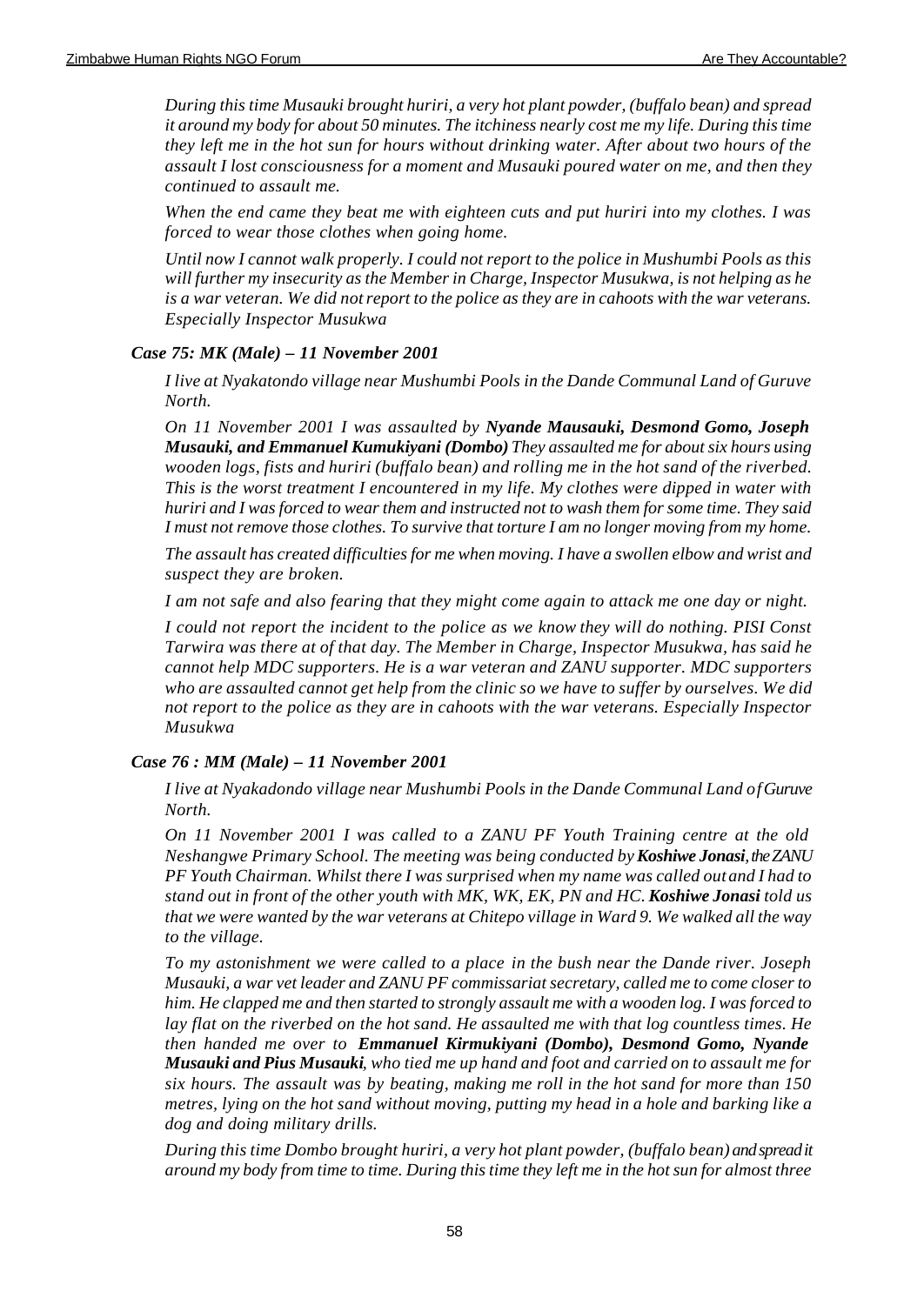*During this time Musauki brought huriri, a very hot plant powder, (buffalo bean) and spread it around my body for about 50 minutes. The itchiness nearly cost me my life. During this time they left me in the hot sun for hours without drinking water. After about two hours of the assault I lost consciousness for a moment and Musauki poured water on me, and then they continued to assault me.*

*When the end came they beat me with eighteen cuts and put huriri into my clothes. I was forced to wear those clothes when going home.*

*Until now I cannot walk properly. I could not report to the police in Mushumbi Pools as this will further my insecurity as the Member in Charge, Inspector Musukwa, is not helping as he is a war veteran. We did not report to the police as they are in cahoots with the war veterans. Especially Inspector Musukwa*

## *Case 75: MK (Male) – 11 November 2001*

*I live at Nyakatondo village near Mushumbi Pools in the Dande Communal Land of Guruve North.*

*On 11 November 2001 I was assaulted by Nyande Mausauki, Desmond Gomo, Joseph Musauki, and Emmanuel Kumukiyani (Dombo) They assaulted me for about six hours using wooden logs, fists and huriri (buffalo bean) and rolling me in the hot sand of the riverbed. This is the worst treatment I encountered in my life. My clothes were dipped in water with huriri and I was forced to wear them and instructed not to wash them for some time. They said I must not remove those clothes. To survive that torture I am no longer moving from my home.*

*The assault has created difficulties for me when moving. I have a swollen elbow and wrist and suspect they are broken.*

*I am not safe and also fearing that they might come again to attack me one day or night.*

*I could not report the incident to the police as we know they will do nothing. PISI Const Tarwira was there at of that day. The Member in Charge, Inspector Musukwa, has said he cannot help MDC supporters. He is a war veteran and ZANU supporter. MDC supporters who are assaulted cannot get help from the clinic so we have to suffer by ourselves. We did not report to the police as they are in cahoots with the war veterans. Especially Inspector Musukwa*

### *Case 76 : MM (Male) – 11 November 2001*

*I live at Nyakadondo village near Mushumbi Pools in the Dande Communal Land of Guruve North.*

*On 11 November 2001 I was called to a ZANU PF Youth Training centre at the old Neshangwe Primary School. The meeting was being conducted by Koshiwe Jonasi, the ZANU PF Youth Chairman. Whilst there I was surprised when my name was called out and I had to stand out in front of the other youth with MK, WK, EK, PN and HC. Koshiwe Jonasi told us that we were wanted by the war veterans at Chitepo village in Ward 9. We walked all the way to the village.*

*To my astonishment we were called to a place in the bush near the Dande river. Joseph Musauki, a war vet leader and ZANU PF commissariat secretary, called me to come closer to him. He clapped me and then started to strongly assault me with a wooden log. I was forced to lay flat on the riverbed on the hot sand. He assaulted me with that log countless times. He then handed me over to Emmanuel Kirmukiyani (Dombo), Desmond Gomo, Nyande Musauki and Pius Musauki, who tied me up hand and foot and carried on to assault me for six hours. The assault was by beating, making me roll in the hot sand for more than 150 metres, lying on the hot sand without moving, putting my head in a hole and barking like a dog and doing military drills.*

*During this time Dombo brought huriri, a very hot plant powder, (buffalo bean) and spread it around my body from time to time. During this time they left me in the hot sun for almost three*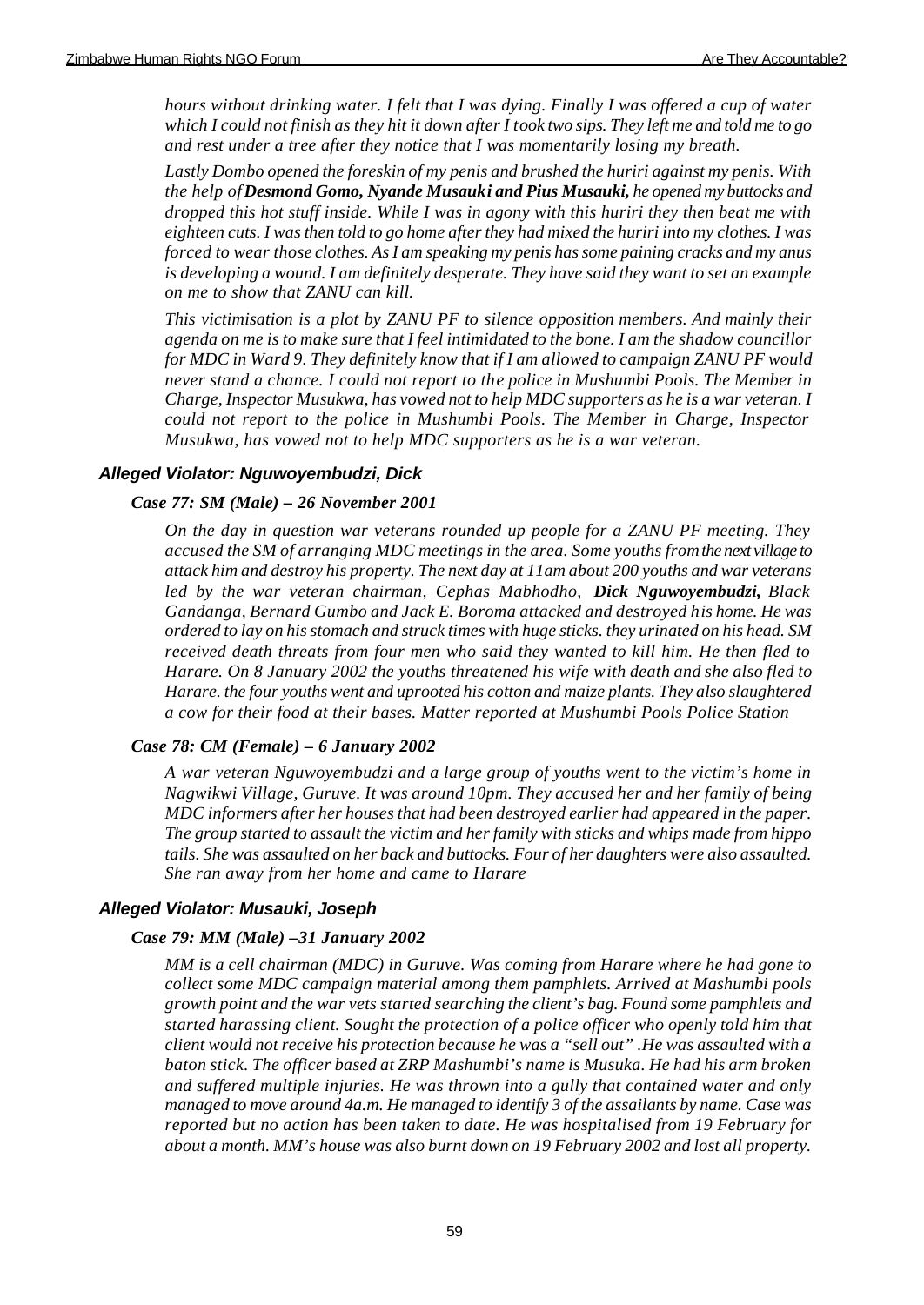*hours without drinking water. I felt that I was dying. Finally I was offered a cup of water which I could not finish as they hit it down after I took two sips. They left me and told me to go and rest under a tree after they notice that I was momentarily losing my breath.*

*Lastly Dombo opened the foreskin of my penis and brushed the huriri against my penis. With the help of Desmond Gomo, Nyande Musauki and Pius Musauki, he opened my buttocks and dropped this hot stuff inside. While I was in agony with this huriri they then beat me with eighteen cuts. I was then told to go home after they had mixed the huriri into my clothes. I was forced to wear those clothes. As I am speaking my penis has some paining cracks and my anus is developing a wound. I am definitely desperate. They have said they want to set an example on me to show that ZANU can kill.*

*This victimisation is a plot by ZANU PF to silence opposition members. And mainly their agenda on me is to make sure that I feel intimidated to the bone. I am the shadow councillor for MDC in Ward 9. They definitely know that if I am allowed to campaign ZANU PF would never stand a chance. I could not report to the police in Mushumbi Pools. The Member in Charge, Inspector Musukwa, has vowed not to help MDC supporters as he is a war veteran. I could not report to the police in Mushumbi Pools. The Member in Charge, Inspector Musukwa, has vowed not to help MDC supporters as he is a war veteran.*

### *Alleged Violator: Nguwoyembudzi, Dick*

### *Case 77: SM (Male) – 26 November 2001*

*On the day in question war veterans rounded up people for a ZANU PF meeting. They accused the SM of arranging MDC meetings in the area. Some youths from the next village to attack him and destroy his property. The next day at 11am about 200 youths and war veterans led by the war veteran chairman, Cephas Mabhodho, Dick Nguwoyembudzi, Black Gandanga, Bernard Gumbo and Jack E. Boroma attacked and destroyed his home. He was ordered to lay on his stomach and struck times with huge sticks. they urinated on his head. SM received death threats from four men who said they wanted to kill him. He then fled to Harare. On 8 January 2002 the youths threatened his wife with death and she also fled to Harare. the four youths went and uprooted his cotton and maize plants. They also slaughtered a cow for their food at their bases. Matter reported at Mushumbi Pools Police Station*

### *Case 78: CM (Female) – 6 January 2002*

*A war veteran Nguwoyembudzi and a large group of youths went to the victim's home in Nagwikwi Village, Guruve. It was around 10pm. They accused her and her family of being MDC informers after her houses that had been destroyed earlier had appeared in the paper. The group started to assault the victim and her family with sticks and whips made from hippo tails. She was assaulted on her back and buttocks. Four of her daughters were also assaulted. She ran away from her home and came to Harare*

### *Alleged Violator: Musauki, Joseph*

#### *Case 79: MM (Male) –31 January 2002*

*MM is a cell chairman (MDC) in Guruve. Was coming from Harare where he had gone to collect some MDC campaign material among them pamphlets. Arrived at Mashumbi pools growth point and the war vets started searching the client's bag. Found some pamphlets and started harassing client. Sought the protection of a police officer who openly told him that client would not receive his protection because he was a "sell out" .He was assaulted with a baton stick. The officer based at ZRP Mashumbi's name is Musuka. He had his arm broken and suffered multiple injuries. He was thrown into a gully that contained water and only managed to move around 4a.m. He managed to identify 3 of the assailants by name. Case was reported but no action has been taken to date. He was hospitalised from 19 February for about a month. MM's house was also burnt down on 19 February 2002 and lost all property.*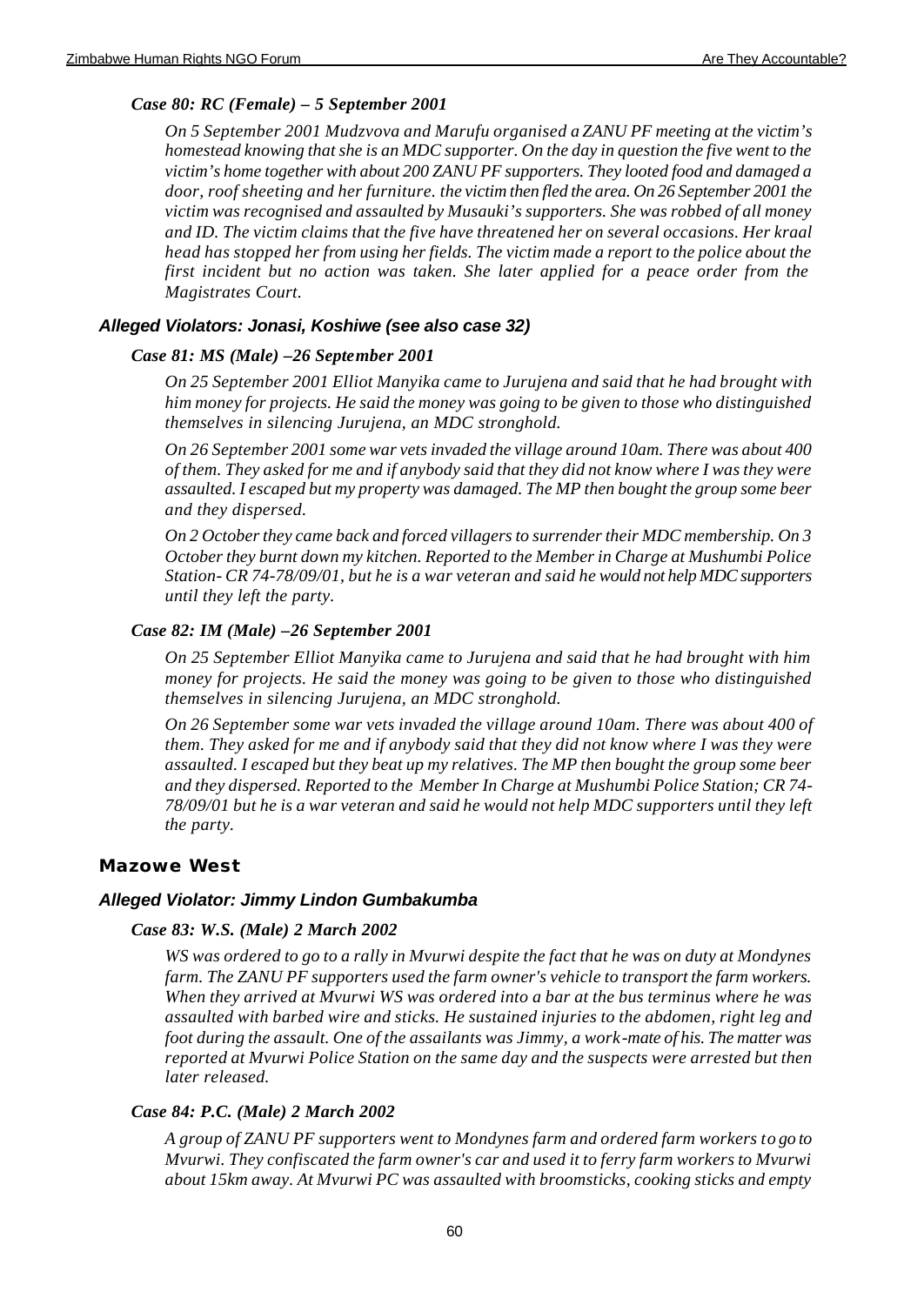## *Case 80: RC (Female) – 5 September 2001*

*On 5 September 2001 Mudzvova and Marufu organised a ZANU PF meeting at the victim's homestead knowing that she is an MDC supporter. On the day in question the five went to the victim's home together with about 200 ZANU PF supporters. They looted food and damaged a door, roof sheeting and her furniture. the victim then fled the area. On 26 September 2001 the victim was recognised and assaulted by Musauki's supporters. She was robbed of all money and ID. The victim claims that the five have threatened her on several occasions. Her kraal head has stopped her from using her fields. The victim made a report to the police about the first incident but no action was taken. She later applied for a peace order from the Magistrates Court.*

## *Alleged Violators: Jonasi, Koshiwe (see also case 32)*

## *Case 81: MS (Male) –26 September 2001*

*On 25 September 2001 Elliot Manyika came to Jurujena and said that he had brought with him money for projects. He said the money was going to be given to those who distinguished themselves in silencing Jurujena, an MDC stronghold.* 

*On 26 September 2001 some war vets invaded the village around 10am. There was about 400 of them. They asked for me and if anybody said that they did not know where I was they were assaulted. I escaped but my property was damaged. The MP then bought the group some beer and they dispersed.*

*On 2 October they came back and forced villagers to surrender their MDC membership. On 3 October they burnt down my kitchen. Reported to the Member in Charge at Mushumbi Police Station- CR 74-78/09/01, but he is a war veteran and said he would not help MDC supporters until they left the party.*

## *Case 82: IM (Male) –26 September 2001*

*On 25 September Elliot Manyika came to Jurujena and said that he had brought with him money for projects. He said the money was going to be given to those who distinguished themselves in silencing Jurujena, an MDC stronghold.*

*On 26 September some war vets invaded the village around 10am. There was about 400 of them. They asked for me and if anybody said that they did not know where I was they were assaulted. I escaped but they beat up my relatives. The MP then bought the group some beer and they dispersed. Reported to the Member In Charge at Mushumbi Police Station; CR 74- 78/09/01 but he is a war veteran and said he would not help MDC supporters until they left the party.*

## **Mazowe West**

## *Alleged Violator: Jimmy Lindon Gumbakumba*

### *Case 83: W.S. (Male) 2 March 2002*

*WS was ordered to go to a rally in Mvurwi despite the fact that he was on duty at Mondynes farm. The ZANU PF supporters used the farm owner's vehicle to transport the farm workers. When they arrived at Mvurwi WS was ordered into a bar at the bus terminus where he was assaulted with barbed wire and sticks. He sustained injuries to the abdomen, right leg and foot during the assault. One of the assailants was Jimmy, a work-mate of his. The matter was reported at Mvurwi Police Station on the same day and the suspects were arrested but then later released.*

## *Case 84: P.C. (Male) 2 March 2002*

*A group of ZANU PF supporters went to Mondynes farm and ordered farm workers to go to Mvurwi. They confiscated the farm owner's car and used it to ferry farm workers to Mvurwi about 15km away. At Mvurwi PC was assaulted with broomsticks, cooking sticks and empty*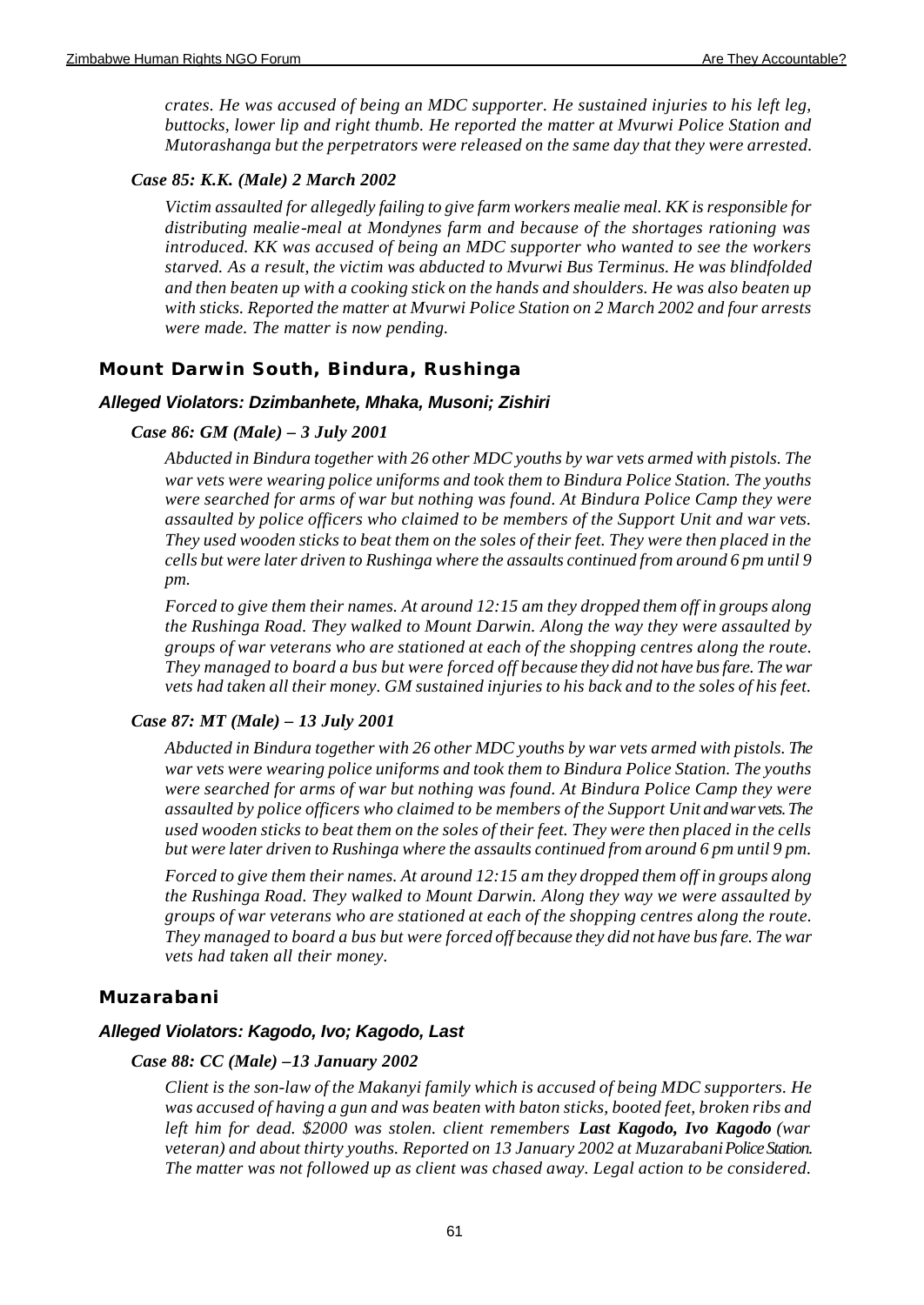*crates. He was accused of being an MDC supporter. He sustained injuries to his left leg, buttocks, lower lip and right thumb. He reported the matter at Mvurwi Police Station and Mutorashanga but the perpetrators were released on the same day that they were arrested.*

### *Case 85: K.K. (Male) 2 March 2002*

*Victim assaulted for allegedly failing to give farm workers mealie meal. KK is responsible for distributing mealie-meal at Mondynes farm and because of the shortages rationing was introduced. KK was accused of being an MDC supporter who wanted to see the workers starved. As a result, the victim was abducted to Mvurwi Bus Terminus. He was blindfolded and then beaten up with a cooking stick on the hands and shoulders. He was also beaten up with sticks. Reported the matter at Mvurwi Police Station on 2 March 2002 and four arrests were made. The matter is now pending.* 

## **Mount Darwin South, Bindura, Rushinga**

#### *Alleged Violators: Dzimbanhete, Mhaka, Musoni; Zishiri*

#### *Case 86: GM (Male) – 3 July 2001*

*Abducted in Bindura together with 26 other MDC youths by war vets armed with pistols. The war vets were wearing police uniforms and took them to Bindura Police Station. The youths were searched for arms of war but nothing was found. At Bindura Police Camp they were assaulted by police officers who claimed to be members of the Support Unit and war vets. They used wooden sticks to beat them on the soles of their feet. They were then placed in the cells but were later driven to Rushinga where the assaults continued from around 6 pm until 9 pm.* 

*Forced to give them their names. At around 12:15 am they dropped them off in groups along the Rushinga Road. They walked to Mount Darwin. Along the way they were assaulted by groups of war veterans who are stationed at each of the shopping centres along the route. They managed to board a bus but were forced off because they did not have bus fare. The war vets had taken all their money. GM sustained injuries to his back and to the soles of his feet.*

#### *Case 87: MT (Male) – 13 July 2001*

*Abducted in Bindura together with 26 other MDC youths by war vets armed with pistols. The war vets were wearing police uniforms and took them to Bindura Police Station. The youths were searched for arms of war but nothing was found. At Bindura Police Camp they were assaulted by police officers who claimed to be members of the Support Unit and war vets. The used wooden sticks to beat them on the soles of their feet. They were then placed in the cells but were later driven to Rushinga where the assaults continued from around 6 pm until 9 pm.* 

*Forced to give them their names. At around 12:15 am they dropped them off in groups along the Rushinga Road. They walked to Mount Darwin. Along they way we were assaulted by groups of war veterans who are stationed at each of the shopping centres along the route. They managed to board a bus but were forced off because they did not have bus fare. The war vets had taken all their money.* 

### **Muzarabani**

#### *Alleged Violators: Kagodo, Ivo; Kagodo, Last*

#### *Case 88: CC (Male) –13 January 2002*

*Client is the son-law of the Makanyi family which is accused of being MDC supporters. He was accused of having a gun and was beaten with baton sticks, booted feet, broken ribs and left him for dead. \$2000 was stolen. client remembers Last Kagodo, Ivo Kagodo (war veteran) and about thirty youths. Reported on 13 January 2002 at Muzarabani Police Station. The matter was not followed up as client was chased away. Legal action to be considered.*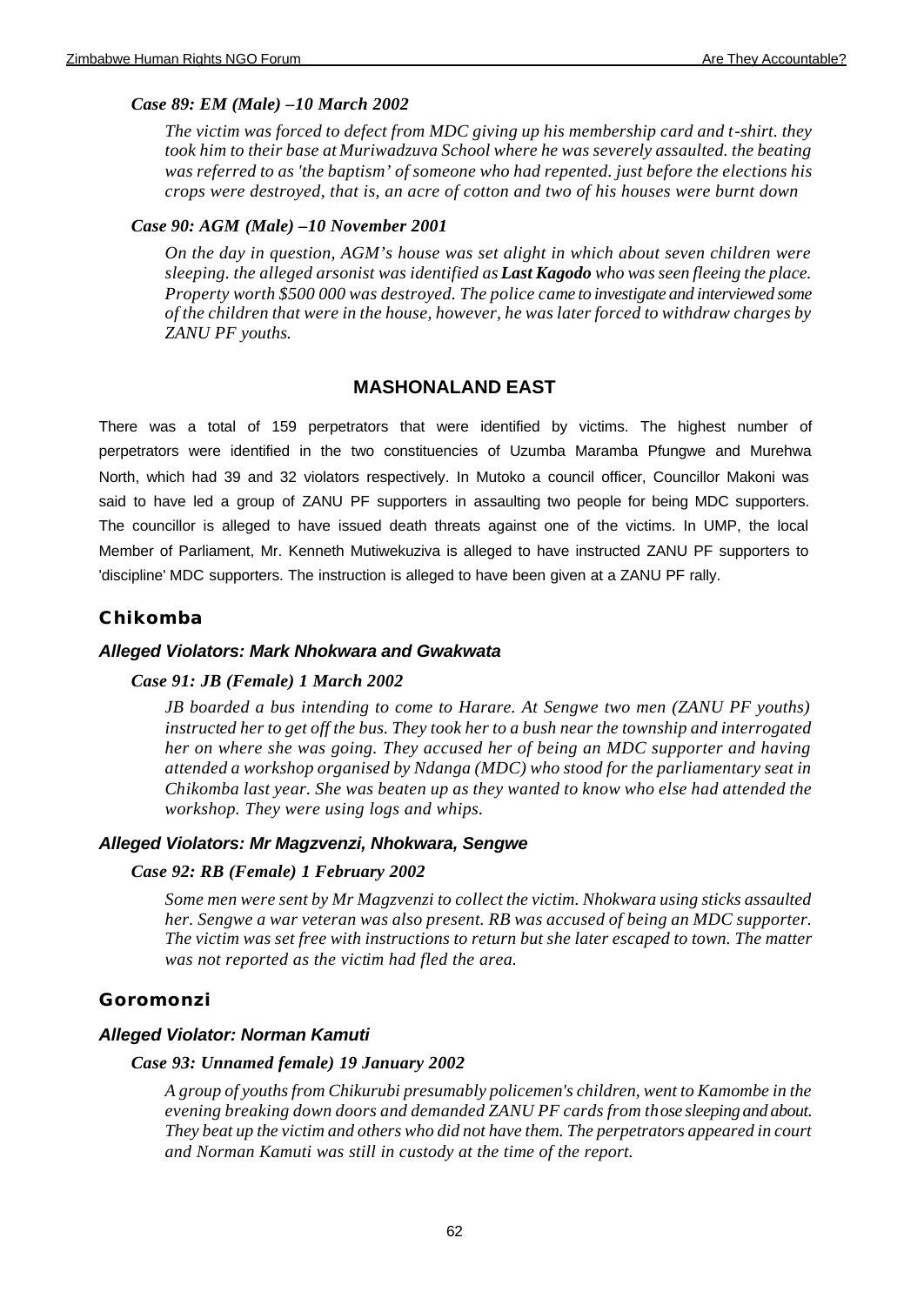## *Case 89: EM (Male) –10 March 2002*

*The victim was forced to defect from MDC giving up his membership card and t-shirt. they took him to their base at Muriwadzuva School where he was severely assaulted. the beating was referred to as 'the baptism' of someone who had repented. just before the elections his crops were destroyed, that is, an acre of cotton and two of his houses were burnt down*

### *Case 90: AGM (Male) –10 November 2001*

*On the day in question, AGM's house was set alight in which about seven children were sleeping. the alleged arsonist was identified as Last Kagodo who was seen fleeing the place. Property worth \$500 000 was destroyed. The police came to investigate and interviewed some of the children that were in the house, however, he was later forced to withdraw charges by ZANU PF youths.* 

## **MASHONALAND EAST**

There was a total of 159 perpetrators that were identified by victims. The highest number of perpetrators were identified in the two constituencies of Uzumba Maramba Pfungwe and Murehwa North, which had 39 and 32 violators respectively. In Mutoko a council officer, Councillor Makoni was said to have led a group of ZANU PF supporters in assaulting two people for being MDC supporters. The councillor is alleged to have issued death threats against one of the victims. In UMP, the local Member of Parliament, Mr. Kenneth Mutiwekuziva is alleged to have instructed ZANU PF supporters to 'discipline' MDC supporters. The instruction is alleged to have been given at a ZANU PF rally.

## **Chikomba**

### *Alleged Violators: Mark Nhokwara and Gwakwata*

#### *Case 91: JB (Female) 1 March 2002*

*JB boarded a bus intending to come to Harare. At Sengwe two men (ZANU PF youths) instructed her to get off the bus. They took her to a bush near the township and interrogated her on where she was going. They accused her of being an MDC supporter and having attended a workshop organised by Ndanga (MDC) who stood for the parliamentary seat in Chikomba last year. She was beaten up as they wanted to know who else had attended the workshop. They were using logs and whips.*

### *Alleged Violators: Mr Magzvenzi, Nhokwara, Sengwe*

### *Case 92: RB (Female) 1 February 2002*

*Some men were sent by Mr Magzvenzi to collect the victim. Nhokwara using sticks assaulted her. Sengwe a war veteran was also present. RB was accused of being an MDC supporter. The victim was set free with instructions to return but she later escaped to town. The matter was not reported as the victim had fled the area.*

### **Goromonzi**

### *Alleged Violator: Norman Kamuti*

#### *Case 93: Unnamed female) 19 January 2002*

*A group of youths from Chikurubi presumably policemen's children, went to Kamombe in the evening breaking down doors and demanded ZANU PF cards from those sleeping and about. They beat up the victim and others who did not have them. The perpetrators appeared in court and Norman Kamuti was still in custody at the time of the report.*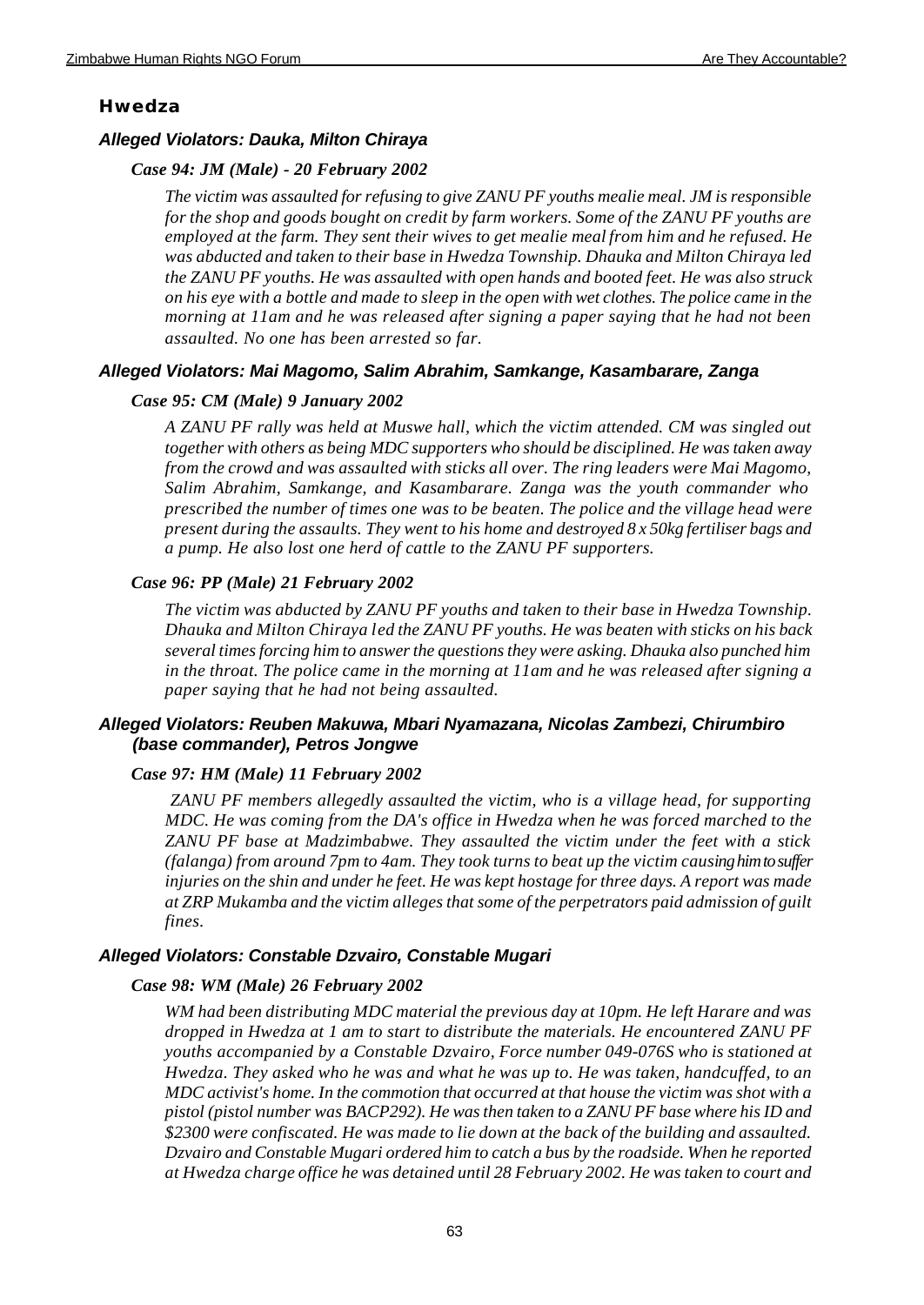#### **Hwedza**

#### *Alleged Violators: Dauka, Milton Chiraya*

#### *Case 94: JM (Male) - 20 February 2002*

*The victim was assaulted for refusing to give ZANU PF youths mealie meal. JM is responsible for the shop and goods bought on credit by farm workers. Some of the ZANU PF youths are employed at the farm. They sent their wives to get mealie meal from him and he refused. He was abducted and taken to their base in Hwedza Township. Dhauka and Milton Chiraya led the ZANU PF youths. He was assaulted with open hands and booted feet. He was also struck on his eye with a bottle and made to sleep in the open with wet clothes. The police came in the morning at 11am and he was released after signing a paper saying that he had not been assaulted. No one has been arrested so far.*

### *Alleged Violators: Mai Magomo, Salim Abrahim, Samkange, Kasambarare, Zanga*

### *Case 95: CM (Male) 9 January 2002*

*A ZANU PF rally was held at Muswe hall, which the victim attended. CM was singled out together with others as being MDC supporters who should be disciplined. He was taken away from the crowd and was assaulted with sticks all over. The ring leaders were Mai Magomo, Salim Abrahim, Samkange, and Kasambarare. Zanga was the youth commander who prescribed the number of times one was to be beaten. The police and the village head were present during the assaults. They went to his home and destroyed 8 x 50kg fertiliser bags and a pump. He also lost one herd of cattle to the ZANU PF supporters.*

#### *Case 96: PP (Male) 21 February 2002*

*The victim was abducted by ZANU PF youths and taken to their base in Hwedza Township. Dhauka and Milton Chiraya led the ZANU PF youths. He was beaten with sticks on his back several times forcing him to answer the questions they were asking. Dhauka also punched him in the throat. The police came in the morning at 11am and he was released after signing a paper saying that he had not being assaulted.* 

## *Alleged Violators: Reuben Makuwa, Mbari Nyamazana, Nicolas Zambezi, Chirumbiro (base commander), Petros Jongwe*

#### *Case 97: HM (Male) 11 February 2002*

 *ZANU PF members allegedly assaulted the victim, who is a village head, for supporting MDC. He was coming from the DA's office in Hwedza when he was forced marched to the ZANU PF base at Madzimbabwe. They assaulted the victim under the feet with a stick (falanga) from around 7pm to 4am. They took turns to beat up the victim causing him to suffer injuries on the shin and under he feet. He was kept hostage for three days. A report was made at ZRP Mukamba and the victim alleges that some of the perpetrators paid admission of guilt fines.*

#### *Alleged Violators: Constable Dzvairo, Constable Mugari*

#### *Case 98: WM (Male) 26 February 2002*

*WM had been distributing MDC material the previous day at 10pm. He left Harare and was dropped in Hwedza at 1 am to start to distribute the materials. He encountered ZANU PF youths accompanied by a Constable Dzvairo, Force number 049-076S who is stationed at Hwedza. They asked who he was and what he was up to. He was taken, handcuffed, to an MDC activist's home. In the commotion that occurred at that house the victim was shot with a pistol (pistol number was BACP292). He was then taken to a ZANU PF base where his ID and \$2300 were confiscated. He was made to lie down at the back of the building and assaulted. Dzvairo and Constable Mugari ordered him to catch a bus by the roadside. When he reported at Hwedza charge office he was detained until 28 February 2002. He was taken to court and*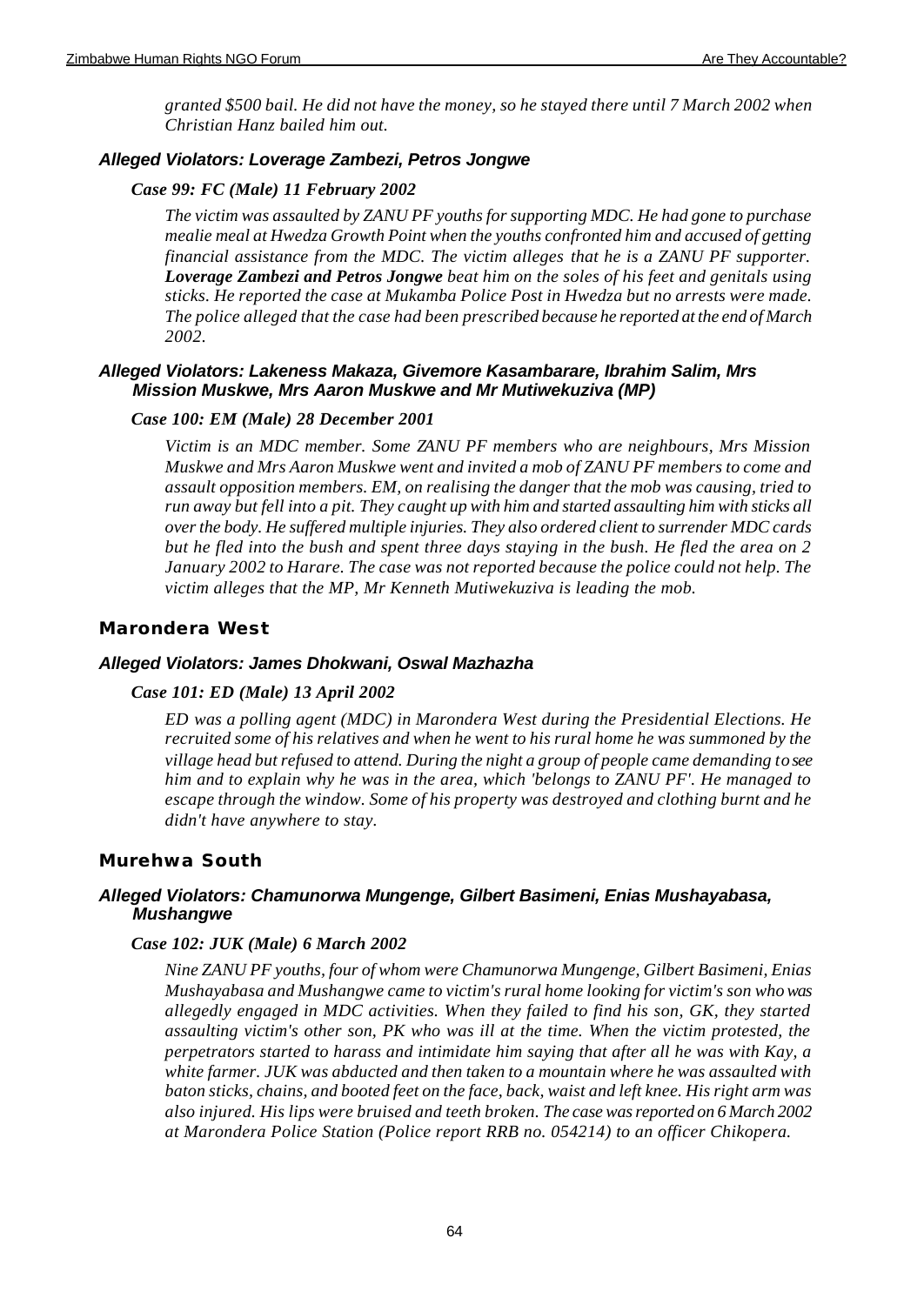*granted \$500 bail. He did not have the money, so he stayed there until 7 March 2002 when Christian Hanz bailed him out.*

## *Alleged Violators: Loverage Zambezi, Petros Jongwe*

## *Case 99: FC (Male) 11 February 2002*

*The victim was assaulted by ZANU PF youths for supporting MDC. He had gone to purchase mealie meal at Hwedza Growth Point when the youths confronted him and accused of getting financial assistance from the MDC. The victim alleges that he is a ZANU PF supporter. Loverage Zambezi and Petros Jongwe beat him on the soles of his feet and genitals using sticks. He reported the case at Mukamba Police Post in Hwedza but no arrests were made. The police alleged that the case had been prescribed because he reported at the end of March 2002.* 

## *Alleged Violators: Lakeness Makaza, Givemore Kasambarare, Ibrahim Salim, Mrs Mission Muskwe, Mrs Aaron Muskwe and Mr Mutiwekuziva (MP)*

## *Case 100: EM (Male) 28 December 2001*

*Victim is an MDC member. Some ZANU PF members who are neighbours, Mrs Mission Muskwe and Mrs Aaron Muskwe went and invited a mob of ZANU PF members to come and assault opposition members. EM, on realising the danger that the mob was causing, tried to run away but fell into a pit. They caught up with him and started assaulting him with sticks all over the body. He suffered multiple injuries. They also ordered client to surrender MDC cards but he fled into the bush and spent three days staying in the bush. He fled the area on 2 January 2002 to Harare. The case was not reported because the police could not help. The victim alleges that the MP, Mr Kenneth Mutiwekuziva is leading the mob.* 

## **Marondera West**

## *Alleged Violators: James Dhokwani, Oswal Mazhazha*

## *Case 101: ED (Male) 13 April 2002*

*ED was a polling agent (MDC) in Marondera West during the Presidential Elections. He recruited some of his relatives and when he went to his rural home he was summoned by the village head but refused to attend. During the night a group of people came demanding to see him and to explain why he was in the area, which 'belongs to ZANU PF'. He managed to escape through the window. Some of his property was destroyed and clothing burnt and he didn't have anywhere to stay.*

## **Murehwa South**

## *Alleged Violators: Chamunorwa Mungenge, Gilbert Basimeni, Enias Mushayabasa, Mushangwe*

### *Case 102: JUK (Male) 6 March 2002*

*Nine ZANU PF youths, four of whom were Chamunorwa Mungenge, Gilbert Basimeni, Enias Mushayabasa and Mushangwe came to victim's rural home looking for victim's son who was allegedly engaged in MDC activities. When they failed to find his son, GK, they started assaulting victim's other son, PK who was ill at the time. When the victim protested, the perpetrators started to harass and intimidate him saying that after all he was with Kay, a white farmer. JUK was abducted and then taken to a mountain where he was assaulted with baton sticks, chains, and booted feet on the face, back, waist and left knee. His right arm was also injured. His lips were bruised and teeth broken. The case was reported on 6 March 2002 at Marondera Police Station (Police report RRB no. 054214) to an officer Chikopera.*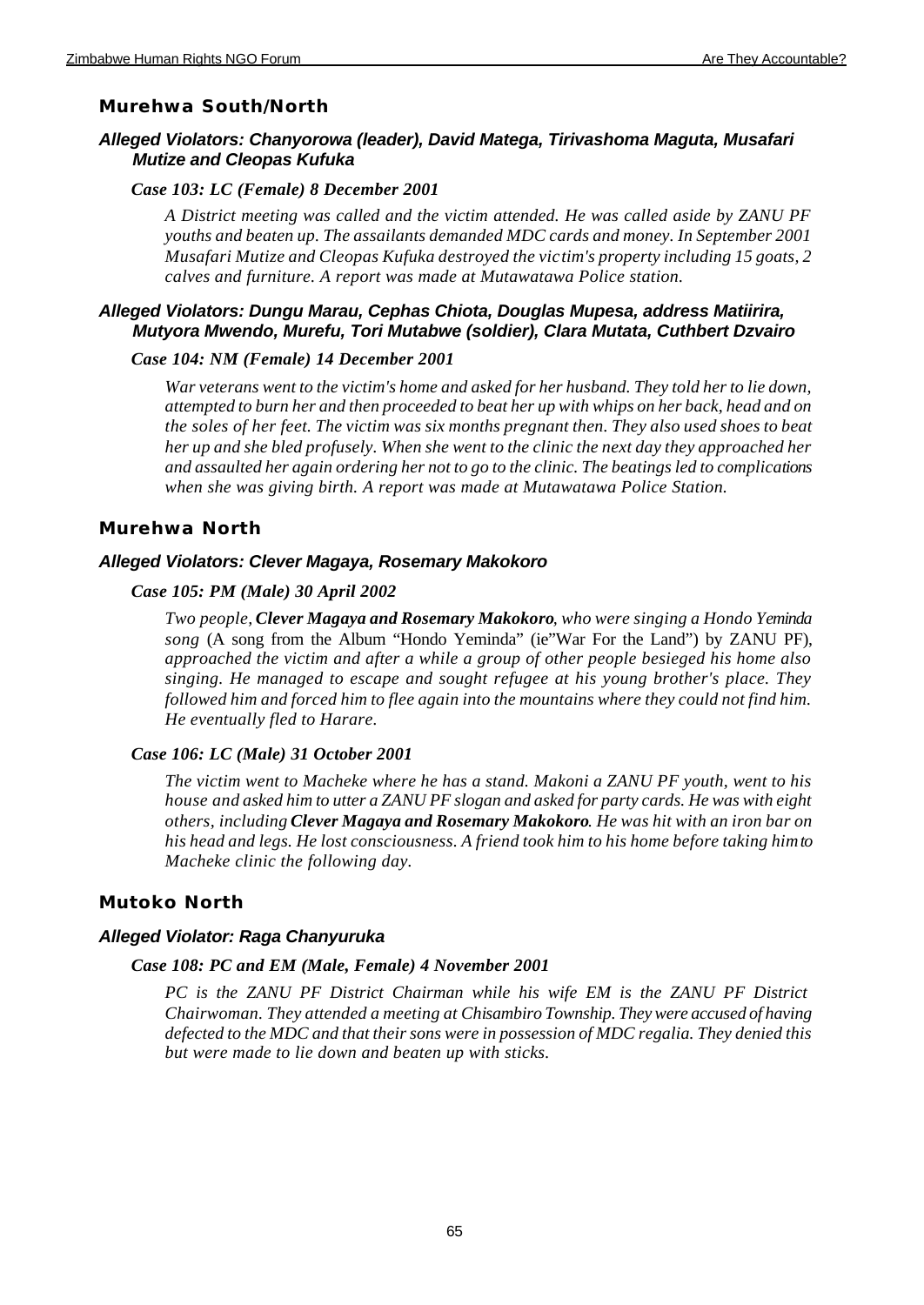### **Murehwa South/North**

## *Alleged Violators: Chanyorowa (leader), David Matega, Tirivashoma Maguta, Musafari Mutize and Cleopas Kufuka*

#### *Case 103: LC (Female) 8 December 2001*

*A District meeting was called and the victim attended. He was called aside by ZANU PF youths and beaten up. The assailants demanded MDC cards and money. In September 2001 Musafari Mutize and Cleopas Kufuka destroyed the victim's property including 15 goats, 2 calves and furniture. A report was made at Mutawatawa Police station.*

## *Alleged Violators: Dungu Marau, Cephas Chiota, Douglas Mupesa, address Matiirira, Mutyora Mwendo, Murefu, Tori Mutabwe (soldier), Clara Mutata, Cuthbert Dzvairo*

#### *Case 104: NM (Female) 14 December 2001*

*War veterans went to the victim's home and asked for her husband. They told her to lie down, attempted to burn her and then proceeded to beat her up with whips on her back, head and on the soles of her feet. The victim was six months pregnant then. They also used shoes to beat her up and she bled profusely. When she went to the clinic the next day they approached her and assaulted her again ordering her not to go to the clinic. The beatings led to complications when she was giving birth. A report was made at Mutawatawa Police Station.* 

### **Murehwa North**

#### *Alleged Violators: Clever Magaya, Rosemary Makokoro*

#### *Case 105: PM (Male) 30 April 2002*

*Two people, Clever Magaya and Rosemary Makokoro, who were singing a Hondo Yeminda song* (A song from the Album "Hondo Yeminda" (ie"War For the Land") by ZANU PF), *approached the victim and after a while a group of other people besieged his home also singing. He managed to escape and sought refugee at his young brother's place. They followed him and forced him to flee again into the mountains where they could not find him. He eventually fled to Harare.*

#### *Case 106: LC (Male) 31 October 2001*

*The victim went to Macheke where he has a stand. Makoni a ZANU PF youth, went to his house and asked him to utter a ZANU PF slogan and asked for party cards. He was with eight others, including Clever Magaya and Rosemary Makokoro. He was hit with an iron bar on his head and legs. He lost consciousness. A friend took him to his home before taking him to Macheke clinic the following day.*

### **Mutoko North**

### *Alleged Violator: Raga Chanyuruka*

#### *Case 108: PC and EM (Male, Female) 4 November 2001*

*PC is the ZANU PF District Chairman while his wife EM is the ZANU PF District Chairwoman. They attended a meeting at Chisambiro Township. They were accused of having defected to the MDC and that their sons were in possession of MDC regalia. They denied this but were made to lie down and beaten up with sticks.*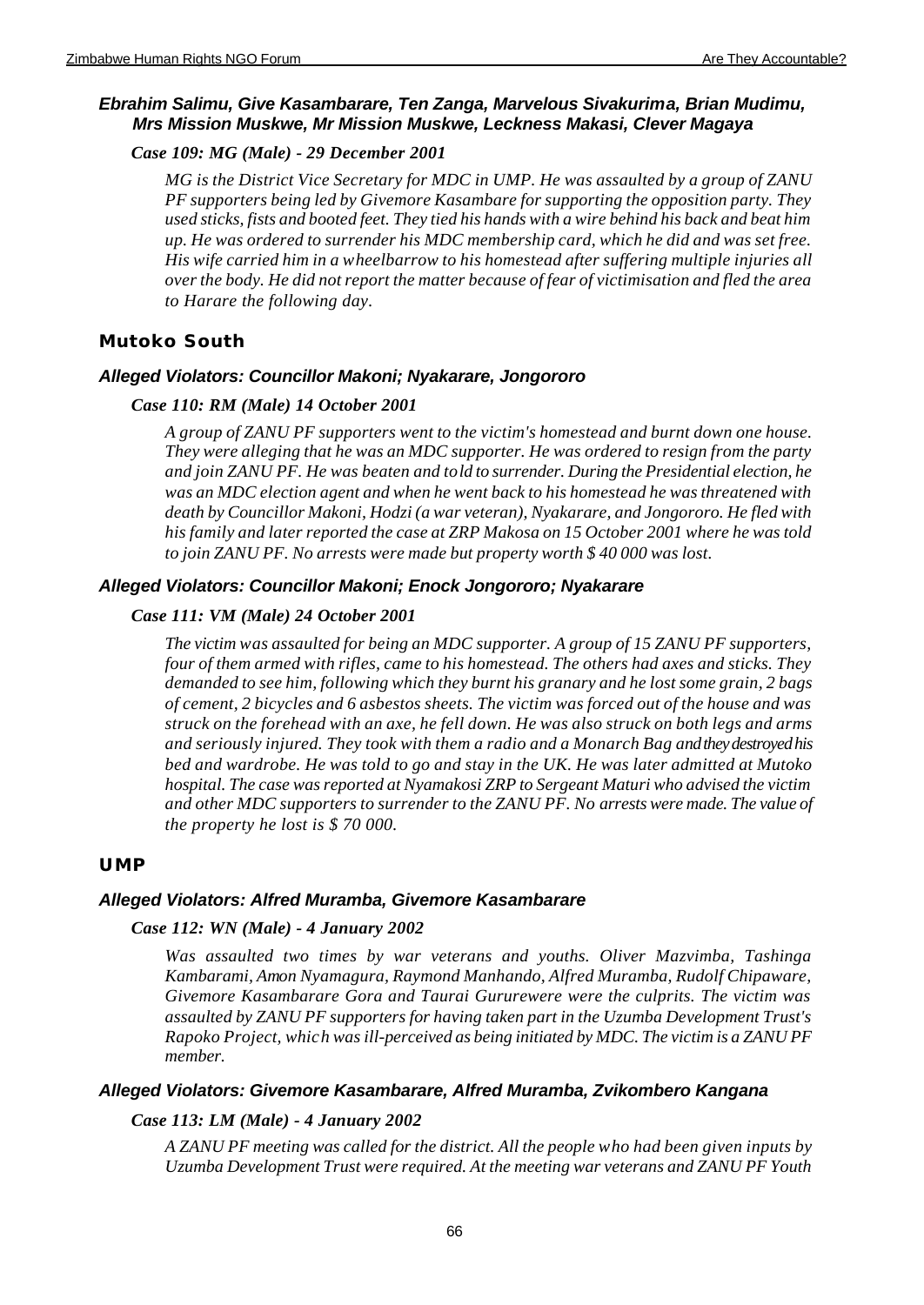## *Ebrahim Salimu, Give Kasambarare, Ten Zanga, Marvelous Sivakurima, Brian Mudimu, Mrs Mission Muskwe, Mr Mission Muskwe, Leckness Makasi, Clever Magaya*

## *Case 109: MG (Male) - 29 December 2001*

*MG is the District Vice Secretary for MDC in UMP. He was assaulted by a group of ZANU PF supporters being led by Givemore Kasambare for supporting the opposition party. They used sticks, fists and booted feet. They tied his hands with a wire behind his back and beat him up. He was ordered to surrender his MDC membership card, which he did and was set free. His wife carried him in a wheelbarrow to his homestead after suffering multiple injuries all over the body. He did not report the matter because of fear of victimisation and fled the area to Harare the following day.*

## **Mutoko South**

## *Alleged Violators: Councillor Makoni; Nyakarare, Jongororo*

## *Case 110: RM (Male) 14 October 2001*

*A group of ZANU PF supporters went to the victim's homestead and burnt down one house. They were alleging that he was an MDC supporter. He was ordered to resign from the party and join ZANU PF. He was beaten and told to surrender. During the Presidential election, he was an MDC election agent and when he went back to his homestead he was threatened with death by Councillor Makoni, Hodzi (a war veteran), Nyakarare, and Jongororo. He fled with his family and later reported the case at ZRP Makosa on 15 October 2001 where he was told to join ZANU PF. No arrests were made but property worth \$ 40 000 was lost.*

## *Alleged Violators: Councillor Makoni; Enock Jongororo; Nyakarare*

## *Case 111: VM (Male) 24 October 2001*

*The victim was assaulted for being an MDC supporter. A group of 15 ZANU PF supporters, four of them armed with rifles, came to his homestead. The others had axes and sticks. They demanded to see him, following which they burnt his granary and he lost some grain, 2 bags of cement, 2 bicycles and 6 asbestos sheets. The victim was forced out of the house and was struck on the forehead with an axe, he fell down. He was also struck on both legs and arms and seriously injured. They took with them a radio and a Monarch Bag and they destroyed his bed and wardrobe. He was told to go and stay in the UK. He was later admitted at Mutoko hospital. The case was reported at Nyamakosi ZRP to Sergeant Maturi who advised the victim and other MDC supporters to surrender to the ZANU PF. No arrests were made. The value of the property he lost is \$ 70 000.*

## **UMP**

## *Alleged Violators: Alfred Muramba, Givemore Kasambarare*

### *Case 112: WN (Male) - 4 January 2002*

*Was assaulted two times by war veterans and youths. Oliver Mazvimba, Tashinga Kambarami, Amon Nyamagura, Raymond Manhando, Alfred Muramba, Rudolf Chipaware, Givemore Kasambarare Gora and Taurai Gururewere were the culprits. The victim was assaulted by ZANU PF supporters for having taken part in the Uzumba Development Trust's Rapoko Project, which was ill-perceived as being initiated by MDC. The victim is a ZANU PF member.*

### *Alleged Violators: Givemore Kasambarare, Alfred Muramba, Zvikombero Kangana*

## *Case 113: LM (Male) - 4 January 2002*

*A ZANU PF meeting was called for the district. All the people who had been given inputs by Uzumba Development Trust were required. At the meeting war veterans and ZANU PF Youth*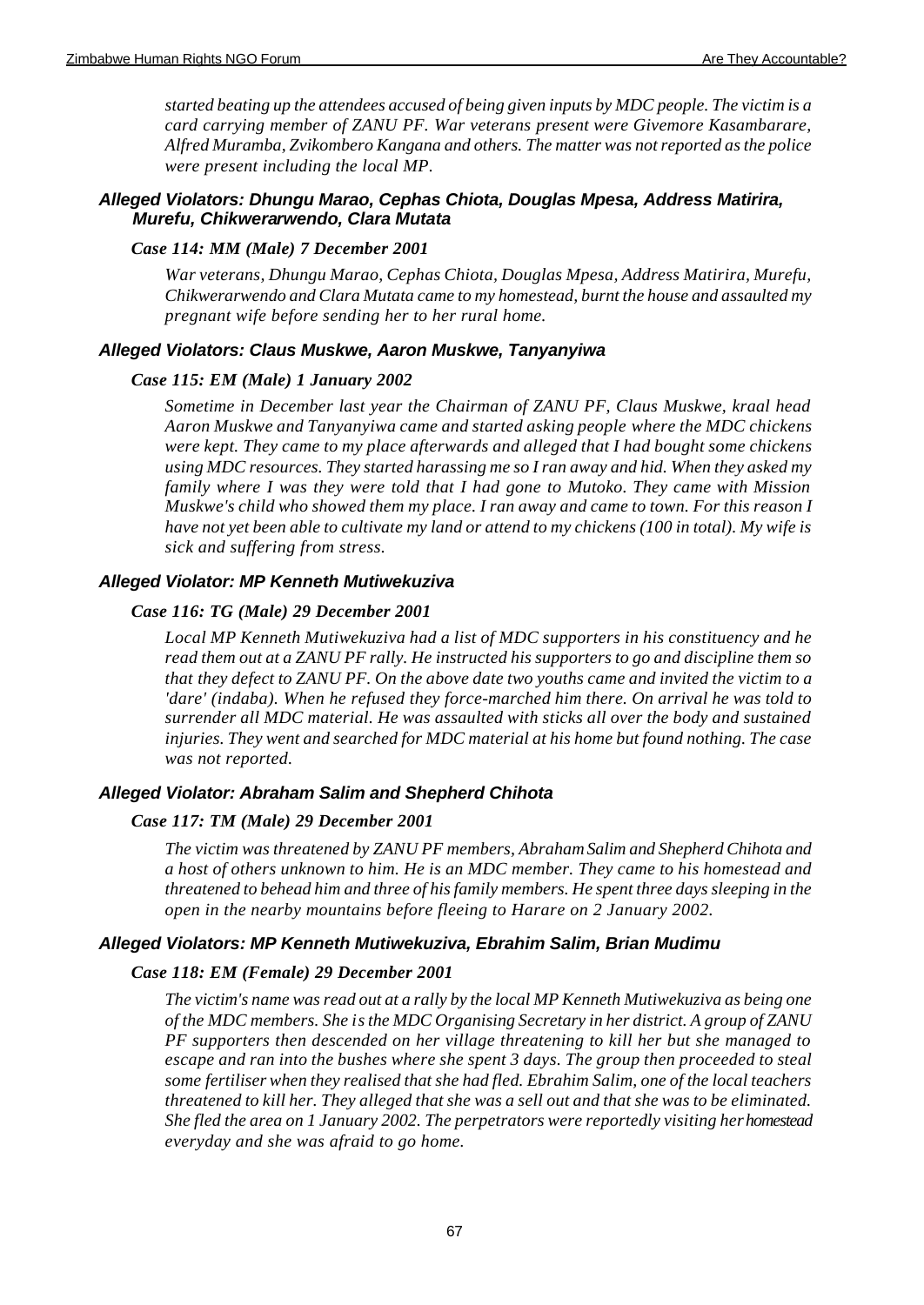*started beating up the attendees accused of being given inputs by MDC people. The victim is a card carrying member of ZANU PF. War veterans present were Givemore Kasambarare, Alfred Muramba, Zvikombero Kangana and others. The matter was not reported as the police were present including the local MP.*

## *Alleged Violators: Dhungu Marao, Cephas Chiota, Douglas Mpesa, Address Matirira, Murefu, Chikwerarwendo, Clara Mutata*

#### *Case 114: MM (Male) 7 December 2001*

*War veterans, Dhungu Marao, Cephas Chiota, Douglas Mpesa, Address Matirira, Murefu, Chikwerarwendo and Clara Mutata came to my homestead, burnt the house and assaulted my pregnant wife before sending her to her rural home.*

#### *Alleged Violators: Claus Muskwe, Aaron Muskwe, Tanyanyiwa*

#### *Case 115: EM (Male) 1 January 2002*

*Sometime in December last year the Chairman of ZANU PF, Claus Muskwe, kraal head Aaron Muskwe and Tanyanyiwa came and started asking people where the MDC chickens were kept. They came to my place afterwards and alleged that I had bought some chickens using MDC resources. They started harassing me so I ran away and hid. When they asked my family where I was they were told that I had gone to Mutoko. They came with Mission Muskwe's child who showed them my place. I ran away and came to town. For this reason I have not yet been able to cultivate my land or attend to my chickens (100 in total). My wife is sick and suffering from stress.* 

#### *Alleged Violator: MP Kenneth Mutiwekuziva*

#### *Case 116: TG (Male) 29 December 2001*

*Local MP Kenneth Mutiwekuziva had a list of MDC supporters in his constituency and he read them out at a ZANU PF rally. He instructed his supporters to go and discipline them so that they defect to ZANU PF. On the above date two youths came and invited the victim to a 'dare' (indaba). When he refused they force-marched him there. On arrival he was told to surrender all MDC material. He was assaulted with sticks all over the body and sustained injuries. They went and searched for MDC material at his home but found nothing. The case was not reported.*

### *Alleged Violator: Abraham Salim and Shepherd Chihota*

#### *Case 117: TM (Male) 29 December 2001*

*The victim was threatened by ZANU PF members, Abraham Salim and Shepherd Chihota and a host of others unknown to him. He is an MDC member. They came to his homestead and threatened to behead him and three of his family members. He spent three days sleeping in the open in the nearby mountains before fleeing to Harare on 2 January 2002.*

#### *Alleged Violators: MP Kenneth Mutiwekuziva, Ebrahim Salim, Brian Mudimu*

#### *Case 118: EM (Female) 29 December 2001*

*The victim's name was read out at a rally by the local MP Kenneth Mutiwekuziva as being one of the MDC members. She is the MDC Organising Secretary in her district. A group of ZANU PF supporters then descended on her village threatening to kill her but she managed to escape and ran into the bushes where she spent 3 days. The group then proceeded to steal some fertiliser when they realised that she had fled. Ebrahim Salim, one of the local teachers threatened to kill her. They alleged that she was a sell out and that she was to be eliminated. She fled the area on 1 January 2002. The perpetrators were reportedly visiting her homestead everyday and she was afraid to go home.*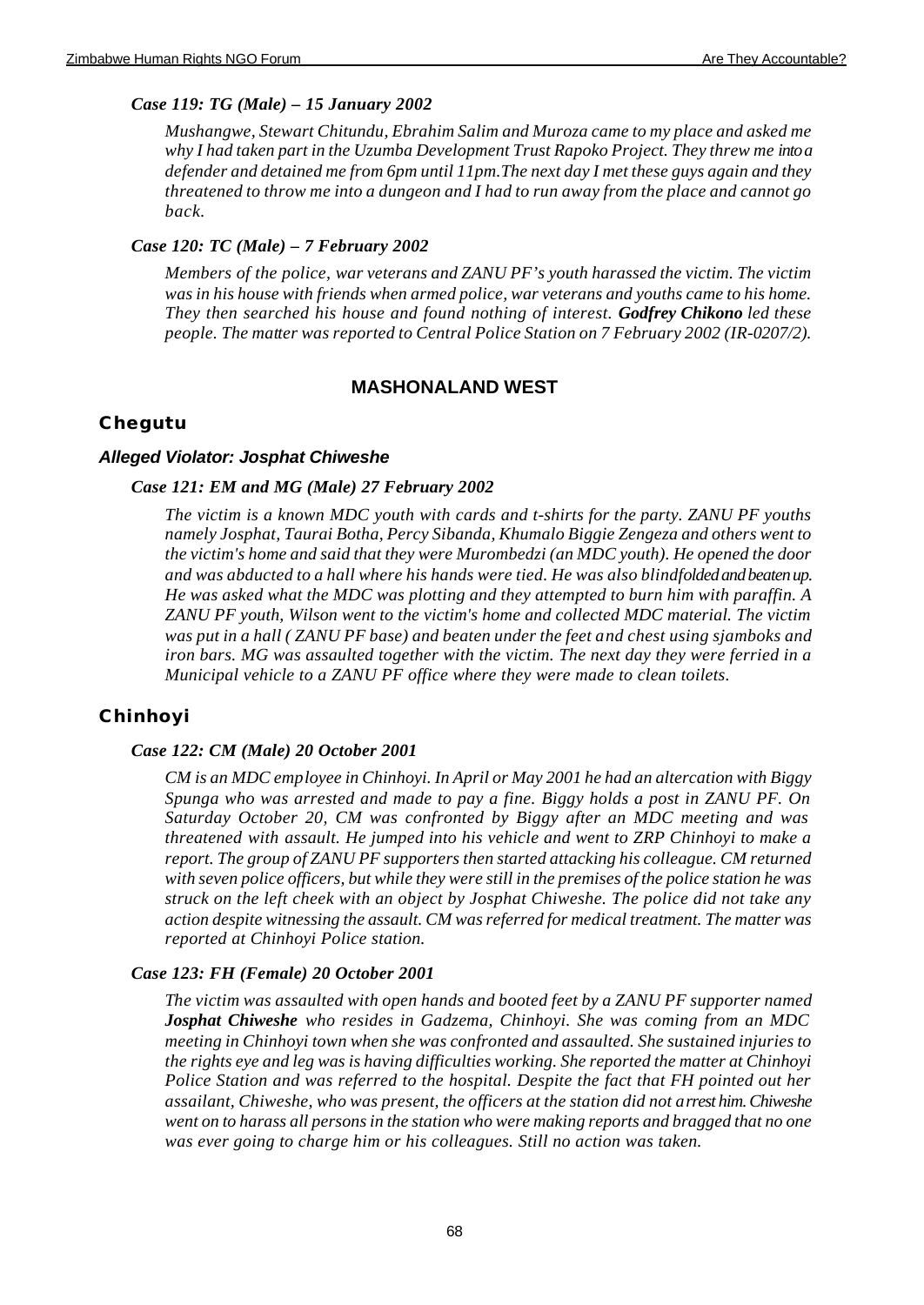## *Case 119: TG (Male) – 15 January 2002*

*Mushangwe, Stewart Chitundu, Ebrahim Salim and Muroza came to my place and asked me why I had taken part in the Uzumba Development Trust Rapoko Project. They threw me into a defender and detained me from 6pm until 11pm.The next day I met these guys again and they threatened to throw me into a dungeon and I had to run away from the place and cannot go back.* 

## *Case 120: TC (Male) – 7 February 2002*

*Members of the police, war veterans and ZANU PF's youth harassed the victim. The victim was in his house with friends when armed police, war veterans and youths came to his home. They then searched his house and found nothing of interest. Godfrey Chikono led these people. The matter was reported to Central Police Station on 7 February 2002 (IR-0207/2).*

# **MASHONALAND WEST**

# **Chegutu**

## *Alleged Violator: Josphat Chiweshe*

## *Case 121: EM and MG (Male) 27 February 2002*

*The victim is a known MDC youth with cards and t-shirts for the party. ZANU PF youths namely Josphat, Taurai Botha, Percy Sibanda, Khumalo Biggie Zengeza and others went to the victim's home and said that they were Murombedzi (an MDC youth). He opened the door and was abducted to a hall where his hands were tied. He was also blindfolded and beaten up. He was asked what the MDC was plotting and they attempted to burn him with paraffin. A ZANU PF youth, Wilson went to the victim's home and collected MDC material. The victim was put in a hall ( ZANU PF base) and beaten under the feet and chest using sjamboks and iron bars. MG was assaulted together with the victim. The next day they were ferried in a Municipal vehicle to a ZANU PF office where they were made to clean toilets.*

# **Chinhoyi**

## *Case 122: CM (Male) 20 October 2001*

*CM is an MDC employee in Chinhoyi. In April or May 2001 he had an altercation with Biggy Spunga who was arrested and made to pay a fine. Biggy holds a post in ZANU PF. On Saturday October 20, CM was confronted by Biggy after an MDC meeting and was threatened with assault. He jumped into his vehicle and went to ZRP Chinhoyi to make a report. The group of ZANU PF supporters then started attacking his colleague. CM returned with seven police officers, but while they were still in the premises of the police station he was struck on the left cheek with an object by Josphat Chiweshe. The police did not take any action despite witnessing the assault. CM was referred for medical treatment. The matter was reported at Chinhoyi Police station.*

## *Case 123: FH (Female) 20 October 2001*

*The victim was assaulted with open hands and booted feet by a ZANU PF supporter named Josphat Chiweshe who resides in Gadzema, Chinhoyi. She was coming from an MDC meeting in Chinhoyi town when she was confronted and assaulted. She sustained injuries to the rights eye and leg was is having difficulties working. She reported the matter at Chinhoyi Police Station and was referred to the hospital. Despite the fact that FH pointed out her assailant, Chiweshe, who was present, the officers at the station did not arrest him. Chiweshe went on to harass all persons in the station who were making reports and bragged that no one was ever going to charge him or his colleagues. Still no action was taken.*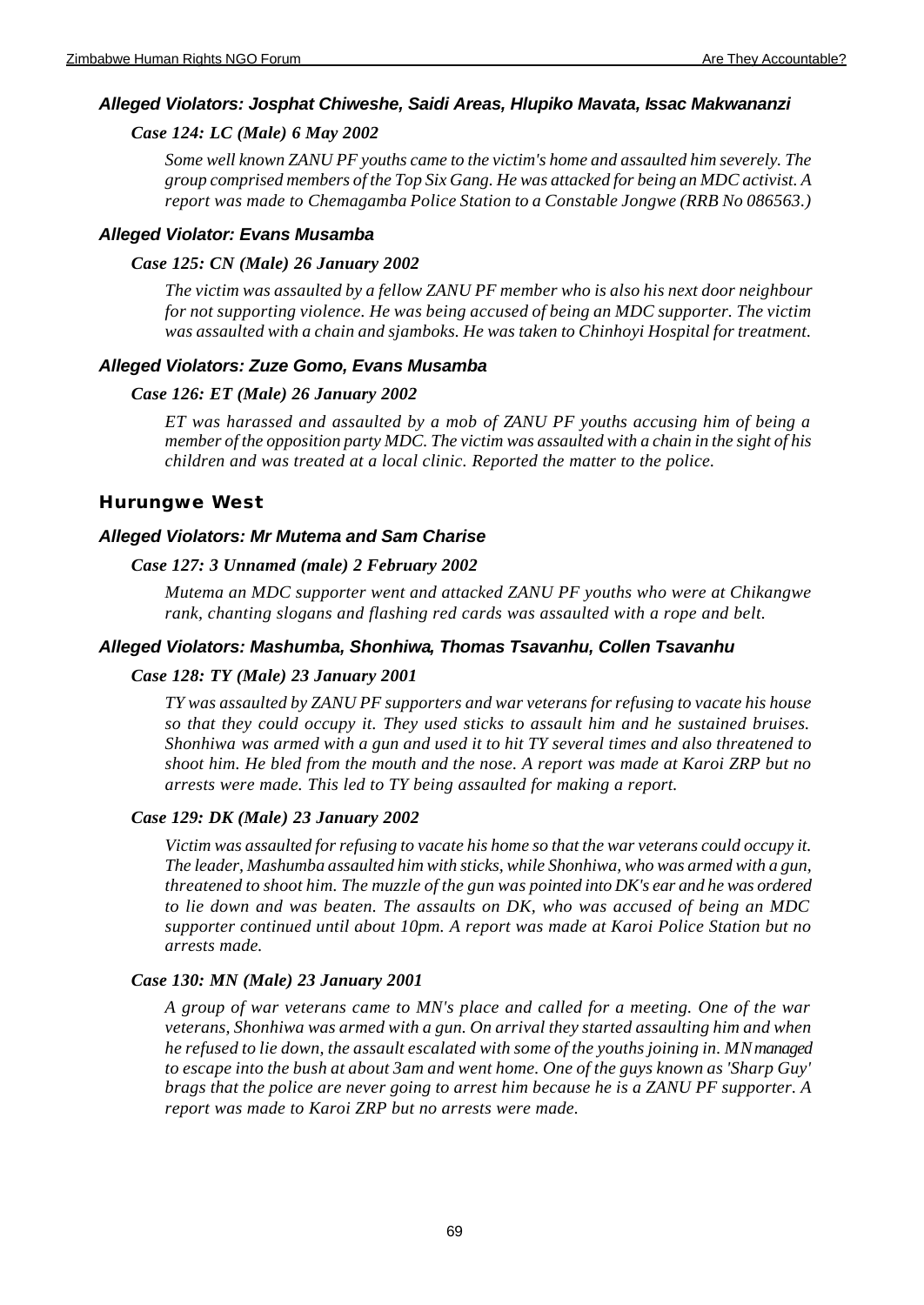### *Alleged Violators: Josphat Chiweshe, Saidi Areas, Hlupiko Mavata, Issac Makwananzi*

### *Case 124: LC (Male) 6 May 2002*

*Some well known ZANU PF youths came to the victim's home and assaulted him severely. The group comprised members of the Top Six Gang. He was attacked for being an MDC activist. A report was made to Chemagamba Police Station to a Constable Jongwe (RRB No 086563.)*

#### *Alleged Violator: Evans Musamba*

#### *Case 125: CN (Male) 26 January 2002*

*The victim was assaulted by a fellow ZANU PF member who is also his next door neighbour for not supporting violence. He was being accused of being an MDC supporter. The victim was assaulted with a chain and sjamboks. He was taken to Chinhoyi Hospital for treatment.* 

### *Alleged Violators: Zuze Gomo, Evans Musamba*

#### *Case 126: ET (Male) 26 January 2002*

*ET was harassed and assaulted by a mob of ZANU PF youths accusing him of being a member of the opposition party MDC. The victim was assaulted with a chain in the sight of his children and was treated at a local clinic. Reported the matter to the police.*

#### **Hurungwe West**

#### *Alleged Violators: Mr Mutema and Sam Charise*

#### *Case 127: 3 Unnamed (male) 2 February 2002*

*Mutema an MDC supporter went and attacked ZANU PF youths who were at Chikangwe rank, chanting slogans and flashing red cards was assaulted with a rope and belt.* 

#### *Alleged Violators: Mashumba, Shonhiwa, Thomas Tsavanhu, Collen Tsavanhu*

#### *Case 128: TY (Male) 23 January 2001*

*TY was assaulted by ZANU PF supporters and war veterans for refusing to vacate his house so that they could occupy it. They used sticks to assault him and he sustained bruises. Shonhiwa was armed with a gun and used it to hit TY several times and also threatened to shoot him. He bled from the mouth and the nose. A report was made at Karoi ZRP but no arrests were made. This led to TY being assaulted for making a report.*

#### *Case 129: DK (Male) 23 January 2002*

*Victim was assaulted for refusing to vacate his home so that the war veterans could occupy it. The leader, Mashumba assaulted him with sticks, while Shonhiwa, who was armed with a gun, threatened to shoot him. The muzzle of the gun was pointed into DK's ear and he was ordered to lie down and was beaten. The assaults on DK, who was accused of being an MDC supporter continued until about 10pm. A report was made at Karoi Police Station but no arrests made.*

#### *Case 130: MN (Male) 23 January 2001*

*A group of war veterans came to MN's place and called for a meeting. One of the war veterans, Shonhiwa was armed with a gun. On arrival they started assaulting him and when he refused to lie down, the assault escalated with some of the youths joining in. MN managed to escape into the bush at about 3am and went home. One of the guys known as 'Sharp Guy' brags that the police are never going to arrest him because he is a ZANU PF supporter. A report was made to Karoi ZRP but no arrests were made.*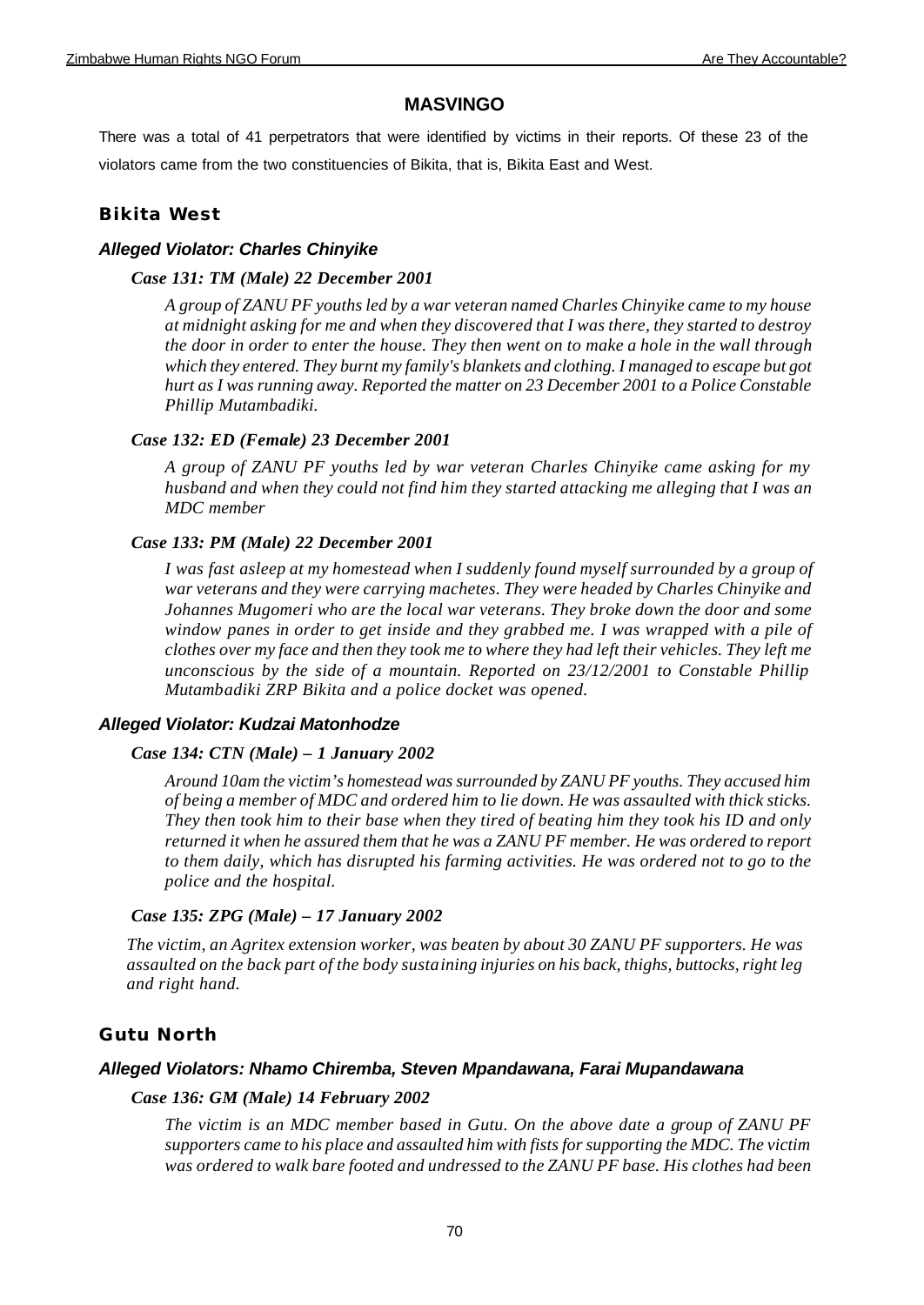## **MASVINGO**

There was a total of 41 perpetrators that were identified by victims in their reports. Of these 23 of the violators came from the two constituencies of Bikita, that is, Bikita East and West.

## **Bikita West**

## *Alleged Violator: Charles Chinyike*

## *Case 131: TM (Male) 22 December 2001*

*A group of ZANU PF youths led by a war veteran named Charles Chinyike came to my house at midnight asking for me and when they discovered that I was there, they started to destroy the door in order to enter the house. They then went on to make a hole in the wall through which they entered. They burnt my family's blankets and clothing. I managed to escape but got hurt as I was running away. Reported the matter on 23 December 2001 to a Police Constable Phillip Mutambadiki.* 

## *Case 132: ED (Female) 23 December 2001*

*A group of ZANU PF youths led by war veteran Charles Chinyike came asking for my husband and when they could not find him they started attacking me alleging that I was an MDC member*

## *Case 133: PM (Male) 22 December 2001*

*I was fast asleep at my homestead when I suddenly found myself surrounded by a group of war veterans and they were carrying machetes. They were headed by Charles Chinyike and Johannes Mugomeri who are the local war veterans. They broke down the door and some window panes in order to get inside and they grabbed me. I was wrapped with a pile of clothes over my face and then they took me to where they had left their vehicles. They left me unconscious by the side of a mountain. Reported on 23/12/2001 to Constable Phillip Mutambadiki ZRP Bikita and a police docket was opened.* 

## *Alleged Violator: Kudzai Matonhodze*

### *Case 134: CTN (Male) – 1 January 2002*

*Around 10am the victim's homestead was surrounded by ZANU PF youths. They accused him of being a member of MDC and ordered him to lie down. He was assaulted with thick sticks. They then took him to their base when they tired of beating him they took his ID and only returned it when he assured them that he was a ZANU PF member. He was ordered to report to them daily, which has disrupted his farming activities. He was ordered not to go to the police and the hospital.*

### *Case 135: ZPG (Male) – 17 January 2002*

*The victim, an Agritex extension worker, was beaten by about 30 ZANU PF supporters. He was assaulted on the back part of the body sustaining injuries on his back, thighs, buttocks, right leg and right hand.*

## **Gutu North**

### *Alleged Violators: Nhamo Chiremba, Steven Mpandawana, Farai Mupandawana*

### *Case 136: GM (Male) 14 February 2002*

*The victim is an MDC member based in Gutu. On the above date a group of ZANU PF supporters came to his place and assaulted him with fists for supporting the MDC. The victim was ordered to walk bare footed and undressed to the ZANU PF base. His clothes had been*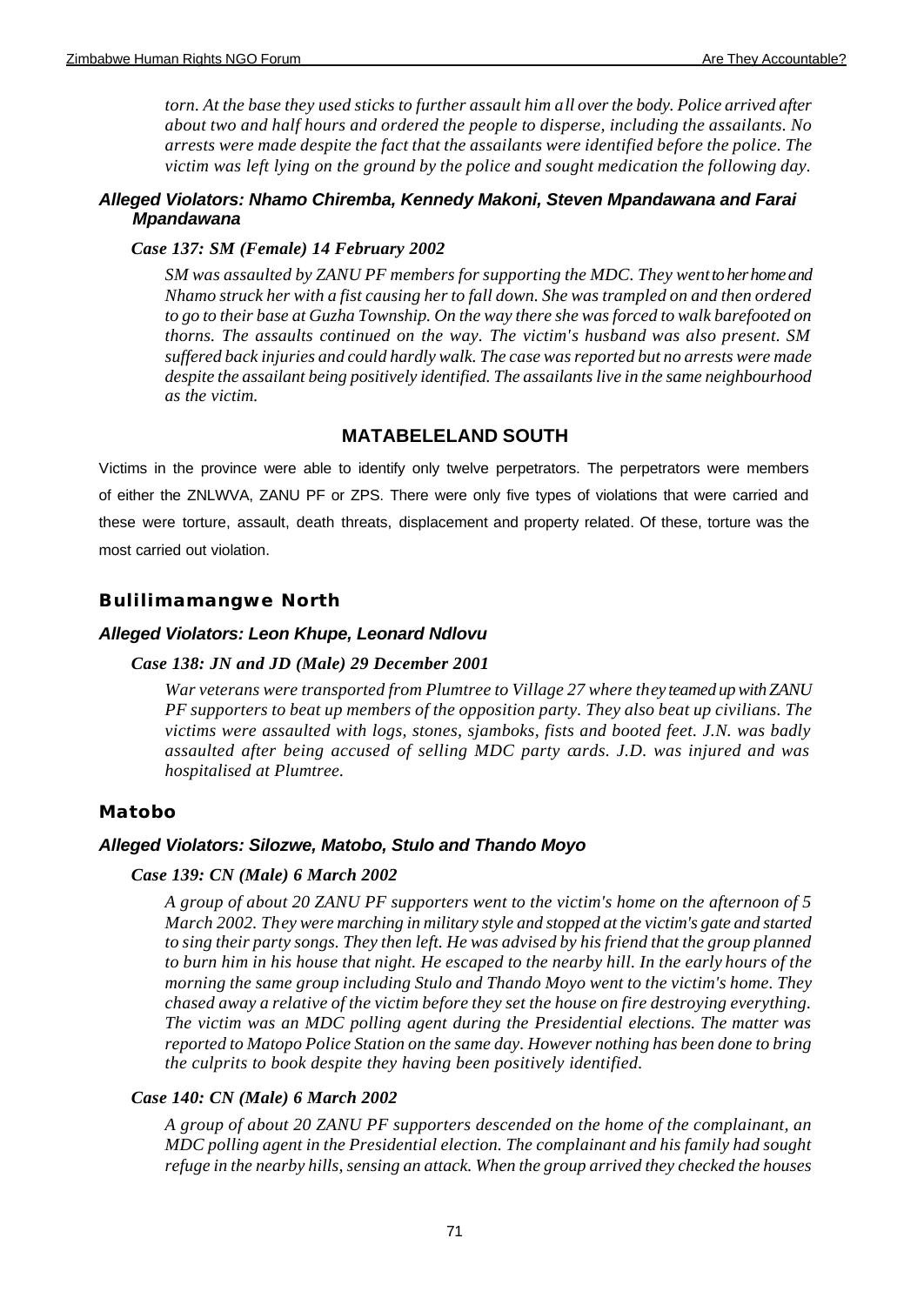*torn. At the base they used sticks to further assault him all over the body. Police arrived after about two and half hours and ordered the people to disperse, including the assailants. No arrests were made despite the fact that the assailants were identified before the police. The victim was left lying on the ground by the police and sought medication the following day.*

### *Alleged Violators: Nhamo Chiremba, Kennedy Makoni, Steven Mpandawana and Farai Mpandawana*

#### *Case 137: SM (Female) 14 February 2002*

*SM was assaulted by ZANU PF members for supporting the MDC. They went to her home and Nhamo struck her with a fist causing her to fall down. She was trampled on and then ordered to go to their base at Guzha Township. On the way there she was forced to walk barefooted on thorns. The assaults continued on the way. The victim's husband was also present. SM suffered back injuries and could hardly walk. The case was reported but no arrests were made despite the assailant being positively identified. The assailants live in the same neighbourhood as the victim.*

## **MATABELELAND SOUTH**

Victims in the province were able to identify only twelve perpetrators. The perpetrators were members of either the ZNLWVA, ZANU PF or ZPS. There were only five types of violations that were carried and these were torture, assault, death threats, displacement and property related. Of these, torture was the most carried out violation.

### **Bulilimamangwe North**

#### *Alleged Violators: Leon Khupe, Leonard Ndlovu*

#### *Case 138: JN and JD (Male) 29 December 2001*

*War veterans were transported from Plumtree to Village 27 where they teamed up with ZANU PF supporters to beat up members of the opposition party. They also beat up civilians. The victims were assaulted with logs, stones, sjamboks, fists and booted feet. J.N. was badly assaulted after being accused of selling MDC party cards. J.D. was injured and was hospitalised at Plumtree.*

### **Matobo**

#### *Alleged Violators: Silozwe, Matobo, Stulo and Thando Moyo*

#### *Case 139: CN (Male) 6 March 2002*

*A group of about 20 ZANU PF supporters went to the victim's home on the afternoon of 5 March 2002. They were marching in military style and stopped at the victim's gate and started to sing their party songs. They then left. He was advised by his friend that the group planned to burn him in his house that night. He escaped to the nearby hill. In the early hours of the morning the same group including Stulo and Thando Moyo went to the victim's home. They chased away a relative of the victim before they set the house on fire destroying everything. The victim was an MDC polling agent during the Presidential elections. The matter was reported to Matopo Police Station on the same day. However nothing has been done to bring the culprits to book despite they having been positively identified.*

### *Case 140: CN (Male) 6 March 2002*

*A group of about 20 ZANU PF supporters descended on the home of the complainant, an MDC polling agent in the Presidential election. The complainant and his family had sought refuge in the nearby hills, sensing an attack. When the group arrived they checked the houses*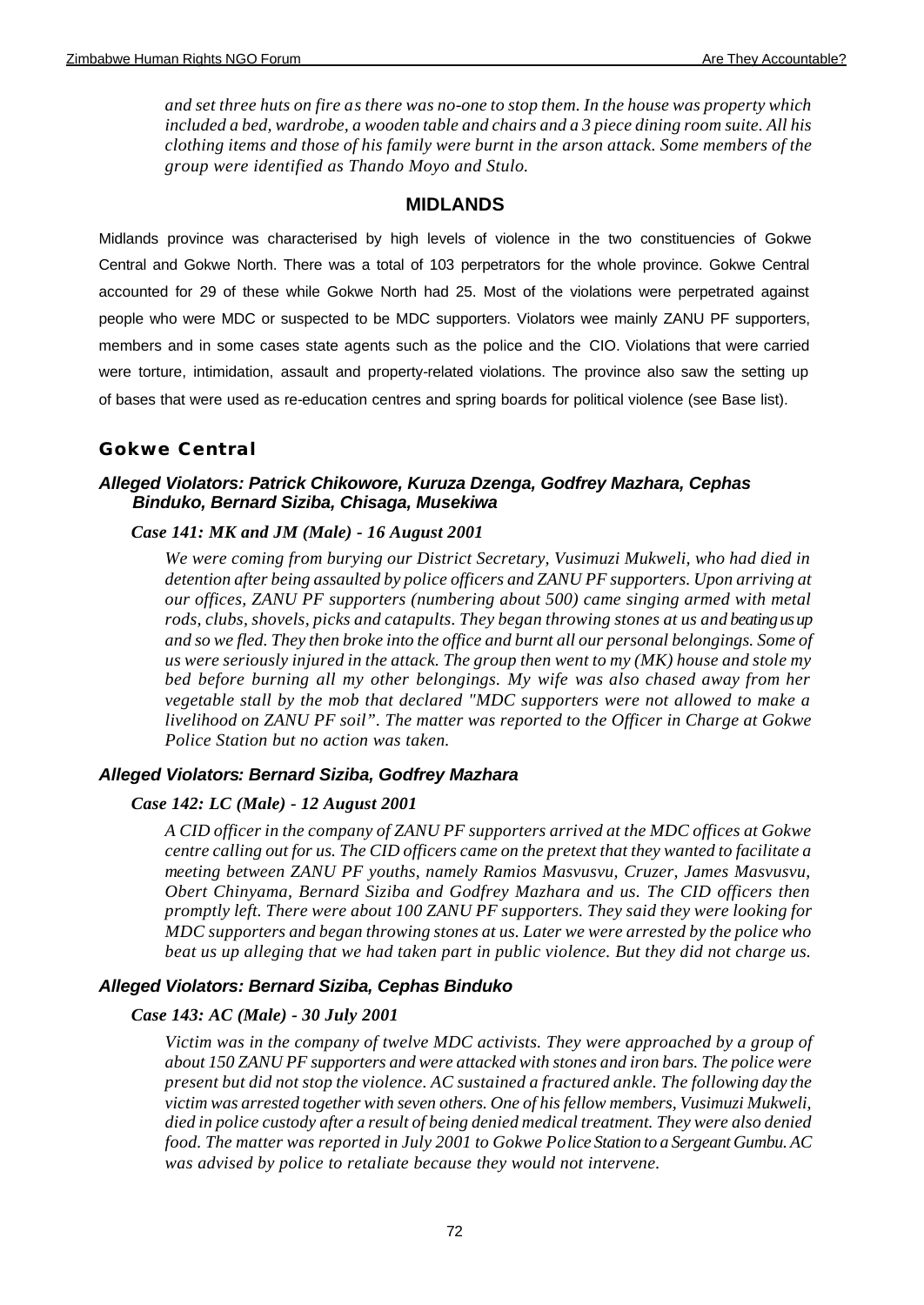*and set three huts on fire as there was no-one to stop them. In the house was property which included a bed, wardrobe, a wooden table and chairs and a 3 piece dining room suite. All his clothing items and those of his family were burnt in the arson attack. Some members of the group were identified as Thando Moyo and Stulo.*

## **MIDLANDS**

Midlands province was characterised by high levels of violence in the two constituencies of Gokwe Central and Gokwe North. There was a total of 103 perpetrators for the whole province. Gokwe Central accounted for 29 of these while Gokwe North had 25. Most of the violations were perpetrated against people who were MDC or suspected to be MDC supporters. Violators wee mainly ZANU PF supporters, members and in some cases state agents such as the police and the CIO. Violations that were carried were torture, intimidation, assault and property-related violations. The province also saw the setting up of bases that were used as re-education centres and spring boards for political violence (see Base list).

## **Gokwe Central**

## *Alleged Violators: Patrick Chikowore, Kuruza Dzenga, Godfrey Mazhara, Cephas Binduko, Bernard Siziba, Chisaga, Musekiwa*

## *Case 141: MK and JM (Male) - 16 August 2001*

*We were coming from burying our District Secretary, Vusimuzi Mukweli, who had died in detention after being assaulted by police officers and ZANU PF supporters. Upon arriving at our offices, ZANU PF supporters (numbering about 500) came singing armed with metal*  rods, clubs, shovels, picks and catapults. They began throwing stones at us and beating us up *and so we fled. They then broke into the office and burnt all our personal belongings. Some of us were seriously injured in the attack. The group then went to my (MK) house and stole my bed before burning all my other belongings. My wife was also chased away from her vegetable stall by the mob that declared "MDC supporters were not allowed to make a livelihood on ZANU PF soil". The matter was reported to the Officer in Charge at Gokwe Police Station but no action was taken.* 

### *Alleged Violators: Bernard Siziba, Godfrey Mazhara*

### *Case 142: LC (Male) - 12 August 2001*

*A CID officer in the company of ZANU PF supporters arrived at the MDC offices at Gokwe centre calling out for us. The CID officers came on the pretext that they wanted to facilitate a meeting between ZANU PF youths, namely Ramios Masvusvu, Cruzer, James Masvusvu, Obert Chinyama, Bernard Siziba and Godfrey Mazhara and us. The CID officers then promptly left. There were about 100 ZANU PF supporters. They said they were looking for MDC supporters and began throwing stones at us. Later we were arrested by the police who beat us up alleging that we had taken part in public violence. But they did not charge us.*

### *Alleged Violators: Bernard Siziba, Cephas Binduko*

### *Case 143: AC (Male) - 30 July 2001*

*Victim was in the company of twelve MDC activists. They were approached by a group of about 150 ZANU PF supporters and were attacked with stones and iron bars. The police were present but did not stop the violence. AC sustained a fractured ankle. The following day the victim was arrested together with seven others. One of his fellow members, Vusimuzi Mukweli, died in police custody after a result of being denied medical treatment. They were also denied food. The matter was reported in July 2001 to Gokwe Police Station to a Sergeant Gumbu. AC was advised by police to retaliate because they would not intervene.*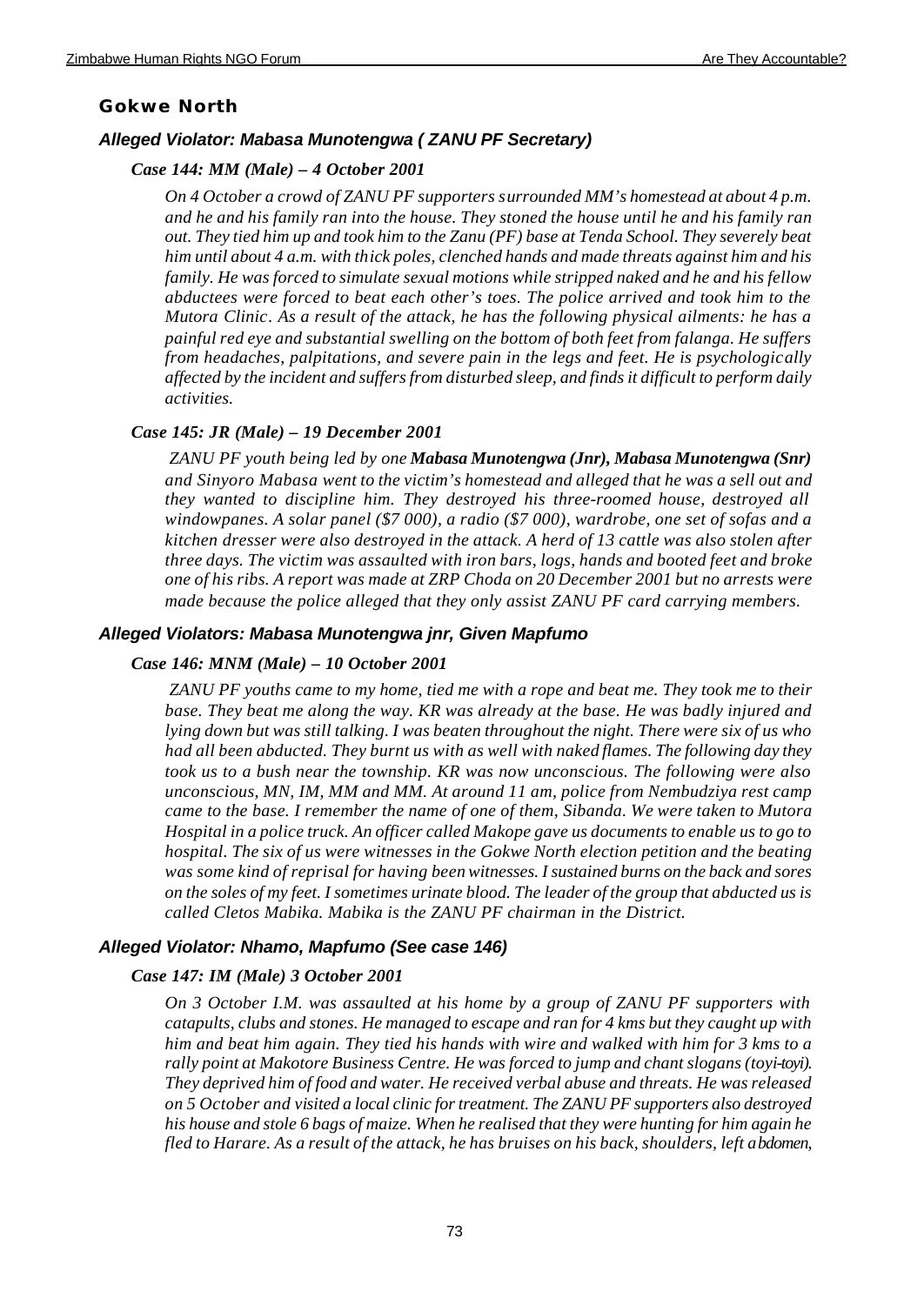# **Gokwe North**

# *Alleged Violator: Mabasa Munotengwa ( ZANU PF Secretary)*

# *Case 144: MM (Male) – 4 October 2001*

*On 4 October a crowd of ZANU PF supporters surrounded MM's homestead at about 4 p.m. and he and his family ran into the house. They stoned the house until he and his family ran out. They tied him up and took him to the Zanu (PF) base at Tenda School. They severely beat him until about 4 a.m. with thick poles, clenched hands and made threats against him and his family. He was forced to simulate sexual motions while stripped naked and he and his fellow abductees were forced to beat each other's toes. The police arrived and took him to the Mutora Clinic. As a result of the attack, he has the following physical ailments: he has a painful red eye and substantial swelling on the bottom of both feet from falanga. He suffers from headaches, palpitations, and severe pain in the legs and feet. He is psychologically affected by the incident and suffers from disturbed sleep, and finds it difficult to perform daily activities.*

# *Case 145: JR (Male) – 19 December 2001*

 *ZANU PF youth being led by one Mabasa Munotengwa (Jnr), Mabasa Munotengwa (Snr) and Sinyoro Mabasa went to the victim's homestead and alleged that he was a sell out and they wanted to discipline him. They destroyed his three-roomed house, destroyed all windowpanes. A solar panel (\$7 000), a radio (\$7 000), wardrobe, one set of sofas and a kitchen dresser were also destroyed in the attack. A herd of 13 cattle was also stolen after three days. The victim was assaulted with iron bars, logs, hands and booted feet and broke one of his ribs. A report was made at ZRP Choda on 20 December 2001 but no arrests were made because the police alleged that they only assist ZANU PF card carrying members.*

# *Alleged Violators: Mabasa Munotengwa jnr, Given Mapfumo*

# *Case 146: MNM (Male) – 10 October 2001*

 *ZANU PF youths came to my home, tied me with a rope and beat me. They took me to their base. They beat me along the way. KR was already at the base. He was badly injured and lying down but was still talking. I was beaten throughout the night. There were six of us who had all been abducted. They burnt us with as well with naked flames. The following day they took us to a bush near the township. KR was now unconscious. The following were also unconscious, MN, IM, MM and MM. At around 11 am, police from Nembudziya rest camp came to the base. I remember the name of one of them, Sibanda. We were taken to Mutora Hospital in a police truck. An officer called Makope gave us documents to enable us to go to hospital. The six of us were witnesses in the Gokwe North election petition and the beating was some kind of reprisal for having been witnesses. I sustained burns on the back and sores on the soles of my feet. I sometimes urinate blood. The leader of the group that abducted us is called Cletos Mabika. Mabika is the ZANU PF chairman in the District.* 

# *Alleged Violator: Nhamo, Mapfumo (See case 146)*

# *Case 147: IM (Male) 3 October 2001*

*On 3 October I.M. was assaulted at his home by a group of ZANU PF supporters with catapults, clubs and stones. He managed to escape and ran for 4 kms but they caught up with him and beat him again. They tied his hands with wire and walked with him for 3 kms to a rally point at Makotore Business Centre. He was forced to jump and chant slogans (toyi-toyi). They deprived him of food and water. He received verbal abuse and threats. He was released on 5 October and visited a local clinic for treatment. The ZANU PF supporters also destroyed his house and stole 6 bags of maize. When he realised that they were hunting for him again he fled to Harare. As a result of the attack, he has bruises on his back, shoulders, left abdomen,*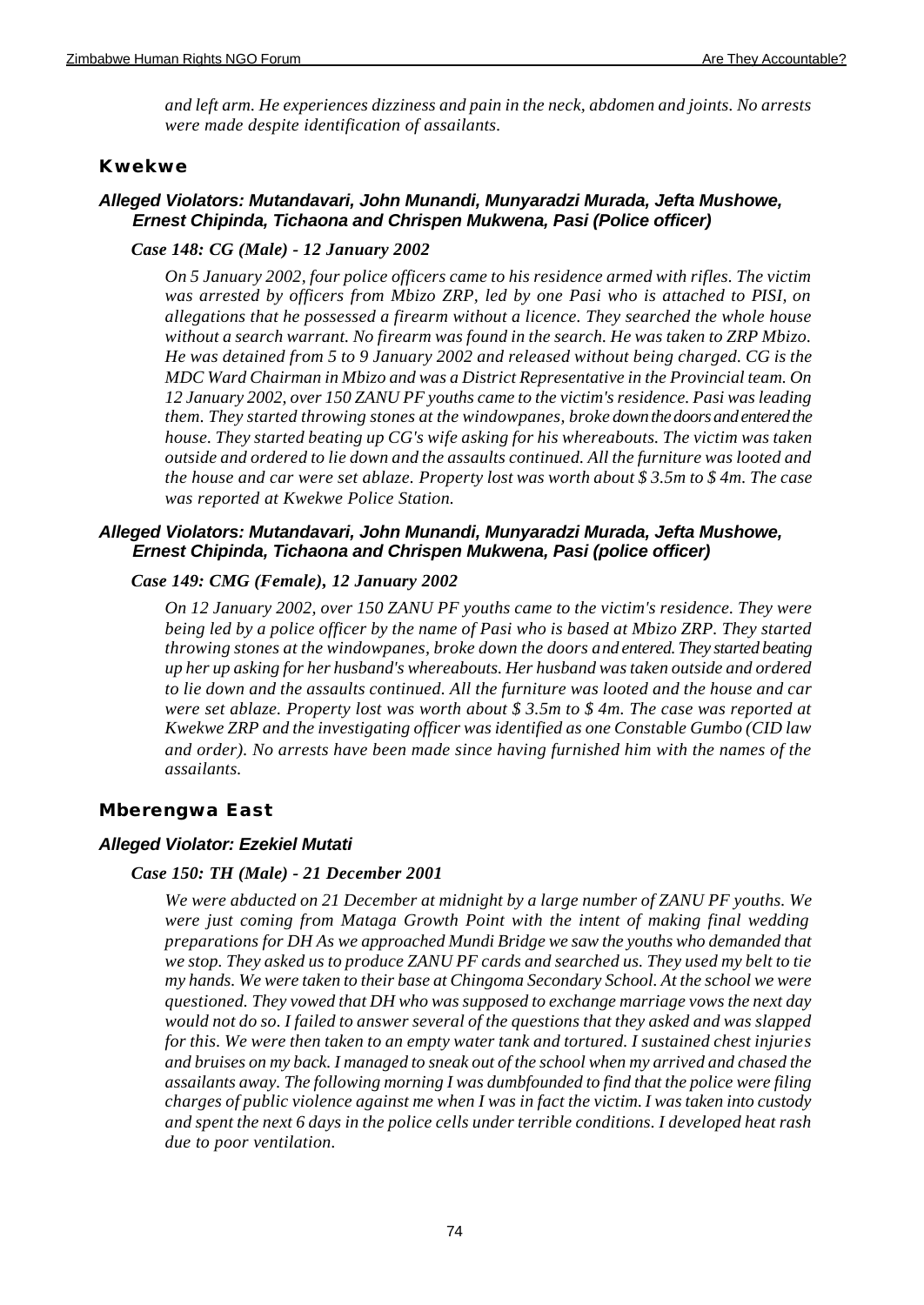*and left arm. He experiences dizziness and pain in the neck, abdomen and joints. No arrests were made despite identification of assailants.*

# **Kwekwe**

# *Alleged Violators: Mutandavari, John Munandi, Munyaradzi Murada, Jefta Mushowe, Ernest Chipinda, Tichaona and Chrispen Mukwena, Pasi (Police officer)*

# *Case 148: CG (Male) - 12 January 2002*

*On 5 January 2002, four police officers came to his residence armed with rifles. The victim was arrested by officers from Mbizo ZRP, led by one Pasi who is attached to PISI, on allegations that he possessed a firearm without a licence. They searched the whole house without a search warrant. No firearm was found in the search. He was taken to ZRP Mbizo. He was detained from 5 to 9 January 2002 and released without being charged. CG is the MDC Ward Chairman in Mbizo and was a District Representative in the Provincial team. On 12 January 2002, over 150 ZANU PF youths came to the victim's residence. Pasi was leading them. They started throwing stones at the windowpanes, broke down the doors and entered the house. They started beating up CG's wife asking for his whereabouts. The victim was taken outside and ordered to lie down and the assaults continued. All the furniture was looted and the house and car were set ablaze. Property lost was worth about \$ 3.5m to \$ 4m. The case was reported at Kwekwe Police Station.*

# *Alleged Violators: Mutandavari, John Munandi, Munyaradzi Murada, Jefta Mushowe, Ernest Chipinda, Tichaona and Chrispen Mukwena, Pasi (police officer)*

# *Case 149: CMG (Female), 12 January 2002*

*On 12 January 2002, over 150 ZANU PF youths came to the victim's residence. They were being led by a police officer by the name of Pasi who is based at Mbizo ZRP. They started throwing stones at the windowpanes, broke down the doors and entered. They started beating up her up asking for her husband's whereabouts. Her husband was taken outside and ordered to lie down and the assaults continued. All the furniture was looted and the house and car were set ablaze. Property lost was worth about \$ 3.5m to \$ 4m. The case was reported at Kwekwe ZRP and the investigating officer was identified as one Constable Gumbo (CID law and order). No arrests have been made since having furnished him with the names of the assailants.*

# **Mberengwa East**

# *Alleged Violator: Ezekiel Mutati*

# *Case 150: TH (Male) - 21 December 2001*

*We were abducted on 21 December at midnight by a large number of ZANU PF youths. We were just coming from Mataga Growth Point with the intent of making final wedding preparations for DH As we approached Mundi Bridge we saw the youths who demanded that we stop. They asked us to produce ZANU PF cards and searched us. They used my belt to tie my hands. We were taken to their base at Chingoma Secondary School. At the school we were questioned. They vowed that DH who was supposed to exchange marriage vows the next day would not do so. I failed to answer several of the questions that they asked and was slapped for this. We were then taken to an empty water tank and tortured. I sustained chest injuries and bruises on my back. I managed to sneak out of the school when my arrived and chased the assailants away. The following morning I was dumbfounded to find that the police were filing charges of public violence against me when I was in fact the victim. I was taken into custody and spent the next 6 days in the police cells under terrible conditions. I developed heat rash due to poor ventilation.*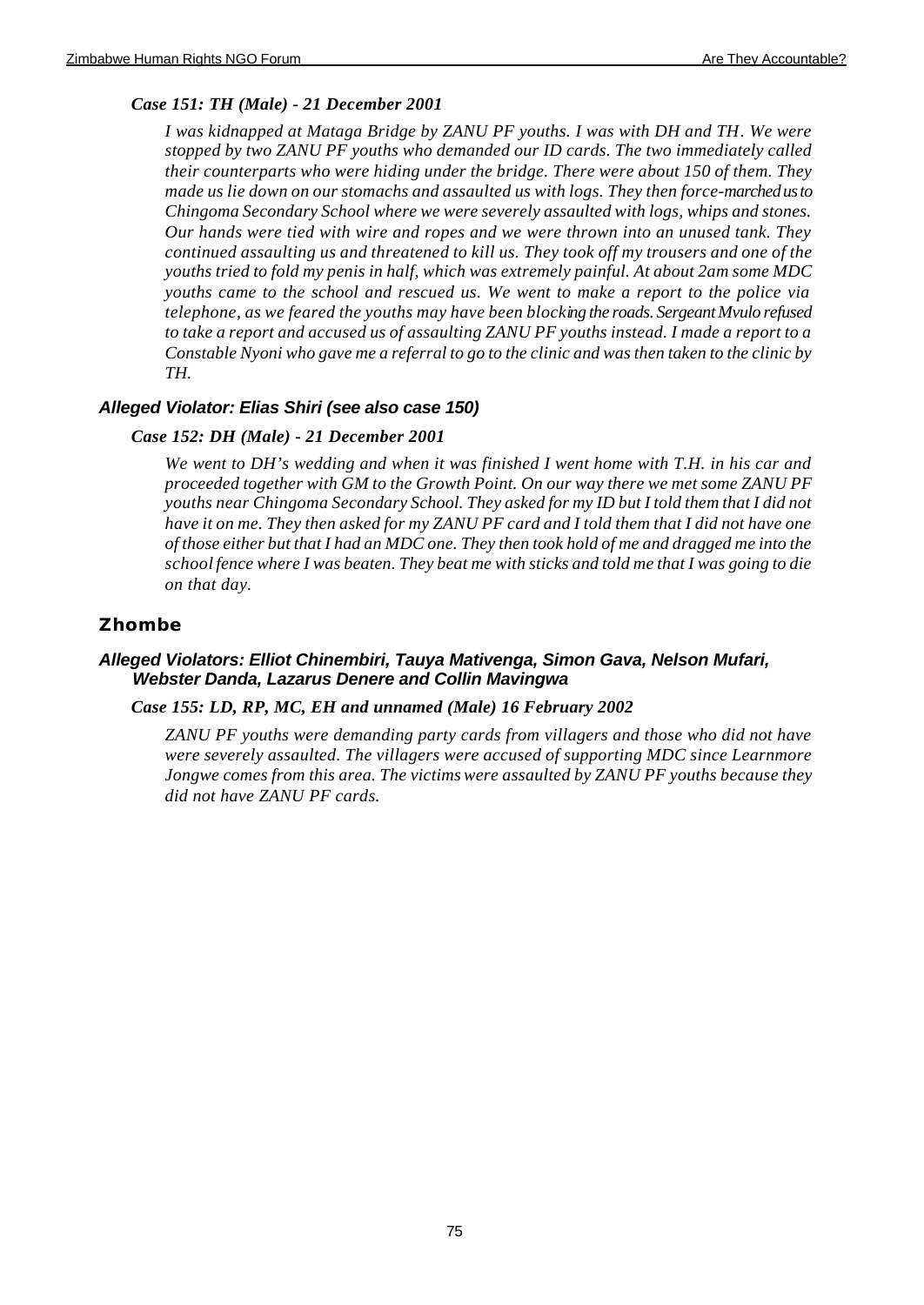# *Case 151: TH (Male) - 21 December 2001*

*I was kidnapped at Mataga Bridge by ZANU PF youths. I was with DH and TH. We were stopped by two ZANU PF youths who demanded our ID cards. The two immediately called their counterparts who were hiding under the bridge. There were about 150 of them. They made us lie down on our stomachs and assaulted us with logs. They then force-marched us to Chingoma Secondary School where we were severely assaulted with logs, whips and stones. Our hands were tied with wire and ropes and we were thrown into an unused tank. They continued assaulting us and threatened to kill us. They took off my trousers and one of the youths tried to fold my penis in half, which was extremely painful. At about 2am some MDC youths came to the school and rescued us. We went to make a report to the police via telephone, as we feared the youths may have been blocking the roads. Sergeant Mvulo refused to take a report and accused us of assaulting ZANU PF youths instead. I made a report to a Constable Nyoni who gave me a referral to go to the clinic and was then taken to the clinic by TH.*

# *Alleged Violator: Elias Shiri (see also case 150)*

# *Case 152: DH (Male) - 21 December 2001*

*We went to DH's wedding and when it was finished I went home with T.H. in his car and proceeded together with GM to the Growth Point. On our way there we met some ZANU PF youths near Chingoma Secondary School. They asked for my ID but I told them that I did not have it on me. They then asked for my ZANU PF card and I told them that I did not have one of those either but that I had an MDC one. They then took hold of me and dragged me into the school fence where I was beaten. They beat me with sticks and told me that I was going to die on that day.*

# **Zhombe**

# *Alleged Violators: Elliot Chinembiri, Tauya Mativenga, Simon Gava, Nelson Mufari, Webster Danda, Lazarus Denere and Collin Mavingwa*

# *Case 155: LD, RP, MC, EH and unnamed (Male) 16 February 2002*

*ZANU PF youths were demanding party cards from villagers and those who did not have were severely assaulted. The villagers were accused of supporting MDC since Learnmore Jongwe comes from this area. The victims were assaulted by ZANU PF youths because they did not have ZANU PF cards.*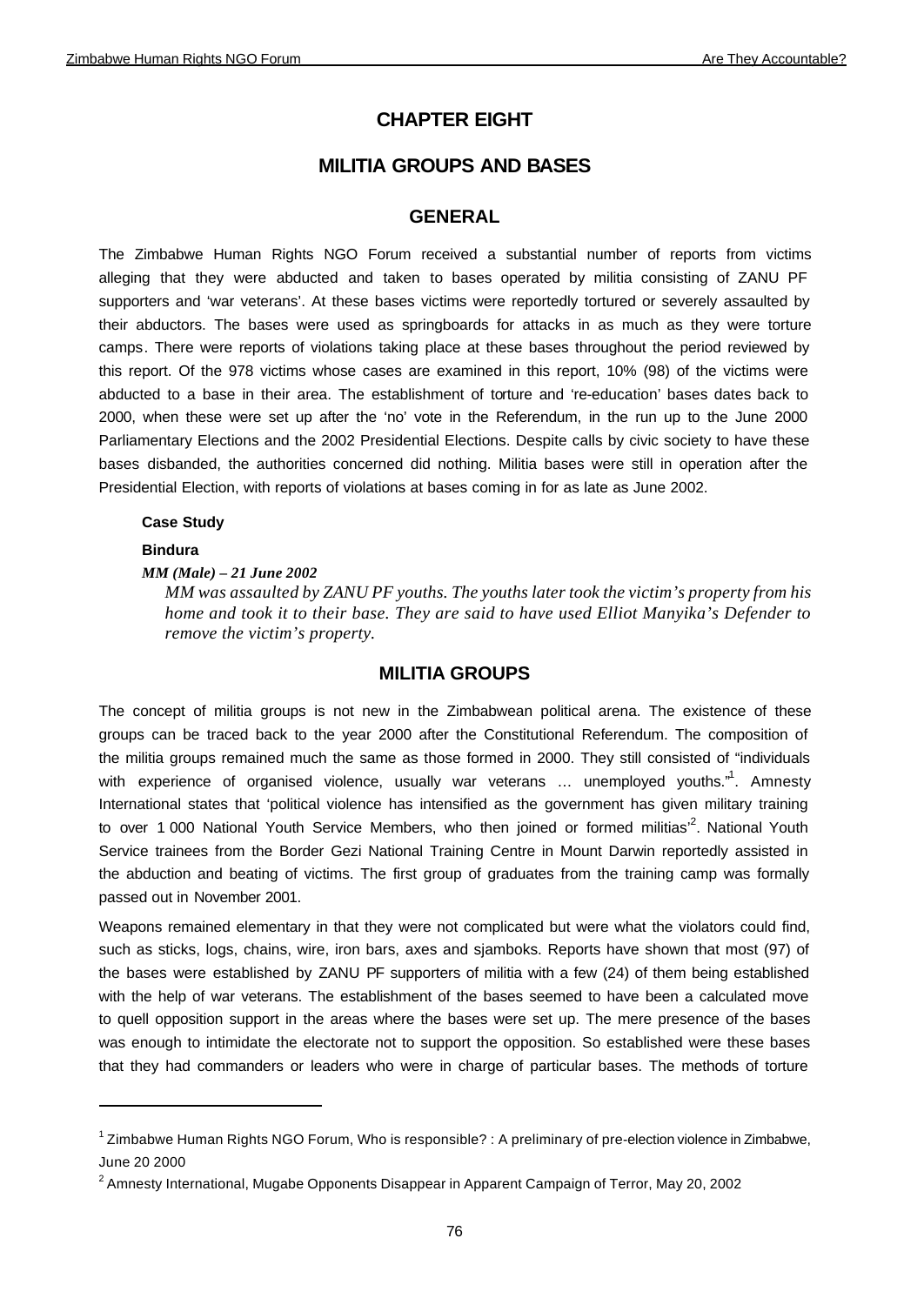# **CHAPTER EIGHT**

# **MILITIA GROUPS AND BASES**

# **GENERAL**

The Zimbabwe Human Rights NGO Forum received a substantial number of reports from victims alleging that they were abducted and taken to bases operated by militia consisting of ZANU PF supporters and 'war veterans'. At these bases victims were reportedly tortured or severely assaulted by their abductors. The bases were used as springboards for attacks in as much as they were torture camps. There were reports of violations taking place at these bases throughout the period reviewed by this report. Of the 978 victims whose cases are examined in this report, 10% (98) of the victims were abducted to a base in their area. The establishment of torture and 're-education' bases dates back to 2000, when these were set up after the 'no' vote in the Referendum, in the run up to the June 2000 Parliamentary Elections and the 2002 Presidential Elections. Despite calls by civic society to have these bases disbanded, the authorities concerned did nothing. Militia bases were still in operation after the Presidential Election, with reports of violations at bases coming in for as late as June 2002.

# **Case Study**

# **Bindura**

# *MM (Male) – 21 June 2002*

*MM was assaulted by ZANU PF youths. The youths later took the victim's property from his home and took it to their base. They are said to have used Elliot Manyika's Defender to remove the victim's property.* 

# **MILITIA GROUPS**

The concept of militia groups is not new in the Zimbabwean political arena. The existence of these groups can be traced back to the year 2000 after the Constitutional Referendum. The composition of the militia groups remained much the same as those formed in 2000. They still consisted of "individuals with experience of organised violence, usually war veterans ... unemployed youths."<sup>1</sup>. Amnesty International states that 'political violence has intensified as the government has given military training to over 1 000 National Youth Service Members, who then joined or formed militias<sup>2</sup>. National Youth Service trainees from the Border Gezi National Training Centre in Mount Darwin reportedly assisted in the abduction and beating of victims. The first group of graduates from the training camp was formally passed out in November 2001.

Weapons remained elementary in that they were not complicated but were what the violators could find, such as sticks, logs, chains, wire, iron bars, axes and sjamboks. Reports have shown that most (97) of the bases were established by ZANU PF supporters of militia with a few (24) of them being established with the help of war veterans. The establishment of the bases seemed to have been a calculated move to quell opposition support in the areas where the bases were set up. The mere presence of the bases was enough to intimidate the electorate not to support the opposition. So established were these bases that they had commanders or leaders who were in charge of particular bases. The methods of torture

<sup>&</sup>lt;sup>1</sup> Zimbabwe Human Rights NGO Forum, Who is responsible? : A preliminary of pre-election violence in Zimbabwe, June 20 2000

 $^{\text{2}}$  Amnesty International, Mugabe Opponents Disappear in Apparent Campaign of Terror, May 20, 2002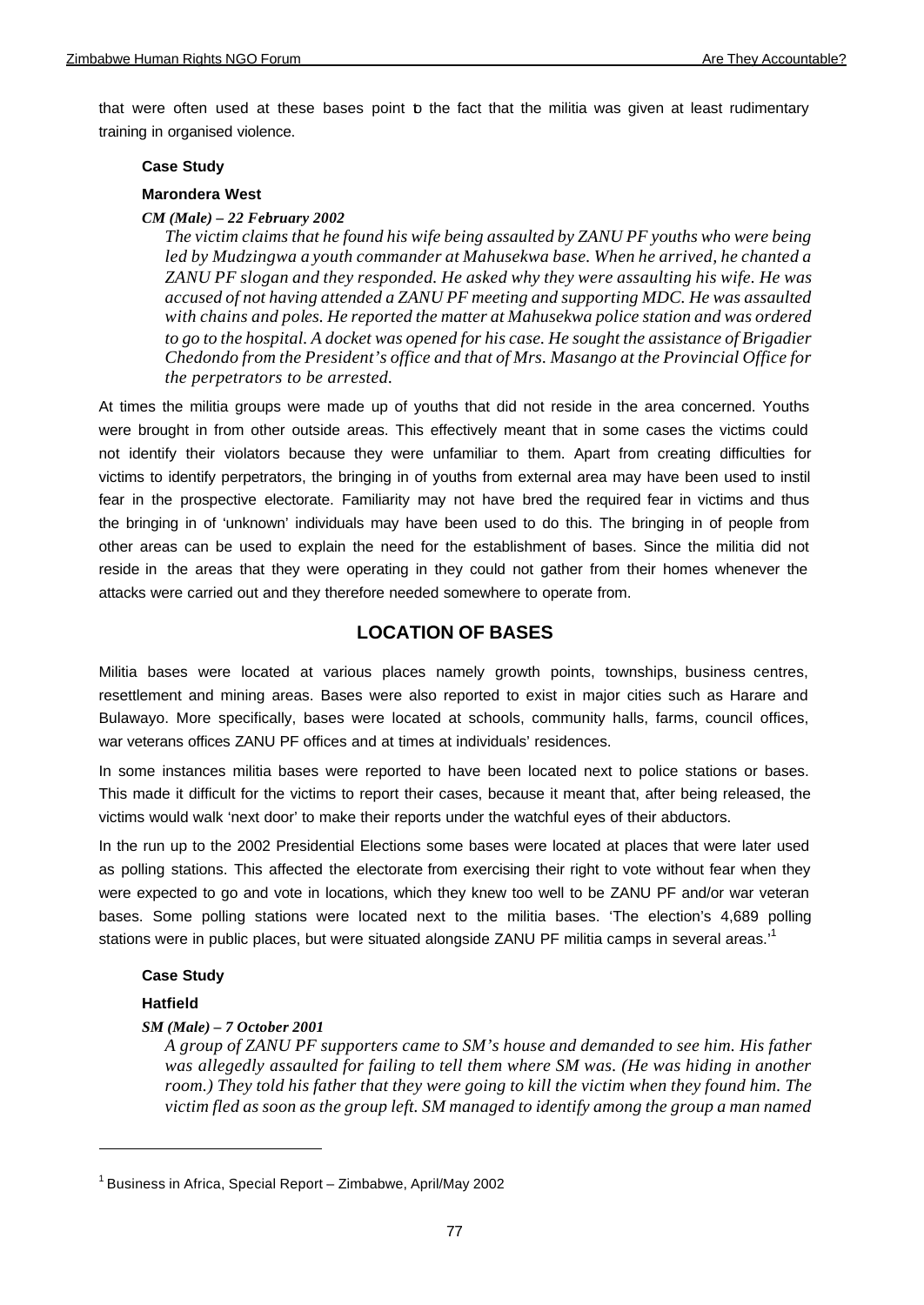that were often used at these bases point b the fact that the militia was given at least rudimentary training in organised violence.

### **Case Study**

# **Marondera West**

# *CM (Male) – 22 February 2002*

*The victim claims that he found his wife being assaulted by ZANU PF youths who were being led by Mudzingwa a youth commander at Mahusekwa base. When he arrived, he chanted a ZANU PF slogan and they responded. He asked why they were assaulting his wife. He was accused of not having attended a ZANU PF meeting and supporting MDC. He was assaulted with chains and poles. He reported the matter at Mahusekwa police station and was ordered to go to the hospital. A docket was opened for his case. He sought the assistance of Brigadier Chedondo from the President's office and that of Mrs. Masango at the Provincial Office for the perpetrators to be arrested.*

At times the militia groups were made up of youths that did not reside in the area concerned. Youths were brought in from other outside areas. This effectively meant that in some cases the victims could not identify their violators because they were unfamiliar to them. Apart from creating difficulties for victims to identify perpetrators, the bringing in of youths from external area may have been used to instil fear in the prospective electorate. Familiarity may not have bred the required fear in victims and thus the bringing in of 'unknown' individuals may have been used to do this. The bringing in of people from other areas can be used to explain the need for the establishment of bases. Since the militia did not reside in the areas that they were operating in they could not gather from their homes whenever the attacks were carried out and they therefore needed somewhere to operate from.

# **LOCATION OF BASES**

Militia bases were located at various places namely growth points, townships, business centres, resettlement and mining areas. Bases were also reported to exist in major cities such as Harare and Bulawayo. More specifically, bases were located at schools, community halls, farms, council offices, war veterans offices ZANU PF offices and at times at individuals' residences.

In some instances militia bases were reported to have been located next to police stations or bases. This made it difficult for the victims to report their cases, because it meant that, after being released, the victims would walk 'next door' to make their reports under the watchful eyes of their abductors.

In the run up to the 2002 Presidential Elections some bases were located at places that were later used as polling stations. This affected the electorate from exercising their right to vote without fear when they were expected to go and vote in locations, which they knew too well to be ZANU PF and/or war veteran bases. Some polling stations were located next to the militia bases. 'The election's 4,689 polling stations were in public places, but were situated alongside ZANU PF militia camps in several areas.<sup>1</sup>

# **Case Study**

# **Hatfield**

# *SM (Male) – 7 October 2001*

*A group of ZANU PF supporters came to SM's house and demanded to see him. His father*  was allegedly assaulted for failing to tell them where SM was. (He was hiding in another *room.) They told his father that they were going to kill the victim when they found him. The victim fled as soon as the group left. SM managed to identify among the group a man named* 

<sup>&</sup>lt;sup>1</sup> Business in Africa, Special Report – Zimbabwe, April/May 2002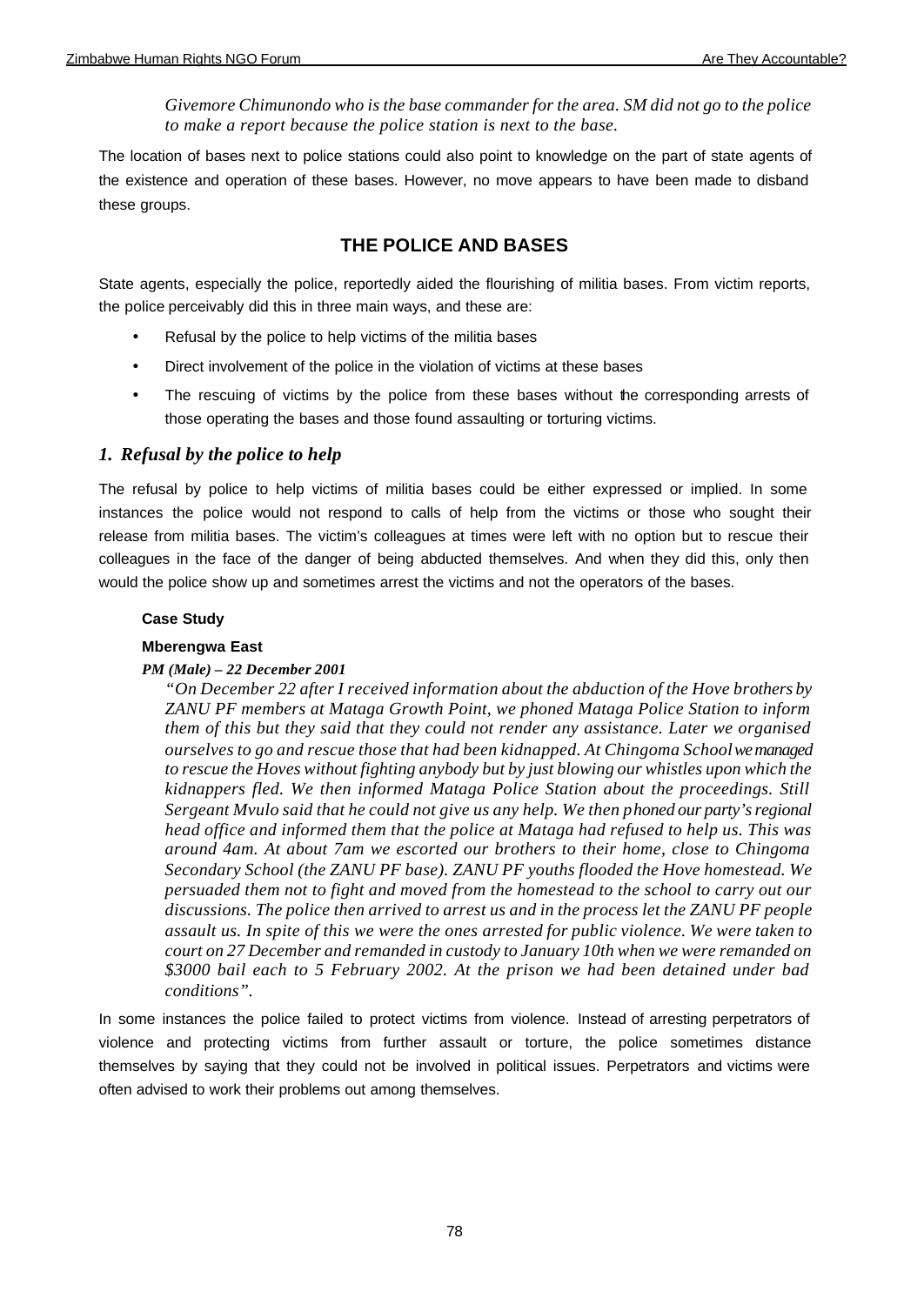*Givemore Chimunondo who is the base commander for the area. SM did not go to the police to make a report because the police station is next to the base.*

The location of bases next to police stations could also point to knowledge on the part of state agents of the existence and operation of these bases. However, no move appears to have been made to disband these groups.

# **THE POLICE AND BASES**

State agents, especially the police, reportedly aided the flourishing of militia bases. From victim reports, the police perceivably did this in three main ways, and these are:

- Refusal by the police to help victims of the militia bases
- Direct involvement of the police in the violation of victims at these bases
- The rescuing of victims by the police from these bases without the corresponding arrests of those operating the bases and those found assaulting or torturing victims.

# *1. Refusal by the police to help*

The refusal by police to help victims of militia bases could be either expressed or implied. In some instances the police would not respond to calls of help from the victims or those who sought their release from militia bases. The victim's colleagues at times were left with no option but to rescue their colleagues in the face of the danger of being abducted themselves. And when they did this, only then would the police show up and sometimes arrest the victims and not the operators of the bases.

# **Case Study**

# **Mberengwa East**

# *PM (Male) – 22 December 2001*

*"On December 22 after I received information about the abduction of the Hove brothers by ZANU PF members at Mataga Growth Point, we phoned Mataga Police Station to inform them of this but they said that they could not render any assistance. Later we organised ourselves to go and rescue those that had been kidnapped. At Chingoma School we managed to rescue the Hoves without fighting anybody but by just blowing our whistles upon which the kidnappers fled. We then informed Mataga Police Station about the proceedings. Still Sergeant Mvulo said that he could not give us any help. We then phoned our party's regional head office and informed them that the police at Mataga had refused to help us. This was around 4am. At about 7am we escorted our brothers to their home, close to Chingoma Secondary School (the ZANU PF base). ZANU PF youths flooded the Hove homestead. We persuaded them not to fight and moved from the homestead to the school to carry out our discussions. The police then arrived to arrest us and in the process let the ZANU PF people assault us. In spite of this we were the ones arrested for public violence. We were taken to court on 27 December and remanded in custody to January 10th when we were remanded on \$3000 bail each to 5 February 2002. At the prison we had been detained under bad conditions".*

In some instances the police failed to protect victims from violence. Instead of arresting perpetrators of violence and protecting victims from further assault or torture, the police sometimes distance themselves by saying that they could not be involved in political issues. Perpetrators and victims were often advised to work their problems out among themselves.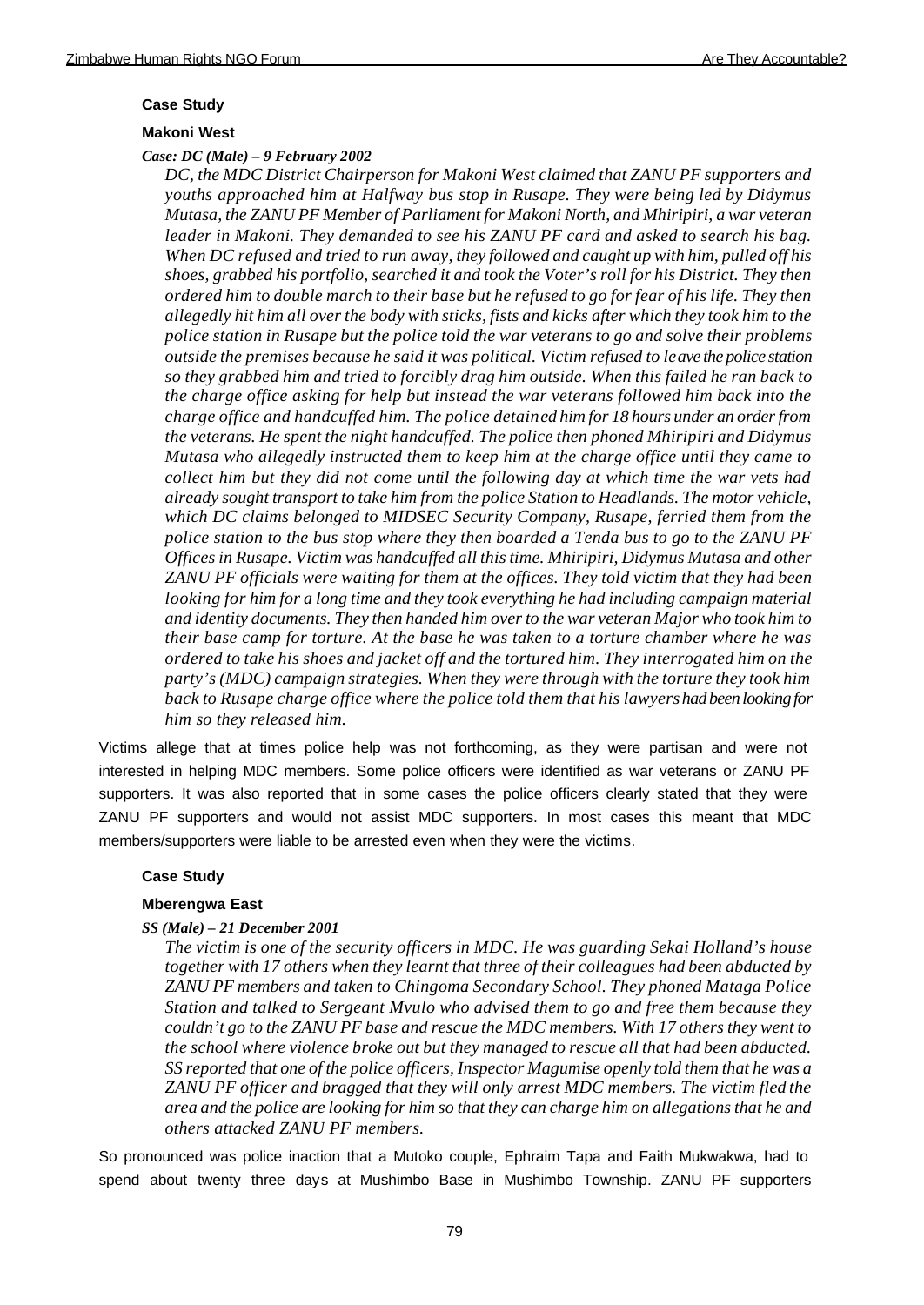### **Case Study**

### **Makoni West**

### *Case: DC (Male) – 9 February 2002*

*DC, the MDC District Chairperson for Makoni West claimed that ZANU PF supporters and youths approached him at Halfway bus stop in Rusape. They were being led by Didymus Mutasa, the ZANU PF Member of Parliament for Makoni North, and Mhiripiri, a war veteran leader in Makoni. They demanded to see his ZANU PF card and asked to search his bag. When DC refused and tried to run away, they followed and caught up with him, pulled off his shoes, grabbed his portfolio, searched it and took the Voter's roll for his District. They then ordered him to double march to their base but he refused to go for fear of his life. They then allegedly hit him all over the body with sticks, fists and kicks after which they took him to the police station in Rusape but the police told the war veterans to go and solve their problems outside the premises because he said it was political. Victim refused to leave the police station so they grabbed him and tried to forcibly drag him outside. When this failed he ran back to the charge office asking for help but instead the war veterans followed him back into the charge office and handcuffed him. The police detained him for 18 hours under an order from the veterans. He spent the night handcuffed. The police then phoned Mhiripiri and Didymus Mutasa who allegedly instructed them to keep him at the charge office until they came to collect him but they did not come until the following day at which time the war vets had already sought transport to take him from the police Station to Headlands. The motor vehicle, which DC claims belonged to MIDSEC Security Company, Rusape, ferried them from the police station to the bus stop where they then boarded a Tenda bus to go to the ZANU PF Offices in Rusape. Victim was handcuffed all this time. Mhiripiri, Didymus Mutasa and other ZANU PF officials were waiting for them at the offices. They told victim that they had been looking for him for a long time and they took everything he had including campaign material and identity documents. They then handed him over to the war veteran Major who took him to their base camp for torture. At the base he was taken to a torture chamber where he was ordered to take his shoes and jacket off and the tortured him. They interrogated him on the party's (MDC) campaign strategies. When they were through with the torture they took him back to Rusape charge office where the police told them that his lawyers had been looking for him so they released him.*

Victims allege that at times police help was not forthcoming, as they were partisan and were not interested in helping MDC members. Some police officers were identified as war veterans or ZANU PF supporters. It was also reported that in some cases the police officers clearly stated that they were ZANU PF supporters and would not assist MDC supporters. In most cases this meant that MDC members/supporters were liable to be arrested even when they were the victims.

#### **Case Study**

### **Mberengwa East**

# *SS (Male) – 21 December 2001*

*The victim is one of the security officers in MDC. He was guarding Sekai Holland's house together with 17 others when they learnt that three of their colleagues had been abducted by ZANU PF members and taken to Chingoma Secondary School. They phoned Mataga Police Station and talked to Sergeant Mvulo who advised them to go and free them because they couldn't go to the ZANU PF base and rescue the MDC members. With 17 others they went to the school where violence broke out but they managed to rescue all that had been abducted. SS reported that one of the police officers, Inspector Magumise openly told them that he was a ZANU PF officer and bragged that they will only arrest MDC members. The victim fled the area and the police are looking for him so that they can charge him on allegations that he and others attacked ZANU PF members.*

So pronounced was police inaction that a Mutoko couple, Ephraim Tapa and Faith Mukwakwa, had to spend about twenty three days at Mushimbo Base in Mushimbo Township. ZANU PF supporters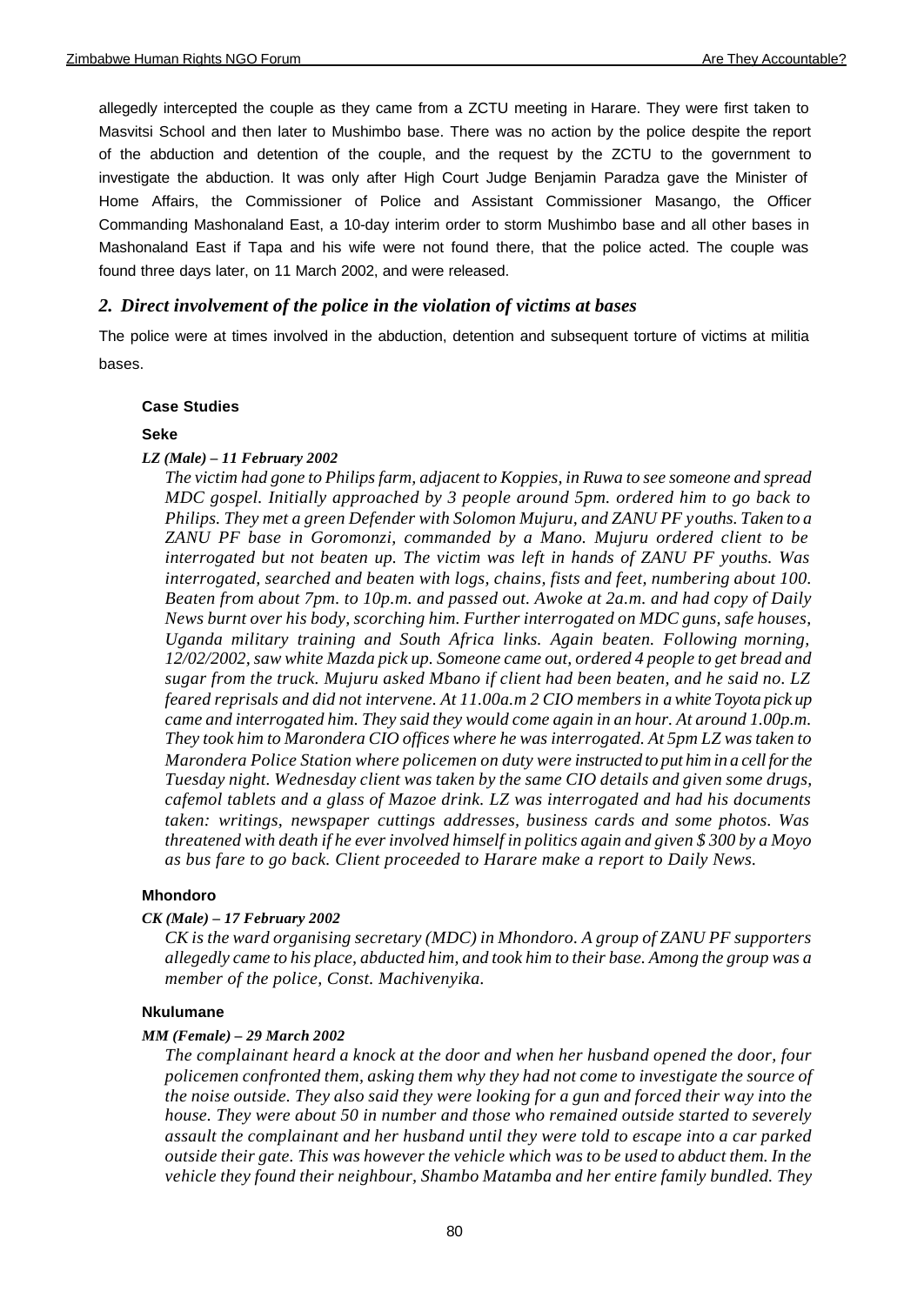allegedly intercepted the couple as they came from a ZCTU meeting in Harare. They were first taken to Masvitsi School and then later to Mushimbo base. There was no action by the police despite the report of the abduction and detention of the couple, and the request by the ZCTU to the government to investigate the abduction. It was only after High Court Judge Benjamin Paradza gave the Minister of Home Affairs, the Commissioner of Police and Assistant Commissioner Masango, the Officer Commanding Mashonaland East, a 10-day interim order to storm Mushimbo base and all other bases in Mashonaland East if Tapa and his wife were not found there, that the police acted. The couple was found three days later, on 11 March 2002, and were released.

# *2. Direct involvement of the police in the violation of victims at bases*

The police were at times involved in the abduction, detention and subsequent torture of victims at militia bases.

### **Case Studies**

### **Seke**

### *LZ (Male) – 11 February 2002*

*The victim had gone to Philips farm, adjacent to Koppies, in Ruwa to see someone and spread MDC gospel. Initially approached by 3 people around 5pm. ordered him to go back to Philips. They met a green Defender with Solomon Mujuru, and ZANU PF youths. Taken to a ZANU PF base in Goromonzi, commanded by a Mano. Mujuru ordered client to be interrogated but not beaten up. The victim was left in hands of ZANU PF youths. Was interrogated, searched and beaten with logs, chains, fists and feet, numbering about 100. Beaten from about 7pm. to 10p.m. and passed out. Awoke at 2a.m. and had copy of Daily News burnt over his body, scorching him. Further interrogated on MDC guns, safe houses, Uganda military training and South Africa links. Again beaten. Following morning, 12/02/2002, saw white Mazda pick up. Someone came out, ordered 4 people to get bread and sugar from the truck. Mujuru asked Mbano if client had been beaten, and he said no. LZ feared reprisals and did not intervene. At 11.00a.m 2 CIO members in a white Toyota pick up came and interrogated him. They said they would come again in an hour. At around 1.00p.m. They took him to Marondera CIO offices where he was interrogated. At 5pm LZ was taken to Marondera Police Station where policemen on duty were instructed to put him in a cell for the Tuesday night. Wednesday client was taken by the same CIO details and given some drugs, cafemol tablets and a glass of Mazoe drink. LZ was interrogated and had his documents taken: writings, newspaper cuttings addresses, business cards and some photos. Was threatened with death if he ever involved himself in politics again and given \$ 300 by a Moyo as bus fare to go back. Client proceeded to Harare make a report to Daily News.*

### **Mhondoro**

#### *CK (Male) – 17 February 2002*

*CK is the ward organising secretary (MDC) in Mhondoro. A group of ZANU PF supporters allegedly came to his place, abducted him, and took him to their base. Among the group was a member of the police, Const. Machivenyika.*

### **Nkulumane**

#### *MM (Female) – 29 March 2002*

*The complainant heard a knock at the door and when her husband opened the door, four policemen confronted them, asking them why they had not come to investigate the source of the noise outside. They also said they were looking for a gun and forced their way into the house. They were about 50 in number and those who remained outside started to severely assault the complainant and her husband until they were told to escape into a car parked outside their gate. This was however the vehicle which was to be used to abduct them. In the vehicle they found their neighbour, Shambo Matamba and her entire family bundled. They*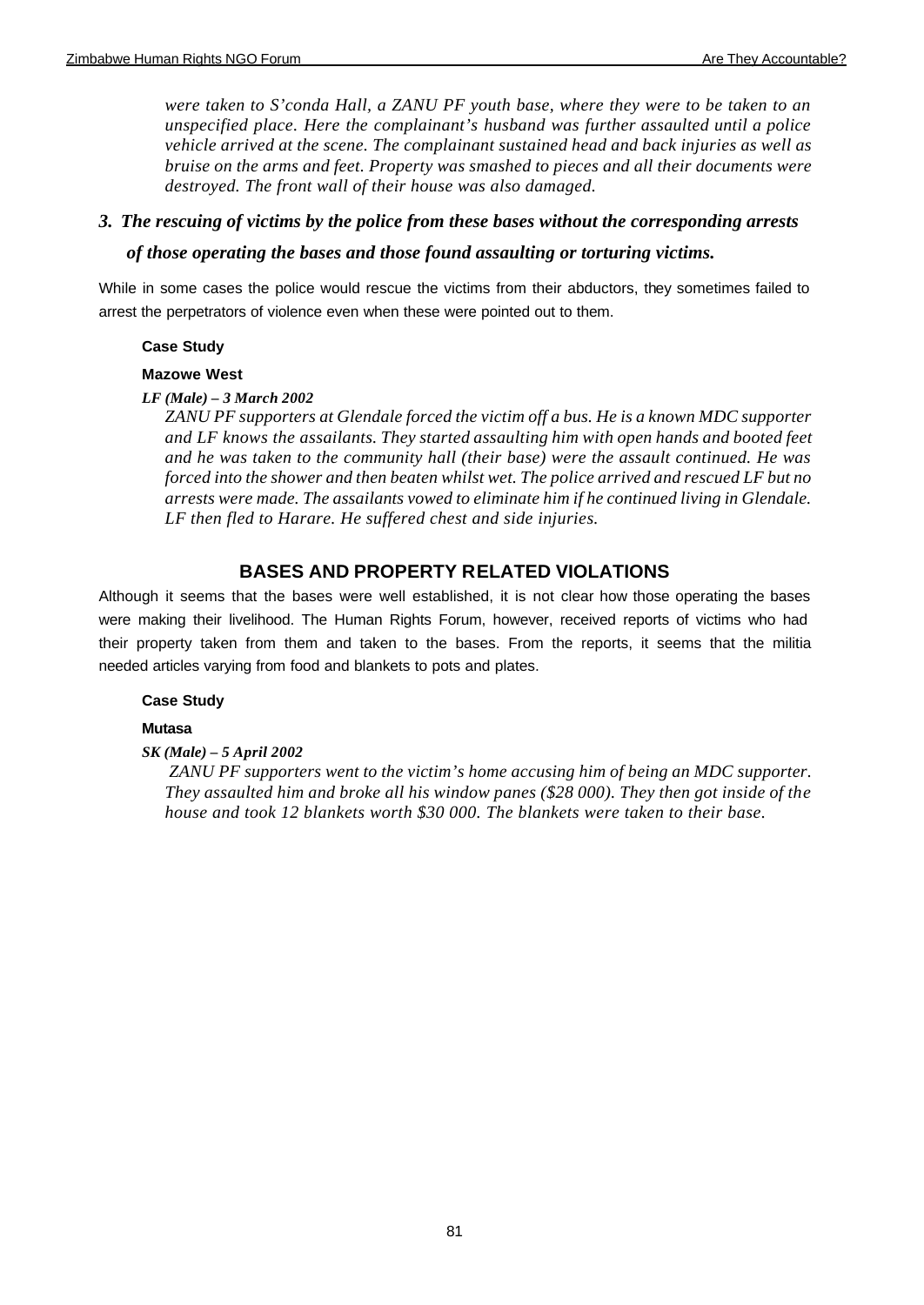*were taken to S'conda Hall, a ZANU PF youth base, where they were to be taken to an unspecified place. Here the complainant's husband was further assaulted until a police vehicle arrived at the scene. The complainant sustained head and back injuries as well as bruise on the arms and feet. Property was smashed to pieces and all their documents were destroyed. The front wall of their house was also damaged.*

# *3. The rescuing of victims by the police from these bases without the corresponding arrests*

# *of those operating the bases and those found assaulting or torturing victims.*

While in some cases the police would rescue the victims from their abductors, they sometimes failed to arrest the perpetrators of violence even when these were pointed out to them.

# **Case Study**

# **Mazowe West**

# *LF (Male) – 3 March 2002*

*ZANU PF supporters at Glendale forced the victim off a bus. He is a known MDC supporter and LF knows the assailants. They started assaulting him with open hands and booted feet and he was taken to the community hall (their base) were the assault continued. He was forced into the shower and then beaten whilst wet. The police arrived and rescued LF but no arrests were made. The assailants vowed to eliminate him if he continued living in Glendale. LF then fled to Harare. He suffered chest and side injuries.*

# **BASES AND PROPERTY RELATED VIOLATIONS**

Although it seems that the bases were well established, it is not clear how those operating the bases were making their livelihood. The Human Rights Forum, however, received reports of victims who had their property taken from them and taken to the bases. From the reports, it seems that the militia needed articles varying from food and blankets to pots and plates.

# **Case Study**

# **Mutasa**

# *SK (Male) – 5 April 2002*

 *ZANU PF supporters went to the victim's home accusing him of being an MDC supporter. They assaulted him and broke all his window panes (\$28 000). They then got inside of the house and took 12 blankets worth \$30 000. The blankets were taken to their base.*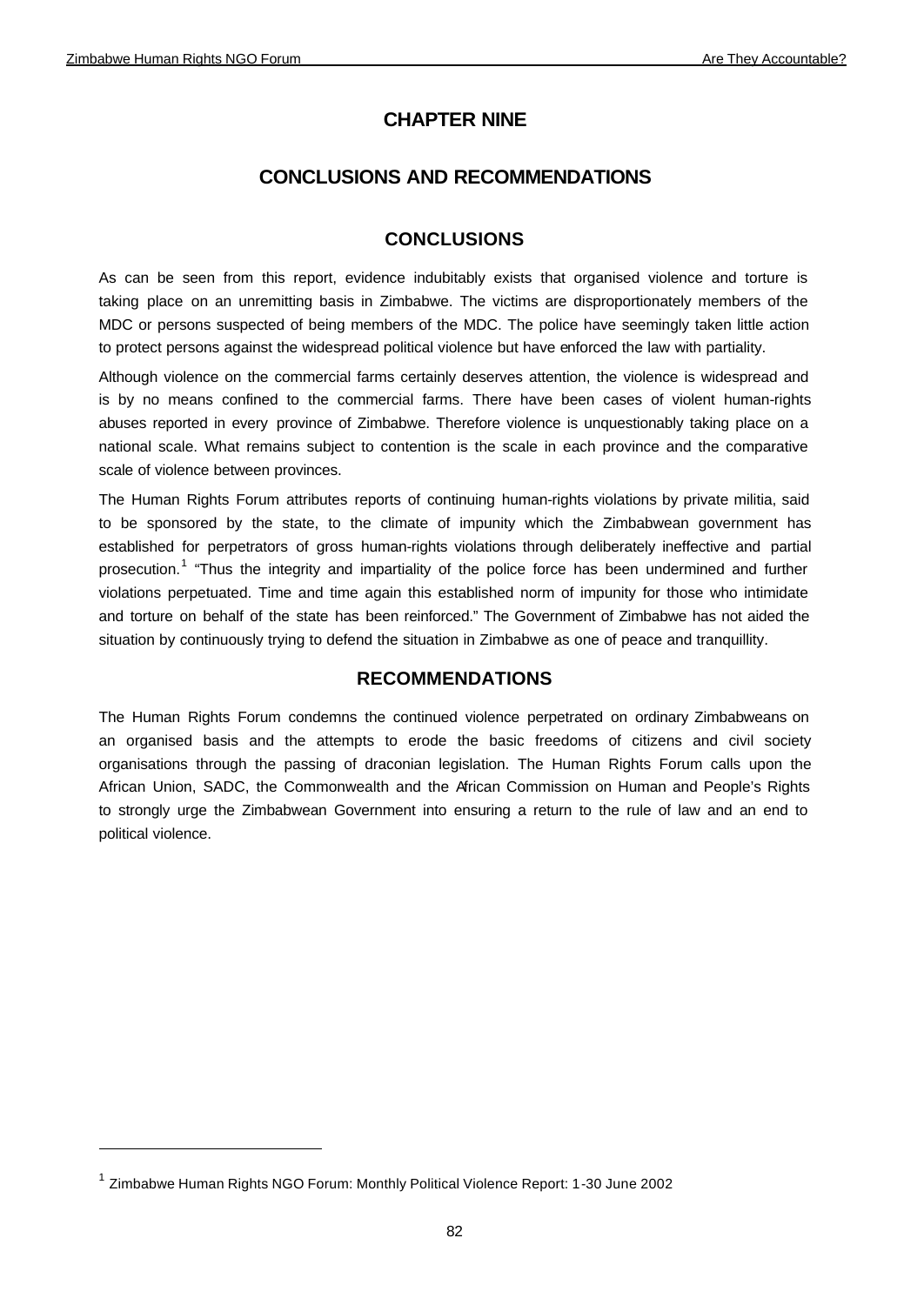# **CHAPTER NINE**

# **CONCLUSIONS AND RECOMMENDATIONS**

# **CONCLUSIONS**

As can be seen from this report, evidence indubitably exists that organised violence and torture is taking place on an unremitting basis in Zimbabwe. The victims are disproportionately members of the MDC or persons suspected of being members of the MDC. The police have seemingly taken little action to protect persons against the widespread political violence but have enforced the law with partiality.

Although violence on the commercial farms certainly deserves attention, the violence is widespread and is by no means confined to the commercial farms. There have been cases of violent human-rights abuses reported in every province of Zimbabwe. Therefore violence is unquestionably taking place on a national scale. What remains subject to contention is the scale in each province and the comparative scale of violence between provinces.

The Human Rights Forum attributes reports of continuing human-rights violations by private militia, said to be sponsored by the state, to the climate of impunity which the Zimbabwean government has established for perpetrators of gross human-rights violations through deliberately ineffective and partial prosecution.<sup>1</sup> "Thus the integrity and impartiality of the police force has been undermined and further violations perpetuated. Time and time again this established norm of impunity for those who intimidate and torture on behalf of the state has been reinforced." The Government of Zimbabwe has not aided the situation by continuously trying to defend the situation in Zimbabwe as one of peace and tranquillity.

# **RECOMMENDATIONS**

The Human Rights Forum condemns the continued violence perpetrated on ordinary Zimbabweans on an organised basis and the attempts to erode the basic freedoms of citizens and civil society organisations through the passing of draconian legislation. The Human Rights Forum calls upon the African Union, SADC, the Commonwealth and the African Commission on Human and People's Rights to strongly urge the Zimbabwean Government into ensuring a return to the rule of law and an end to political violence.

<sup>&</sup>lt;sup>1</sup> Zimbabwe Human Rights NGO Forum: Monthly Political Violence Report: 1-30 June 2002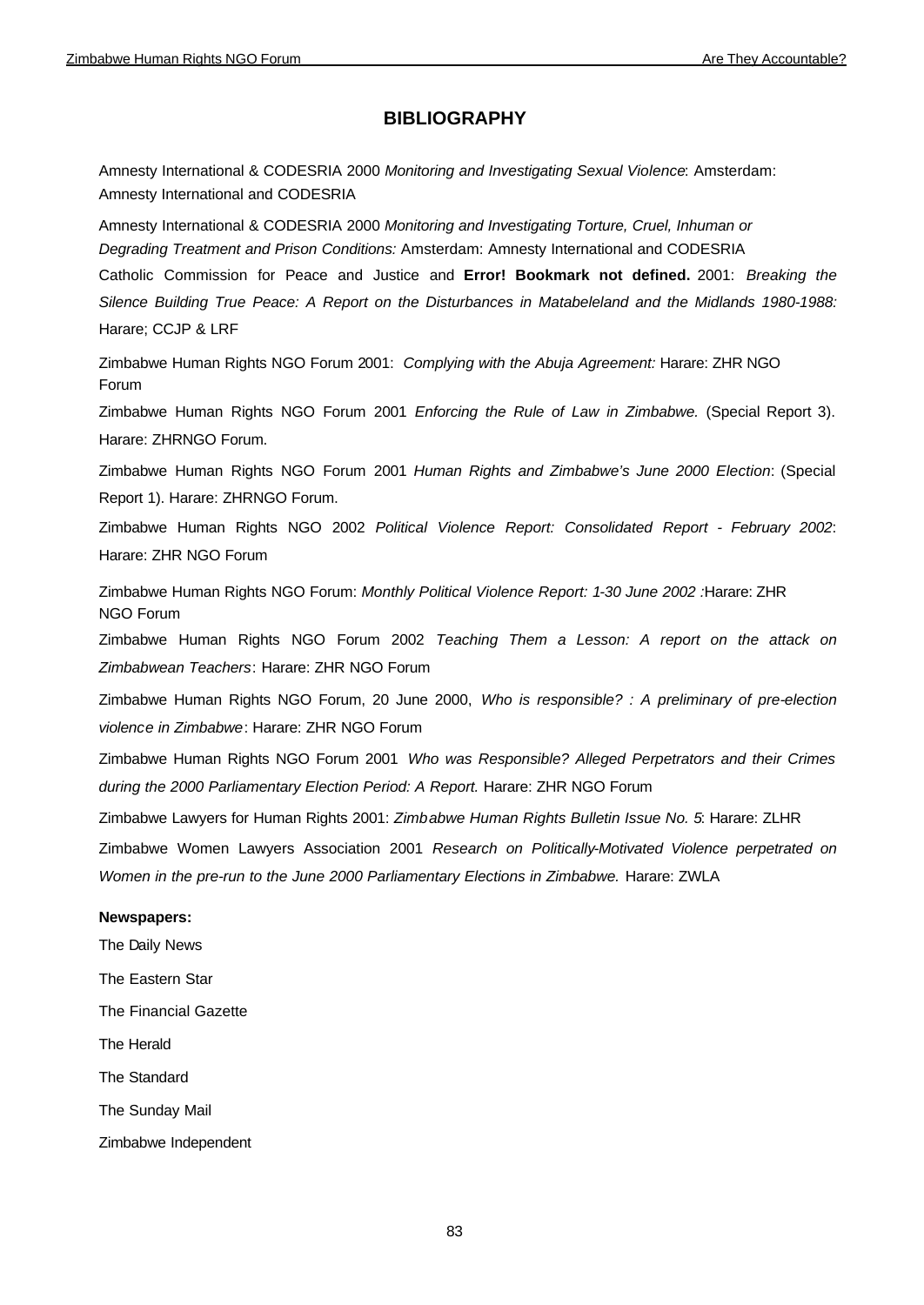# **BIBLIOGRAPHY**

Amnesty International & CODESRIA 2000 *Monitoring and Investigating Sexual Violence*: Amsterdam: Amnesty International and CODESRIA

Amnesty International & CODESRIA 2000 *Monitoring and Investigating Torture, Cruel, Inhuman or Degrading Treatment and Prison Conditions:* Amsterdam: Amnesty International and CODESRIA Catholic Commission for Peace and Justice and **Error! Bookmark not defined.** 2001: *Breaking the Silence Building True Peace: A Report on the Disturbances in Matabeleland and the Midlands 1980-1988:* 

Harare; CCJP & LRF

Zimbabwe Human Rights NGO Forum 2001: *Complying with the Abuja Agreement:* Harare: ZHR NGO Forum

Zimbabwe Human Rights NGO Forum 2001 *Enforcing the Rule of Law in Zimbabwe.* (Special Report 3). Harare: ZHRNGO Forum.

Zimbabwe Human Rights NGO Forum 2001 *Human Rights and Zimbabwe's June 2000 Election*: (Special Report 1). Harare: ZHRNGO Forum.

Zimbabwe Human Rights NGO 2002 *Political Violence Report: Consolidated Report - February 2002*: Harare: ZHR NGO Forum

Zimbabwe Human Rights NGO Forum: *Monthly Political Violence Report: 1-30 June 2002 :*Harare: ZHR NGO Forum

Zimbabwe Human Rights NGO Forum 2002 *Teaching Them a Lesson: A report on the attack on Zimbabwean Teachers*: Harare: ZHR NGO Forum

Zimbabwe Human Rights NGO Forum, 20 June 2000, *Who is responsible? : A preliminary of pre-election violence in Zimbabwe*: Harare: ZHR NGO Forum

Zimbabwe Human Rights NGO Forum 2001 *Who was Responsible? Alleged Perpetrators and their Crimes during the 2000 Parliamentary Election Period: A Report.* Harare: ZHR NGO Forum

Zimbabwe Lawyers for Human Rights 2001: *Zimbabwe Human Rights Bulletin Issue No. 5*: Harare: ZLHR

Zimbabwe Women Lawyers Association 2001 *Research on Politically-Motivated Violence perpetrated on Women in the pre-run to the June 2000 Parliamentary Elections in Zimbabwe.* Harare: ZWLA

#### **Newspapers:**

The Daily News The Eastern Star The Financial Gazette The Herald The Standard The Sunday Mail

Zimbabwe Independent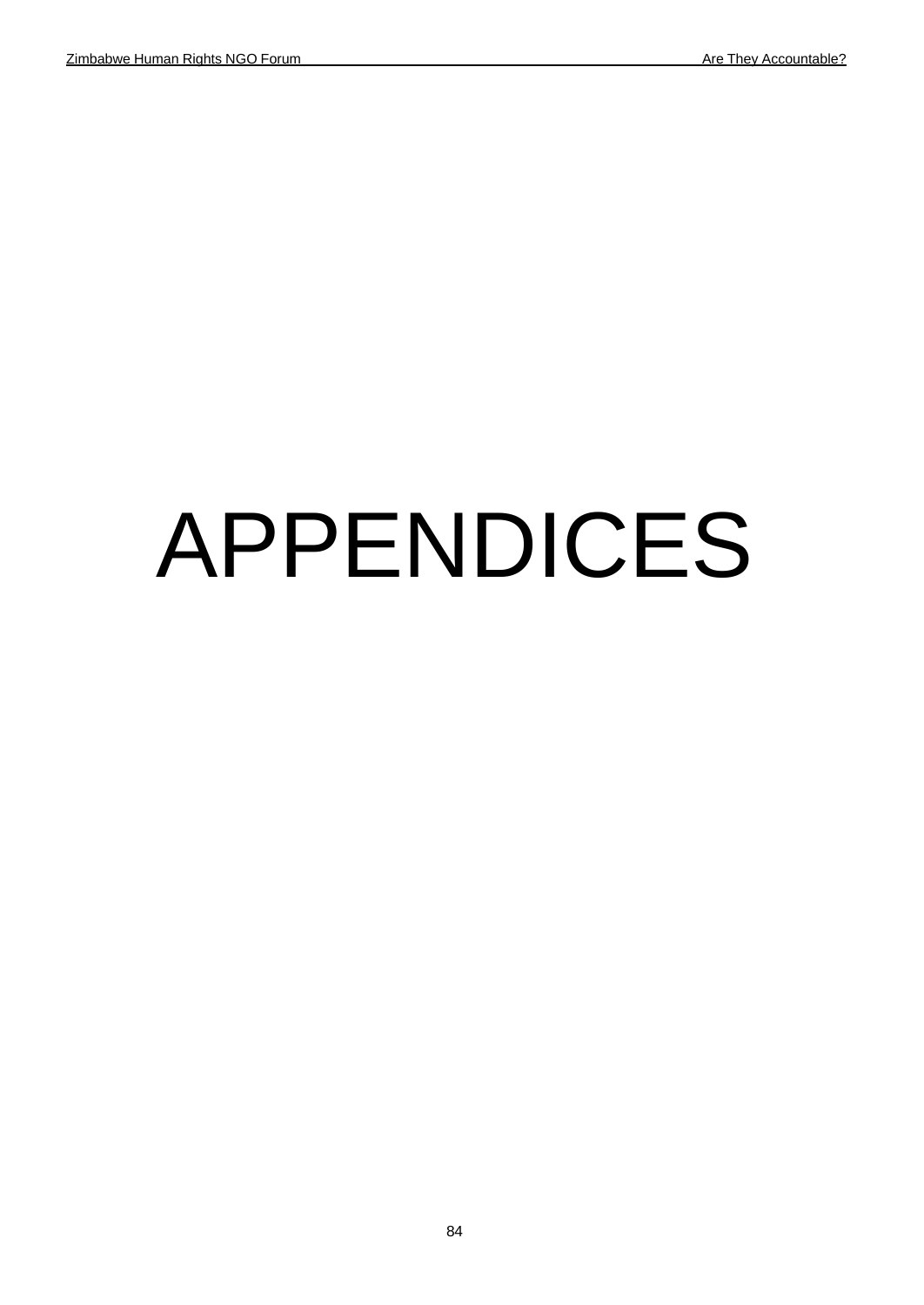# APPENDICES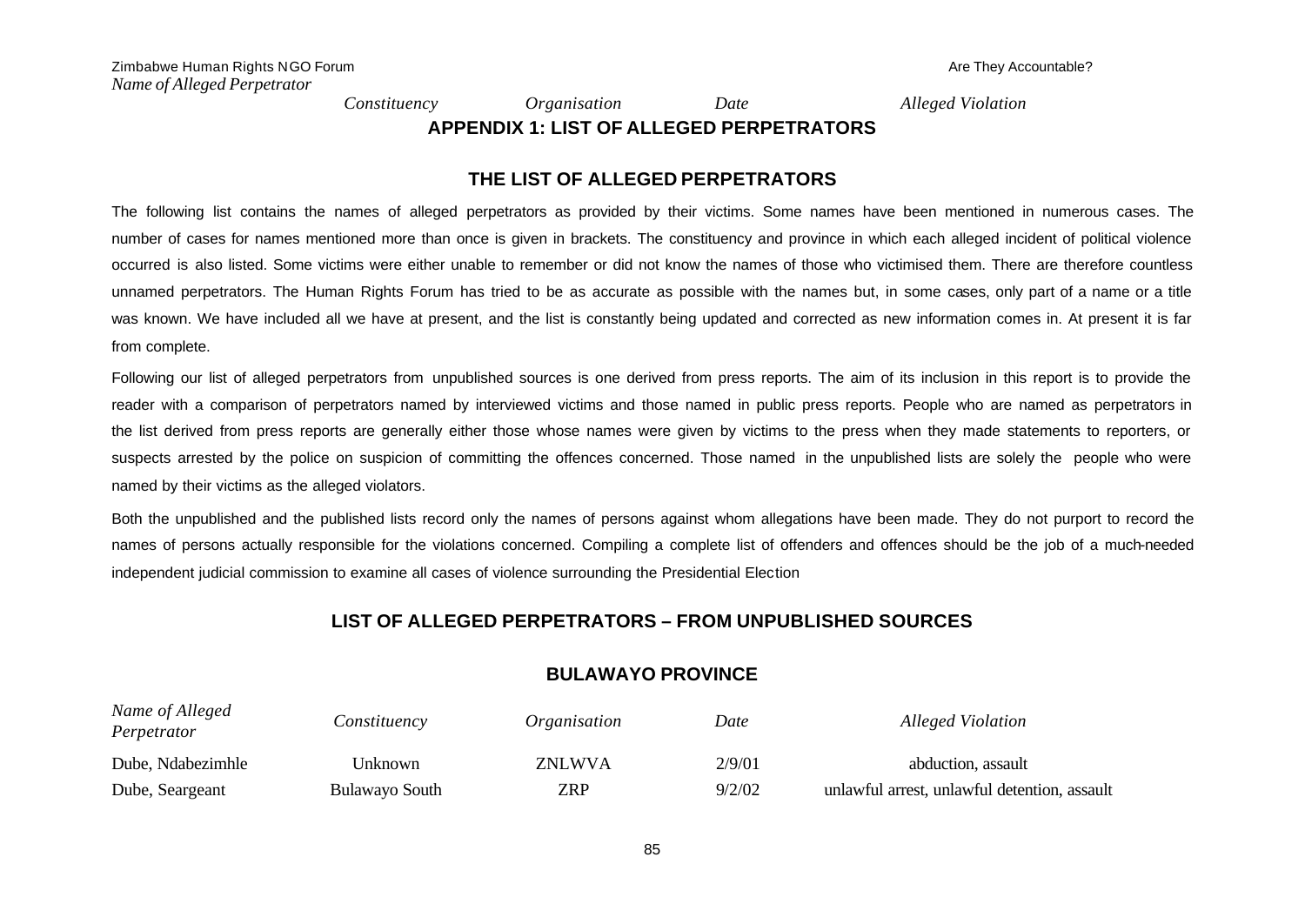*Constituency Organisation Date Alleged Violation*

**APPENDIX 1: LIST OF ALLEGED PERPETRATORS**

# **THE LIST OF ALLEGED PERPETRATORS**

The following list contains the names of alleged perpetrators as provided by their victims. Some names have been mentioned in numerous cases. The number of cases for names mentioned more than once is given in brackets. The constituency and province in which each alleged incident of political violence occurred is also listed. Some victims were either unable to remember or did not know the names of those who victimised them. There are therefore countless unnamed perpetrators. The Human Rights Forum has tried to be as accurate as possible with the names but, in some cases, only part of a name or a title was known. We have included all we have at present, and the list is constantly being updated and corrected as new information comes in. At present it is far from complete.

Following our list of alleged perpetrators from unpublished sources is one derived from press reports. The aim of its inclusion in this report is to provide the reader with a comparison of perpetrators named by interviewed victims and those named in public press reports. People who are named as perpetrators in the list derived from press reports are generally either those whose names were given by victims to the press when they made statements to reporters, or suspects arrested by the police on suspicion of committing the offences concerned. Those named in the unpublished lists are solely the people who were named by their victims as the alleged violators.

Both the unpublished and the published lists record only the names of persons against whom allegations have been made. They do not purport to record the names of persons actually responsible for the violations concerned. Compiling a complete list of offenders and offences should be the job of a much-needed independent judicial commission to examine all cases of violence surrounding the Presidential Election

# **LIST OF ALLEGED PERPETRATORS – FROM UNPUBLISHED SOURCES**

# **BULAWAYO PROVINCE**

| Name of Alleged<br>Perpetrator | Constituency          | <i>Organisation</i> | Date   | Alleged Violation                            |
|--------------------------------|-----------------------|---------------------|--------|----------------------------------------------|
| Dube, Ndabezimhle              | Unknown               | <b>ZNLWVA</b>       | 2/9/01 | abduction, assault                           |
| Dube, Seargeant                | <b>Bulawayo South</b> | ZRP                 | 9/2/02 | unlawful arrest, unlawful detention, assault |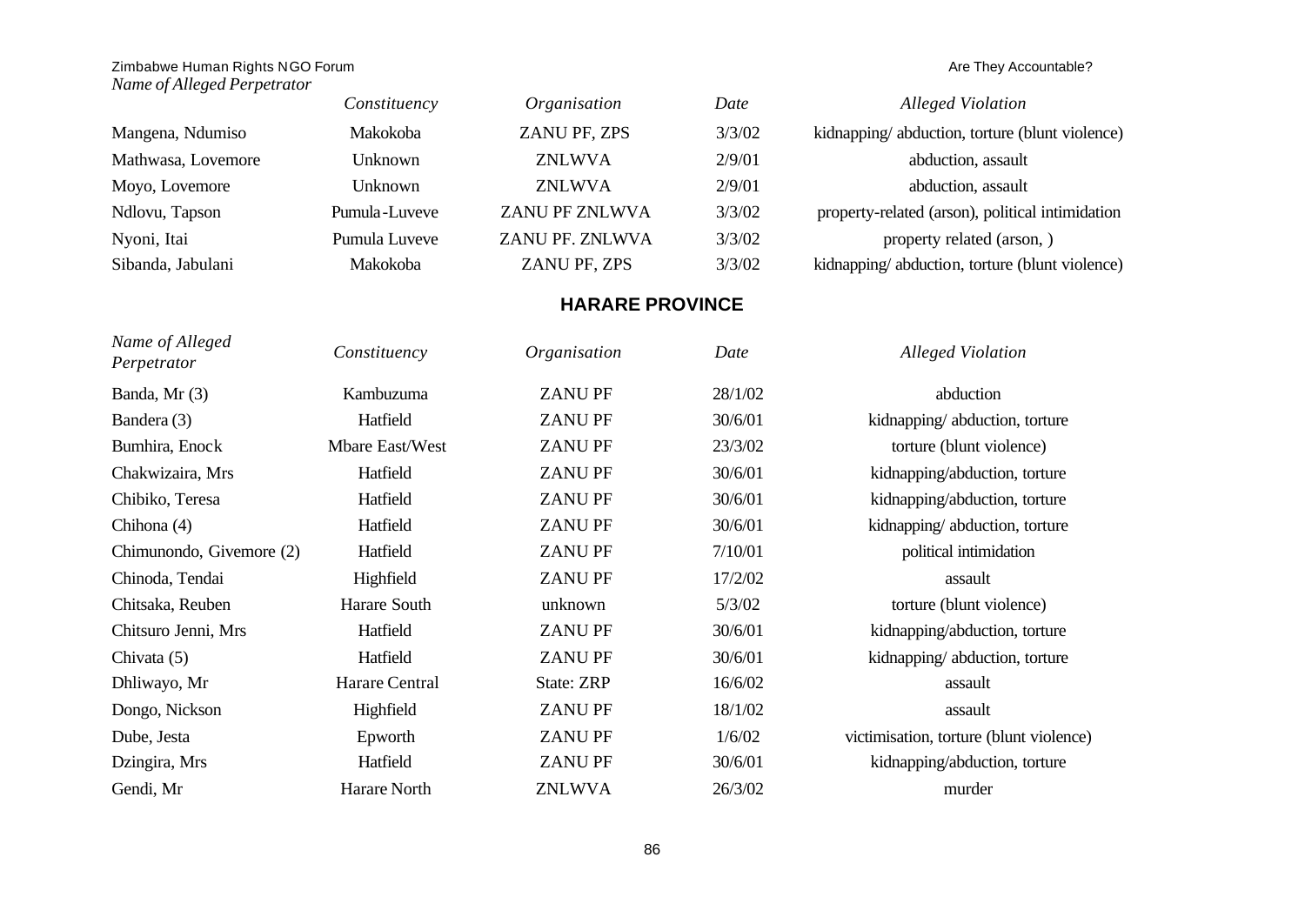*Name of Alleged Perpetrator*

|                    | Constituency   | Organisation          | Date   | Alleged Violation                                |
|--------------------|----------------|-----------------------|--------|--------------------------------------------------|
| Mangena, Ndumiso   | Makokoba       | ZANU PF, ZPS          | 3/3/02 | kidnapping/abduction, torture (blunt violence)   |
| Mathwasa, Lovemore | Unknown        | <b>ZNLWVA</b>         | 2/9/01 | abduction, assault                               |
| Moyo, Lovemore     | <b>Unknown</b> | <b>ZNLWVA</b>         | 2/9/01 | abduction, assault                               |
| Ndlovu, Tapson     | Pumula-Luveve  | <b>ZANU PF ZNLWVA</b> | 3/3/02 | property-related (arson), political intimidation |
| Nyoni, Itai        | Pumula Luveve  | ZANU PF. ZNLWVA       | 3/3/02 | property related (arson, )                       |
| Sibanda, Jabulani  | Makokoba       | ZANU PF, ZPS          | 3/3/02 | kidnapping/abduction, torture (blunt violence)   |

# **HARARE PROVINCE**

| Name of Alleged<br>Perpetrator | Constituency    | Organisation  | Date    | <b>Alleged Violation</b>                |
|--------------------------------|-----------------|---------------|---------|-----------------------------------------|
| Banda, Mr (3)                  | Kambuzuma       | <b>ZANUPF</b> | 28/1/02 | abduction                               |
| Bandera (3)                    | Hatfield        | <b>ZANUPF</b> | 30/6/01 | kidnapping/abduction, torture           |
| Bumhira, Enock                 | Mbare East/West | <b>ZANUPF</b> | 23/3/02 | torture (blunt violence)                |
| Chakwizaira, Mrs               | Hatfield        | <b>ZANUPF</b> | 30/6/01 | kidnapping/abduction, torture           |
| Chibiko, Teresa                | Hatfield        | <b>ZANUPF</b> | 30/6/01 | kidnapping/abduction, torture           |
| Chihona (4)                    | Hatfield        | <b>ZANUPF</b> | 30/6/01 | kidnapping/abduction, torture           |
| Chimunondo, Givernore (2)      | Hatfield        | <b>ZANUPF</b> | 7/10/01 | political intimidation                  |
| Chinoda, Tendai                | Highfield       | <b>ZANUPF</b> | 17/2/02 | assault                                 |
| Chitsaka, Reuben               | Harare South    | unknown       | 5/3/02  | torture (blunt violence)                |
| Chitsuro Jenni, Mrs            | Hatfield        | <b>ZANUPF</b> | 30/6/01 | kidnapping/abduction, torture           |
| Chivata (5)                    | Hatfield        | <b>ZANUPF</b> | 30/6/01 | kidnapping/abduction, torture           |
| Dhliwayo, Mr                   | Harare Central  | State: ZRP    | 16/6/02 | assault                                 |
| Dongo, Nickson                 | Highfield       | <b>ZANUPF</b> | 18/1/02 | assault                                 |
| Dube, Jesta                    | Epworth         | <b>ZANUPF</b> | 1/6/02  | victimisation, torture (blunt violence) |
| Dzingira, Mrs                  | Hatfield        | <b>ZANUPF</b> | 30/6/01 | kidnapping/abduction, torture           |
| Gendi, Mr                      | Harare North    | <b>ZNLWVA</b> | 26/3/02 | murder                                  |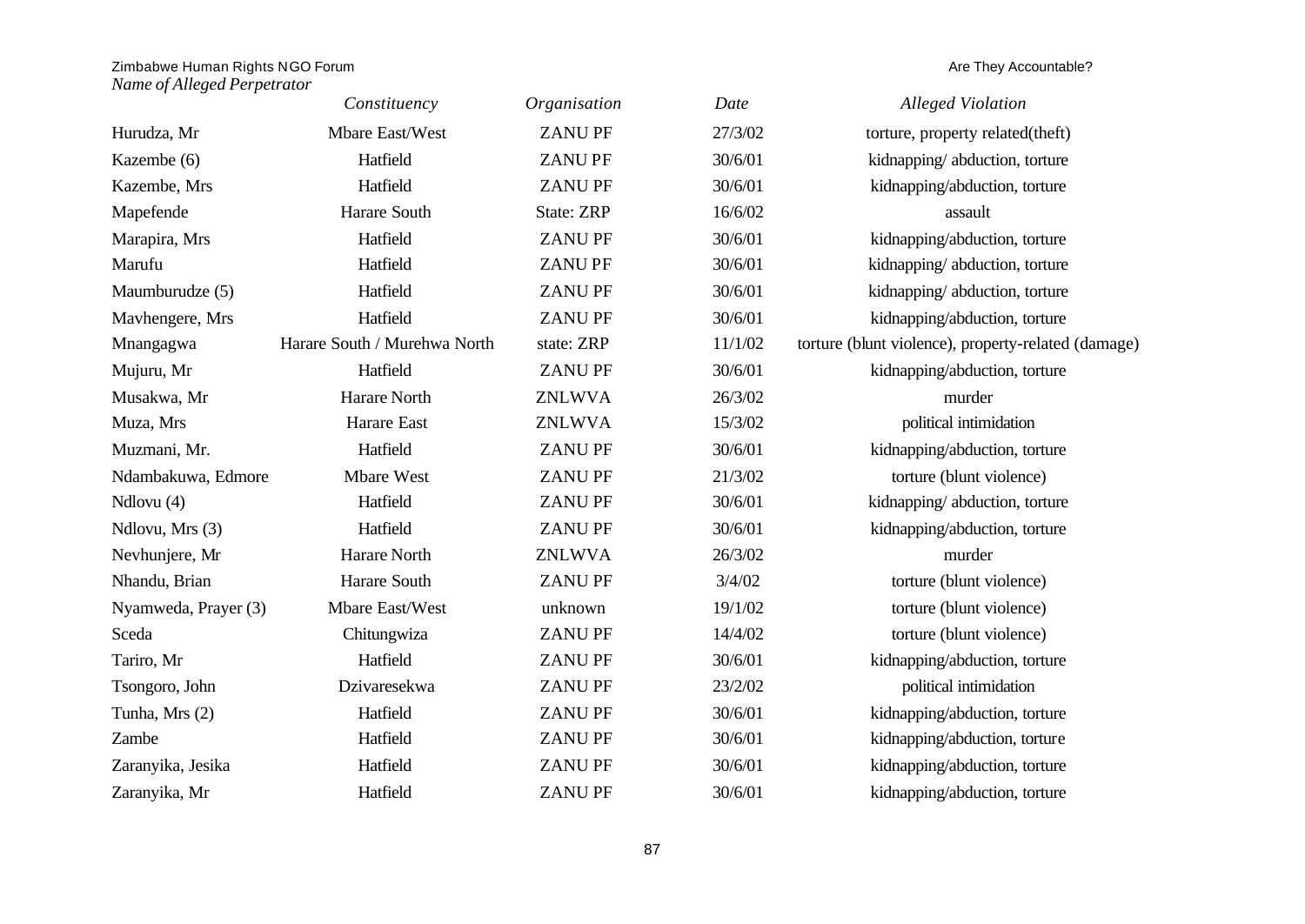|                      | Constituency                 | Organisation  | Date    | <b>Alleged Violation</b>                            |
|----------------------|------------------------------|---------------|---------|-----------------------------------------------------|
| Hurudza, Mr          | Mbare East/West              | <b>ZANUPF</b> | 27/3/02 | torture, property related(theft)                    |
| Kazembe (6)          | Hatfield                     | <b>ZANUPF</b> | 30/6/01 | kidnapping/abduction, torture                       |
| Kazembe, Mrs         | Hatfield                     | <b>ZANUPF</b> | 30/6/01 | kidnapping/abduction, torture                       |
| Mapefende            | Harare South                 | State: ZRP    | 16/6/02 | assault                                             |
| Marapira, Mrs        | Hatfield                     | <b>ZANUPF</b> | 30/6/01 | kidnapping/abduction, torture                       |
| Marufu               | Hatfield                     | <b>ZANUPF</b> | 30/6/01 | kidnapping/abduction, torture                       |
| Maumburudze (5)      | Hatfield                     | <b>ZANUPF</b> | 30/6/01 | kidnapping/abduction, torture                       |
| Mavhengere, Mrs      | Hatfield                     | <b>ZANUPF</b> | 30/6/01 | kidnapping/abduction, torture                       |
| Mnangagwa            | Harare South / Murehwa North | state: ZRP    | 11/1/02 | torture (blunt violence), property-related (damage) |
| Mujuru, Mr           | Hatfield                     | <b>ZANUPF</b> | 30/6/01 | kidnapping/abduction, torture                       |
| Musakwa, Mr          | Harare North                 | <b>ZNLWVA</b> | 26/3/02 | murder                                              |
| Muza, Mrs            | Harare East                  | <b>ZNLWVA</b> | 15/3/02 | political intimidation                              |
| Muzmani, Mr.         | Hatfield                     | <b>ZANUPF</b> | 30/6/01 | kidnapping/abduction, torture                       |
| Ndambakuwa, Edmore   | Mbare West                   | <b>ZANUPF</b> | 21/3/02 | torture (blunt violence)                            |
| Ndlovu (4)           | Hatfield                     | <b>ZANUPF</b> | 30/6/01 | kidnapping/abduction, torture                       |
| Ndlovu, Mrs (3)      | Hatfield                     | <b>ZANUPF</b> | 30/6/01 | kidnapping/abduction, torture                       |
| Nevhunjere, Mr       | Harare North                 | <b>ZNLWVA</b> | 26/3/02 | murder                                              |
| Nhandu, Brian        | Harare South                 | <b>ZANUPF</b> | 3/4/02  | torture (blunt violence)                            |
| Nyamweda, Prayer (3) | Mbare East/West              | unknown       | 19/1/02 | torture (blunt violence)                            |
| Sceda                | Chitungwiza                  | <b>ZANUPF</b> | 14/4/02 | torture (blunt violence)                            |
| Tariro, Mr           | Hatfield                     | <b>ZANUPF</b> | 30/6/01 | kidnapping/abduction, torture                       |
| Tsongoro, John       | Dzivaresekwa                 | <b>ZANUPF</b> | 23/2/02 | political intimidation                              |
| Tunha, Mrs (2)       | Hatfield                     | <b>ZANUPF</b> | 30/6/01 | kidnapping/abduction, torture                       |
| Zambe                | Hatfield                     | <b>ZANUPF</b> | 30/6/01 | kidnapping/abduction, torture                       |
| Zaranyika, Jesika    | Hatfield                     | <b>ZANUPF</b> | 30/6/01 | kidnapping/abduction, torture                       |
| Zaranyika, Mr        | Hatfield                     | <b>ZANUPF</b> | 30/6/01 | kidnapping/abduction, torture                       |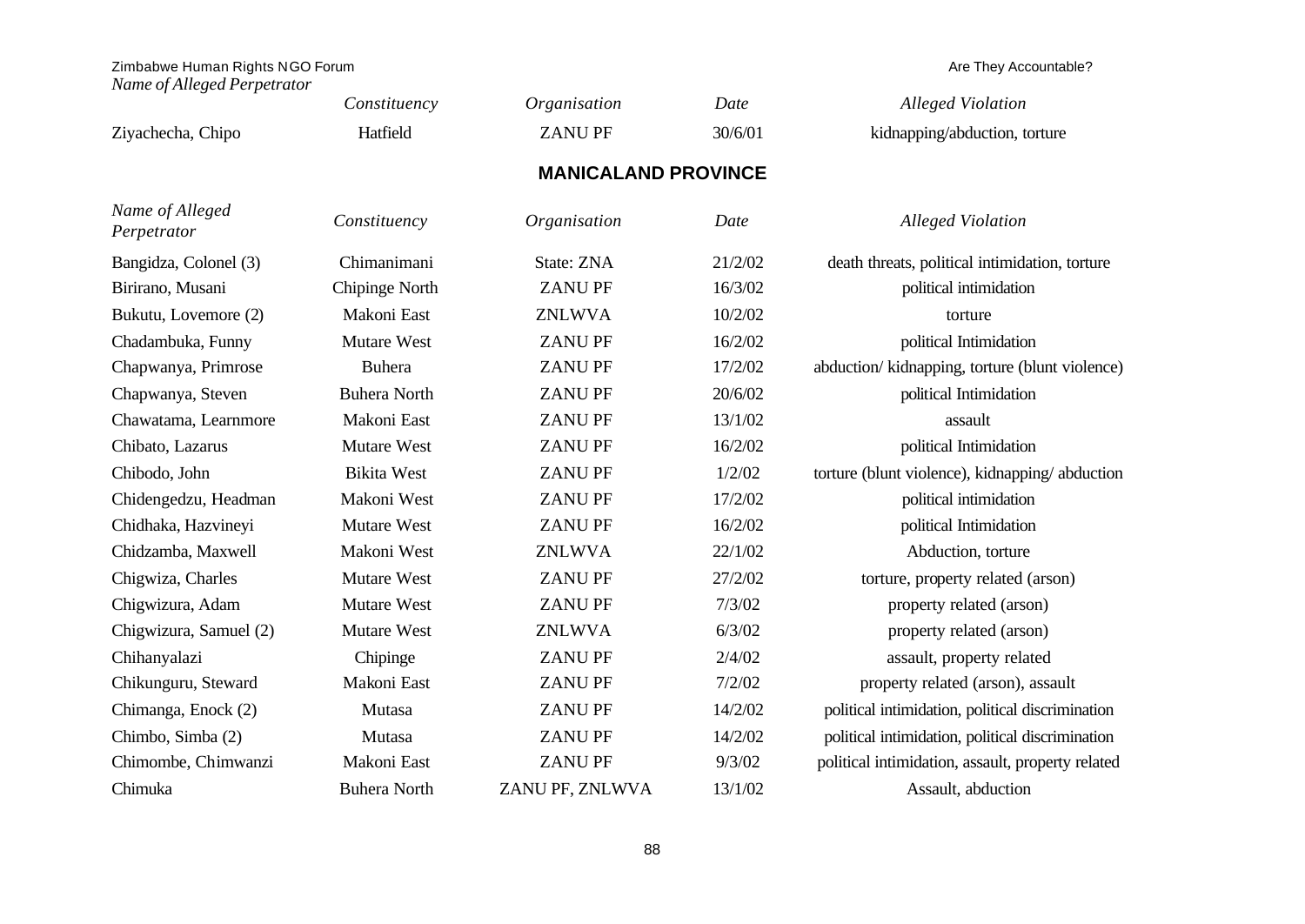|                                | Constituency        | Organisation               | Date    | <b>Alleged Violation</b>                          |
|--------------------------------|---------------------|----------------------------|---------|---------------------------------------------------|
| Ziyachecha, Chipo              | Hatfield            | <b>ZANUPF</b>              | 30/6/01 | kidnapping/abduction, torture                     |
|                                |                     | <b>MANICALAND PROVINCE</b> |         |                                                   |
| Name of Alleged<br>Perpetrator | Constituency        | Organisation               | Date    | <b>Alleged Violation</b>                          |
| Bangidza, Colonel (3)          | Chimanimani         | State: ZNA                 | 21/2/02 | death threats, political intimidation, torture    |
| Birirano, Musani               | Chipinge North      | <b>ZANUPF</b>              | 16/3/02 | political intimidation                            |
| Bukutu, Lovemore (2)           | Makoni East         | <b>ZNLWVA</b>              | 10/2/02 | torture                                           |
| Chadambuka, Funny              | <b>Mutare West</b>  | <b>ZANUPF</b>              | 16/2/02 | political Intimidation                            |
| Chapwanya, Primrose            | <b>Buhera</b>       | <b>ZANUPF</b>              | 17/2/02 | abduction/ kidnapping, torture (blunt violence)   |
| Chapwanya, Steven              | <b>Buhera North</b> | <b>ZANUPF</b>              | 20/6/02 | political Intimidation                            |
| Chawatama, Learnmore           | Makoni East         | <b>ZANUPF</b>              | 13/1/02 | assault                                           |
| Chibato, Lazarus               | Mutare West         | <b>ZANUPF</b>              | 16/2/02 | political Intimidation                            |
| Chibodo, John                  | <b>Bikita West</b>  | <b>ZANUPF</b>              | 1/2/02  | torture (blunt violence), kidnapping/abduction    |
| Chidengedzu, Headman           | Makoni West         | <b>ZANUPF</b>              | 17/2/02 | political intimidation                            |
| Chidhaka, Hazvineyi            | Mutare West         | <b>ZANUPF</b>              | 16/2/02 | political Intimidation                            |
| Chidzamba, Maxwell             | Makoni West         | <b>ZNLWVA</b>              | 22/1/02 | Abduction, torture                                |
| Chigwiza, Charles              | Mutare West         | <b>ZANUPF</b>              | 27/2/02 | torture, property related (arson)                 |
| Chigwizura, Adam               | <b>Mutare West</b>  | <b>ZANUPF</b>              | 7/3/02  | property related (arson)                          |
| Chigwizura, Samuel (2)         | <b>Mutare West</b>  | <b>ZNLWVA</b>              | 6/3/02  | property related (arson)                          |
| Chihanyalazi                   | Chipinge            | <b>ZANUPF</b>              | 2/4/02  | assault, property related                         |
| Chikunguru, Steward            | Makoni East         | <b>ZANUPF</b>              | 7/2/02  | property related (arson), assault                 |
| Chimanga, Enock (2)            | Mutasa              | <b>ZANUPF</b>              | 14/2/02 | political intimidation, political discrimination  |
| Chimbo, Simba (2)              | Mutasa              | <b>ZANUPF</b>              | 14/2/02 | political intimidation, political discrimination  |
| Chimombe, Chimwanzi            | Makoni East         | <b>ZANUPF</b>              | 9/3/02  | political intimidation, assault, property related |
| Chimuka                        | <b>Buhera North</b> | ZANU PF, ZNLWVA            | 13/1/02 | Assault, abduction                                |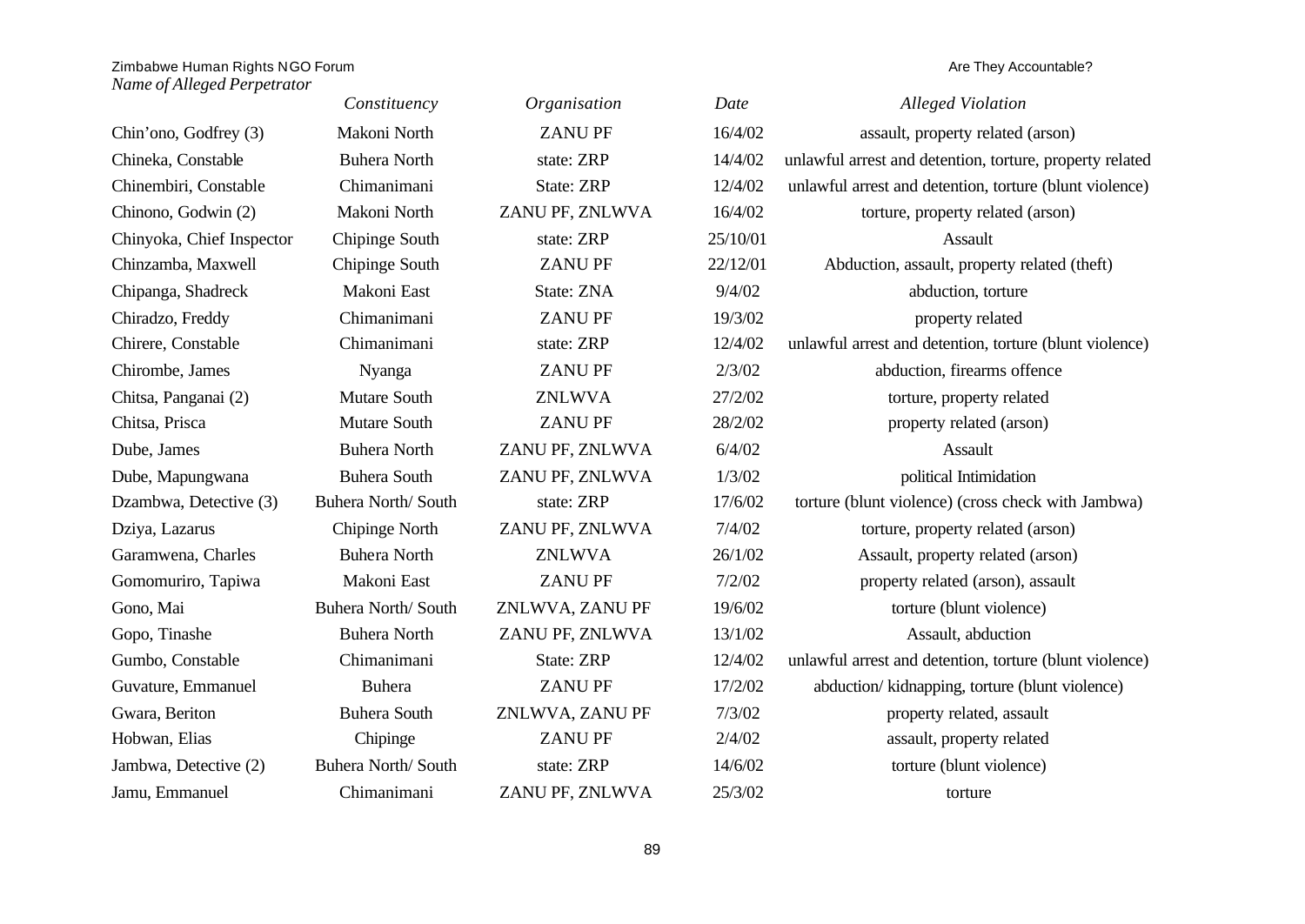|                           | Constituency        | Organisation      | Date     | <b>Alleged Violation</b>                                 |
|---------------------------|---------------------|-------------------|----------|----------------------------------------------------------|
| Chin'ono, Godfrey (3)     | Makoni North        | <b>ZANUPF</b>     | 16/4/02  | assault, property related (arson)                        |
| Chineka, Constable        | <b>Buhera North</b> | state: ZRP        | 14/4/02  | unlawful arrest and detention, torture, property related |
| Chinembiri, Constable     | Chimanimani         | <b>State: ZRP</b> | 12/4/02  | unlawful arrest and detention, torture (blunt violence)  |
| Chinono, Godwin (2)       | Makoni North        | ZANU PF, ZNLWVA   | 16/4/02  | torture, property related (arson)                        |
| Chinyoka, Chief Inspector | Chipinge South      | state: ZRP        | 25/10/01 | Assault                                                  |
| Chinzamba, Maxwell        | Chipinge South      | <b>ZANUPF</b>     | 22/12/01 | Abduction, assault, property related (theft)             |
| Chipanga, Shadreck        | Makoni East         | State: ZNA        | 9/4/02   | abduction, torture                                       |
| Chiradzo, Freddy          | Chimanimani         | <b>ZANUPF</b>     | 19/3/02  | property related                                         |
| Chirere, Constable        | Chimanimani         | state: ZRP        | 12/4/02  | unlawful arrest and detention, torture (blunt violence)  |
| Chirombe, James           | Nyanga              | <b>ZANUPF</b>     | 2/3/02   | abduction, firearms offence                              |
| Chitsa, Panganai (2)      | Mutare South        | <b>ZNLWVA</b>     | 27/2/02  | torture, property related                                |
| Chitsa, Prisca            | Mutare South        | <b>ZANUPF</b>     | 28/2/02  | property related (arson)                                 |
| Dube, James               | <b>Buhera North</b> | ZANU PF, ZNLWVA   | 6/4/02   | Assault                                                  |
| Dube, Mapungwana          | <b>Buhera South</b> | ZANU PF, ZNLWVA   | 1/3/02   | political Intimidation                                   |
| Dzambwa, Detective (3)    | Buhera North/South  | state: ZRP        | 17/6/02  | torture (blunt violence) (cross check with Jambwa)       |
| Dziya, Lazarus            | Chipinge North      | ZANU PF, ZNLWVA   | 7/4/02   | torture, property related (arson)                        |
| Garamwena, Charles        | <b>Buhera North</b> | <b>ZNLWVA</b>     | 26/1/02  | Assault, property related (arson)                        |
| Gomomuriro, Tapiwa        | Makoni East         | <b>ZANUPF</b>     | 7/2/02   | property related (arson), assault                        |
| Gono, Mai                 | Buhera North/South  | ZNLWVA, ZANU PF   | 19/6/02  | torture (blunt violence)                                 |
| Gopo, Tinashe             | <b>Buhera North</b> | ZANU PF, ZNLWVA   | 13/1/02  | Assault, abduction                                       |
| Gumbo, Constable          | Chimanimani         | State: ZRP        | 12/4/02  | unlawful arrest and detention, torture (blunt violence)  |
| Guvature, Emmanuel        | <b>Buhera</b>       | <b>ZANUPF</b>     | 17/2/02  | abduction/kidnapping, torture (blunt violence)           |
| Gwara, Beriton            | <b>Buhera South</b> | ZNLWVA, ZANU PF   | 7/3/02   | property related, assault                                |
| Hobwan, Elias             | Chipinge            | <b>ZANUPF</b>     | 2/4/02   | assault, property related                                |
| Jambwa, Detective (2)     | Buhera North/South  | state: ZRP        | 14/6/02  | torture (blunt violence)                                 |
| Jamu, Emmanuel            | Chimanimani         | ZANU PF, ZNLWVA   | 25/3/02  | torture                                                  |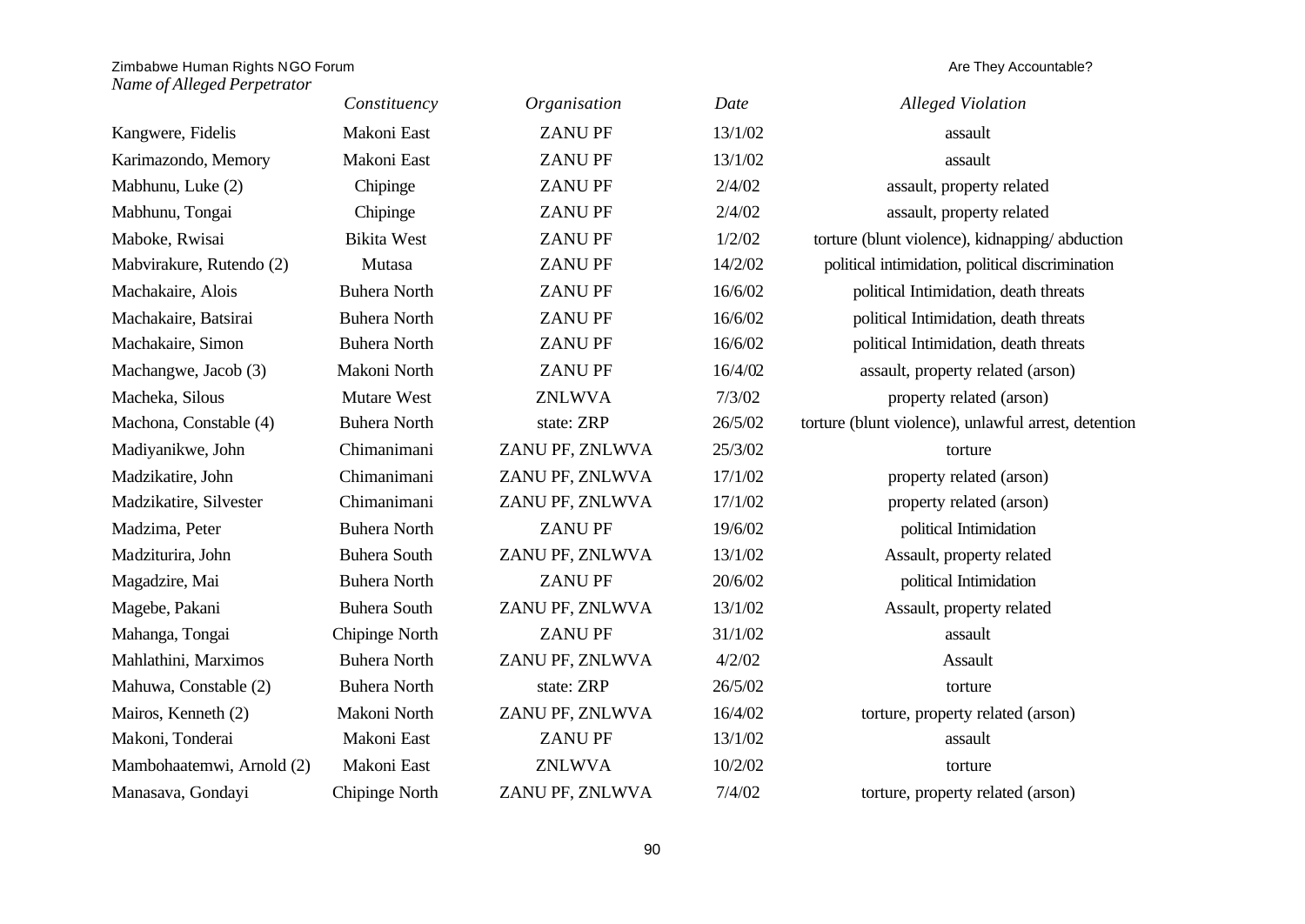|                           | Constituency        | Organisation    | Date    | <b>Alleged Violation</b>                             |
|---------------------------|---------------------|-----------------|---------|------------------------------------------------------|
| Kangwere, Fidelis         | Makoni East         | <b>ZANUPF</b>   | 13/1/02 | assault                                              |
| Karimazondo, Memory       | Makoni East         | <b>ZANUPF</b>   | 13/1/02 | assault                                              |
| Mabhunu, Luke (2)         | Chipinge            | <b>ZANUPF</b>   | 2/4/02  | assault, property related                            |
| Mabhunu, Tongai           | Chipinge            | <b>ZANUPF</b>   | 2/4/02  | assault, property related                            |
| Maboke, Rwisai            | <b>Bikita West</b>  | <b>ZANUPF</b>   | 1/2/02  | torture (blunt violence), kidnapping/abduction       |
| Mabvirakure, Rutendo (2)  | Mutasa              | <b>ZANUPF</b>   | 14/2/02 | political intimidation, political discrimination     |
| Machakaire, Alois         | <b>Buhera North</b> | <b>ZANUPF</b>   | 16/6/02 | political Intimidation, death threats                |
| Machakaire, Batsirai      | <b>Buhera North</b> | <b>ZANUPF</b>   | 16/6/02 | political Intimidation, death threats                |
| Machakaire, Simon         | <b>Buhera North</b> | <b>ZANUPF</b>   | 16/6/02 | political Intimidation, death threats                |
| Machangwe, Jacob (3)      | Makoni North        | <b>ZANUPF</b>   | 16/4/02 | assault, property related (arson)                    |
| Macheka, Silous           | Mutare West         | <b>ZNLWVA</b>   | 7/3/02  | property related (arson)                             |
| Machona, Constable (4)    | <b>Buhera North</b> | state: ZRP      | 26/5/02 | torture (blunt violence), unlawful arrest, detention |
| Madiyanikwe, John         | Chimanimani         | ZANU PF, ZNLWVA | 25/3/02 | torture                                              |
| Madzikatire, John         | Chimanimani         | ZANU PF, ZNLWVA | 17/1/02 | property related (arson)                             |
| Madzikatire, Silvester    | Chimanimani         | ZANU PF, ZNLWVA | 17/1/02 | property related (arson)                             |
| Madzima, Peter            | <b>Buhera North</b> | <b>ZANUPF</b>   | 19/6/02 | political Intimidation                               |
| Madziturira, John         | <b>Buhera South</b> | ZANU PF, ZNLWVA | 13/1/02 | Assault, property related                            |
| Magadzire, Mai            | <b>Buhera North</b> | <b>ZANUPF</b>   | 20/6/02 | political Intimidation                               |
| Magebe, Pakani            | <b>Buhera South</b> | ZANU PF, ZNLWVA | 13/1/02 | Assault, property related                            |
| Mahanga, Tongai           | Chipinge North      | <b>ZANUPF</b>   | 31/1/02 | assault                                              |
| Mahlathini, Marximos      | <b>Buhera North</b> | ZANU PF, ZNLWVA | 4/2/02  | Assault                                              |
| Mahuwa, Constable (2)     | <b>Buhera North</b> | state: ZRP      | 26/5/02 | torture                                              |
| Mairos, Kenneth (2)       | Makoni North        | ZANU PF, ZNLWVA | 16/4/02 | torture, property related (arson)                    |
| Makoni, Tonderai          | Makoni East         | <b>ZANUPF</b>   | 13/1/02 | assault                                              |
| Mambohaatemwi, Arnold (2) | Makoni East         | <b>ZNLWVA</b>   | 10/2/02 | torture                                              |
| Manasava, Gondayi         | Chipinge North      | ZANU PF, ZNLWVA | 7/4/02  | torture, property related (arson)                    |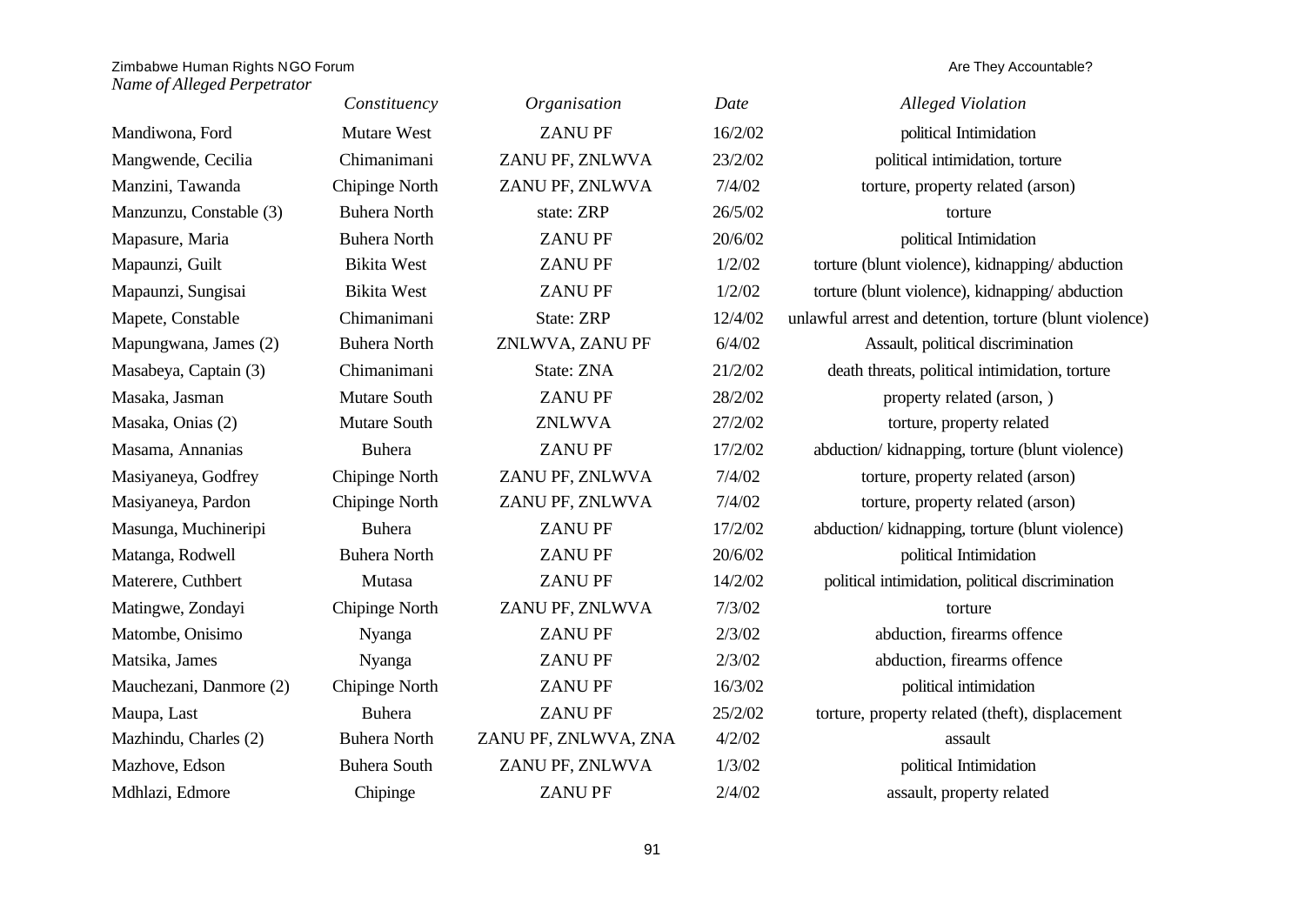|                         | Constituency        | Organisation         | Date    | <b>Alleged Violation</b>                                |
|-------------------------|---------------------|----------------------|---------|---------------------------------------------------------|
| Mandiwona, Ford         | Mutare West         | <b>ZANUPF</b>        | 16/2/02 | political Intimidation                                  |
| Mangwende, Cecilia      | Chimanimani         | ZANU PF, ZNLWVA      | 23/2/02 | political intimidation, torture                         |
| Manzini, Tawanda        | Chipinge North      | ZANU PF, ZNLWVA      | 7/4/02  | torture, property related (arson)                       |
| Manzunzu, Constable (3) | <b>Buhera North</b> | state: ZRP           | 26/5/02 | torture                                                 |
| Mapasure, Maria         | <b>Buhera North</b> | <b>ZANUPF</b>        | 20/6/02 | political Intimidation                                  |
| Mapaunzi, Guilt         | <b>Bikita West</b>  | <b>ZANUPF</b>        | 1/2/02  | torture (blunt violence), kidnapping/abduction          |
| Mapaunzi, Sungisai      | <b>Bikita West</b>  | <b>ZANUPF</b>        | 1/2/02  | torture (blunt violence), kidnapping/abduction          |
| Mapete, Constable       | Chimanimani         | <b>State: ZRP</b>    | 12/4/02 | unlawful arrest and detention, torture (blunt violence) |
| Mapungwana, James (2)   | <b>Buhera North</b> | ZNLWVA, ZANU PF      | 6/4/02  | Assault, political discrimination                       |
| Masabeya, Captain (3)   | Chimanimani         | State: ZNA           | 21/2/02 | death threats, political intimidation, torture          |
| Masaka, Jasman          | Mutare South        | <b>ZANUPF</b>        | 28/2/02 | property related (arson, )                              |
| Masaka, Onias (2)       | Mutare South        | <b>ZNLWVA</b>        | 27/2/02 | torture, property related                               |
| Masama, Annanias        | <b>Buhera</b>       | <b>ZANUPF</b>        | 17/2/02 | abduction/kidnapping, torture (blunt violence)          |
| Masiyaneya, Godfrey     | Chipinge North      | ZANU PF, ZNLWVA      | 7/4/02  | torture, property related (arson)                       |
| Masiyaneya, Pardon      | Chipinge North      | ZANU PF, ZNLWVA      | 7/4/02  | torture, property related (arson)                       |
| Masunga, Muchineripi    | <b>Buhera</b>       | <b>ZANUPF</b>        | 17/2/02 | abduction/ kidnapping, torture (blunt violence)         |
| Matanga, Rodwell        | <b>Buhera North</b> | <b>ZANUPF</b>        | 20/6/02 | political Intimidation                                  |
| Materere, Cuthbert      | Mutasa              | <b>ZANUPF</b>        | 14/2/02 | political intimidation, political discrimination        |
| Matingwe, Zondayi       | Chipinge North      | ZANU PF, ZNLWVA      | 7/3/02  | torture                                                 |
| Matombe, Onisimo        | Nyanga              | <b>ZANUPF</b>        | 2/3/02  | abduction, firearms offence                             |
| Matsika, James          | Nyanga              | <b>ZANUPF</b>        | 2/3/02  | abduction, firearms offence                             |
| Mauchezani, Danmore (2) | Chipinge North      | <b>ZANUPF</b>        | 16/3/02 | political intimidation                                  |
| Maupa, Last             | <b>Buhera</b>       | <b>ZANUPF</b>        | 25/2/02 | torture, property related (theft), displacement         |
| Mazhindu, Charles (2)   | <b>Buhera North</b> | ZANU PF, ZNLWVA, ZNA | 4/2/02  | assault                                                 |
| Mazhove, Edson          | <b>Buhera South</b> | ZANU PF, ZNLWVA      | 1/3/02  | political Intimidation                                  |
| Mdhlazi, Edmore         | Chipinge            | <b>ZANUPF</b>        | 2/4/02  | assault, property related                               |
|                         |                     |                      |         |                                                         |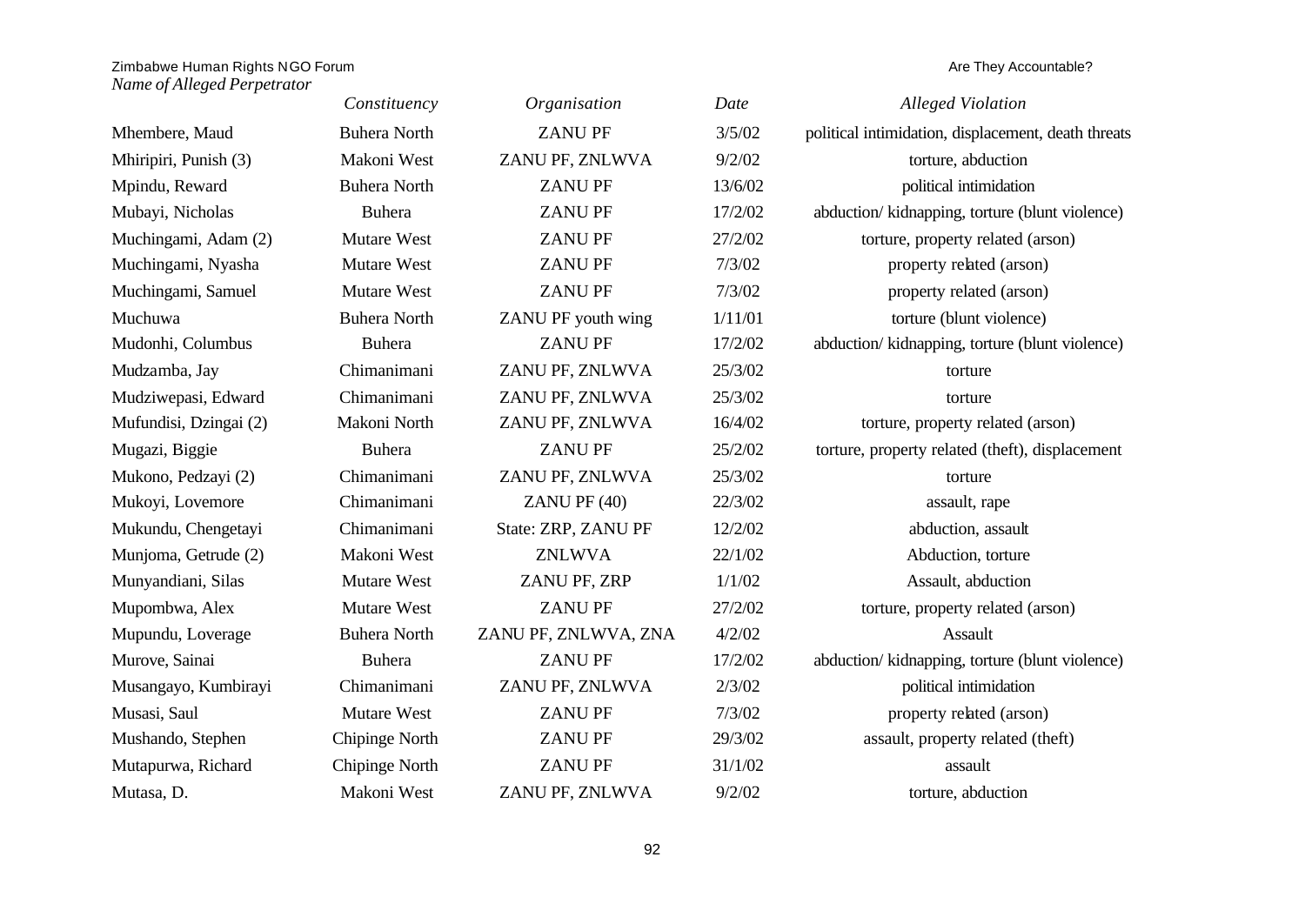|                        | Constituency        | Organisation         | Date    | <b>Alleged Violation</b>                            |
|------------------------|---------------------|----------------------|---------|-----------------------------------------------------|
| Mhembere, Maud         | <b>Buhera North</b> | <b>ZANUPF</b>        | 3/5/02  | political intimidation, displacement, death threats |
| Mhiripiri, Punish (3)  | Makoni West         | ZANU PF, ZNLWVA      | 9/2/02  | torture, abduction                                  |
| Mpindu, Reward         | <b>Buhera North</b> | <b>ZANUPF</b>        | 13/6/02 | political intimidation                              |
| Mubayi, Nicholas       | <b>Buhera</b>       | <b>ZANUPF</b>        | 17/2/02 | abduction/kidnapping, torture (blunt violence)      |
| Muchingami, Adam (2)   | Mutare West         | <b>ZANUPF</b>        | 27/2/02 | torture, property related (arson)                   |
| Muchingami, Nyasha     | Mutare West         | <b>ZANUPF</b>        | 7/3/02  | property related (arson)                            |
| Muchingami, Samuel     | Mutare West         | <b>ZANUPF</b>        | 7/3/02  | property related (arson)                            |
| Muchuwa                | <b>Buhera North</b> | ZANU PF youth wing   | 1/11/01 | torture (blunt violence)                            |
| Mudonhi, Columbus      | <b>Buhera</b>       | <b>ZANUPF</b>        | 17/2/02 | abduction/ kidnapping, torture (blunt violence)     |
| Mudzamba, Jay          | Chimanimani         | ZANU PF, ZNLWVA      | 25/3/02 | torture                                             |
| Mudziwepasi, Edward    | Chimanimani         | ZANU PF, ZNLWVA      | 25/3/02 | torture                                             |
| Mufundisi, Dzingai (2) | Makoni North        | ZANU PF, ZNLWVA      | 16/4/02 | torture, property related (arson)                   |
| Mugazi, Biggie         | <b>Buhera</b>       | <b>ZANUPF</b>        | 25/2/02 | torture, property related (theft), displacement     |
| Mukono, Pedzayi (2)    | Chimanimani         | ZANU PF, ZNLWVA      | 25/3/02 | torture                                             |
| Mukoyi, Lovemore       | Chimanimani         | ZANU PF (40)         | 22/3/02 | assault, rape                                       |
| Mukundu, Chengetayi    | Chimanimani         | State: ZRP, ZANU PF  | 12/2/02 | abduction, assault                                  |
| Munjoma, Getrude (2)   | Makoni West         | <b>ZNLWVA</b>        | 22/1/02 | Abduction, torture                                  |
| Munyandiani, Silas     | Mutare West         | ZANU PF, ZRP         | 1/1/02  | Assault, abduction                                  |
| Mupombwa, Alex         | Mutare West         | <b>ZANUPF</b>        | 27/2/02 | torture, property related (arson)                   |
| Mupundu, Loverage      | <b>Buhera North</b> | ZANU PF, ZNLWVA, ZNA | 4/2/02  | Assault                                             |
| Murove, Sainai         | <b>Buhera</b>       | <b>ZANUPF</b>        | 17/2/02 | abduction/kidnapping, torture (blunt violence)      |
| Musangayo, Kumbirayi   | Chimanimani         | ZANU PF, ZNLWVA      | 2/3/02  | political intimidation                              |
| Musasi, Saul           | Mutare West         | <b>ZANUPF</b>        | 7/3/02  | property related (arson)                            |
| Mushando, Stephen      | Chipinge North      | <b>ZANUPF</b>        | 29/3/02 | assault, property related (theft)                   |
| Mutapurwa, Richard     | Chipinge North      | <b>ZANUPF</b>        | 31/1/02 | assault                                             |
| Mutasa, D.             | Makoni West         | ZANU PF, ZNLWVA      | 9/2/02  | torture, abduction                                  |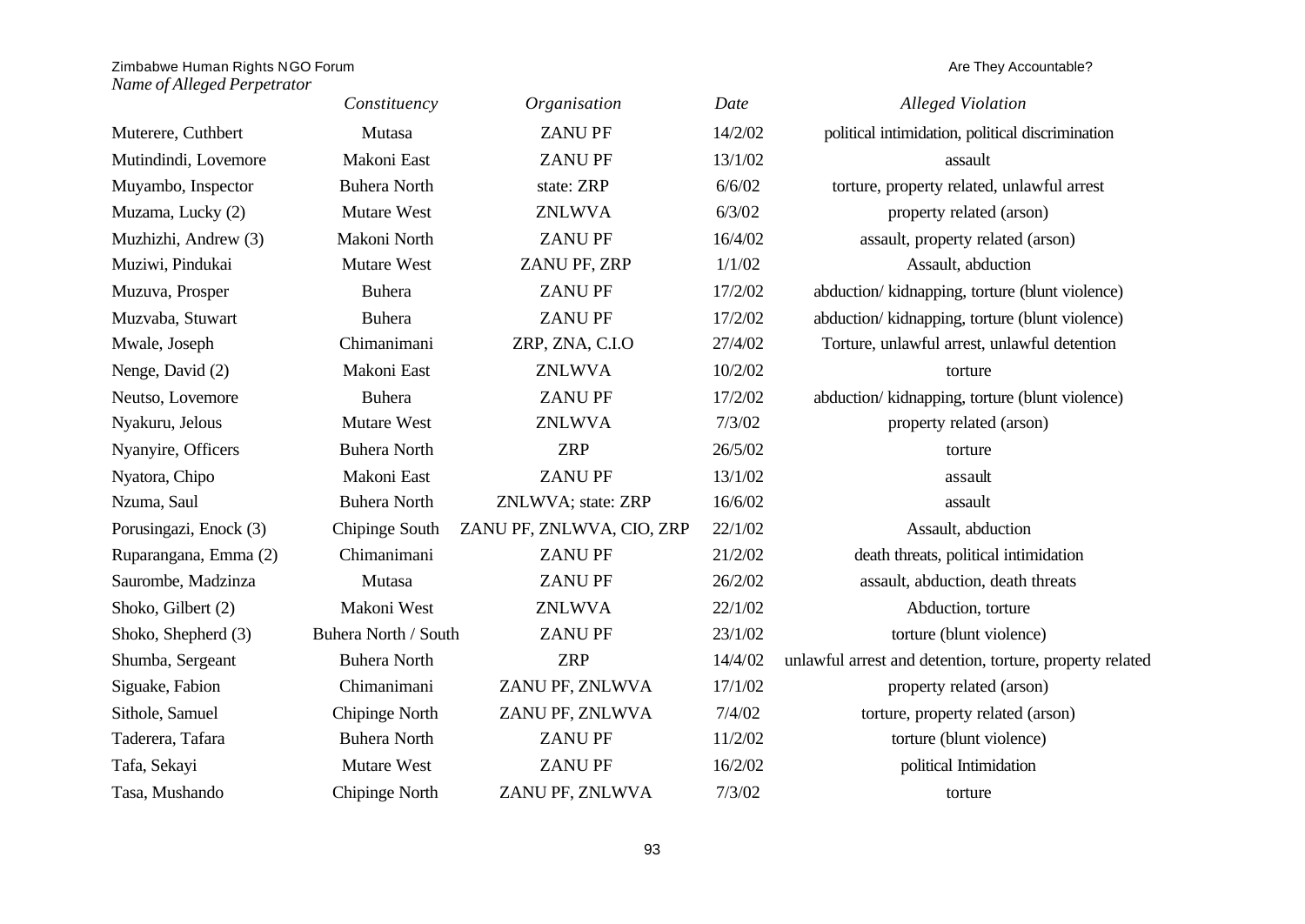|                        | Constituency         | Organisation              | Date    | <b>Alleged Violation</b>                                 |
|------------------------|----------------------|---------------------------|---------|----------------------------------------------------------|
| Muterere, Cuthbert     | Mutasa               | <b>ZANUPF</b>             | 14/2/02 | political intimidation, political discrimination         |
| Mutindindi, Lovemore   | Makoni East          | <b>ZANUPF</b>             | 13/1/02 | assault                                                  |
| Muyambo, Inspector     | <b>Buhera North</b>  | state: ZRP                | 6/6/02  | torture, property related, unlawful arrest               |
| Muzama, Lucky (2)      | <b>Mutare West</b>   | <b>ZNLWVA</b>             | 6/3/02  | property related (arson)                                 |
| Muzhizhi, Andrew (3)   | Makoni North         | <b>ZANUPF</b>             | 16/4/02 | assault, property related (arson)                        |
| Muziwi, Pindukai       | Mutare West          | ZANU PF, ZRP              | 1/1/02  | Assault, abduction                                       |
| Muzuva, Prosper        | <b>Buhera</b>        | <b>ZANUPF</b>             | 17/2/02 | abduction/kidnapping, torture (blunt violence)           |
| Muzvaba, Stuwart       | <b>Buhera</b>        | <b>ZANUPF</b>             | 17/2/02 | abduction/kidnapping, torture (blunt violence)           |
| Mwale, Joseph          | Chimanimani          | ZRP, ZNA, C.I.O           | 27/4/02 | Torture, unlawful arrest, unlawful detention             |
| Nenge, David (2)       | Makoni East          | <b>ZNLWVA</b>             | 10/2/02 | torture                                                  |
| Neutso, Lovemore       | <b>Buhera</b>        | <b>ZANUPF</b>             | 17/2/02 | abduction/kidnapping, torture (blunt violence)           |
| Nyakuru, Jelous        | <b>Mutare West</b>   | <b>ZNLWVA</b>             | 7/3/02  | property related (arson)                                 |
| Nyanyire, Officers     | <b>Buhera North</b>  | <b>ZRP</b>                | 26/5/02 | torture                                                  |
| Nyatora, Chipo         | Makoni East          | <b>ZANUPF</b>             | 13/1/02 | assault                                                  |
| Nzuma, Saul            | <b>Buhera North</b>  | ZNLWVA; state: ZRP        | 16/6/02 | assault                                                  |
| Porusingazi, Enock (3) | Chipinge South       | ZANU PF, ZNLWVA, CIO, ZRP | 22/1/02 | Assault, abduction                                       |
| Ruparangana, Emma (2)  | Chimanimani          | <b>ZANUPF</b>             | 21/2/02 | death threats, political intimidation                    |
| Saurombe, Madzinza     | Mutasa               | <b>ZANUPF</b>             | 26/2/02 | assault, abduction, death threats                        |
| Shoko, Gilbert (2)     | Makoni West          | <b>ZNLWVA</b>             | 22/1/02 | Abduction, torture                                       |
| Shoko, Shepherd (3)    | Buhera North / South | <b>ZANUPF</b>             | 23/1/02 | torture (blunt violence)                                 |
| Shumba, Sergeant       | <b>Buhera North</b>  | <b>ZRP</b>                | 14/4/02 | unlawful arrest and detention, torture, property related |
| Siguake, Fabion        | Chimanimani          | ZANU PF, ZNLWVA           | 17/1/02 | property related (arson)                                 |
| Sithole, Samuel        | Chipinge North       | ZANU PF, ZNLWVA           | 7/4/02  | torture, property related (arson)                        |
| Taderera, Tafara       | <b>Buhera North</b>  | <b>ZANUPF</b>             | 11/2/02 | torture (blunt violence)                                 |
| Tafa, Sekayi           | <b>Mutare West</b>   | <b>ZANUPF</b>             | 16/2/02 | political Intimidation                                   |
| Tasa, Mushando         | Chipinge North       | ZANU PF, ZNLWVA           | 7/3/02  | torture                                                  |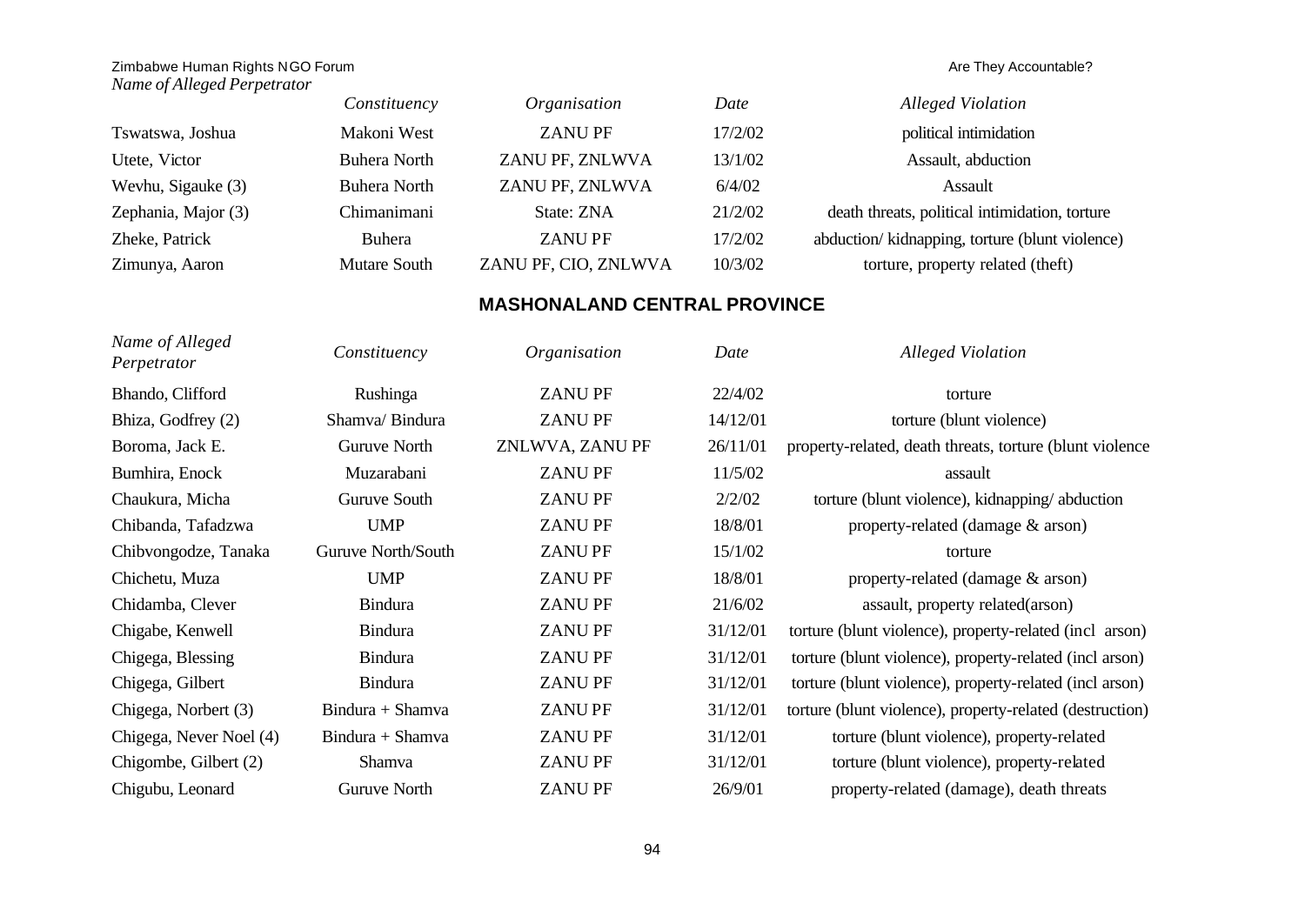|                     | Constituency        | Organisation         | Date    | <b>Alleged Violation</b>                       |
|---------------------|---------------------|----------------------|---------|------------------------------------------------|
| Tswatswa, Joshua    | Makoni West         | <b>ZANUPF</b>        | 17/2/02 | political intimidation                         |
| Utete, Victor       | <b>Buhera North</b> | ZANU PF, ZNLWVA      | 13/1/02 | Assault, abduction                             |
| Wevhu, Sigauke (3)  | Buhera North        | ZANU PF, ZNLWVA      | 6/4/02  | Assault                                        |
| Zephania, Major (3) | Chimanimani         | State: ZNA           | 21/2/02 | death threats, political intimidation, torture |
| Zheke, Patrick      | Buhera              | <b>ZANUPF</b>        | 17/2/02 | abduction/kidnapping, torture (blunt violence) |
| Zimunya, Aaron      | Mutare South        | ZANU PF, CIO, ZNLWVA | 10/3/02 | torture, property related (theft)              |

# **MASHONALAND CENTRAL PROVINCE**

| Name of Alleged<br>Perpetrator | Constituency       | Organisation    | Date     | <b>Alleged Violation</b>                                 |
|--------------------------------|--------------------|-----------------|----------|----------------------------------------------------------|
| Bhando, Clifford               | Rushinga           | <b>ZANUPF</b>   | 22/4/02  | torture                                                  |
| Bhiza, Godfrey (2)             | Shamva/Bindura     | <b>ZANUPF</b>   | 14/12/01 | torture (blunt violence)                                 |
| Boroma, Jack E.                | Guruve North       | ZNLWVA, ZANU PF | 26/11/01 | property-related, death threats, torture (blunt violence |
| Bumhira, Enock                 | Muzarabani         | <b>ZANUPF</b>   | 11/5/02  | assault                                                  |
| Chaukura, Micha                | Guruve South       | <b>ZANUPF</b>   | 2/2/02   | torture (blunt violence), kidnapping/abduction           |
| Chibanda, Tafadzwa             | <b>UMP</b>         | <b>ZANUPF</b>   | 18/8/01  | property-related (damage & arson)                        |
| Chibyongodze, Tanaka           | Guruve North/South | <b>ZANUPF</b>   | 15/1/02  | torture                                                  |
| Chichetu, Muza                 | <b>UMP</b>         | <b>ZANUPF</b>   | 18/8/01  | property-related (damage & arson)                        |
| Chidamba, Clever               | <b>Bindura</b>     | <b>ZANUPF</b>   | 21/6/02  | assault, property related(arson)                         |
| Chigabe, Kenwell               | <b>Bindura</b>     | <b>ZANUPF</b>   | 31/12/01 | torture (blunt violence), property-related (incl arson)  |
| Chigega, Blessing              | <b>Bindura</b>     | <b>ZANUPF</b>   | 31/12/01 | torture (blunt violence), property-related (incl arson)  |
| Chigega, Gilbert               | <b>Bindura</b>     | <b>ZANUPF</b>   | 31/12/01 | torture (blunt violence), property-related (incl arson)  |
| Chigega, Norbert (3)           | Bindura + Shamva   | <b>ZANUPF</b>   | 31/12/01 | torture (blunt violence), property-related (destruction) |
| Chigega, Never Noel (4)        | Bindura + Shamva   | <b>ZANUPF</b>   | 31/12/01 | torture (blunt violence), property-related               |
| Chigombe, Gilbert (2)          | Shamva             | <b>ZANUPF</b>   | 31/12/01 | torture (blunt violence), property-related               |
| Chigubu, Leonard               | Guruve North       | <b>ZANUPF</b>   | 26/9/01  | property-related (damage), death threats                 |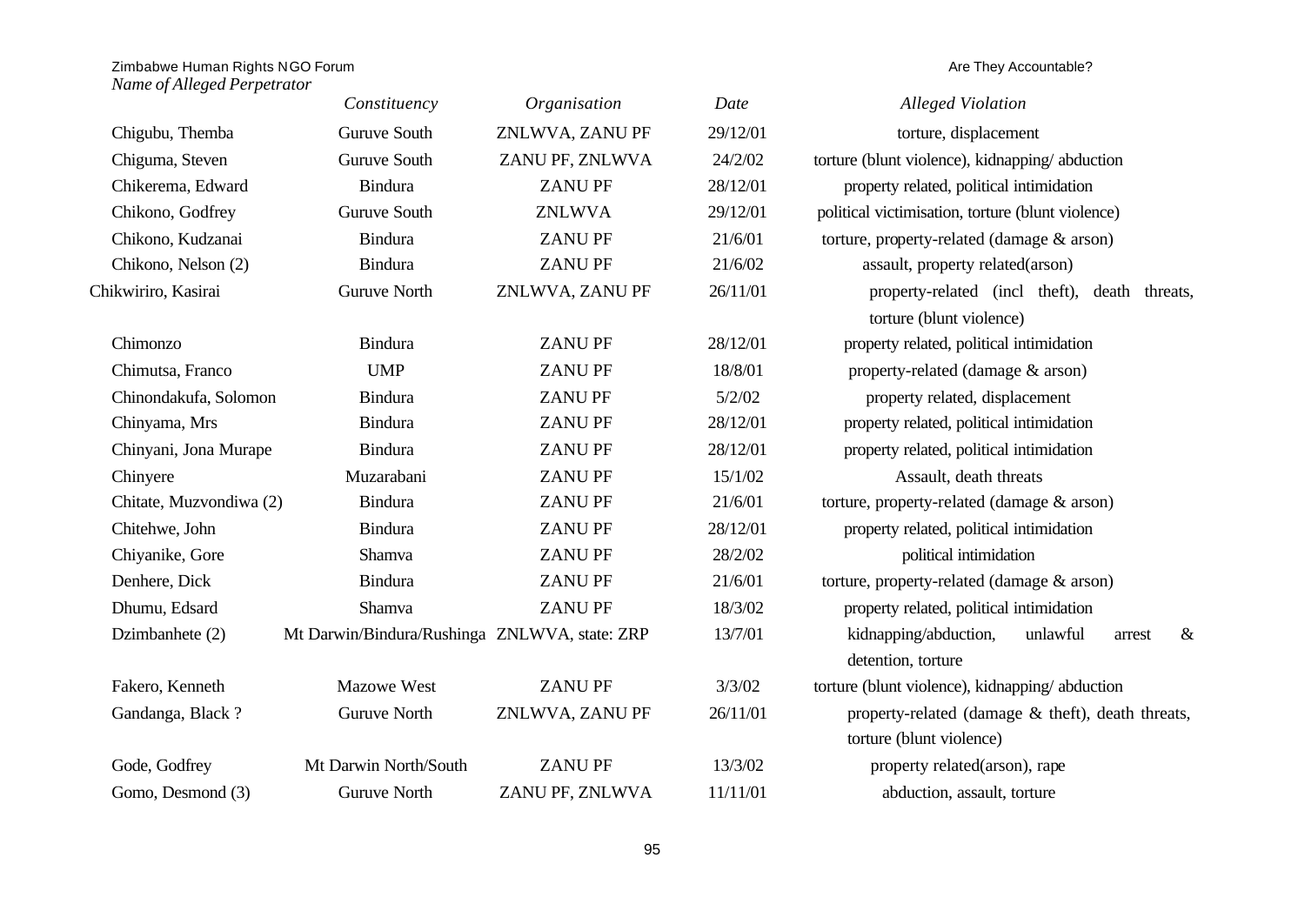|                         | Constituency                                  | Organisation    | Date     | <b>Alleged Violation</b>                                                      |
|-------------------------|-----------------------------------------------|-----------------|----------|-------------------------------------------------------------------------------|
| Chigubu, Themba         | Guruve South                                  | ZNLWVA, ZANU PF | 29/12/01 | torture, displacement                                                         |
| Chiguma, Steven         | Guruve South                                  | ZANU PF, ZNLWVA | 24/2/02  | torture (blunt violence), kidnapping/abduction                                |
| Chikerema, Edward       | Bindura                                       | <b>ZANUPF</b>   | 28/12/01 | property related, political intimidation                                      |
| Chikono, Godfrey        | Guruve South                                  | <b>ZNLWVA</b>   | 29/12/01 | political victimisation, torture (blunt violence)                             |
| Chikono, Kudzanai       | <b>Bindura</b>                                | <b>ZANUPF</b>   | 21/6/01  | torture, property-related (damage & arson)                                    |
| Chikono, Nelson (2)     | <b>Bindura</b>                                | <b>ZANUPF</b>   | 21/6/02  | assault, property related(arson)                                              |
| Chikwiriro, Kasirai     | <b>Guruve North</b>                           | ZNLWVA, ZANU PF | 26/11/01 | property-related (incl theft), death threats,                                 |
|                         |                                               |                 |          | torture (blunt violence)                                                      |
| Chimonzo                | <b>Bindura</b>                                | <b>ZANUPF</b>   | 28/12/01 | property related, political intimidation                                      |
| Chimutsa, Franco        | <b>UMP</b>                                    | <b>ZANUPF</b>   | 18/8/01  | property-related (damage & arson)                                             |
| Chinondakufa, Solomon   | Bindura                                       | <b>ZANUPF</b>   | 5/2/02   | property related, displacement                                                |
| Chinyama, Mrs           | <b>Bindura</b>                                | <b>ZANUPF</b>   | 28/12/01 | property related, political intimidation                                      |
| Chinyani, Jona Murape   | <b>Bindura</b>                                | <b>ZANUPF</b>   | 28/12/01 | property related, political intimidation                                      |
| Chinyere                | Muzarabani                                    | <b>ZANUPF</b>   | 15/1/02  | Assault, death threats                                                        |
| Chitate, Muzvondiwa (2) | <b>Bindura</b>                                | <b>ZANUPF</b>   | 21/6/01  | torture, property-related (damage & arson)                                    |
| Chitehwe, John          | <b>Bindura</b>                                | <b>ZANUPF</b>   | 28/12/01 | property related, political intimidation                                      |
| Chiyanike, Gore         | Shamva                                        | <b>ZANUPF</b>   | 28/2/02  | political intimidation                                                        |
| Denhere, Dick           | <b>Bindura</b>                                | <b>ZANUPF</b>   | 21/6/01  | torture, property-related (damage & arson)                                    |
| Dhumu, Edsard           | Shamva                                        | <b>ZANUPF</b>   | 18/3/02  | property related, political intimidation                                      |
| Dzimbanhete (2)         | Mt Darwin/Bindura/Rushinga ZNLWVA, state: ZRP |                 | 13/7/01  | kidnapping/abduction,<br>unlawful<br>$\&$<br>arrest                           |
|                         |                                               |                 |          | detention, torture                                                            |
| Fakero, Kenneth         | <b>Mazowe West</b>                            | <b>ZANUPF</b>   | 3/3/02   | torture (blunt violence), kidnapping/abduction                                |
| Gandanga, Black?        | <b>Guruve North</b>                           | ZNLWVA, ZANU PF | 26/11/01 | property-related (damage & theft), death threats,<br>torture (blunt violence) |
| Gode, Godfrey           | Mt Darwin North/South                         | <b>ZANUPF</b>   | 13/3/02  | property related(arson), rape                                                 |
| Gomo, Desmond (3)       | <b>Guruve North</b>                           | ZANU PF, ZNLWVA | 11/11/01 | abduction, assault, torture                                                   |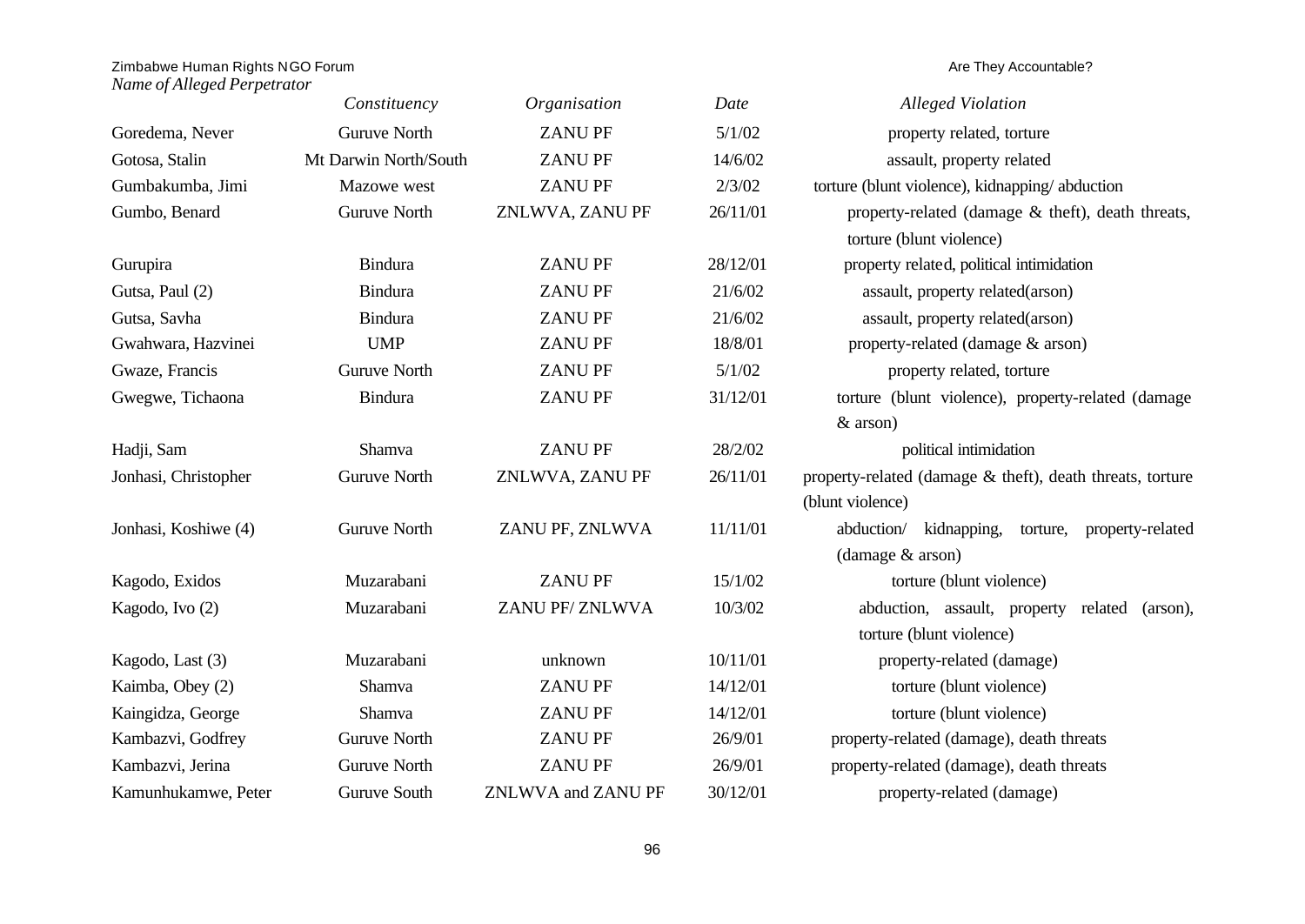|                      | Constituency          | Organisation       | Date     | <b>Alleged Violation</b>                                  |
|----------------------|-----------------------|--------------------|----------|-----------------------------------------------------------|
| Goredema, Never      | <b>Guruve North</b>   | <b>ZANUPF</b>      | 5/1/02   | property related, torture                                 |
| Gotosa, Stalin       | Mt Darwin North/South | <b>ZANUPF</b>      | 14/6/02  | assault, property related                                 |
| Gumbakumba, Jimi     | Mazowe west           | <b>ZANUPF</b>      | 2/3/02   | torture (blunt violence), kidnapping/abduction            |
| Gumbo, Benard        | <b>Guruve North</b>   | ZNLWVA, ZANU PF    | 26/11/01 | property-related (damage $&$ theft), death threats,       |
|                      |                       |                    |          | torture (blunt violence)                                  |
| Gurupira             | <b>Bindura</b>        | <b>ZANUPF</b>      | 28/12/01 | property related, political intimidation                  |
| Gutsa, Paul (2)      | <b>Bindura</b>        | <b>ZANUPF</b>      | 21/6/02  | assault, property related(arson)                          |
| Gutsa, Savha         | <b>Bindura</b>        | <b>ZANUPF</b>      | 21/6/02  | assault, property related(arson)                          |
| Gwahwara, Hazvinei   | <b>UMP</b>            | <b>ZANUPF</b>      | 18/8/01  | property-related (damage & arson)                         |
| Gwaze, Francis       | <b>Guruve North</b>   | <b>ZANUPF</b>      | 5/1/02   | property related, torture                                 |
| Gwegwe, Tichaona     | <b>Bindura</b>        | <b>ZANUPF</b>      | 31/12/01 | torture (blunt violence), property-related (damage        |
|                      |                       |                    |          | $&$ arson)                                                |
| Hadji, Sam           | Shamva                | <b>ZANUPF</b>      | 28/2/02  | political intimidation                                    |
| Jonhasi, Christopher | <b>Guruve North</b>   | ZNLWVA, ZANU PF    | 26/11/01 | property-related (damage & theft), death threats, torture |
|                      |                       |                    |          | (blunt violence)                                          |
| Jonhasi, Koshiwe (4) | <b>Guruve North</b>   | ZANU PF, ZNLWVA    | 11/11/01 | abduction/<br>kidnapping,<br>property-related<br>torture, |
|                      |                       |                    |          | $(d\text{amage } \& \text{arson})$                        |
| Kagodo, Exidos       | Muzarabani            | <b>ZANUPF</b>      | 15/1/02  | torture (blunt violence)                                  |
| Kagodo, Ivo (2)      | Muzarabani            | ZANU PF/ZNLWVA     | 10/3/02  | abduction, assault, property<br>related<br>(arson),       |
|                      |                       |                    |          | torture (blunt violence)                                  |
| Kagodo, Last (3)     | Muzarabani            | unknown            | 10/11/01 | property-related (damage)                                 |
| Kaimba, Obey (2)     | Shamva                | <b>ZANUPF</b>      | 14/12/01 | torture (blunt violence)                                  |
| Kaingidza, George    | Shamva                | <b>ZANUPF</b>      | 14/12/01 | torture (blunt violence)                                  |
| Kambazvi, Godfrey    | <b>Guruve North</b>   | <b>ZANUPF</b>      | 26/9/01  | property-related (damage), death threats                  |
| Kambazvi, Jerina     | <b>Guruve North</b>   | <b>ZANUPF</b>      | 26/9/01  | property-related (damage), death threats                  |
| Kamunhukamwe, Peter  | Guruve South          | ZNLWVA and ZANU PF | 30/12/01 | property-related (damage)                                 |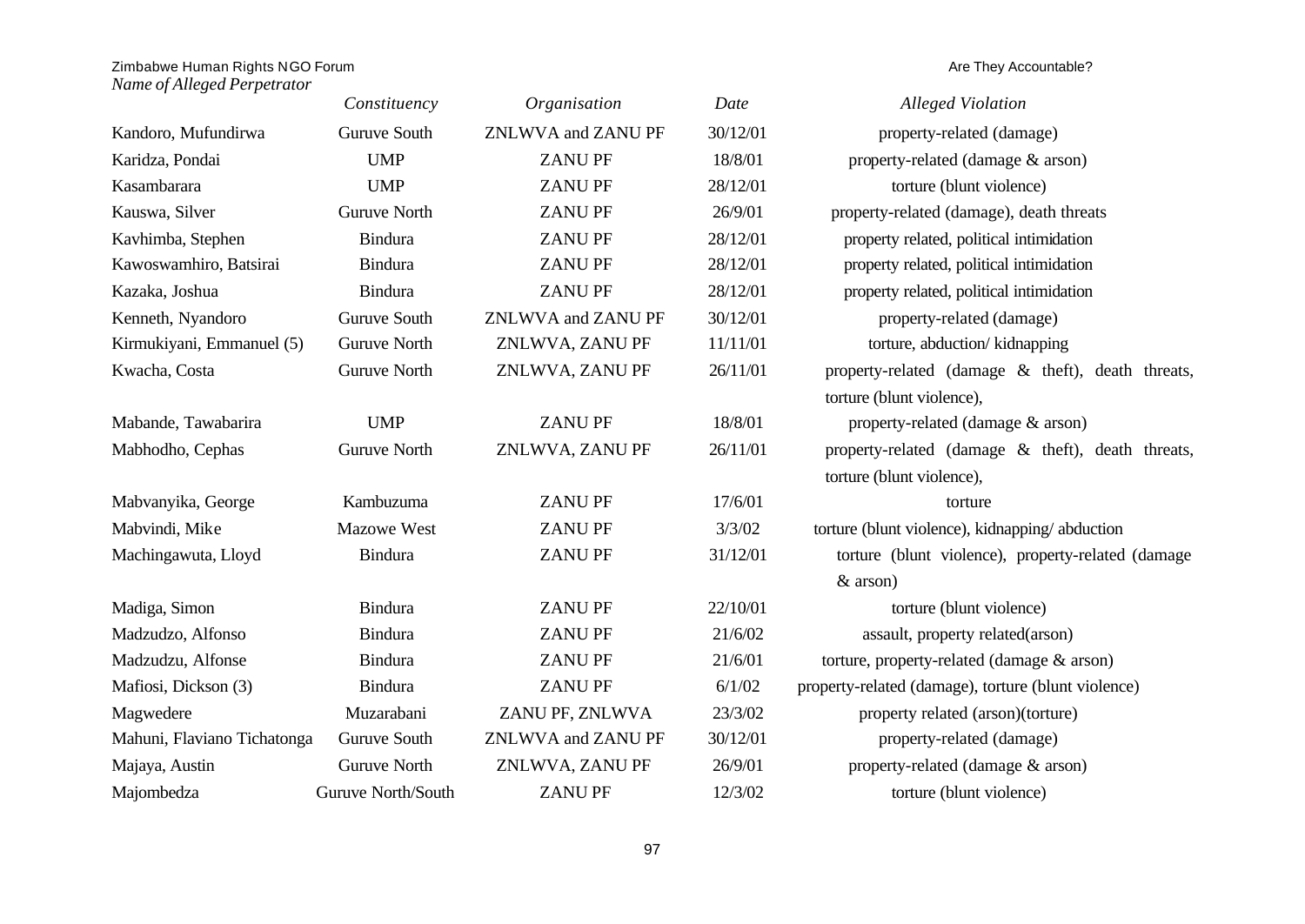|                             | Constituency        | Organisation       | Date     | <b>Alleged Violation</b>                            |
|-----------------------------|---------------------|--------------------|----------|-----------------------------------------------------|
| Kandoro, Mufundirwa         | Guruve South        | ZNLWVA and ZANU PF | 30/12/01 | property-related (damage)                           |
| Karidza, Pondai             | <b>UMP</b>          | <b>ZANUPF</b>      | 18/8/01  | property-related (damage & arson)                   |
| Kasambarara                 | <b>UMP</b>          | <b>ZANUPF</b>      | 28/12/01 | torture (blunt violence)                            |
| Kauswa, Silver              | <b>Guruve North</b> | <b>ZANUPF</b>      | 26/9/01  | property-related (damage), death threats            |
| Kavhimba, Stephen           | <b>Bindura</b>      | <b>ZANUPF</b>      | 28/12/01 | property related, political intimidation            |
| Kawoswamhiro, Batsirai      | <b>Bindura</b>      | <b>ZANUPF</b>      | 28/12/01 | property related, political intimidation            |
| Kazaka, Joshua              | <b>Bindura</b>      | <b>ZANUPF</b>      | 28/12/01 | property related, political intimidation            |
| Kenneth, Nyandoro           | Guruve South        | ZNLWVA and ZANU PF | 30/12/01 | property-related (damage)                           |
| Kirmukiyani, Emmanuel (5)   | <b>Guruve North</b> | ZNLWVA, ZANU PF    | 11/11/01 | torture, abduction/kidnapping                       |
| Kwacha, Costa               | <b>Guruve North</b> | ZNLWVA, ZANU PF    | 26/11/01 | property-related (damage & theft), death threats,   |
|                             |                     |                    |          | torture (blunt violence),                           |
| Mabande, Tawabarira         | <b>UMP</b>          | <b>ZANUPF</b>      | 18/8/01  | property-related (damage & arson)                   |
| Mabhodho, Cephas            | <b>Guruve North</b> | ZNLWVA, ZANU PF    | 26/11/01 | property-related (damage & theft), death threats,   |
|                             |                     |                    |          | torture (blunt violence),                           |
| Mabvanyika, George          | Kambuzuma           | <b>ZANUPF</b>      | 17/6/01  | torture                                             |
| Mabvindi, Mike              | <b>Mazowe West</b>  | <b>ZANUPF</b>      | 3/3/02   | torture (blunt violence), kidnapping/abduction      |
| Machingawuta, Lloyd         | <b>Bindura</b>      | <b>ZANUPF</b>      | 31/12/01 | torture (blunt violence), property-related (damage  |
|                             |                     |                    |          | $&$ arson)                                          |
| Madiga, Simon               | <b>Bindura</b>      | <b>ZANUPF</b>      | 22/10/01 | torture (blunt violence)                            |
| Madzudzo, Alfonso           | <b>Bindura</b>      | <b>ZANUPF</b>      | 21/6/02  | assault, property related(arson)                    |
| Madzudzu, Alfonse           | <b>Bindura</b>      | <b>ZANUPF</b>      | 21/6/01  | torture, property-related (damage & arson)          |
| Mafiosi, Dickson (3)        | <b>Bindura</b>      | <b>ZANUPF</b>      | 6/1/02   | property-related (damage), torture (blunt violence) |
| Magwedere                   | Muzarabani          | ZANU PF, ZNLWVA    | 23/3/02  | property related (arson)(torture)                   |
| Mahuni, Flaviano Tichatonga | Guruve South        | ZNLWVA and ZANU PF | 30/12/01 | property-related (damage)                           |
| Majaya, Austin              | <b>Guruve North</b> | ZNLWVA, ZANU PF    | 26/9/01  | property-related (damage & arson)                   |
| Majombedza                  | Guruve North/South  | <b>ZANUPF</b>      | 12/3/02  | torture (blunt violence)                            |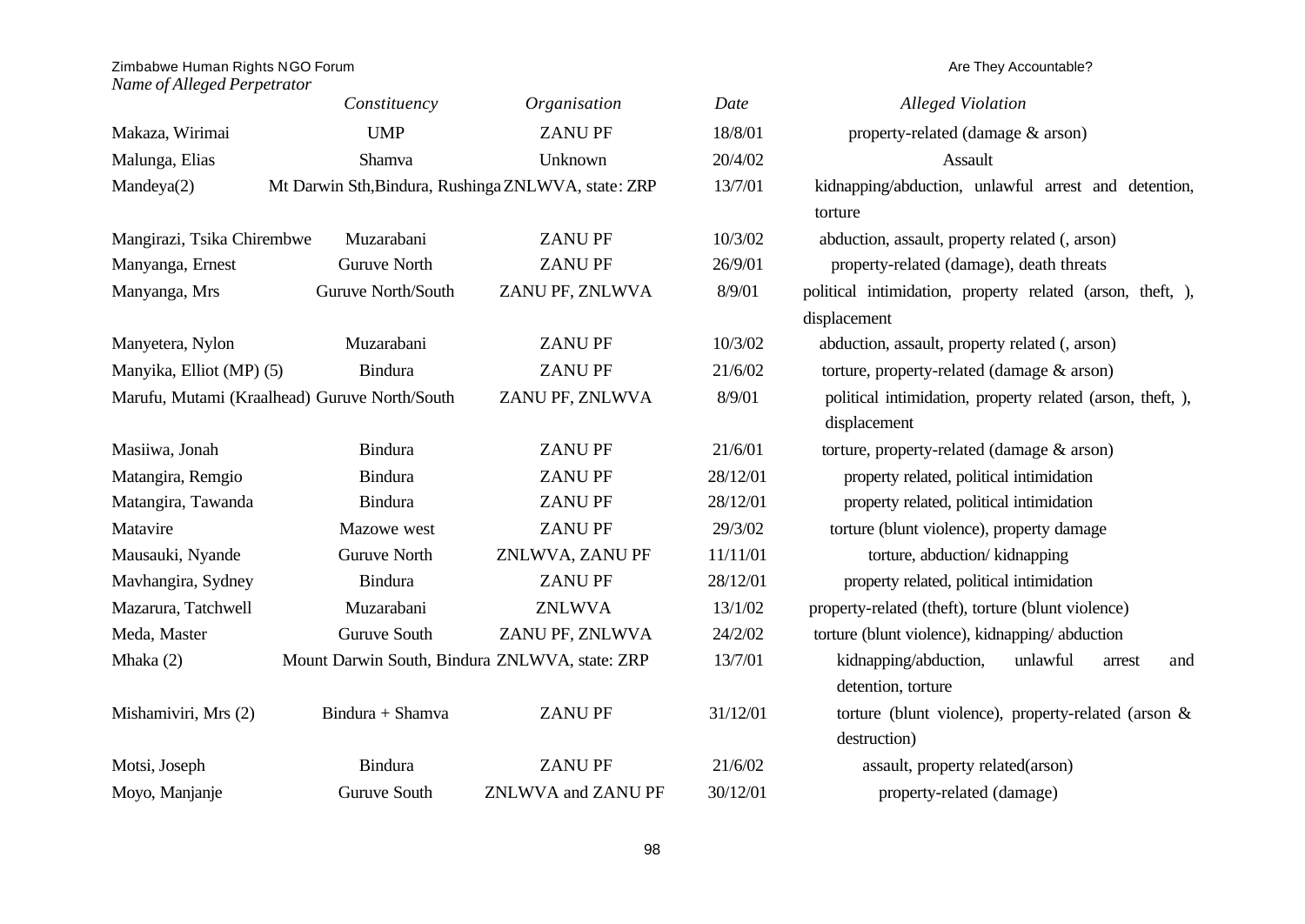|                                               | Constituency                                   | Organisation                                        | Date     | <b>Alleged Violation</b>                                   |
|-----------------------------------------------|------------------------------------------------|-----------------------------------------------------|----------|------------------------------------------------------------|
| Makaza, Wirimai                               | <b>UMP</b>                                     | <b>ZANUPF</b>                                       | 18/8/01  | property-related (damage & arson)                          |
| Malunga, Elias                                | Shamva                                         | Unknown                                             | 20/4/02  | Assault                                                    |
| Mandeya(2)                                    |                                                | Mt Darwin Sth, Bindura, Rushinga ZNLWVA, state: ZRP | 13/7/01  | kidnapping/abduction, unlawful arrest and detention,       |
|                                               |                                                |                                                     |          | torture                                                    |
| Mangirazi, Tsika Chirembwe                    | Muzarabani                                     | <b>ZANUPF</b>                                       | 10/3/02  | abduction, assault, property related (, arson)             |
| Manyanga, Ernest                              | <b>Guruve North</b>                            | <b>ZANUPF</b>                                       | 26/9/01  | property-related (damage), death threats                   |
| Manyanga, Mrs                                 | Guruve North/South                             | ZANU PF, ZNLWVA                                     | 8/9/01   | political intimidation, property related (arson, theft, ), |
|                                               |                                                |                                                     |          | displacement                                               |
| Manyetera, Nylon                              | Muzarabani                                     | <b>ZANUPF</b>                                       | 10/3/02  | abduction, assault, property related (, arson)             |
| Manyika, Elliot (MP) (5)                      | <b>Bindura</b>                                 | <b>ZANUPF</b>                                       | 21/6/02  | torture, property-related (damage & arson)                 |
| Marufu, Mutami (Kraalhead) Guruve North/South |                                                | ZANU PF, ZNLWVA                                     | 8/9/01   | political intimidation, property related (arson, theft, ), |
|                                               |                                                |                                                     |          | displacement                                               |
| Masiiwa, Jonah                                | <b>Bindura</b>                                 | <b>ZANUPF</b>                                       | 21/6/01  | torture, property-related (damage & arson)                 |
| Matangira, Remgio                             | <b>Bindura</b>                                 | <b>ZANUPF</b>                                       | 28/12/01 | property related, political intimidation                   |
| Matangira, Tawanda                            | <b>Bindura</b>                                 | <b>ZANUPF</b>                                       | 28/12/01 | property related, political intimidation                   |
| Matavire                                      | Mazowe west                                    | <b>ZANUPF</b>                                       | 29/3/02  | torture (blunt violence), property damage                  |
| Mausauki, Nyande                              | <b>Guruve North</b>                            | ZNLWVA, ZANU PF                                     | 11/11/01 | torture, abduction/kidnapping                              |
| Mavhangira, Sydney                            | <b>Bindura</b>                                 | <b>ZANUPF</b>                                       | 28/12/01 | property related, political intimidation                   |
| Mazarura, Tatchwell                           | Muzarabani                                     | <b>ZNLWVA</b>                                       | 13/1/02  | property-related (theft), torture (blunt violence)         |
| Meda, Master                                  | Guruve South                                   | ZANU PF, ZNLWVA                                     | 24/2/02  | torture (blunt violence), kidnapping/abduction             |
| Mhaka (2)                                     | Mount Darwin South, Bindura ZNLWVA, state: ZRP |                                                     | 13/7/01  | kidnapping/abduction,<br>unlawful<br>and<br>arrest         |
|                                               |                                                |                                                     |          | detention, torture                                         |
| Mishamiviri, Mrs (2)                          | Bindura + Shamva                               | <b>ZANUPF</b>                                       | 31/12/01 | torture (blunt violence), property-related (arson $\&$     |
|                                               |                                                |                                                     |          | destruction)                                               |
| Motsi, Joseph                                 | <b>Bindura</b>                                 | <b>ZANUPF</b>                                       | 21/6/02  | assault, property related(arson)                           |
| Moyo, Manjanje                                | Guruve South                                   | ZNLWVA and ZANU PF                                  | 30/12/01 | property-related (damage)                                  |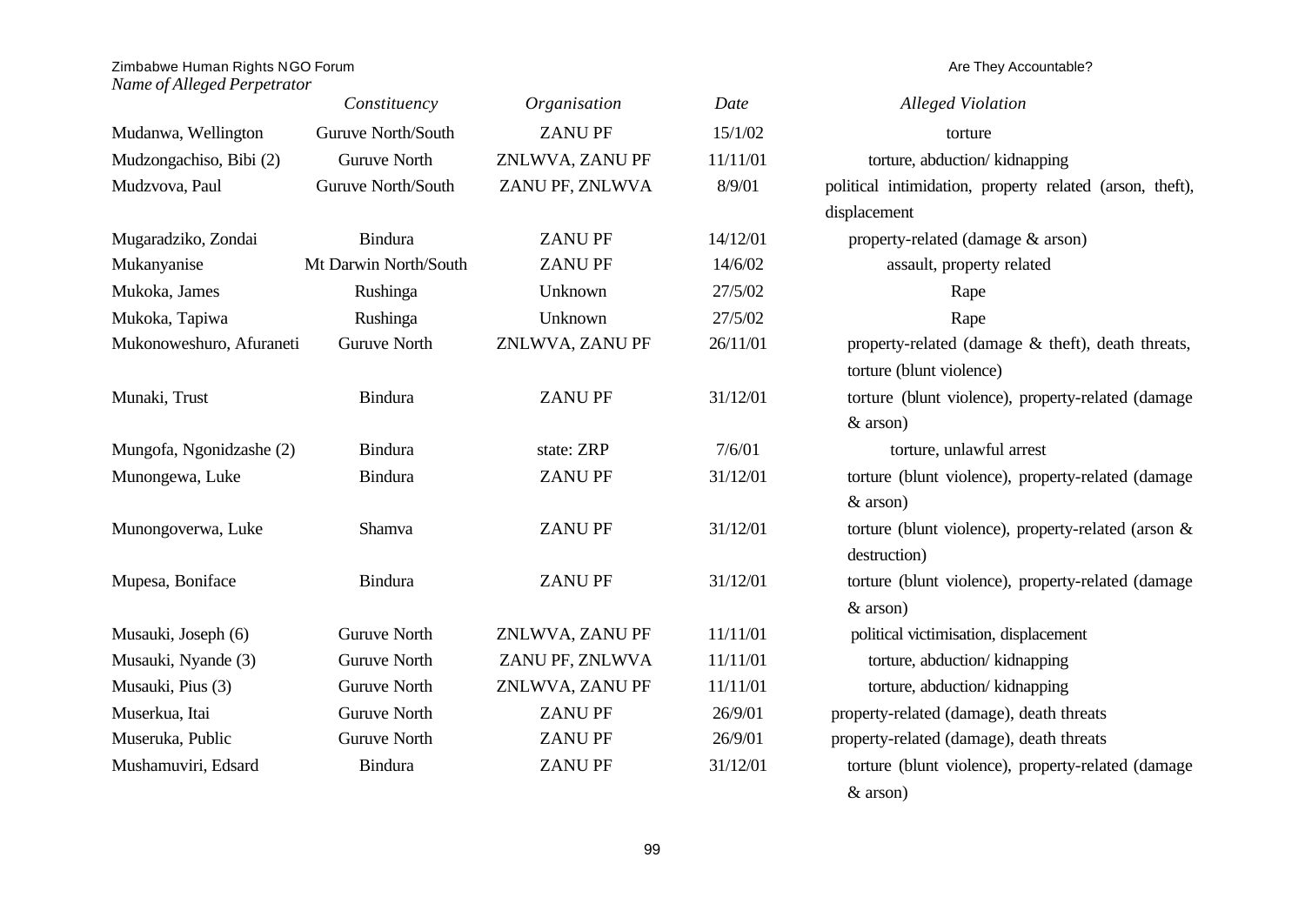# Zimbabwe Human Rights NGO Forum and the state of the state of the state of the state of the state of the state of the state of the state of the state of the state of the state of the state of the state of the state of the

|                          | Constituency          | Organisation    | Date     | <b>Alleged Violation</b>                                 |
|--------------------------|-----------------------|-----------------|----------|----------------------------------------------------------|
| Mudanwa, Wellington      | Guruve North/South    | <b>ZANUPF</b>   | 15/1/02  | torture                                                  |
| Mudzongachiso, Bibi (2)  | <b>Guruve North</b>   | ZNLWVA, ZANU PF | 11/11/01 | torture, abduction/kidnapping                            |
| Mudzvova, Paul           | Guruve North/South    | ZANU PF, ZNLWVA | 8/9/01   | political intimidation, property related (arson, theft), |
|                          |                       |                 |          | displacement                                             |
| Mugaradziko, Zondai      | Bindura               | <b>ZANUPF</b>   | 14/12/01 | property-related (damage & arson)                        |
| Mukanyanise              | Mt Darwin North/South | <b>ZANUPF</b>   | 14/6/02  | assault, property related                                |
| Mukoka, James            | Rushinga              | Unknown         | 27/5/02  | Rape                                                     |
| Mukoka, Tapiwa           | Rushinga              | Unknown         | 27/5/02  | Rape                                                     |
| Mukonoweshuro, Afuraneti | <b>Guruve North</b>   | ZNLWVA, ZANU PF | 26/11/01 | property-related (damage & theft), death threats,        |
|                          |                       |                 |          | torture (blunt violence)                                 |
| Munaki, Trust            | <b>Bindura</b>        | <b>ZANUPF</b>   | 31/12/01 | torture (blunt violence), property-related (damage       |
|                          |                       |                 |          | $&$ arson)                                               |
| Mungofa, Ngonidzashe (2) | <b>Bindura</b>        | state: ZRP      | 7/6/01   | torture, unlawful arrest                                 |
| Munongewa, Luke          | <b>Bindura</b>        | <b>ZANUPF</b>   | 31/12/01 | torture (blunt violence), property-related (damage       |
|                          |                       |                 |          | $&$ arson)                                               |
| Munongoverwa, Luke       | Shamva                | <b>ZANUPF</b>   | 31/12/01 | torture (blunt violence), property-related (arson $\&$   |
|                          |                       |                 |          | destruction)                                             |
| Mupesa, Boniface         | <b>Bindura</b>        | <b>ZANUPF</b>   | 31/12/01 | torture (blunt violence), property-related (damage       |
|                          |                       |                 |          | $&$ arson)                                               |
| Musauki, Joseph (6)      | <b>Guruve North</b>   | ZNLWVA, ZANU PF | 11/11/01 | political victimisation, displacement                    |
| Musauki, Nyande (3)      | <b>Guruve North</b>   | ZANU PF, ZNLWVA | 11/11/01 | torture, abduction/kidnapping                            |
| Musauki, Pius (3)        | <b>Guruve North</b>   | ZNLWVA, ZANU PF | 11/11/01 | torture, abduction/kidnapping                            |
| Muserkua, Itai           | <b>Guruve North</b>   | <b>ZANUPF</b>   | 26/9/01  | property-related (damage), death threats                 |
| Museruka, Public         | <b>Guruve North</b>   | <b>ZANUPF</b>   | 26/9/01  | property-related (damage), death threats                 |
| Mushamuviri, Edsard      | <b>Bindura</b>        | <b>ZANUPF</b>   | 31/12/01 | torture (blunt violence), property-related (damage       |
|                          |                       |                 |          | $&$ arson)                                               |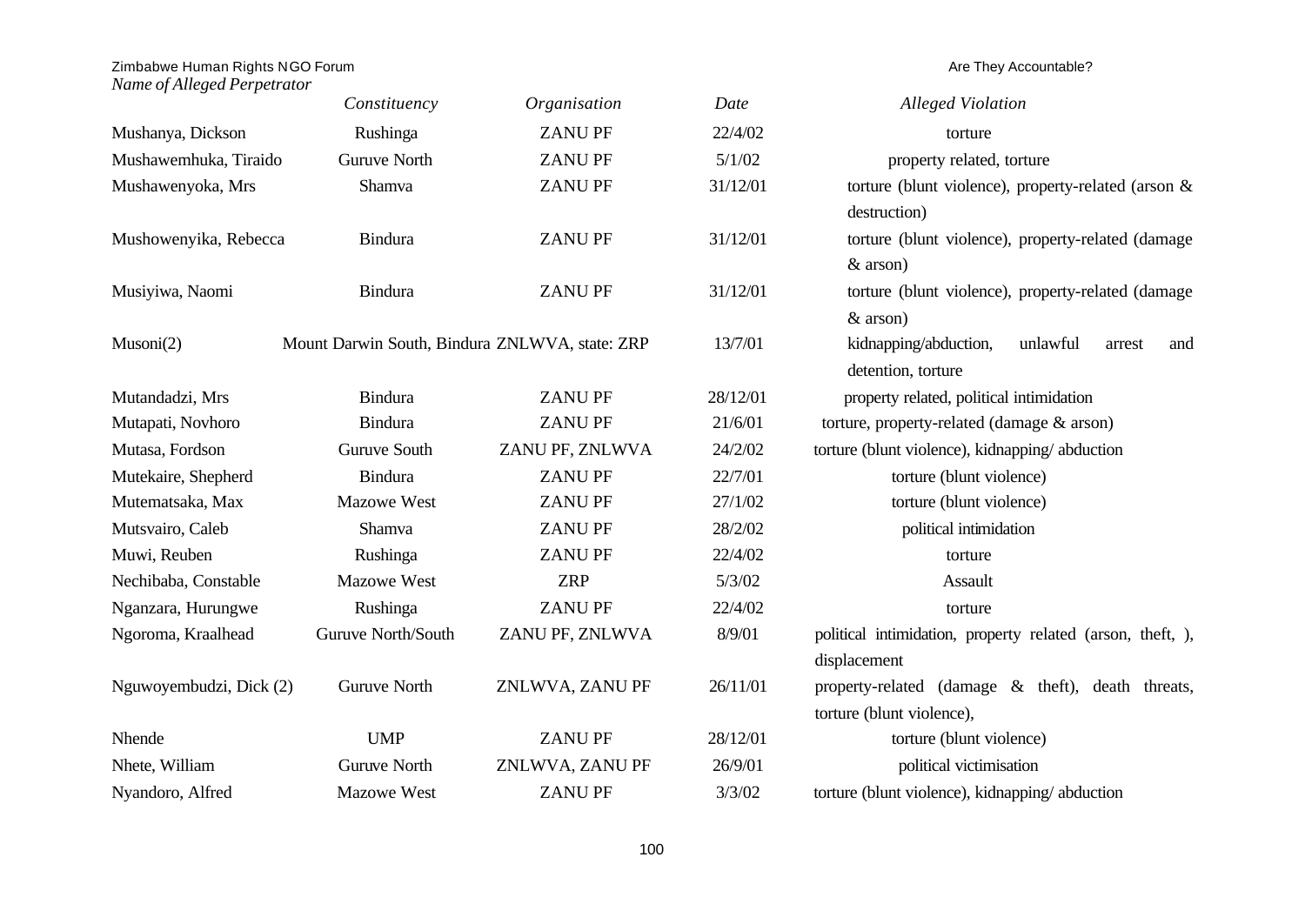|                         | Constituency        | Organisation                                   | Date     | <b>Alleged Violation</b>                                   |
|-------------------------|---------------------|------------------------------------------------|----------|------------------------------------------------------------|
| Mushanya, Dickson       | Rushinga            | <b>ZANUPF</b>                                  | 22/4/02  | torture                                                    |
| Mushawemhuka, Tiraido   | <b>Guruve North</b> | <b>ZANUPF</b>                                  | 5/1/02   | property related, torture                                  |
| Mushawenyoka, Mrs       | Shamva              | <b>ZANUPF</b>                                  | 31/12/01 | torture (blunt violence), property-related (arson &        |
|                         |                     |                                                |          | destruction)                                               |
| Mushowenyika, Rebecca   | <b>Bindura</b>      | <b>ZANUPF</b>                                  | 31/12/01 | torture (blunt violence), property-related (damage         |
|                         |                     |                                                |          | $&$ arson)                                                 |
| Musiyiwa, Naomi         | Bindura             | <b>ZANUPF</b>                                  | 31/12/01 | torture (blunt violence), property-related (damage         |
|                         |                     |                                                |          | $&$ arson)                                                 |
| Musoni(2)               |                     | Mount Darwin South, Bindura ZNLWVA, state: ZRP | 13/7/01  | kidnapping/abduction,<br>unlawful<br>arrest<br>and         |
|                         |                     |                                                |          | detention, torture                                         |
| Mutandadzi, Mrs         | <b>Bindura</b>      | <b>ZANUPF</b>                                  | 28/12/01 | property related, political intimidation                   |
| Mutapati, Novhoro       | <b>Bindura</b>      | <b>ZANUPF</b>                                  | 21/6/01  | torture, property-related (damage & arson)                 |
| Mutasa, Fordson         | Guruve South        | ZANU PF, ZNLWVA                                | 24/2/02  | torture (blunt violence), kidnapping/abduction             |
| Mutekaire, Shepherd     | <b>Bindura</b>      | <b>ZANUPF</b>                                  | 22/7/01  | torture (blunt violence)                                   |
| Mutematsaka, Max        | Mazowe West         | <b>ZANUPF</b>                                  | 27/1/02  | torture (blunt violence)                                   |
| Mutsvairo, Caleb        | Shamva              | <b>ZANUPF</b>                                  | 28/2/02  | political intimidation                                     |
| Muwi, Reuben            | Rushinga            | <b>ZANUPF</b>                                  | 22/4/02  | torture                                                    |
| Nechibaba, Constable    | <b>Mazowe West</b>  | <b>ZRP</b>                                     | 5/3/02   | Assault                                                    |
| Nganzara, Hurungwe      | Rushinga            | <b>ZANUPF</b>                                  | 22/4/02  | torture                                                    |
| Ngoroma, Kraalhead      | Guruve North/South  | ZANU PF, ZNLWVA                                | 8/9/01   | political intimidation, property related (arson, theft, ), |
|                         |                     |                                                |          | displacement                                               |
| Nguwoyembudzi, Dick (2) | <b>Guruve North</b> | ZNLWVA, ZANU PF                                | 26/11/01 | property-related (damage & theft), death threats,          |
|                         |                     |                                                |          | torture (blunt violence),                                  |
| Nhende                  | <b>UMP</b>          | <b>ZANUPF</b>                                  | 28/12/01 | torture (blunt violence)                                   |
| Nhete, William          | <b>Guruve North</b> | ZNLWVA, ZANU PF                                | 26/9/01  | political victimisation                                    |
| Nyandoro, Alfred        | <b>Mazowe West</b>  | <b>ZANUPF</b>                                  | 3/3/02   | torture (blunt violence), kidnapping/abduction             |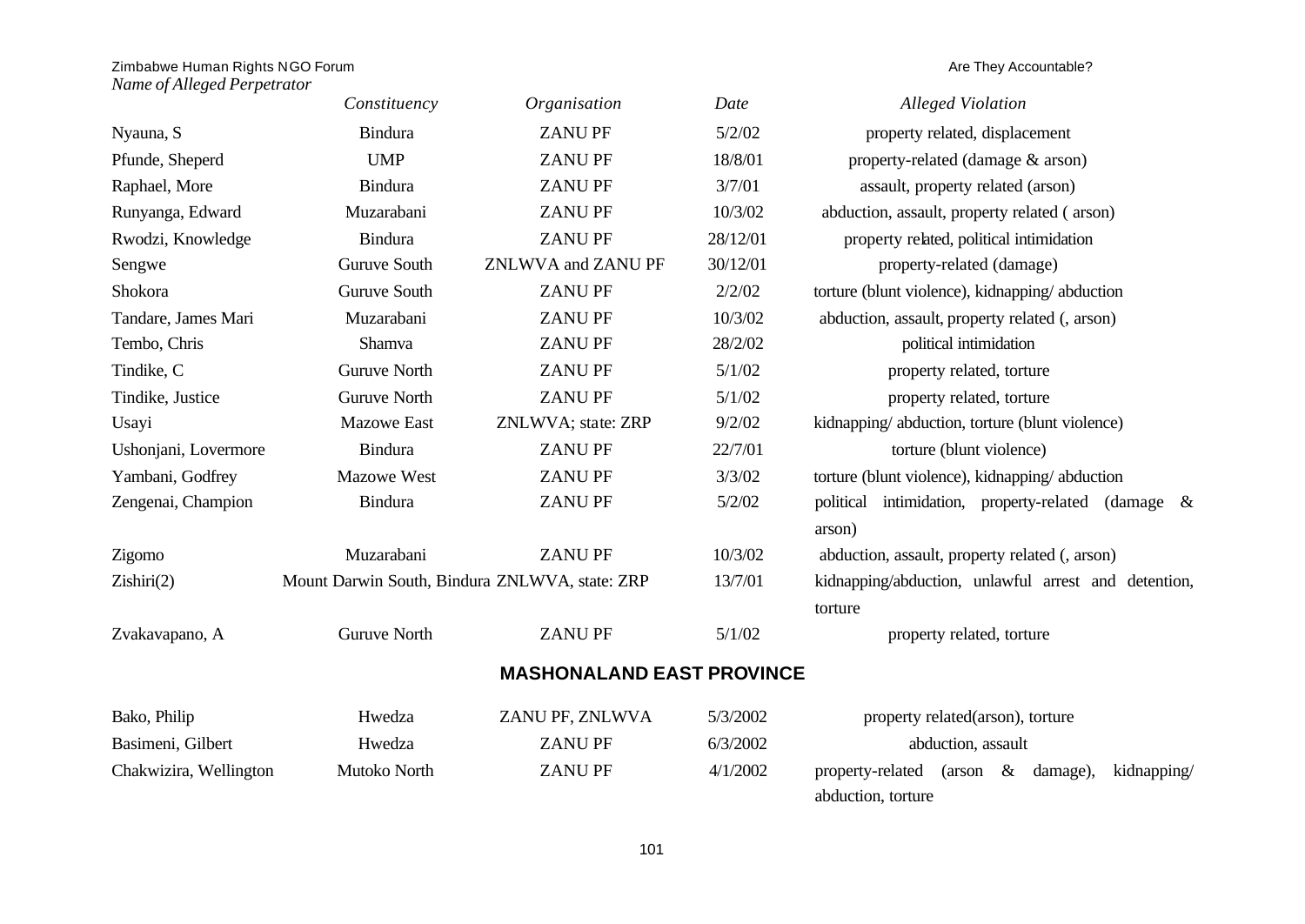|                        | Constituency                                   | Organisation                     | Date     | <b>Alleged Violation</b>                                        |
|------------------------|------------------------------------------------|----------------------------------|----------|-----------------------------------------------------------------|
| Nyauna, S              | <b>Bindura</b>                                 | <b>ZANUPF</b>                    | 5/2/02   | property related, displacement                                  |
| Pfunde, Sheperd        | <b>UMP</b>                                     | <b>ZANUPF</b>                    | 18/8/01  | property-related (damage & arson)                               |
| Raphael, More          | <b>Bindura</b>                                 | <b>ZANUPF</b>                    | 3/7/01   | assault, property related (arson)                               |
| Runyanga, Edward       | Muzarabani                                     | <b>ZANUPF</b>                    | 10/3/02  | abduction, assault, property related (arson)                    |
| Rwodzi, Knowledge      | Bindura                                        | <b>ZANUPF</b>                    | 28/12/01 | property related, political intimidation                        |
| Sengwe                 | <b>Guruve South</b>                            | ZNLWVA and ZANU PF               | 30/12/01 | property-related (damage)                                       |
| Shokora                | <b>Guruve South</b>                            | <b>ZANUPF</b>                    | 2/2/02   | torture (blunt violence), kidnapping/abduction                  |
| Tandare, James Mari    | Muzarabani                                     | <b>ZANUPF</b>                    | 10/3/02  | abduction, assault, property related (, arson)                  |
| Tembo, Chris           | Shamva                                         | <b>ZANUPF</b>                    | 28/2/02  | political intimidation                                          |
| Tindike, C             | <b>Guruve North</b>                            | <b>ZANUPF</b>                    | 5/1/02   | property related, torture                                       |
| Tindike, Justice       | <b>Guruve North</b>                            | <b>ZANUPF</b>                    | 5/1/02   | property related, torture                                       |
| Usayi                  | <b>Mazowe East</b>                             | ZNLWVA; state: ZRP               | 9/2/02   | kidnapping/abduction, torture (blunt violence)                  |
| Ushonjani, Lovermore   | <b>Bindura</b>                                 | <b>ZANUPF</b>                    | 22/7/01  | torture (blunt violence)                                        |
| Yambani, Godfrey       | <b>Mazowe West</b>                             | <b>ZANUPF</b>                    | 3/3/02   | torture (blunt violence), kidnapping/abduction                  |
| Zengenai, Champion     | <b>Bindura</b>                                 | <b>ZANUPF</b>                    | 5/2/02   | political intimidation, property-related (damage &<br>arson)    |
| Zigomo                 | Muzarabani                                     | <b>ZANUPF</b>                    | 10/3/02  | abduction, assault, property related (, arson)                  |
| Zishiri(2)             | Mount Darwin South, Bindura ZNLWVA, state: ZRP |                                  | 13/7/01  | kidnapping/abduction, unlawful arrest and detention,<br>torture |
| Zvakavapano, A         | <b>Guruve North</b>                            | <b>ZANUPF</b>                    | 5/1/02   | property related, torture                                       |
|                        |                                                | <b>MASHONALAND EAST PROVINCE</b> |          |                                                                 |
| Bako, Philip           | Hwedza                                         | ZANU PF, ZNLWVA                  | 5/3/2002 | property related(arson), torture                                |
| Basimeni, Gilbert      | Hwedza                                         | <b>ZANUPF</b>                    | 6/3/2002 | abduction, assault                                              |
| Chakwizira, Wellington | Mutoko North                                   | <b>ZANUPF</b>                    | 4/1/2002 | property-related<br>(arson<br>$\&$<br>damage),<br>kidnapping/   |
|                        |                                                |                                  |          | abduction, torture                                              |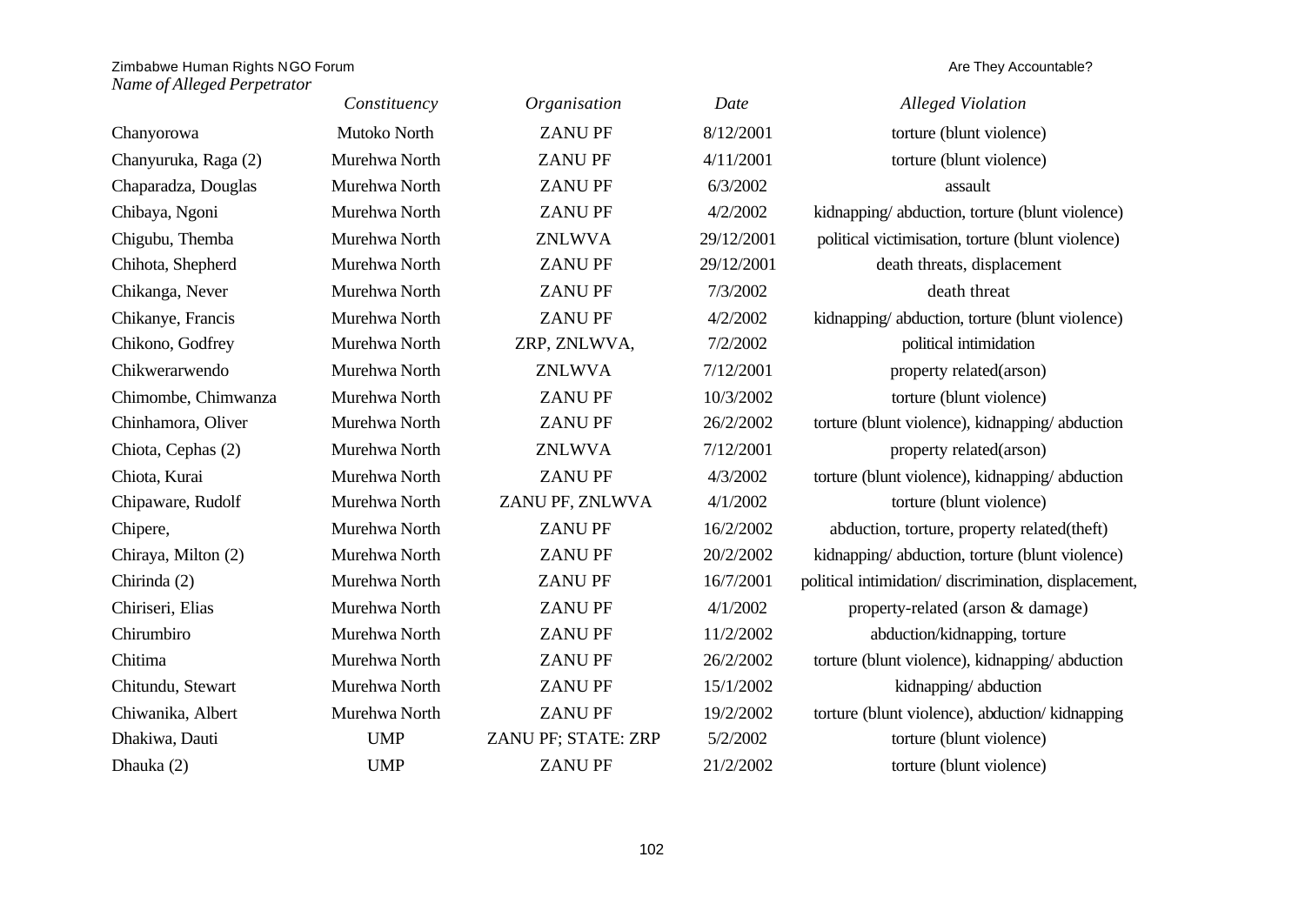|                      | Constituency  | Organisation        | Date       | <b>Alleged Violation</b>                             |
|----------------------|---------------|---------------------|------------|------------------------------------------------------|
| Chanyorowa           | Mutoko North  | <b>ZANUPF</b>       | 8/12/2001  | torture (blunt violence)                             |
| Chanyuruka, Raga (2) | Murehwa North | <b>ZANU PF</b>      | 4/11/2001  | torture (blunt violence)                             |
| Chaparadza, Douglas  | Murehwa North | <b>ZANUPF</b>       | 6/3/2002   | assault                                              |
| Chibaya, Ngoni       | Murehwa North | <b>ZANUPF</b>       | 4/2/2002   | kidnapping/abduction, torture (blunt violence)       |
| Chigubu, Themba      | Murehwa North | <b>ZNLWVA</b>       | 29/12/2001 | political victimisation, torture (blunt violence)    |
| Chihota, Shepherd    | Murehwa North | <b>ZANUPF</b>       | 29/12/2001 | death threats, displacement                          |
| Chikanga, Never      | Murehwa North | <b>ZANUPF</b>       | 7/3/2002   | death threat                                         |
| Chikanye, Francis    | Murehwa North | <b>ZANUPF</b>       | 4/2/2002   | kidnapping/abduction, torture (blunt violence)       |
| Chikono, Godfrey     | Murehwa North | ZRP, ZNLWVA,        | 7/2/2002   | political intimidation                               |
| Chikwerarwendo       | Murehwa North | <b>ZNLWVA</b>       | 7/12/2001  | property related(arson)                              |
| Chimombe, Chimwanza  | Murehwa North | <b>ZANUPF</b>       | 10/3/2002  | torture (blunt violence)                             |
| Chinhamora, Oliver   | Murehwa North | <b>ZANUPF</b>       | 26/2/2002  | torture (blunt violence), kidnapping/abduction       |
| Chiota, Cephas (2)   | Murehwa North | <b>ZNLWVA</b>       | 7/12/2001  | property related(arson)                              |
| Chiota, Kurai        | Murehwa North | <b>ZANUPF</b>       | 4/3/2002   | torture (blunt violence), kidnapping/abduction       |
| Chipaware, Rudolf    | Murehwa North | ZANU PF, ZNLWVA     | 4/1/2002   | torture (blunt violence)                             |
| Chipere,             | Murehwa North | <b>ZANUPF</b>       | 16/2/2002  | abduction, torture, property related(theft)          |
| Chiraya, Milton (2)  | Murehwa North | <b>ZANUPF</b>       | 20/2/2002  | kidnapping/abduction, torture (blunt violence)       |
| Chirinda (2)         | Murehwa North | <b>ZANUPF</b>       | 16/7/2001  | political intimidation/discrimination, displacement, |
| Chiriseri, Elias     | Murehwa North | <b>ZANUPF</b>       | 4/1/2002   | property-related (arson & damage)                    |
| Chirumbiro           | Murehwa North | <b>ZANUPF</b>       | 11/2/2002  | abduction/kidnapping, torture                        |
| Chitima              | Murehwa North | <b>ZANUPF</b>       | 26/2/2002  | torture (blunt violence), kidnapping/abduction       |
| Chitundu, Stewart    | Murehwa North | <b>ZANUPF</b>       | 15/1/2002  | kidnapping/abduction                                 |
| Chiwanika, Albert    | Murehwa North | <b>ZANUPF</b>       | 19/2/2002  | torture (blunt violence), abduction/kidnapping       |
| Dhakiwa, Dauti       | <b>UMP</b>    | ZANU PF; STATE: ZRP | 5/2/2002   | torture (blunt violence)                             |
| Dhauka (2)           | <b>UMP</b>    | <b>ZANUPF</b>       | 21/2/2002  | torture (blunt violence)                             |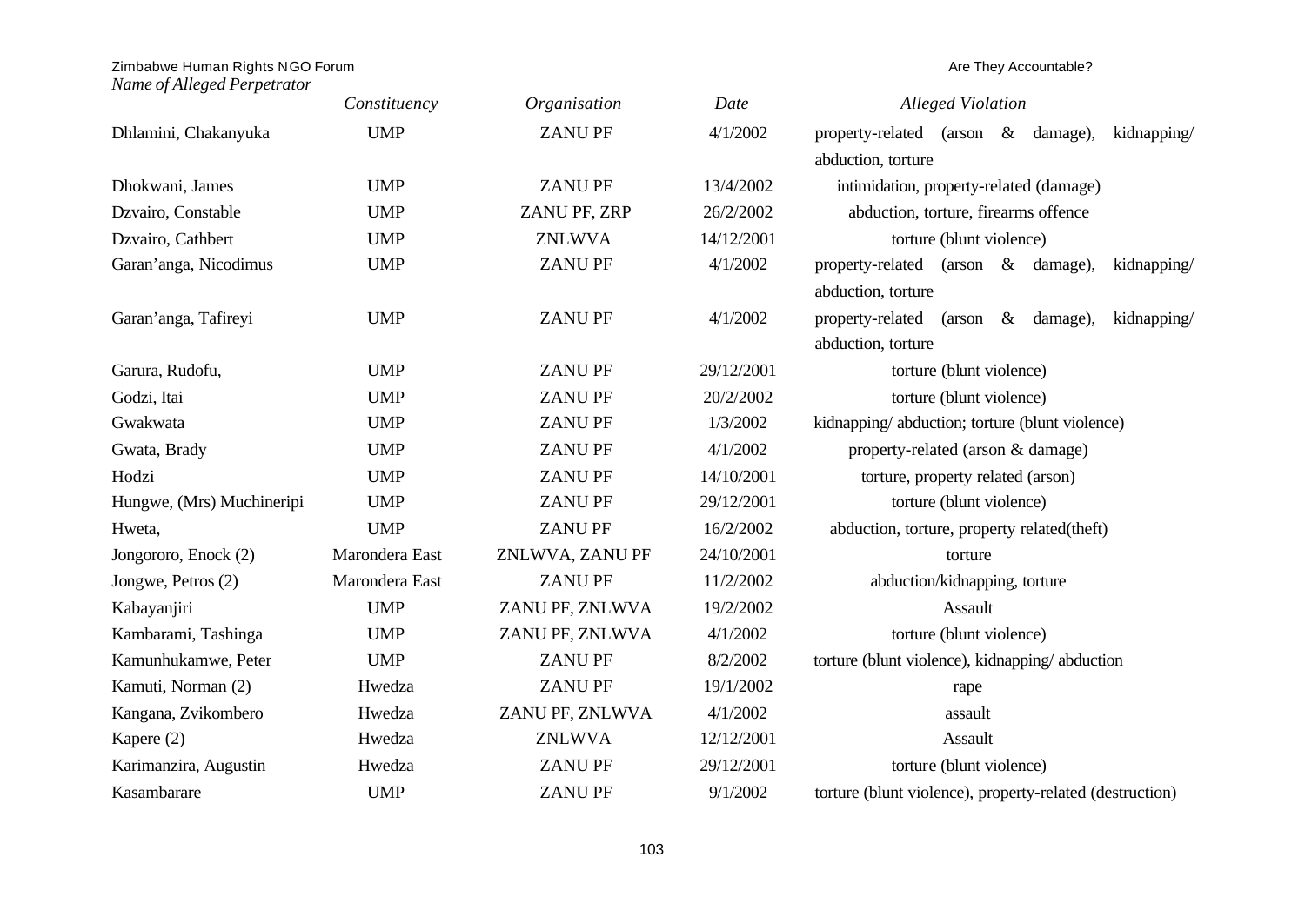# Zimbabwe Human Rights NGO Forum and the state of the state of the state of the state of the state of the state of the state of the state of the state of the state of the state of the state of the state of the state of the

|                           | Constituency   | Organisation    | Date       | <b>Alleged Violation</b>                                 |
|---------------------------|----------------|-----------------|------------|----------------------------------------------------------|
| Dhlamini, Chakanyuka      | <b>UMP</b>     | <b>ZANUPF</b>   | 4/1/2002   | property-related (arson & damage),<br>kidnapping/        |
|                           |                |                 |            | abduction, torture                                       |
| Dhokwani, James           | <b>UMP</b>     | <b>ZANUPF</b>   | 13/4/2002  | intimidation, property-related (damage)                  |
| Dzvairo, Constable        | <b>UMP</b>     | ZANU PF, ZRP    | 26/2/2002  | abduction, torture, firearms offence                     |
| Dzvairo, Cathbert         | <b>UMP</b>     | <b>ZNLWVA</b>   | 14/12/2001 | torture (blunt violence)                                 |
| Garan'anga, Nicodimus     | <b>UMP</b>     | <b>ZANUPF</b>   | 4/1/2002   | property-related (arson & damage),<br>kidnapping/        |
|                           |                |                 |            | abduction, torture                                       |
| Garan'anga, Tafireyi      | <b>UMP</b>     | <b>ZANUPF</b>   | 4/1/2002   | property-related (arson & damage),<br>kidnapping/        |
|                           |                |                 |            | abduction, torture                                       |
| Garura, Rudofu,           | <b>UMP</b>     | <b>ZANUPF</b>   | 29/12/2001 | torture (blunt violence)                                 |
| Godzi, Itai               | <b>UMP</b>     | <b>ZANUPF</b>   | 20/2/2002  | torture (blunt violence)                                 |
| Gwakwata                  | <b>UMP</b>     | <b>ZANUPF</b>   | 1/3/2002   | kidnapping/abduction; torture (blunt violence)           |
| Gwata, Brady              | <b>UMP</b>     | <b>ZANUPF</b>   | 4/1/2002   | property-related (arson & damage)                        |
| Hodzi                     | <b>UMP</b>     | <b>ZANUPF</b>   | 14/10/2001 | torture, property related (arson)                        |
| Hungwe, (Mrs) Muchineripi | <b>UMP</b>     | <b>ZANUPF</b>   | 29/12/2001 | torture (blunt violence)                                 |
| Hweta,                    | <b>UMP</b>     | <b>ZANUPF</b>   | 16/2/2002  | abduction, torture, property related(theft)              |
| Jongororo, Enock (2)      | Marondera East | ZNLWVA, ZANU PF | 24/10/2001 | torture                                                  |
| Jongwe, Petros (2)        | Marondera East | <b>ZANUPF</b>   | 11/2/2002  | abduction/kidnapping, torture                            |
| Kabayanjiri               | <b>UMP</b>     | ZANU PF, ZNLWVA | 19/2/2002  | Assault                                                  |
| Kambarami, Tashinga       | <b>UMP</b>     | ZANU PF, ZNLWVA | 4/1/2002   | torture (blunt violence)                                 |
| Kamunhukamwe, Peter       | <b>UMP</b>     | <b>ZANUPF</b>   | 8/2/2002   | torture (blunt violence), kidnapping/abduction           |
| Kamuti, Norman (2)        | Hwedza         | <b>ZANUPF</b>   | 19/1/2002  | rape                                                     |
| Kangana, Zvikombero       | Hwedza         | ZANU PF, ZNLWVA | 4/1/2002   | assault                                                  |
| Kapere (2)                | Hwedza         | <b>ZNLWVA</b>   | 12/12/2001 | Assault                                                  |
| Karimanzira, Augustin     | Hwedza         | <b>ZANUPF</b>   | 29/12/2001 | torture (blunt violence)                                 |
| Kasambarare               | <b>UMP</b>     | <b>ZANUPF</b>   | 9/1/2002   | torture (blunt violence), property-related (destruction) |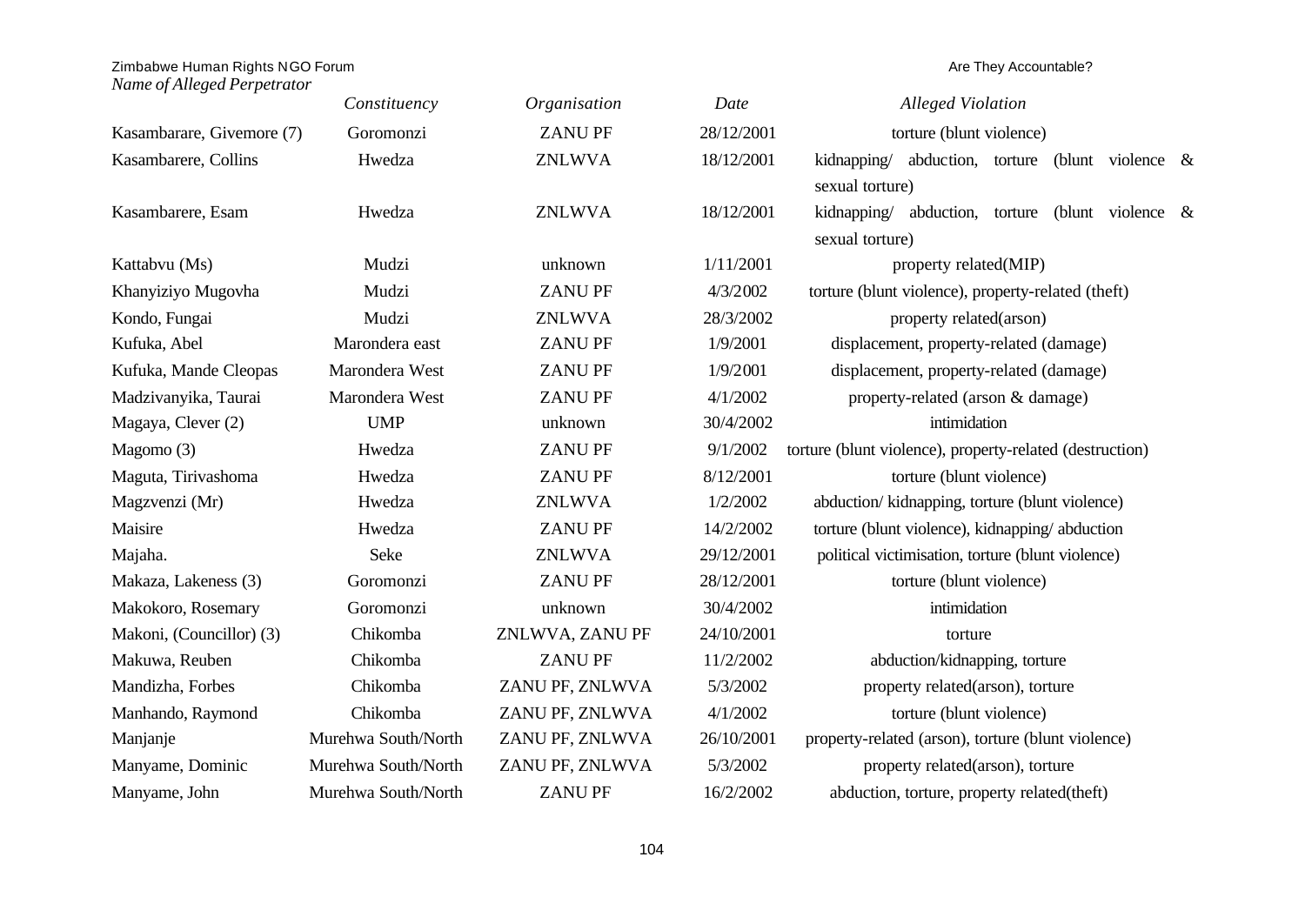|                           | Constituency        | Organisation    | Date       | <b>Alleged Violation</b>                                  |
|---------------------------|---------------------|-----------------|------------|-----------------------------------------------------------|
| Kasambarare, Givemore (7) | Goromonzi           | <b>ZANUPF</b>   | 28/12/2001 | torture (blunt violence)                                  |
| Kasambarere, Collins      | Hwedza              | <b>ZNLWVA</b>   | 18/12/2001 | kidnapping/<br>abduction, torture<br>(blunt violence $\&$ |
|                           |                     |                 |            | sexual torture)                                           |
| Kasambarere, Esam         | Hwedza              | <b>ZNLWVA</b>   | 18/12/2001 | kidnapping/ abduction, torture (blunt violence &          |
|                           |                     |                 |            | sexual torture)                                           |
| Kattabvu (Ms)             | Mudzi               | unknown         | 1/11/2001  | property related(MIP)                                     |
| Khanyiziyo Mugovha        | Mudzi               | <b>ZANUPF</b>   | 4/3/2002   | torture (blunt violence), property-related (theft)        |
| Kondo, Fungai             | Mudzi               | <b>ZNLWVA</b>   | 28/3/2002  | property related(arson)                                   |
| Kufuka, Abel              | Marondera east      | <b>ZANUPF</b>   | 1/9/2001   | displacement, property-related (damage)                   |
| Kufuka, Mande Cleopas     | Marondera West      | <b>ZANUPF</b>   | 1/9/2001   | displacement, property-related (damage)                   |
| Madzivanyika, Taurai      | Marondera West      | <b>ZANUPF</b>   | 4/1/2002   | property-related (arson & damage)                         |
| Magaya, Clever (2)        | <b>UMP</b>          | unknown         | 30/4/2002  | intimidation                                              |
| Magomo (3)                | Hwedza              | <b>ZANUPF</b>   | 9/1/2002   | torture (blunt violence), property-related (destruction)  |
| Maguta, Tirivashoma       | Hwedza              | <b>ZANUPF</b>   | 8/12/2001  | torture (blunt violence)                                  |
| Magzvenzi (Mr)            | Hwedza              | <b>ZNLWVA</b>   | 1/2/2002   | abduction/kidnapping, torture (blunt violence)            |
| Maisire                   | Hwedza              | <b>ZANUPF</b>   | 14/2/2002  | torture (blunt violence), kidnapping/abduction            |
| Majaha.                   | Seke                | <b>ZNLWVA</b>   | 29/12/2001 | political victimisation, torture (blunt violence)         |
| Makaza, Lakeness (3)      | Goromonzi           | <b>ZANUPF</b>   | 28/12/2001 | torture (blunt violence)                                  |
| Makokoro, Rosemary        | Goromonzi           | unknown         | 30/4/2002  | intimidation                                              |
| Makoni, (Councillor) (3)  | Chikomba            | ZNLWVA, ZANU PF | 24/10/2001 | torture                                                   |
| Makuwa, Reuben            | Chikomba            | <b>ZANUPF</b>   | 11/2/2002  | abduction/kidnapping, torture                             |
| Mandizha, Forbes          | Chikomba            | ZANU PF, ZNLWVA | 5/3/2002   | property related(arson), torture                          |
| Manhando, Raymond         | Chikomba            | ZANU PF, ZNLWVA | 4/1/2002   | torture (blunt violence)                                  |
| Manjanje                  | Murehwa South/North | ZANU PF, ZNLWVA | 26/10/2001 | property-related (arson), torture (blunt violence)        |
| Manyame, Dominic          | Murehwa South/North | ZANU PF, ZNLWVA | 5/3/2002   | property related(arson), torture                          |
| Manyame, John             | Murehwa South/North | <b>ZANUPF</b>   | 16/2/2002  | abduction, torture, property related(theft)               |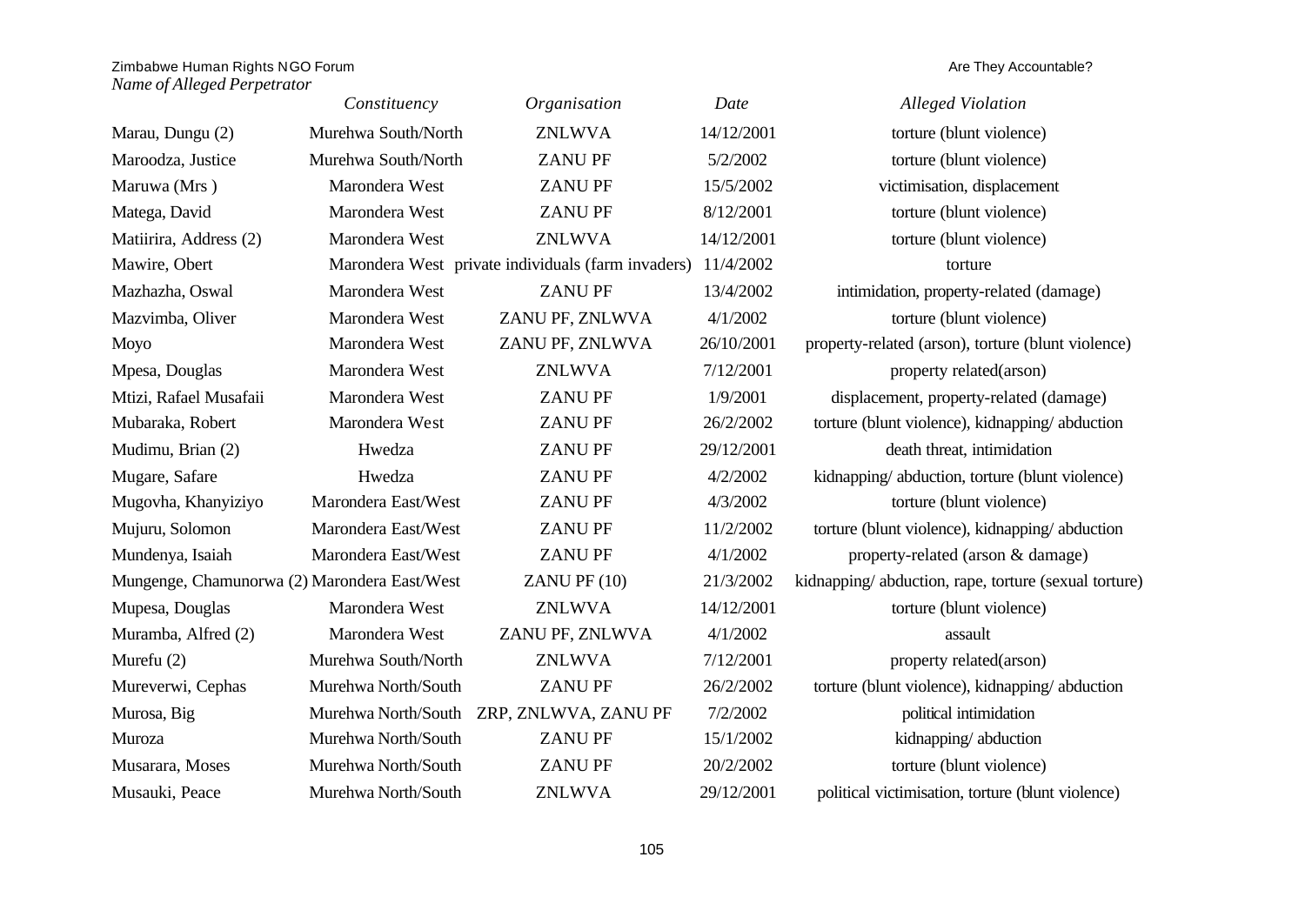|                                              | Constituency        | Organisation                                       | Date       | <b>Alleged Violation</b>                             |
|----------------------------------------------|---------------------|----------------------------------------------------|------------|------------------------------------------------------|
| Marau, Dungu (2)                             | Murehwa South/North | <b>ZNLWVA</b>                                      | 14/12/2001 | torture (blunt violence)                             |
| Maroodza, Justice                            | Murehwa South/North | <b>ZANUPF</b>                                      | 5/2/2002   | torture (blunt violence)                             |
| Maruwa (Mrs)                                 | Marondera West      | <b>ZANUPF</b>                                      | 15/5/2002  | victimisation, displacement                          |
| Matega, David                                | Marondera West      | <b>ZANUPF</b>                                      | 8/12/2001  | torture (blunt violence)                             |
| Matiirira, Address (2)                       | Marondera West      | <b>ZNLWVA</b>                                      | 14/12/2001 | torture (blunt violence)                             |
| Mawire, Obert                                |                     | Marondera West private individuals (farm invaders) | 11/4/2002  | torture                                              |
| Mazhazha, Oswal                              | Marondera West      | <b>ZANUPF</b>                                      | 13/4/2002  | intimidation, property-related (damage)              |
| Mazvimba, Oliver                             | Marondera West      | ZANU PF, ZNLWVA                                    | 4/1/2002   | torture (blunt violence)                             |
| Moyo                                         | Marondera West      | ZANU PF, ZNLWVA                                    | 26/10/2001 | property-related (arson), torture (blunt violence)   |
| Mpesa, Douglas                               | Marondera West      | <b>ZNLWVA</b>                                      | 7/12/2001  | property related(arson)                              |
| Mtizi, Rafael Musafaii                       | Marondera West      | <b>ZANUPF</b>                                      | 1/9/2001   | displacement, property-related (damage)              |
| Mubaraka, Robert                             | Marondera West      | <b>ZANUPF</b>                                      | 26/2/2002  | torture (blunt violence), kidnapping/abduction       |
| Mudimu, Brian (2)                            | Hwedza              | <b>ZANUPF</b>                                      | 29/12/2001 | death threat, intimidation                           |
| Mugare, Safare                               | Hwedza              | <b>ZANUPF</b>                                      | 4/2/2002   | kidnapping/abduction, torture (blunt violence)       |
| Mugovha, Khanyiziyo                          | Marondera East/West | <b>ZANUPF</b>                                      | 4/3/2002   | torture (blunt violence)                             |
| Mujuru, Solomon                              | Marondera East/West | <b>ZANUPF</b>                                      | 11/2/2002  | torture (blunt violence), kidnapping/abduction       |
| Mundenya, Isaiah                             | Marondera East/West | <b>ZANUPF</b>                                      | 4/1/2002   | property-related (arson & damage)                    |
| Mungenge, Chamunorwa (2) Marondera East/West |                     | $ZANU$ PF $(10)$                                   | 21/3/2002  | kidnapping/abduction, rape, torture (sexual torture) |
| Mupesa, Douglas                              | Marondera West      | <b>ZNLWVA</b>                                      | 14/12/2001 | torture (blunt violence)                             |
| Muramba, Alfred (2)                          | Marondera West      | ZANU PF, ZNLWVA                                    | 4/1/2002   | assault                                              |
| Murefu $(2)$                                 | Murehwa South/North | <b>ZNLWVA</b>                                      | 7/12/2001  | property related(arson)                              |
| Mureverwi, Cephas                            | Murehwa North/South | <b>ZANUPF</b>                                      | 26/2/2002  | torture (blunt violence), kidnapping/abduction       |
| Murosa, Big                                  |                     | Murehwa North/South ZRP, ZNLWVA, ZANU PF           | 7/2/2002   | political intimidation                               |
| Muroza                                       | Murehwa North/South | <b>ZANUPF</b>                                      | 15/1/2002  | kidnapping/abduction                                 |
| Musarara, Moses                              | Murehwa North/South | <b>ZANUPF</b>                                      | 20/2/2002  | torture (blunt violence)                             |
| Musauki, Peace                               | Murehwa North/South | <b>ZNLWVA</b>                                      | 29/12/2001 | political victimisation, torture (blunt violence)    |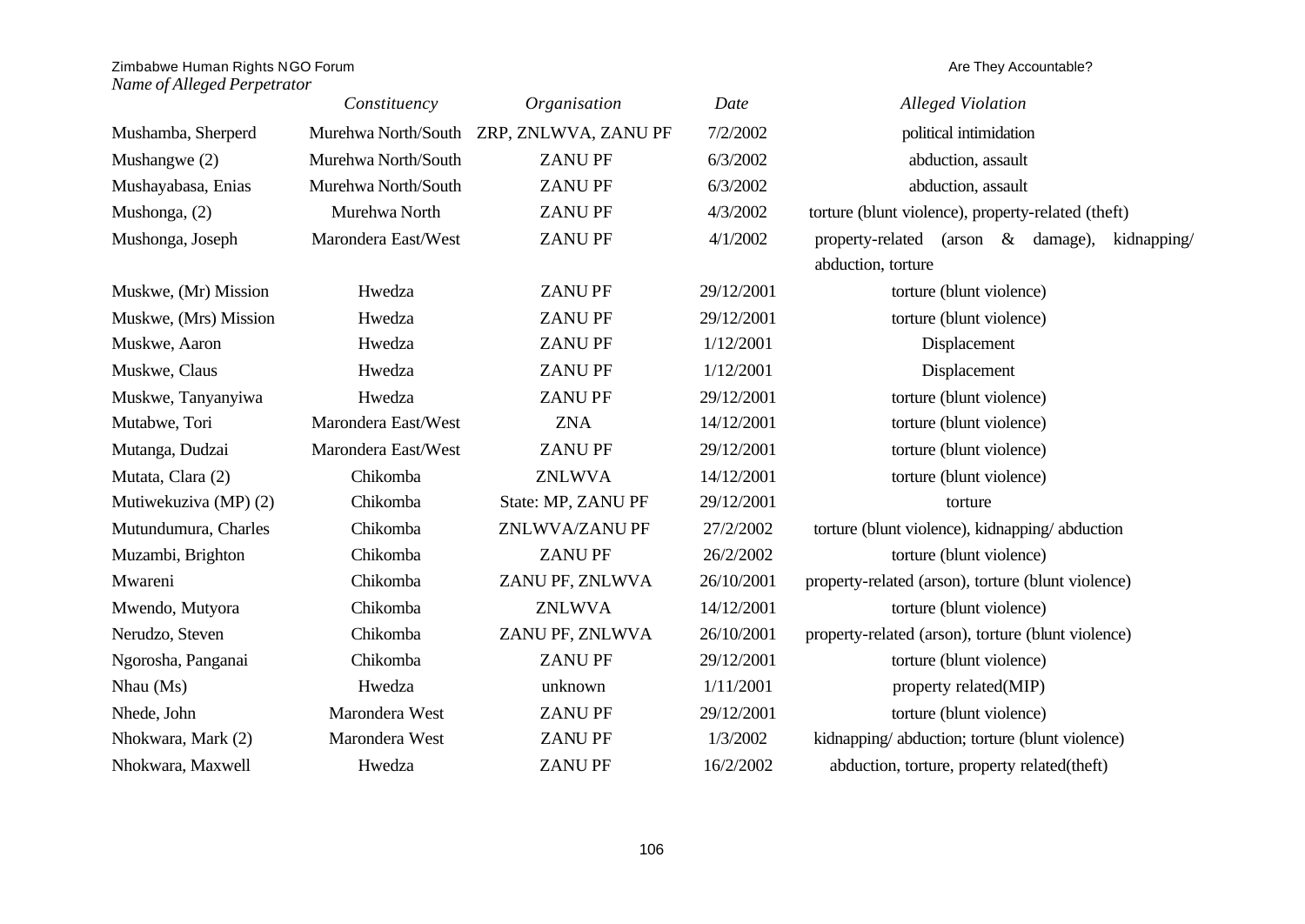|                       | Constituency        | Organisation                             | Date       | <b>Alleged Violation</b>                           |
|-----------------------|---------------------|------------------------------------------|------------|----------------------------------------------------|
| Mushamba, Sherperd    |                     | Murehwa North/South ZRP, ZNLWVA, ZANU PF | 7/2/2002   | political intimidation                             |
| Mushangwe $(2)$       | Murehwa North/South | <b>ZANUPF</b>                            | 6/3/2002   | abduction, assault                                 |
| Mushayabasa, Enias    | Murehwa North/South | <b>ZANUPF</b>                            | 6/3/2002   | abduction, assault                                 |
| Mushonga, (2)         | Murehwa North       | <b>ZANUPF</b>                            | 4/3/2002   | torture (blunt violence), property-related (theft) |
| Mushonga, Joseph      | Marondera East/West | <b>ZANUPF</b>                            | 4/1/2002   | property-related (arson & damage),<br>kidnapping/  |
|                       |                     |                                          |            | abduction, torture                                 |
| Muskwe, (Mr) Mission  | Hwedza              | <b>ZANUPF</b>                            | 29/12/2001 | torture (blunt violence)                           |
| Muskwe, (Mrs) Mission | Hwedza              | <b>ZANUPF</b>                            | 29/12/2001 | torture (blunt violence)                           |
| Muskwe, Aaron         | Hwedza              | <b>ZANUPF</b>                            | 1/12/2001  | Displacement                                       |
| Muskwe, Claus         | Hwedza              | <b>ZANUPF</b>                            | 1/12/2001  | Displacement                                       |
| Muskwe, Tanyanyiwa    | Hwedza              | <b>ZANUPF</b>                            | 29/12/2001 | torture (blunt violence)                           |
| Mutabwe, Tori         | Marondera East/West | <b>ZNA</b>                               | 14/12/2001 | torture (blunt violence)                           |
| Mutanga, Dudzai       | Marondera East/West | <b>ZANUPF</b>                            | 29/12/2001 | torture (blunt violence)                           |
| Mutata, Clara (2)     | Chikomba            | <b>ZNLWVA</b>                            | 14/12/2001 | torture (blunt violence)                           |
| Mutiwekuziva (MP) (2) | Chikomba            | State: MP, ZANU PF                       | 29/12/2001 | torture                                            |
| Mutundumura, Charles  | Chikomba            | ZNLWVA/ZANU PF                           | 27/2/2002  | torture (blunt violence), kidnapping/abduction     |
| Muzambi, Brighton     | Chikomba            | <b>ZANUPF</b>                            | 26/2/2002  | torture (blunt violence)                           |
| Mwareni               | Chikomba            | ZANU PF, ZNLWVA                          | 26/10/2001 | property-related (arson), torture (blunt violence) |
| Mwendo, Mutyora       | Chikomba            | <b>ZNLWVA</b>                            | 14/12/2001 | torture (blunt violence)                           |
| Nerudzo, Steven       | Chikomba            | ZANU PF, ZNLWVA                          | 26/10/2001 | property-related (arson), torture (blunt violence) |
| Ngorosha, Panganai    | Chikomba            | <b>ZANUPF</b>                            | 29/12/2001 | torture (blunt violence)                           |
| $Nhau$ (Ms)           | Hwedza              | unknown                                  | 1/11/2001  | property related(MIP)                              |
| Nhede, John           | Marondera West      | <b>ZANUPF</b>                            | 29/12/2001 | torture (blunt violence)                           |
| Nhokwara, Mark (2)    | Marondera West      | <b>ZANUPF</b>                            | 1/3/2002   | kidnapping/abduction; torture (blunt violence)     |
| Nhokwara, Maxwell     | Hwedza              | <b>ZANUPF</b>                            | 16/2/2002  | abduction, torture, property related(theft)        |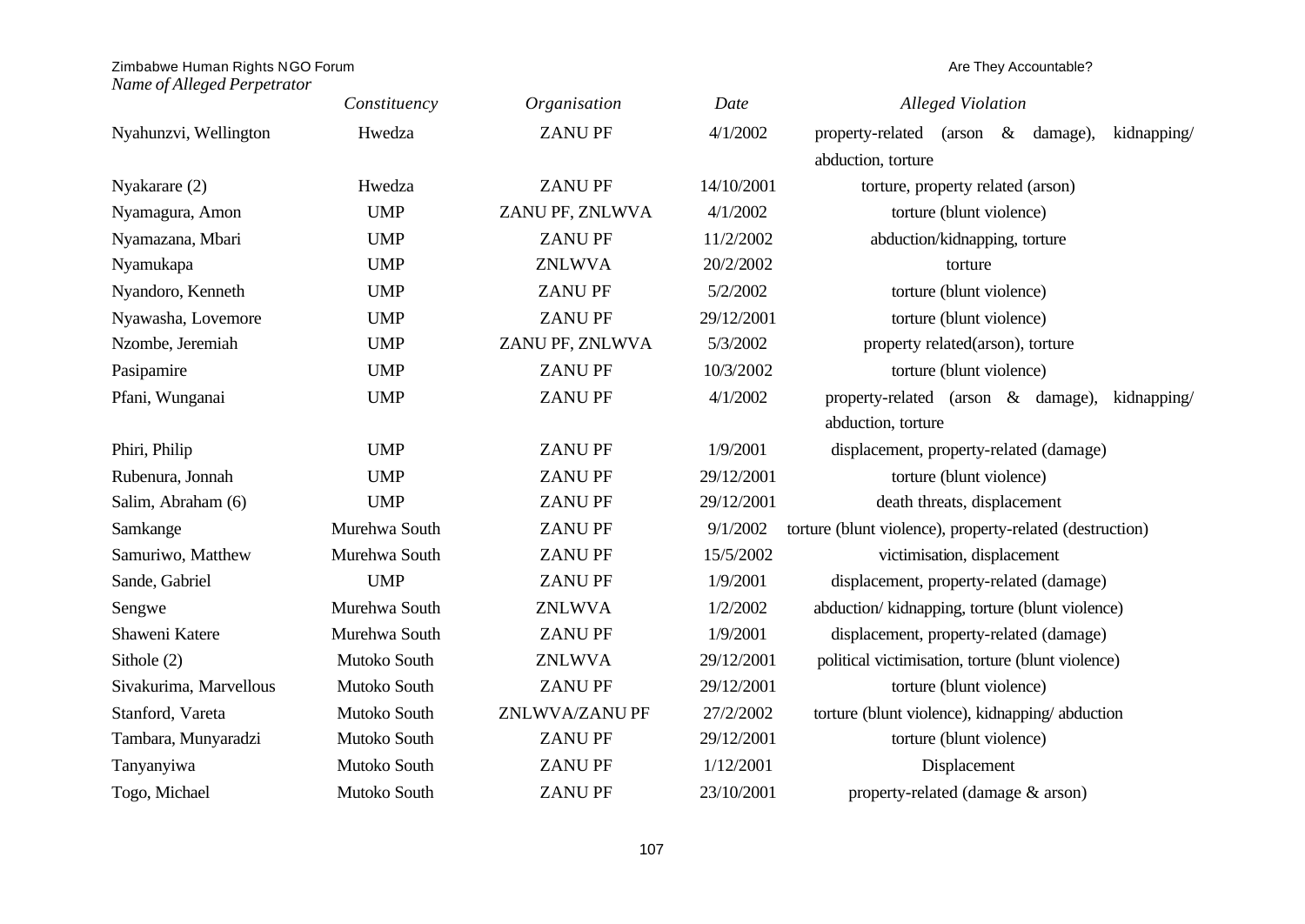|                        | Constituency  | Organisation    | Date       | <b>Alleged Violation</b>                                   |
|------------------------|---------------|-----------------|------------|------------------------------------------------------------|
| Nyahunzvi, Wellington  | Hwedza        | <b>ZANUPF</b>   | 4/1/2002   | property-related (arson<br>$\&$<br>kidnapping/<br>damage), |
|                        |               |                 |            | abduction, torture                                         |
| Nyakarare (2)          | Hwedza        | <b>ZANUPF</b>   | 14/10/2001 | torture, property related (arson)                          |
| Nyamagura, Amon        | <b>UMP</b>    | ZANU PF, ZNLWVA | 4/1/2002   | torture (blunt violence)                                   |
| Nyamazana, Mbari       | <b>UMP</b>    | <b>ZANUPF</b>   | 11/2/2002  | abduction/kidnapping, torture                              |
| Nyamukapa              | <b>UMP</b>    | <b>ZNLWVA</b>   | 20/2/2002  | torture                                                    |
| Nyandoro, Kenneth      | <b>UMP</b>    | <b>ZANUPF</b>   | 5/2/2002   | torture (blunt violence)                                   |
| Nyawasha, Lovemore     | <b>UMP</b>    | <b>ZANUPF</b>   | 29/12/2001 | torture (blunt violence)                                   |
| Nzombe, Jeremiah       | <b>UMP</b>    | ZANU PF, ZNLWVA | 5/3/2002   | property related(arson), torture                           |
| Pasipamire             | <b>UMP</b>    | <b>ZANUPF</b>   | 10/3/2002  | torture (blunt violence)                                   |
| Pfani, Wunganai        | <b>UMP</b>    | <b>ZANUPF</b>   | 4/1/2002   | property-related (arson & damage),<br>kidnapping/          |
|                        |               |                 |            | abduction, torture                                         |
| Phiri, Philip          | <b>UMP</b>    | <b>ZANUPF</b>   | 1/9/2001   | displacement, property-related (damage)                    |
| Rubenura, Jonnah       | <b>UMP</b>    | <b>ZANUPF</b>   | 29/12/2001 | torture (blunt violence)                                   |
| Salim, Abraham (6)     | <b>UMP</b>    | <b>ZANUPF</b>   | 29/12/2001 | death threats, displacement                                |
| Samkange               | Murehwa South | <b>ZANUPF</b>   | 9/1/2002   | torture (blunt violence), property-related (destruction)   |
| Samuriwo, Matthew      | Murehwa South | <b>ZANUPF</b>   | 15/5/2002  | victimisation, displacement                                |
| Sande, Gabriel         | <b>UMP</b>    | <b>ZANUPF</b>   | 1/9/2001   | displacement, property-related (damage)                    |
| Sengwe                 | Murehwa South | <b>ZNLWVA</b>   | 1/2/2002   | abduction/kidnapping, torture (blunt violence)             |
| Shaweni Katere         | Murehwa South | <b>ZANUPF</b>   | 1/9/2001   | displacement, property-related (damage)                    |
| Sithole $(2)$          | Mutoko South  | <b>ZNLWVA</b>   | 29/12/2001 | political victimisation, torture (blunt violence)          |
| Sivakurima, Marvellous | Mutoko South  | <b>ZANUPF</b>   | 29/12/2001 | torture (blunt violence)                                   |
| Stanford, Vareta       | Mutoko South  | ZNLWVA/ZANU PF  | 27/2/2002  | torture (blunt violence), kidnapping/abduction             |
| Tambara, Munyaradzi    | Mutoko South  | <b>ZANUPF</b>   | 29/12/2001 | torture (blunt violence)                                   |
| Tanyanyiwa             | Mutoko South  | <b>ZANUPF</b>   | 1/12/2001  | Displacement                                               |
| Togo, Michael          | Mutoko South  | <b>ZANUPF</b>   | 23/10/2001 | property-related (damage & arson)                          |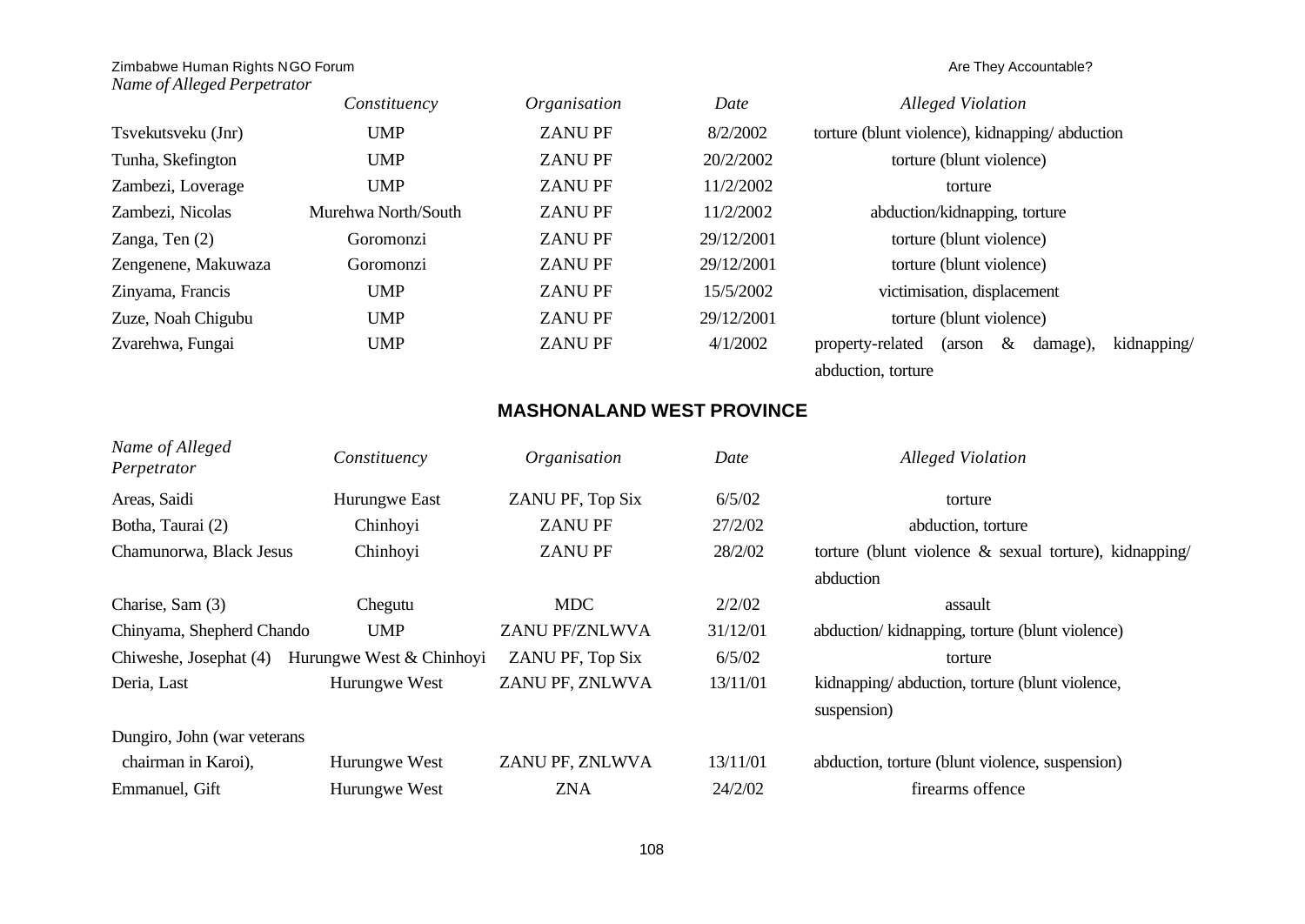# *Name of Alleged Perpetrator*

|                     | Constituency        | Organisation  | Date       | <b>Alleged Violation</b>                                      |
|---------------------|---------------------|---------------|------------|---------------------------------------------------------------|
| Tsvekutsveku (Jnr)  | <b>UMP</b>          | <b>ZANUPF</b> | 8/2/2002   | torture (blunt violence), kidnapping/abduction                |
| Tunha, Skefington   | <b>UMP</b>          | <b>ZANUPF</b> | 20/2/2002  | torture (blunt violence)                                      |
| Zambezi, Loverage   | <b>UMP</b>          | <b>ZANUPF</b> | 11/2/2002  | torture                                                       |
| Zambezi, Nicolas    | Murehwa North/South | <b>ZANUPF</b> | 11/2/2002  | abduction/kidnapping, torture                                 |
| Zanga, Ten $(2)$    | Goromonzi           | <b>ZANUPF</b> | 29/12/2001 | torture (blunt violence)                                      |
| Zengenene, Makuwaza | Goromonzi           | <b>ZANUPF</b> | 29/12/2001 | torture (blunt violence)                                      |
| Zinyama, Francis    | <b>UMP</b>          | <b>ZANUPF</b> | 15/5/2002  | victimisation, displacement                                   |
| Zuze, Noah Chigubu  | <b>UMP</b>          | <b>ZANUPF</b> | 29/12/2001 | torture (blunt violence)                                      |
| Zvarehwa, Fungai    | <b>UMP</b>          | <b>ZANUPF</b> | 4/1/2002   | kidnapping/<br>$\&$<br>property-related<br>damage),<br>(arson |
|                     |                     |               |            | abduction, torture                                            |

# **MASHONALAND WEST PROVINCE**

| Name of Alleged<br>Perpetrator | Constituency             | Organisation     | Date     | <b>Alleged Violation</b>                                      |
|--------------------------------|--------------------------|------------------|----------|---------------------------------------------------------------|
| Areas, Saidi                   | Hurungwe East            | ZANU PF, Top Six | 6/5/02   | torture                                                       |
| Botha, Taurai (2)              | Chinhoyi                 | <b>ZANUPF</b>    | 27/2/02  | abduction, torture                                            |
| Chamunorwa, Black Jesus        | Chinhoyi                 | <b>ZANUPF</b>    | 28/2/02  | torture (blunt violence $\&$ sexual torture), kidnapping/     |
|                                |                          |                  |          | abduction                                                     |
| Charise, Sam (3)               | Chegutu                  | <b>MDC</b>       | 2/2/02   | assault                                                       |
| Chinyama, Shepherd Chando      | <b>UMP</b>               | ZANU PF/ZNLWVA   | 31/12/01 | abduction/kidnapping, torture (blunt violence)                |
| Chiweshe, Josephat (4)         | Hurungwe West & Chinhoyi | ZANU PF, Top Six | 6/5/02   | torture                                                       |
| Deria, Last                    | Hurungwe West            | ZANU PF, ZNLWVA  | 13/11/01 | kidnapping/abduction, torture (blunt violence,<br>suspension) |
| Dungiro, John (war veterans    |                          |                  |          |                                                               |
| chairman in Karoi),            | Hurungwe West            | ZANU PF, ZNLWVA  | 13/11/01 | abduction, torture (blunt violence, suspension)               |
| Emmanuel, Gift                 | Hurungwe West            | <b>ZNA</b>       | 24/2/02  | firearms offence                                              |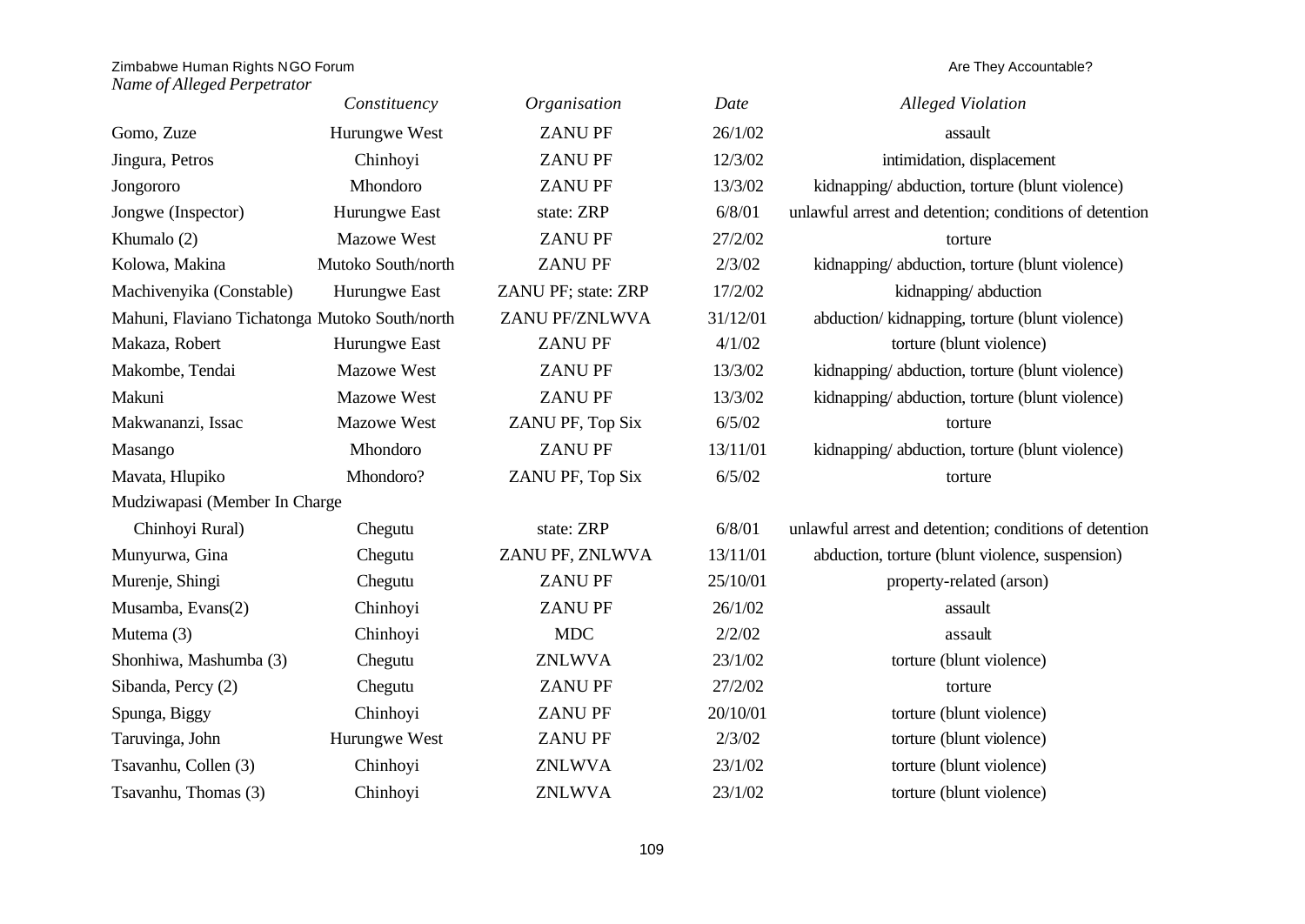|                                                | Constituency       | Organisation        | Date     | <b>Alleged Violation</b>                               |
|------------------------------------------------|--------------------|---------------------|----------|--------------------------------------------------------|
| Gomo, Zuze                                     | Hurungwe West      | <b>ZANUPF</b>       | 26/1/02  | assault                                                |
| Jingura, Petros                                | Chinhoyi           | <b>ZANUPF</b>       | 12/3/02  | intimidation, displacement                             |
| Jongororo                                      | Mhondoro           | <b>ZANUPF</b>       | 13/3/02  | kidnapping/abduction, torture (blunt violence)         |
| Jongwe (Inspector)                             | Hurungwe East      | state: ZRP          | 6/8/01   | unlawful arrest and detention; conditions of detention |
| Khumalo (2)                                    | Mazowe West        | <b>ZANUPF</b>       | 27/2/02  | torture                                                |
| Kolowa, Makina                                 | Mutoko South/north | <b>ZANU PF</b>      | 2/3/02   | kidnapping/abduction, torture (blunt violence)         |
| Machivenyika (Constable)                       | Hurungwe East      | ZANU PF; state: ZRP | 17/2/02  | kidnapping/abduction                                   |
| Mahuni, Flaviano Tichatonga Mutoko South/north |                    | ZANU PF/ZNLWVA      | 31/12/01 | abduction/ kidnapping, torture (blunt violence)        |
| Makaza, Robert                                 | Hurungwe East      | <b>ZANUPF</b>       | 4/1/02   | torture (blunt violence)                               |
| Makombe, Tendai                                | <b>Mazowe West</b> | <b>ZANUPF</b>       | 13/3/02  | kidnapping/abduction, torture (blunt violence)         |
| Makuni                                         | <b>Mazowe West</b> | <b>ZANUPF</b>       | 13/3/02  | kidnapping/abduction, torture (blunt violence)         |
| Makwananzi, Issac                              | Mazowe West        | ZANU PF, Top Six    | 6/5/02   | torture                                                |
| Masango                                        | Mhondoro           | <b>ZANUPF</b>       | 13/11/01 | kidnapping/abduction, torture (blunt violence)         |
| Mavata, Hlupiko                                | Mhondoro?          | ZANU PF, Top Six    | 6/5/02   | torture                                                |
| Mudziwapasi (Member In Charge                  |                    |                     |          |                                                        |
| Chinhoyi Rural)                                | Chegutu            | state: ZRP          | 6/8/01   | unlawful arrest and detention; conditions of detention |
| Munyurwa, Gina                                 | Chegutu            | ZANU PF, ZNLWVA     | 13/11/01 | abduction, torture (blunt violence, suspension)        |
| Murenje, Shingi                                | Chegutu            | <b>ZANUPF</b>       | 25/10/01 | property-related (arson)                               |
| Musamba, Evans(2)                              | Chinhoyi           | <b>ZANUPF</b>       | 26/1/02  | assault                                                |
| Mutema (3)                                     | Chinhoyi           | <b>MDC</b>          | 2/2/02   | assault                                                |
| Shonhiwa, Mashumba (3)                         | Chegutu            | <b>ZNLWVA</b>       | 23/1/02  | torture (blunt violence)                               |
| Sibanda, Percy (2)                             | Chegutu            | <b>ZANUPF</b>       | 27/2/02  | torture                                                |
| Spunga, Biggy                                  | Chinhoyi           | <b>ZANU PF</b>      | 20/10/01 | torture (blunt violence)                               |
| Taruvinga, John                                | Hurungwe West      | <b>ZANU PF</b>      | 2/3/02   | torture (blunt violence)                               |
| Tsavanhu, Collen (3)                           | Chinhoyi           | <b>ZNLWVA</b>       | 23/1/02  | torture (blunt violence)                               |
| Tsavanhu, Thomas (3)                           | Chinhoyi           | <b>ZNLWVA</b>       | 23/1/02  | torture (blunt violence)                               |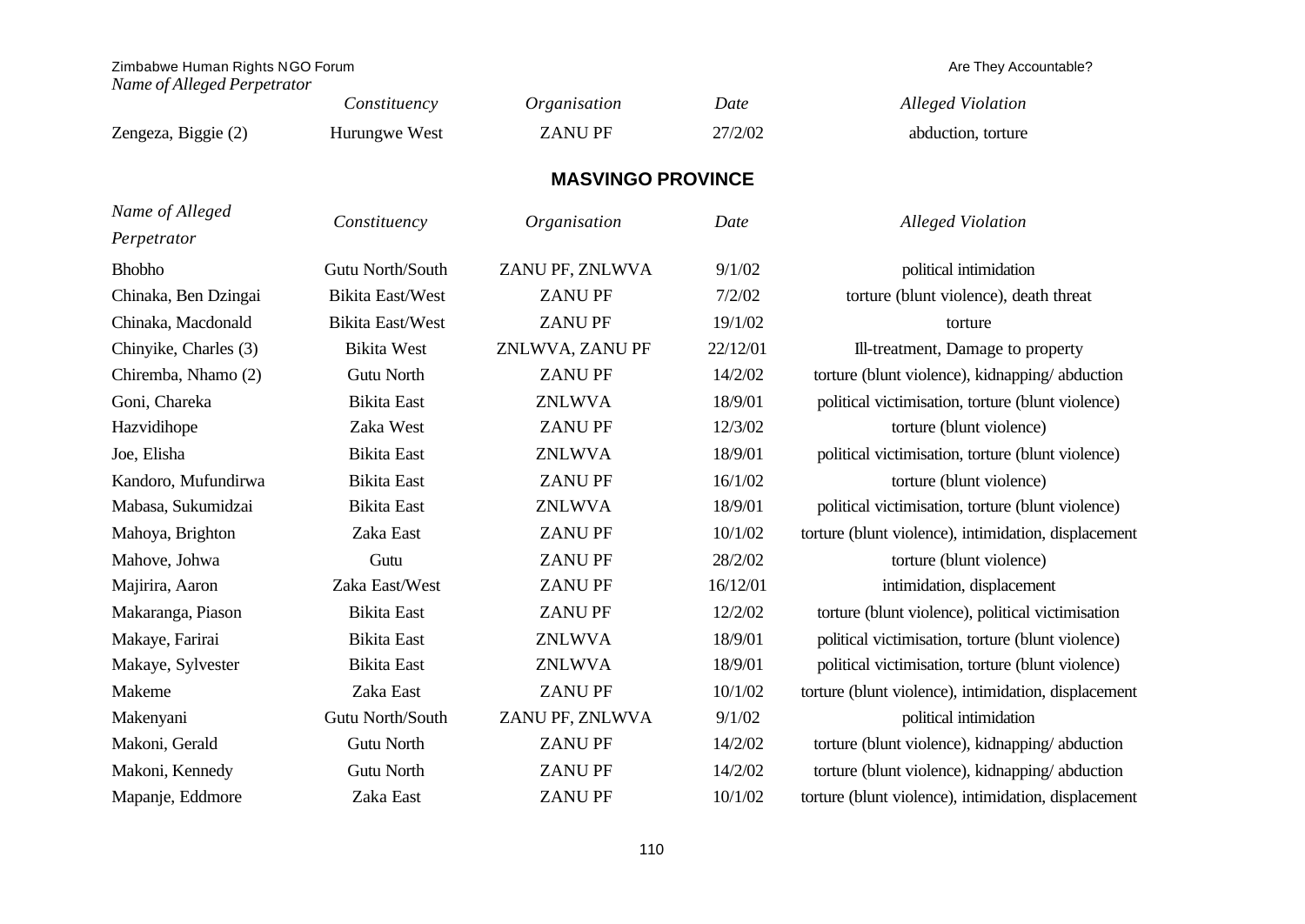*Name of Alleged Perpetrator*

|                                | Constituency            | Organisation             | Date     | <b>Alleged Violation</b>                             |
|--------------------------------|-------------------------|--------------------------|----------|------------------------------------------------------|
| Zengeza, Biggie (2)            | Hurungwe West           | <b>ZANUPF</b>            | 27/2/02  | abduction, torture                                   |
|                                |                         | <b>MASVINGO PROVINCE</b> |          |                                                      |
| Name of Alleged<br>Perpetrator | Constituency            | Organisation             | Date     | <b>Alleged Violation</b>                             |
| <b>Bhobho</b>                  | Gutu North/South        | ZANU PF, ZNLWVA          | 9/1/02   | political intimidation                               |
| Chinaka, Ben Dzingai           | <b>Bikita East/West</b> | <b>ZANUPF</b>            | 7/2/02   | torture (blunt violence), death threat               |
| Chinaka, Macdonald             | <b>Bikita East/West</b> | <b>ZANUPF</b>            | 19/1/02  | torture                                              |
| Chinyike, Charles (3)          | <b>Bikita West</b>      | ZNLWVA, ZANU PF          | 22/12/01 | Ill-treatment, Damage to property                    |
| Chiremba, Nhamo (2)            | <b>Gutu North</b>       | <b>ZANUPF</b>            | 14/2/02  | torture (blunt violence), kidnapping/abduction       |
| Goni, Chareka                  | <b>Bikita</b> East      | <b>ZNLWVA</b>            | 18/9/01  | political victimisation, torture (blunt violence)    |
| Hazvidihope                    | Zaka West               | <b>ZANUPF</b>            | 12/3/02  | torture (blunt violence)                             |
| Joe, Elisha                    | <b>Bikita</b> East      | <b>ZNLWVA</b>            | 18/9/01  | political victimisation, torture (blunt violence)    |
| Kandoro, Mufundirwa            | <b>Bikita</b> East      | <b>ZANUPF</b>            | 16/1/02  | torture (blunt violence)                             |
| Mabasa, Sukumidzai             | <b>Bikita</b> East      | <b>ZNLWVA</b>            | 18/9/01  | political victimisation, torture (blunt violence)    |
| Mahoya, Brighton               | Zaka East               | <b>ZANUPF</b>            | 10/1/02  | torture (blunt violence), intimidation, displacement |
| Mahove, Johwa                  | Gutu                    | <b>ZANUPF</b>            | 28/2/02  | torture (blunt violence)                             |
| Majirira, Aaron                | Zaka East/West          | <b>ZANUPF</b>            | 16/12/01 | intimidation, displacement                           |
| Makaranga, Piason              | <b>Bikita</b> East      | <b>ZANUPF</b>            | 12/2/02  | torture (blunt violence), political victimisation    |
| Makaye, Farirai                | <b>Bikita</b> East      | <b>ZNLWVA</b>            | 18/9/01  | political victimisation, torture (blunt violence)    |
| Makaye, Sylvester              | <b>Bikita</b> East      | <b>ZNLWVA</b>            | 18/9/01  | political victimisation, torture (blunt violence)    |
| Makeme                         | Zaka East               | <b>ZANUPF</b>            | 10/1/02  | torture (blunt violence), intimidation, displacement |
| Makenyani                      | Gutu North/South        | ZANU PF, ZNLWVA          | 9/1/02   | political intimidation                               |
| Makoni, Gerald                 | Gutu North              | <b>ZANUPF</b>            | 14/2/02  | torture (blunt violence), kidnapping/abduction       |
| Makoni, Kennedy                | <b>Gutu North</b>       | <b>ZANUPF</b>            | 14/2/02  | torture (blunt violence), kidnapping/abduction       |
| Mapanje, Eddmore               | Zaka East               | <b>ZANUPF</b>            | 10/1/02  | torture (blunt violence), intimidation, displacement |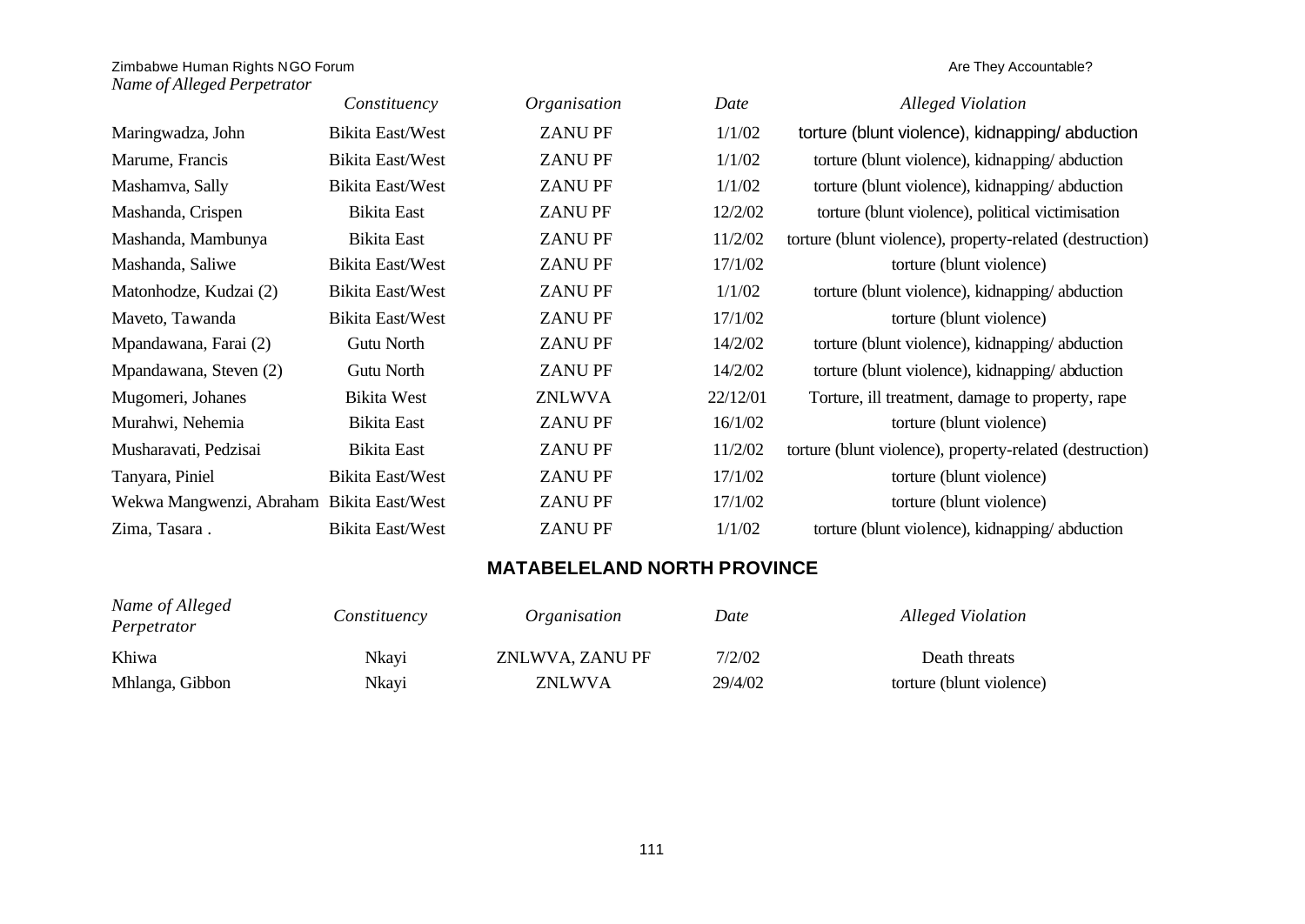|                                           | Constituency       | Organisation  | Date     | <b>Alleged Violation</b>                                 |
|-------------------------------------------|--------------------|---------------|----------|----------------------------------------------------------|
| Maringwadza, John                         | Bikita East/West   | <b>ZANUPF</b> | 1/1/02   | torture (blunt violence), kidnapping/abduction           |
| Marume, Francis                           | Bikita East/West   | <b>ZANUPF</b> | 1/1/02   | torture (blunt violence), kidnapping/abduction           |
| Mashamva, Sally                           | Bikita East/West   | <b>ZANUPF</b> | 1/1/02   | torture (blunt violence), kidnapping/abduction           |
| Mashanda, Crispen                         | <b>Bikita East</b> | <b>ZANUPF</b> | 12/2/02  | torture (blunt violence), political victimisation        |
| Mashanda, Mambunya                        | <b>Bikita East</b> | <b>ZANUPF</b> | 11/2/02  | torture (blunt violence), property-related (destruction) |
| Mashanda, Saliwe                          | Bikita East/West   | <b>ZANUPF</b> | 17/1/02  | torture (blunt violence)                                 |
| Matonhodze, Kudzai (2)                    | Bikita East/West   | <b>ZANUPF</b> | 1/1/02   | torture (blunt violence), kidnapping/abduction           |
| Maveto, Tawanda                           | Bikita East/West   | <b>ZANUPF</b> | 17/1/02  | torture (blunt violence)                                 |
| Mpandawana, Farai (2)                     | Gutu North         | <b>ZANUPF</b> | 14/2/02  | torture (blunt violence), kidnapping/abduction           |
| Mpandawana, Steven (2)                    | Gutu North         | <b>ZANUPF</b> | 14/2/02  | torture (blunt violence), kidnapping/abduction           |
| Mugomeri, Johanes                         | <b>Bikita West</b> | <b>ZNLWVA</b> | 22/12/01 | Torture, ill treatment, damage to property, rape         |
| Murahwi, Nehemia                          | <b>Bikita East</b> | <b>ZANUPF</b> | 16/1/02  | torture (blunt violence)                                 |
| Musharavati, Pedzisai                     | <b>Bikita East</b> | <b>ZANUPF</b> | 11/2/02  | torture (blunt violence), property-related (destruction) |
| Tanyara, Piniel                           | Bikita East/West   | <b>ZANUPF</b> | 17/1/02  | torture (blunt violence)                                 |
| Wekwa Mangwenzi, Abraham Bikita East/West |                    | <b>ZANUPF</b> | 17/1/02  | torture (blunt violence)                                 |
| Zima, Tasara.                             | Bikita East/West   | <b>ZANUPF</b> | 1/1/02   | torture (blunt violence), kidnapping/abduction           |

## **MATABELELAND NORTH PROVINCE**

| Name of Alleged<br>Perpetrator | Constituency | Organisation    | Date    | Alleged Violation        |
|--------------------------------|--------------|-----------------|---------|--------------------------|
| Khiwa                          | Nkayi        | ZNLWVA, ZANU PF | 7/2/02  | Death threats            |
| Mhlanga, Gibbon                | Nkayi        | <b>ZNLWVA</b>   | 29/4/02 | torture (blunt violence) |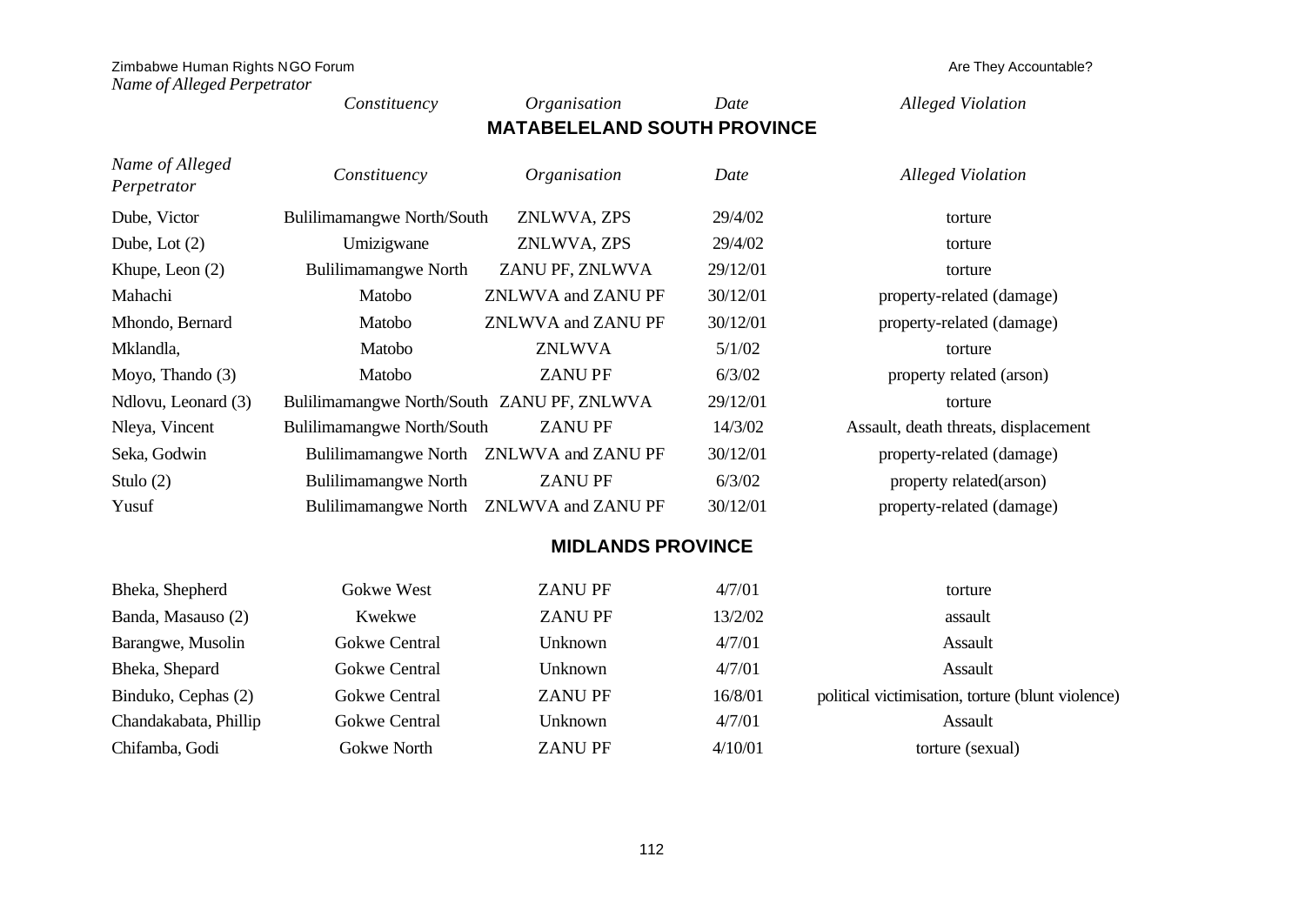| Zimbabwe Human Rights NGO Forum<br>Name of Alleged Perpetrator |                                            |                                         |          | Are They Accountable?                |
|----------------------------------------------------------------|--------------------------------------------|-----------------------------------------|----------|--------------------------------------|
|                                                                | Constituency                               | Organisation                            | Date     | <b>Alleged Violation</b>             |
|                                                                |                                            | <b>MATABELELAND SOUTH PROVINCE</b>      |          |                                      |
| Name of Alleged<br>Perpetrator                                 | Constituency                               | Organisation                            | Date     | <b>Alleged Violation</b>             |
| Dube, Victor                                                   | <b>Bulilimamangwe North/South</b>          | ZNLWVA, ZPS                             | 29/4/02  | torture                              |
| Dube, Lot $(2)$                                                | Umizigwane                                 | ZNLWVA, ZPS                             | 29/4/02  | torture                              |
| Khupe, Leon $(2)$                                              | Bulilimamangwe North                       | ZANU PF, ZNLWVA                         | 29/12/01 | torture                              |
| Mahachi                                                        | Matobo                                     | ZNLWVA and ZANU PF                      | 30/12/01 | property-related (damage)            |
| Mhondo, Bernard                                                | Matobo                                     | ZNLWVA and ZANU PF                      | 30/12/01 | property-related (damage)            |
| Mklandla,                                                      | Matobo                                     | <b>ZNLWVA</b>                           | 5/1/02   | torture                              |
| Moyo, Thando (3)                                               | Matobo                                     | <b>ZANUPF</b>                           | 6/3/02   | property related (arson)             |
| Ndlovu, Leonard (3)                                            | Bulilimamangwe North/South ZANU PF, ZNLWVA |                                         | 29/12/01 | torture                              |
| Nleya, Vincent                                                 | <b>Bulilimamangwe North/South</b>          | <b>ZANUPF</b>                           | 14/3/02  | Assault, death threats, displacement |
| Seka, Godwin                                                   | <b>Bulilimamangwe North</b>                | ZNLWVA and ZANU PF                      | 30/12/01 | property-related (damage)            |
| Stulo $(2)$                                                    | <b>Bulilimamangwe North</b>                | <b>ZANUPF</b>                           | 6/3/02   | property related(arson)              |
| Yusuf                                                          |                                            | Bulilimamangwe North ZNLWVA and ZANU PF | 30/12/01 | property-related (damage)            |

## **MIDLANDS PROVINCE**

| Bheka, Shepherd       | Gokwe West           | <b>ZANUPF</b>  | 4/7/01  | torture                                           |
|-----------------------|----------------------|----------------|---------|---------------------------------------------------|
| Banda, Masauso (2)    | Kwekwe               | <b>ZANUPF</b>  | 13/2/02 | assault                                           |
| Barangwe, Musolin     | Gokwe Central        | Unknown        | 4/7/01  | Assault                                           |
| Bheka, Shepard        | Gokwe Central        | Unknown        | 4/7/01  | Assault                                           |
| Binduko, Cephas (2)   | <b>Gokwe Central</b> | <b>ZANU PF</b> | 16/8/01 | political victimisation, torture (blunt violence) |
| Chandakabata, Phillip | <b>Gokwe Central</b> | Unknown        | 4/7/01  | Assault                                           |
| Chifamba, Godi        | Gokwe North          | <b>ZANU PF</b> | 4/10/01 | torture (sexual)                                  |

112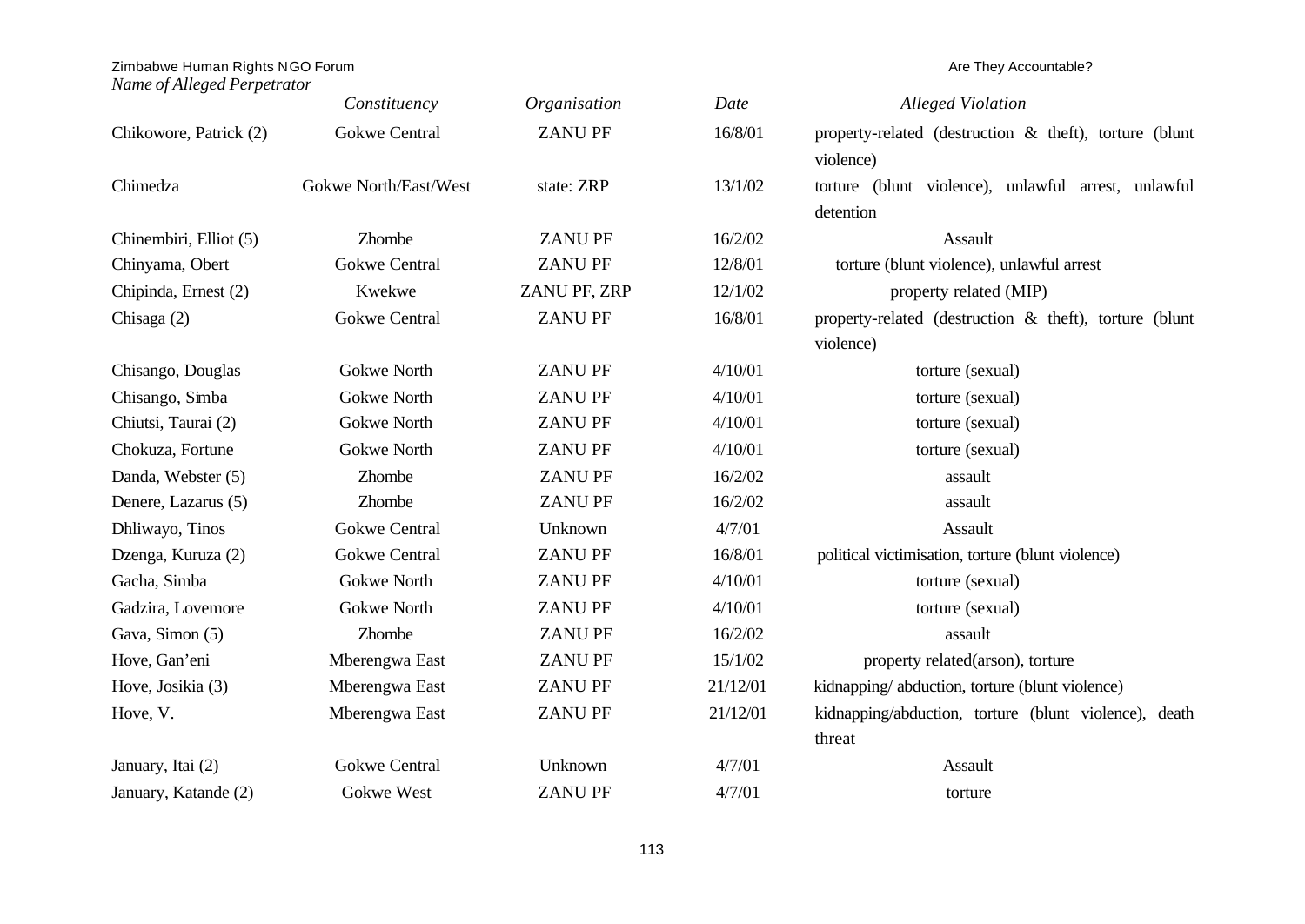### *Name of Alleged Perpetrator*

|                        | Constituency          | Organisation   | Date     | <b>Alleged Violation</b>                                  |
|------------------------|-----------------------|----------------|----------|-----------------------------------------------------------|
| Chikowore, Patrick (2) | <b>Gokwe Central</b>  | <b>ZANU PF</b> | 16/8/01  | property-related (destruction & theft), torture (blunt    |
|                        |                       |                |          | violence)                                                 |
| Chimedza               | Gokwe North/East/West | state: ZRP     | 13/1/02  | torture (blunt violence), unlawful arrest, unlawful       |
|                        |                       |                |          | detention                                                 |
| Chinembiri, Elliot (5) | Zhombe                | <b>ZANUPF</b>  | 16/2/02  | Assault                                                   |
| Chinyama, Obert        | <b>Gokwe Central</b>  | <b>ZANUPF</b>  | 12/8/01  | torture (blunt violence), unlawful arrest                 |
| Chipinda, Ernest (2)   | Kwekwe                | ZANU PF, ZRP   | 12/1/02  | property related (MIP)                                    |
| Chisaga $(2)$          | <b>Gokwe Central</b>  | <b>ZANUPF</b>  | 16/8/01  | property-related (destruction $\&$ theft), torture (blunt |
|                        |                       |                |          | violence)                                                 |
| Chisango, Douglas      | Gokwe North           | <b>ZANUPF</b>  | 4/10/01  | torture (sexual)                                          |
| Chisango, Simba        | <b>Gokwe North</b>    | <b>ZANUPF</b>  | 4/10/01  | torture (sexual)                                          |
| Chiutsi, Taurai (2)    | Gokwe North           | <b>ZANUPF</b>  | 4/10/01  | torture (sexual)                                          |
| Chokuza, Fortune       | Gokwe North           | <b>ZANUPF</b>  | 4/10/01  | torture (sexual)                                          |
| Danda, Webster (5)     | Zhombe                | <b>ZANUPF</b>  | 16/2/02  | assault                                                   |
| Denere, Lazarus (5)    | Zhombe                | <b>ZANUPF</b>  | 16/2/02  | assault                                                   |
| Dhliwayo, Tinos        | <b>Gokwe Central</b>  | Unknown        | 4/7/01   | Assault                                                   |
| Dzenga, Kuruza (2)     | <b>Gokwe Central</b>  | <b>ZANUPF</b>  | 16/8/01  | political victimisation, torture (blunt violence)         |
| Gacha, Simba           | <b>Gokwe North</b>    | <b>ZANUPF</b>  | 4/10/01  | torture (sexual)                                          |
| Gadzira, Lovemore      | <b>Gokwe North</b>    | <b>ZANUPF</b>  | 4/10/01  | torture (sexual)                                          |
| Gava, Simon (5)        | Zhombe                | <b>ZANUPF</b>  | 16/2/02  | assault                                                   |
| Hove, Gan'eni          | Mberengwa East        | <b>ZANUPF</b>  | 15/1/02  | property related(arson), torture                          |
| Hove, Josikia (3)      | Mberengwa East        | <b>ZANUPF</b>  | 21/12/01 | kidnapping/abduction, torture (blunt violence)            |
| Hove, V.               | Mberengwa East        | <b>ZANU PF</b> | 21/12/01 | kidnapping/abduction, torture (blunt violence), death     |
|                        |                       |                |          | threat                                                    |
| January, Itai (2)      | <b>Gokwe Central</b>  | Unknown        | 4/7/01   | Assault                                                   |
| January, Katande (2)   | <b>Gokwe West</b>     | <b>ZANU PF</b> | 4/7/01   | torture                                                   |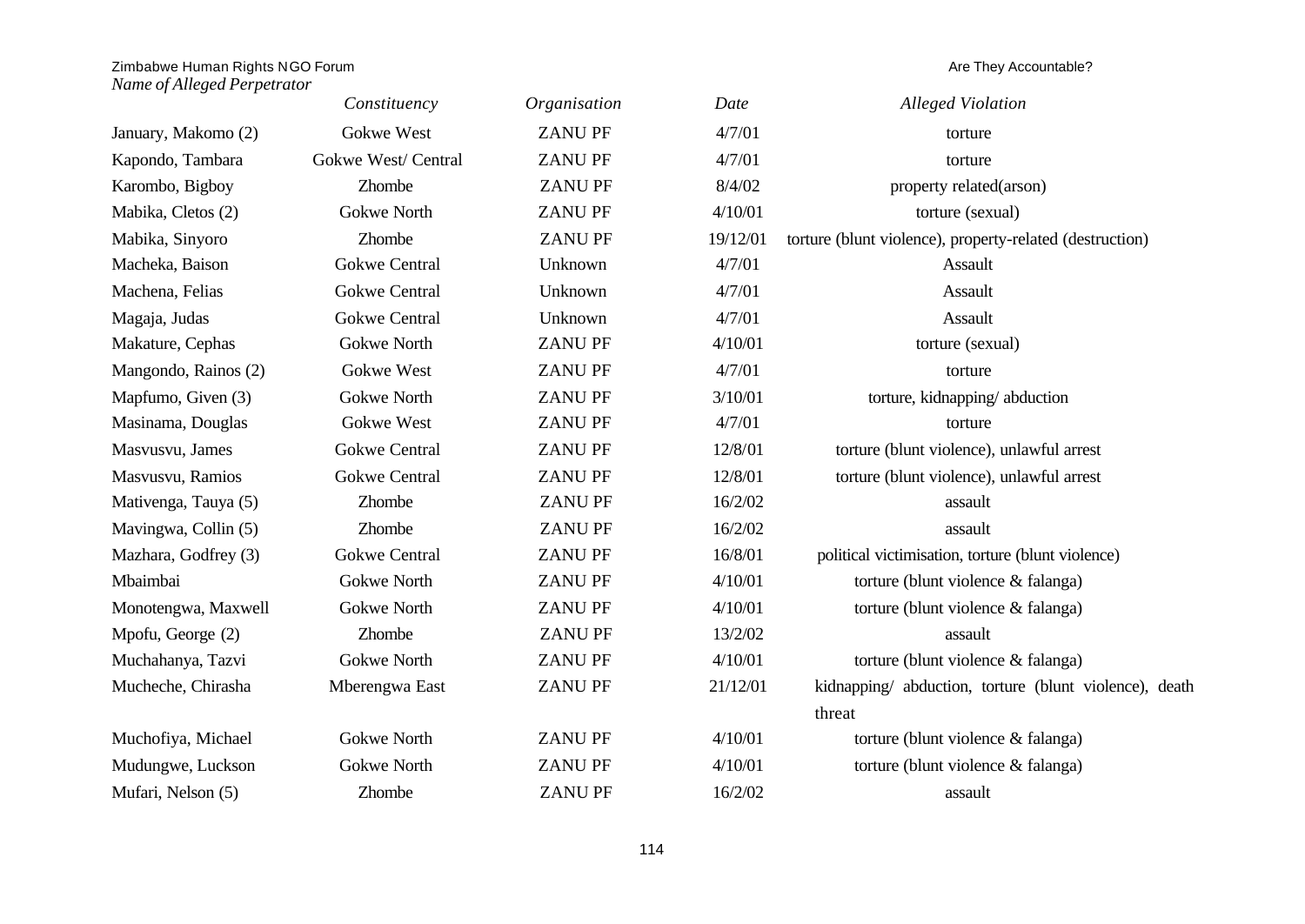|                      | Constituency         | Organisation   | Date     | <b>Alleged Violation</b>                                 |
|----------------------|----------------------|----------------|----------|----------------------------------------------------------|
| January, Makomo (2)  | <b>Gokwe West</b>    | <b>ZANUPF</b>  | 4/7/01   | torture                                                  |
| Kapondo, Tambara     | Gokwe West/ Central  | <b>ZANUPF</b>  | 4/7/01   | torture                                                  |
| Karombo, Bigboy      | Zhombe               | <b>ZANUPF</b>  | 8/4/02   | property related(arson)                                  |
| Mabika, Cletos (2)   | <b>Gokwe North</b>   | <b>ZANUPF</b>  | 4/10/01  | torture (sexual)                                         |
| Mabika, Sinyoro      | Zhombe               | <b>ZANUPF</b>  | 19/12/01 | torture (blunt violence), property-related (destruction) |
| Macheka, Baison      | <b>Gokwe Central</b> | Unknown        | 4/7/01   | Assault                                                  |
| Machena, Felias      | <b>Gokwe Central</b> | Unknown        | 4/7/01   | Assault                                                  |
| Magaja, Judas        | <b>Gokwe Central</b> | Unknown        | 4/7/01   | Assault                                                  |
| Makature, Cephas     | Gokwe North          | <b>ZANUPF</b>  | 4/10/01  | torture (sexual)                                         |
| Mangondo, Rainos (2) | Gokwe West           | <b>ZANUPF</b>  | 4/7/01   | torture                                                  |
| Mapfumo, Given (3)   | <b>Gokwe North</b>   | <b>ZANUPF</b>  | 3/10/01  | torture, kidnapping/abduction                            |
| Masinama, Douglas    | Gokwe West           | <b>ZANUPF</b>  | 4/7/01   | torture                                                  |
| Masvusvu, James      | <b>Gokwe Central</b> | <b>ZANUPF</b>  | 12/8/01  | torture (blunt violence), unlawful arrest                |
| Masvusvu, Ramios     | <b>Gokwe Central</b> | <b>ZANU PF</b> | 12/8/01  | torture (blunt violence), unlawful arrest                |
| Mativenga, Tauya (5) | Zhombe               | <b>ZANUPF</b>  | 16/2/02  | assault                                                  |
| Mavingwa, Collin (5) | Zhombe               | <b>ZANUPF</b>  | 16/2/02  | assault                                                  |
| Mazhara, Godfrey (3) | <b>Gokwe Central</b> | <b>ZANUPF</b>  | 16/8/01  | political victimisation, torture (blunt violence)        |
| Mbaimbai             | <b>Gokwe North</b>   | <b>ZANUPF</b>  | 4/10/01  | torture (blunt violence & falanga)                       |
| Monotengwa, Maxwell  | Gokwe North          | <b>ZANUPF</b>  | 4/10/01  | torture (blunt violence & falanga)                       |
| Mpofu, George (2)    | Zhombe               | <b>ZANUPF</b>  | 13/2/02  | assault                                                  |
| Muchahanya, Tazvi    | Gokwe North          | <b>ZANUPF</b>  | 4/10/01  | torture (blunt violence & falanga)                       |
| Mucheche, Chirasha   | Mberengwa East       | <b>ZANUPF</b>  | 21/12/01 | kidnapping/ abduction, torture (blunt violence), death   |
|                      |                      |                |          | threat                                                   |
| Muchofiya, Michael   | <b>Gokwe North</b>   | <b>ZANU PF</b> | 4/10/01  | torture (blunt violence & falanga)                       |
| Mudungwe, Luckson    | <b>Gokwe North</b>   | <b>ZANUPF</b>  | 4/10/01  | torture (blunt violence & falanga)                       |
| Mufari, Nelson (5)   | Zhombe               | <b>ZANUPF</b>  | 16/2/02  | assault                                                  |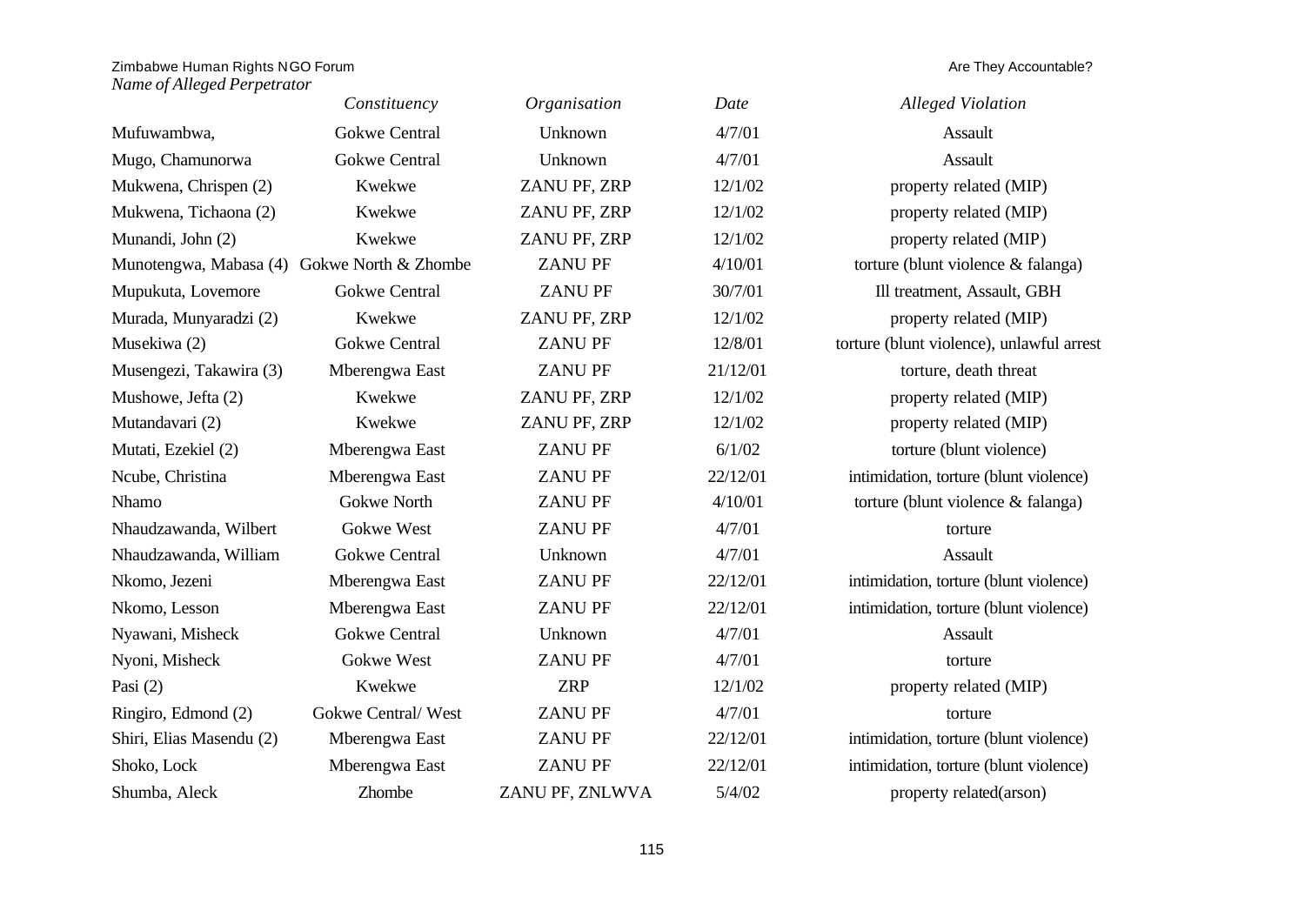|                                             | Constituency         | Organisation    | Date     | <b>Alleged Violation</b>                  |
|---------------------------------------------|----------------------|-----------------|----------|-------------------------------------------|
| Mufuwambwa,                                 | <b>Gokwe Central</b> | Unknown         | 4/7/01   | Assault                                   |
| Mugo, Chamunorwa                            | <b>Gokwe Central</b> | Unknown         | 4/7/01   | Assault                                   |
| Mukwena, Chrispen (2)                       | Kwekwe               | ZANU PF, ZRP    | 12/1/02  | property related (MIP)                    |
| Mukwena, Tichaona (2)                       | Kwekwe               | ZANU PF, ZRP    | 12/1/02  | property related (MIP)                    |
| Munandi, John (2)                           | Kwekwe               | ZANU PF, ZRP    | 12/1/02  | property related (MIP)                    |
| Munotengwa, Mabasa (4) Gokwe North & Zhombe |                      | <b>ZANUPF</b>   | 4/10/01  | torture (blunt violence & falanga)        |
| Mupukuta, Lovemore                          | <b>Gokwe Central</b> | <b>ZANUPF</b>   | 30/7/01  | Ill treatment, Assault, GBH               |
| Murada, Munyaradzi (2)                      | Kwekwe               | ZANU PF, ZRP    | 12/1/02  | property related (MIP)                    |
| Musekiwa (2)                                | <b>Gokwe Central</b> | <b>ZANUPF</b>   | 12/8/01  | torture (blunt violence), unlawful arrest |
| Musengezi, Takawira (3)                     | Mberengwa East       | <b>ZANUPF</b>   | 21/12/01 | torture, death threat                     |
| Mushowe, Jefta (2)                          | Kwekwe               | ZANU PF, ZRP    | 12/1/02  | property related (MIP)                    |
| Mutandavari (2)                             | Kwekwe               | ZANU PF, ZRP    | 12/1/02  | property related (MIP)                    |
| Mutati, Ezekiel (2)                         | Mberengwa East       | <b>ZANUPF</b>   | 6/1/02   | torture (blunt violence)                  |
| Ncube, Christina                            | Mberengwa East       | <b>ZANUPF</b>   | 22/12/01 | intimidation, torture (blunt violence)    |
| Nhamo                                       | <b>Gokwe North</b>   | <b>ZANUPF</b>   | 4/10/01  | torture (blunt violence & falanga)        |
| Nhaudzawanda, Wilbert                       | Gokwe West           | <b>ZANUPF</b>   | 4/7/01   | torture                                   |
| Nhaudzawanda, William                       | <b>Gokwe Central</b> | Unknown         | 4/7/01   | Assault                                   |
| Nkomo, Jezeni                               | Mberengwa East       | <b>ZANUPF</b>   | 22/12/01 | intimidation, torture (blunt violence)    |
| Nkomo, Lesson                               | Mberengwa East       | <b>ZANU PF</b>  | 22/12/01 | intimidation, torture (blunt violence)    |
| Nyawani, Misheck                            | <b>Gokwe Central</b> | Unknown         | 4/7/01   | Assault                                   |
| Nyoni, Misheck                              | Gokwe West           | <b>ZANUPF</b>   | 4/7/01   | torture                                   |
| Pasi $(2)$                                  | Kwekwe               | <b>ZRP</b>      | 12/1/02  | property related (MIP)                    |
| Ringiro, Edmond (2)                         | Gokwe Central/West   | <b>ZANUPF</b>   | 4/7/01   | torture                                   |
| Shiri, Elias Masendu (2)                    | Mberengwa East       | <b>ZANU PF</b>  | 22/12/01 | intimidation, torture (blunt violence)    |
| Shoko, Lock                                 | Mberengwa East       | <b>ZANUPF</b>   | 22/12/01 | intimidation, torture (blunt violence)    |
| Shumba, Aleck                               | Zhombe               | ZANU PF, ZNLWVA | 5/4/02   | property related(arson)                   |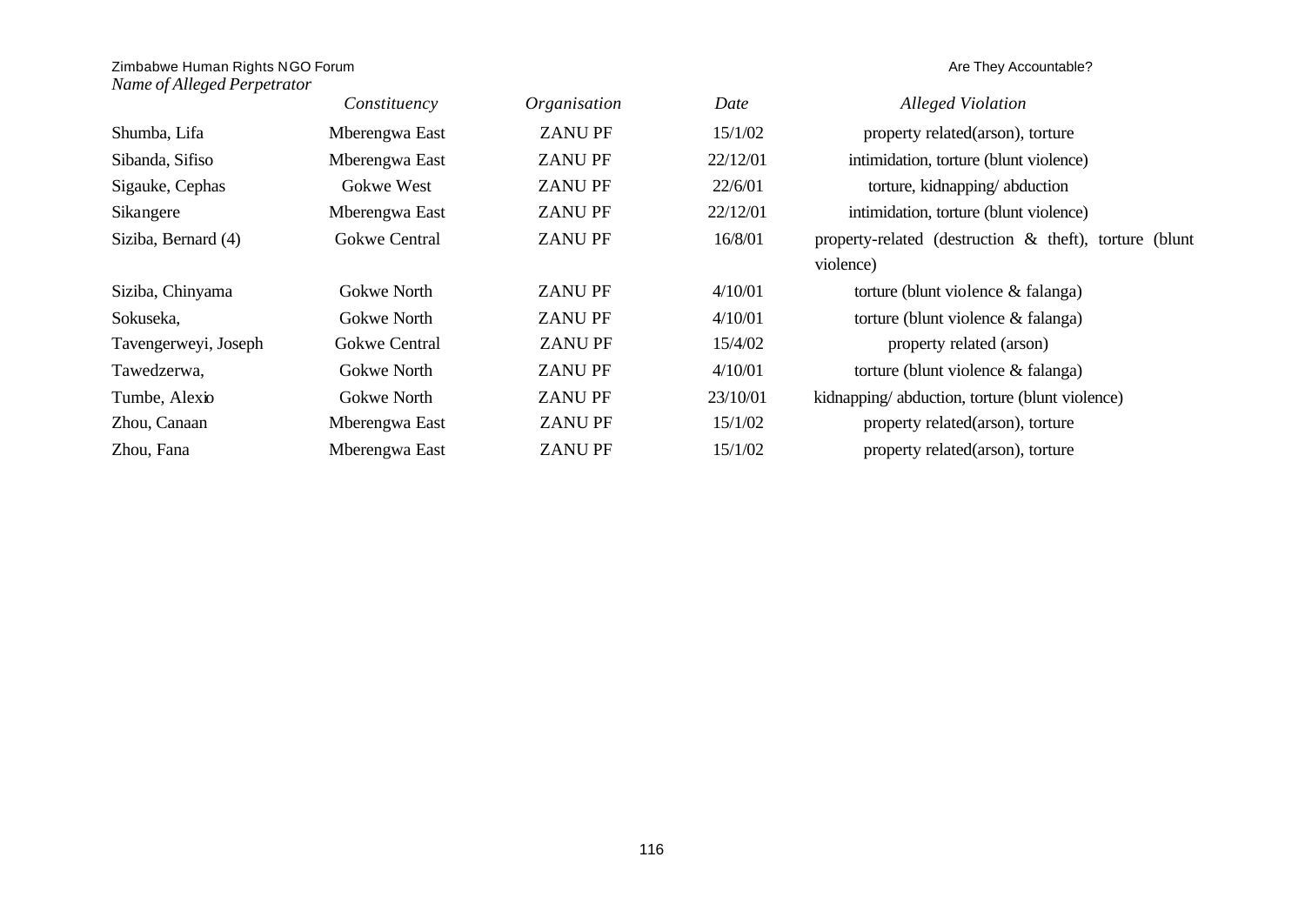|                      | Constituency         | Organisation  | Date     | <b>Alleged Violation</b>                                  |
|----------------------|----------------------|---------------|----------|-----------------------------------------------------------|
| Shumba, Lifa         | Mberengwa East       | <b>ZANUPF</b> | 15/1/02  | property related(arson), torture                          |
| Sibanda, Sifiso      | Mberengwa East       | <b>ZANUPF</b> | 22/12/01 | intimidation, torture (blunt violence)                    |
| Sigauke, Cephas      | Gokwe West           | <b>ZANUPF</b> | 22/6/01  | torture, kidnapping/abduction                             |
| Sikangere            | Mberengwa East       | <b>ZANUPF</b> | 22/12/01 | intimidation, torture (blunt violence)                    |
| Siziba, Bernard (4)  | <b>Gokwe Central</b> | <b>ZANUPF</b> | 16/8/01  | property-related (destruction $\&$ theft), torture (blunt |
|                      |                      |               |          | violence)                                                 |
| Siziba, Chinyama     | Gokwe North          | <b>ZANUPF</b> | 4/10/01  | torture (blunt violence & falanga)                        |
| Sokuseka,            | Gokwe North          | <b>ZANUPF</b> | 4/10/01  | torture (blunt violence & falanga)                        |
| Tavengerweyi, Joseph | <b>Gokwe Central</b> | <b>ZANUPF</b> | 15/4/02  | property related (arson)                                  |
| Tawedzerwa,          | Gokwe North          | <b>ZANUPF</b> | 4/10/01  | torture (blunt violence & falanga)                        |
| Tumbe, Alexio        | Gokwe North          | <b>ZANUPF</b> | 23/10/01 | kidnapping/abduction, torture (blunt violence)            |
| Zhou, Canaan         | Mberengwa East       | <b>ZANUPF</b> | 15/1/02  | property related(arson), torture                          |
| Zhou, Fana           | Mberengwa East       | <b>ZANUPF</b> | 15/1/02  | property related(arson), torture                          |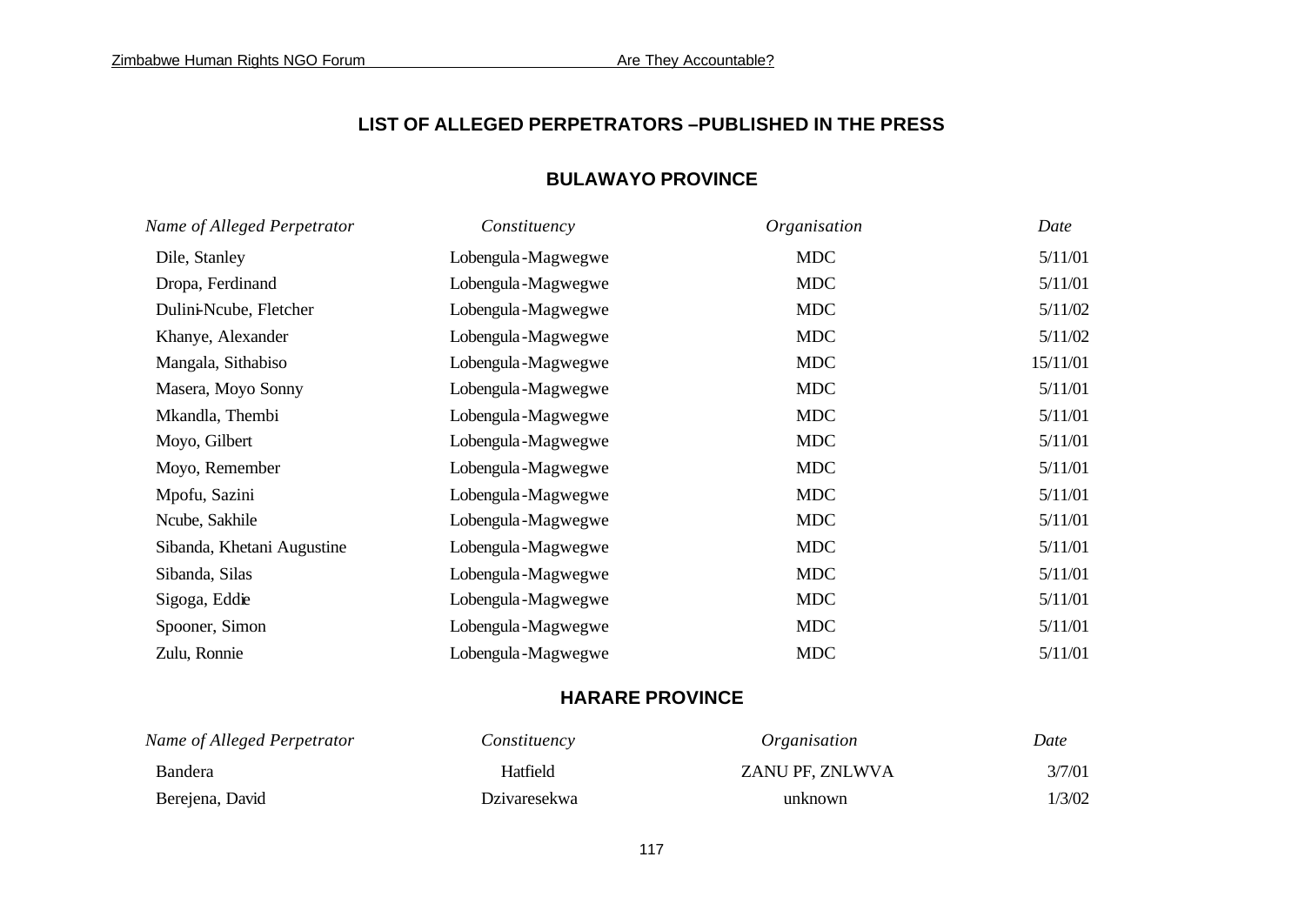## **LIST OF ALLEGED PERPETRATORS –PUBLISHED IN THE PRESS**

## **BULAWAYO PROVINCE**

| Name of Alleged Perpetrator | Constituency       | Organisation | Date     |
|-----------------------------|--------------------|--------------|----------|
| Dile, Stanley               | Lobengula-Magwegwe | <b>MDC</b>   | 5/11/01  |
| Dropa, Ferdinand            | Lobengula-Magwegwe | <b>MDC</b>   | 5/11/01  |
| Dulini-Ncube, Fletcher      | Lobengula-Magwegwe | <b>MDC</b>   | 5/11/02  |
| Khanye, Alexander           | Lobengula-Magwegwe | <b>MDC</b>   | 5/11/02  |
| Mangala, Sithabiso          | Lobengula-Magwegwe | <b>MDC</b>   | 15/11/01 |
| Masera, Moyo Sonny          | Lobengula-Magwegwe | <b>MDC</b>   | 5/11/01  |
| Mkandla, Thembi             | Lobengula-Magwegwe | <b>MDC</b>   | 5/11/01  |
| Moyo, Gilbert               | Lobengula-Magwegwe | <b>MDC</b>   | 5/11/01  |
| Moyo, Remember              | Lobengula-Magwegwe | <b>MDC</b>   | 5/11/01  |
| Mpofu, Sazini               | Lobengula-Magwegwe | <b>MDC</b>   | 5/11/01  |
| Ncube, Sakhile              | Lobengula-Magwegwe | <b>MDC</b>   | 5/11/01  |
| Sibanda, Khetani Augustine  | Lobengula-Magwegwe | <b>MDC</b>   | 5/11/01  |
| Sibanda, Silas              | Lobengula-Magwegwe | <b>MDC</b>   | 5/11/01  |
| Sigoga, Eddie               | Lobengula-Magwegwe | <b>MDC</b>   | 5/11/01  |
| Spooner, Simon              | Lobengula-Magwegwe | <b>MDC</b>   | 5/11/01  |
| Zulu, Ronnie                | Lobengula-Magwegwe | <b>MDC</b>   | 5/11/01  |

## **HARARE PROVINCE**

| Name of Alleged Perpetrator | Constituency        | <i><b>Organisation</b></i> | Date   |
|-----------------------------|---------------------|----------------------------|--------|
| <b>Bandera</b>              | Hatfield            | ZANU PF, ZNLWVA            | 3/7/01 |
| Berejena, David             | <b>Dzivaresekwa</b> | unknown                    | 1/3/02 |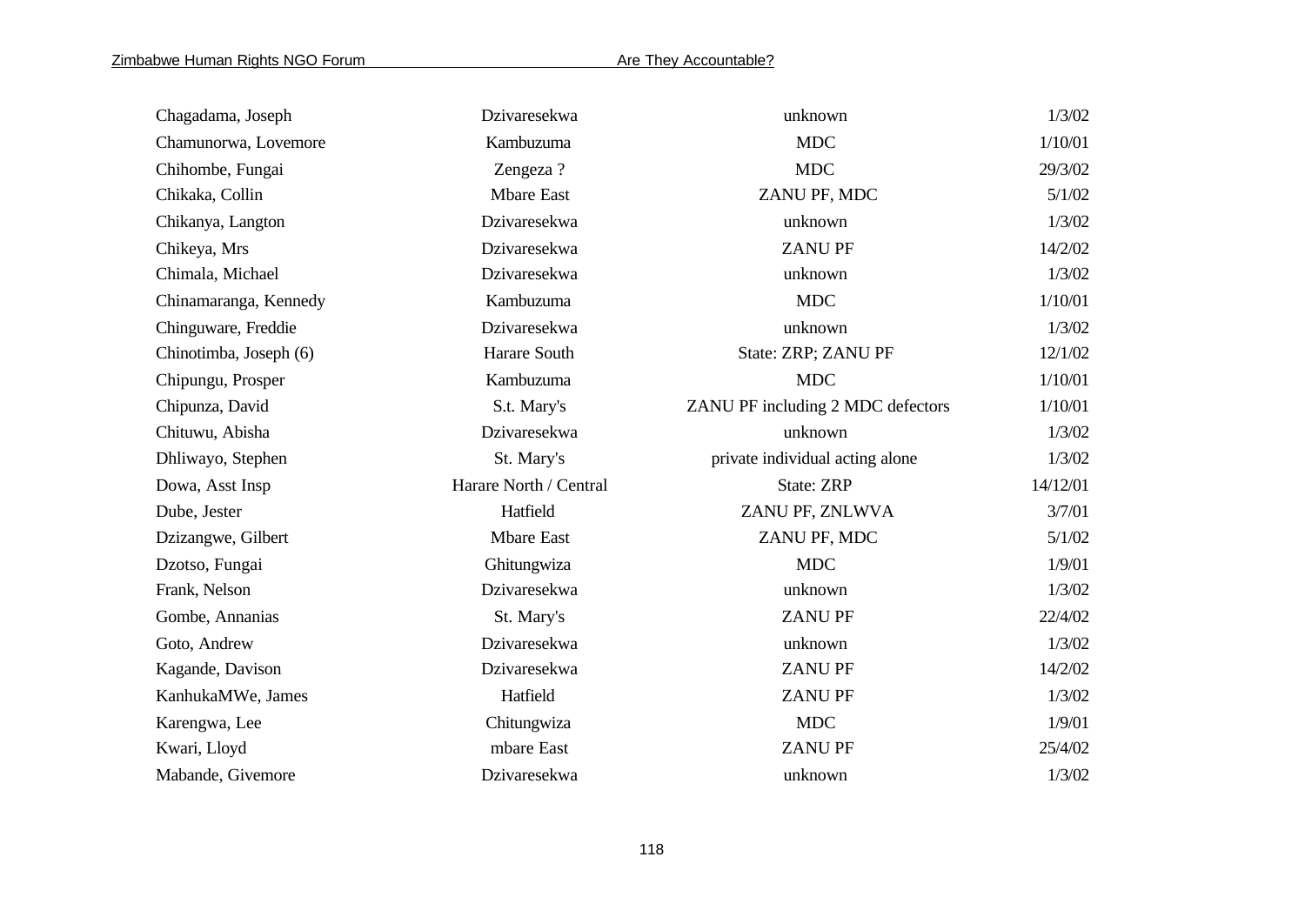| Chagadama, Joseph      | Dzivaresekwa           | unknown                           | 1/3/02   |
|------------------------|------------------------|-----------------------------------|----------|
| Chamunorwa, Lovemore   | Kambuzuma              | <b>MDC</b>                        | 1/10/01  |
| Chihombe, Fungai       | Zengeza ?              | <b>MDC</b>                        | 29/3/02  |
| Chikaka, Collin        | <b>Mbare East</b>      | ZANU PF, MDC                      | 5/1/02   |
| Chikanya, Langton      | Dzivaresekwa           | unknown                           | 1/3/02   |
| Chikeya, Mrs           | Dzivaresekwa           | <b>ZANUPF</b>                     | 14/2/02  |
| Chimala, Michael       | Dzivaresekwa           | unknown                           | 1/3/02   |
| Chinamaranga, Kennedy  | Kambuzuma              | <b>MDC</b>                        | 1/10/01  |
| Chinguware, Freddie    | Dzivaresekwa           | unknown                           | 1/3/02   |
| Chinotimba, Joseph (6) | Harare South           | State: ZRP; ZANU PF               | 12/1/02  |
| Chipungu, Prosper      | Kambuzuma              | <b>MDC</b>                        | 1/10/01  |
| Chipunza, David        | S.t. Mary's            | ZANU PF including 2 MDC defectors | 1/10/01  |
| Chituwu, Abisha        | Dzivaresekwa           | unknown                           | 1/3/02   |
| Dhliwayo, Stephen      | St. Mary's             | private individual acting alone   | 1/3/02   |
| Dowa, Asst Insp        | Harare North / Central | State: ZRP                        | 14/12/01 |
| Dube, Jester           | Hatfield               | ZANU PF, ZNLWVA                   | 3/7/01   |
| Dzizangwe, Gilbert     | <b>Mbare East</b>      | ZANU PF, MDC                      | 5/1/02   |
| Dzotso, Fungai         | Ghitungwiza            | <b>MDC</b>                        | 1/9/01   |
| Frank, Nelson          | Dzivaresekwa           | unknown                           | 1/3/02   |
| Gombe, Annanias        | St. Mary's             | <b>ZANUPF</b>                     | 22/4/02  |
| Goto, Andrew           | Dzivaresekwa           | unknown                           | 1/3/02   |
| Kagande, Davison       | Dzivaresekwa           | <b>ZANUPF</b>                     | 14/2/02  |
| KanhukaMWe, James      | Hatfield               | <b>ZANUPF</b>                     | 1/3/02   |
| Karengwa, Lee          | Chitungwiza            | <b>MDC</b>                        | 1/9/01   |
| Kwari, Lloyd           | mbare East             | <b>ZANUPF</b>                     | 25/4/02  |
| Mabande, Givemore      | Dzivaresekwa           | unknown                           | 1/3/02   |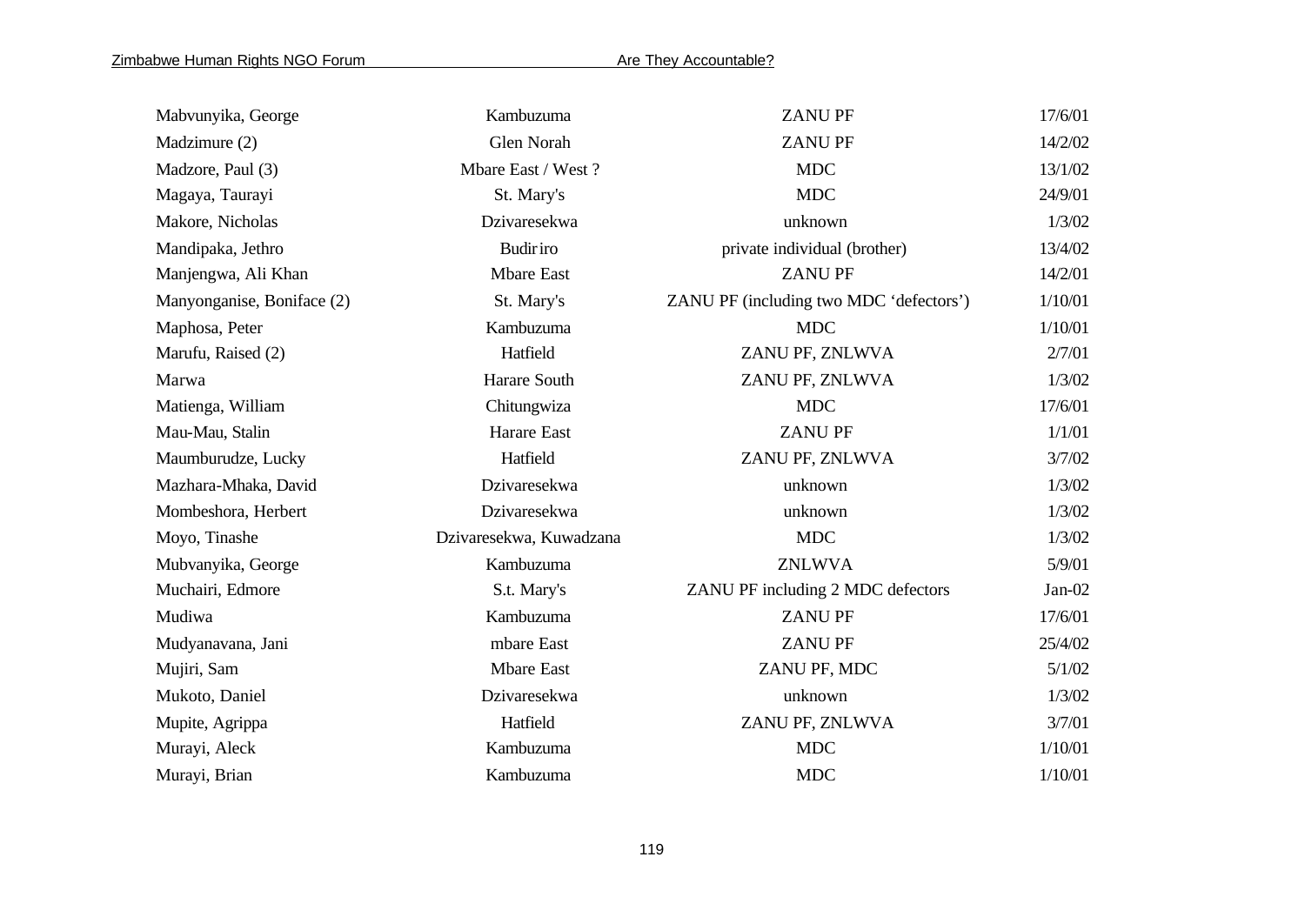| Mabvunyika, George         | Kambuzuma               | <b>ZANUPF</b>                           | 17/6/01  |
|----------------------------|-------------------------|-----------------------------------------|----------|
| Madzimure (2)              | Glen Norah              | <b>ZANUPF</b>                           | 14/2/02  |
| Madzore, Paul (3)          | Mbare East / West?      | <b>MDC</b>                              | 13/1/02  |
| Magaya, Taurayi            | St. Mary's              | <b>MDC</b>                              | 24/9/01  |
| Makore, Nicholas           | Dzivaresekwa            | unknown                                 | 1/3/02   |
| Mandipaka, Jethro          | <b>Budiriro</b>         | private individual (brother)            | 13/4/02  |
| Manjengwa, Ali Khan        | <b>Mbare East</b>       | <b>ZANUPF</b>                           | 14/2/01  |
| Manyonganise, Boniface (2) | St. Mary's              | ZANU PF (including two MDC 'defectors') | 1/10/01  |
| Maphosa, Peter             | Kambuzuma               | <b>MDC</b>                              | 1/10/01  |
| Marufu, Raised (2)         | Hatfield                | ZANU PF, ZNLWVA                         | 2/7/01   |
| Marwa                      | Harare South            | ZANU PF, ZNLWVA                         | 1/3/02   |
| Matienga, William          | Chitungwiza             | <b>MDC</b>                              | 17/6/01  |
| Mau-Mau, Stalin            | Harare East             | <b>ZANUPF</b>                           | 1/1/01   |
| Maumburudze, Lucky         | Hatfield                | ZANU PF, ZNLWVA                         | 3/7/02   |
| Mazhara-Mhaka, David       | Dzivaresekwa            | unknown                                 | 1/3/02   |
| Mombeshora, Herbert        | Dzivaresekwa            | unknown                                 | 1/3/02   |
| Moyo, Tinashe              | Dzivaresekwa, Kuwadzana | <b>MDC</b>                              | 1/3/02   |
| Mubvanyika, George         | Kambuzuma               | <b>ZNLWVA</b>                           | 5/9/01   |
| Muchairi, Edmore           | S.t. Mary's             | ZANU PF including 2 MDC defectors       | $Jan-02$ |
| Mudiwa                     | Kambuzuma               | <b>ZANUPF</b>                           | 17/6/01  |
| Mudyanavana, Jani          | mbare East              | <b>ZANUPF</b>                           | 25/4/02  |
| Mujiri, Sam                | <b>Mbare East</b>       | ZANU PF, MDC                            | 5/1/02   |
| Mukoto, Daniel             | Dzivaresekwa            | unknown                                 | 1/3/02   |
| Mupite, Agrippa            | Hatfield                | ZANU PF, ZNLWVA                         | 3/7/01   |
| Murayi, Aleck              | Kambuzuma               | <b>MDC</b>                              | 1/10/01  |
| Murayi, Brian              | Kambuzuma               | <b>MDC</b>                              | 1/10/01  |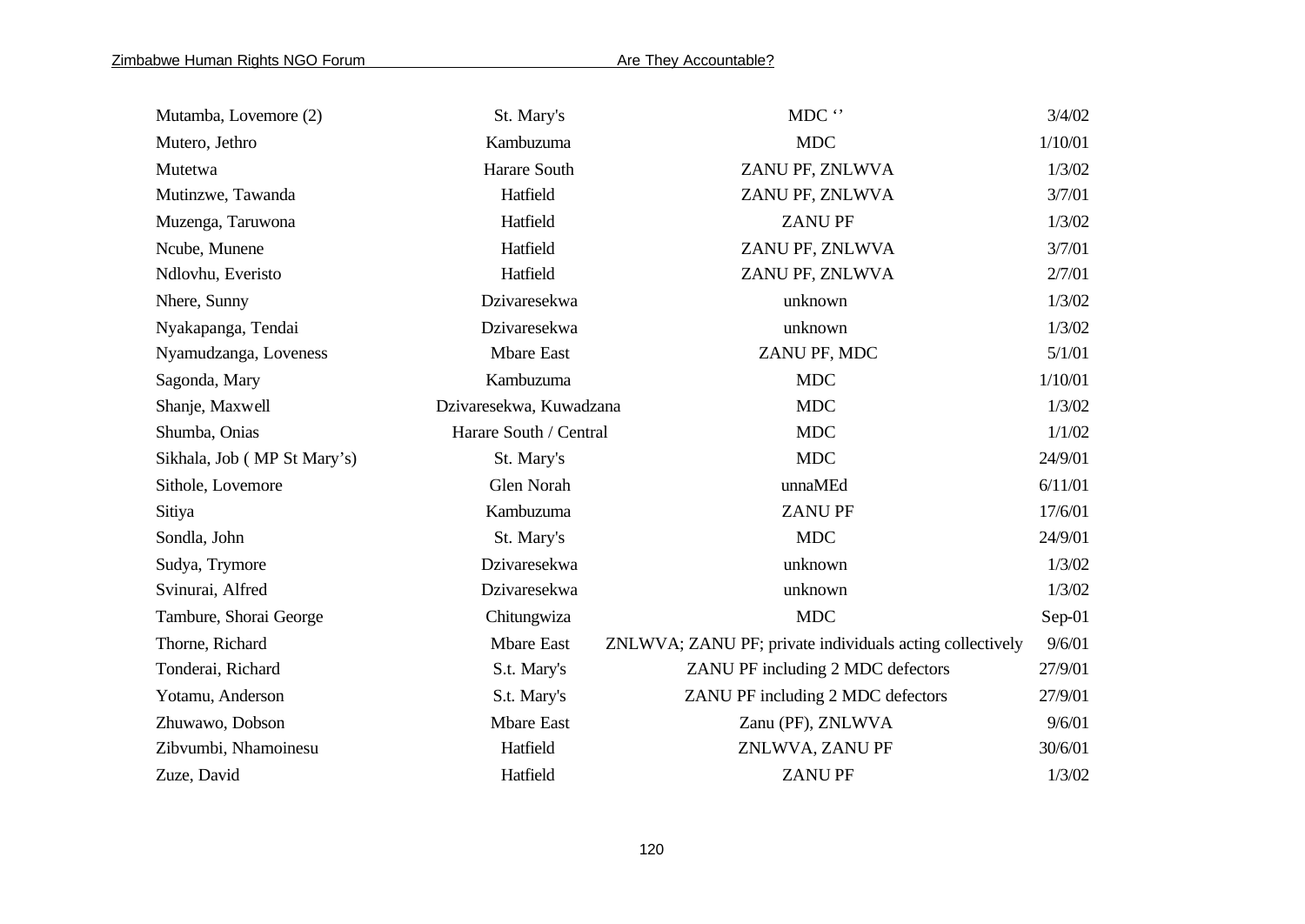| Mutamba, Lovemore (2)       | St. Mary's              | MDC $\lq\lq$                                             | 3/4/02  |
|-----------------------------|-------------------------|----------------------------------------------------------|---------|
| Mutero, Jethro              | Kambuzuma               | <b>MDC</b>                                               | 1/10/01 |
| Mutetwa                     | Harare South            | ZANU PF, ZNLWVA                                          | 1/3/02  |
| Mutinzwe, Tawanda           | Hatfield                | ZANU PF, ZNLWVA                                          | 3/7/01  |
| Muzenga, Taruwona           | Hatfield                | <b>ZANUPF</b>                                            | 1/3/02  |
| Ncube, Munene               | Hatfield                | ZANU PF, ZNLWVA                                          | 3/7/01  |
| Ndlovhu, Everisto           | Hatfield                | ZANU PF, ZNLWVA                                          | 2/7/01  |
| Nhere, Sunny                | Dzivaresekwa            | unknown                                                  | 1/3/02  |
| Nyakapanga, Tendai          | Dzivaresekwa            | unknown                                                  | 1/3/02  |
| Nyamudzanga, Loveness       | <b>Mbare East</b>       | ZANU PF, MDC                                             | 5/1/01  |
| Sagonda, Mary               | Kambuzuma               | <b>MDC</b>                                               | 1/10/01 |
| Shanje, Maxwell             | Dzivaresekwa, Kuwadzana | <b>MDC</b>                                               | 1/3/02  |
| Shumba, Onias               | Harare South / Central  | <b>MDC</b>                                               | 1/1/02  |
| Sikhala, Job (MP St Mary's) | St. Mary's              | <b>MDC</b>                                               | 24/9/01 |
| Sithole, Lovemore           | Glen Norah              | unnaMEd                                                  | 6/11/01 |
| Sitiya                      | Kambuzuma               | <b>ZANUPF</b>                                            | 17/6/01 |
| Sondla, John                | St. Mary's              | <b>MDC</b>                                               | 24/9/01 |
| Sudya, Trymore              | Dzivaresekwa            | unknown                                                  | 1/3/02  |
| Svinurai, Alfred            | Dzivaresekwa            | unknown                                                  | 1/3/02  |
| Tambure, Shorai George      | Chitungwiza             | <b>MDC</b>                                               | Sep-01  |
| Thorne, Richard             | <b>Mbare East</b>       | ZNLWVA; ZANU PF; private individuals acting collectively | 9/6/01  |
| Tonderai, Richard           | S.t. Mary's             | ZANU PF including 2 MDC defectors                        | 27/9/01 |
| Yotamu, Anderson            | S.t. Mary's             | ZANU PF including 2 MDC defectors                        | 27/9/01 |
| Zhuwawo, Dobson             | <b>Mbare East</b>       | Zanu (PF), ZNLWVA                                        | 9/6/01  |
| Zibvumbi, Nhamoinesu        | Hatfield                | ZNLWVA, ZANU PF                                          | 30/6/01 |
| Zuze, David                 | Hatfield                | <b>ZANUPF</b>                                            | 1/3/02  |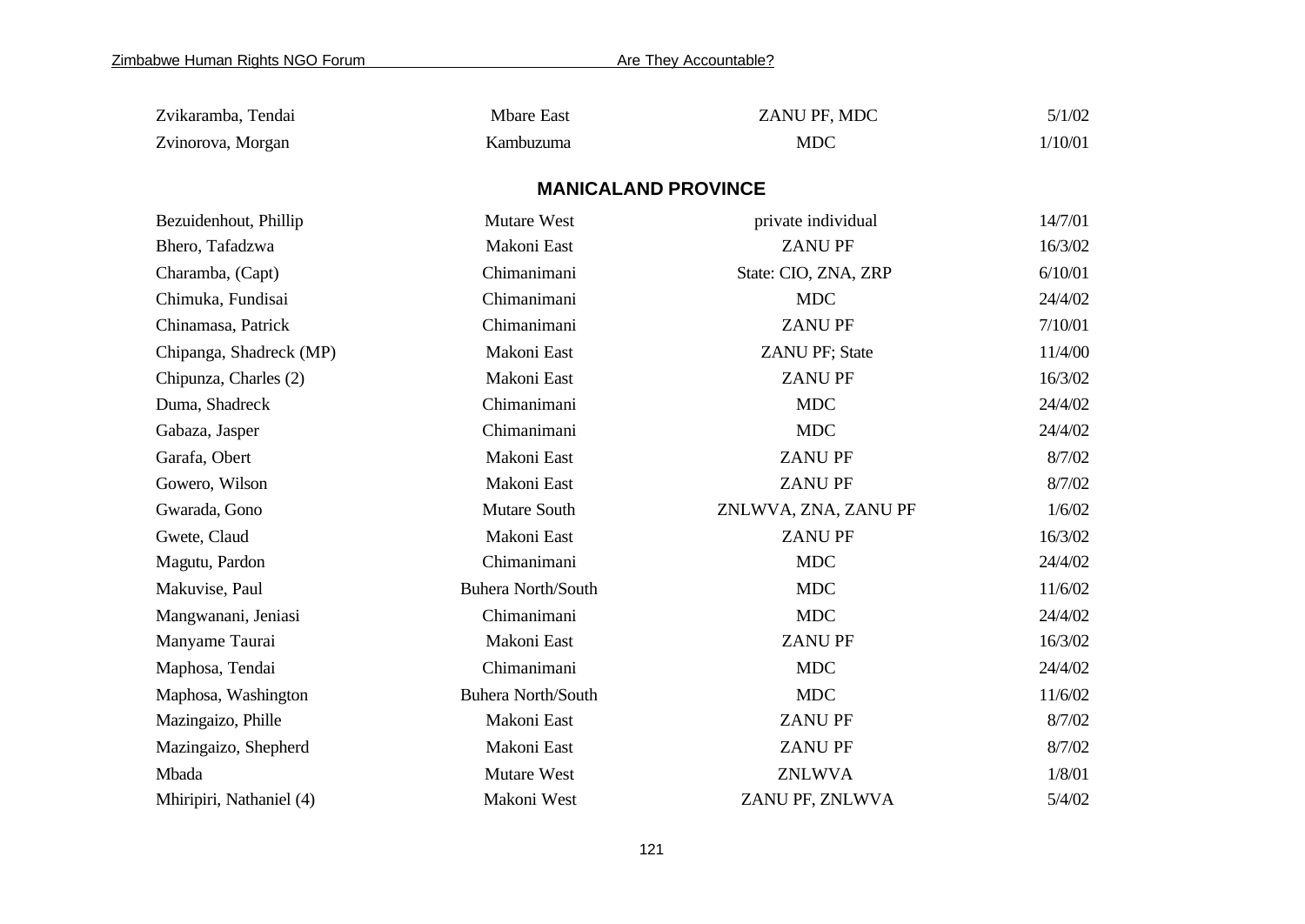| Zvikaramba, Tendai       | <b>Mbare East</b>          | ZANU PF, MDC          | 5/1/02  |
|--------------------------|----------------------------|-----------------------|---------|
| Zvinorova, Morgan        | Kambuzuma                  | <b>MDC</b>            | 1/10/01 |
|                          | <b>MANICALAND PROVINCE</b> |                       |         |
| Bezuidenhout, Phillip    | <b>Mutare West</b>         | private individual    | 14/7/01 |
| Bhero, Tafadzwa          | Makoni East                | <b>ZANUPF</b>         | 16/3/02 |
| Charamba, (Capt)         | Chimanimani                | State: CIO, ZNA, ZRP  | 6/10/01 |
| Chimuka, Fundisai        | Chimanimani                | <b>MDC</b>            | 24/4/02 |
| Chinamasa, Patrick       | Chimanimani                | <b>ZANUPF</b>         | 7/10/01 |
| Chipanga, Shadreck (MP)  | Makoni East                | <b>ZANU PF; State</b> | 11/4/00 |
| Chipunza, Charles (2)    | Makoni East                | <b>ZANUPF</b>         | 16/3/02 |
| Duma, Shadreck           | Chimanimani                | <b>MDC</b>            | 24/4/02 |
| Gabaza, Jasper           | Chimanimani                | <b>MDC</b>            | 24/4/02 |
| Garafa, Obert            | Makoni East                | <b>ZANU PF</b>        | 8/7/02  |
| Gowero, Wilson           | Makoni East                | <b>ZANU PF</b>        | 8/7/02  |
| Gwarada, Gono            | Mutare South               | ZNLWVA, ZNA, ZANU PF  | 1/6/02  |
| Gwete, Claud             | Makoni East                | <b>ZANUPF</b>         | 16/3/02 |
| Magutu, Pardon           | Chimanimani                | <b>MDC</b>            | 24/4/02 |
| Makuvise, Paul           | <b>Buhera North/South</b>  | <b>MDC</b>            | 11/6/02 |
| Mangwanani, Jeniasi      | Chimanimani                | <b>MDC</b>            | 24/4/02 |
| Manyame Taurai           | Makoni East                | <b>ZANUPF</b>         | 16/3/02 |
| Maphosa, Tendai          | Chimanimani                | <b>MDC</b>            | 24/4/02 |
| Maphosa, Washington      | <b>Buhera North/South</b>  | <b>MDC</b>            | 11/6/02 |
| Mazingaizo, Phille       | Makoni East                | <b>ZANU PF</b>        | 8/7/02  |
| Mazingaizo, Shepherd     | Makoni East                | <b>ZANU PF</b>        | 8/7/02  |
| Mbada                    | <b>Mutare West</b>         | <b>ZNLWVA</b>         | 1/8/01  |
| Mhiripiri, Nathaniel (4) | Makoni West                | ZANU PF, ZNLWVA       | 5/4/02  |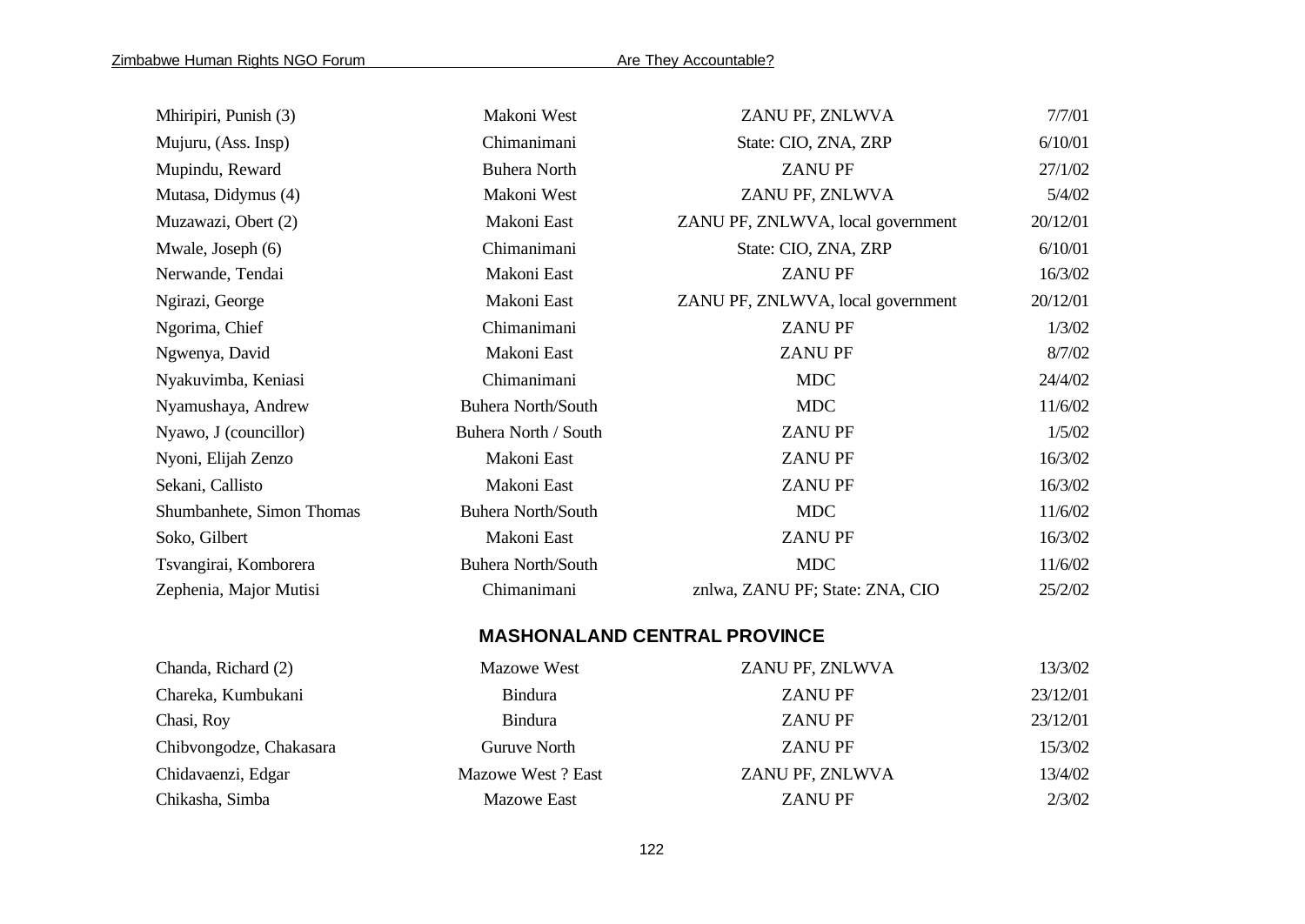| Mhiripiri, Punish (3)     | Makoni West               | ZANU PF, ZNLWVA                     | 7/7/01   |
|---------------------------|---------------------------|-------------------------------------|----------|
| Mujuru, (Ass. Insp)       | Chimanimani               | State: CIO, ZNA, ZRP                | 6/10/01  |
| Mupindu, Reward           | <b>Buhera North</b>       | <b>ZANUPF</b>                       | 27/1/02  |
| Mutasa, Didymus (4)       | Makoni West               | ZANU PF, ZNLWVA                     | 5/4/02   |
| Muzawazi, Obert (2)       | Makoni East               | ZANU PF, ZNLWVA, local government   | 20/12/01 |
| Mwale, Joseph (6)         | Chimanimani               | State: CIO, ZNA, ZRP                | 6/10/01  |
| Nerwande, Tendai          | Makoni East               | <b>ZANUPF</b>                       | 16/3/02  |
| Ngirazi, George           | Makoni East               | ZANU PF, ZNLWVA, local government   | 20/12/01 |
| Ngorima, Chief            | Chimanimani               | <b>ZANUPF</b>                       | 1/3/02   |
| Ngwenya, David            | Makoni East               | <b>ZANU PF</b>                      | 8/7/02   |
| Nyakuvimba, Keniasi       | Chimanimani               | <b>MDC</b>                          | 24/4/02  |
| Nyamushaya, Andrew        | <b>Buhera North/South</b> | <b>MDC</b>                          | 11/6/02  |
| Nyawo, J (councillor)     | Buhera North / South      | <b>ZANUPF</b>                       | 1/5/02   |
| Nyoni, Elijah Zenzo       | Makoni East               | <b>ZANUPF</b>                       | 16/3/02  |
| Sekani, Callisto          | Makoni East               | <b>ZANUPF</b>                       | 16/3/02  |
| Shumbanhete, Simon Thomas | <b>Buhera North/South</b> | <b>MDC</b>                          | 11/6/02  |
| Soko, Gilbert             | Makoni East               | <b>ZANUPF</b>                       | 16/3/02  |
| Tsvangirai, Komborera     | <b>Buhera North/South</b> | <b>MDC</b>                          | 11/6/02  |
| Zephenia, Major Mutisi    | Chimanimani               | znlwa, ZANU PF; State: ZNA, CIO     | 25/2/02  |
|                           |                           | <b>MASHONALAND CENTRAL PROVINCE</b> |          |
| Chanda, Richard (2)       | <b>Mazowe West</b>        | ZANU PF, ZNLWVA                     | 13/3/02  |
| Chareka, Kumbukani        | <b>Bindura</b>            | <b>ZANUPF</b>                       | 23/12/01 |
| Chasi, Roy                | <b>Bindura</b>            | <b>ZANUPF</b>                       | 23/12/01 |
| Chibvongodze, Chakasara   | <b>Guruve North</b>       | <b>ZANUPF</b>                       | 15/3/02  |
| Chidavaenzi, Edgar        | Mazowe West? East         | ZANU PF, ZNLWVA                     | 13/4/02  |

Chikasha, Simba Mazowe East ZANU PF 2/3/02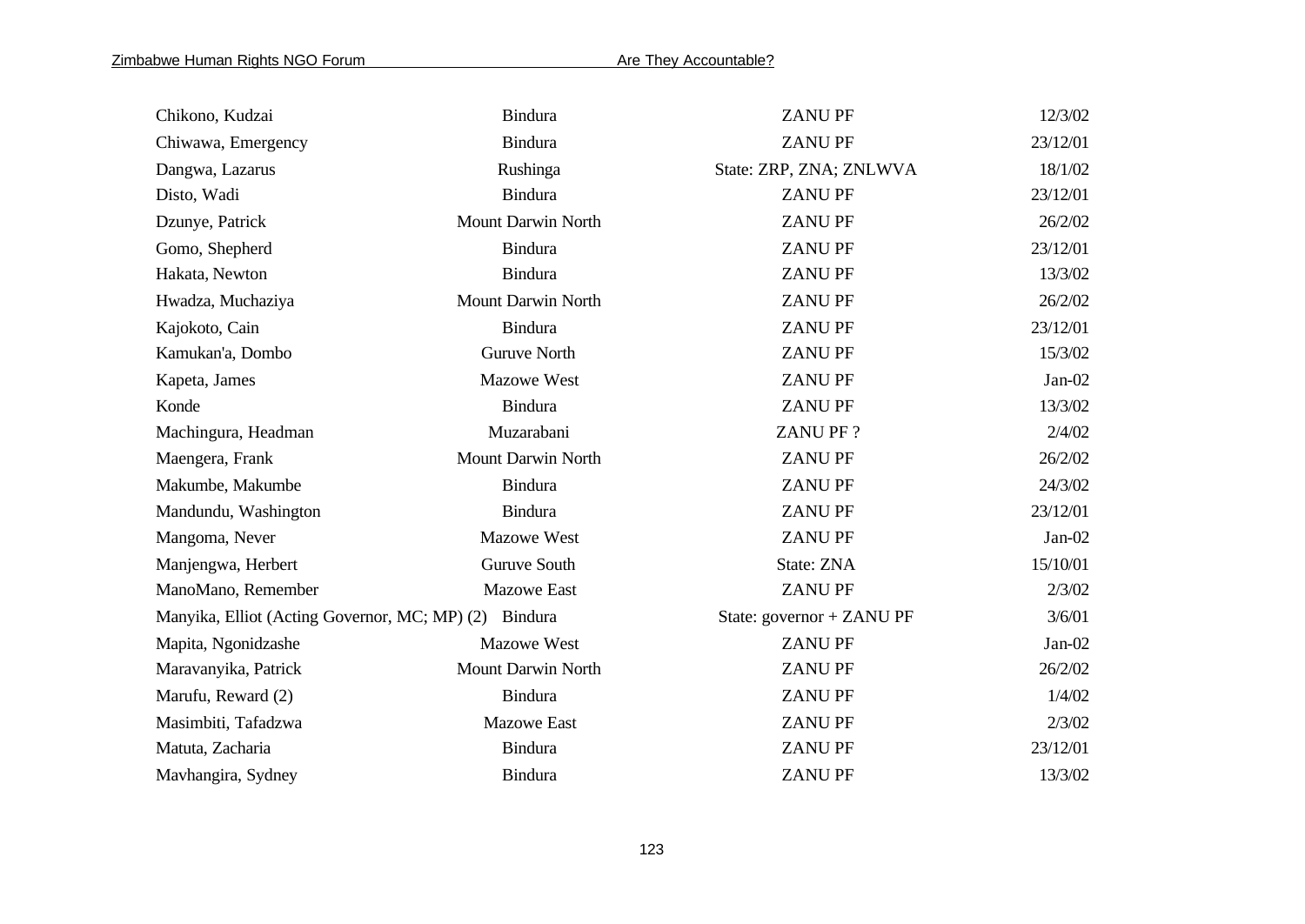| Chikono, Kudzai                                       | <b>Bindura</b>            | <b>ZANUPF</b>             | 12/3/02  |
|-------------------------------------------------------|---------------------------|---------------------------|----------|
| Chiwawa, Emergency                                    | <b>Bindura</b>            | <b>ZANUPF</b>             | 23/12/01 |
| Dangwa, Lazarus                                       | Rushinga                  | State: ZRP, ZNA; ZNLWVA   | 18/1/02  |
| Disto, Wadi                                           | <b>Bindura</b>            | <b>ZANUPF</b>             | 23/12/01 |
| Dzunye, Patrick                                       | Mount Darwin North        | <b>ZANUPF</b>             | 26/2/02  |
| Gomo, Shepherd                                        | <b>Bindura</b>            | <b>ZANUPF</b>             | 23/12/01 |
| Hakata, Newton                                        | <b>Bindura</b>            | <b>ZANUPF</b>             | 13/3/02  |
| Hwadza, Muchaziya                                     | Mount Darwin North        | <b>ZANUPF</b>             | 26/2/02  |
| Kajokoto, Cain                                        | <b>Bindura</b>            | <b>ZANUPF</b>             | 23/12/01 |
| Kamukan'a, Dombo                                      | <b>Guruve North</b>       | <b>ZANUPF</b>             | 15/3/02  |
| Kapeta, James                                         | <b>Mazowe West</b>        | <b>ZANUPF</b>             | $Jan-02$ |
| Konde                                                 | <b>Bindura</b>            | <b>ZANUPF</b>             | 13/3/02  |
| Machingura, Headman                                   | Muzarabani                | <b>ZANUPF?</b>            | 2/4/02   |
| Maengera, Frank                                       | Mount Darwin North        | <b>ZANUPF</b>             | 26/2/02  |
| Makumbe, Makumbe                                      | <b>Bindura</b>            | <b>ZANUPF</b>             | 24/3/02  |
| Mandundu, Washington                                  | <b>Bindura</b>            | <b>ZANUPF</b>             | 23/12/01 |
| Mangoma, Never                                        | Mazowe West               | <b>ZANUPF</b>             | $Jan-02$ |
| Manjengwa, Herbert                                    | Guruve South              | State: ZNA                | 15/10/01 |
| ManoMano, Remember                                    | <b>Mazowe East</b>        | <b>ZANUPF</b>             | 2/3/02   |
| Manyika, Elliot (Acting Governor, MC; MP) (2) Bindura |                           | State: governor + ZANU PF | 3/6/01   |
| Mapita, Ngonidzashe                                   | <b>Mazowe West</b>        | <b>ZANUPF</b>             | $Jan-02$ |
| Maravanyika, Patrick                                  | <b>Mount Darwin North</b> | <b>ZANUPF</b>             | 26/2/02  |
| Marufu, Reward (2)                                    | <b>Bindura</b>            | <b>ZANUPF</b>             | 1/4/02   |
| Masimbiti, Tafadzwa                                   | <b>Mazowe East</b>        | <b>ZANUPF</b>             | 2/3/02   |
| Matuta, Zacharia                                      | <b>Bindura</b>            | <b>ZANUPF</b>             | 23/12/01 |
| Mavhangira, Sydney                                    | <b>Bindura</b>            | <b>ZANUPF</b>             | 13/3/02  |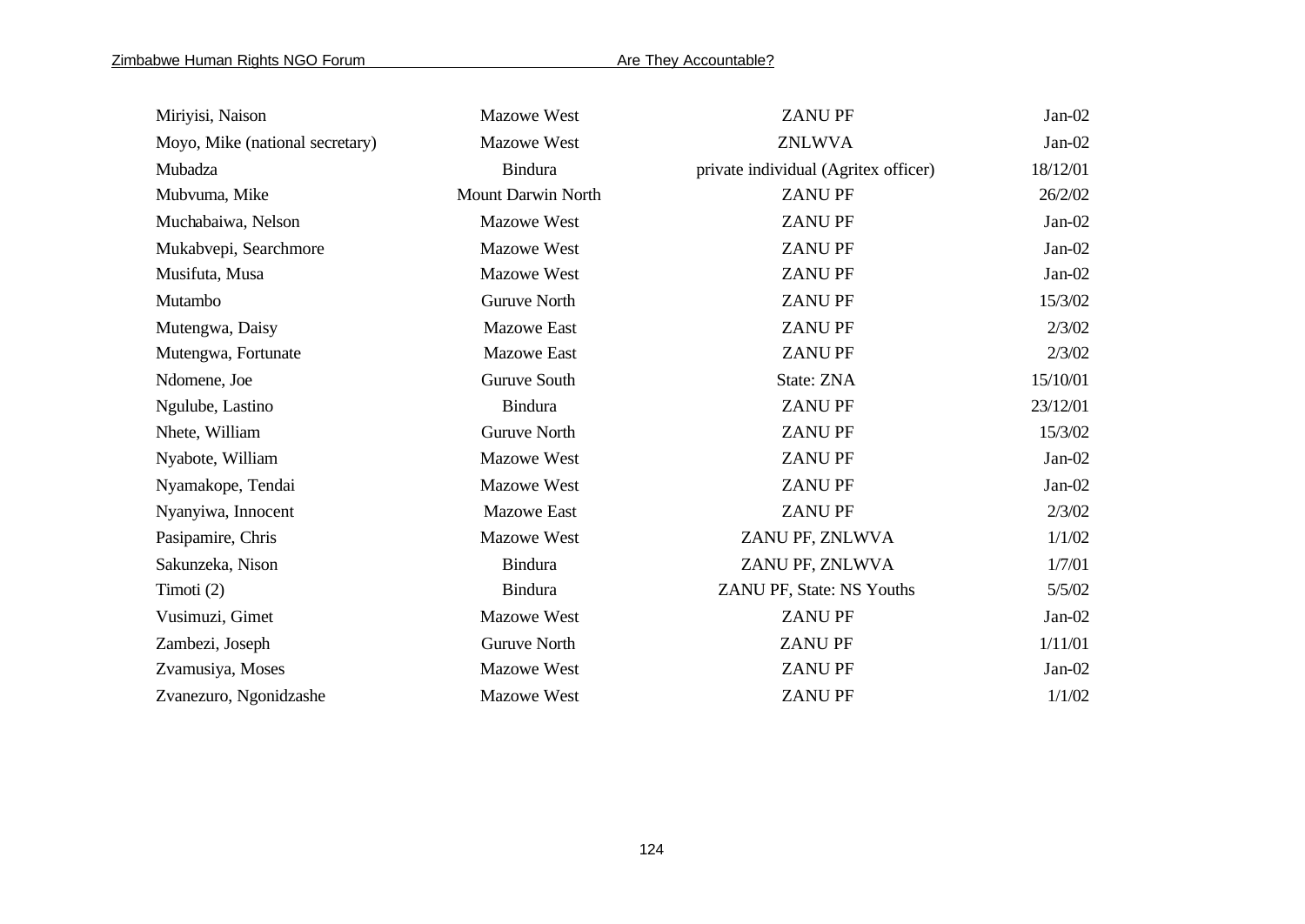| Miriyisi, Naison                | <b>Mazowe West</b>  | <b>ZANUPF</b>                        | $Jan-02$ |
|---------------------------------|---------------------|--------------------------------------|----------|
| Moyo, Mike (national secretary) | Mazowe West         | <b>ZNLWVA</b>                        | $Jan-02$ |
| Mubadza                         | Bindura             | private individual (Agritex officer) | 18/12/01 |
| Mubvuma, Mike                   | Mount Darwin North  | <b>ZANUPF</b>                        | 26/2/02  |
| Muchabaiwa, Nelson              | Mazowe West         | <b>ZANUPF</b>                        | $Jan-02$ |
| Mukabvepi, Searchmore           | <b>Mazowe West</b>  | <b>ZANUPF</b>                        | $Jan-02$ |
| Musifuta, Musa                  | Mazowe West         | <b>ZANUPF</b>                        | $Jan-02$ |
| Mutambo                         | <b>Guruve North</b> | <b>ZANUPF</b>                        | 15/3/02  |
| Mutengwa, Daisy                 | <b>Mazowe East</b>  | <b>ZANUPF</b>                        | 2/3/02   |
| Mutengwa, Fortunate             | <b>Mazowe East</b>  | <b>ZANUPF</b>                        | 2/3/02   |
| Ndomene, Joe                    | Guruve South        | State: ZNA                           | 15/10/01 |
| Ngulube, Lastino                | <b>Bindura</b>      | <b>ZANUPF</b>                        | 23/12/01 |
| Nhete, William                  | <b>Guruve North</b> | <b>ZANUPF</b>                        | 15/3/02  |
| Nyabote, William                | <b>Mazowe West</b>  | <b>ZANUPF</b>                        | $Jan-02$ |
| Nyamakope, Tendai               | <b>Mazowe West</b>  | <b>ZANUPF</b>                        | $Jan-02$ |
| Nyanyiwa, Innocent              | <b>Mazowe East</b>  | <b>ZANUPF</b>                        | 2/3/02   |
| Pasipamire, Chris               | <b>Mazowe West</b>  | ZANU PF, ZNLWVA                      | 1/1/02   |
| Sakunzeka, Nison                | <b>Bindura</b>      | ZANU PF, ZNLWVA                      | 1/7/01   |
| Timoti $(2)$                    | <b>Bindura</b>      | ZANU PF, State: NS Youths            | 5/5/02   |
| Vusimuzi, Gimet                 | Mazowe West         | <b>ZANUPF</b>                        | $Jan-02$ |
| Zambezi, Joseph                 | <b>Guruve North</b> | <b>ZANUPF</b>                        | 1/11/01  |
| Zvamusiya, Moses                | <b>Mazowe West</b>  | <b>ZANUPF</b>                        | $Jan-02$ |
| Zvanezuro, Ngonidzashe          | Mazowe West         | <b>ZANUPF</b>                        | 1/1/02   |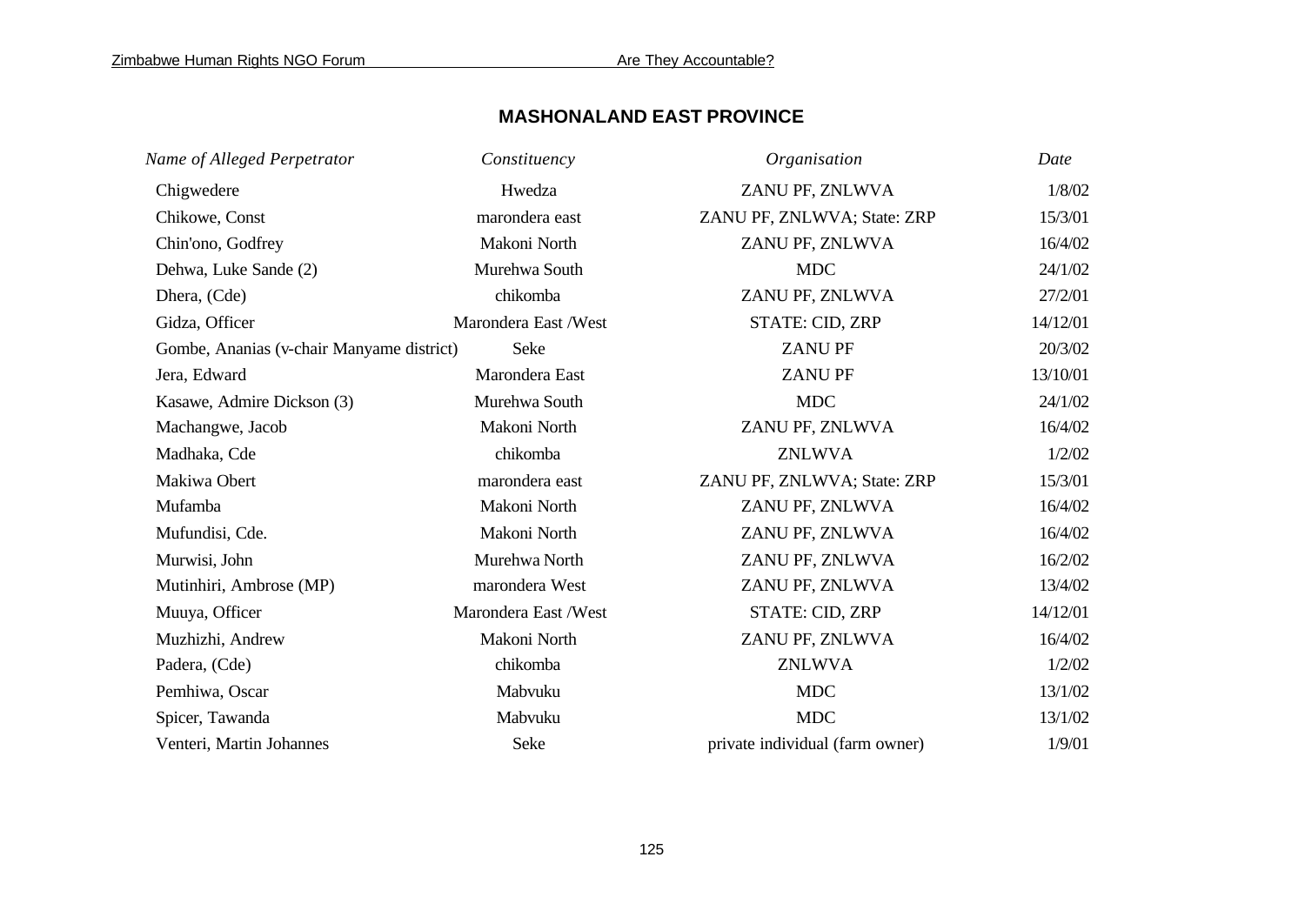# **MASHONALAND EAST PROVINCE**

| Name of Alleged Perpetrator               | Constituency         | Organisation                    | Date     |
|-------------------------------------------|----------------------|---------------------------------|----------|
| Chigwedere                                | Hwedza               | ZANU PF, ZNLWVA                 | 1/8/02   |
| Chikowe, Const                            | marondera east       | ZANU PF, ZNLWVA; State: ZRP     | 15/3/01  |
| Chin'ono, Godfrey                         | Makoni North         | ZANU PF, ZNLWVA                 | 16/4/02  |
| Dehwa, Luke Sande (2)                     | Murehwa South        | <b>MDC</b>                      | 24/1/02  |
| Dhera, (Cde)                              | chikomba             | ZANU PF, ZNLWVA                 | 27/2/01  |
| Gidza, Officer                            | Marondera East /West | STATE: CID, ZRP                 | 14/12/01 |
| Gombe, Ananias (v-chair Manyame district) | Seke                 | <b>ZANUPF</b>                   | 20/3/02  |
| Jera, Edward                              | Marondera East       | <b>ZANUPF</b>                   | 13/10/01 |
| Kasawe, Admire Dickson (3)                | Murehwa South        | <b>MDC</b>                      | 24/1/02  |
| Machangwe, Jacob                          | Makoni North         | ZANU PF, ZNLWVA                 | 16/4/02  |
| Madhaka, Cde                              | chikomba             | <b>ZNLWVA</b>                   | 1/2/02   |
| Makiwa Obert                              | marondera east       | ZANU PF, ZNLWVA; State: ZRP     | 15/3/01  |
| Mufamba                                   | Makoni North         | ZANU PF, ZNLWVA                 | 16/4/02  |
| Mufundisi, Cde.                           | Makoni North         | ZANU PF, ZNLWVA                 | 16/4/02  |
| Murwisi, John                             | Murehwa North        | ZANU PF, ZNLWVA                 | 16/2/02  |
| Mutinhiri, Ambrose (MP)                   | marondera West       | ZANU PF, ZNLWVA                 | 13/4/02  |
| Muuya, Officer                            | Marondera East /West | <b>STATE: CID, ZRP</b>          | 14/12/01 |
| Muzhizhi, Andrew                          | Makoni North         | ZANU PF, ZNLWVA                 | 16/4/02  |
| Padera, (Cde)                             | chikomba             | <b>ZNLWVA</b>                   | 1/2/02   |
| Pemhiwa, Oscar                            | Mabvuku              | <b>MDC</b>                      | 13/1/02  |
| Spicer, Tawanda                           | Mabvuku              | <b>MDC</b>                      | 13/1/02  |
| Venteri, Martin Johannes                  | Seke                 | private individual (farm owner) | 1/9/01   |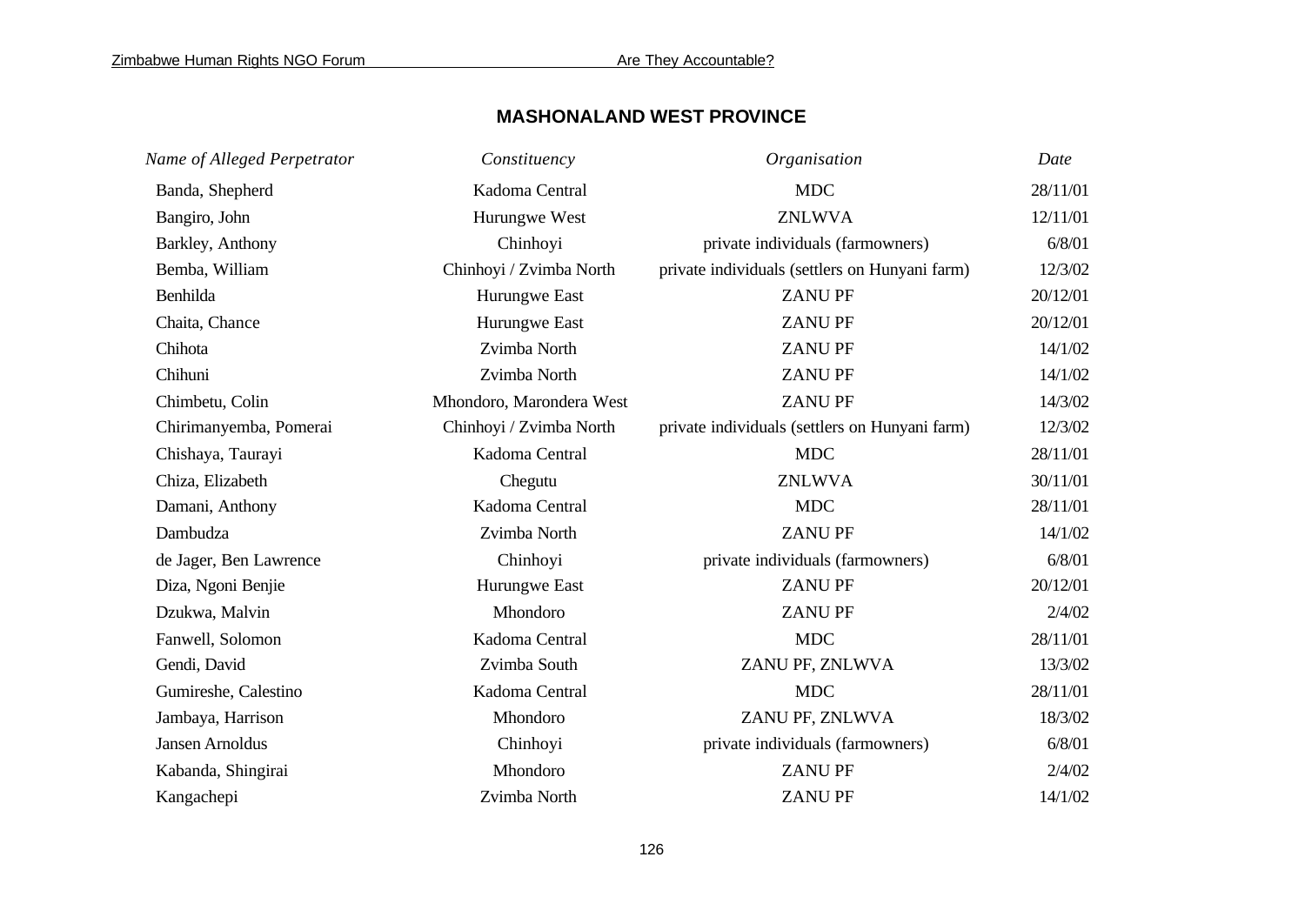# **MASHONALAND WEST PROVINCE**

| Name of Alleged Perpetrator | Constituency             | Organisation                                   | Date     |
|-----------------------------|--------------------------|------------------------------------------------|----------|
| Banda, Shepherd             | Kadoma Central           | <b>MDC</b>                                     | 28/11/01 |
| Bangiro, John               | Hurungwe West            | <b>ZNLWVA</b>                                  | 12/11/01 |
| Barkley, Anthony            | Chinhoyi                 | private individuals (farmowners)               | 6/8/01   |
| Bemba, William              | Chinhoyi / Zvimba North  | private individuals (settlers on Hunyani farm) | 12/3/02  |
| Benhilda                    | Hurungwe East            | <b>ZANUPF</b>                                  | 20/12/01 |
| Chaita, Chance              | Hurungwe East            | <b>ZANUPF</b>                                  | 20/12/01 |
| Chihota                     | Zvimba North             | <b>ZANUPF</b>                                  | 14/1/02  |
| Chihuni                     | Zvimba North             | <b>ZANUPF</b>                                  | 14/1/02  |
| Chimbetu, Colin             | Mhondoro, Marondera West | <b>ZANUPF</b>                                  | 14/3/02  |
| Chirimanyemba, Pomerai      | Chinhoyi / Zvimba North  | private individuals (settlers on Hunyani farm) | 12/3/02  |
| Chishaya, Taurayi           | Kadoma Central           | <b>MDC</b>                                     | 28/11/01 |
| Chiza, Elizabeth            | Chegutu                  | <b>ZNLWVA</b>                                  | 30/11/01 |
| Damani, Anthony             | Kadoma Central           | <b>MDC</b>                                     | 28/11/01 |
| Dambudza                    | Zvimba North             | <b>ZANUPF</b>                                  | 14/1/02  |
| de Jager, Ben Lawrence      | Chinhoyi                 | private individuals (farmowners)               | 6/8/01   |
| Diza, Ngoni Benjie          | Hurungwe East            | <b>ZANUPF</b>                                  | 20/12/01 |
| Dzukwa, Malvin              | Mhondoro                 | <b>ZANUPF</b>                                  | 2/4/02   |
| Fanwell, Solomon            | Kadoma Central           | <b>MDC</b>                                     | 28/11/01 |
| Gendi, David                | Zvimba South             | ZANU PF, ZNLWVA                                | 13/3/02  |
| Gumireshe, Calestino        | Kadoma Central           | <b>MDC</b>                                     | 28/11/01 |
| Jambaya, Harrison           | Mhondoro                 | ZANU PF, ZNLWVA                                | 18/3/02  |
| Jansen Arnoldus             | Chinhoyi                 | private individuals (farmowners)               | 6/8/01   |
| Kabanda, Shingirai          | Mhondoro                 | <b>ZANUPF</b>                                  | 2/4/02   |
| Kangachepi                  | Zvimba North             | <b>ZANUPF</b>                                  | 14/1/02  |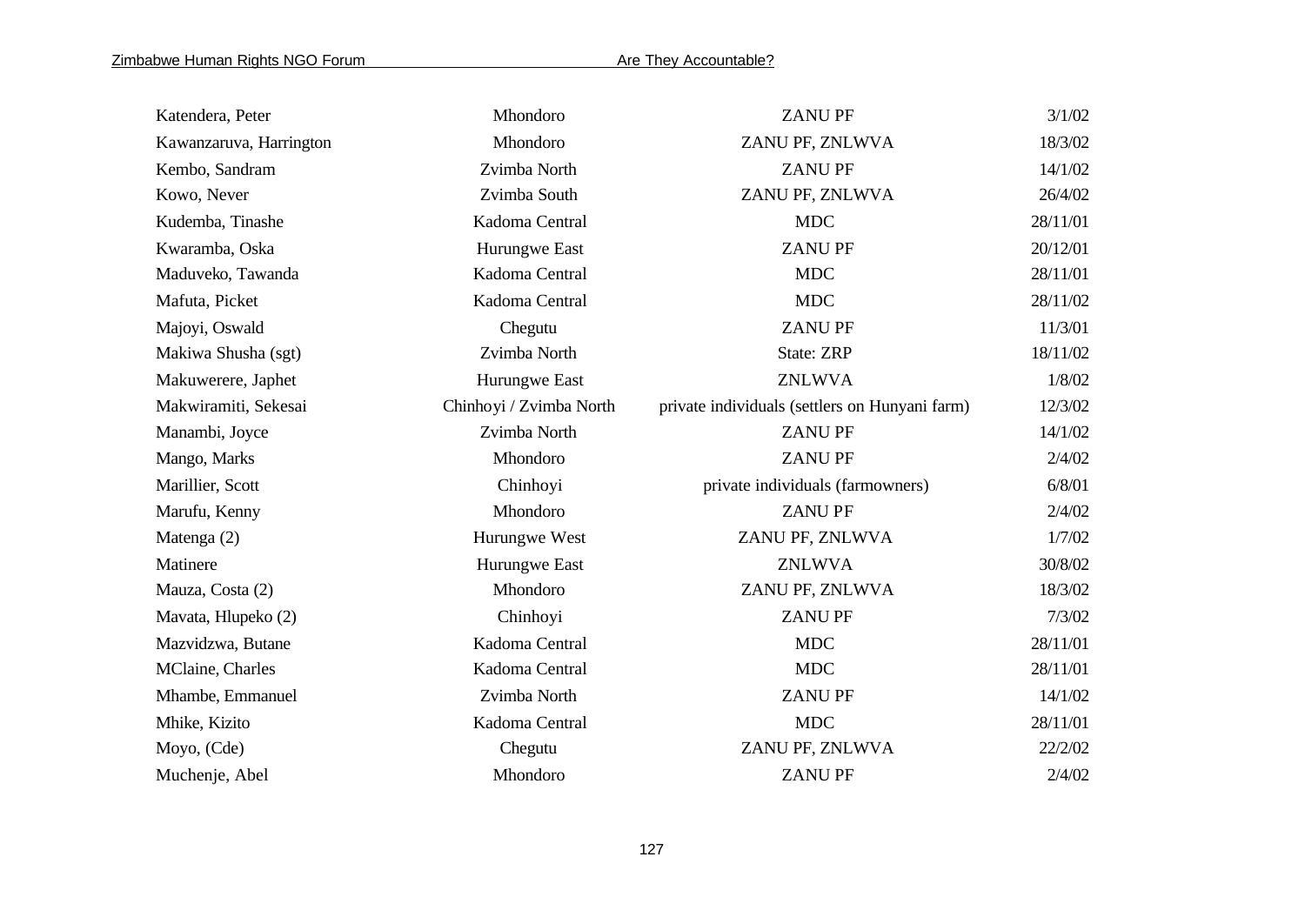| Katendera, Peter        | Mhondoro                | <b>ZANUPF</b>                                  | 3/1/02   |
|-------------------------|-------------------------|------------------------------------------------|----------|
| Kawanzaruva, Harrington | Mhondoro                | ZANU PF, ZNLWVA                                | 18/3/02  |
| Kembo, Sandram          | Zvimba North            | <b>ZANUPF</b>                                  | 14/1/02  |
| Kowo, Never             | Zvimba South            | ZANU PF, ZNLWVA                                | 26/4/02  |
| Kudemba, Tinashe        | Kadoma Central          | <b>MDC</b>                                     | 28/11/01 |
| Kwaramba, Oska          | Hurungwe East           | <b>ZANUPF</b>                                  | 20/12/01 |
| Maduveko, Tawanda       | Kadoma Central          | <b>MDC</b>                                     | 28/11/01 |
| Mafuta, Picket          | Kadoma Central          | <b>MDC</b>                                     | 28/11/02 |
| Majoyi, Oswald          | Chegutu                 | <b>ZANUPF</b>                                  | 11/3/01  |
| Makiwa Shusha (sgt)     | Zvimba North            | State: ZRP                                     | 18/11/02 |
| Makuwerere, Japhet      | Hurungwe East           | <b>ZNLWVA</b>                                  | 1/8/02   |
| Makwiramiti, Sekesai    | Chinhoyi / Zvimba North | private individuals (settlers on Hunyani farm) | 12/3/02  |
| Manambi, Joyce          | Zvimba North            | <b>ZANUPF</b>                                  | 14/1/02  |
| Mango, Marks            | Mhondoro                | <b>ZANUPF</b>                                  | 2/4/02   |
| Marillier, Scott        | Chinhoyi                | private individuals (farmowners)               | 6/8/01   |
| Marufu, Kenny           | Mhondoro                | <b>ZANUPF</b>                                  | 2/4/02   |
| Matenga (2)             | Hurungwe West           | ZANU PF, ZNLWVA                                | 1/7/02   |
| Matinere                | Hurungwe East           | <b>ZNLWVA</b>                                  | 30/8/02  |
| Mauza, Costa (2)        | Mhondoro                | ZANU PF, ZNLWVA                                | 18/3/02  |
| Mavata, Hlupeko (2)     | Chinhoyi                | <b>ZANUPF</b>                                  | 7/3/02   |
| Mazvidzwa, Butane       | Kadoma Central          | <b>MDC</b>                                     | 28/11/01 |
| MClaine, Charles        | Kadoma Central          | <b>MDC</b>                                     | 28/11/01 |
| Mhambe, Emmanuel        | Zvimba North            | <b>ZANUPF</b>                                  | 14/1/02  |
| Mhike, Kizito           | Kadoma Central          | <b>MDC</b>                                     | 28/11/01 |
| Moyo, (Cde)             | Chegutu                 | ZANU PF, ZNLWVA                                | 22/2/02  |
| Muchenje, Abel          | Mhondoro                | <b>ZANUPF</b>                                  | 2/4/02   |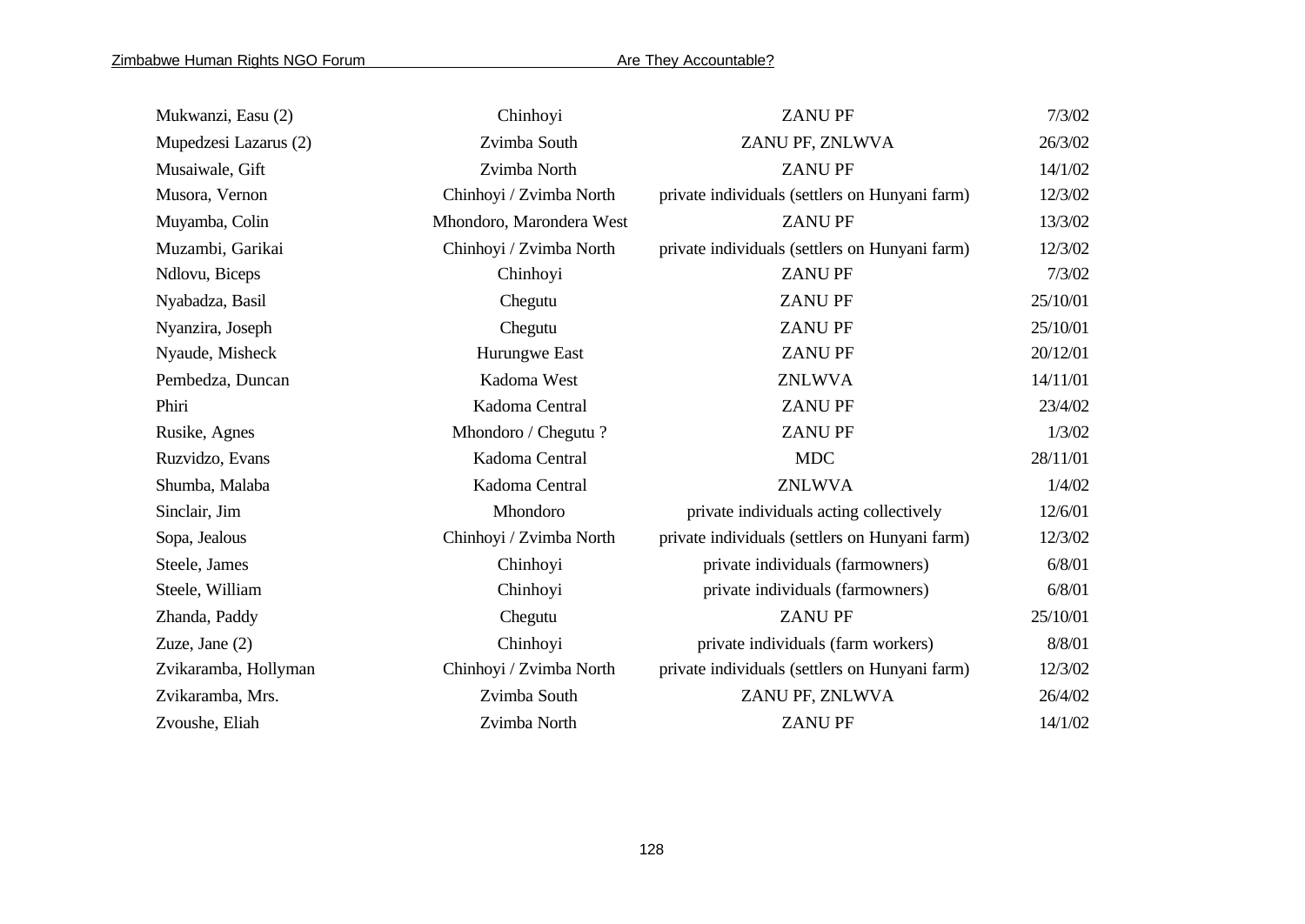| Mukwanzi, Easu (2)    | Chinhoyi                 | <b>ZANUPF</b>                                  | 7/3/02   |
|-----------------------|--------------------------|------------------------------------------------|----------|
| Mupedzesi Lazarus (2) | Zvimba South             | ZANU PF, ZNLWVA                                | 26/3/02  |
| Musaiwale, Gift       | Zvimba North             | <b>ZANUPF</b>                                  | 14/1/02  |
| Musora, Vernon        | Chinhoyi / Zvimba North  | private individuals (settlers on Hunyani farm) | 12/3/02  |
| Muyamba, Colin        | Mhondoro, Marondera West | <b>ZANUPF</b>                                  | 13/3/02  |
| Muzambi, Garikai      | Chinhoyi / Zvimba North  | private individuals (settlers on Hunyani farm) | 12/3/02  |
| Ndlovu, Biceps        | Chinhoyi                 | <b>ZANUPF</b>                                  | 7/3/02   |
| Nyabadza, Basil       | Chegutu                  | <b>ZANUPF</b>                                  | 25/10/01 |
| Nyanzira, Joseph      | Chegutu                  | <b>ZANUPF</b>                                  | 25/10/01 |
| Nyaude, Misheck       | Hurungwe East            | <b>ZANUPF</b>                                  | 20/12/01 |
| Pembedza, Duncan      | Kadoma West              | <b>ZNLWVA</b>                                  | 14/11/01 |
| Phiri                 | Kadoma Central           | <b>ZANUPF</b>                                  | 23/4/02  |
| Rusike, Agnes         | Mhondoro / Chegutu?      | <b>ZANUPF</b>                                  | 1/3/02   |
| Ruzvidzo, Evans       | Kadoma Central           | <b>MDC</b>                                     | 28/11/01 |
| Shumba, Malaba        | Kadoma Central           | <b>ZNLWVA</b>                                  | 1/4/02   |
| Sinclair, Jim         | Mhondoro                 | private individuals acting collectively        | 12/6/01  |
| Sopa, Jealous         | Chinhoyi / Zvimba North  | private individuals (settlers on Hunyani farm) | 12/3/02  |
| Steele, James         | Chinhoyi                 | private individuals (farmowners)               | 6/8/01   |
| Steele, William       | Chinhoyi                 | private individuals (farmowners)               | 6/8/01   |
| Zhanda, Paddy         | Chegutu                  | <b>ZANU PF</b>                                 | 25/10/01 |
| Zuze, Jane $(2)$      | Chinhoyi                 | private individuals (farm workers)             | 8/8/01   |
| Zvikaramba, Hollyman  | Chinhoyi / Zvimba North  | private individuals (settlers on Hunyani farm) | 12/3/02  |
| Zvikaramba, Mrs.      | Zvimba South             | ZANU PF, ZNLWVA                                | 26/4/02  |
| Zvoushe, Eliah        | Zvimba North             | <b>ZANUPF</b>                                  | 14/1/02  |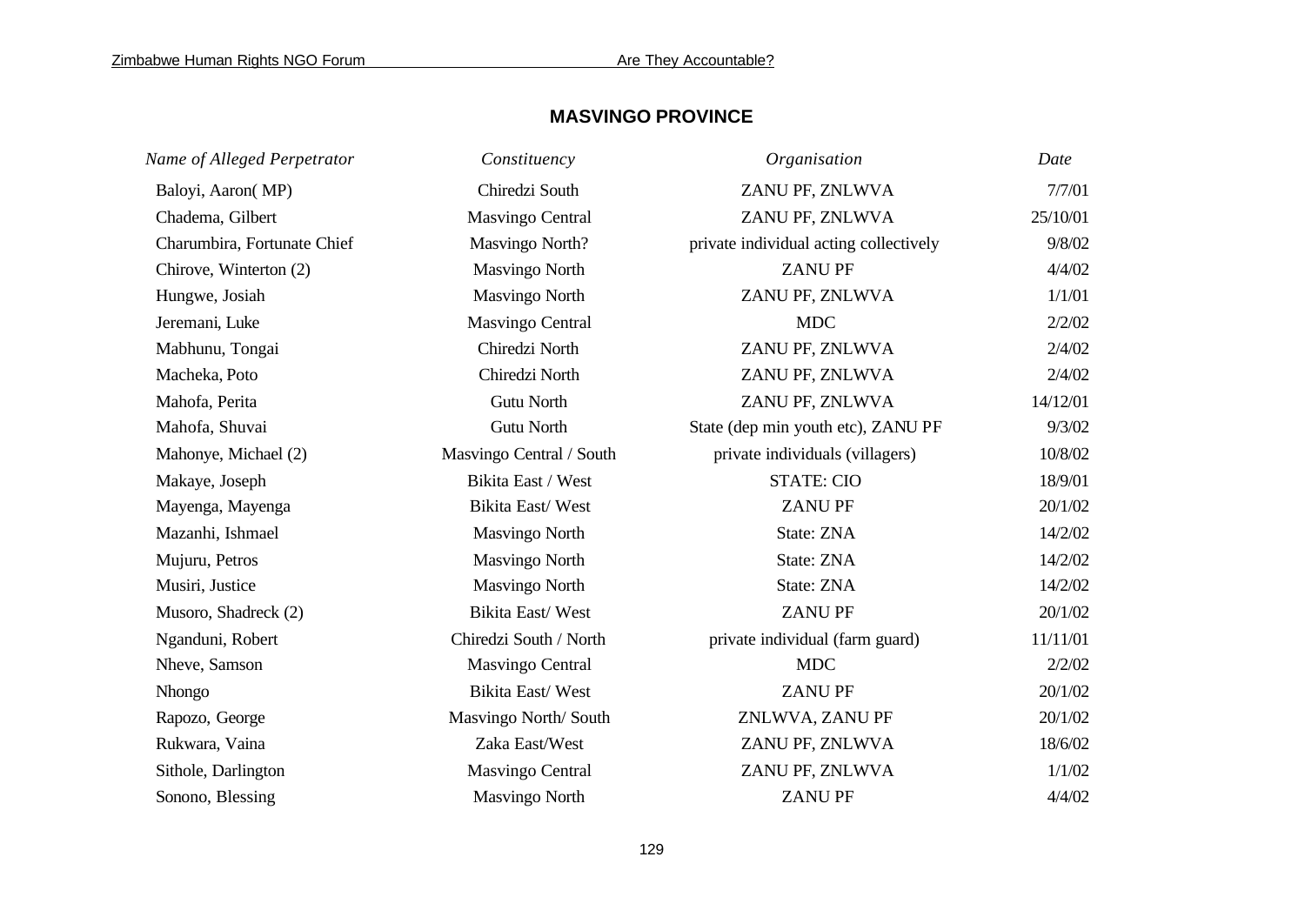## **MASVINGO PROVINCE**

| Name of Alleged Perpetrator | Constituency             | Organisation                           | Date     |
|-----------------------------|--------------------------|----------------------------------------|----------|
| Baloyi, Aaron(MP)           | Chiredzi South           | ZANU PF, ZNLWVA                        | 7/7/01   |
| Chadema, Gilbert            | <b>Masvingo Central</b>  | ZANU PF, ZNLWVA                        | 25/10/01 |
| Charumbira, Fortunate Chief | Masvingo North?          | private individual acting collectively | 9/8/02   |
| Chirove, Winterton (2)      | <b>Masvingo North</b>    | <b>ZANUPF</b>                          | 4/4/02   |
| Hungwe, Josiah              | <b>Masvingo North</b>    | ZANU PF, ZNLWVA                        | 1/1/01   |
| Jeremani, Luke              | <b>Masvingo Central</b>  | <b>MDC</b>                             | 2/2/02   |
| Mabhunu, Tongai             | Chiredzi North           | ZANU PF, ZNLWVA                        | 2/4/02   |
| Macheka, Poto               | Chiredzi North           | ZANU PF, ZNLWVA                        | 2/4/02   |
| Mahofa, Perita              | <b>Gutu North</b>        | ZANU PF, ZNLWVA                        | 14/12/01 |
| Mahofa, Shuvai              | Gutu North               | State (dep min youth etc), ZANU PF     | 9/3/02   |
| Mahonye, Michael (2)        | Masvingo Central / South | private individuals (villagers)        | 10/8/02  |
| Makaye, Joseph              | Bikita East / West       | <b>STATE: CIO</b>                      | 18/9/01  |
| Mayenga, Mayenga            | Bikita East/West         | <b>ZANUPF</b>                          | 20/1/02  |
| Mazanhi, Ishmael            | <b>Masvingo North</b>    | State: ZNA                             | 14/2/02  |
| Mujuru, Petros              | <b>Masvingo North</b>    | State: ZNA                             | 14/2/02  |
| Musiri, Justice             | Masvingo North           | State: ZNA                             | 14/2/02  |
| Musoro, Shadreck (2)        | Bikita East/West         | <b>ZANUPF</b>                          | 20/1/02  |
| Nganduni, Robert            | Chiredzi South / North   | private individual (farm guard)        | 11/11/01 |
| Nheve, Samson               | <b>Masvingo Central</b>  | <b>MDC</b>                             | 2/2/02   |
| Nhongo                      | Bikita East/West         | <b>ZANUPF</b>                          | 20/1/02  |
| Rapozo, George              | Masvingo North/South     | ZNLWVA, ZANU PF                        | 20/1/02  |
| Rukwara, Vaina              | Zaka East/West           | ZANU PF, ZNLWVA                        | 18/6/02  |
| Sithole, Darlington         | <b>Masvingo Central</b>  | ZANU PF, ZNLWVA                        | 1/1/02   |
| Sonono, Blessing            | <b>Masvingo North</b>    | <b>ZANUPF</b>                          | 4/4/02   |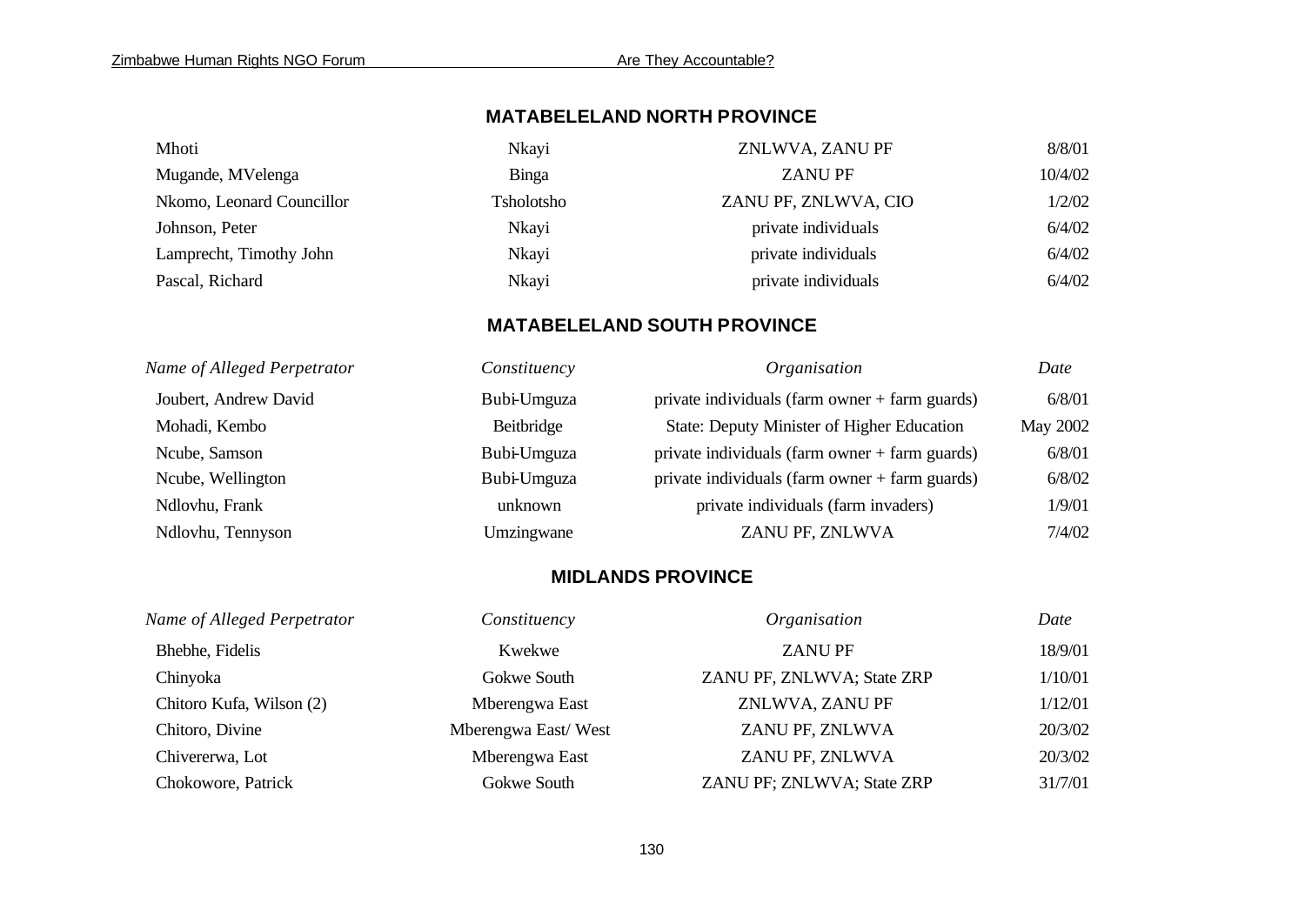# **MATABELELAND NORTH PROVINCE**

| Mhoti                     | Nkayi      | ZNLWVA, ZANU PF      | 8/8/01  |
|---------------------------|------------|----------------------|---------|
| Mugande, MVelenga         | Binga      | <b>ZANUPF</b>        | 10/4/02 |
| Nkomo, Leonard Councillor | Tsholotsho | ZANU PF, ZNLWVA, CIO | 1/2/02  |
| Johnson, Peter            | Nkayi      | private individuals  | 6/4/02  |
| Lamprecht, Timothy John   | Nkayi      | private individuals  | 6/4/02  |
| Pascal, Richard           | Nkayi      | private individuals  | 6/4/02  |

## **MATABELELAND SOUTH PROVINCE**

| Name of Alleged Perpetrator | Constituency | Organisation                                     | Date     |
|-----------------------------|--------------|--------------------------------------------------|----------|
| Joubert, Andrew David       | Bubi-Umguza  | private individuals (farm owner + farm guards)   | 6/8/01   |
| Mohadi, Kembo               | Beitbridge   | State: Deputy Minister of Higher Education       | May 2002 |
| Ncube, Samson               | Bubi-Umguza  | private individuals (farm owner + farm guards)   | 6/8/01   |
| Ncube, Wellington           | Bubi-Umguza  | private individuals (farm owner $+$ farm guards) | 6/8/02   |
| Ndlovhu, Frank              | unknown      | private individuals (farm invaders)              | 1/9/01   |
| Ndlovhu, Tennyson           | Umzingwane   | ZANU PF, ZNLWVA                                  | 7/4/02   |

## **MIDLANDS PROVINCE**

| Name of Alleged Perpetrator | Constituency        | Organisation               | Date    |
|-----------------------------|---------------------|----------------------------|---------|
| Bhebhe, Fidelis             | Kwekwe              | <b>ZANUPF</b>              | 18/9/01 |
| Chinyoka                    | Gokwe South         | ZANU PF, ZNLWVA; State ZRP | 1/10/01 |
| Chitoro Kufa, Wilson (2)    | Mberengwa East      | ZNLWVA, ZANU PF            | 1/12/01 |
| Chitoro, Divine             | Mberengwa East/West | ZANU PF, ZNLWVA            | 20/3/02 |
| Chivererwa, Lot             | Mberengwa East      | ZANU PF, ZNLWVA            | 20/3/02 |
| Chokowore, Patrick          | Gokwe South         | ZANU PF; ZNLWVA; State ZRP | 31/7/01 |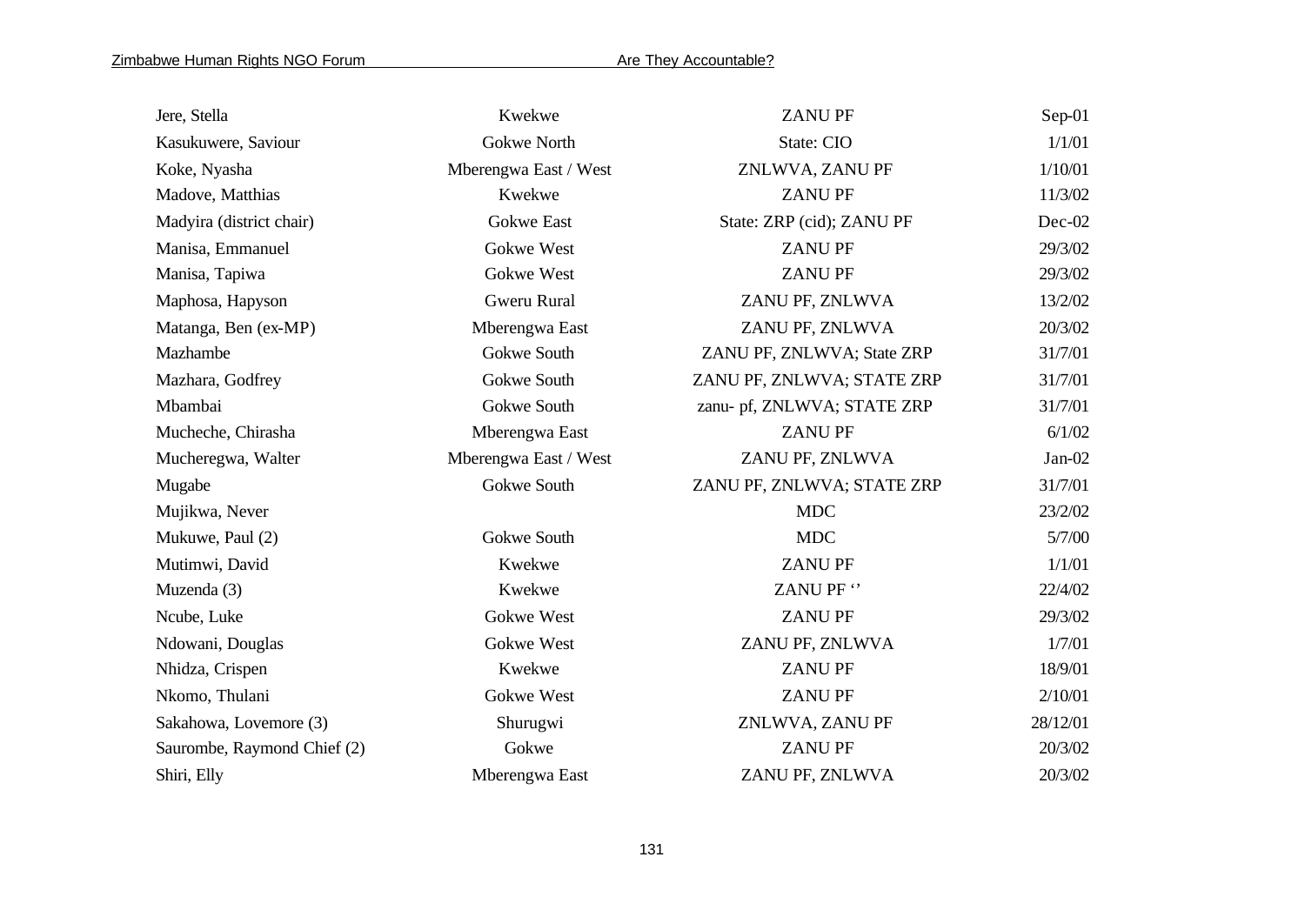| Jere, Stella                | Kwekwe                | <b>ZANUPF</b>               | Sep-01   |
|-----------------------------|-----------------------|-----------------------------|----------|
| Kasukuwere, Saviour         | Gokwe North           | State: CIO                  | 1/1/01   |
| Koke, Nyasha                | Mberengwa East / West | ZNLWVA, ZANU PF             | 1/10/01  |
| Madove, Matthias            | Kwekwe                | <b>ZANUPF</b>               | 11/3/02  |
| Madyira (district chair)    | <b>Gokwe East</b>     | State: ZRP (cid); ZANU PF   | Dec-02   |
| Manisa, Emmanuel            | Gokwe West            | <b>ZANUPF</b>               | 29/3/02  |
| Manisa, Tapiwa              | Gokwe West            | <b>ZANUPF</b>               | 29/3/02  |
| Maphosa, Hapyson            | Gweru Rural           | ZANU PF, ZNLWVA             | 13/2/02  |
| Matanga, Ben (ex-MP)        | Mberengwa East        | ZANU PF, ZNLWVA             | 20/3/02  |
| Mazhambe                    | Gokwe South           | ZANU PF, ZNLWVA; State ZRP  | 31/7/01  |
| Mazhara, Godfrey            | Gokwe South           | ZANU PF, ZNLWVA; STATE ZRP  | 31/7/01  |
| Mbambai                     | Gokwe South           | zanu- pf, ZNLWVA; STATE ZRP | 31/7/01  |
| Mucheche, Chirasha          | Mberengwa East        | <b>ZANUPF</b>               | 6/1/02   |
| Mucheregwa, Walter          | Mberengwa East / West | ZANU PF, ZNLWVA             | $Jan-02$ |
| Mugabe                      | Gokwe South           | ZANU PF, ZNLWVA; STATE ZRP  | 31/7/01  |
| Mujikwa, Never              |                       | <b>MDC</b>                  | 23/2/02  |
| Mukuwe, Paul (2)            | Gokwe South           | <b>MDC</b>                  | 5/7/00   |
| Mutimwi, David              | Kwekwe                | <b>ZANUPF</b>               | 1/1/01   |
| Muzenda (3)                 | Kwekwe                | ZANU PF "                   | 22/4/02  |
| Ncube, Luke                 | Gokwe West            | <b>ZANUPF</b>               | 29/3/02  |
| Ndowani, Douglas            | Gokwe West            | ZANU PF, ZNLWVA             | 1/7/01   |
| Nhidza, Crispen             | Kwekwe                | <b>ZANUPF</b>               | 18/9/01  |
| Nkomo, Thulani              | Gokwe West            | <b>ZANUPF</b>               | 2/10/01  |
| Sakahowa, Lovemore (3)      | Shurugwi              | ZNLWVA, ZANU PF             | 28/12/01 |
| Saurombe, Raymond Chief (2) | Gokwe                 | <b>ZANUPF</b>               | 20/3/02  |
| Shiri, Elly                 | Mberengwa East        | ZANU PF, ZNLWVA             | 20/3/02  |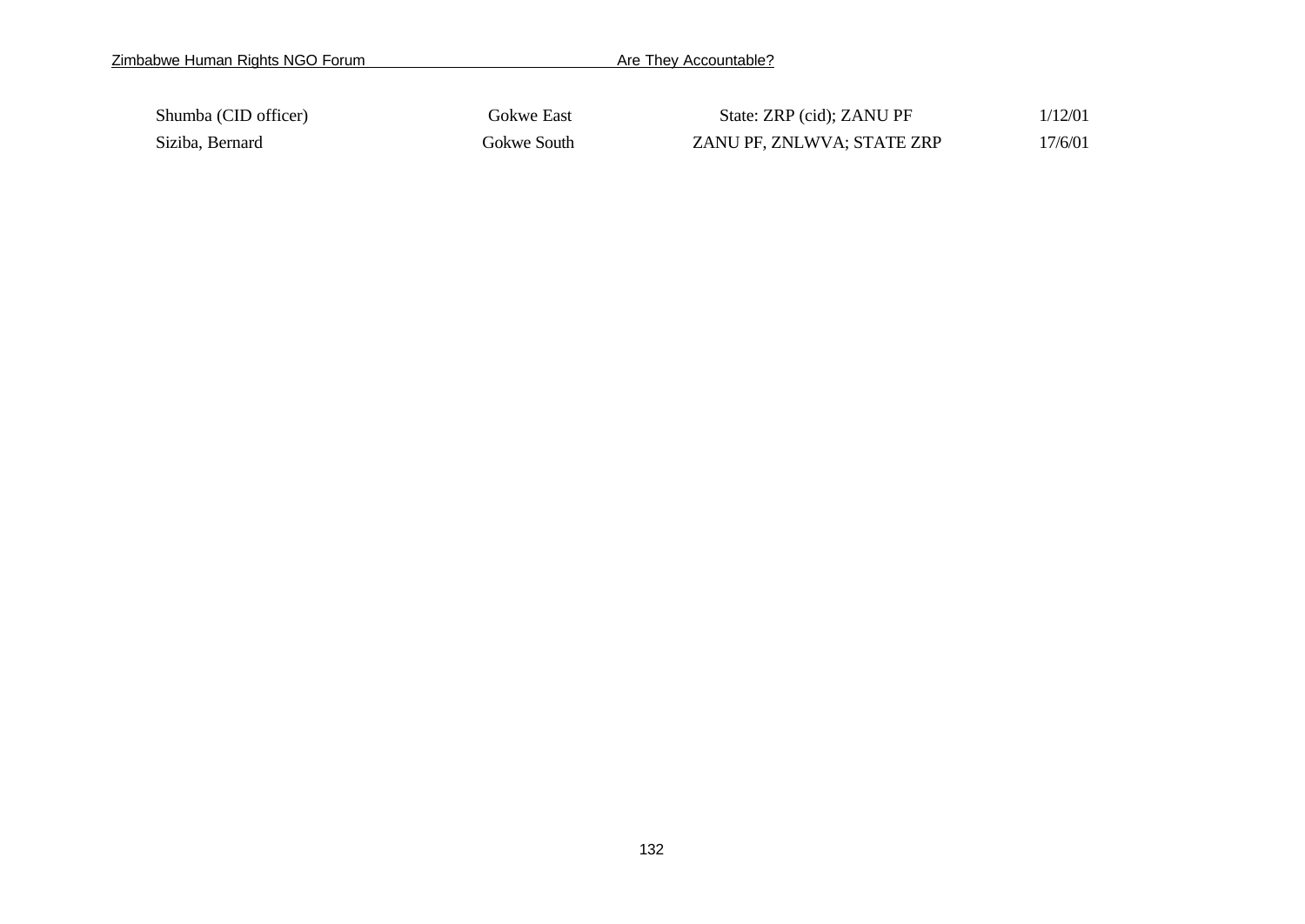| Shumba (CID officer) | Gokwe East  | State: ZRP (cid); ZANU PF  | 1/12/01 |
|----------------------|-------------|----------------------------|---------|
| Siziba, Bernard      | Gokwe South | ZANU PF, ZNLWVA; STATE ZRP | 17/6/01 |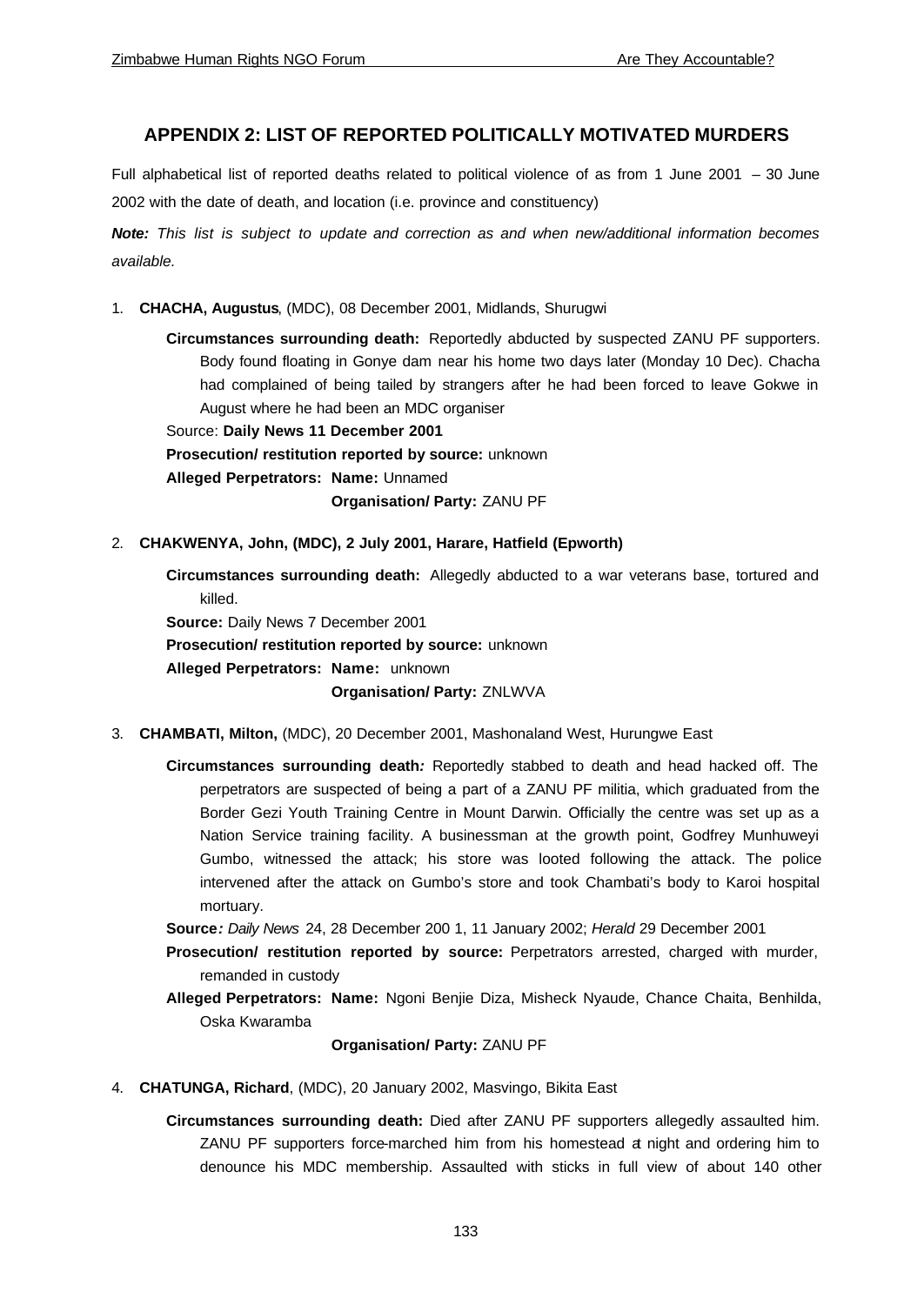## **APPENDIX 2: LIST OF REPORTED POLITICALLY MOTIVATED MURDERS**

Full alphabetical list of reported deaths related to political violence of as from 1 June 2001 – 30 June 2002 with the date of death, and location (i.e. province and constituency)

*Note: This list is subject to update and correction as and when new/additional information becomes available.* 

1. **CHACHA, Augustus**, (MDC), 08 December 2001, Midlands, Shurugwi

**Circumstances surrounding death:** Reportedly abducted by suspected ZANU PF supporters. Body found floating in Gonye dam near his home two days later (Monday 10 Dec). Chacha had complained of being tailed by strangers after he had been forced to leave Gokwe in August where he had been an MDC organiser

Source: **Daily News 11 December 2001** 

**Prosecution/ restitution reported by source:** unknown

**Alleged Perpetrators: Name:** Unnamed

**Organisation/ Party:** ZANU PF

## 2. **CHAKWENYA, John, (MDC), 2 July 2001, Harare, Hatfield (Epworth)**

**Circumstances surrounding death:** Allegedly abducted to a war veterans base, tortured and killed.

**Source:** Daily News 7 December 2001 **Prosecution/ restitution reported by source:** unknown

**Alleged Perpetrators: Name:** unknown

## **Organisation/ Party:** ZNLWVA

- 3. **CHAMBATI, Milton,** (MDC), 20 December 2001, Mashonaland West, Hurungwe East
	- **Circumstances surrounding death***:* Reportedly stabbed to death and head hacked off. The perpetrators are suspected of being a part of a ZANU PF militia, which graduated from the Border Gezi Youth Training Centre in Mount Darwin. Officially the centre was set up as a Nation Service training facility. A businessman at the growth point, Godfrey Munhuweyi Gumbo, witnessed the attack; his store was looted following the attack. The police intervened after the attack on Gumbo's store and took Chambati's body to Karoi hospital mortuary.

**Source***: Daily News* 24, 28 December 200 1, 11 January 2002; *Herald* 29 December 2001

- **Prosecution/ restitution reported by source:** Perpetrators arrested, charged with murder, remanded in custody
- **Alleged Perpetrators: Name:** Ngoni Benjie Diza, Misheck Nyaude, Chance Chaita, Benhilda, Oska Kwaramba

## **Organisation/ Party:** ZANU PF

- 4. **CHATUNGA, Richard**, (MDC), 20 January 2002, Masvingo, Bikita East
	- **Circumstances surrounding death:** Died after ZANU PF supporters allegedly assaulted him. ZANU PF supporters force-marched him from his homestead at night and ordering him to denounce his MDC membership. Assaulted with sticks in full view of about 140 other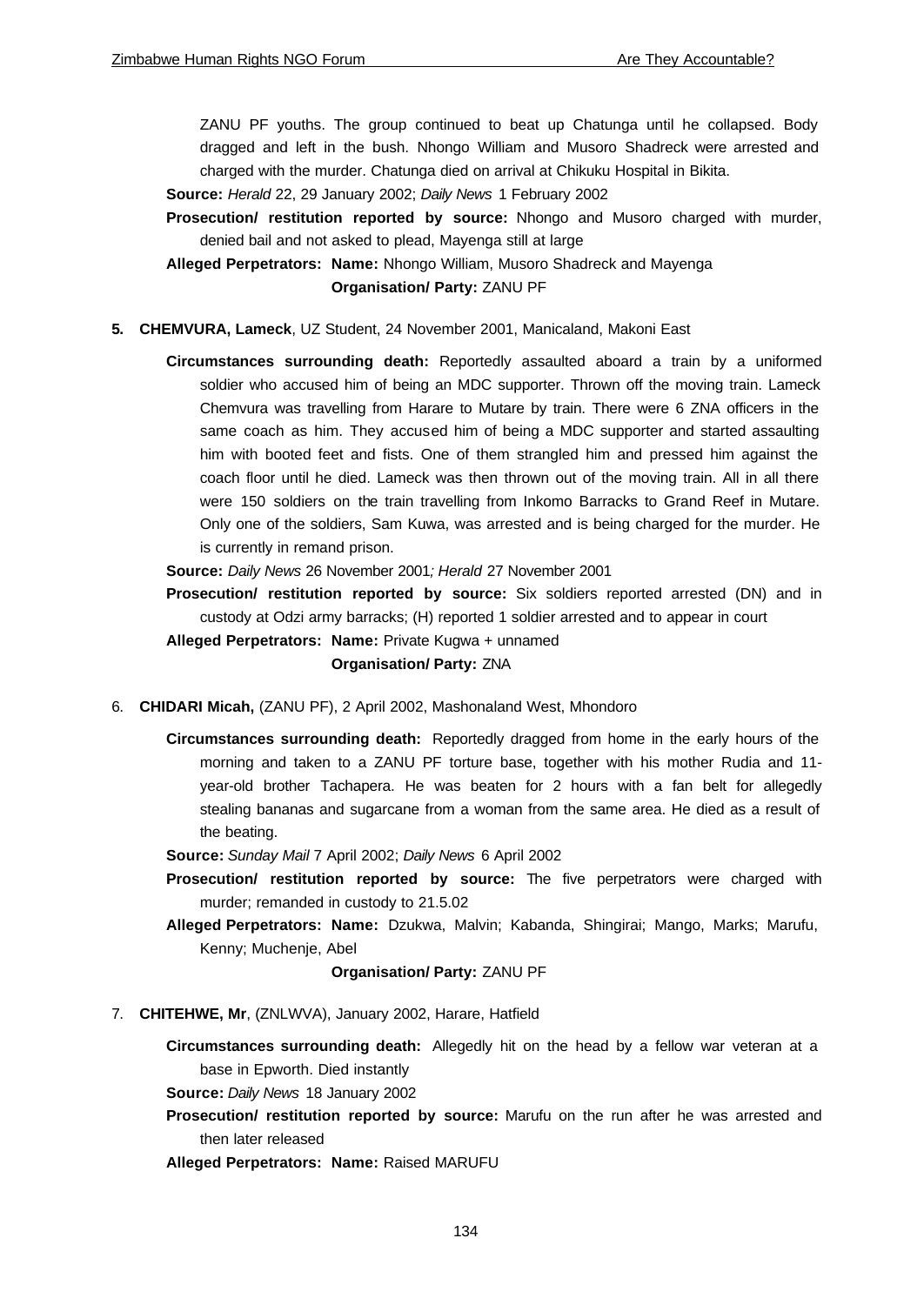ZANU PF youths. The group continued to beat up Chatunga until he collapsed. Body dragged and left in the bush. Nhongo William and Musoro Shadreck were arrested and charged with the murder. Chatunga died on arrival at Chikuku Hospital in Bikita.

**Source:** *Herald* 22, 29 January 2002; *Daily News* 1 February 2002

**Prosecution/ restitution reported by source:** Nhongo and Musoro charged with murder, denied bail and not asked to plead, Mayenga still at large

**Alleged Perpetrators: Name:** Nhongo William, Musoro Shadreck and Mayenga **Organisation/ Party:** ZANU PF

## **5. CHEMVURA, Lameck**, UZ Student, 24 November 2001, Manicaland, Makoni East

**Circumstances surrounding death:** Reportedly assaulted aboard a train by a uniformed soldier who accused him of being an MDC supporter. Thrown off the moving train. Lameck Chemvura was travelling from Harare to Mutare by train. There were 6 ZNA officers in the same coach as him. They accused him of being a MDC supporter and started assaulting him with booted feet and fists. One of them strangled him and pressed him against the coach floor until he died. Lameck was then thrown out of the moving train. All in all there were 150 soldiers on the train travelling from Inkomo Barracks to Grand Reef in Mutare. Only one of the soldiers, Sam Kuwa, was arrested and is being charged for the murder. He is currently in remand prison.

**Source:** *Daily News* 26 November 2001*; Herald* 27 November 2001

**Prosecution/ restitution reported by source:** Six soldiers reported arrested (DN) and in custody at Odzi army barracks; (H) reported 1 soldier arrested and to appear in court

**Alleged Perpetrators: Name:** Private Kugwa + unnamed

### **Organisation/ Party:** ZNA

- 6. **CHIDARI Micah,** (ZANU PF), 2 April 2002, Mashonaland West, Mhondoro
	- **Circumstances surrounding death:** Reportedly dragged from home in the early hours of the morning and taken to a ZANU PF torture base, together with his mother Rudia and 11 year-old brother Tachapera. He was beaten for 2 hours with a fan belt for allegedly stealing bananas and sugarcane from a woman from the same area. He died as a result of the beating.
	- **Source:** *Sunday Mail* 7 April 2002; *Daily News* 6 April 2002
	- **Prosecution/ restitution reported by source:** The five perpetrators were charged with murder; remanded in custody to 21.5.02
	- **Alleged Perpetrators: Name:** Dzukwa, Malvin; Kabanda, Shingirai; Mango, Marks; Marufu, Kenny; Muchenje, Abel

**Organisation/ Party:** ZANU PF

7. **CHITEHWE, Mr**, (ZNLWVA), January 2002, Harare, Hatfield

**Circumstances surrounding death:** Allegedly hit on the head by a fellow war veteran at a base in Epworth. Died instantly

**Source:** *Daily News* 18 January 2002

**Prosecution/ restitution reported by source:** Marufu on the run after he was arrested and then later released

**Alleged Perpetrators: Name:** Raised MARUFU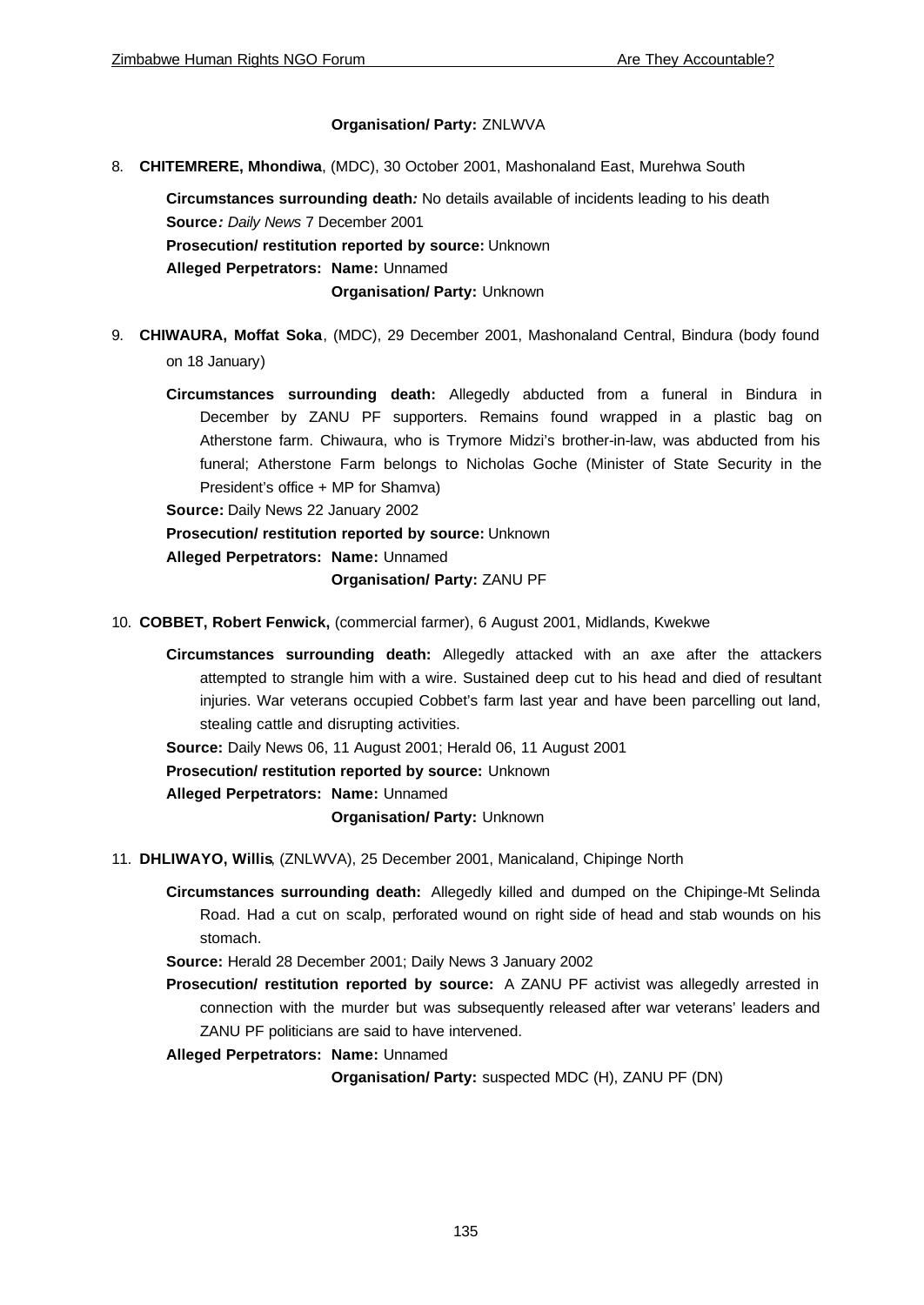## **Organisation/ Party:** ZNLWVA

8. **CHITEMRERE, Mhondiwa**, (MDC), 30 October 2001, Mashonaland East, Murehwa South

**Circumstances surrounding death***:* No details available of incidents leading to his death **Source***: Daily News* 7 December 2001 **Prosecution/ restitution reported by source:** Unknown **Alleged Perpetrators: Name:** Unnamed **Organisation/ Party:** Unknown

- 9. **CHIWAURA, Moffat Soka**, (MDC), 29 December 2001, Mashonaland Central, Bindura (body found on 18 January)
	- **Circumstances surrounding death:** Allegedly abducted from a funeral in Bindura in December by ZANU PF supporters. Remains found wrapped in a plastic bag on Atherstone farm. Chiwaura, who is Trymore Midzi's brother-in-law, was abducted from his funeral; Atherstone Farm belongs to Nicholas Goche (Minister of State Security in the President's office + MP for Shamva)

**Source:** Daily News 22 January 2002

**Prosecution/ restitution reported by source:** Unknown

**Alleged Perpetrators: Name:** Unnamed

**Organisation/ Party:** ZANU PF

- 10. **COBBET, Robert Fenwick,** (commercial farmer), 6 August 2001, Midlands, Kwekwe
	- **Circumstances surrounding death:** Allegedly attacked with an axe after the attackers attempted to strangle him with a wire. Sustained deep cut to his head and died of resultant injuries. War veterans occupied Cobbet's farm last year and have been parcelling out land, stealing cattle and disrupting activities.

**Source:** Daily News 06, 11 August 2001; Herald 06, 11 August 2001

**Prosecution/ restitution reported by source:** Unknown

**Alleged Perpetrators: Name:** Unnamed

**Organisation/ Party:** Unknown

11. **DHLIWAYO, Willis**, (ZNLWVA), 25 December 2001, Manicaland, Chipinge North

**Circumstances surrounding death:** Allegedly killed and dumped on the Chipinge-Mt Selinda Road. Had a cut on scalp, perforated wound on right side of head and stab wounds on his stomach.

**Source:** Herald 28 December 2001; Daily News 3 January 2002

**Prosecution/ restitution reported by source:** A ZANU PF activist was allegedly arrested in connection with the murder but was subsequently released after war veterans' leaders and ZANU PF politicians are said to have intervened.

**Alleged Perpetrators: Name:** Unnamed

**Organisation/ Party:** suspected MDC (H), ZANU PF (DN)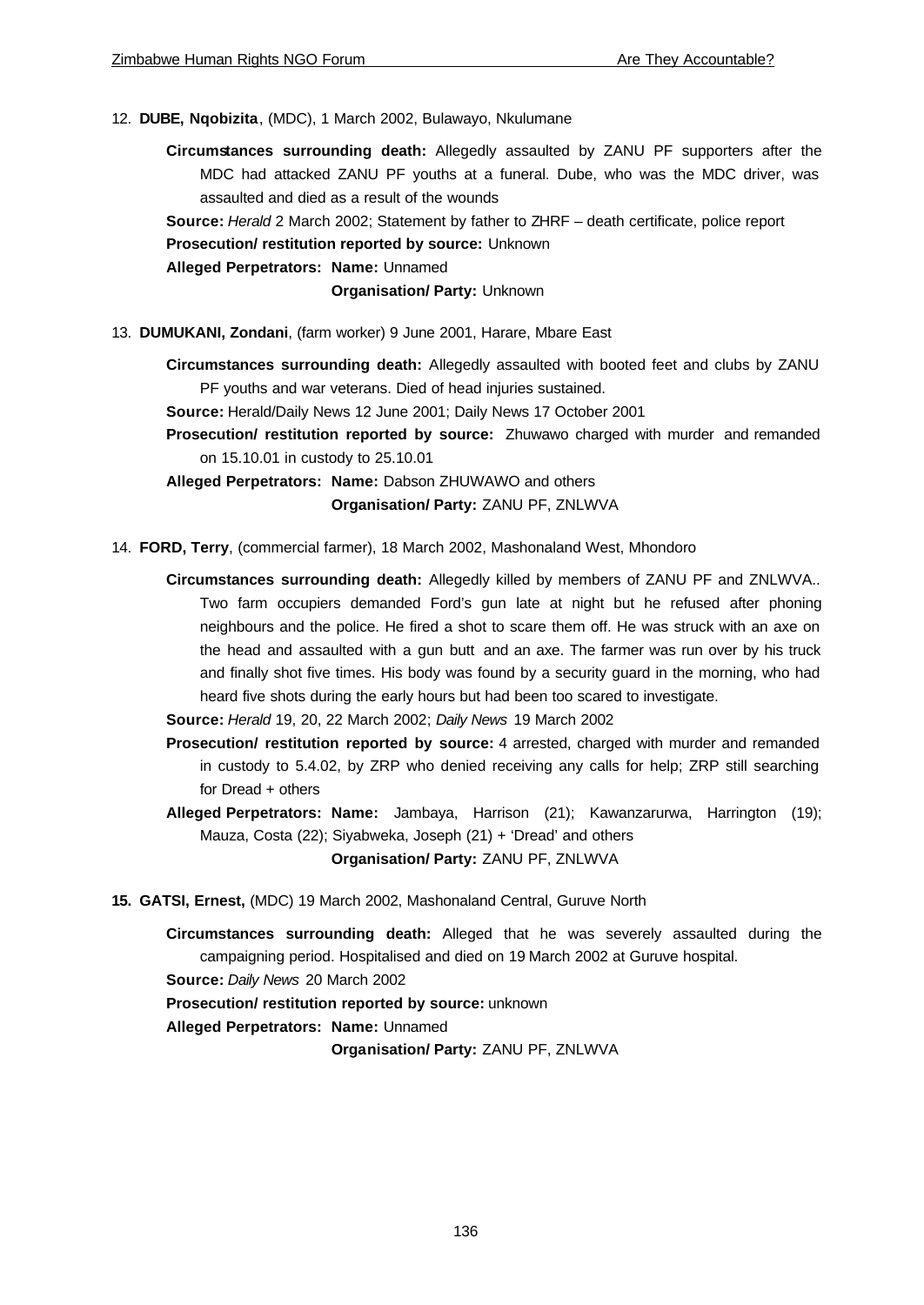12. **DUBE, Nqobizita**, (MDC), 1 March 2002, Bulawayo, Nkulumane

**Circumstances surrounding death:** Allegedly assaulted by ZANU PF supporters after the MDC had attacked ZANU PF youths at a funeral. Dube, who was the MDC driver, was assaulted and died as a result of the wounds

**Source:** *Herald* 2 March 2002; Statement by father to ZHRF – death certificate, police report

**Prosecution/ restitution reported by source:** Unknown

**Alleged Perpetrators: Name:** Unnamed

**Organisation/ Party:** Unknown

13. **DUMUKANI, Zondani**, (farm worker) 9 June 2001, Harare, Mbare East

**Circumstances surrounding death:** Allegedly assaulted with booted feet and clubs by ZANU PF youths and war veterans. Died of head injuries sustained.

**Source:** Herald/Daily News 12 June 2001; Daily News 17 October 2001

**Prosecution/ restitution reported by source:** Zhuwawo charged with murder and remanded on 15.10.01 in custody to 25.10.01

**Alleged Perpetrators: Name:** Dabson ZHUWAWO and others

**Organisation/ Party:** ZANU PF, ZNLWVA

- 14. **FORD, Terry**, (commercial farmer), 18 March 2002, Mashonaland West, Mhondoro
	- **Circumstances surrounding death:** Allegedly killed by members of ZANU PF and ZNLWVA.. Two farm occupiers demanded Ford's gun late at night but he refused after phoning neighbours and the police. He fired a shot to scare them off. He was struck with an axe on the head and assaulted with a gun butt and an axe. The farmer was run over by his truck and finally shot five times. His body was found by a security guard in the morning, who had heard five shots during the early hours but had been too scared to investigate.
	- **Source:** *Herald* 19, 20, 22 March 2002; *Daily News* 19 March 2002
	- **Prosecution/ restitution reported by source:** 4 arrested, charged with murder and remanded in custody to 5.4.02, by ZRP who denied receiving any calls for help; ZRP still searching for Dread + others
	- **Alleged Perpetrators: Name:** Jambaya, Harrison (21); Kawanzarurwa, Harrington (19); Mauza, Costa (22); Siyabweka, Joseph (21) + 'Dread' and others

**Organisation/ Party:** ZANU PF, ZNLWVA

- **15. GATSI, Ernest,** (MDC) 19 March 2002, Mashonaland Central, Guruve North
	- **Circumstances surrounding death:** Alleged that he was severely assaulted during the campaigning period. Hospitalised and died on 19 March 2002 at Guruve hospital.

**Source:** *Daily News* 20 March 2002

**Prosecution/ restitution reported by source:** unknown

**Alleged Perpetrators: Name:** Unnamed

**Organisation/ Party:** ZANU PF, ZNLWVA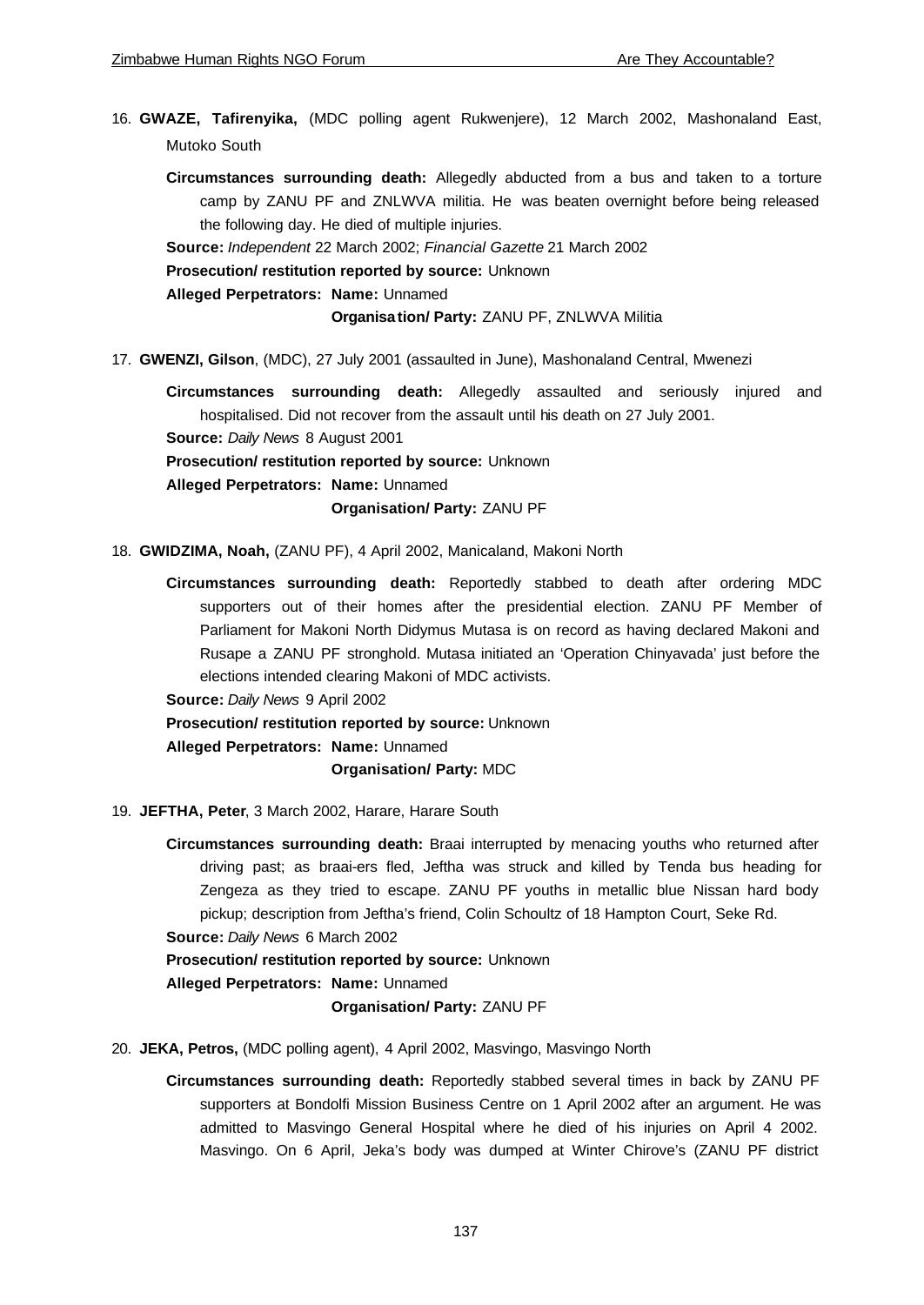- 16. **GWAZE, Tafirenyika,** (MDC polling agent Rukwenjere), 12 March 2002, Mashonaland East, Mutoko South
	- **Circumstances surrounding death:** Allegedly abducted from a bus and taken to a torture camp by ZANU PF and ZNLWVA militia. He was beaten overnight before being released the following day. He died of multiple injuries.

**Source:** *Independent* 22 March 2002; *Financial Gazette* 21 March 2002

**Prosecution/ restitution reported by source:** Unknown

**Alleged Perpetrators: Name:** Unnamed

**Organisa tion/ Party:** ZANU PF, ZNLWVA Militia

17. **GWENZI, Gilson**, (MDC), 27 July 2001 (assaulted in June), Mashonaland Central, Mwenezi

**Circumstances surrounding death:** Allegedly assaulted and seriously injured and hospitalised. Did not recover from the assault until his death on 27 July 2001. **Source:** *Daily News* 8 August 2001 **Prosecution/ restitution reported by source:** Unknown **Alleged Perpetrators: Name:** Unnamed

**Organisation/ Party:** ZANU PF

18. **GWIDZIMA, Noah,** (ZANU PF), 4 April 2002, Manicaland, Makoni North

- **Circumstances surrounding death:** Reportedly stabbed to death after ordering MDC supporters out of their homes after the presidential election. ZANU PF Member of Parliament for Makoni North Didymus Mutasa is on record as having declared Makoni and Rusape a ZANU PF stronghold. Mutasa initiated an 'Operation Chinyavada' just before the elections intended clearing Makoni of MDC activists.
- **Source:** *Daily News* 9 April 2002
- **Prosecution/ restitution reported by source:** Unknown

**Alleged Perpetrators: Name:** Unnamed

**Organisation/ Party:** MDC

19. **JEFTHA, Peter**, 3 March 2002, Harare, Harare South

**Circumstances surrounding death:** Braai interrupted by menacing youths who returned after driving past; as braai-ers fled, Jeftha was struck and killed by Tenda bus heading for Zengeza as they tried to escape. ZANU PF youths in metallic blue Nissan hard body pickup; description from Jeftha's friend, Colin Schoultz of 18 Hampton Court, Seke Rd.

**Source:** *Daily News* 6 March 2002

**Prosecution/ restitution reported by source:** Unknown **Alleged Perpetrators: Name:** Unnamed **Organisation/ Party:** ZANU PF

20. **JEKA, Petros,** (MDC polling agent), 4 April 2002, Masvingo, Masvingo North

**Circumstances surrounding death:** Reportedly stabbed several times in back by ZANU PF supporters at Bondolfi Mission Business Centre on 1 April 2002 after an argument. He was admitted to Masvingo General Hospital where he died of his injuries on April 4 2002. Masvingo. On 6 April, Jeka's body was dumped at Winter Chirove's (ZANU PF district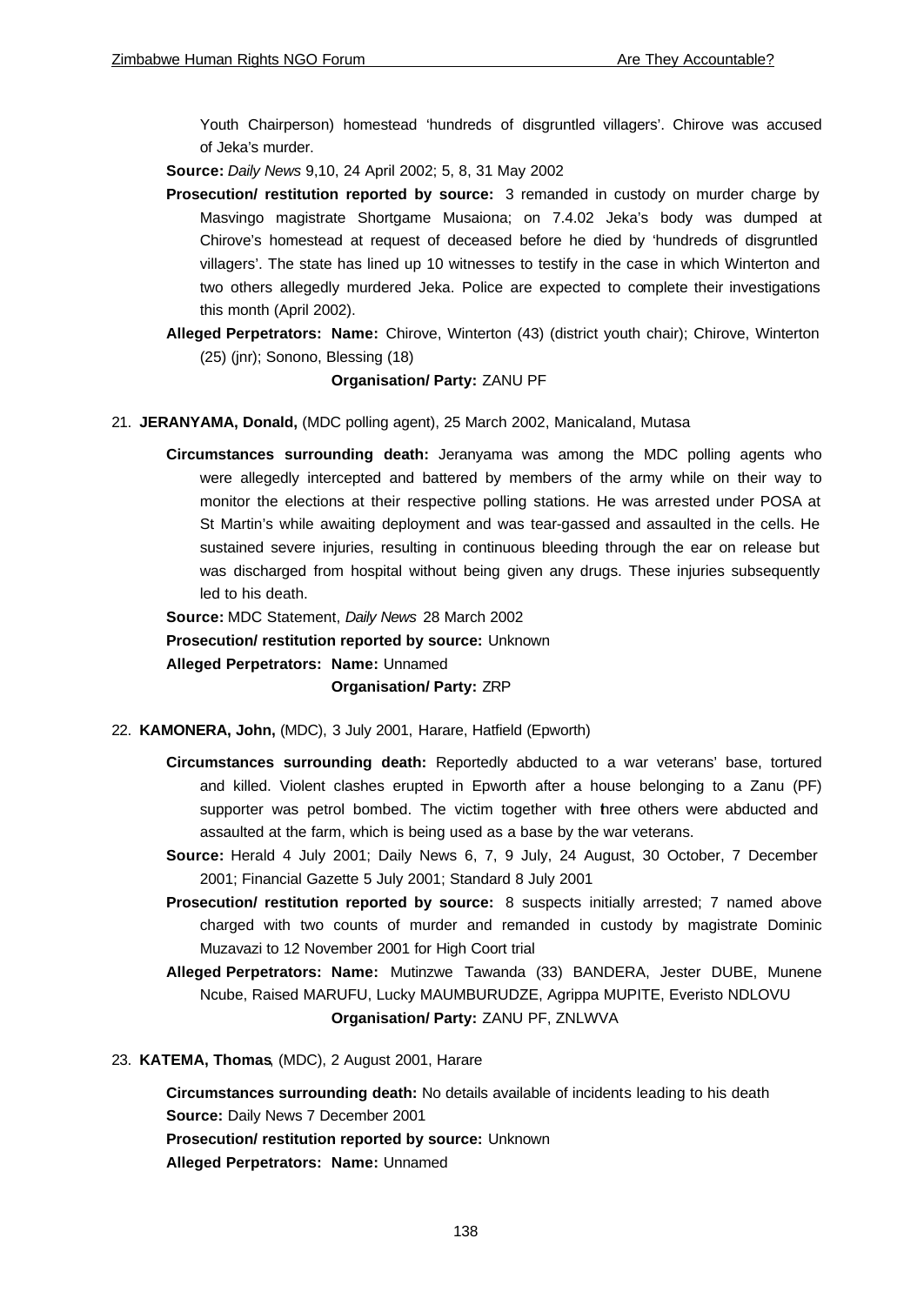Youth Chairperson) homestead 'hundreds of disgruntled villagers'. Chirove was accused of Jeka's murder.

**Source:** *Daily News* 9,10, 24 April 2002; 5, 8, 31 May 2002

- **Prosecution/ restitution reported by source:** 3 remanded in custody on murder charge by Masvingo magistrate Shortgame Musaiona; on 7.4.02 Jeka's body was dumped at Chirove's homestead at request of deceased before he died by 'hundreds of disgruntled villagers'. The state has lined up 10 witnesses to testify in the case in which Winterton and two others allegedly murdered Jeka. Police are expected to complete their investigations this month (April 2002).
- **Alleged Perpetrators: Name:** Chirove, Winterton (43) (district youth chair); Chirove, Winterton (25) (jnr); Sonono, Blessing (18)

## **Organisation/ Party:** ZANU PF

- 21. **JERANYAMA, Donald,** (MDC polling agent), 25 March 2002, Manicaland, Mutasa
	- **Circumstances surrounding death:** Jeranyama was among the MDC polling agents who were allegedly intercepted and battered by members of the army while on their way to monitor the elections at their respective polling stations. He was arrested under POSA at St Martin's while awaiting deployment and was tear-gassed and assaulted in the cells. He sustained severe injuries, resulting in continuous bleeding through the ear on release but was discharged from hospital without being given any drugs. These injuries subsequently led to his death.

**Source:** MDC Statement, *Daily News* 28 March 2002

**Prosecution/ restitution reported by source:** Unknown

**Alleged Perpetrators: Name:** Unnamed

## **Organisation/ Party:** ZRP

- 22. **KAMONERA, John,** (MDC), 3 July 2001, Harare, Hatfield (Epworth)
	- **Circumstances surrounding death:** Reportedly abducted to a war veterans' base, tortured and killed. Violent clashes erupted in Epworth after a house belonging to a Zanu (PF) supporter was petrol bombed. The victim together with three others were abducted and assaulted at the farm, which is being used as a base by the war veterans.
	- **Source:** Herald 4 July 2001; Daily News 6, 7, 9 July, 24 August, 30 October, 7 December 2001; Financial Gazette 5 July 2001; Standard 8 July 2001
	- **Prosecution/ restitution reported by source:** 8 suspects initially arrested; 7 named above charged with two counts of murder and remanded in custody by magistrate Dominic Muzavazi to 12 November 2001 for High Coort trial
	- **Alleged Perpetrators: Name:** Mutinzwe Tawanda (33) BANDERA, Jester DUBE, Munene Ncube, Raised MARUFU, Lucky MAUMBURUDZE, Agrippa MUPITE, Everisto NDLOVU **Organisation/ Party:** ZANU PF, ZNLWVA
- 23. **KATEMA, Thomas**, (MDC), 2 August 2001, Harare

**Circumstances surrounding death:** No details available of incidents leading to his death **Source:** Daily News 7 December 2001 **Prosecution/ restitution reported by source:** Unknown **Alleged Perpetrators: Name:** Unnamed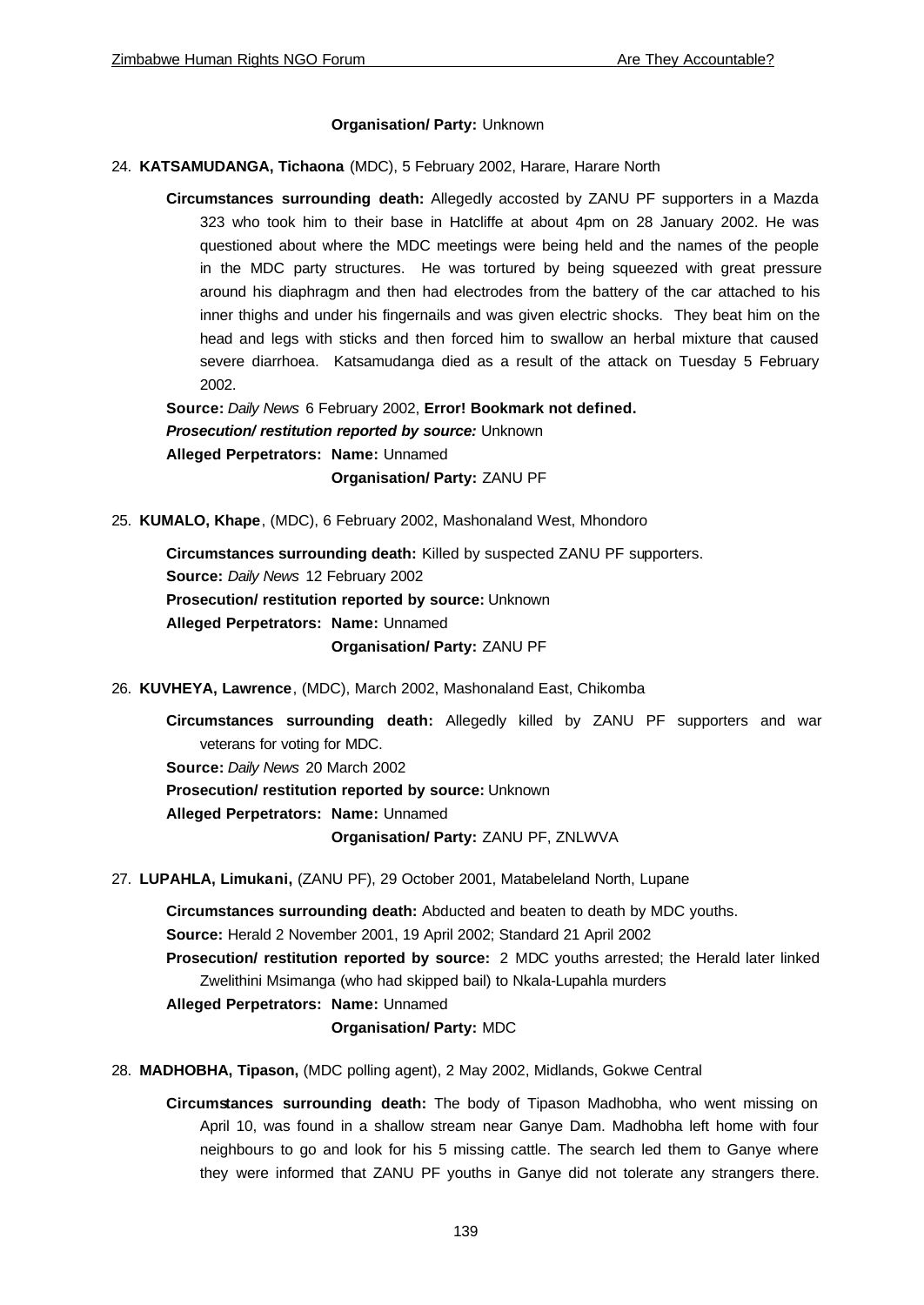## **Organisation/ Party:** Unknown

## 24. **KATSAMUDANGA, Tichaona** (MDC), 5 February 2002, Harare, Harare North

**Circumstances surrounding death:** Allegedly accosted by ZANU PF supporters in a Mazda 323 who took him to their base in Hatcliffe at about 4pm on 28 January 2002. He was questioned about where the MDC meetings were being held and the names of the people in the MDC party structures. He was tortured by being squeezed with great pressure around his diaphragm and then had electrodes from the battery of the car attached to his inner thighs and under his fingernails and was given electric shocks. They beat him on the head and legs with sticks and then forced him to swallow an herbal mixture that caused severe diarrhoea. Katsamudanga died as a result of the attack on Tuesday 5 February 2002.

**Source:** *Daily News* 6 February 2002, **Error! Bookmark not defined.** *Prosecution/ restitution reported by source:* Unknown **Alleged Perpetrators: Name:** Unnamed **Organisation/ Party:** ZANU PF

25. **KUMALO, Khape**, (MDC), 6 February 2002, Mashonaland West, Mhondoro

**Circumstances surrounding death:** Killed by suspected ZANU PF supporters. **Source:** *Daily News* 12 February 2002 **Prosecution/ restitution reported by source:** Unknown **Alleged Perpetrators: Name:** Unnamed **Organisation/ Party:** ZANU PF

26. **KUVHEYA, Lawrence**, (MDC), March 2002, Mashonaland East, Chikomba

**Circumstances surrounding death:** Allegedly killed by ZANU PF supporters and war veterans for voting for MDC. **Source:** *Daily News* 20 March 2002 **Prosecution/ restitution reported by source:** Unknown **Alleged Perpetrators: Name:** Unnamed **Organisation/ Party:** ZANU PF, ZNLWVA

27. **LUPAHLA, Limukani,** (ZANU PF), 29 October 2001, Matabeleland North, Lupane

**Circumstances surrounding death:** Abducted and beaten to death by MDC youths. **Source:** Herald 2 November 2001, 19 April 2002; Standard 21 April 2002 **Prosecution/ restitution reported by source:** 2 MDC youths arrested; the Herald later linked Zwelithini Msimanga (who had skipped bail) to Nkala-Lupahla murders

**Alleged Perpetrators: Name:** Unnamed

**Organisation/ Party:** MDC

28. **MADHOBHA, Tipason,** (MDC polling agent), 2 May 2002, Midlands, Gokwe Central

**Circumstances surrounding death:** The body of Tipason Madhobha, who went missing on April 10, was found in a shallow stream near Ganye Dam. Madhobha left home with four neighbours to go and look for his 5 missing cattle. The search led them to Ganye where they were informed that ZANU PF youths in Ganye did not tolerate any strangers there.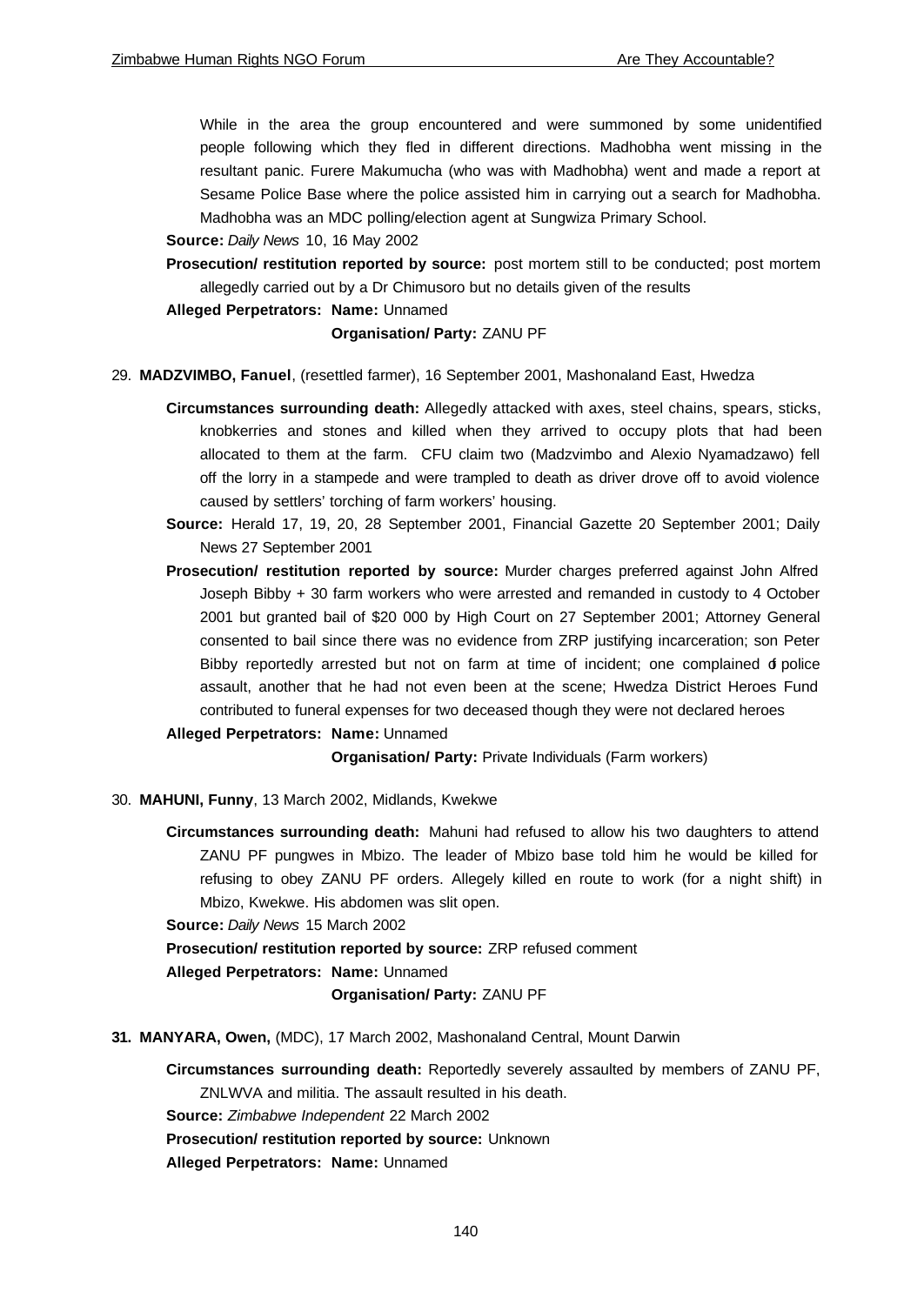While in the area the group encountered and were summoned by some unidentified people following which they fled in different directions. Madhobha went missing in the resultant panic. Furere Makumucha (who was with Madhobha) went and made a report at Sesame Police Base where the police assisted him in carrying out a search for Madhobha. Madhobha was an MDC polling/election agent at Sungwiza Primary School.

## **Source:** *Daily News* 10, 16 May 2002

- **Prosecution/ restitution reported by source:** post mortem still to be conducted; post mortem allegedly carried out by a Dr Chimusoro but no details given of the results
- **Alleged Perpetrators: Name:** Unnamed

## **Organisation/ Party:** ZANU PF

- 29. **MADZVIMBO, Fanuel**, (resettled farmer), 16 September 2001, Mashonaland East, Hwedza
	- **Circumstances surrounding death:** Allegedly attacked with axes, steel chains, spears, sticks, knobkerries and stones and killed when they arrived to occupy plots that had been allocated to them at the farm. CFU claim two (Madzvimbo and Alexio Nyamadzawo) fell off the lorry in a stampede and were trampled to death as driver drove off to avoid violence caused by settlers' torching of farm workers' housing.
	- **Source:** Herald 17, 19, 20, 28 September 2001, Financial Gazette 20 September 2001; Daily News 27 September 2001
	- **Prosecution/ restitution reported by source:** Murder charges preferred against John Alfred Joseph Bibby + 30 farm workers who were arrested and remanded in custody to 4 October 2001 but granted bail of \$20 000 by High Court on 27 September 2001; Attorney General consented to bail since there was no evidence from ZRP justifying incarceration; son Peter Bibby reportedly arrested but not on farm at time of incident; one complained d police assault, another that he had not even been at the scene; Hwedza District Heroes Fund contributed to funeral expenses for two deceased though they were not declared heroes

## **Alleged Perpetrators: Name:** Unnamed

**Organisation/ Party:** Private Individuals (Farm workers)

- 30. **MAHUNI, Funny**, 13 March 2002, Midlands, Kwekwe
	- **Circumstances surrounding death:** Mahuni had refused to allow his two daughters to attend ZANU PF pungwes in Mbizo. The leader of Mbizo base told him he would be killed for refusing to obey ZANU PF orders. Allegely killed en route to work (for a night shift) in Mbizo, Kwekwe. His abdomen was slit open.

**Source:** *Daily News* 15 March 2002

**Prosecution/ restitution reported by source:** ZRP refused comment

**Alleged Perpetrators: Name:** Unnamed

## **Organisation/ Party:** ZANU PF

**31. MANYARA, Owen,** (MDC), 17 March 2002, Mashonaland Central, Mount Darwin

**Circumstances surrounding death:** Reportedly severely assaulted by members of ZANU PF, ZNLWVA and militia. The assault resulted in his death.

**Source:** *Zimbabwe Independent* 22 March 2002

**Prosecution/ restitution reported by source:** Unknown

**Alleged Perpetrators: Name:** Unnamed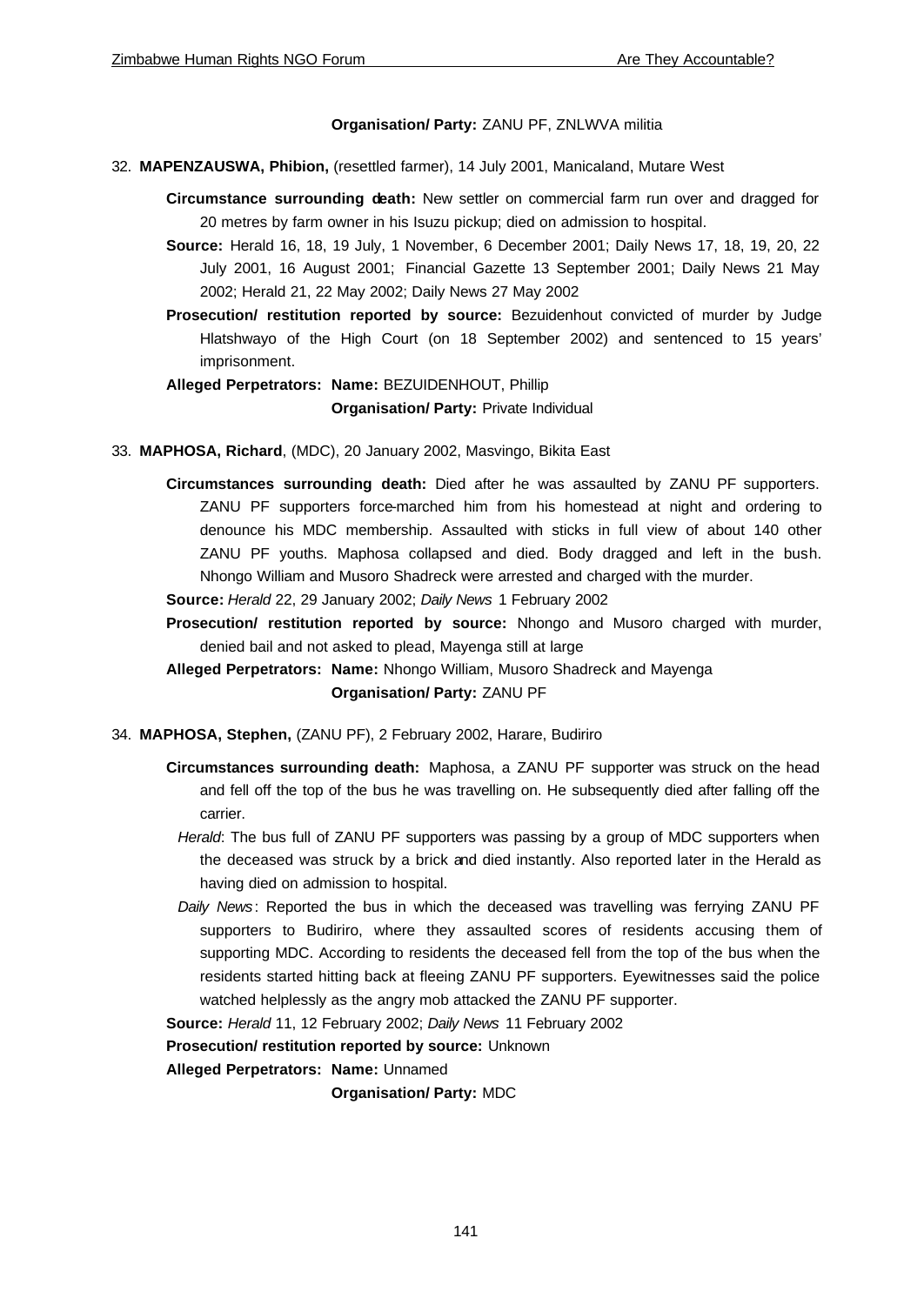## **Organisation/ Party:** ZANU PF, ZNLWVA militia

- 32. **MAPENZAUSWA, Phibion,** (resettled farmer), 14 July 2001, Manicaland, Mutare West
	- **Circumstance surrounding death:** New settler on commercial farm run over and dragged for 20 metres by farm owner in his Isuzu pickup; died on admission to hospital.
	- **Source:** Herald 16, 18, 19 July, 1 November, 6 December 2001; Daily News 17, 18, 19, 20, 22 July 2001, 16 August 2001; Financial Gazette 13 September 2001; Daily News 21 May 2002; Herald 21, 22 May 2002; Daily News 27 May 2002
	- **Prosecution/ restitution reported by source:** Bezuidenhout convicted of murder by Judge Hlatshwayo of the High Court (on 18 September 2002) and sentenced to 15 years' imprisonment.

**Alleged Perpetrators: Name:** BEZUIDENHOUT, Phillip **Organisation/ Party:** Private Individual

33. **MAPHOSA, Richard**, (MDC), 20 January 2002, Masvingo, Bikita East

**Circumstances surrounding death:** Died after he was assaulted by ZANU PF supporters. ZANU PF supporters force-marched him from his homestead at night and ordering to denounce his MDC membership. Assaulted with sticks in full view of about 140 other ZANU PF youths. Maphosa collapsed and died. Body dragged and left in the bush. Nhongo William and Musoro Shadreck were arrested and charged with the murder.

**Source:** *Herald* 22, 29 January 2002; *Daily News* 1 February 2002

**Prosecution/ restitution reported by source:** Nhongo and Musoro charged with murder, denied bail and not asked to plead, Mayenga still at large

**Alleged Perpetrators: Name:** Nhongo William, Musoro Shadreck and Mayenga

## **Organisation/ Party:** ZANU PF

- 34. **MAPHOSA, Stephen,** (ZANU PF), 2 February 2002, Harare, Budiriro
	- **Circumstances surrounding death:** Maphosa, a ZANU PF supporter was struck on the head and fell off the top of the bus he was travelling on. He subsequently died after falling off the carrier.
		- *Herald*: The bus full of ZANU PF supporters was passing by a group of MDC supporters when the deceased was struck by a brick and died instantly. Also reported later in the Herald as having died on admission to hospital.
	- *Daily News*: Reported the bus in which the deceased was travelling was ferrying ZANU PF supporters to Budiriro, where they assaulted scores of residents accusing them of supporting MDC. According to residents the deceased fell from the top of the bus when the residents started hitting back at fleeing ZANU PF supporters. Eyewitnesses said the police watched helplessly as the angry mob attacked the ZANU PF supporter.

**Source:** *Herald* 11, 12 February 2002; *Daily News* 11 February 2002

**Prosecution/ restitution reported by source:** Unknown

**Alleged Perpetrators: Name:** Unnamed

**Organisation/ Party:** MDC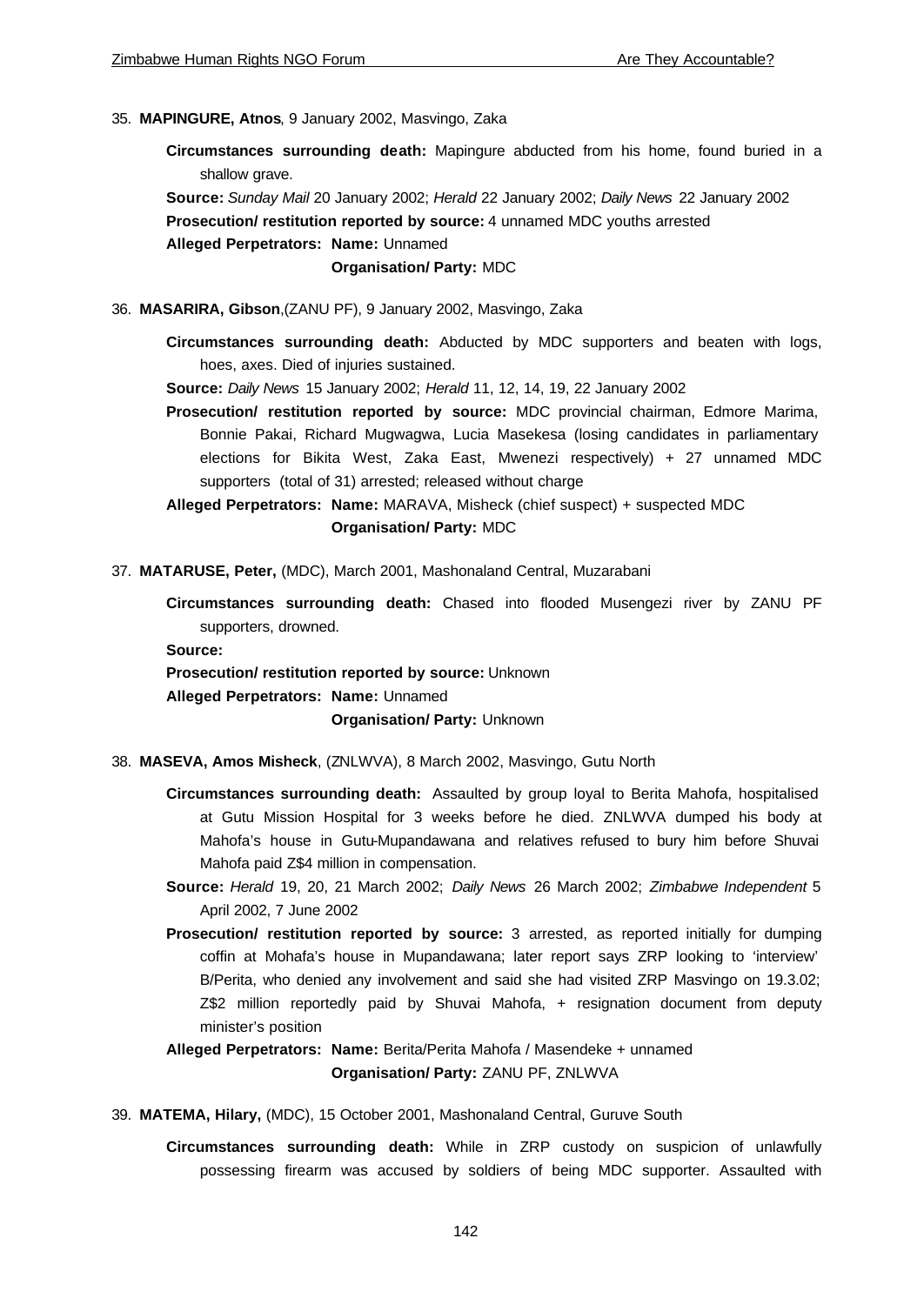## 35. **MAPINGURE, Atnos**, 9 January 2002, Masvingo, Zaka

**Circumstances surrounding death:** Mapingure abducted from his home, found buried in a shallow grave.

**Source:** *Sunday Mail* 20 January 2002; *Herald* 22 January 2002; *Daily News* 22 January 2002 **Prosecution/ restitution reported by source:** 4 unnamed MDC youths arrested **Alleged Perpetrators: Name:** Unnamed

**Organisation/ Party:** MDC

36. **MASARIRA, Gibson**,(ZANU PF), 9 January 2002, Masvingo, Zaka

**Circumstances surrounding death:** Abducted by MDC supporters and beaten with logs, hoes, axes. Died of injuries sustained.

**Source:** *Daily News* 15 January 2002; *Herald* 11, 12, 14, 19, 22 January 2002

**Prosecution/ restitution reported by source:** MDC provincial chairman, Edmore Marima, Bonnie Pakai, Richard Mugwagwa, Lucia Masekesa (losing candidates in parliamentary elections for Bikita West, Zaka East, Mwenezi respectively) + 27 unnamed MDC supporters (total of 31) arrested; released without charge

**Alleged Perpetrators: Name:** MARAVA, Misheck (chief suspect) + suspected MDC **Organisation/ Party:** MDC

- 37. **MATARUSE, Peter,** (MDC), March 2001, Mashonaland Central, Muzarabani
	- **Circumstances surrounding death:** Chased into flooded Musengezi river by ZANU PF supporters, drowned.

**Source:** 

**Prosecution/ restitution reported by source:** Unknown

**Alleged Perpetrators: Name:** Unnamed

**Organisation/ Party:** Unknown

- 38. **MASEVA, Amos Misheck**, (ZNLWVA), 8 March 2002, Masvingo, Gutu North
	- **Circumstances surrounding death:** Assaulted by group loyal to Berita Mahofa, hospitalised at Gutu Mission Hospital for 3 weeks before he died. ZNLWVA dumped his body at Mahofa's house in Gutu-Mupandawana and relatives refused to bury him before Shuvai Mahofa paid Z\$4 million in compensation.
	- **Source:** *Herald* 19, 20, 21 March 2002; *Daily News* 26 March 2002; *Zimbabwe Independent* 5 April 2002, 7 June 2002
	- **Prosecution/ restitution reported by source:** 3 arrested, as reported initially for dumping coffin at Mohafa's house in Mupandawana; later report says ZRP looking to 'interview' B/Perita, who denied any involvement and said she had visited ZRP Masvingo on 19.3.02; Z\$2 million reportedly paid by Shuvai Mahofa, + resignation document from deputy minister's position

## **Alleged Perpetrators: Name:** Berita/Perita Mahofa / Masendeke + unnamed **Organisation/ Party:** ZANU PF, ZNLWVA

- 39. **MATEMA, Hilary,** (MDC), 15 October 2001, Mashonaland Central, Guruve South
	- **Circumstances surrounding death:** While in ZRP custody on suspicion of unlawfully possessing firearm was accused by soldiers of being MDC supporter. Assaulted with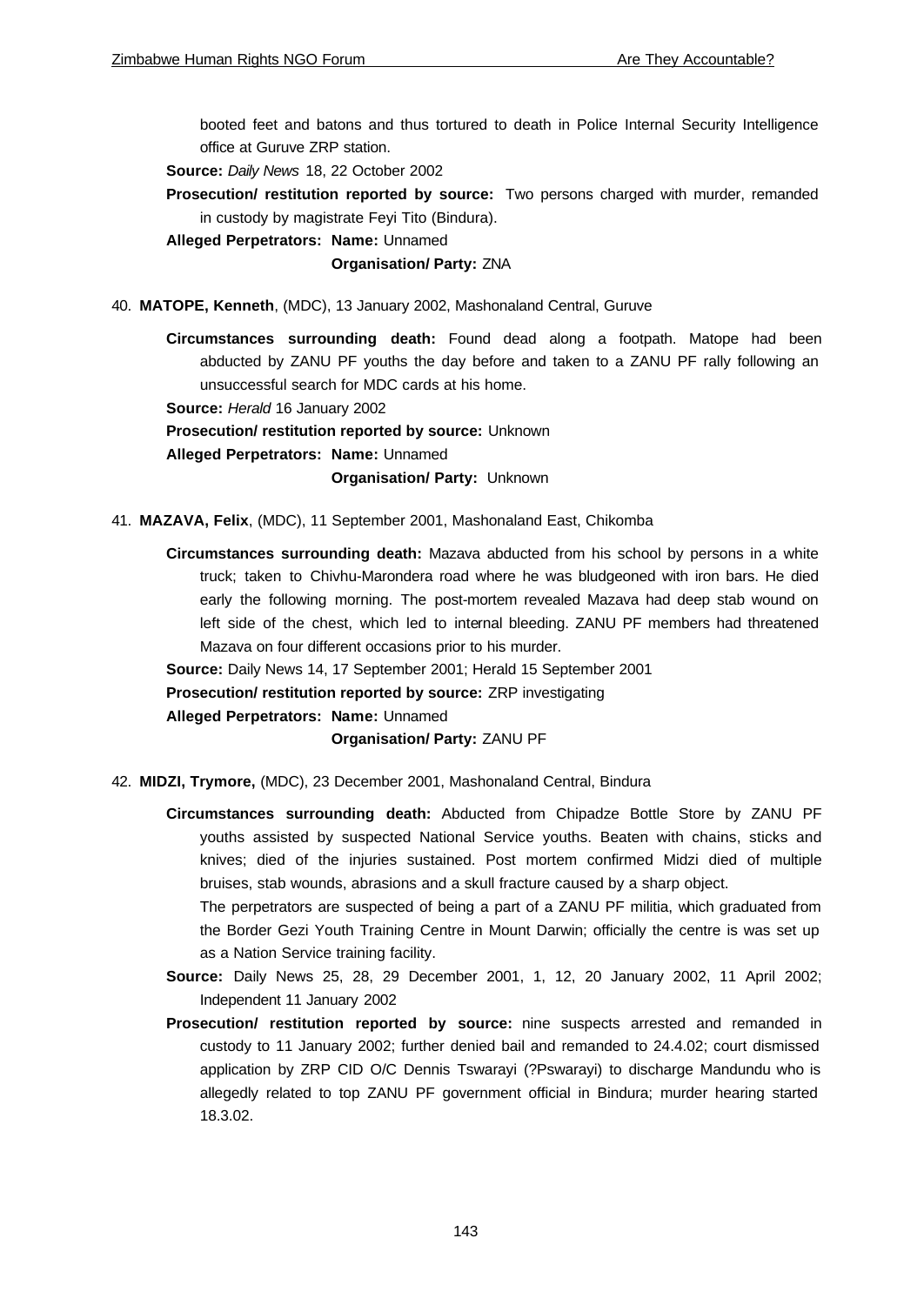booted feet and batons and thus tortured to death in Police Internal Security Intelligence office at Guruve ZRP station.

**Source:** *Daily News* 18, 22 October 2002

**Prosecution/ restitution reported by source:** Two persons charged with murder, remanded in custody by magistrate Feyi Tito (Bindura).

**Alleged Perpetrators: Name:** Unnamed

## **Organisation/ Party:** ZNA

40. **MATOPE, Kenneth**, (MDC), 13 January 2002, Mashonaland Central, Guruve

**Circumstances surrounding death:** Found dead along a footpath. Matope had been abducted by ZANU PF youths the day before and taken to a ZANU PF rally following an unsuccessful search for MDC cards at his home.

**Source:** *Herald* 16 January 2002

**Prosecution/ restitution reported by source:** Unknown

**Alleged Perpetrators: Name:** Unnamed

**Organisation/ Party:** Unknown

- 41. **MAZAVA, Felix**, (MDC), 11 September 2001, Mashonaland East, Chikomba
	- **Circumstances surrounding death:** Mazava abducted from his school by persons in a white truck; taken to Chivhu-Marondera road where he was bludgeoned with iron bars. He died early the following morning. The post-mortem revealed Mazava had deep stab wound on left side of the chest, which led to internal bleeding. ZANU PF members had threatened Mazava on four different occasions prior to his murder.

**Source:** Daily News 14, 17 September 2001; Herald 15 September 2001

**Prosecution/ restitution reported by source:** ZRP investigating

**Alleged Perpetrators: Name:** Unnamed

**Organisation/ Party:** ZANU PF

- 42. **MIDZI, Trymore,** (MDC), 23 December 2001, Mashonaland Central, Bindura
	- **Circumstances surrounding death:** Abducted from Chipadze Bottle Store by ZANU PF youths assisted by suspected National Service youths. Beaten with chains, sticks and knives; died of the injuries sustained. Post mortem confirmed Midzi died of multiple bruises, stab wounds, abrasions and a skull fracture caused by a sharp object.

The perpetrators are suspected of being a part of a ZANU PF militia, which graduated from the Border Gezi Youth Training Centre in Mount Darwin; officially the centre is was set up as a Nation Service training facility.

- **Source:** Daily News 25, 28, 29 December 2001, 1, 12, 20 January 2002, 11 April 2002; Independent 11 January 2002
- **Prosecution/ restitution reported by source:** nine suspects arrested and remanded in custody to 11 January 2002; further denied bail and remanded to 24.4.02; court dismissed application by ZRP CID O/C Dennis Tswarayi (?Pswarayi) to discharge Mandundu who is allegedly related to top ZANU PF government official in Bindura; murder hearing started 18.3.02.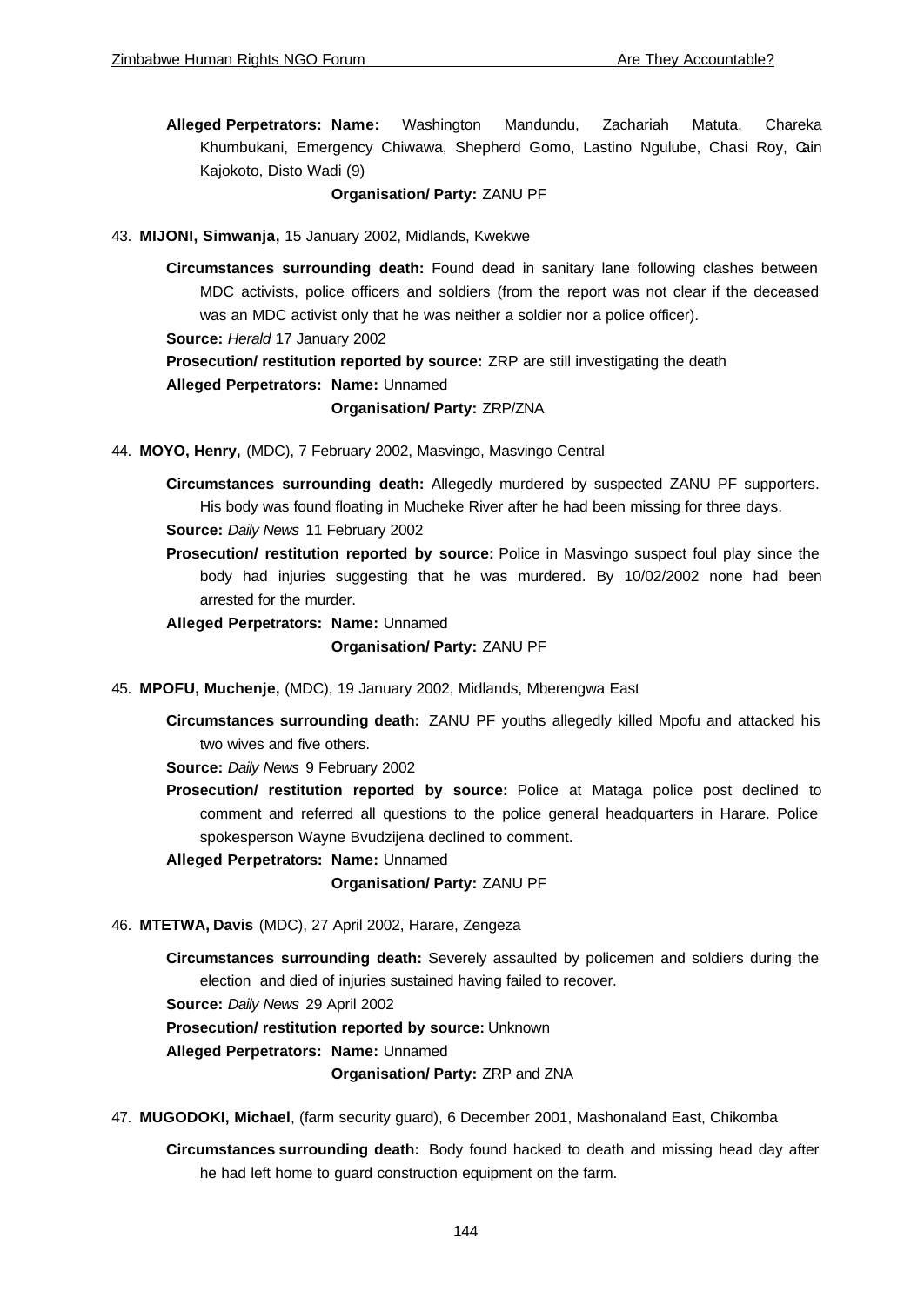**Alleged Perpetrators: Name:** Washington Mandundu, Zachariah Matuta, Chareka Khumbukani, Emergency Chiwawa, Shepherd Gomo, Lastino Ngulube, Chasi Roy, Cain Kajokoto, Disto Wadi (9)

## **Organisation/ Party:** ZANU PF

43. **MIJONI, Simwanja,** 15 January 2002, Midlands, Kwekwe

**Circumstances surrounding death:** Found dead in sanitary lane following clashes between MDC activists, police officers and soldiers (from the report was not clear if the deceased was an MDC activist only that he was neither a soldier nor a police officer). **Source:** *Herald* 17 January 2002 **Prosecution/ restitution reported by source:** ZRP are still investigating the death **Alleged Perpetrators: Name:** Unnamed **Organisation/ Party:** ZRP/ZNA

44. **MOYO, Henry,** (MDC), 7 February 2002, Masvingo, Masvingo Central

**Circumstances surrounding death:** Allegedly murdered by suspected ZANU PF supporters. His body was found floating in Mucheke River after he had been missing for three days. **Source:** *Daily News* 11 February 2002

**Prosecution/ restitution reported by source:** Police in Masvingo suspect foul play since the body had injuries suggesting that he was murdered. By 10/02/2002 none had been arrested for the murder.

**Alleged Perpetrators: Name:** Unnamed

### **Organisation/ Party:** ZANU PF

- 45. **MPOFU, Muchenje,** (MDC), 19 January 2002, Midlands, Mberengwa East
	- **Circumstances surrounding death:** ZANU PF youths allegedly killed Mpofu and attacked his two wives and five others.

**Source:** *Daily News* 9 February 2002

**Prosecution/ restitution reported by source:** Police at Mataga police post declined to comment and referred all questions to the police general headquarters in Harare. Police spokesperson Wayne Bvudzijena declined to comment.

**Alleged Perpetrators: Name:** Unnamed

**Organisation/ Party:** ZANU PF

- 46. **MTETWA, Davis** (MDC), 27 April 2002, Harare, Zengeza
	- **Circumstances surrounding death:** Severely assaulted by policemen and soldiers during the election and died of injuries sustained having failed to recover.

**Source:** *Daily News* 29 April 2002

**Prosecution/ restitution reported by source:** Unknown

**Alleged Perpetrators: Name:** Unnamed

**Organisation/ Party:** ZRP and ZNA

- 47. **MUGODOKI, Michael**, (farm security guard), 6 December 2001, Mashonaland East, Chikomba
	- **Circumstances surrounding death:** Body found hacked to death and missing head day after he had left home to guard construction equipment on the farm.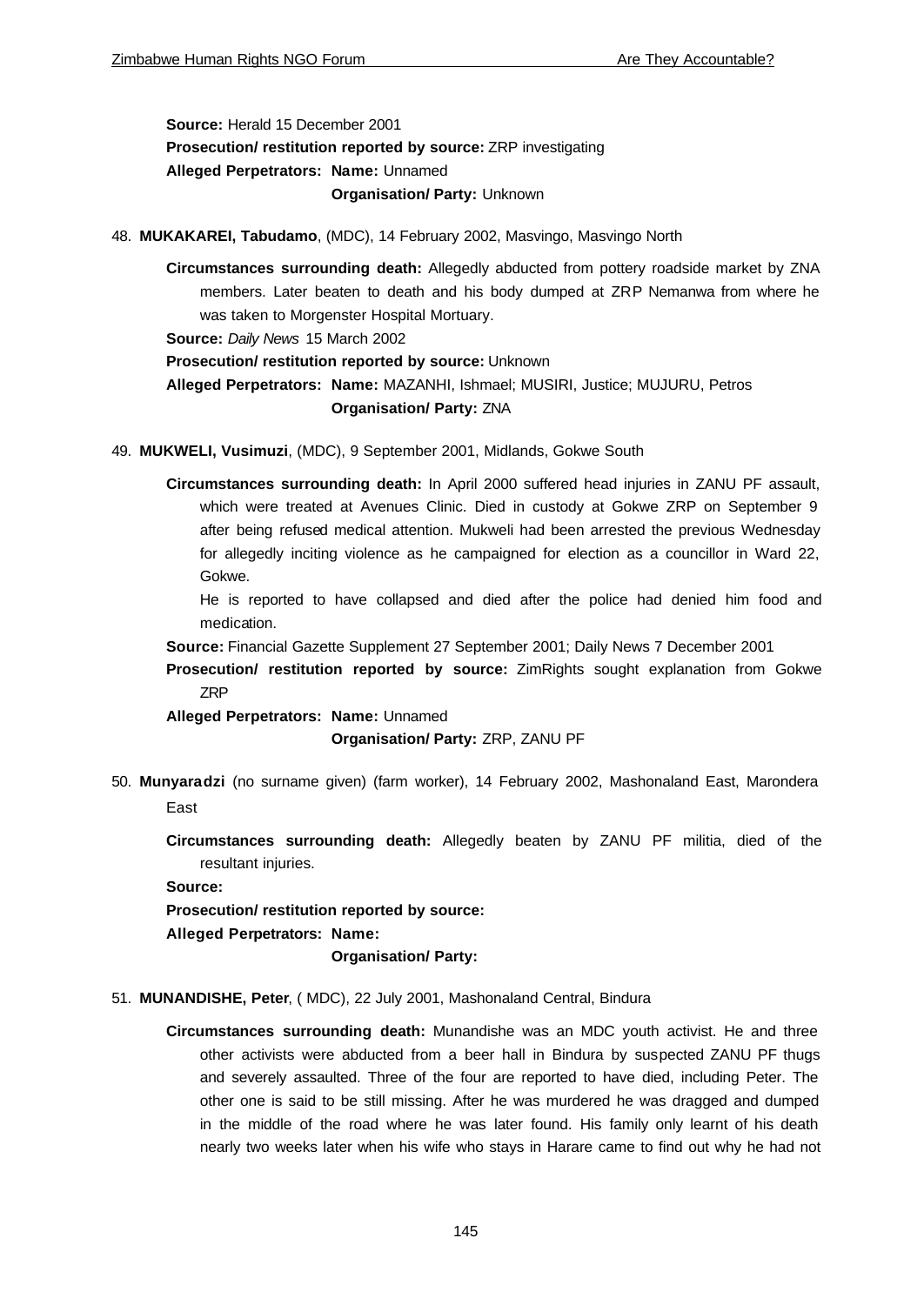**Source:** Herald 15 December 2001 **Prosecution/ restitution reported by source:** ZRP investigating **Alleged Perpetrators: Name:** Unnamed **Organisation/ Party:** Unknown

48. **MUKAKAREI, Tabudamo**, (MDC), 14 February 2002, Masvingo, Masvingo North

**Circumstances surrounding death:** Allegedly abducted from pottery roadside market by ZNA members. Later beaten to death and his body dumped at ZRP Nemanwa from where he was taken to Morgenster Hospital Mortuary.

**Source:** *Daily News* 15 March 2002

**Prosecution/ restitution reported by source:** Unknown

**Alleged Perpetrators: Name:** MAZANHI, Ishmael; MUSIRI, Justice; MUJURU, Petros **Organisation/ Party:** ZNA

49. **MUKWELI, Vusimuzi**, (MDC), 9 September 2001, Midlands, Gokwe South

**Circumstances surrounding death:** In April 2000 suffered head injuries in ZANU PF assault, which were treated at Avenues Clinic. Died in custody at Gokwe ZRP on September 9 after being refused medical attention. Mukweli had been arrested the previous Wednesday for allegedly inciting violence as he campaigned for election as a councillor in Ward 22, Gokwe.

He is reported to have collapsed and died after the police had denied him food and medication.

**Source:** Financial Gazette Supplement 27 September 2001; Daily News 7 December 2001

**Prosecution/ restitution reported by source:** ZimRights sought explanation from Gokwe ZRP

**Alleged Perpetrators: Name:** Unnamed **Organisation/ Party:** ZRP, ZANU PF

50. **Munyaradzi** (no surname given) (farm worker), 14 February 2002, Mashonaland East, Marondera East

**Circumstances surrounding death:** Allegedly beaten by ZANU PF militia, died of the resultant injuries.

**Source:** 

**Prosecution/ restitution reported by source:**

**Alleged Perpetrators: Name:**

**Organisation/ Party:**

- 51. **MUNANDISHE, Peter**, ( MDC), 22 July 2001, Mashonaland Central, Bindura
	- **Circumstances surrounding death:** Munandishe was an MDC youth activist. He and three other activists were abducted from a beer hall in Bindura by suspected ZANU PF thugs and severely assaulted. Three of the four are reported to have died, including Peter. The other one is said to be still missing. After he was murdered he was dragged and dumped in the middle of the road where he was later found. His family only learnt of his death nearly two weeks later when his wife who stays in Harare came to find out why he had not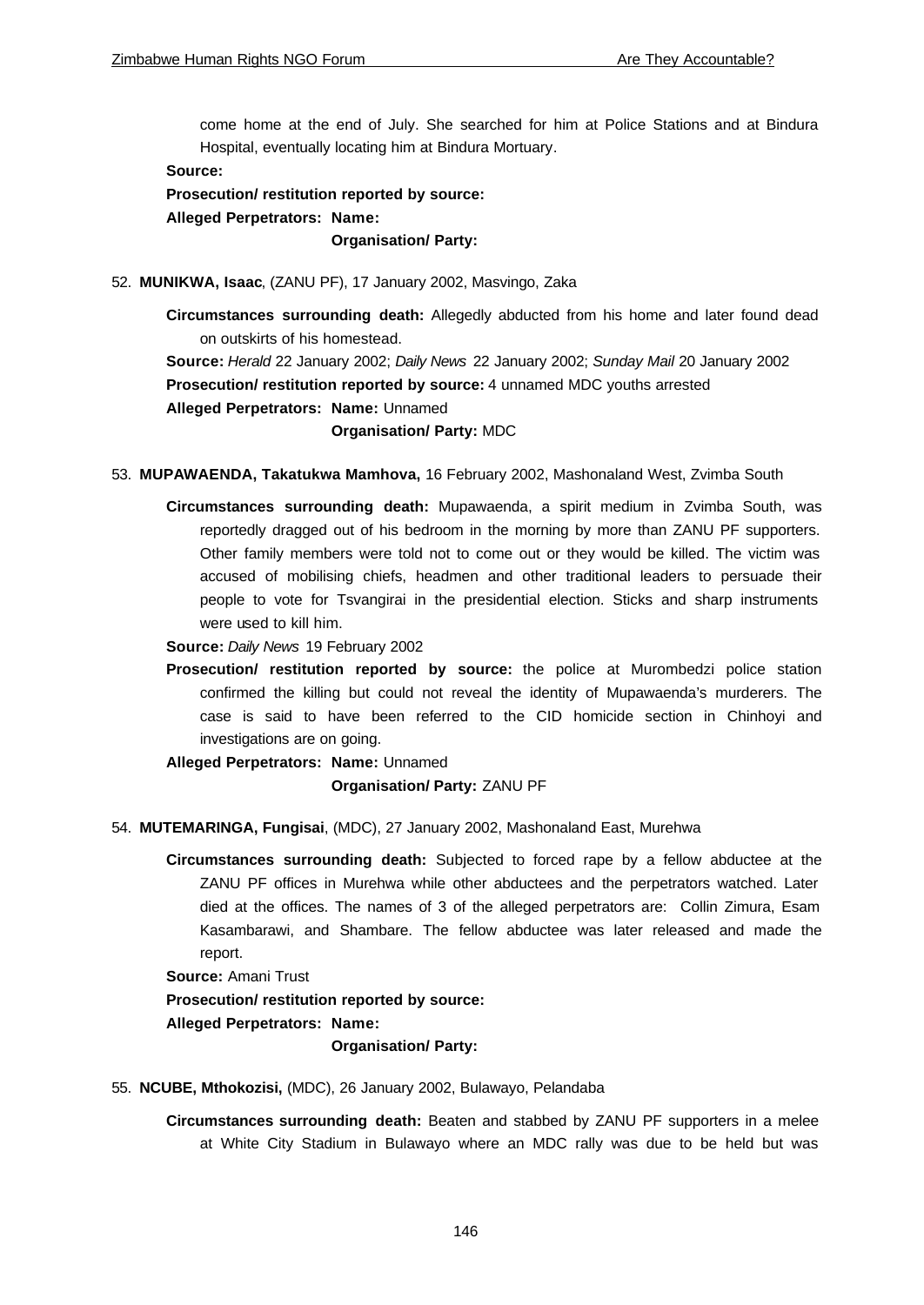come home at the end of July. She searched for him at Police Stations and at Bindura Hospital, eventually locating him at Bindura Mortuary.

#### **Source:**

**Prosecution/ restitution reported by source: Alleged Perpetrators: Name:**

**Organisation/ Party:**

52. **MUNIKWA, Isaac**, (ZANU PF), 17 January 2002, Masvingo, Zaka

**Circumstances surrounding death:** Allegedly abducted from his home and later found dead on outskirts of his homestead. **Source:** *Herald* 22 January 2002; *Daily News* 22 January 2002; *Sunday Mail* 20 January 2002 **Prosecution/ restitution reported by source:** 4 unnamed MDC youths arrested **Alleged Perpetrators: Name:** Unnamed **Organisation/ Party:** MDC

- 53. **MUPAWAENDA, Takatukwa Mamhova,** 16 February 2002, Mashonaland West, Zvimba South
	- **Circumstances surrounding death:** Mupawaenda, a spirit medium in Zvimba South, was reportedly dragged out of his bedroom in the morning by more than ZANU PF supporters. Other family members were told not to come out or they would be killed. The victim was accused of mobilising chiefs, headmen and other traditional leaders to persuade their people to vote for Tsvangirai in the presidential election. Sticks and sharp instruments were used to kill him.
	- **Source:** *Daily News* 19 February 2002
	- **Prosecution/ restitution reported by source:** the police at Murombedzi police station confirmed the killing but could not reveal the identity of Mupawaenda's murderers. The case is said to have been referred to the CID homicide section in Chinhoyi and investigations are on going.

**Alleged Perpetrators: Name:** Unnamed

# **Organisation/ Party:** ZANU PF

- 54. **MUTEMARINGA, Fungisai**, (MDC), 27 January 2002, Mashonaland East, Murehwa
	- **Circumstances surrounding death:** Subjected to forced rape by a fellow abductee at the ZANU PF offices in Murehwa while other abductees and the perpetrators watched. Later died at the offices. The names of 3 of the alleged perpetrators are: Collin Zimura, Esam Kasambarawi, and Shambare. The fellow abductee was later released and made the report.

**Source:** Amani Trust

**Prosecution/ restitution reported by source:**

**Alleged Perpetrators: Name:**

**Organisation/ Party:**

- 55. **NCUBE, Mthokozisi,** (MDC), 26 January 2002, Bulawayo, Pelandaba
	- **Circumstances surrounding death:** Beaten and stabbed by ZANU PF supporters in a melee at White City Stadium in Bulawayo where an MDC rally was due to be held but was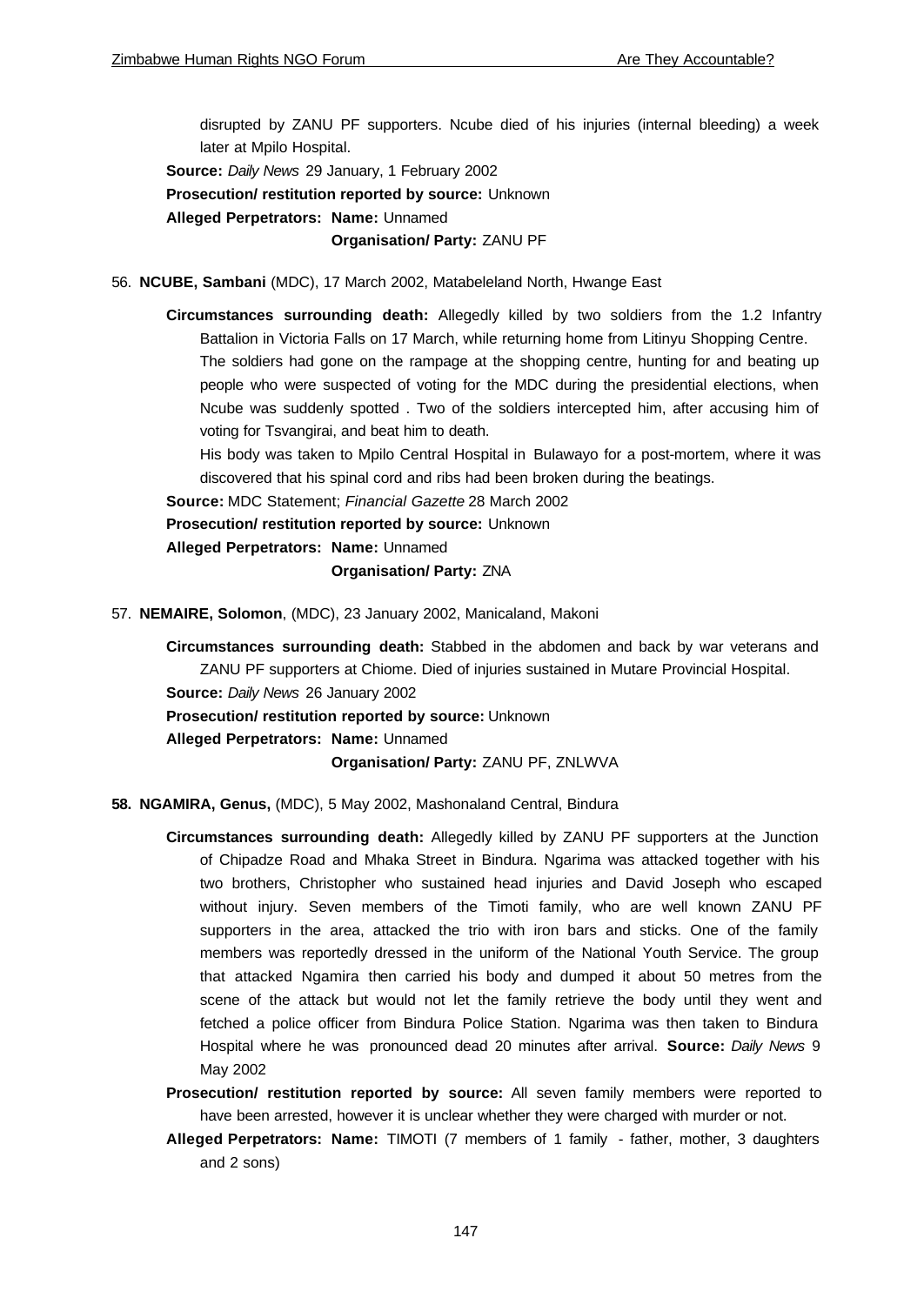disrupted by ZANU PF supporters. Ncube died of his injuries (internal bleeding) a week later at Mpilo Hospital.

**Source:** *Daily News* 29 January, 1 February 2002

**Prosecution/ restitution reported by source:** Unknown

**Alleged Perpetrators: Name:** Unnamed

**Organisation/ Party:** ZANU PF

56. **NCUBE, Sambani** (MDC), 17 March 2002, Matabeleland North, Hwange East

**Circumstances surrounding death:** Allegedly killed by two soldiers from the 1.2 Infantry Battalion in Victoria Falls on 17 March, while returning home from Litinyu Shopping Centre. The soldiers had gone on the rampage at the shopping centre, hunting for and beating up people who were suspected of voting for the MDC during the presidential elections, when Ncube was suddenly spotted . Two of the soldiers intercepted him, after accusing him of voting for Tsvangirai, and beat him to death.

His body was taken to Mpilo Central Hospital in Bulawayo for a post-mortem, where it was discovered that his spinal cord and ribs had been broken during the beatings.

**Source:** MDC Statement; *Financial Gazette* 28 March 2002

**Prosecution/ restitution reported by source:** Unknown

**Alleged Perpetrators: Name:** Unnamed

**Organisation/ Party:** ZNA

57. **NEMAIRE, Solomon**, (MDC), 23 January 2002, Manicaland, Makoni

**Circumstances surrounding death:** Stabbed in the abdomen and back by war veterans and ZANU PF supporters at Chiome. Died of injuries sustained in Mutare Provincial Hospital. **Source:** *Daily News* 26 January 2002

**Prosecution/ restitution reported by source:** Unknown

**Alleged Perpetrators: Name:** Unnamed

**Organisation/ Party:** ZANU PF, ZNLWVA

- **58. NGAMIRA, Genus,** (MDC), 5 May 2002, Mashonaland Central, Bindura
	- **Circumstances surrounding death:** Allegedly killed by ZANU PF supporters at the Junction of Chipadze Road and Mhaka Street in Bindura. Ngarima was attacked together with his two brothers, Christopher who sustained head injuries and David Joseph who escaped without injury. Seven members of the Timoti family, who are well known ZANU PF supporters in the area, attacked the trio with iron bars and sticks. One of the family members was reportedly dressed in the uniform of the National Youth Service. The group that attacked Ngamira then carried his body and dumped it about 50 metres from the scene of the attack but would not let the family retrieve the body until they went and fetched a police officer from Bindura Police Station. Ngarima was then taken to Bindura Hospital where he was pronounced dead 20 minutes after arrival. **Source:** *Daily News* 9 May 2002

**Prosecution/ restitution reported by source:** All seven family members were reported to have been arrested, however it is unclear whether they were charged with murder or not.

**Alleged Perpetrators: Name:** TIMOTI (7 members of 1 family - father, mother, 3 daughters and 2 sons)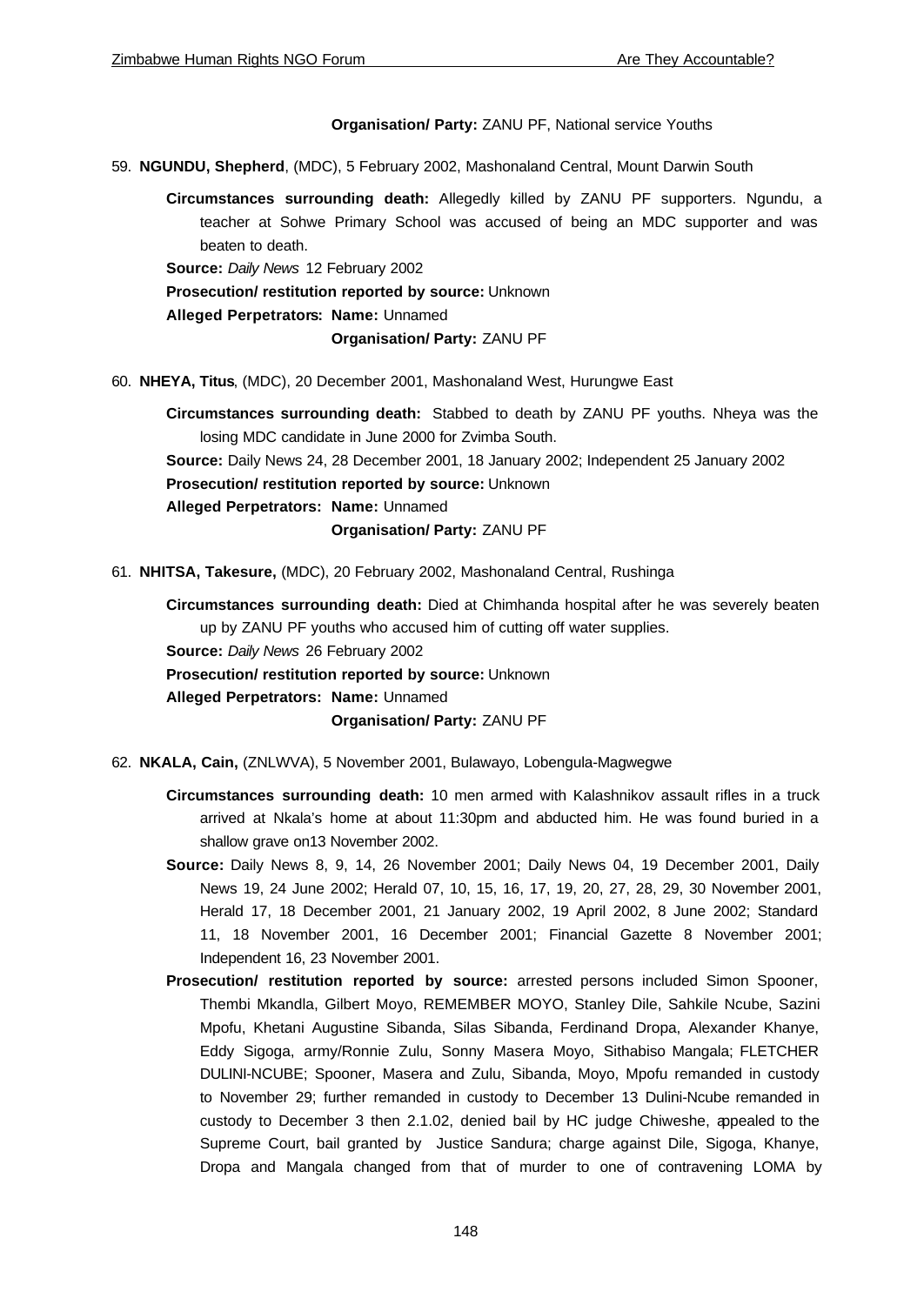# **Organisation/ Party:** ZANU PF, National service Youths

59. **NGUNDU, Shepherd**, (MDC), 5 February 2002, Mashonaland Central, Mount Darwin South

**Circumstances surrounding death:** Allegedly killed by ZANU PF supporters. Ngundu, a teacher at Sohwe Primary School was accused of being an MDC supporter and was beaten to death.

**Source:** *Daily News* 12 February 2002

**Prosecution/ restitution reported by source:** Unknown

**Alleged Perpetrators: Name:** Unnamed

#### **Organisation/ Party:** ZANU PF

60. **NHEYA, Titus**, (MDC), 20 December 2001, Mashonaland West, Hurungwe East

**Circumstances surrounding death:** Stabbed to death by ZANU PF youths. Nheya was the losing MDC candidate in June 2000 for Zvimba South.

**Source:** Daily News 24, 28 December 2001, 18 January 2002; Independent 25 January 2002

**Prosecution/ restitution reported by source:** Unknown

**Alleged Perpetrators: Name:** Unnamed

**Organisation/ Party:** ZANU PF

61. **NHITSA, Takesure,** (MDC), 20 February 2002, Mashonaland Central, Rushinga

**Circumstances surrounding death:** Died at Chimhanda hospital after he was severely beaten up by ZANU PF youths who accused him of cutting off water supplies.

**Source:** *Daily News* 26 February 2002

**Prosecution/ restitution reported by source:** Unknown

**Alleged Perpetrators: Name:** Unnamed

**Organisation/ Party:** ZANU PF

- 62. **NKALA, Cain,** (ZNLWVA), 5 November 2001, Bulawayo, Lobengula-Magwegwe
	- **Circumstances surrounding death:** 10 men armed with Kalashnikov assault rifles in a truck arrived at Nkala's home at about 11:30pm and abducted him. He was found buried in a shallow grave on13 November 2002.
	- **Source:** Daily News 8, 9, 14, 26 November 2001; Daily News 04, 19 December 2001, Daily News 19, 24 June 2002; Herald 07, 10, 15, 16, 17, 19, 20, 27, 28, 29, 30 November 2001, Herald 17, 18 December 2001, 21 January 2002, 19 April 2002, 8 June 2002; Standard 11, 18 November 2001, 16 December 2001; Financial Gazette 8 November 2001; Independent 16, 23 November 2001.
	- **Prosecution/ restitution reported by source:** arrested persons included Simon Spooner, Thembi Mkandla, Gilbert Moyo, REMEMBER MOYO, Stanley Dile, Sahkile Ncube, Sazini Mpofu, Khetani Augustine Sibanda, Silas Sibanda, Ferdinand Dropa, Alexander Khanye, Eddy Sigoga, army/Ronnie Zulu, Sonny Masera Moyo, Sithabiso Mangala; FLETCHER DULINI-NCUBE; Spooner, Masera and Zulu, Sibanda, Moyo, Mpofu remanded in custody to November 29; further remanded in custody to December 13 Dulini-Ncube remanded in custody to December 3 then 2.1.02, denied bail by HC judge Chiweshe, appealed to the Supreme Court, bail granted by Justice Sandura; charge against Dile, Sigoga, Khanye, Dropa and Mangala changed from that of murder to one of contravening LOMA by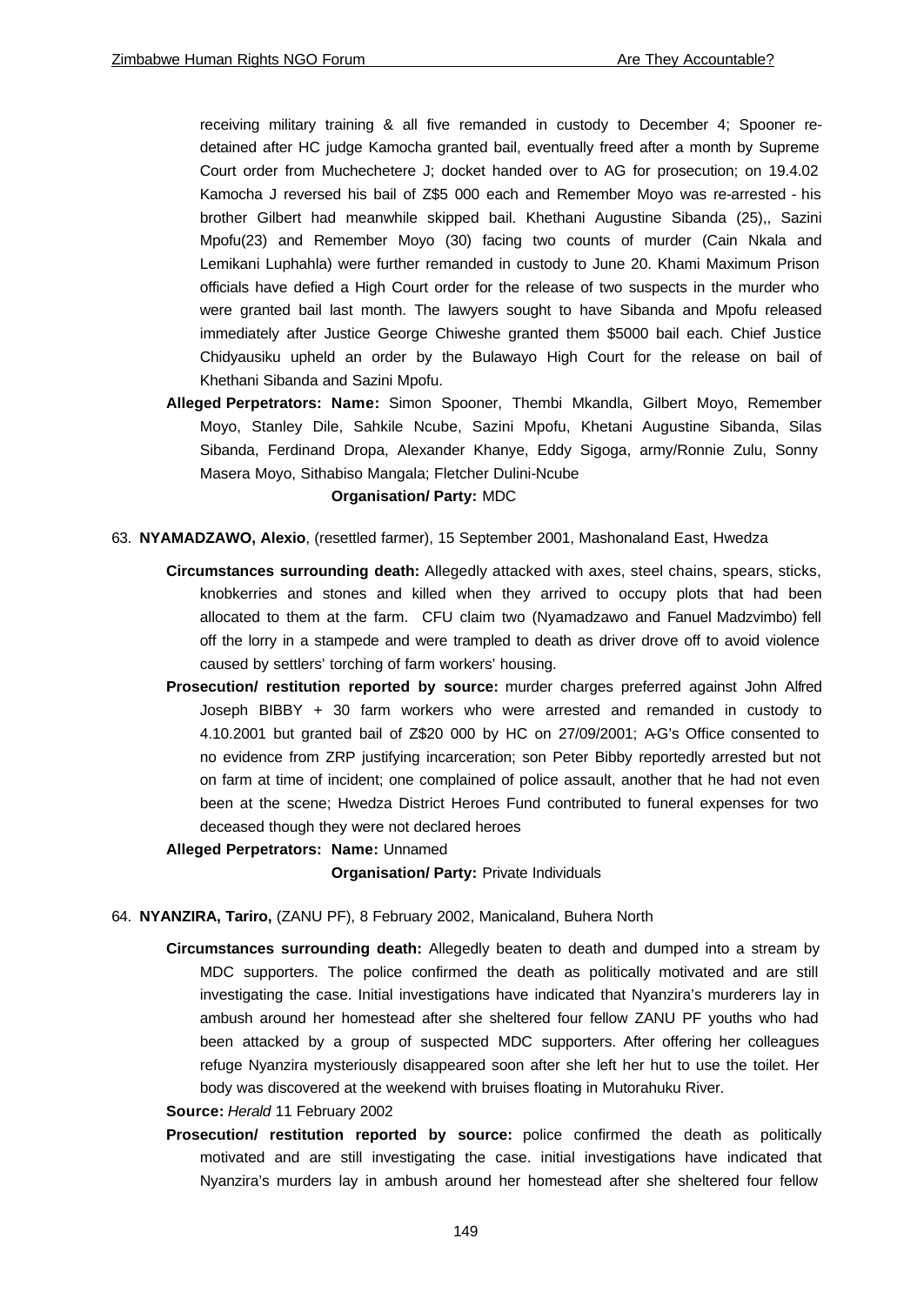receiving military training & all five remanded in custody to December 4; Spooner redetained after HC judge Kamocha granted bail, eventually freed after a month by Supreme Court order from Muchechetere J; docket handed over to AG for prosecution; on 19.4.02 Kamocha J reversed his bail of Z\$5 000 each and Remember Moyo was re-arrested - his brother Gilbert had meanwhile skipped bail. Khethani Augustine Sibanda (25),, Sazini Mpofu(23) and Remember Moyo (30) facing two counts of murder (Cain Nkala and Lemikani Luphahla) were further remanded in custody to June 20. Khami Maximum Prison officials have defied a High Court order for the release of two suspects in the murder who were granted bail last month. The lawyers sought to have Sibanda and Mpofu released immediately after Justice George Chiweshe granted them \$5000 bail each. Chief Justice Chidyausiku upheld an order by the Bulawayo High Court for the release on bail of Khethani Sibanda and Sazini Mpofu.

**Alleged Perpetrators: Name:** Simon Spooner, Thembi Mkandla, Gilbert Moyo, Remember Moyo, Stanley Dile, Sahkile Ncube, Sazini Mpofu, Khetani Augustine Sibanda, Silas Sibanda, Ferdinand Dropa, Alexander Khanye, Eddy Sigoga, army/Ronnie Zulu, Sonny Masera Moyo, Sithabiso Mangala; Fletcher Dulini-Ncube

#### **Organisation/ Party:** MDC

- 63. **NYAMADZAWO, Alexio**, (resettled farmer), 15 September 2001, Mashonaland East, Hwedza
	- **Circumstances surrounding death:** Allegedly attacked with axes, steel chains, spears, sticks, knobkerries and stones and killed when they arrived to occupy plots that had been allocated to them at the farm. CFU claim two (Nyamadzawo and Fanuel Madzvimbo) fell off the lorry in a stampede and were trampled to death as driver drove off to avoid violence caused by settlers' torching of farm workers' housing.
	- **Prosecution/ restitution reported by source:** murder charges preferred against John Alfred Joseph BIBBY + 30 farm workers who were arrested and remanded in custody to 4.10.2001 but granted bail of Z\$20 000 by HC on 27/09/2001; A-G's Office consented to no evidence from ZRP justifying incarceration; son Peter Bibby reportedly arrested but not on farm at time of incident; one complained of police assault, another that he had not even been at the scene; Hwedza District Heroes Fund contributed to funeral expenses for two deceased though they were not declared heroes

**Alleged Perpetrators: Name:** Unnamed

**Organisation/ Party:** Private Individuals

- 64. **NYANZIRA, Tariro,** (ZANU PF), 8 February 2002, Manicaland, Buhera North
	- **Circumstances surrounding death:** Allegedly beaten to death and dumped into a stream by MDC supporters. The police confirmed the death as politically motivated and are still investigating the case. Initial investigations have indicated that Nyanzira's murderers lay in ambush around her homestead after she sheltered four fellow ZANU PF youths who had been attacked by a group of suspected MDC supporters. After offering her colleagues refuge Nyanzira mysteriously disappeared soon after she left her hut to use the toilet. Her body was discovered at the weekend with bruises floating in Mutorahuku River.

#### **Source:** *Herald* 11 February 2002

**Prosecution/ restitution reported by source:** police confirmed the death as politically motivated and are still investigating the case. initial investigations have indicated that Nyanzira's murders lay in ambush around her homestead after she sheltered four fellow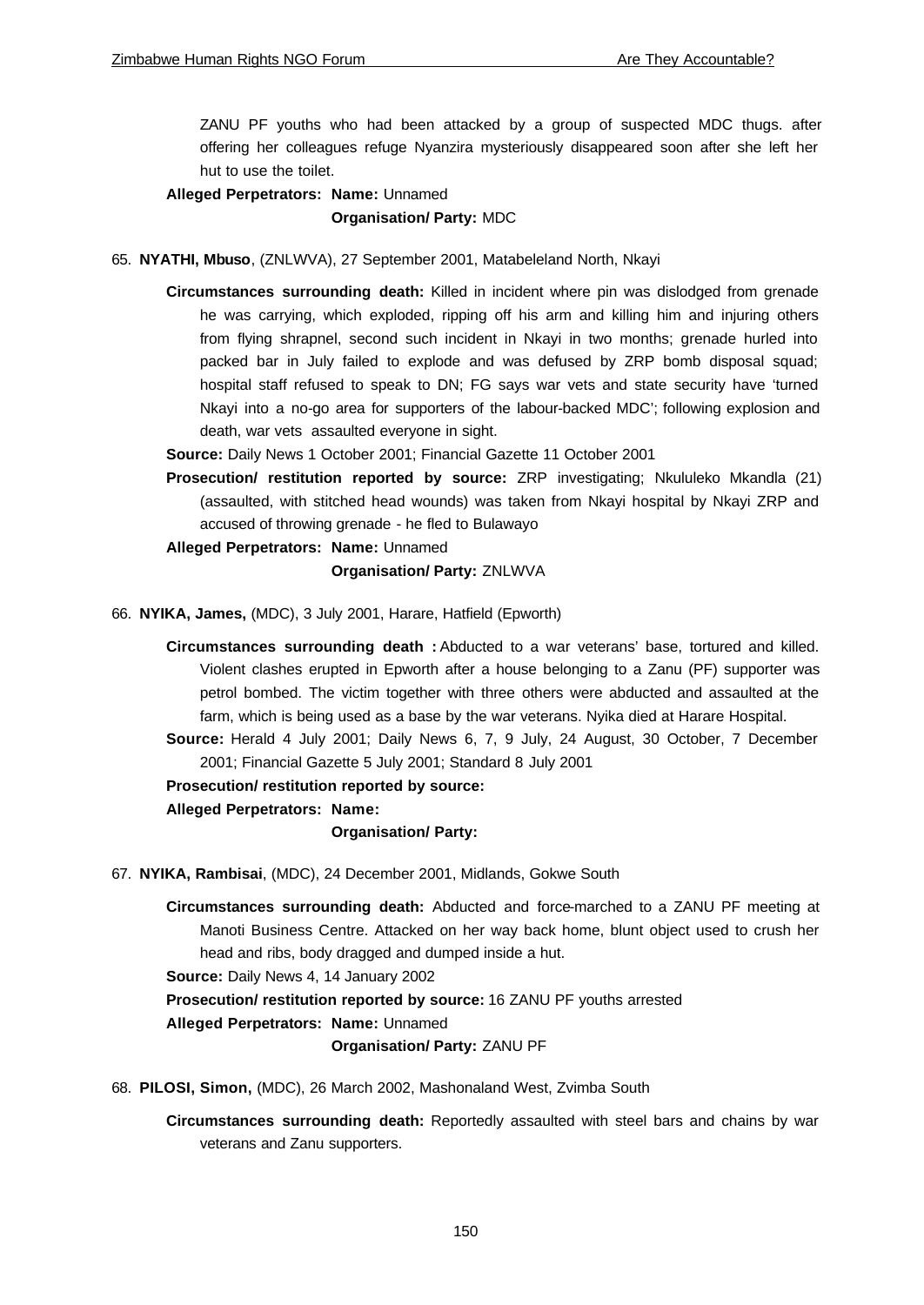ZANU PF youths who had been attacked by a group of suspected MDC thugs. after offering her colleagues refuge Nyanzira mysteriously disappeared soon after she left her hut to use the toilet.

**Alleged Perpetrators: Name:** Unnamed

**Organisation/ Party:** MDC

- 65. **NYATHI, Mbuso**, (ZNLWVA), 27 September 2001, Matabeleland North, Nkayi
	- **Circumstances surrounding death:** Killed in incident where pin was dislodged from grenade he was carrying, which exploded, ripping off his arm and killing him and injuring others from flying shrapnel, second such incident in Nkayi in two months; grenade hurled into packed bar in July failed to explode and was defused by ZRP bomb disposal squad; hospital staff refused to speak to DN; FG says war vets and state security have 'turned Nkayi into a no-go area for supporters of the labour-backed MDC'; following explosion and death, war vets assaulted everyone in sight.
	- **Source:** Daily News 1 October 2001; Financial Gazette 11 October 2001
	- **Prosecution/ restitution reported by source:** ZRP investigating; Nkululeko Mkandla (21) (assaulted, with stitched head wounds) was taken from Nkayi hospital by Nkayi ZRP and accused of throwing grenade - he fled to Bulawayo
	- **Alleged Perpetrators: Name:** Unnamed

### **Organisation/ Party:** ZNLWVA

66. **NYIKA, James,** (MDC), 3 July 2001, Harare, Hatfield (Epworth)

**Circumstances surrounding death :** Abducted to a war veterans' base, tortured and killed. Violent clashes erupted in Epworth after a house belonging to a Zanu (PF) supporter was petrol bombed. The victim together with three others were abducted and assaulted at the farm, which is being used as a base by the war veterans. Nyika died at Harare Hospital.

**Source:** Herald 4 July 2001; Daily News 6, 7, 9 July, 24 August, 30 October, 7 December 2001; Financial Gazette 5 July 2001; Standard 8 July 2001

**Prosecution/ restitution reported by source:**

**Alleged Perpetrators: Name:**

**Organisation/ Party:**

- 67. **NYIKA, Rambisai**, (MDC), 24 December 2001, Midlands, Gokwe South
	- **Circumstances surrounding death:** Abducted and force-marched to a ZANU PF meeting at Manoti Business Centre. Attacked on her way back home, blunt object used to crush her head and ribs, body dragged and dumped inside a hut.

**Source:** Daily News 4, 14 January 2002

**Prosecution/ restitution reported by source:** 16 ZANU PF youths arrested

**Alleged Perpetrators: Name:** Unnamed

**Organisation/ Party:** ZANU PF

- 68. **PILOSI, Simon,** (MDC), 26 March 2002, Mashonaland West, Zvimba South
	- **Circumstances surrounding death:** Reportedly assaulted with steel bars and chains by war veterans and Zanu supporters.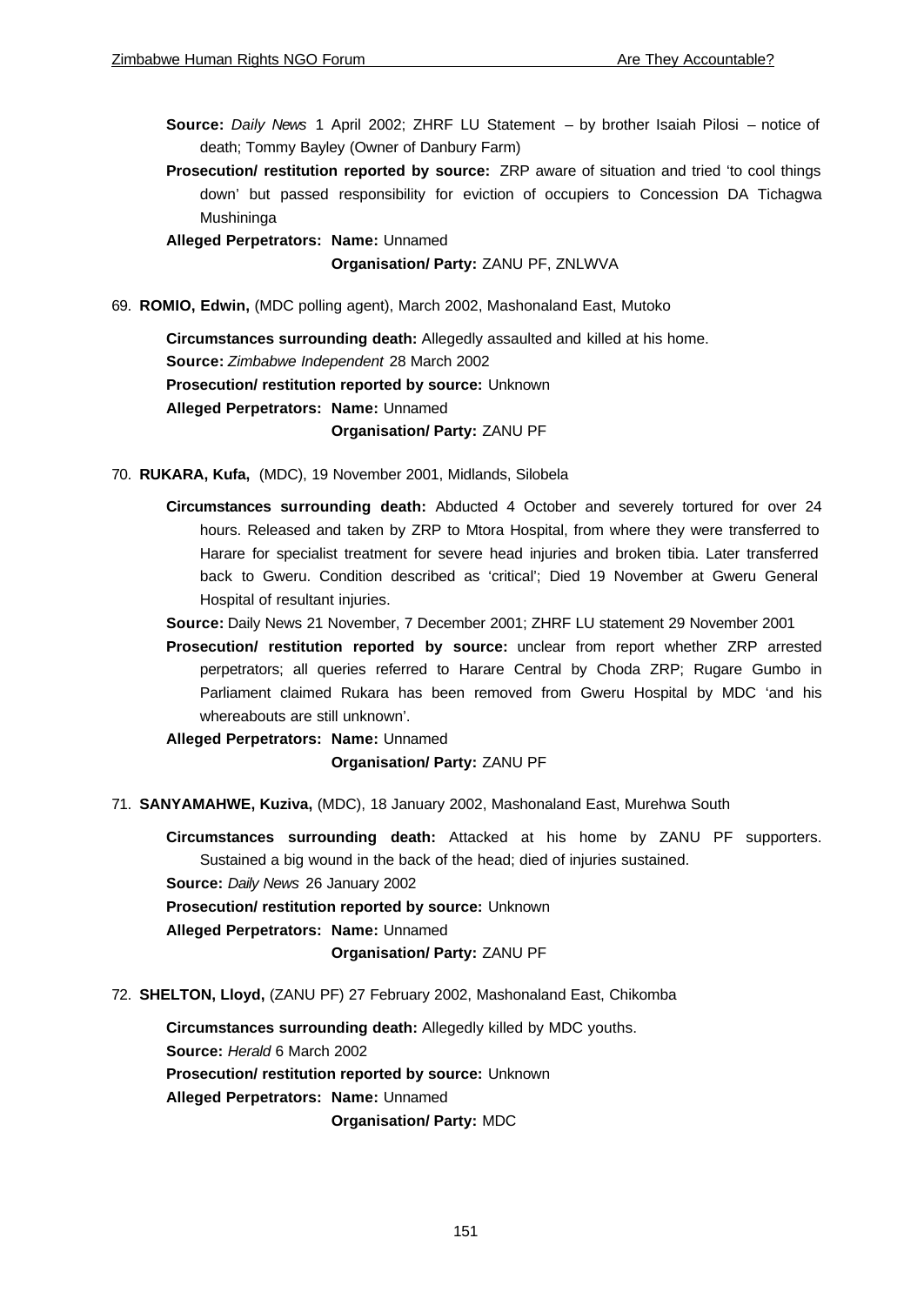**Source:** *Daily News* 1 April 2002; ZHRF LU Statement – by brother Isaiah Pilosi – notice of death; Tommy Bayley (Owner of Danbury Farm)

**Prosecution/ restitution reported by source:** ZRP aware of situation and tried 'to cool things down' but passed responsibility for eviction of occupiers to Concession DA Tichagwa Mushininga

**Alleged Perpetrators: Name:** Unnamed

**Organisation/ Party:** ZANU PF, ZNLWVA

69. **ROMIO, Edwin,** (MDC polling agent), March 2002, Mashonaland East, Mutoko

**Circumstances surrounding death:** Allegedly assaulted and killed at his home. **Source:** *Zimbabwe Independent* 28 March 2002 **Prosecution/ restitution reported by source:** Unknown **Alleged Perpetrators: Name:** Unnamed **Organisation/ Party:** ZANU PF

70. **RUKARA, Kufa,** (MDC), 19 November 2001, Midlands, Silobela

- **Circumstances surrounding death:** Abducted 4 October and severely tortured for over 24 hours. Released and taken by ZRP to Mtora Hospital, from where they were transferred to Harare for specialist treatment for severe head injuries and broken tibia. Later transferred back to Gweru. Condition described as 'critical'; Died 19 November at Gweru General Hospital of resultant injuries.
- **Source:** Daily News 21 November, 7 December 2001; ZHRF LU statement 29 November 2001
- **Prosecution/ restitution reported by source:** unclear from report whether ZRP arrested perpetrators; all queries referred to Harare Central by Choda ZRP; Rugare Gumbo in Parliament claimed Rukara has been removed from Gweru Hospital by MDC 'and his whereabouts are still unknown'.

**Alleged Perpetrators: Name:** Unnamed

**Organisation/ Party:** ZANU PF

71. **SANYAMAHWE, Kuziva,** (MDC), 18 January 2002, Mashonaland East, Murehwa South

**Circumstances surrounding death:** Attacked at his home by ZANU PF supporters. Sustained a big wound in the back of the head; died of injuries sustained.

**Source:** *Daily News* 26 January 2002

**Prosecution/ restitution reported by source:** Unknown

**Alleged Perpetrators: Name:** Unnamed

**Organisation/ Party:** ZANU PF

72. **SHELTON, Lloyd,** (ZANU PF) 27 February 2002, Mashonaland East, Chikomba

**Circumstances surrounding death:** Allegedly killed by MDC youths. **Source:** *Herald* 6 March 2002 **Prosecution/ restitution reported by source:** Unknown **Alleged Perpetrators: Name:** Unnamed **Organisation/ Party:** MDC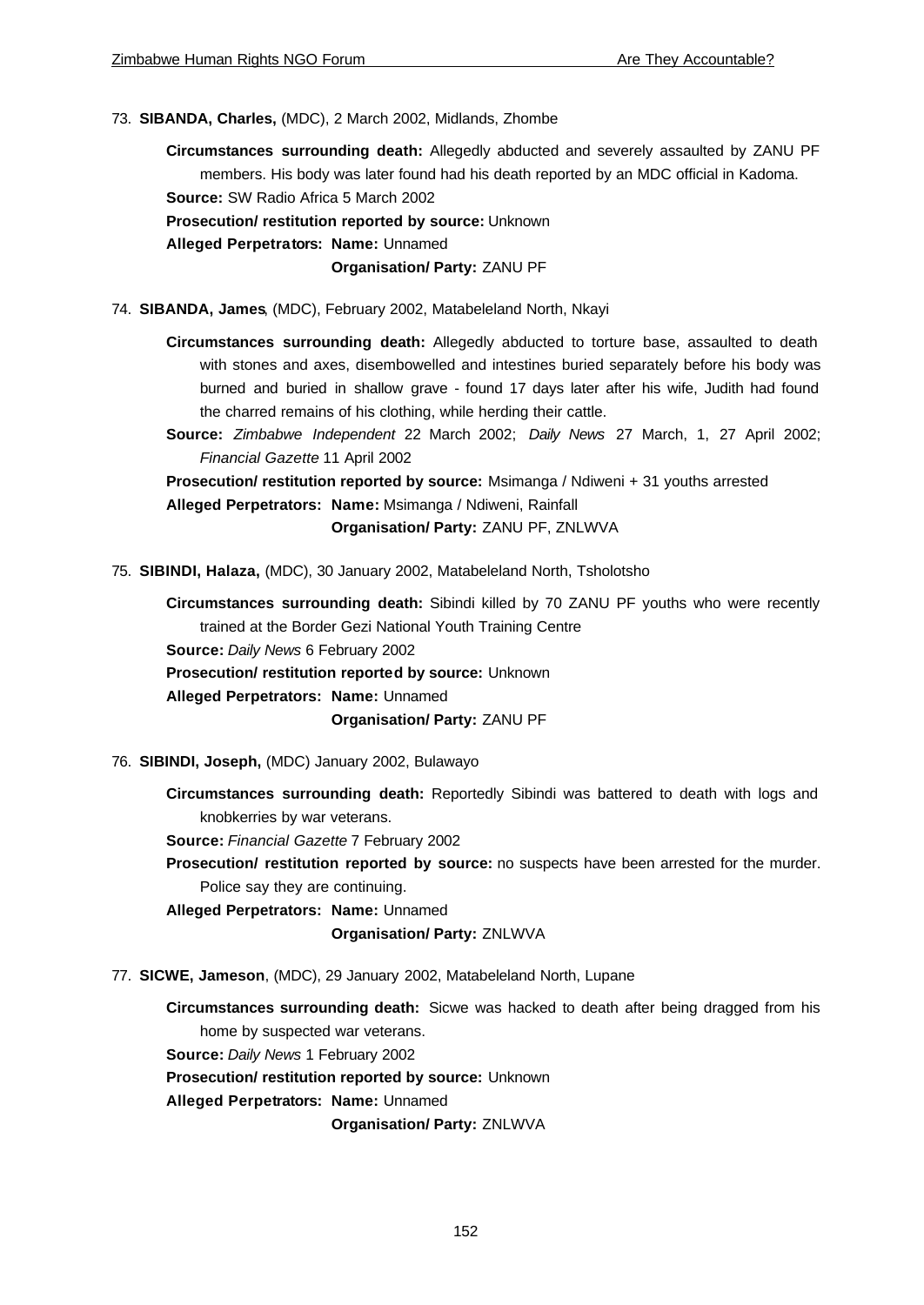73. **SIBANDA, Charles,** (MDC), 2 March 2002, Midlands, Zhombe

**Circumstances surrounding death:** Allegedly abducted and severely assaulted by ZANU PF members. His body was later found had his death reported by an MDC official in Kadoma. **Source:** SW Radio Africa 5 March 2002

**Prosecution/ restitution reported by source:** Unknown

**Alleged Perpetrators: Name:** Unnamed

**Organisation/ Party:** ZANU PF

- 74. **SIBANDA, James**, (MDC), February 2002, Matabeleland North, Nkayi
	- **Circumstances surrounding death:** Allegedly abducted to torture base, assaulted to death with stones and axes, disembowelled and intestines buried separately before his body was burned and buried in shallow grave - found 17 days later after his wife, Judith had found the charred remains of his clothing, while herding their cattle.
	- **Source:** *Zimbabwe Independent* 22 March 2002; *Daily News* 27 March, 1, 27 April 2002; *Financial Gazette* 11 April 2002

**Prosecution/ restitution reported by source:** Msimanga / Ndiweni + 31 youths arrested **Alleged Perpetrators: Name:** Msimanga / Ndiweni, Rainfall

**Organisation/ Party:** ZANU PF, ZNLWVA

75. **SIBINDI, Halaza,** (MDC), 30 January 2002, Matabeleland North, Tsholotsho

**Circumstances surrounding death:** Sibindi killed by 70 ZANU PF youths who were recently trained at the Border Gezi National Youth Training Centre **Source:** *Daily News* 6 February 2002 **Prosecution/ restitution reported by source:** Unknown **Alleged Perpetrators: Name:** Unnamed

**Organisation/ Party:** ZANU PF

- 76. **SIBINDI, Joseph,** (MDC) January 2002, Bulawayo
	- **Circumstances surrounding death:** Reportedly Sibindi was battered to death with logs and knobkerries by war veterans.

**Source:** *Financial Gazette* 7 February 2002

**Prosecution/ restitution reported by source:** no suspects have been arrested for the murder. Police say they are continuing.

**Alleged Perpetrators: Name:** Unnamed

**Organisation/ Party:** ZNLWVA

77. **SICWE, Jameson**, (MDC), 29 January 2002, Matabeleland North, Lupane

**Circumstances surrounding death:** Sicwe was hacked to death after being dragged from his home by suspected war veterans.

**Source:** *Daily News* 1 February 2002

**Prosecution/ restitution reported by source:** Unknown

**Alleged Perpetrators: Name:** Unnamed

**Organisation/ Party:** ZNLWVA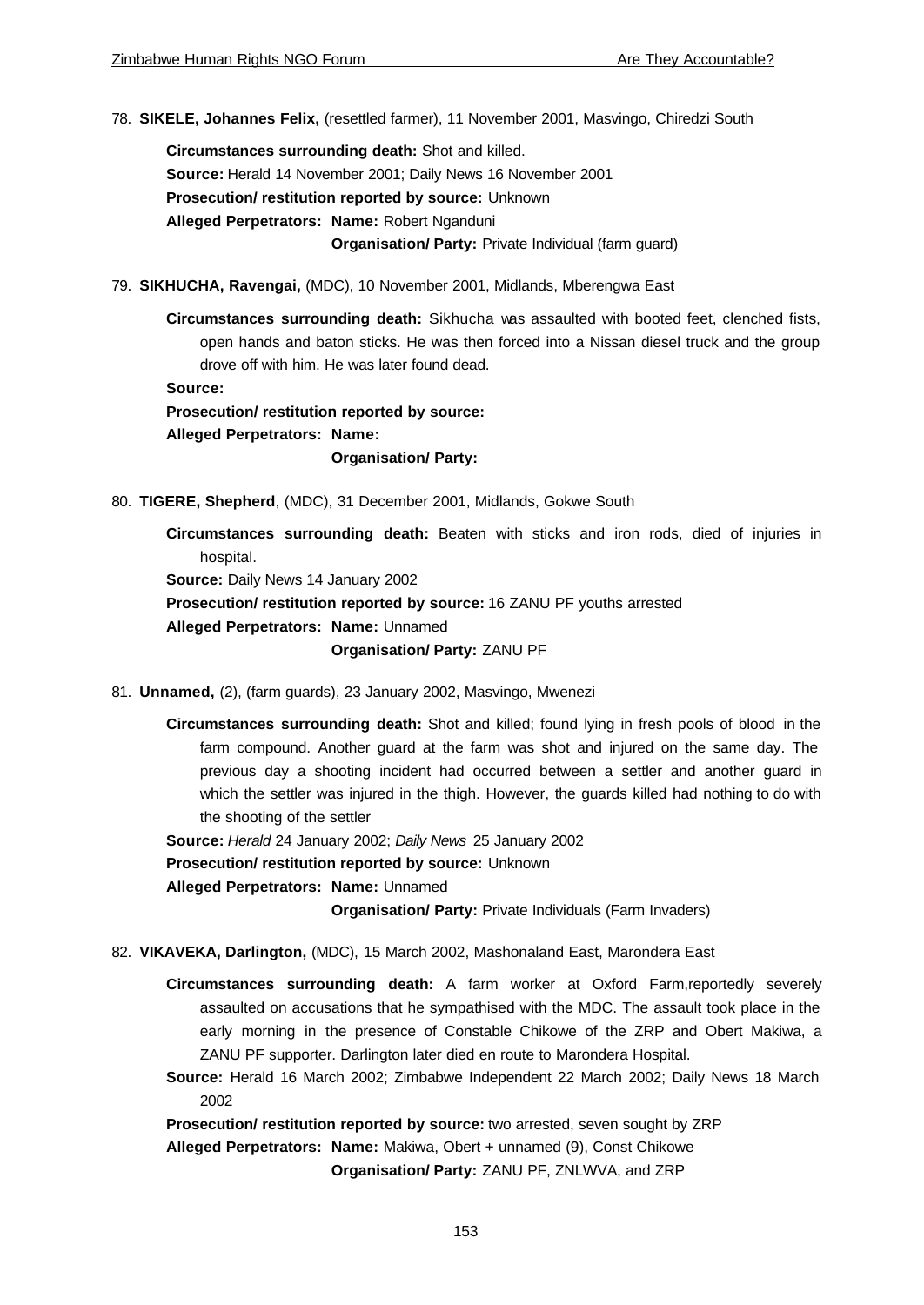78. **SIKELE, Johannes Felix,** (resettled farmer), 11 November 2001, Masvingo, Chiredzi South

**Circumstances surrounding death:** Shot and killed. **Source:** Herald 14 November 2001; Daily News 16 November 2001 **Prosecution/ restitution reported by source:** Unknown **Alleged Perpetrators: Name:** Robert Nganduni **Organisation/ Party:** Private Individual (farm guard)

79. **SIKHUCHA, Ravengai,** (MDC), 10 November 2001, Midlands, Mberengwa East

**Circumstances surrounding death:** Sikhucha was assaulted with booted feet, clenched fists, open hands and baton sticks. He was then forced into a Nissan diesel truck and the group drove off with him. He was later found dead.

**Source:**

**Prosecution/ restitution reported by source:**

**Alleged Perpetrators: Name:**

**Organisation/ Party:**

80. **TIGERE, Shepherd**, (MDC), 31 December 2001, Midlands, Gokwe South

**Circumstances surrounding death:** Beaten with sticks and iron rods, died of injuries in hospital.

**Source:** Daily News 14 January 2002

**Prosecution/ restitution reported by source:** 16 ZANU PF youths arrested **Alleged Perpetrators: Name:** Unnamed

**Organisation/ Party:** ZANU PF

- 81. **Unnamed,** (2), (farm guards), 23 January 2002, Masvingo, Mwenezi
	- **Circumstances surrounding death:** Shot and killed; found lying in fresh pools of blood in the farm compound. Another guard at the farm was shot and injured on the same day. The previous day a shooting incident had occurred between a settler and another guard in which the settler was injured in the thigh. However, the guards killed had nothing to do with the shooting of the settler

**Source:** *Herald* 24 January 2002; *Daily News* 25 January 2002

**Prosecution/ restitution reported by source:** Unknown

**Alleged Perpetrators: Name:** Unnamed

**Organisation/ Party:** Private Individuals (Farm Invaders)

- 82. **VIKAVEKA, Darlington,** (MDC), 15 March 2002, Mashonaland East, Marondera East
	- **Circumstances surrounding death:** A farm worker at Oxford Farm,reportedly severely assaulted on accusations that he sympathised with the MDC. The assault took place in the early morning in the presence of Constable Chikowe of the ZRP and Obert Makiwa, a ZANU PF supporter. Darlington later died en route to Marondera Hospital.
	- **Source:** Herald 16 March 2002; Zimbabwe Independent 22 March 2002; Daily News 18 March 2002

**Prosecution/ restitution reported by source:** two arrested, seven sought by ZRP

**Alleged Perpetrators: Name:** Makiwa, Obert + unnamed (9), Const Chikowe **Organisation/ Party:** ZANU PF, ZNLWVA, and ZRP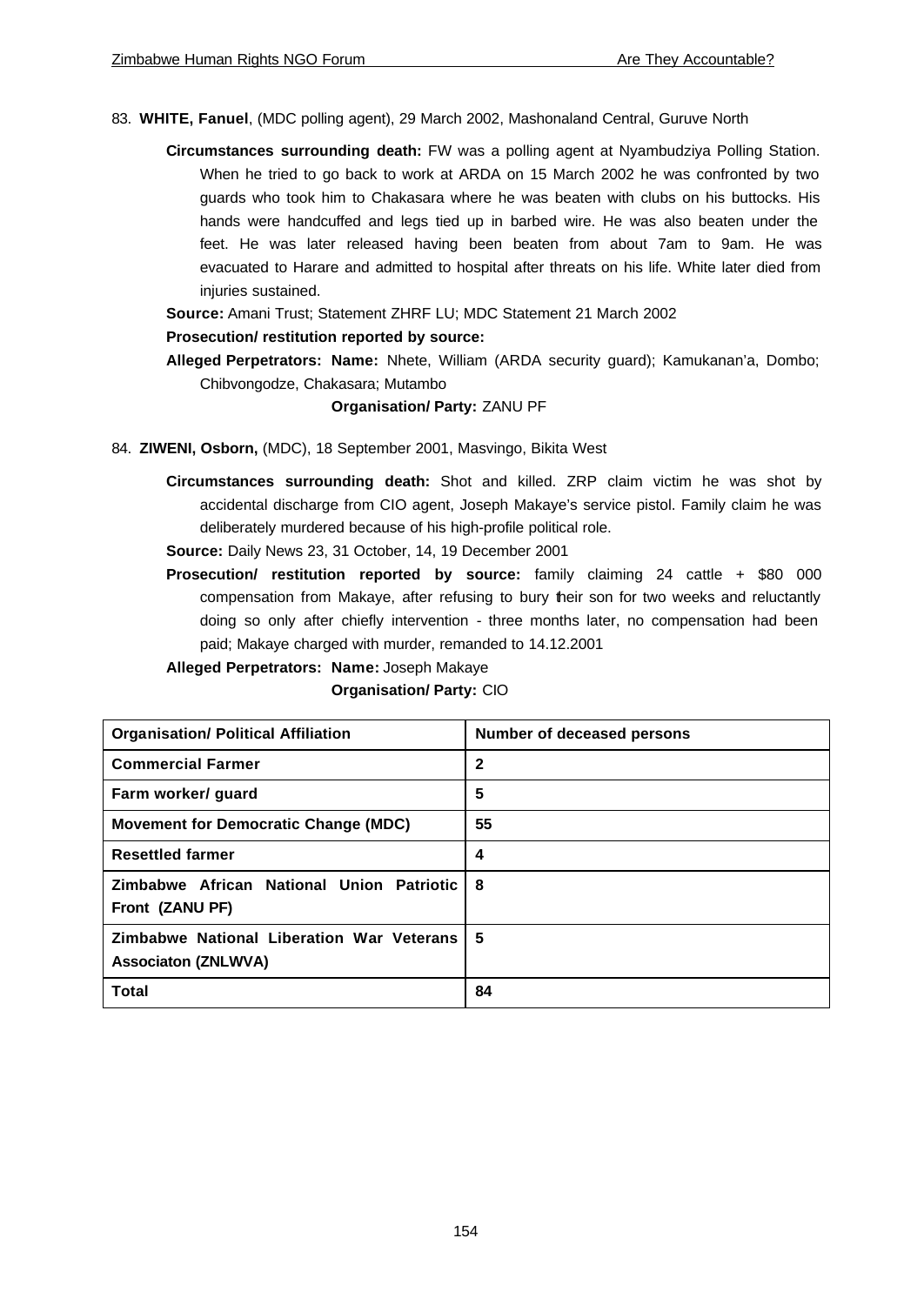- 83. **WHITE, Fanuel**, (MDC polling agent), 29 March 2002, Mashonaland Central, Guruve North
	- **Circumstances surrounding death:** FW was a polling agent at Nyambudziya Polling Station. When he tried to go back to work at ARDA on 15 March 2002 he was confronted by two guards who took him to Chakasara where he was beaten with clubs on his buttocks. His hands were handcuffed and legs tied up in barbed wire. He was also beaten under the feet. He was later released having been beaten from about 7am to 9am. He was evacuated to Harare and admitted to hospital after threats on his life. White later died from injuries sustained.

**Source:** Amani Trust; Statement ZHRF LU; MDC Statement 21 March 2002

### **Prosecution/ restitution reported by source:**

**Alleged Perpetrators: Name:** Nhete, William (ARDA security guard); Kamukanan'a, Dombo; Chibvongodze, Chakasara; Mutambo

### **Organisation/ Party:** ZANU PF

- 84. **ZIWENI, Osborn,** (MDC), 18 September 2001, Masvingo, Bikita West
	- **Circumstances surrounding death:** Shot and killed. ZRP claim victim he was shot by accidental discharge from CIO agent, Joseph Makaye's service pistol. Family claim he was deliberately murdered because of his high-profile political role.

**Source:** Daily News 23, 31 October, 14, 19 December 2001

**Prosecution/ restitution reported by source:** family claiming 24 cattle + \$80 000 compensation from Makaye, after refusing to bury their son for two weeks and reluctantly doing so only after chiefly intervention - three months later, no compensation had been paid; Makaye charged with murder, remanded to 14.12.2001

# **Alleged Perpetrators: Name:** Joseph Makaye

#### **Organisation/ Party:** CIO

| <b>Organisation/ Political Affiliation</b>                              | Number of deceased persons |  |
|-------------------------------------------------------------------------|----------------------------|--|
| <b>Commercial Farmer</b>                                                | $\mathbf{2}$               |  |
| Farm worker/ guard                                                      | 5                          |  |
| <b>Movement for Democratic Change (MDC)</b>                             | 55                         |  |
| <b>Resettled farmer</b>                                                 | 4                          |  |
| Zimbabwe African National Union Patriotic<br>Front (ZANU PF)            | -8                         |  |
| Zimbabwe National Liberation War Veterans<br><b>Associaton (ZNLWVA)</b> | -5                         |  |
| <b>Total</b>                                                            | 84                         |  |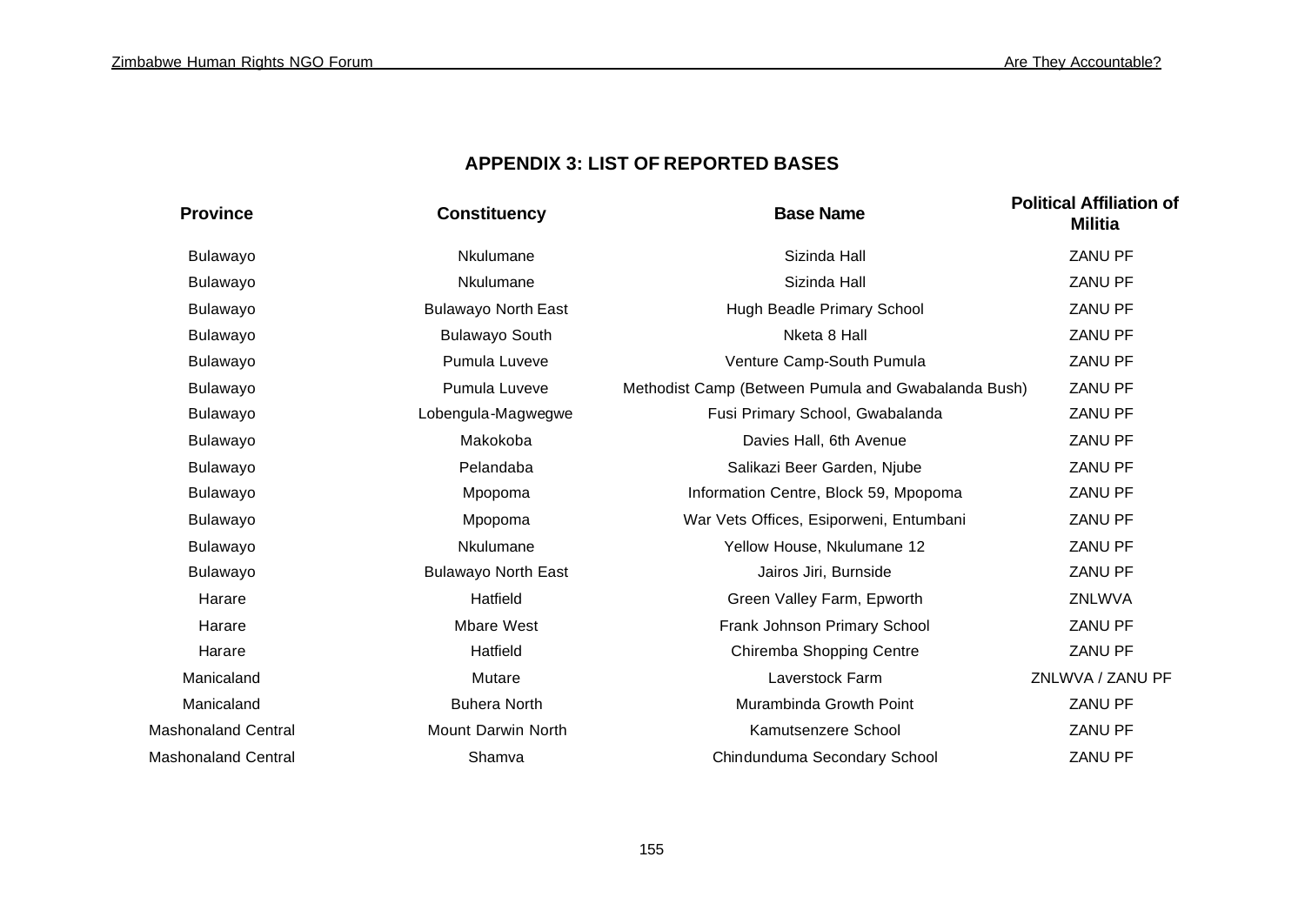# **APPENDIX 3: LIST OF REPORTED BASES**

| <b>Province</b>            | <b>Constituency</b>        | <b>Base Name</b>                                    | <b>Political Affiliation of</b><br><b>Militia</b> |
|----------------------------|----------------------------|-----------------------------------------------------|---------------------------------------------------|
| Bulawayo                   | Nkulumane                  | Sizinda Hall                                        | <b>ZANU PF</b>                                    |
| Bulawayo                   | Nkulumane                  | Sizinda Hall                                        | <b>ZANU PF</b>                                    |
| Bulawayo                   | <b>Bulawayo North East</b> | Hugh Beadle Primary School                          | <b>ZANU PF</b>                                    |
| Bulawayo                   | <b>Bulawayo South</b>      | Nketa 8 Hall                                        | <b>ZANU PF</b>                                    |
| Bulawayo                   | Pumula Luveve              | Venture Camp-South Pumula                           | <b>ZANU PF</b>                                    |
| Bulawayo                   | Pumula Luveve              | Methodist Camp (Between Pumula and Gwabalanda Bush) | <b>ZANU PF</b>                                    |
| Bulawayo                   | Lobengula-Magwegwe         | Fusi Primary School, Gwabalanda                     | ZANU PF                                           |
| Bulawayo                   | Makokoba                   | Davies Hall, 6th Avenue                             | <b>ZANU PF</b>                                    |
| Bulawayo                   | Pelandaba                  | Salikazi Beer Garden, Njube                         | ZANU PF                                           |
| Bulawayo                   | Mpopoma                    | Information Centre, Block 59, Mpopoma               | ZANU PF                                           |
| Bulawayo                   | Mpopoma                    | War Vets Offices, Esiporweni, Entumbani             | ZANU PF                                           |
| Bulawayo                   | Nkulumane                  | Yellow House, Nkulumane 12                          | <b>ZANU PF</b>                                    |
| Bulawayo                   | <b>Bulawayo North East</b> | Jairos Jiri, Burnside                               | <b>ZANU PF</b>                                    |
| Harare                     | Hatfield                   | Green Valley Farm, Epworth                          | ZNLWVA                                            |
| Harare                     | <b>Mbare West</b>          | Frank Johnson Primary School                        | <b>ZANU PF</b>                                    |
| Harare                     | Hatfield                   | Chiremba Shopping Centre                            | ZANU PF                                           |
| Manicaland                 | Mutare                     | Laverstock Farm                                     | ZNLWVA / ZANU PF                                  |
| Manicaland                 | <b>Buhera North</b>        | Murambinda Growth Point                             | ZANU PF                                           |
| <b>Mashonaland Central</b> | Mount Darwin North         | Kamutsenzere School                                 | ZANU PF                                           |
| Mashonaland Central        | Shamva                     | Chindunduma Secondary School                        | <b>ZANU PF</b>                                    |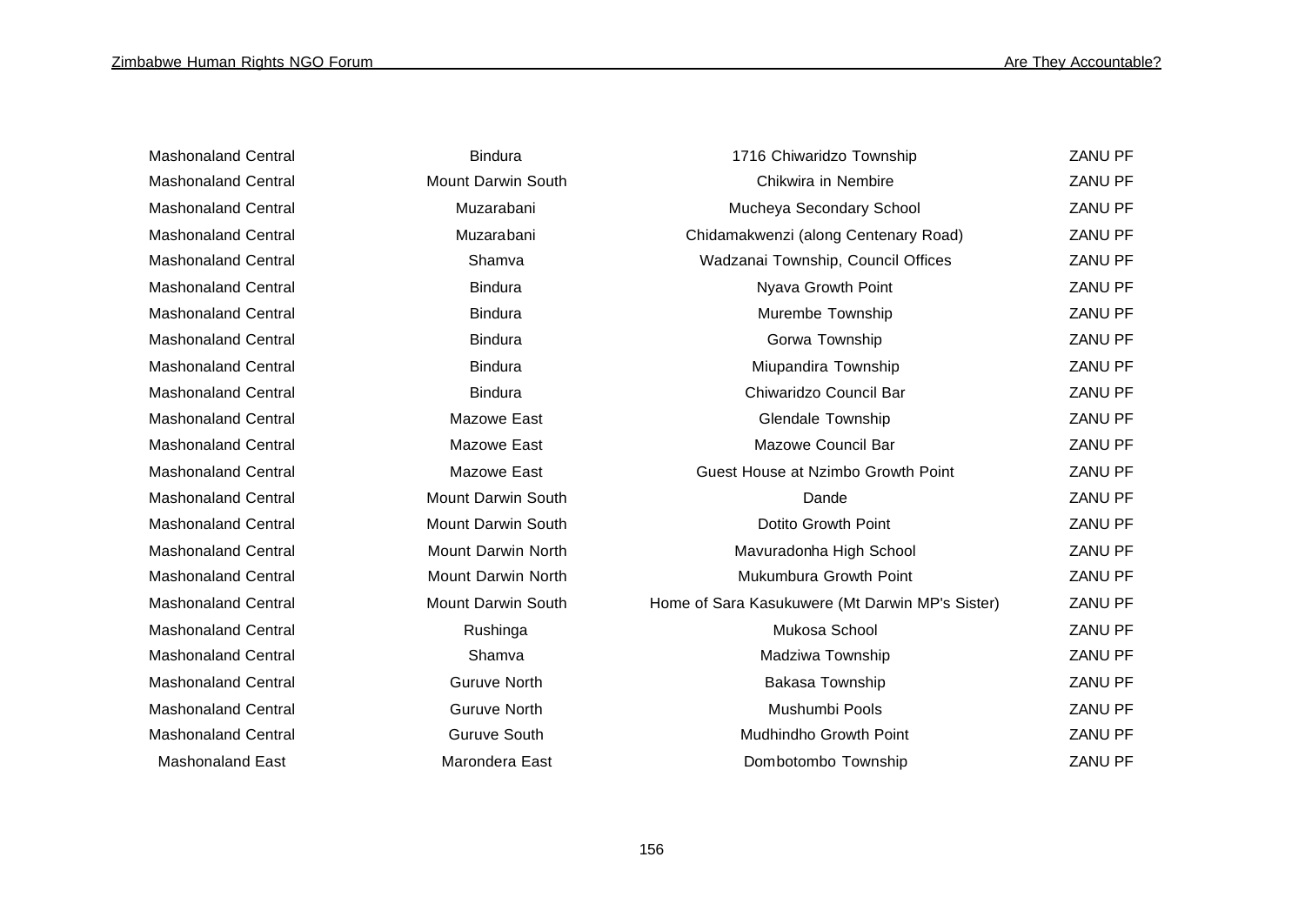| <b>Mashonaland Central</b> | <b>Bindura</b>            | 1716 Chiwaridzo Township                        | <b>ZANU PF</b> |
|----------------------------|---------------------------|-------------------------------------------------|----------------|
| <b>Mashonaland Central</b> | Mount Darwin South        | Chikwira in Nembire                             | ZANU PF        |
| <b>Mashonaland Central</b> | Muzarabani                | Mucheya Secondary School                        | ZANU PF        |
| <b>Mashonaland Central</b> | Muzarabani                | Chidamakwenzi (along Centenary Road)            | ZANU PF        |
| <b>Mashonaland Central</b> | Shamva                    | Wadzanai Township, Council Offices              | <b>ZANU PF</b> |
| <b>Mashonaland Central</b> | <b>Bindura</b>            | Nyava Growth Point                              | ZANU PF        |
| <b>Mashonaland Central</b> | <b>Bindura</b>            | Murembe Township                                | <b>ZANU PF</b> |
| <b>Mashonaland Central</b> | <b>Bindura</b>            | Gorwa Township                                  | <b>ZANU PF</b> |
| <b>Mashonaland Central</b> | <b>Bindura</b>            | Miupandira Township                             | <b>ZANU PF</b> |
| <b>Mashonaland Central</b> | <b>Bindura</b>            | Chiwaridzo Council Bar                          | ZANU PF        |
| <b>Mashonaland Central</b> | Mazowe East               | <b>Glendale Township</b>                        | <b>ZANU PF</b> |
| <b>Mashonaland Central</b> | Mazowe East               | <b>Mazowe Council Bar</b>                       | <b>ZANU PF</b> |
| <b>Mashonaland Central</b> | Mazowe East               | Guest House at Nzimbo Growth Point              | <b>ZANU PF</b> |
| <b>Mashonaland Central</b> | Mount Darwin South        | Dande                                           | <b>ZANU PF</b> |
| <b>Mashonaland Central</b> | <b>Mount Darwin South</b> | Dotito Growth Point                             | <b>ZANU PF</b> |
| <b>Mashonaland Central</b> | Mount Darwin North        | Mavuradonha High School                         | <b>ZANU PF</b> |
| <b>Mashonaland Central</b> | <b>Mount Darwin North</b> | Mukumbura Growth Point                          | <b>ZANU PF</b> |
| <b>Mashonaland Central</b> | Mount Darwin South        | Home of Sara Kasukuwere (Mt Darwin MP's Sister) | <b>ZANU PF</b> |
| <b>Mashonaland Central</b> | Rushinga                  | Mukosa School                                   | <b>ZANU PF</b> |
| <b>Mashonaland Central</b> | Shamva                    | Madziwa Township                                | <b>ZANU PF</b> |
| <b>Mashonaland Central</b> | <b>Guruve North</b>       | Bakasa Township                                 | <b>ZANU PF</b> |
| <b>Mashonaland Central</b> | <b>Guruve North</b>       | Mushumbi Pools                                  | <b>ZANU PF</b> |
| <b>Mashonaland Central</b> | <b>Guruve South</b>       | Mudhindho Growth Point                          | <b>ZANU PF</b> |
| <b>Mashonaland East</b>    | Marondera East            | Dombotombo Township                             | <b>ZANU PF</b> |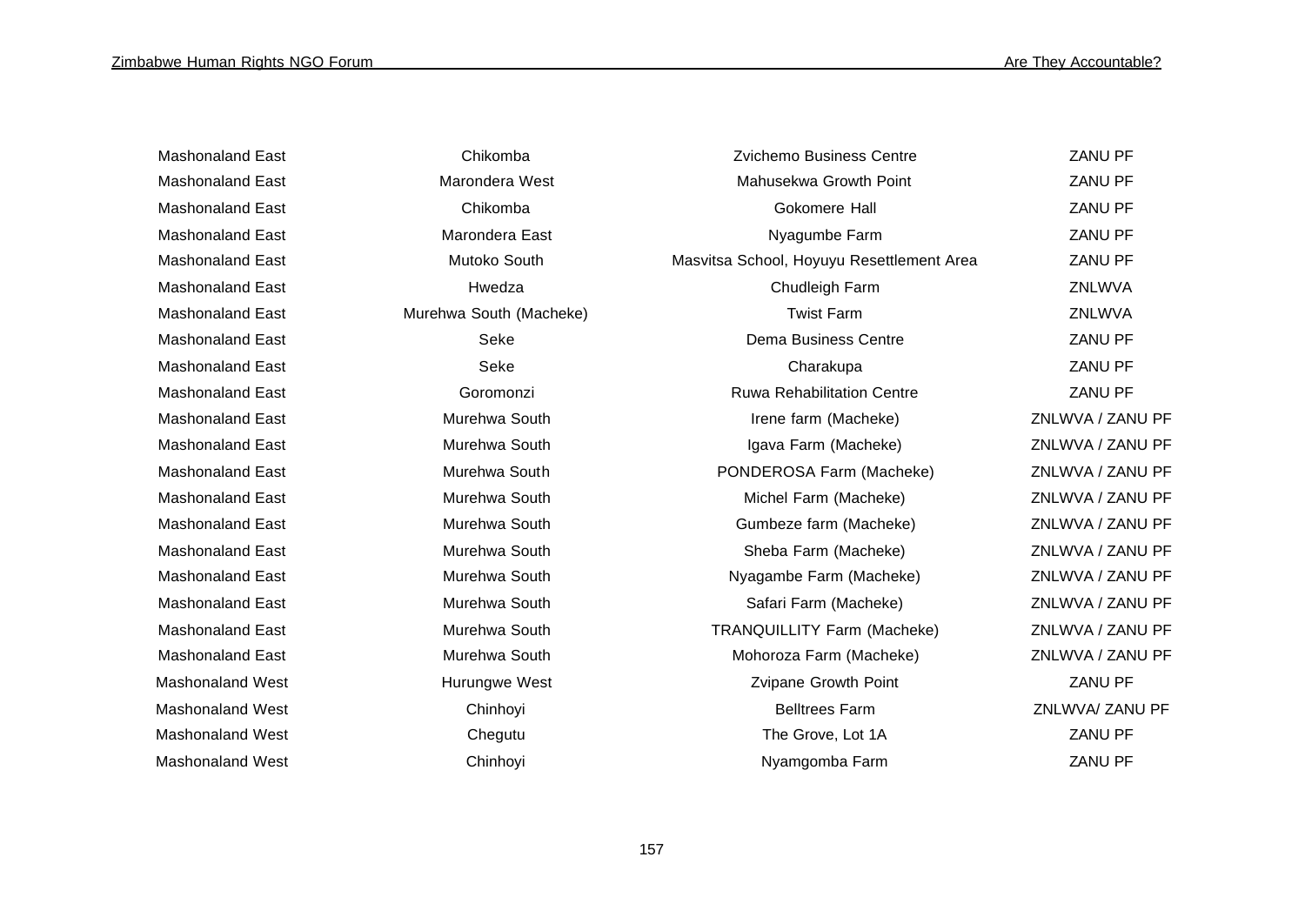| <b>Mashonaland East</b> | Chikomba                | Zvichemo Business Centre                  | <b>ZANU PF</b>   |
|-------------------------|-------------------------|-------------------------------------------|------------------|
| <b>Mashonaland East</b> | Marondera West          | Mahusekwa Growth Point                    | ZANU PF          |
| <b>Mashonaland East</b> | Chikomba                | Gokomere Hall                             | ZANU PF          |
| <b>Mashonaland East</b> | Marondera East          | Nyagumbe Farm                             | <b>ZANU PF</b>   |
| <b>Mashonaland East</b> | Mutoko South            | Masvitsa School, Hoyuyu Resettlement Area | ZANU PF          |
| <b>Mashonaland East</b> | Hwedza                  | Chudleigh Farm                            | ZNLWVA           |
| <b>Mashonaland East</b> | Murehwa South (Macheke) | <b>Twist Farm</b>                         | ZNLWVA           |
| <b>Mashonaland East</b> | Seke                    | Dema Business Centre                      | ZANU PF          |
| <b>Mashonaland East</b> | Seke                    | Charakupa                                 | <b>ZANU PF</b>   |
| <b>Mashonaland East</b> | Goromonzi               | <b>Ruwa Rehabilitation Centre</b>         | ZANU PF          |
| <b>Mashonaland East</b> | Murehwa South           | Irene farm (Macheke)                      | ZNLWVA / ZANU PF |
| <b>Mashonaland East</b> | Murehwa South           | Igava Farm (Macheke)                      | ZNLWVA / ZANU PF |
| <b>Mashonaland East</b> | Murehwa South           | PONDEROSA Farm (Macheke)                  | ZNLWVA / ZANU PF |
| <b>Mashonaland East</b> | Murehwa South           | Michel Farm (Macheke)                     | ZNLWVA / ZANU PF |
| <b>Mashonaland East</b> | Murehwa South           | Gumbeze farm (Macheke)                    | ZNLWVA / ZANU PF |
| <b>Mashonaland East</b> | Murehwa South           | Sheba Farm (Macheke)                      | ZNLWVA / ZANU PF |
| <b>Mashonaland East</b> | Murehwa South           | Nyagambe Farm (Macheke)                   | ZNLWVA / ZANU PF |
| <b>Mashonaland East</b> | Murehwa South           | Safari Farm (Macheke)                     | ZNLWVA / ZANU PF |
| <b>Mashonaland East</b> | Murehwa South           | <b>TRANQUILLITY Farm (Macheke)</b>        | ZNLWVA / ZANU PF |
| Mashonaland East        | Murehwa South           | Mohoroza Farm (Macheke)                   | ZNLWVA / ZANU PF |
| <b>Mashonaland West</b> | Hurungwe West           | Zvipane Growth Point                      | ZANU PF          |
| <b>Mashonaland West</b> | Chinhoyi                | <b>Belltrees Farm</b>                     | ZNLWVA/ZANU PF   |
| <b>Mashonaland West</b> | Chegutu                 | The Grove, Lot 1A                         | ZANU PF          |
| <b>Mashonaland West</b> | Chinhoyi                | Nyamgomba Farm                            | <b>ZANU PF</b>   |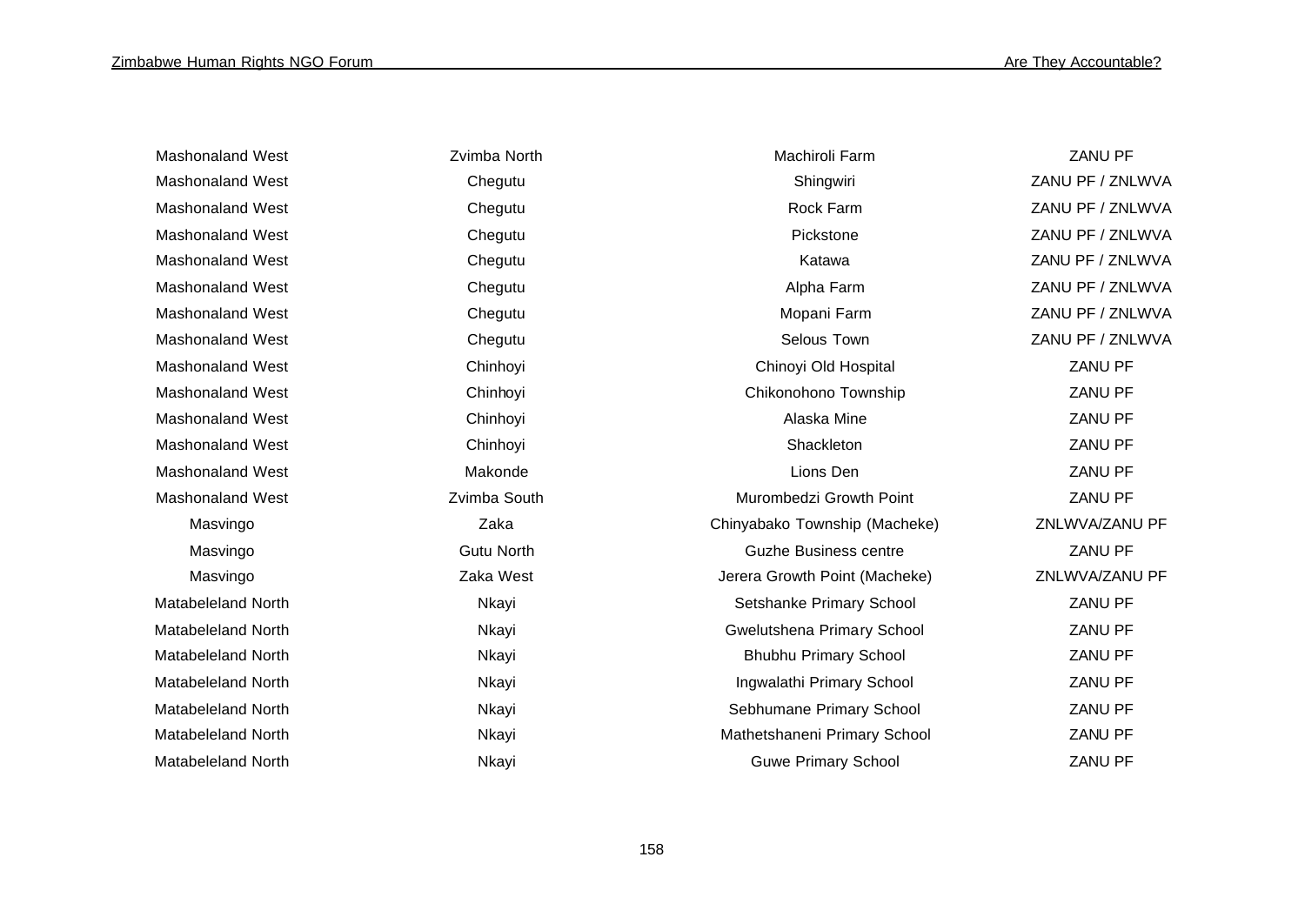| <b>Mashonaland West</b>   | Zvimba North      | Machiroli Farm                | <b>ZANU PF</b>   |
|---------------------------|-------------------|-------------------------------|------------------|
| <b>Mashonaland West</b>   | Chegutu           | Shingwiri                     | ZANU PF / ZNLWVA |
| <b>Mashonaland West</b>   | Chegutu           | Rock Farm                     | ZANU PF / ZNLWVA |
| <b>Mashonaland West</b>   | Chegutu           | Pickstone                     | ZANU PF / ZNLWVA |
| <b>Mashonaland West</b>   | Chegutu           | Katawa                        | ZANU PF / ZNLWVA |
| <b>Mashonaland West</b>   | Chegutu           | Alpha Farm                    | ZANU PF / ZNLWVA |
| <b>Mashonaland West</b>   | Chegutu           | Mopani Farm                   | ZANU PF / ZNLWVA |
| <b>Mashonaland West</b>   | Chegutu           | Selous Town                   | ZANU PF / ZNLWVA |
| <b>Mashonaland West</b>   | Chinhoyi          | Chinoyi Old Hospital          | ZANU PF          |
| <b>Mashonaland West</b>   | Chinhoyi          | Chikonohono Township          | ZANU PF          |
| <b>Mashonaland West</b>   | Chinhoyi          | Alaska Mine                   | ZANU PF          |
| Mashonaland West          | Chinhoyi          | Shackleton                    | ZANU PF          |
| <b>Mashonaland West</b>   | Makonde           | Lions Den                     | ZANU PF          |
| <b>Mashonaland West</b>   | Zvimba South      | Murombedzi Growth Point       | ZANU PF          |
| Masvingo                  | Zaka              | Chinyabako Township (Macheke) | ZNLWVA/ZANU PF   |
| Masvingo                  | <b>Gutu North</b> | <b>Guzhe Business centre</b>  | ZANU PF          |
| Masvingo                  | Zaka West         | Jerera Growth Point (Macheke) | ZNLWVA/ZANU PF   |
| <b>Matabeleland North</b> | Nkayi             | Setshanke Primary School      | <b>ZANU PF</b>   |
| <b>Matabeleland North</b> | Nkayi             | Gwelutshena Primary School    | ZANU PF          |
| <b>Matabeleland North</b> | Nkayi             | <b>Bhubhu Primary School</b>  | ZANU PF          |
| <b>Matabeleland North</b> | Nkayi             | Ingwalathi Primary School     | ZANU PF          |
| <b>Matabeleland North</b> | Nkayi             | Sebhumane Primary School      | ZANU PF          |
| <b>Matabeleland North</b> | Nkayi             | Mathetshaneni Primary School  | ZANU PF          |
| <b>Matabeleland North</b> | Nkayi             | <b>Guwe Primary School</b>    | <b>ZANU PF</b>   |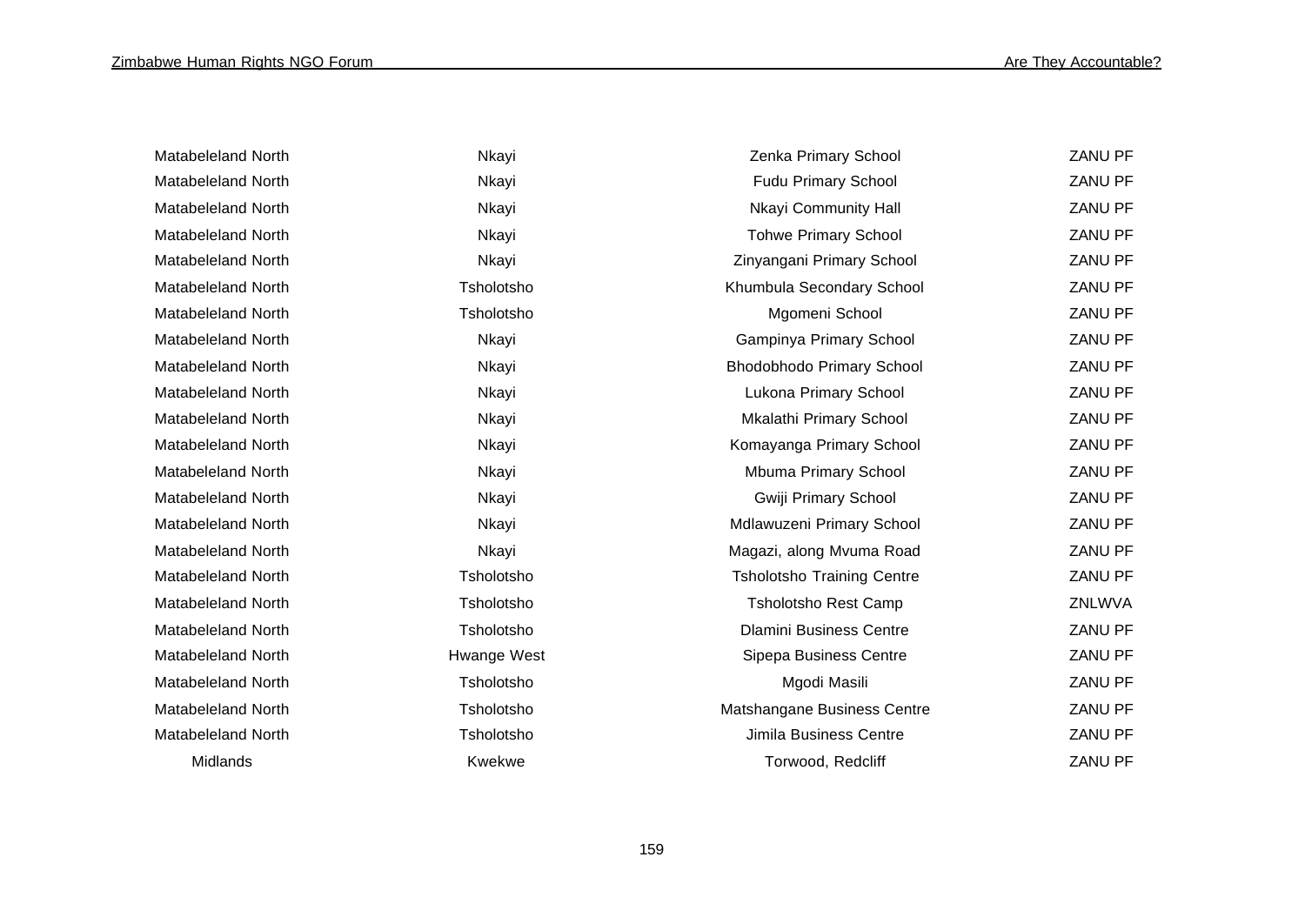| Matabeleland North |
|--------------------|
| Matabeleland North |
| Matabeleland North |
| Matabeleland North |
| Matabeleland North |
| Matabeleland North |
| Matabeleland North |
| Matabeleland North |
| Matabeleland North |
| Matabeleland North |
| Matabeleland North |
| Matabeleland North |
| Matabeleland North |
| Matabeleland North |
| Matabeleland North |
| Matabeleland North |
| Matabeleland North |
| Matabeleland North |
| Matabeleland North |
| Matabeleland North |
| Matabeleland North |
| Matabeleland North |
| Matabeleland North |
| Midlands           |

| Nkayi       |
|-------------|
| Nkayi       |
| Nkayi       |
| Nkayi       |
| Nkayi       |
| Tsholotsho  |
| Tsholotsho  |
| Nkayi       |
| Nkayi       |
| Nkayi       |
| Nkayi       |
| Nkayi       |
| Nkayi       |
| Nkayi       |
| Nkayi       |
| Nkayi       |
| Tsholotsho  |
| Tsholotsho  |
| Tsholotsho  |
| Iwange West |
| Tsholotsho  |
| Tsholotsho  |
| Tsholotsho  |
| Kwekwe      |

| Matabeleland North | Nkayi       | Zenka Primary School              | ZANU PF |
|--------------------|-------------|-----------------------------------|---------|
| Matabeleland North | Nkayi       | Fudu Primary School               | ZANU PF |
| Matabeleland North | Nkayi       | Nkayi Community Hall              | ZANU PF |
| Matabeleland North | Nkayi       | <b>Tohwe Primary School</b>       | ZANU PF |
| Matabeleland North | Nkayi       | Zinyangani Primary School         | ZANU PF |
| Matabeleland North | Tsholotsho  | Khumbula Secondary School         | ZANU PF |
| Matabeleland North | Tsholotsho  | Mgomeni School                    | ZANU PF |
| Matabeleland North | Nkayi       | Gampinya Primary School           | ZANU PF |
| Matabeleland North | Nkayi       | Bhodobhodo Primary School         | ZANU PF |
| Matabeleland North | Nkayi       | Lukona Primary School             | ZANU PF |
| Matabeleland North | Nkayi       | Mkalathi Primary School           | ZANU PF |
| Matabeleland North | Nkayi       | Komayanga Primary School          | ZANU PF |
| Matabeleland North | Nkayi       | Mbuma Primary School              | ZANU PF |
| Matabeleland North | Nkayi       | Gwiji Primary School              | ZANU PF |
| Matabeleland North | Nkayi       | Mdlawuzeni Primary School         | ZANU PF |
| Matabeleland North | Nkayi       | Magazi, along Mvuma Road          | ZANU PF |
| Matabeleland North | Tsholotsho  | <b>Tsholotsho Training Centre</b> | ZANU PF |
| Matabeleland North | Tsholotsho  | <b>Tsholotsho Rest Camp</b>       | ZNLWVA  |
| Matabeleland North | Tsholotsho  | <b>Dlamini Business Centre</b>    | ZANU PF |
| Matabeleland North | Hwange West | Sipepa Business Centre            | ZANU PF |
| Matabeleland North | Tsholotsho  | Mgodi Masili                      | ZANU PF |
| Matabeleland North | Tsholotsho  | Matshangane Business Centre       | ZANU PF |
| Matabeleland North | Tsholotsho  | Jimila Business Centre            | ZANU PF |
| Midlands           | Kwekwe      | Torwood, Redcliff                 | ZANU PF |
|                    |             |                                   |         |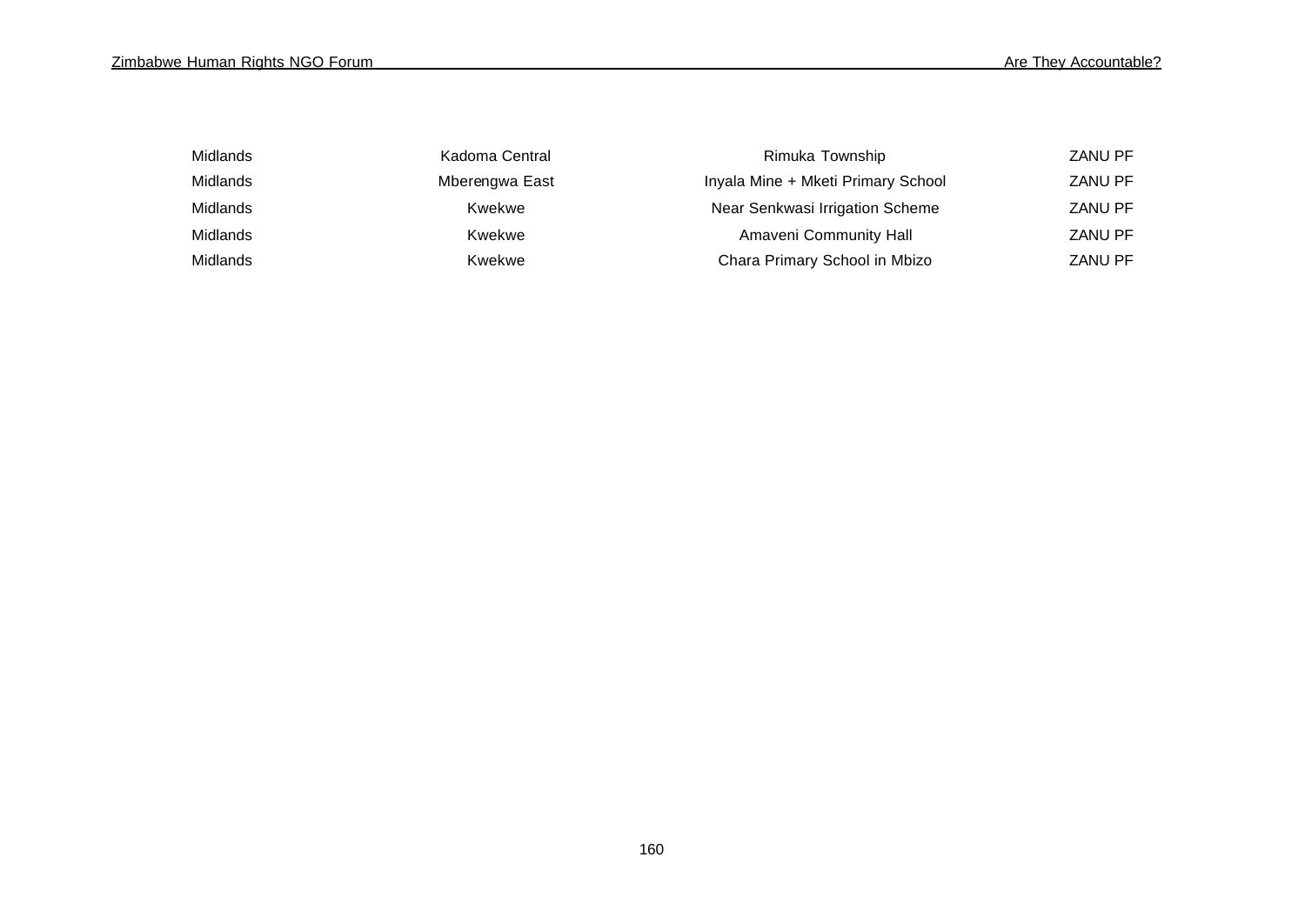| Midlands | Kadoma Central | Rimuka Township                    | <b>ZANU PF</b> |
|----------|----------------|------------------------------------|----------------|
| Midlands | Mberengwa East | Inyala Mine + Mketi Primary School | <b>ZANU PF</b> |
| Midlands | Kwekwe         | Near Senkwasi Irrigation Scheme    | <b>ZANU PF</b> |
| Midlands | Kwekwe         | Amaveni Community Hall             | <b>ZANU PF</b> |
| Midlands | Kwekwe         | Chara Primary School in Mbizo      | <b>ZANU PF</b> |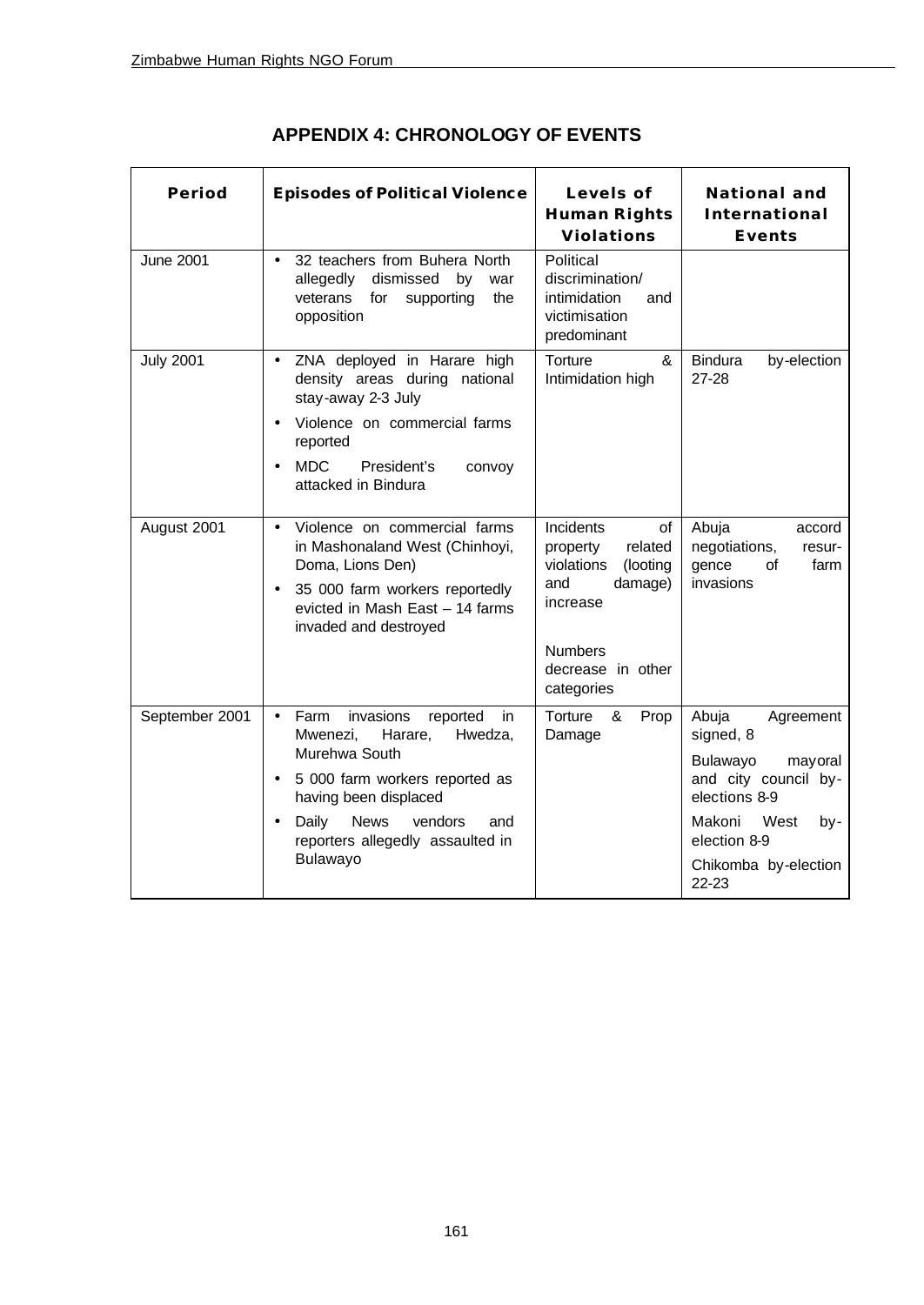| <b>Period</b>    | <b>Episodes of Political Violence</b>                                                                                                                                                                                                                                              | Levels of<br><b>Human Rights</b><br><b>Violations</b>                                                                                               | <b>National and</b><br>International<br><b>Events</b>                                                                                                                         |
|------------------|------------------------------------------------------------------------------------------------------------------------------------------------------------------------------------------------------------------------------------------------------------------------------------|-----------------------------------------------------------------------------------------------------------------------------------------------------|-------------------------------------------------------------------------------------------------------------------------------------------------------------------------------|
| <b>June 2001</b> | 32 teachers from Buhera North<br>$\bullet$<br>allegedly dismissed<br>by<br>war<br>veterans for<br>supporting<br>the<br>opposition                                                                                                                                                  | Political<br>discrimination/<br>intimidation<br>and<br>victimisation<br>predominant                                                                 |                                                                                                                                                                               |
| <b>July 2001</b> | ZNA deployed in Harare high<br>$\bullet$<br>density areas during national<br>stay-away 2-3 July<br>Violence on commercial farms<br>reported<br>President's<br><b>MDC</b><br>convoy<br>$\bullet$<br>attacked in Bindura                                                             | &<br>Torture<br>Intimidation high                                                                                                                   | <b>Bindura</b><br>by-election<br>27-28                                                                                                                                        |
| August 2001      | Violence on commercial farms<br>$\bullet$<br>in Mashonaland West (Chinhoyi,<br>Doma, Lions Den)<br>35 000 farm workers reportedly<br>$\bullet$<br>evicted in Mash East - 14 farms<br>invaded and destroyed                                                                         | Incidents<br>of<br>related<br>property<br>violations<br>(looting<br>damage)<br>and<br>increase<br><b>Numbers</b><br>decrease in other<br>categories | Abuja<br>accord<br>negotiations,<br>resur-<br>gence<br>of<br>farm<br>invasions                                                                                                |
| September 2001   | invasions<br>Farm<br>reported<br>in<br>$\bullet$<br>Mwenezi,<br>Harare,<br>Hwedza,<br>Murehwa South<br>5 000 farm workers reported as<br>$\bullet$<br>having been displaced<br><b>News</b><br>vendors<br>Daily<br>and<br>$\bullet$<br>reporters allegedly assaulted in<br>Bulawayo | Torture &<br>Prop<br>Damage                                                                                                                         | Abuja<br>Agreement<br>signed, 8<br>Bulawayo<br>mayoral<br>and city council by-<br>elections 8-9<br>Makoni<br>West<br>by-<br>election 8-9<br>Chikomba by-election<br>$22 - 23$ |

**APPENDIX 4: CHRONOLOGY OF EVENTS**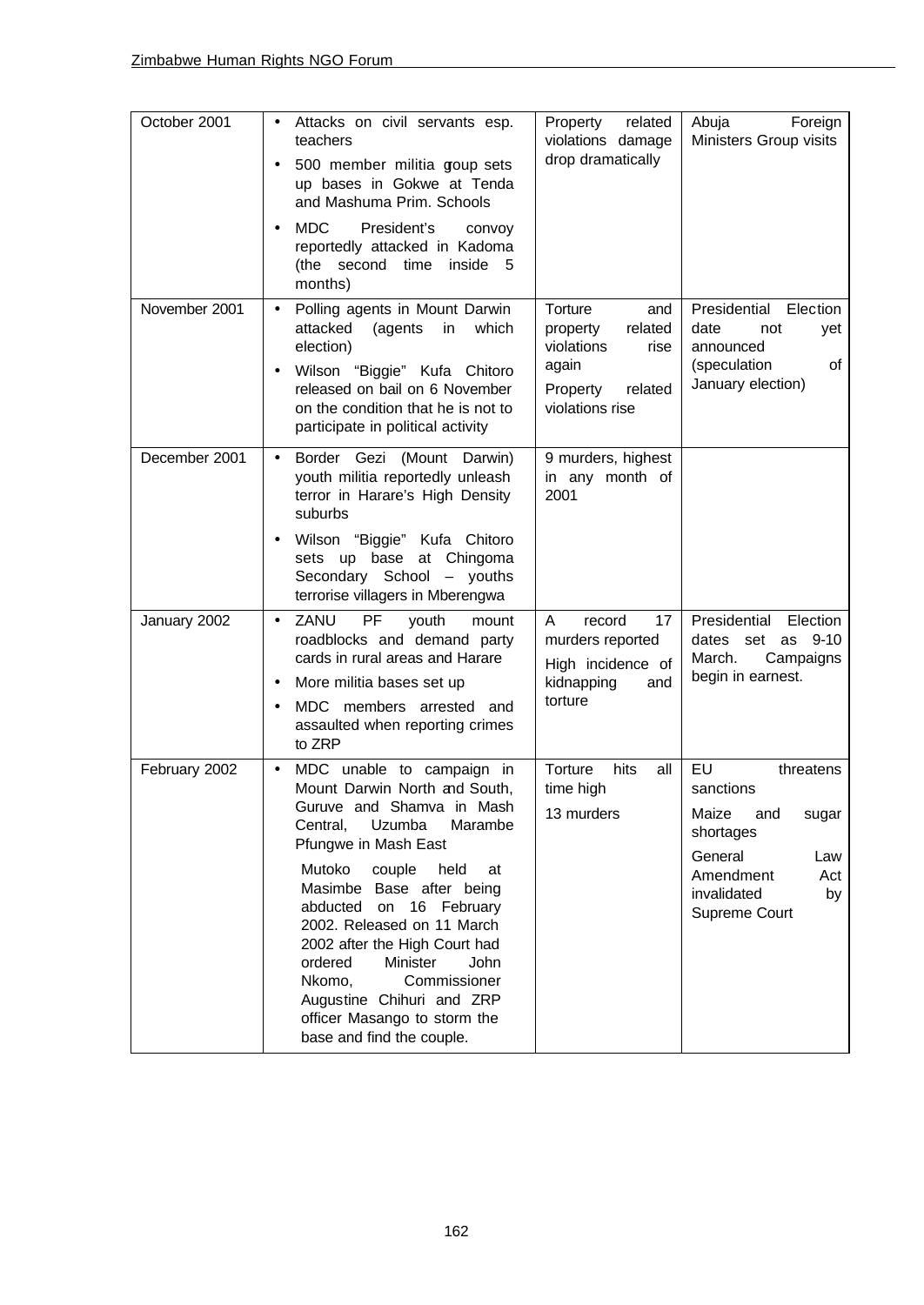| October 2001  | Attacks on civil servants esp.<br>$\bullet$<br>teachers<br>500 member militia goup sets<br>up bases in Gokwe at Tenda<br>and Mashuma Prim. Schools<br><b>MDC</b><br>President's<br>convoy<br>reportedly attacked in Kadoma<br>(the second time<br>inside 5<br>months)                                                                                                                                                                                                    | related<br>Property<br>violations damage<br>drop dramatically                                                  | Abuja<br>Foreign<br>Ministers Group visits                                                                                                     |
|---------------|--------------------------------------------------------------------------------------------------------------------------------------------------------------------------------------------------------------------------------------------------------------------------------------------------------------------------------------------------------------------------------------------------------------------------------------------------------------------------|----------------------------------------------------------------------------------------------------------------|------------------------------------------------------------------------------------------------------------------------------------------------|
| November 2001 | Polling agents in Mount Darwin<br>$\bullet$<br>(agents<br>attacked<br>in<br>which<br>election)<br>Wilson "Biggie" Kufa Chitoro<br>released on bail on 6 November<br>on the condition that he is not to<br>participate in political activity                                                                                                                                                                                                                              | Torture<br>and<br>related<br>property<br>violations<br>rise<br>again<br>Property<br>related<br>violations rise | Presidential<br>Election<br>date<br>not<br>yet<br>announced<br>(speculation<br>οf<br>January election)                                         |
| December 2001 | Border Gezi (Mount Darwin)<br>$\bullet$<br>youth militia reportedly unleash<br>terror in Harare's High Density<br>suburbs<br>Wilson "Biggie" Kufa Chitoro<br>$\bullet$<br>sets up base at Chingoma<br>Secondary School - youths<br>terrorise villagers in Mberengwa                                                                                                                                                                                                      | 9 murders, highest<br>in any month of<br>2001                                                                  |                                                                                                                                                |
| January 2002  | ZANU<br>PF<br>youth<br>mount<br>$\bullet$<br>roadblocks and demand party<br>cards in rural areas and Harare<br>More militia bases set up<br>٠<br>MDC members arrested and<br>$\bullet$<br>assaulted when reporting crimes<br>to ZRP                                                                                                                                                                                                                                      | record<br>17<br>A<br>murders reported<br>High incidence of<br>kidnapping<br>and<br>torture                     | Presidential<br>Election<br>as 9-10<br>dates set<br>March.<br>Campaigns<br>begin in earnest.                                                   |
| February 2002 | MDC unable to campaign in<br>$\bullet$<br>Mount Darwin North and South,<br>Guruve and Shamva in Mash<br>Uzumba<br>Marambe<br>Central,<br>Pfungwe in Mash East<br>Mutoko<br>couple<br>held<br>at<br>Masimbe Base after being<br>abducted on 16 February<br>2002. Released on 11 March<br>2002 after the High Court had<br>ordered<br>Minister<br>John<br>Commissioner<br>Nkomo,<br>Augustine Chihuri and ZRP<br>officer Masango to storm the<br>base and find the couple. | Torture<br>hits<br>all<br>time high<br>13 murders                                                              | EU<br>threatens<br>sanctions<br>Maize<br>and<br>sugar<br>shortages<br>General<br>Law<br>Amendment<br>Act<br>invalidated<br>by<br>Supreme Court |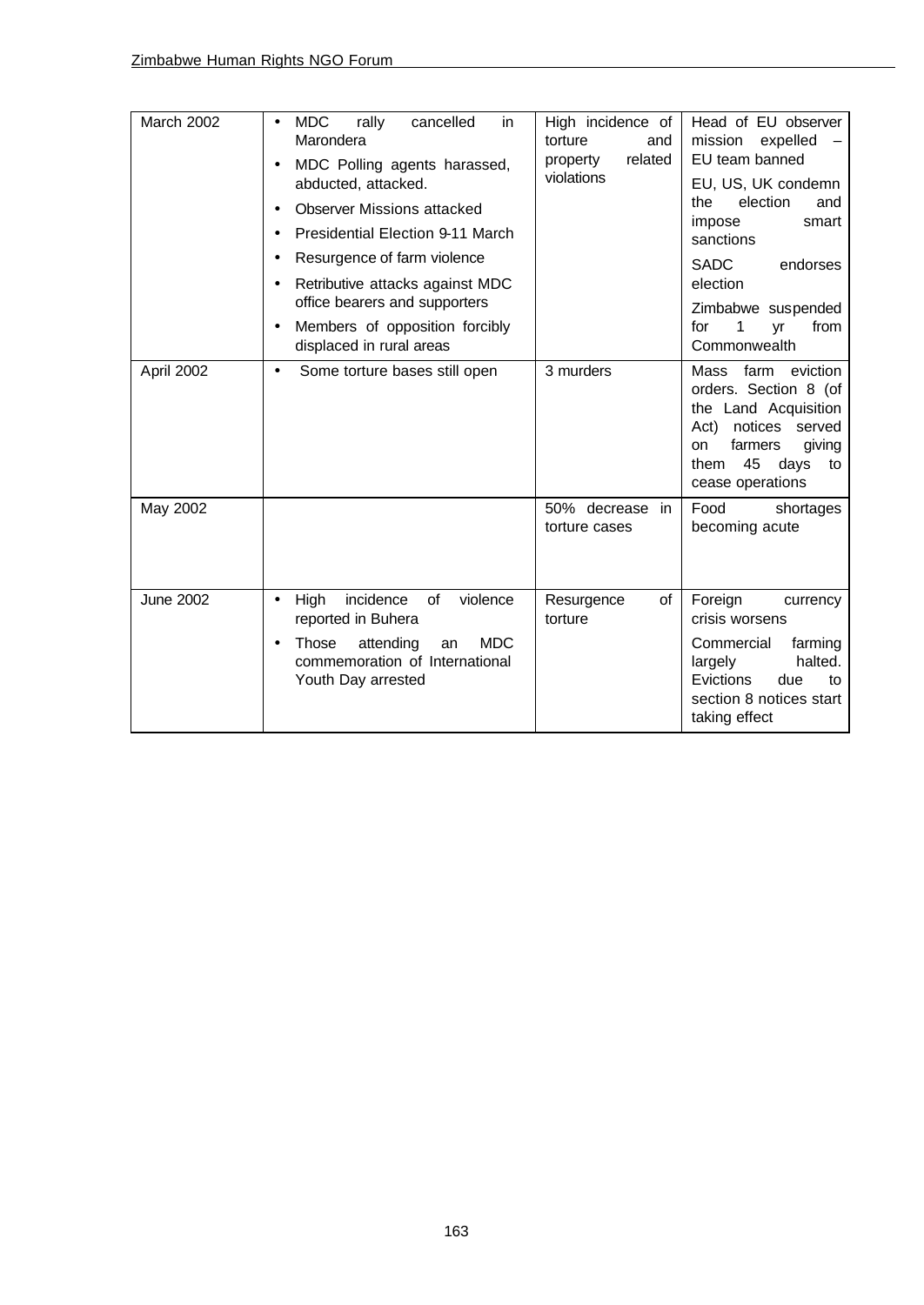| March 2002       | <b>MDC</b><br>rally<br>cancelled<br>in<br>$\bullet$<br>Marondera<br>MDC Polling agents harassed,<br>abducted, attacked.<br><b>Observer Missions attacked</b><br>Presidential Election 9-11 March | High incidence of<br>torture<br>and<br>related<br>property<br>violations | Head of EU observer<br>expelled<br>mission<br>EU team banned<br>EU, US, UK condemn<br>election<br>the<br>and<br>impose<br>smart<br>sanctions                                      |
|------------------|--------------------------------------------------------------------------------------------------------------------------------------------------------------------------------------------------|--------------------------------------------------------------------------|-----------------------------------------------------------------------------------------------------------------------------------------------------------------------------------|
|                  | Resurgence of farm violence<br>$\bullet$<br>Retributive attacks against MDC<br>$\bullet$                                                                                                         |                                                                          | <b>SADC</b><br>endorses<br>election                                                                                                                                               |
|                  | office bearers and supporters<br>Members of opposition forcibly<br>$\bullet$<br>displaced in rural areas                                                                                         |                                                                          | Zimbabwe suspended<br>1<br>for<br>from<br>vr<br>Commonwealth                                                                                                                      |
| April 2002       | Some torture bases still open<br>$\bullet$                                                                                                                                                       | 3 murders                                                                | farm<br>Mass<br>eviction<br>orders. Section 8 (of<br>the Land Acquisition<br>Act)<br>notices<br>served<br>farmers<br>giving<br>on<br>45<br>them<br>days<br>to<br>cease operations |
| May 2002         |                                                                                                                                                                                                  | 50% decrease<br>in<br>torture cases                                      | Food<br>shortages<br>becoming acute                                                                                                                                               |
| <b>June 2002</b> | High<br>incidence<br>of<br>violence<br>$\bullet$<br>reported in Buhera                                                                                                                           | of<br>Resurgence<br>torture                                              | Foreign<br>currency<br>crisis worsens                                                                                                                                             |
|                  | <b>MDC</b><br>Those<br>attending<br>an<br>commemoration of International<br>Youth Day arrested                                                                                                   |                                                                          | Commercial<br>farming<br>halted.<br>largely<br>Evictions<br>due<br>to<br>section 8 notices start<br>taking effect                                                                 |